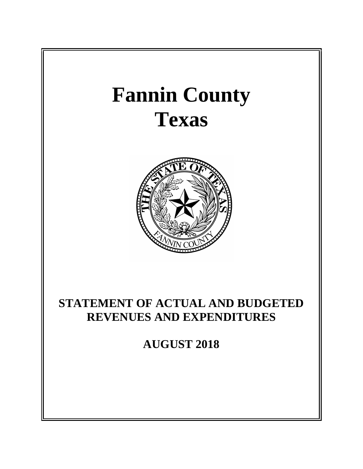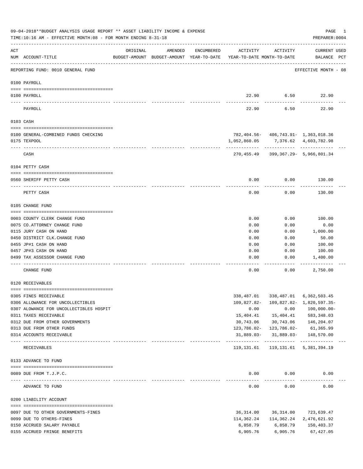| AMENDED<br>ENCUMBERED<br>ACTIVITY<br>ACTIVITY<br><b>CURRENT USED</b><br>ORIGINAL<br>NUM ACCOUNT-TITLE<br>BUDGET-AMOUNT BUDGET-AMOUNT YEAR-TO-DATE YEAR-TO-DATE MONTH-TO-DATE<br>BALANCE PCT<br>REPORTING FUND: 0010 GENERAL FUND<br>EFFECTIVE MONTH - 08<br>0100 PAYROLL<br>22.90<br>6.50<br>22.90<br>0100 PAYROLL<br>22.90<br>6.50<br>22.90<br>PAYROLL<br>0103 CASH<br>782,404.56- 406,743.91- 1,363,018.36<br>0100 GENERAL-COMBINED FUNDS CHECKING<br>0175 TEXPOOL<br>1,052,860.05<br>7,376.62 4,603,782.98<br>------------ -------------<br>CASH<br>270,455.49<br>399,367.29- 5,966,801.34<br>0104 PETTY CASH<br>0.00<br>130.00<br>0.00<br>0560 SHERIFF PETTY CASH<br>0.00<br>0.00<br>PETTY CASH<br>130.00<br>0105 CHANGE FUND<br>0.00<br>0.00<br>100.00<br>0003 COUNTY CLERK CHANGE FUND<br>0075 CO.ATTORNEY CHANGE FUND<br>0.00<br>0.00<br>0.00<br>0115 JURY CASH ON HAND<br>0.00<br>0.00<br>1,000.00<br>0450 DISTRICT CLK. CHANGE FUND<br>0.00<br>0.00<br>50.00<br>0455 JP#1 CASH ON HAND<br>0.00<br>0.00<br>100.00<br>0457 JP#3 CASH ON HAND<br>0.00<br>0.00<br>100.00<br>0499 TAX ASSESSOR CHANGE FUND<br>0.00<br>0.00<br>1,400.00<br>0.00<br>0.00<br>2,750.00<br>CHANGE FUND<br>0120 RECEIVABLES<br>0305 FINES RECEIVABLE<br>338,487.01<br>6,362,503.45<br>338,487.01<br>109,827.82-<br>109,827.82- 1,820,597.35-<br>0306 ALLOWANCE FOR UNCOLLECTIBLES<br>0307 ALOWANCE FOR UNCOLLECTIBLES HOSPIT<br>0.00<br>$100,000.00 -$<br>0.00<br>15,404.41<br>0311 TAXES RECEIVABLE<br>15,404.41<br>583,348.03<br>30,743.06<br>30,743.06<br>0312 DUE FROM OTHER GOVERNMENTS<br>146,204.07<br>0313 DUE FROM OTHER FUNDS<br>$123,786.02 - 123,786.02 -$<br>61,365.99<br>31,889.03-<br>31,889.03-<br>0314 ACCOUNTS RECEIVABLE<br>148,570.00<br>119,131.61<br>119, 131.61 5, 381, 394.19<br>RECEIVABLES<br>0133 ADVANCE TO FUND<br>0.00<br>0.00<br>0089 DUE FROM T.J.P.C.<br>0.00<br>-------------<br>0.00<br>0.00<br>0.00<br>ADVANCE TO FUND<br>0200 LIABILITY ACCOUNT<br>36, 314.00<br>36,314.00<br>723,639.47<br>0097 DUE TO OTHER GOVERNMENTS-FINES<br>0099 DUE TO OTHERS-FINES<br>114,362.24<br>114,362.24<br>2,476,621.92<br>0150 ACCRUED SALARY PAYABLE<br>6,858.79<br>6,858.79<br>150,403.37<br>0155 ACCRUED FRINGE BENEFITS<br>6,905.76<br>6,905.76<br>67, 427.05 |     | 09-04-2018**BUDGET ANALYSIS USAGE REPORT ** ASSET LIABILITY INCOME & EXPENSE<br>TIME:10:16 AM - EFFECTIVE MONTH:08 - FOR MONTH ENDING 8-31-18 |  |  | PAGE<br>PREPARER: 0004 | 1 |
|-----------------------------------------------------------------------------------------------------------------------------------------------------------------------------------------------------------------------------------------------------------------------------------------------------------------------------------------------------------------------------------------------------------------------------------------------------------------------------------------------------------------------------------------------------------------------------------------------------------------------------------------------------------------------------------------------------------------------------------------------------------------------------------------------------------------------------------------------------------------------------------------------------------------------------------------------------------------------------------------------------------------------------------------------------------------------------------------------------------------------------------------------------------------------------------------------------------------------------------------------------------------------------------------------------------------------------------------------------------------------------------------------------------------------------------------------------------------------------------------------------------------------------------------------------------------------------------------------------------------------------------------------------------------------------------------------------------------------------------------------------------------------------------------------------------------------------------------------------------------------------------------------------------------------------------------------------------------------------------------------------------------------------------------------------------------------------------------------------------------------------------------------------------------------------------------------------------------------------------------------------------------------|-----|-----------------------------------------------------------------------------------------------------------------------------------------------|--|--|------------------------|---|
|                                                                                                                                                                                                                                                                                                                                                                                                                                                                                                                                                                                                                                                                                                                                                                                                                                                                                                                                                                                                                                                                                                                                                                                                                                                                                                                                                                                                                                                                                                                                                                                                                                                                                                                                                                                                                                                                                                                                                                                                                                                                                                                                                                                                                                                                       | ACT |                                                                                                                                               |  |  |                        |   |
|                                                                                                                                                                                                                                                                                                                                                                                                                                                                                                                                                                                                                                                                                                                                                                                                                                                                                                                                                                                                                                                                                                                                                                                                                                                                                                                                                                                                                                                                                                                                                                                                                                                                                                                                                                                                                                                                                                                                                                                                                                                                                                                                                                                                                                                                       |     |                                                                                                                                               |  |  |                        |   |
|                                                                                                                                                                                                                                                                                                                                                                                                                                                                                                                                                                                                                                                                                                                                                                                                                                                                                                                                                                                                                                                                                                                                                                                                                                                                                                                                                                                                                                                                                                                                                                                                                                                                                                                                                                                                                                                                                                                                                                                                                                                                                                                                                                                                                                                                       |     |                                                                                                                                               |  |  |                        |   |
|                                                                                                                                                                                                                                                                                                                                                                                                                                                                                                                                                                                                                                                                                                                                                                                                                                                                                                                                                                                                                                                                                                                                                                                                                                                                                                                                                                                                                                                                                                                                                                                                                                                                                                                                                                                                                                                                                                                                                                                                                                                                                                                                                                                                                                                                       |     |                                                                                                                                               |  |  |                        |   |
|                                                                                                                                                                                                                                                                                                                                                                                                                                                                                                                                                                                                                                                                                                                                                                                                                                                                                                                                                                                                                                                                                                                                                                                                                                                                                                                                                                                                                                                                                                                                                                                                                                                                                                                                                                                                                                                                                                                                                                                                                                                                                                                                                                                                                                                                       |     |                                                                                                                                               |  |  |                        |   |
|                                                                                                                                                                                                                                                                                                                                                                                                                                                                                                                                                                                                                                                                                                                                                                                                                                                                                                                                                                                                                                                                                                                                                                                                                                                                                                                                                                                                                                                                                                                                                                                                                                                                                                                                                                                                                                                                                                                                                                                                                                                                                                                                                                                                                                                                       |     |                                                                                                                                               |  |  |                        |   |
|                                                                                                                                                                                                                                                                                                                                                                                                                                                                                                                                                                                                                                                                                                                                                                                                                                                                                                                                                                                                                                                                                                                                                                                                                                                                                                                                                                                                                                                                                                                                                                                                                                                                                                                                                                                                                                                                                                                                                                                                                                                                                                                                                                                                                                                                       |     |                                                                                                                                               |  |  |                        |   |
|                                                                                                                                                                                                                                                                                                                                                                                                                                                                                                                                                                                                                                                                                                                                                                                                                                                                                                                                                                                                                                                                                                                                                                                                                                                                                                                                                                                                                                                                                                                                                                                                                                                                                                                                                                                                                                                                                                                                                                                                                                                                                                                                                                                                                                                                       |     |                                                                                                                                               |  |  |                        |   |
|                                                                                                                                                                                                                                                                                                                                                                                                                                                                                                                                                                                                                                                                                                                                                                                                                                                                                                                                                                                                                                                                                                                                                                                                                                                                                                                                                                                                                                                                                                                                                                                                                                                                                                                                                                                                                                                                                                                                                                                                                                                                                                                                                                                                                                                                       |     |                                                                                                                                               |  |  |                        |   |
|                                                                                                                                                                                                                                                                                                                                                                                                                                                                                                                                                                                                                                                                                                                                                                                                                                                                                                                                                                                                                                                                                                                                                                                                                                                                                                                                                                                                                                                                                                                                                                                                                                                                                                                                                                                                                                                                                                                                                                                                                                                                                                                                                                                                                                                                       |     |                                                                                                                                               |  |  |                        |   |
|                                                                                                                                                                                                                                                                                                                                                                                                                                                                                                                                                                                                                                                                                                                                                                                                                                                                                                                                                                                                                                                                                                                                                                                                                                                                                                                                                                                                                                                                                                                                                                                                                                                                                                                                                                                                                                                                                                                                                                                                                                                                                                                                                                                                                                                                       |     |                                                                                                                                               |  |  |                        |   |
|                                                                                                                                                                                                                                                                                                                                                                                                                                                                                                                                                                                                                                                                                                                                                                                                                                                                                                                                                                                                                                                                                                                                                                                                                                                                                                                                                                                                                                                                                                                                                                                                                                                                                                                                                                                                                                                                                                                                                                                                                                                                                                                                                                                                                                                                       |     |                                                                                                                                               |  |  |                        |   |
|                                                                                                                                                                                                                                                                                                                                                                                                                                                                                                                                                                                                                                                                                                                                                                                                                                                                                                                                                                                                                                                                                                                                                                                                                                                                                                                                                                                                                                                                                                                                                                                                                                                                                                                                                                                                                                                                                                                                                                                                                                                                                                                                                                                                                                                                       |     |                                                                                                                                               |  |  |                        |   |
|                                                                                                                                                                                                                                                                                                                                                                                                                                                                                                                                                                                                                                                                                                                                                                                                                                                                                                                                                                                                                                                                                                                                                                                                                                                                                                                                                                                                                                                                                                                                                                                                                                                                                                                                                                                                                                                                                                                                                                                                                                                                                                                                                                                                                                                                       |     |                                                                                                                                               |  |  |                        |   |
|                                                                                                                                                                                                                                                                                                                                                                                                                                                                                                                                                                                                                                                                                                                                                                                                                                                                                                                                                                                                                                                                                                                                                                                                                                                                                                                                                                                                                                                                                                                                                                                                                                                                                                                                                                                                                                                                                                                                                                                                                                                                                                                                                                                                                                                                       |     |                                                                                                                                               |  |  |                        |   |
|                                                                                                                                                                                                                                                                                                                                                                                                                                                                                                                                                                                                                                                                                                                                                                                                                                                                                                                                                                                                                                                                                                                                                                                                                                                                                                                                                                                                                                                                                                                                                                                                                                                                                                                                                                                                                                                                                                                                                                                                                                                                                                                                                                                                                                                                       |     |                                                                                                                                               |  |  |                        |   |
|                                                                                                                                                                                                                                                                                                                                                                                                                                                                                                                                                                                                                                                                                                                                                                                                                                                                                                                                                                                                                                                                                                                                                                                                                                                                                                                                                                                                                                                                                                                                                                                                                                                                                                                                                                                                                                                                                                                                                                                                                                                                                                                                                                                                                                                                       |     |                                                                                                                                               |  |  |                        |   |
|                                                                                                                                                                                                                                                                                                                                                                                                                                                                                                                                                                                                                                                                                                                                                                                                                                                                                                                                                                                                                                                                                                                                                                                                                                                                                                                                                                                                                                                                                                                                                                                                                                                                                                                                                                                                                                                                                                                                                                                                                                                                                                                                                                                                                                                                       |     |                                                                                                                                               |  |  |                        |   |
|                                                                                                                                                                                                                                                                                                                                                                                                                                                                                                                                                                                                                                                                                                                                                                                                                                                                                                                                                                                                                                                                                                                                                                                                                                                                                                                                                                                                                                                                                                                                                                                                                                                                                                                                                                                                                                                                                                                                                                                                                                                                                                                                                                                                                                                                       |     |                                                                                                                                               |  |  |                        |   |
|                                                                                                                                                                                                                                                                                                                                                                                                                                                                                                                                                                                                                                                                                                                                                                                                                                                                                                                                                                                                                                                                                                                                                                                                                                                                                                                                                                                                                                                                                                                                                                                                                                                                                                                                                                                                                                                                                                                                                                                                                                                                                                                                                                                                                                                                       |     |                                                                                                                                               |  |  |                        |   |
|                                                                                                                                                                                                                                                                                                                                                                                                                                                                                                                                                                                                                                                                                                                                                                                                                                                                                                                                                                                                                                                                                                                                                                                                                                                                                                                                                                                                                                                                                                                                                                                                                                                                                                                                                                                                                                                                                                                                                                                                                                                                                                                                                                                                                                                                       |     |                                                                                                                                               |  |  |                        |   |
|                                                                                                                                                                                                                                                                                                                                                                                                                                                                                                                                                                                                                                                                                                                                                                                                                                                                                                                                                                                                                                                                                                                                                                                                                                                                                                                                                                                                                                                                                                                                                                                                                                                                                                                                                                                                                                                                                                                                                                                                                                                                                                                                                                                                                                                                       |     |                                                                                                                                               |  |  |                        |   |
|                                                                                                                                                                                                                                                                                                                                                                                                                                                                                                                                                                                                                                                                                                                                                                                                                                                                                                                                                                                                                                                                                                                                                                                                                                                                                                                                                                                                                                                                                                                                                                                                                                                                                                                                                                                                                                                                                                                                                                                                                                                                                                                                                                                                                                                                       |     |                                                                                                                                               |  |  |                        |   |
|                                                                                                                                                                                                                                                                                                                                                                                                                                                                                                                                                                                                                                                                                                                                                                                                                                                                                                                                                                                                                                                                                                                                                                                                                                                                                                                                                                                                                                                                                                                                                                                                                                                                                                                                                                                                                                                                                                                                                                                                                                                                                                                                                                                                                                                                       |     |                                                                                                                                               |  |  |                        |   |
|                                                                                                                                                                                                                                                                                                                                                                                                                                                                                                                                                                                                                                                                                                                                                                                                                                                                                                                                                                                                                                                                                                                                                                                                                                                                                                                                                                                                                                                                                                                                                                                                                                                                                                                                                                                                                                                                                                                                                                                                                                                                                                                                                                                                                                                                       |     |                                                                                                                                               |  |  |                        |   |
|                                                                                                                                                                                                                                                                                                                                                                                                                                                                                                                                                                                                                                                                                                                                                                                                                                                                                                                                                                                                                                                                                                                                                                                                                                                                                                                                                                                                                                                                                                                                                                                                                                                                                                                                                                                                                                                                                                                                                                                                                                                                                                                                                                                                                                                                       |     |                                                                                                                                               |  |  |                        |   |
|                                                                                                                                                                                                                                                                                                                                                                                                                                                                                                                                                                                                                                                                                                                                                                                                                                                                                                                                                                                                                                                                                                                                                                                                                                                                                                                                                                                                                                                                                                                                                                                                                                                                                                                                                                                                                                                                                                                                                                                                                                                                                                                                                                                                                                                                       |     |                                                                                                                                               |  |  |                        |   |
|                                                                                                                                                                                                                                                                                                                                                                                                                                                                                                                                                                                                                                                                                                                                                                                                                                                                                                                                                                                                                                                                                                                                                                                                                                                                                                                                                                                                                                                                                                                                                                                                                                                                                                                                                                                                                                                                                                                                                                                                                                                                                                                                                                                                                                                                       |     |                                                                                                                                               |  |  |                        |   |
|                                                                                                                                                                                                                                                                                                                                                                                                                                                                                                                                                                                                                                                                                                                                                                                                                                                                                                                                                                                                                                                                                                                                                                                                                                                                                                                                                                                                                                                                                                                                                                                                                                                                                                                                                                                                                                                                                                                                                                                                                                                                                                                                                                                                                                                                       |     |                                                                                                                                               |  |  |                        |   |
|                                                                                                                                                                                                                                                                                                                                                                                                                                                                                                                                                                                                                                                                                                                                                                                                                                                                                                                                                                                                                                                                                                                                                                                                                                                                                                                                                                                                                                                                                                                                                                                                                                                                                                                                                                                                                                                                                                                                                                                                                                                                                                                                                                                                                                                                       |     |                                                                                                                                               |  |  |                        |   |
|                                                                                                                                                                                                                                                                                                                                                                                                                                                                                                                                                                                                                                                                                                                                                                                                                                                                                                                                                                                                                                                                                                                                                                                                                                                                                                                                                                                                                                                                                                                                                                                                                                                                                                                                                                                                                                                                                                                                                                                                                                                                                                                                                                                                                                                                       |     |                                                                                                                                               |  |  |                        |   |
|                                                                                                                                                                                                                                                                                                                                                                                                                                                                                                                                                                                                                                                                                                                                                                                                                                                                                                                                                                                                                                                                                                                                                                                                                                                                                                                                                                                                                                                                                                                                                                                                                                                                                                                                                                                                                                                                                                                                                                                                                                                                                                                                                                                                                                                                       |     |                                                                                                                                               |  |  |                        |   |
|                                                                                                                                                                                                                                                                                                                                                                                                                                                                                                                                                                                                                                                                                                                                                                                                                                                                                                                                                                                                                                                                                                                                                                                                                                                                                                                                                                                                                                                                                                                                                                                                                                                                                                                                                                                                                                                                                                                                                                                                                                                                                                                                                                                                                                                                       |     |                                                                                                                                               |  |  |                        |   |
|                                                                                                                                                                                                                                                                                                                                                                                                                                                                                                                                                                                                                                                                                                                                                                                                                                                                                                                                                                                                                                                                                                                                                                                                                                                                                                                                                                                                                                                                                                                                                                                                                                                                                                                                                                                                                                                                                                                                                                                                                                                                                                                                                                                                                                                                       |     |                                                                                                                                               |  |  |                        |   |
|                                                                                                                                                                                                                                                                                                                                                                                                                                                                                                                                                                                                                                                                                                                                                                                                                                                                                                                                                                                                                                                                                                                                                                                                                                                                                                                                                                                                                                                                                                                                                                                                                                                                                                                                                                                                                                                                                                                                                                                                                                                                                                                                                                                                                                                                       |     |                                                                                                                                               |  |  |                        |   |
|                                                                                                                                                                                                                                                                                                                                                                                                                                                                                                                                                                                                                                                                                                                                                                                                                                                                                                                                                                                                                                                                                                                                                                                                                                                                                                                                                                                                                                                                                                                                                                                                                                                                                                                                                                                                                                                                                                                                                                                                                                                                                                                                                                                                                                                                       |     |                                                                                                                                               |  |  |                        |   |
|                                                                                                                                                                                                                                                                                                                                                                                                                                                                                                                                                                                                                                                                                                                                                                                                                                                                                                                                                                                                                                                                                                                                                                                                                                                                                                                                                                                                                                                                                                                                                                                                                                                                                                                                                                                                                                                                                                                                                                                                                                                                                                                                                                                                                                                                       |     |                                                                                                                                               |  |  |                        |   |
|                                                                                                                                                                                                                                                                                                                                                                                                                                                                                                                                                                                                                                                                                                                                                                                                                                                                                                                                                                                                                                                                                                                                                                                                                                                                                                                                                                                                                                                                                                                                                                                                                                                                                                                                                                                                                                                                                                                                                                                                                                                                                                                                                                                                                                                                       |     |                                                                                                                                               |  |  |                        |   |
|                                                                                                                                                                                                                                                                                                                                                                                                                                                                                                                                                                                                                                                                                                                                                                                                                                                                                                                                                                                                                                                                                                                                                                                                                                                                                                                                                                                                                                                                                                                                                                                                                                                                                                                                                                                                                                                                                                                                                                                                                                                                                                                                                                                                                                                                       |     |                                                                                                                                               |  |  |                        |   |
|                                                                                                                                                                                                                                                                                                                                                                                                                                                                                                                                                                                                                                                                                                                                                                                                                                                                                                                                                                                                                                                                                                                                                                                                                                                                                                                                                                                                                                                                                                                                                                                                                                                                                                                                                                                                                                                                                                                                                                                                                                                                                                                                                                                                                                                                       |     |                                                                                                                                               |  |  |                        |   |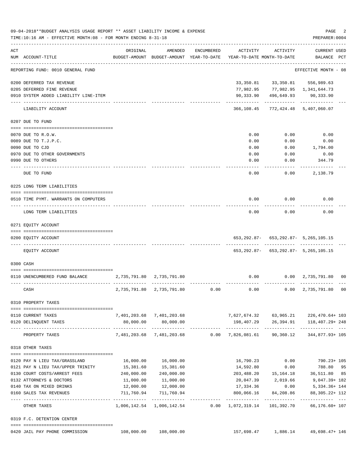|     | 09-04-2018**BUDGET ANALYSIS USAGE REPORT ** ASSET LIABILITY INCOME & EXPENSE<br>TIME:10:16 AM - EFFECTIVE MONTH:08 - FOR MONTH ENDING 8-31-18 |              |                                                     |            |                                        |                                                                                  | PAGE<br>PREPARER: 0004                | 2  |
|-----|-----------------------------------------------------------------------------------------------------------------------------------------------|--------------|-----------------------------------------------------|------------|----------------------------------------|----------------------------------------------------------------------------------|---------------------------------------|----|
| ACT | NUM ACCOUNT-TITLE                                                                                                                             | ORIGINAL     | AMENDED<br>BUDGET-AMOUNT BUDGET-AMOUNT YEAR-TO-DATE | ENCUMBERED | ACTIVITY<br>YEAR-TO-DATE MONTH-TO-DATE | ACTIVITY                                                                         | <b>CURRENT USED</b><br>BALANCE PCT    |    |
|     | -------------------------------<br>REPORTING FUND: 0010 GENERAL FUND                                                                          |              |                                                     |            |                                        |                                                                                  | EFFECTIVE MONTH - 08                  |    |
|     | 0200 DEFERRED TAX REVENUE                                                                                                                     |              |                                                     |            | 33,350.81                              | 33,350.81                                                                        | 556,989.63                            |    |
|     | 0205 DEFERRED FINE REVENUE                                                                                                                    |              |                                                     |            |                                        | 77,982.95 77,982.95 1,341,644.73                                                 |                                       |    |
|     | 0910 SYSTEM ADDED LIABILITY LINE-ITEM                                                                                                         |              |                                                     |            | 90,333.90                              | 496,649.93                                                                       | 90,333.90                             |    |
|     | LIABILITY ACCOUNT                                                                                                                             |              |                                                     |            |                                        | 366,108.45 772,424.48 5,407,060.07                                               |                                       |    |
|     | 0207 DUE TO FUND                                                                                                                              |              |                                                     |            |                                        |                                                                                  |                                       |    |
|     | 0070 DUE TO R.O.W.                                                                                                                            |              |                                                     |            | 0.00                                   | 0.00                                                                             | 0.00                                  |    |
|     | 0089 DUE TO T.J.P.C.                                                                                                                          |              |                                                     |            | 0.00                                   | 0.00                                                                             | 0.00                                  |    |
|     | 0090 DUE TO CJD                                                                                                                               |              |                                                     |            | 0.00                                   | 0.00                                                                             | 1,794.00                              |    |
|     | 0970 DUE TO OTHER GOVERNMENTS                                                                                                                 |              |                                                     |            | 0.00                                   | 0.00                                                                             | 0.00                                  |    |
|     | 0990 DUE TO OTHERS                                                                                                                            |              |                                                     |            | 0.00                                   | 0.00                                                                             | 344.79                                |    |
|     | DUE TO FUND                                                                                                                                   |              |                                                     |            | $---$<br>0.00                          | 0.00                                                                             | 2,138.79                              |    |
|     | 0225 LONG TERM LIABILITIES                                                                                                                    |              |                                                     |            |                                        |                                                                                  |                                       |    |
|     | 0510 TIME PYMT. WARRANTS ON COMPUTERS                                                                                                         |              |                                                     |            | 0.00                                   | $0.00$ 0.00                                                                      |                                       |    |
|     | LONG TERM LIABILITIES                                                                                                                         |              |                                                     |            | 0.00                                   | 0.00                                                                             | 0.00                                  |    |
|     | 0271 EQUITY ACCOUNT                                                                                                                           |              |                                                     |            |                                        |                                                                                  |                                       |    |
|     | 0200 EQUITY ACCOUNT                                                                                                                           |              |                                                     |            |                                        | 653, 292.87 - 653, 292.87 - 5, 265, 105.15<br>------------ ------------ -------- |                                       |    |
|     | EQUITY ACCOUNT                                                                                                                                |              |                                                     |            |                                        | 653, 292.87 - 653, 292.87 - 5, 265, 105.15                                       |                                       |    |
|     | 0300 CASH                                                                                                                                     |              |                                                     |            |                                        |                                                                                  |                                       |    |
|     | 0110 UNENCUMBERED FUND BALANCE                                                                                                                | 2,735,791.80 | 2,735,791.80                                        |            | 0.00                                   |                                                                                  | 0.00 2,735,791.80 00                  |    |
|     |                                                                                                                                               |              |                                                     |            |                                        |                                                                                  |                                       |    |
|     | CASH                                                                                                                                          | 2,735,791.80 | 2,735,791.80                                        | 0.00       | 0.00                                   | 0.00                                                                             | 2,735,791.80                          | 00 |
|     | 0310 PROPERTY TAXES                                                                                                                           |              |                                                     |            |                                        |                                                                                  |                                       |    |
|     | 0110 CURRENT TAXES                                                                                                                            |              | 7,401,203.68 7,401,203.68                           |            |                                        |                                                                                  | 7,627,674.32 63,965.21 226,470.64+103 |    |
|     | 0120 DELINQUENT TAXES                                                                                                                         | 80,000.00    | 80,000.00                                           |            |                                        |                                                                                  | 198,407.29 26,394.91 118,407.29+248   |    |
|     | ---------------------- -------------<br>PROPERTY TAXES                                                                                        |              | 7,481,203.68 7,481,203.68                           |            |                                        | 0.00 7,826,081.61 90,360.12                                                      | 344,877.93+ 105                       |    |
|     | 0318 OTHER TAXES                                                                                                                              |              |                                                     |            |                                        |                                                                                  |                                       |    |
|     |                                                                                                                                               |              |                                                     |            |                                        |                                                                                  |                                       |    |
|     | 0120 PAY N LIEU TAX/GRASSLAND                                                                                                                 |              | 16,000.00   16,000.00                               |            | 16,790.23                              | 0.00                                                                             | 790.23+ 105                           |    |
|     | 0121 PAY N LIEU TAX/UPPER TRINITY                                                                                                             | 15,381.60    | 15,381.60                                           |            | 14,592.80                              | 0.00                                                                             | 788.80 95                             |    |
|     | 0130 COURT COSTS/ARREST FEES                                                                                                                  |              | 240,000.00 240,000.00                               |            |                                        |                                                                                  | 203,488.20  15,164.18  36,511.80  85  |    |
|     | 0132 ATTORNEYS & DOCTORS                                                                                                                      |              | 11,000.00 11,000.00                                 |            |                                        |                                                                                  | 20,047.39 2,019.66 9,047.39+182       |    |
|     | 0140 TAX ON MIXED DRINKS<br>0160 SALES TAX REVENUES                                                                                           |              | 12,000.00   12,000.00<br>711,760.94 711,760.94      |            | 800,066.16                             | 17,334.36 0.00<br>84,208.86                                                      | 5,334.36+ 144<br>88, 305. 22+ 112     |    |
|     | ---------------------- -----------                                                                                                            |              | -------------                                       |            |                                        | ------------ ------------                                                        |                                       |    |
|     | OTHER TAXES                                                                                                                                   |              |                                                     |            |                                        | 1,006,142.54 1,006,142.54 0.00 1,072,319.14 101,392.70                           | 66,176.60+ 107                        |    |
|     | 0319 F.C. DETENTION CENTER                                                                                                                    |              |                                                     |            |                                        |                                                                                  |                                       |    |
|     | 0420 JAIL PAY PHONE COMMISSION                                                                                                                |              | 108,000.00 108,000.00                               |            |                                        | 157,698.47 1,886.14                                                              | 49,698.47+ 146                        |    |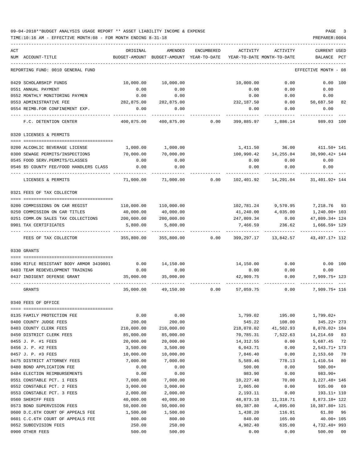| ACT<br>NUM ACCOUNT-TITLE                                            | ORIGINAL<br>BUDGET-AMOUNT | AMENDED<br>BUDGET-AMOUNT YEAR-TO-DATE | ENCUMBERED      | ACTIVITY                | ACTIVITY<br>YEAR-TO-DATE MONTH-TO-DATE | <b>CURRENT USED</b><br>BALANCE<br>PCT |
|---------------------------------------------------------------------|---------------------------|---------------------------------------|-----------------|-------------------------|----------------------------------------|---------------------------------------|
| REPORTING FUND: 0010 GENERAL FUND                                   |                           |                                       |                 |                         |                                        | EFFECTIVE MONTH<br>- 08               |
|                                                                     |                           |                                       |                 |                         |                                        |                                       |
| 0429 SCHOLARSHIP FUNDS                                              | 10,000.00                 | 10,000.00                             |                 | 10,000.00               | 0.00                                   | 0.00 100                              |
| 0551 ANNUAL PAYMENT                                                 | 0.00                      | 0.00                                  |                 | 0.00                    | 0.00                                   | 0.00                                  |
| 0552 MONTHLY MONITORING PAYMEN                                      | 0.00                      | 0.00                                  |                 | 0.00                    | 0.00                                   | 0.00                                  |
| 0553 ADMINISTRATIVE FEE                                             | 282,875.00                | 282,875.00                            |                 | 232,187.50              | 0.00                                   | 50,687.50<br>82                       |
| 0554 REIMB.FOR CONFINEMENT EXP.                                     | 0.00                      | 0.00                                  |                 | 0.00                    | 0.00                                   | 0.00                                  |
| F.C. DETENTION CENTER                                               | 400,875.00                |                                       | 400,875.00 0.00 | 399,885.97              | 1,886.14                               | 989.03 100                            |
| 0320 LICENSES & PERMITS                                             |                           |                                       |                 |                         |                                        |                                       |
| 0200 ALCOHLIC BEVERAGE LICENSE                                      | 1,000.00                  | 1,000.00                              |                 |                         | 1,411.50 36.00                         | 411.50+ 141                           |
| 0300 SEWAGE PERMITS/INSPECTIONS                                     | 70,000.00                 | 70,000.00                             |                 | 100,990.42              | 14,255.04                              | 30,990.42+ 144                        |
| 0545 FOOD SERV. PERMITS/CLASSES                                     | 0.00                      | 0.00                                  |                 | 0.00                    | 0.00                                   | 0.00                                  |
| 0546 \$5 COUNTY FEE/FOOD HANDLERS CLASS                             | 0.00                      | 0.00                                  |                 | 0.00                    | 0.00                                   | 0.00                                  |
| LICENSES & PERMITS                                                  | 71,000.00                 | 71,000.00                             | 0.00            | 102,401.92              | 14,291.04                              | 31,401.92+ 144                        |
| 0321 FEES OF TAX COLLECTOR                                          |                           |                                       |                 |                         |                                        |                                       |
|                                                                     |                           |                                       |                 |                         |                                        |                                       |
| 0200 COMMISSIONS ON CAR REGIST                                      |                           | 110,000.00 110,000.00<br>40,000.00    |                 |                         | 102,781.24 9,570.95                    | 7,218.76 93                           |
| 0250 COMMISSION ON CAR TITLES<br>0251 COMM.ON SALES TAX COLLECTIONS | 40,000.00<br>200,000.00   | 200,000.00                            |                 | 41,240.00<br>247,809.34 | 4,035.00<br>0.00                       | 1,240.00+ 103<br>47,809.34+ 124       |
| 0901 TAX CERTIFICATES                                               | 5,800.00                  | 5,800.00                              |                 | 7,466.59                | 236.62                                 | 1,666.59+ 129                         |
|                                                                     |                           |                                       |                 |                         |                                        |                                       |
| FEES OF TAX COLLECTOR                                               | 355,800.00                | 355,800.00                            | 0.00            | 399,297.17              | 13,842.57                              | 43, 497. 17+ 112                      |
| 0330 GRANTS                                                         |                           |                                       |                 |                         |                                        |                                       |
|                                                                     |                           |                                       |                 |                         |                                        |                                       |
| 0396 RIFLE RESISTANT BODY ARMOR 3439801                             | 0.00                      | 14,150.00                             |                 | 14,150.00               | 0.00                                   | $0.00$ 100                            |
| 0403 TEAM REDEVELOPMENT TRAINING                                    | 0.00                      | 0.00                                  |                 | 0.00                    | 0.00                                   | 0.00                                  |
| 0437 INDIGENT DEFENSE GRANT                                         | 35,000.00                 | 35,000.00                             |                 | 42,909.75               | 0.00                                   | 7,909.75+ 123                         |
| GRANTS                                                              | 35,000.00                 | 49,150.00                             |                 | $0.00$ 57,059.75        | 0.00                                   | 7,909.75+ 116                         |
| 0340 FEES OF OFFICE                                                 |                           |                                       |                 |                         |                                        |                                       |
| 0135 FAMILY PROTECTION FEE                                          | 0.00                      | 0.00                                  |                 | 1,799.02                | 195.00                                 | $1,799.02+$                           |
| 0400 COUNTY JUDGE FEES                                              | 200.00                    | 200.00                                |                 | 545.22                  | 108.00                                 | 345.22+ 273                           |
| 0403 COUNTY CLERK FEES                                              | 210,000.00                | 210,000.00                            |                 | 218,078.02              | 41,502.93                              | 8,078.02+ 104                         |
| 0450 DISTRICT CLERK FEES                                            | 85,000.00                 | 85,000.00                             |                 | 70,785.31               | 7,522.63                               | 14, 214.69<br>83                      |
| 0455 J. P. #1 FEES                                                  | 20,000.00                 | 20,000.00                             |                 | 14,312.55               | 0.00                                   | 5,687.45<br>72                        |
| 0456 J. P. #2 FEES                                                  | 3,500.00                  | 3,500.00                              |                 | 6,043.71                | 0.00                                   | 2,543.71+ 173                         |
| 0457 J. P. #3 FEES                                                  | 10,000.00                 | 10,000.00                             |                 | 7,846.40                | 0.00                                   | 2,153.60<br>78                        |
| 0475 DISTRICT ATTORNEY FEES                                         | 7,000.00                  | 7,000.00                              |                 | 5,589.46                | 778.13                                 | 1,410.54<br>80                        |
| 0480 BOND APPLICATION FEE                                           | 0.00                      | 0.00                                  |                 | 500.00                  | 0.00                                   | $500.00+$                             |
| 0484 ELECTION REIMBURSEMENTS                                        | 0.00                      | 0.00                                  |                 | 983.90                  | 0.00                                   | $983.90+$                             |
| 0551 CONSTABLE PCT. 1 FEES                                          | 7,000.00                  | 7,000.00                              |                 | 10,227.48               | 70.00                                  | 3, 227. 48+ 146                       |
| 0552 CONSTABLE PCT. 2 FEES                                          | 3,000.00                  | 3,000.00                              |                 | 2,065.00                | 0.00                                   | 935.00<br>69                          |
| 0553 CONSTABLE PCT. 3 FEES                                          | 2,000.00                  | 2,000.00                              |                 | 2,193.11                | 0.00                                   | 193.11+ 110                           |
| 0560 SHERIFF FEES                                                   | 40,000.00                 | 40,000.00                             |                 | 48,873.10               | 11,318.71                              | 8,873.10+ 122                         |
| 0573 BOND SUPERVISION FEES                                          | 50,000.00                 | 50,000.00                             |                 | 60,387.80               | 4,895.00                               | 10,387.80+ 121                        |
| 0600 D.C.6TH COURT OF APPEALS FEE                                   | 1,500.00                  | 1,500.00                              |                 | 1,438.20                | 116.91                                 | 61.80<br>- 96                         |
| 0601 C.C.6TH COURT OF APPEALS FEE                                   | 800.00                    | 800.00                                |                 | 840.00                  | 165.00                                 | $40.00 + 105$                         |
| 0652 SUBDIVISION FEES<br>0900 OTHER FEES                            | 250.00<br>500.00          | 250.00<br>500.00                      |                 | 4,982.40<br>0.00        | 635.00<br>0.00                         | 4,732.40+ 993<br>500.00 00            |
|                                                                     |                           |                                       |                 |                         |                                        |                                       |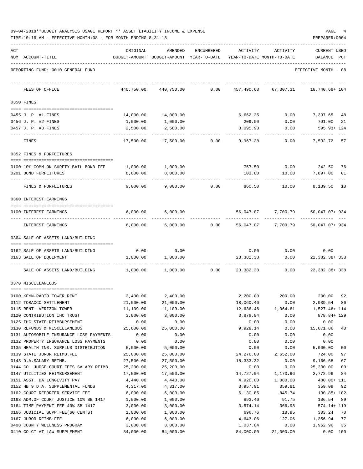| 09-04-2018**BUDGET ANALYSIS USAGE REPORT ** ASSET LIABILITY INCOME & EXPENSE |  |  | PAGE |  |
|------------------------------------------------------------------------------|--|--|------|--|
|                                                                              |  |  |      |  |

TIME:10:16 AM - EFFECTIVE MONTH:08 - FOR MONTH ENDING 8-31-18 PREPARER:0004

| ACT |                                                                                | ORIGINAL         | AMENDED                                  | <b>ENCUMBERED</b> | ACTIVITY     | ACTIVITY                   | <b>CURRENT USED</b>           |
|-----|--------------------------------------------------------------------------------|------------------|------------------------------------------|-------------------|--------------|----------------------------|-------------------------------|
|     | NUM ACCOUNT-TITLE                                                              |                  | BUDGET-AMOUNT BUDGET-AMOUNT YEAR-TO-DATE |                   |              | YEAR-TO-DATE MONTH-TO-DATE | BALANCE PCT                   |
|     | REPORTING FUND: 0010 GENERAL FUND                                              |                  |                                          |                   |              |                            | EFFECTIVE MONTH - 08          |
|     | FEES OF OFFICE                                                                 | 440,750.00       | 440,750.00                               | 0.00              | 457,490.68   | 67,307.31                  | 16,740.68+ 104                |
|     | 0350 FINES                                                                     |                  |                                          |                   |              |                            |                               |
|     | 0455 J. P. #1 FINES                                                            | 14,000.00        | 14,000.00                                |                   | 6,662.35     | 0.00                       | 7,337.65<br>48                |
|     | 0456 J. P. #2 FINES                                                            | 1,000.00         | 1,000.00                                 |                   | 209.00       | 0.00                       | 791.00<br>21                  |
|     | 0457 J. P. #3 FINES                                                            | 2,500.00         | 2,500.00                                 |                   | 3,095.93     | 0.00                       | 595.93+ 124                   |
|     | FINES                                                                          | 17,500.00        | 17,500.00                                | 0.00              | 9,967.28     | 0.00                       | 7,532.72<br>57                |
|     | 0352 FINES & FORFEITURES                                                       |                  |                                          |                   |              |                            |                               |
|     | 0100 10% COMM.ON SURETY BAIL BOND FEE                                          | 1,000.00         | 1,000.00                                 |                   | 757.50       | 0.00                       | 242.50<br>76                  |
|     | 0201 BOND FORFEITURES                                                          | 8,000.00         | 8,000.00                                 |                   | 103.00       | 10.00                      | 7,897.00<br>01                |
|     | FINES & FORFEITURES                                                            | 9,000.00         | 9,000.00                                 | 0.00              | 860.50       | 10.00                      | 8,139.50<br>10                |
|     | 0360 INTEREST EARNINGS                                                         |                  |                                          |                   |              |                            |                               |
|     |                                                                                |                  |                                          |                   |              |                            |                               |
|     | 0100 INTEREST EARNINGS                                                         | 6,000.00         | 6,000.00                                 |                   | 56,047.07    | 7,700.79                   | 50,047.07+934                 |
|     | INTEREST EARNINGS                                                              | 6,000.00         | 6,000.00                                 | 0.00              | 56,047.07    | 7,700.79                   | 50,047.07+934                 |
|     | 0364 SALE OF ASSETS LAND/BUILDING                                              |                  |                                          |                   |              |                            |                               |
|     | 0162 SALE OF ASSETS LAND/BUILDING                                              | 0.00             | 0.00                                     |                   | 0.00         | 0.00                       | 0.00                          |
|     | 0163 SALE OF EQUIPMENT                                                         | 1,000.00         | 1,000.00                                 |                   | 23,382.38    | 0.00                       | 22, 382. 38+ 338              |
|     | SALE OF ASSETS LAND/BUILDING                                                   | 1,000.00         | 1,000.00                                 | 0.00              | 23,382.38    | 0.00                       | ---------<br>22, 382. 38+ 338 |
|     | 0370 MISCELLANEOUS                                                             |                  |                                          |                   |              |                            |                               |
|     | 0100 KFYN-RADIO TOWER RENT                                                     | 2,400.00         | 2,400.00                                 |                   | 2,200.00     |                            | 200.00 200.00<br>92           |
|     | 0112 TOBACCO SETTLEMENT                                                        | 21,000.00        | 21,000.00                                |                   | 18,060.46    | 0.00                       | 2,939.54<br>86                |
|     | 0115 RENT- VERIZON TOWER                                                       | 11,109.00        | 11,109.00                                |                   | 12,636.46    | 1,064.61                   | 1,527.46+ 114                 |
|     | 0120 CONTRIBUTION IHC TRUST                                                    | 3,000.00         | 3,000.00                                 |                   | 3,878.84     | 0.00                       | 878.84+ 129                   |
|     | 0125 IHC STATE REIMBURSEMENT                                                   | 0.00             | 0.00                                     |                   | 0.00         | 0.00                       | 0.00                          |
|     | 0130 REFUNDS & MISCELLANEOUS                                                   | 25,000.00        | 25,000.00                                |                   | 9,928.14     | 0.00                       | 15,071.86<br>40               |
|     | 0131 AUTOMOBILE INSURANCE LOSS PAYMENTS                                        | 0.00             | 0.00                                     |                   | 0.00         | 0.00                       | 0.00                          |
|     | 0132 PROPERTY INSURANCE LOSS PAYMENTS<br>0135 HEALTH INS. SURPLUS DISTRIBUTION | 0.00<br>5,000.00 | 0.00<br>5,000.00                         |                   | 0.00<br>0.00 | 0.00<br>0.00               | 0.00<br>5,000.00<br>00        |
|     | 0139 STATE JUROR REIMB.FEE                                                     | 25,000.00        | 25,000.00                                |                   | 24,276.00    | 2,652.00                   | 724.00<br>97                  |
|     | 0143 D.A.SALARY REIMB.                                                         | 27,500.00        | 27,500.00                                |                   | 18,333.32    | 0.00                       | 9,166.68<br>67                |
|     | 0144 CO. JUDGE COURT FEES SALARY REIMB.                                        | 25,200.00        | 25,200.00                                |                   | 0.00         | 0.00                       | 25,200.00<br>00               |
|     | 0147 UTILITIES REIMBURSEMENT                                                   | 17,500.00        | 17,500.00                                |                   | 14,727.04    | 1,170.96                   | 2,772.96<br>84                |
|     | 0151 ASST. DA LONGEVITY PAY                                                    | 4,440.00         | 4,440.00                                 |                   | 4,920.00     | 1,080.00                   | 480.00+ 111                   |
|     | 0152 HB 9 D.A. SUPPLEMENTAL FUNDS                                              | 4,317.00         | 4,317.00                                 |                   | 3,957.91     | 359.81                     | 359.09<br>92                  |
|     | 0162 COURT REPORTER SERVICE FEE                                                | 6,000.00         | 6,000.00                                 |                   | 6,130.85     | 845.74                     | 130.85+ 102                   |
|     | 0163 ADM.OF COURT JUSTICE 10% SB 1417                                          | 1,000.00         | 1,000.00                                 |                   | 893.46       | 91.75                      | 106.54<br>89                  |
|     | 0164 TIME PAYMENT FEE 40% SB 1417                                              | 3,000.00         | 3,000.00                                 |                   | 3,574.14     | 366.98                     | 574.14+ 119                   |
|     | 0166 JUDICIAL SUPP.FEE(60 CENTS)                                               | 1,000.00         | 1,000.00                                 |                   | 696.76       | 18.95                      | 303.24<br>70                  |
|     | 0167 JUROR REIMB.FEE                                                           | 6,000.00         | 6,000.00                                 |                   | 4,643.06     | 127.06                     | 1,356.94<br>77                |
|     | 0408 COUNTY WELLNESS PROGRAM                                                   | 3,000.00         | 3,000.00                                 |                   | 1,037.04     | 0.00                       | 1,962.96<br>35                |

0410 CO CT AT LAW SUPPLEMENT 84,000.00 84,000.00 84,000.00 21,000.00 0.00 100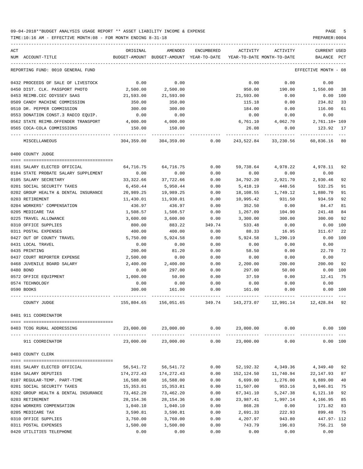| ACT                                  | ORIGINAL   | AMENDED                                  | ENCUMBERED | ACTIVITY                   | ACTIVITY                          | <b>CURRENT USED</b>  |     |
|--------------------------------------|------------|------------------------------------------|------------|----------------------------|-----------------------------------|----------------------|-----|
| NUM ACCOUNT-TITLE                    |            | BUDGET-AMOUNT BUDGET-AMOUNT YEAR-TO-DATE |            | YEAR-TO-DATE MONTH-TO-DATE |                                   | BALANCE PCT          |     |
| REPORTING FUND: 0010 GENERAL FUND    |            |                                          |            |                            |                                   | EFFECTIVE MONTH - 08 |     |
| 0432 PROCEEDS OF SALE OF LIVESTOCK   | 0.00       | 0.00                                     |            | 0.00                       | 0.00                              | 0.00                 |     |
| 0450 DIST. CLK. PASSPORT PHOTO       | 2,500.00   | 2,500.00                                 |            | 950.00                     | 190.00                            | 1,550.00             | 38  |
| 0453 REIMB.CEC ODYSSEY SAAS          | 21,593.00  | 21,593.00                                |            | 21,593.00                  | 0.00                              | $0.00$ 100           |     |
| 0509 CANDY MACHINE COMMISSION        | 350.00     | 350.00                                   |            | 115.18                     | 0.00                              | 234.82               | 33  |
| 0510 DR. PEPPER COMMISSION           | 300.00     | 300.00                                   |            | 184.00                     | 0.00                              | 116.00               | 61  |
| 0553 DONATION CONST.3 RADIO EQUIP.   | 0.00       | 0.00                                     |            | 0.00                       | 0.00                              | 0.00                 |     |
| 0562 STATE REIMB.OFFENDER TRANSPORT  | 4,000.00   | 4,000.00                                 |            | 6,761.10                   | 4,062.70                          | 2,761.10+ 169        |     |
| 0565 COCA-COLA COMMISSIONS           | 150.00     | 150.00                                   |            | 26.08                      | 0.00                              | 123.92               | 17  |
| MISCELLANEOUS                        | 304,359.00 | 304,359.00                               | 0.00       |                            | 243,522.84 33,230.56 60,836.16 80 |                      |     |
| 0400 COUNTY JUDGE                    |            |                                          |            |                            |                                   |                      |     |
| 0101 SALARY ELECTED OFFICIAL         | 64,716.75  | 64,716.75                                | 0.00       | 59,738.64                  | 4,978.22                          | 4,978.11             | 92  |
| 0104 STATE PROBATE SALARY SUPPLEMENT | 0.00       | 0.00                                     | 0.00       | 0.00                       | 0.00                              | 0.00                 |     |
| 0105 SALARY SECRETARY                | 33,322.66  | 37,722.66                                | 0.00       | 34,792.20                  | 2,921.70                          | 2,930.46             | 92  |
| 0201 SOCIAL SECURITY TAXES           | 6,450.44   | 5,950.44                                 | 0.00       | 5,418.19                   | 448.56                            | 532.25               | 91  |
| 0202 GROUP HEALTH & DENTAL INSURANCE | 20,989.25  | 19,989.25                                | 0.00       | 18,108.55                  | 1,749.12                          | 1,880.70             | 91  |
| 0203 RETIREMENT                      | 11,430.01  | 11,930.01                                | 0.00       | 10,995.42                  | 931.50                            | 934.59               | 92  |
| 0204 WORKERS' COMPENSATION           | 436.97     | 436.97                                   | 0.00       | 352.50                     | 0.00                              | 84.47                | 81  |
| 0205 MEDICARE TAX                    | 1,508.57   | 1,508.57                                 | 0.00       | 1,267.09                   | 104.90                            | 241.48               | 84  |
| 0225 TRAVEL ALLOWANCE                | 3,600.00   | 3,600.00                                 | 0.00       | 3,300.00                   | 300.00                            | 300.00               | 92  |
| 0310 OFFICE SUPPLIES                 | 800.00     | 883.22                                   | 349.74     | 533.48                     | 0.00                              | 0.00                 | 100 |
| 0311 POSTAL EXPENSES                 | 400.00     | 400.00                                   | 0.00       | 88.33                      | 16.95                             | 311.67               | 22  |
| 0427 OUT OF COUNTY TRAVEL            | 5,750.00   | 5,924.58                                 | 0.00       | 5,924.58                   | 1,290.19                          | 0.00                 | 100 |
| 0431 LOCAL TRAVEL                    | 0.00       | 0.00                                     | 0.00       | 0.00                       | 0.00                              | 0.00                 |     |
| 0435 PRINTING                        | 200.00     | 81.20                                    | 0.00       | 58.50                      | 0.00                              | 22.70                | 72  |
| 0437 COURT REPORTER EXPENSE          | 2,500.00   | 0.00                                     | 0.00       | 0.00                       | 0.00                              | 0.00                 |     |
| 0468 JUVENILE BOARD SALARY           | 2,400.00   | 2,400.00                                 | 0.00       | 2,200.00                   | 200.00                            | 200.00               | 92  |
| 0480 BOND                            | 0.00       | 297.00                                   | 0.00       | 297.00                     | 50.00                             | 0.00                 | 100 |
| 0572 OFFICE EQUIPMENT                | 1,000.00   | 50.00                                    | 0.00       | 37.59                      | 0.00                              | 12.41                | 75  |
| 0574 TECHNOLOGY                      | 0.00       | 0.00                                     | 0.00       | 0.00                       | 0.00                              | 0.00                 |     |
| 0590 BOOKS                           | 300.00     | 161.00                                   | 0.00       | 161.00                     | 0.00                              | $0.00$ 100           |     |
| COUNTY JUDGE                         | 155,804.65 | 156,051.65                               | 349.74     | 143,273.07                 | 12,991.14                         | 12,428.84            | 92  |
| 0401 911 COORDINATOR                 |            |                                          |            |                            |                                   |                      |     |
| 0403 TCOG RURAL ADDRESSING           | 23,000.00  | 23,000.00                                | 0.00       | 23,000.00                  | 0.00                              | 0.00 100             |     |
| 911 COORDINATOR                      | 23,000.00  | 23,000.00                                | 0.00       | 23,000.00                  | 0.00                              | 0.00 100             |     |
| 0403 COUNTY CLERK                    |            |                                          |            |                            |                                   |                      |     |
|                                      |            |                                          |            |                            |                                   |                      |     |
| 0101 SALARY ELECTED OFFICIAL         | 56,541.72  | 56,541.72                                | 0.00       | 52,192.32                  | 4,349.36                          | 4,349.40             | 92  |
| 0104 SALARY DEPUTIES                 | 174,272.43 | 174,272.43                               | 0.00       | 152,124.50                 | 11,740.94                         | 22, 147.93           | 87  |
| 0107 REGULAR-TEMP. PART-TIME         | 16,588.00  | 16,588.00                                | 0.00       | 6,699.00                   | 1,276.00                          | 9,889.00             | 40  |
| 0201 SOCIAL SECURITY TAXES           | 15,353.81  | 15,353.81                                | 0.00       | 11,507.00                  | 953.16                            | 3,846.81             | 75  |
| 0202 GROUP HEALTH & DENTAL INSURANCE | 73,462.20  | 73,462.20                                | 0.00       | 67,341.10                  | 5,247.38                          | 6,121.10             | 92  |
| 0203 RETIREMENT                      | 28,154.36  | 28, 154.36                               | 0.00       | 23,987.41                  | 1,997.14                          | 4,166.95             | 85  |
| 0204 WORKERS COMPENSATION            | 1,040.10   | 1,040.10                                 | 0.00       | 868.28                     | 0.00                              | 171.82               | 83  |
| 0205 MEDICARE TAX                    | 3,590.81   | 3,590.81                                 | 0.00       | 2,691.33                   | 222.93                            | 899.48               | 75  |
| 0310 OFFICE SUPPLIES                 | 3,760.00   | 3,760.00                                 | 0.00       | 4,207.97                   | 943.80                            | 447.97- 112          |     |
| 0311 POSTAL EXPENSES                 | 1,500.00   | 1,500.00                                 | 0.00       | 743.79                     | 196.03                            | 756.21               | 50  |
| 0420 UTILITIES TELEPHONE             | 0.00       | 0.00                                     | 0.00       | 0.00                       | 0.00                              | 0.00                 |     |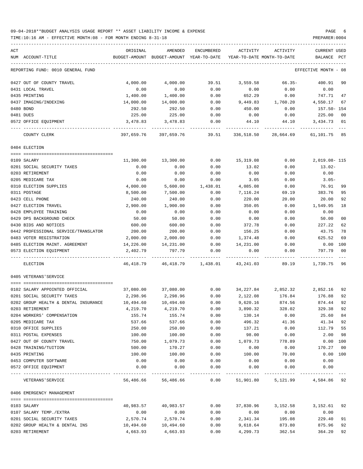### 09-04-2018\*\*BUDGET ANALYSIS USAGE REPORT \*\* ASSET LIABILITY INCOME & EXPENSE PAGE 6 TIME:10:16 AM - EFFECTIVE MONTH:08 - FOR MONTH ENDING 8-31-18 PREPARER:0004

| ACT |                                      | ORIGINAL           | AMENDED                    | ENCUMBERED         | ACTIVITY                                                                                              | ACTIVITY           | <b>CURRENT USED</b>  |      |
|-----|--------------------------------------|--------------------|----------------------------|--------------------|-------------------------------------------------------------------------------------------------------|--------------------|----------------------|------|
|     | NUM ACCOUNT-TITLE                    | BUDGET-AMOUNT      | BUDGET-AMOUNT YEAR-TO-DATE |                    | YEAR-TO-DATE MONTH-TO-DATE                                                                            |                    | BALANCE              | PCT  |
|     | REPORTING FUND: 0010 GENERAL FUND    |                    |                            |                    |                                                                                                       |                    | EFFECTIVE MONTH - 08 |      |
|     | 0427 OUT OF COUNTY TRAVEL            | 4,000.00           | 4,000.00                   | 39.51              | 3,559.58                                                                                              | 66.35-             | 400.91               | 90   |
|     | 0431 LOCAL TRAVEL                    | 0.00               | 0.00                       | 0.00               | 0.00                                                                                                  | 0.00               | 0.00                 |      |
|     | 0435 PRINTING                        | 1,400.00           | 1,400.00                   | 0.00               | 652.29                                                                                                | 0.00               | 747.71               | 47   |
|     | 0437 IMAGING/INDEXING                | 14,000.00          | 14,000.00                  | 0.00               | 9,449.83                                                                                              | 1,760.20           | 4,550.17             | 67   |
|     | 0480 BOND                            | 292.50             | 292.50                     | 0.00               | 450.00                                                                                                | 0.00               | 157.50- 154          |      |
|     | 0481 DUES                            | 225.00             | 225.00                     | 0.00               | 0.00                                                                                                  | 0.00               | 225.00               | 00   |
|     | 0572 OFFICE EQUIPMENT                | 3,478.83           | 3,478.83                   | 0.00               | 44.10                                                                                                 | 44.10              | 3,434.73             | - 01 |
|     | COUNTY CLERK                         | 397,659.76         |                            |                    | 397,659.76                 39.51            336,518.50               28,664.69              61,101.75 |                    |                      | 85   |
|     | 0404 ELECTION                        |                    |                            |                    |                                                                                                       |                    |                      |      |
|     |                                      |                    |                            |                    |                                                                                                       |                    |                      |      |
|     | 0109 SALARY                          | 11,300.00          | 13,300.00                  | 0.00               | 15,319.08                                                                                             | 0.00               | 2,019.08-115         |      |
|     | 0201 SOCIAL SECURITY TAXES           | 0.00               | 0.00                       | 0.00               | 13.02                                                                                                 | 0.00               | $13.02-$             |      |
|     | 0203 RETIREMENT                      | 0.00               | 0.00                       | 0.00               | 0.00                                                                                                  | 0.00               | 0.00                 |      |
|     | 0205 MEDICARE TAX                    | 0.00               | 0.00                       | 0.00               | 3.05                                                                                                  | 0.00               | $3.05 -$             |      |
|     | 0310 ELECTION SUPPLIES               | 4,000.00           | 5,600.00                   | 1,438.01           | 4,085.08                                                                                              | 0.00               | 76.91                | 99   |
|     | 0311 POSTAGE                         | 8,500.00<br>240.00 | 7,500.00                   | 0.00               | 7,116.24                                                                                              | 69.19              | 383.76               | 95   |
|     | 0423 CELL PHONE                      |                    | 240.00                     | 0.00               | 220.00                                                                                                | 20.00              | 20.00                | 92   |
|     | 0427 ELECTION TRAVEL                 | 2,900.00           | 1,900.00                   | 0.00               | 350.05                                                                                                | 0.00               | 1,549.95             | 18   |
|     | 0428 EMPLOYEE TRAINING               | 0.00               | 0.00                       | 0.00               | 0.00                                                                                                  | 0.00               | 0.00                 |      |
|     | 0429 DPS BACKGROUND CHECK            | 50.00              | 50.00                      | 0.00               | 0.00                                                                                                  | 0.00               | 50.00                | 00   |
|     | 0430 BIDS AND NOTICES                | 600.00             | 600.00                     | 0.00               | 372.78                                                                                                | 0.00               | 227.22               | 62   |
|     | 0442 PROFESSIONAL SERVICE/TRANSLATOR | 200.00             | 200.00                     | 0.00               | 156.25                                                                                                | 0.00               | 43.75                | 78   |
|     | 0483 VOTER REGISTRATION              | 2,000.00           | 2,000.00                   | 0.00               | 1,374.48                                                                                              | 0.00               | 625.52               | 69   |
|     | 0485 ELECTION MAINT. AGREEMENT       | 14,226.00          | 14,231.00                  | 0.00               | 14,231.00                                                                                             | 0.00               | 0.00                 | 100  |
|     | 0573 ELECTION EOUIPMENT              | 2,402.79           | 797.79                     | 0.00               | 0.00                                                                                                  | 0.00               | 797.79               | 00   |
|     | ELECTION                             | 46,418.79          |                            | 46,418.79 1,438.01 | 43,241.03                                                                                             | 89.19              | 1,739.75             | 96   |
|     | 0405 VETERANS'SERVICE                |                    |                            |                    |                                                                                                       |                    |                      |      |
|     | 0102 SALARY APPOINTED OFFICIAL       | 37,080.00          | 37,080.00                  | 0.00               |                                                                                                       | 34,227.84 2,852.32 | 2,852.16             | 92   |
|     | 0201 SOCIAL SECURITY TAXES           | 2,298.96           | 2,298.96                   | 0.00               | 2,122.08                                                                                              | 176.84             | 176.88               | 92   |
|     | 0202 GROUP HEALTH & DENTAL INSURANCE | 10,494.60          | 10,494.60                  | 0.00               | 9,620.16                                                                                              | 874.56             | 874.44               | 92   |
|     | 0203 RETIREMENT                      | 4,219.70           | 4,219.70                   | 0.00               | 3,890.32                                                                                              | 328.02             | 329.38               | 92   |
|     | 0204 WORKERS' COMPENSATION           | 155.74             | 155.74                     | 0.00               | 130.14                                                                                                | 0.00               | 25.60                | 84   |
|     | 0205 MEDICARE TAX                    | 537.66             | 537.66                     | 0.00               | 496.32                                                                                                | 41.36              | 41.34                | 92   |
|     | 0310 OFFICE SUPPLIES                 | 250.00             | 250.00                     | 0.00               | 137.21                                                                                                | 0.00               | 112.79               | 55   |
|     | 0311 POSTAL EXPENSES                 | 100.00             | 100.00                     | 0.00               | 98.00                                                                                                 | 0.00               | 2.00                 | 98   |
|     | 0427 OUT OF COUNTY TRAVEL            | 750.00             | 1,079.73                   | 0.00               | 1,079.73                                                                                              | 778.89             | 0.00 100             |      |
|     | 0428 TRAINING/TUITION                | 500.00             | 170.27                     | 0.00               | 0.00                                                                                                  | 0.00               | 170.27               | 00   |
|     | 0435 PRINTING                        | 100.00             | 100.00                     | 0.00               | 100.00                                                                                                | 70.00              | 0.00 100             |      |
|     | 0453 COMPUTER SOFTWARE               | 0.00               | 0.00                       | 0.00               | 0.00                                                                                                  | 0.00               | 0.00                 |      |
|     | 0572 OFFICE EQUIPMENT                | 0.00               | 0.00                       | 0.00               | 0.00                                                                                                  | 0.00               | 0.00                 |      |
|     | VETERANS ' SERVICE                   |                    | 56,486.66 56,486.66        | 0.00               | 51,901.80                                                                                             | 5,121.99           | 4,584.86 92          |      |
|     | 0406 EMERGENCY MANAGEMENT            |                    |                            |                    |                                                                                                       |                    |                      |      |
|     |                                      |                    |                            |                    |                                                                                                       |                    |                      |      |
|     | 0103 SALARY                          | 40,983.57          | 40,983.57                  | 0.00               | 37,830.96                                                                                             | 3,152.58           | 3,152.61             | 92   |
|     | 0107 SALARY TEMP./EXTRA              | 0.00               | 0.00                       | 0.00               | 0.00                                                                                                  | 0.00               | 0.00                 |      |
|     | 0201 SOCIAL SECURITY TAXES           | 2,570.74           | 2,570.74                   | 0.00               | 2,341.34                                                                                              | 195.08             | 229.40               | 91   |
|     | 0202 GROUP HEALTH & DENTAL INS       | 10,494.60          | 10,494.60                  | 0.00               | 9,618.64                                                                                              | 873.80             | 875.96               | 92   |
|     | 0203 RETIREMENT                      | 4,663.93           | 4,663.93                   | 0.00               | 4,299.73                                                                                              | 362.54             | 364.20               | 92   |
|     |                                      |                    |                            |                    |                                                                                                       |                    |                      |      |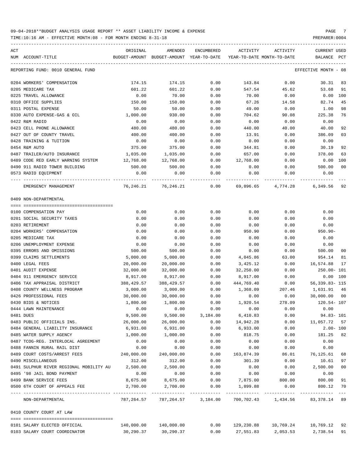TIME:10:16 AM - EFFECTIVE MONTH:08 - FOR MONTH ENDING 8-31-18 PREPARER:0004

| ACT |                                                  | ORIGINAL      | AMENDED                           | ENCUMBERED | ACTIVITY                        | ACTIVITY           | CURRENT USED                        |                |
|-----|--------------------------------------------------|---------------|-----------------------------------|------------|---------------------------------|--------------------|-------------------------------------|----------------|
|     | NUM ACCOUNT-TITLE                                | BUDGET-AMOUNT | BUDGET-AMOUNT YEAR-TO-DATE        |            | YEAR-TO-DATE MONTH-TO-DATE      |                    | BALANCE PCT                         |                |
|     | REPORTING FUND: 0010 GENERAL FUND                |               |                                   |            |                                 |                    | EFFECTIVE MONTH - 08                |                |
|     | 0204 WORKERS' COMPENSATION                       | 174.15        | 174.15                            | 0.00       | 143.84                          | 0.00               | 30.31                               | 83             |
|     | 0205 MEDICARE TAX                                | 601.22        | 601.22                            | 0.00       | 547.54                          | 45.62              | 53.68                               | 91             |
|     | 0225 TRAVEL ALLOWANCE                            | 0.00          | 70.00                             | 0.00       | 70.00                           | 0.00               | $0.00$ 100                          |                |
|     | 0310 OFFICE SUPPLIES                             | 150.00        | 150.00                            | 0.00       | 67.26                           | 14.58              | 82.74                               | 45             |
|     | 0311 POSTAL EXPENSE                              | 50.00         | 50.00                             | 0.00       | 49.00                           | 0.00               | 1.00                                | 98             |
|     | 0330 AUTO EXPENSE-GAS & OIL                      | 1,000.00      | 930.00                            | 0.00       | 704.62                          | 90.08              | 225.38                              | 76             |
|     | 0422 R&M RADIO                                   | 0.00          | 0.00                              | 0.00       | 0.00                            | 0.00               | 0.00                                |                |
|     | 0423 CELL PHONE ALLOWANCE                        | 480.00        | 480.00                            | 0.00       | 440.00                          | 40.00              | 40.00                               | 92             |
|     | 0427 OUT OF COUNTY TRAVEL                        | 400.00        | 400.00                            | 0.00       | 13.91                           | 0.00               | 386.09                              | 03             |
|     | 0428 TRAINING & TUITION                          | 0.00          | 0.00                              | 0.00       | 0.00                            | 0.00               | 0.00                                |                |
|     | 0454 R&M AUTO                                    | 375.00        | 375.00                            | 0.00       | 344.81                          | 0.00               | 30.19                               | 92             |
|     | 0487 TRAILER/AUTO INSURANCE                      | 1,035.00      | 1,035.00                          | 0.00       | 657.00                          | 0.00               | 378.00                              | 63             |
|     | 0489 CODE RED EARLY WARNING SYSTEM 12,768.00     |               | 12,768.00                         | 0.00       | 12,768.00                       | 0.00               | $0.00$ 100                          |                |
|     | 0490 911 RADIO TOWER BUILDING                    | 500.00        | 500.00                            | 0.00       | 0.00                            | 0.00               | 500.00                              | 0 <sup>0</sup> |
|     | 0573 RADIO EQUIPMENT                             | 0.00          | 0.00                              | 0.00       | 0.00                            | 0.00               | 0.00                                |                |
|     | EMERGENCY MANAGEMENT                             |               | 76,246.21 76,246.21               |            | $0.00$ 69,896.65 4,774.28       |                    | 6,349.56                            | 92             |
|     | 0409 NON-DEPARTMENTAL                            |               |                                   |            |                                 |                    |                                     |                |
|     |                                                  |               |                                   |            |                                 |                    |                                     |                |
|     | 0100 COMPENSATION PAY                            | 0.00          | 0.00                              | 0.00       | 0.00                            | 0.00               | 0.00                                |                |
|     | 0201 SOCIAL SECURITY TAXES                       | 0.00          | 0.00                              | 0.00       | 0.00                            | 0.00               | 0.00                                |                |
|     | 0203 RETIREMENT                                  | 0.00          | 0.00                              | 0.00       | 0.00                            | 0.00               | 0.00                                |                |
|     | 0204 WORKERS' COMPENSATION                       | 0.00          | 0.00                              | 0.00       | 950.90                          | 0.00               | $950.90 -$                          |                |
|     | 0205 MEDICARE TAX                                | 0.00          | 0.00                              | 0.00       | 0.00                            | 0.00               | 0.00                                |                |
|     | 0206 UNEMPLOYMENT EXPENSE                        | 0.00          | 0.00                              | 0.00       | 0.00                            | 0.00               | 0.00                                |                |
|     | 0395 ERRORS AND OMISSIONS                        | 500.00        | 500.00                            | 0.00       | 0.00                            | 0.00               | 500.00                              | 00             |
|     | 0399 CLAIMS SETTLEMENTS                          | 5,000.00      | 5,000.00                          | 0.00       | 4,045.86                        | 63.00              | 954.14                              | 81             |
|     | 0400 LEGAL FEES                                  | 20,000.00     | 20,000.00                         | 0.00       | 3,425.12                        | 0.00               | 16,574.88                           | 17             |
|     | 0401 AUDIT EXPENSE                               | 32,000.00     | 32,000.00                         | 0.00       | 32,250.00                       | 0.00               | 250.00- 101                         |                |
|     | 0404 911 EMERGENCY SERVICE                       | 8,917.00      | 8,917.00                          | 0.00       | 8,917.00                        | 0.00               | $0.00$ 100                          |                |
|     | 0406 TAX APPRAISAL DISTRICT                      | 388,429.57    | 388,429.57                        | 0.00       | 444,769.40                      | 0.00               | 56, 339.83- 115                     |                |
|     | 0408 COUNTY WELLNESS PROGRAM                     | 3,000.00      | 3,000.00                          | 0.00       | 1,368.09                        | 207.46             | 1,631.91                            | 46             |
|     | 0426 PROFESSIONAL FEES                           | 30,000.00     | 30,000.00                         | 0.00       | 0.00                            | 0.00               | 30,000.00                           | 00             |
|     | 0430 BIDS & NOTICES                              | 1,800.00      | 1,800.00                          | 0.00       | 1,920.54                        | 278.09             | 120.54-107                          |                |
|     | 0444 LAWN MAINTENANCE                            | 0.00          | 0.00                              | 0.00       | 0.00                            | 0.00               | 0.00                                |                |
|     | 0481 DUES                                        | 9,500.00      | 9,500.00                          | 3,184.00   | 6,410.83                        | 0.00               | $94.83 - 101$                       |                |
|     | 0483 PUBLIC OFFICIALS INS.                       | 26,000.00     | 26,000.00                         | 0.00       | 14,942.28                       | 0.00               | 11,057.72 57                        |                |
|     | 0484 GENERAL LIABILITY INSURANCE                 | 6,931.00      | 6,931.00                          | 0.00       | 6,933.00                        | 0.00               | $2.00 - 100$                        |                |
|     | 0485 WATER SUPPLY AGENCY                         | 1,000.00      | 1,000.00                          | 0.00       | 818.75                          | 0.00               | 181.25                              | 82             |
|     | 0487 TCOG-REG. INTERLOCAL AGREEMENT              | 0.00          | 0.00                              | 0.00       | 0.00                            | 0.00               | 0.00                                |                |
|     | 0488 FANNIN RURAL RAIL DIST                      | 0.00          | 0.00                              | 0.00       | 0.00                            | 0.00               | 0.00                                |                |
|     | 0489 COURT COSTS/ARREST FEES                     | 240,000.00    | 240,000.00                        | 0.00       | 163,874.39                      | 86.01              | 76,125.61                           | 68             |
|     | 0490 MISCELLANEOUS                               | 312.00        | 312.00                            | 0.00       | 301.39                          | 0.00               | 10.61                               | 97             |
|     | 0491 SULPHUR RIVER REGIONAL MOBILITY AU 2,500.00 |               | 2,500.00                          | 0.00       | 0.00                            | 0.00               | 2,500.00                            | 0 <sub>0</sub> |
|     | 0495 '98 JAIL BOND PAYMENT                       | 0.00          | 0.00                              | 0.00       | 0.00                            | 0.00               | 0.00                                |                |
|     | 0499 BANK SERVICE FEES                           | 8,675.00      | 8,675.00                          | 0.00       | 7,875.00                        | 800.00             | 800.00                              | 91             |
|     | 0500 6TH COURT OF APPEALS FEE                    | 2,700.00      | 2,700.00                          | 0.00       | 1,899.88                        | 0.00               | 800.12                              | 70             |
|     | NON-DEPARTMENTAL                                 |               | 787, 264.57 787, 264.57 3, 184.00 |            |                                 |                    | 700,702.43  1,434.56  83,378.14  89 |                |
|     | 0410 COUNTY COURT AT LAW                         |               |                                   |            |                                 |                    |                                     |                |
|     | 0101 SALARY ELECTED OFFICIAL                     |               |                                   |            | $0.00$ $129,230.88$ $10,769.24$ |                    | 10,769.12 92                        |                |
|     | 0103 SALARY COURT COORDINATOR                    | 30,290.37     | 30,290.37                         | 0.00       |                                 | 27,551.83 2,053.53 | 2,738.54 91                         |                |

-----------------------------------------------------------------------------------------------------------------------------------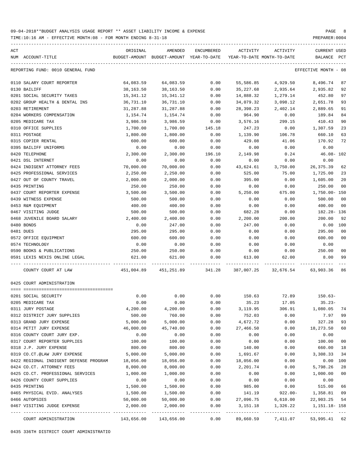TIME:10:16 AM - EFFECTIVE MONTH:08 - FOR MONTH ENDING 8-31-18 PREPARER:0004

| ACT |                                        | ORIGINAL                                                            | AMENDED                   | ENCUMBERED            | ACTIVITY   | ACTIVITY                  | CURRENT USED                                                         |                |
|-----|----------------------------------------|---------------------------------------------------------------------|---------------------------|-----------------------|------------|---------------------------|----------------------------------------------------------------------|----------------|
|     | NUM ACCOUNT-TITLE                      | BUDGET-AMOUNT BUDGET-AMOUNT YEAR-TO-DATE YEAR-TO-DATE MONTH-TO-DATE |                           |                       |            |                           | BALANCE PCT                                                          |                |
|     | REPORTING FUND: 0010 GENERAL FUND      |                                                                     |                           |                       |            |                           | EFFECTIVE MONTH - 08                                                 |                |
|     | 0110 SALARY COURT REPORTER             | 64,083.59                                                           | 64,083.59                 | 0.00                  | 55,586.85  |                           | 4,929.50 8,496.74                                                    | 87             |
|     | 0130 BAILIFF                           | 38,163.50                                                           | 38,163.50                 | 0.00                  | 35,227.68  | 2,935.64                  | 2,935.82                                                             | 92             |
|     | 0201 SOCIAL SECURITY TAXES             | 15,341.12                                                           | 15,341.12                 | 0.00                  | 14,888.32  | 1,279.14                  | 452.80                                                               | 97             |
|     | 0202 GROUP HEALTH & DENTAL INS         | 36,731.10                                                           | 36,731.10                 | 0.00                  | 34,079.32  | 3,098.12                  | 2,651.78                                                             | 93             |
|     | 0203 RETIREMENT                        | 31,287.88                                                           | 31,287.88                 | 0.00                  | 28,398.23  | 2,402.14                  | 2,889.65                                                             | 91             |
|     | 0204 WORKERS COMPENSATION              | 1,154.74                                                            | 1,154.74                  | 0.00                  | 964.90     | 0.00                      | 189.84                                                               | 84             |
|     | 0205 MEDICARE TAX                      | 3,986.59                                                            | 3,986.59                  | 0.00                  | 3,576.16   | 299.15                    | 410.43                                                               | 90             |
|     | 0310 OFFICE SUPPLIES                   | 1,700.00                                                            | 1,700.00                  | 145.18                | 247.23     | 0.00                      | 1,307.59                                                             | 23             |
|     | 0311 POSTAGE                           | 1,800.00                                                            | 1,800.00                  | 0.00                  | 1,139.90   | 106.78                    | 660.10                                                               | 63             |
|     | 0315 COPIER RENTAL                     | 600.00                                                              | 600.00                    | 0.00                  | 429.08     | 41.06                     | 170.92                                                               | 72             |
|     | 0395 BAILIFF UNIFORMS                  | 0.00                                                                | 0.00                      | 0.00                  | 0.00       | 0.00                      | 0.00                                                                 |                |
|     | 0420 TELEPHONE                         | 2,300.00                                                            | 2,300.00                  | 196.10                | 2,149.98   | 0.24                      | 46.08- 102                                                           |                |
|     | 0421 DSL INTERNET                      | 0.00                                                                | 0.00                      | 0.00                  | 0.00       | 0.00                      | 0.00                                                                 |                |
|     | 0424 INDIGENT ATTORNEY FEES            | 70,000.00                                                           | 70,000.00                 | 0.00                  | 43,624.61  | 3,750.00                  | 26,375.39                                                            | 62             |
|     | 0425 PROFESSIONAL SERVICES             | 2,250.00                                                            | 2,250.00                  | 0.00                  | 525.00     | 75.00                     | 1,725.00                                                             | 23             |
|     | 0427 OUT OF COUNTY TRAVEL              | 2,000.00                                                            | 2,000.00                  | 0.00                  | 395.00     | 0.00                      | 1,605.00                                                             | 20             |
|     | 0435 PRINTING                          | 250.00                                                              | 250.00                    | 0.00                  | 0.00       | 0.00                      | 250.00                                                               | 0 <sub>0</sub> |
|     | 0437 COURT REPORTER EXPENSE            | 3,500.00                                                            | 3,500.00                  | 0.00                  | 5,250.00   | 675.00                    | 1,750.00- 150                                                        |                |
|     | 0439 WITNESS EXPENSE                   | 500.00                                                              | 500.00                    | 0.00                  | 0.00       | 0.00                      | 500.00                                                               | 0 <sub>0</sub> |
|     | 0453 R&M EQUIPMENT                     | 400.00                                                              | 400.00                    | 0.00                  | 0.00       | 0.00                      | 400.00                                                               | 0 <sub>0</sub> |
|     | 0467 VISITING JUDGE                    | 500.00                                                              | 500.00                    | 0.00                  | 682.28     | 0.00                      | 182.28- 136                                                          |                |
|     | 0468 JUVENILE BOARD SALARY             | 2,400.00                                                            | 2,400.00                  | 0.00                  | 2,200.00   | 200.00                    | 200.00                                                               | 92             |
|     | 0480 BONDS                             | 0.00                                                                | 247.00                    | 0.00                  | 247.00     | 0.00                      | $0.00$ 100                                                           |                |
|     | 0481 DUES                              | 295.00                                                              | 295.00                    | 0.00                  | 0.00       | 0.00                      | 295.00                                                               | 0 <sub>0</sub> |
|     | 0572 OFFICE EQUIPMENT                  | 600.00                                                              | 600.00                    | 0.00                  | 0.00       | 0.00                      | 600.00                                                               | 0 <sub>0</sub> |
|     | 0574 TECHNOLOGY                        | 0.00                                                                | 0.00                      | 0.00                  | 0.00       | 0.00                      | 0.00                                                                 |                |
|     | 0590 BOOKS & PUBLICATIONS              | 250.00                                                              | 250.00                    | 0.00                  | 0.00       | 0.00                      | 250.00                                                               | 00             |
|     | 0591 LEXIS NEXIS ONLINE LEGAL          | 621.00                                                              | 621.00                    | 0.00                  | 613.00     | 62.00                     | 8.00                                                                 | 99             |
|     | COUNTY COURT AT LAW                    |                                                                     |                           |                       |            |                           | 451,004.89  451,251.89  341.28  387,007.25  32,676.54  63,903.36  86 |                |
|     | 0425 COURT ADMINISTRATION              |                                                                     |                           |                       |            |                           |                                                                      |                |
|     |                                        |                                                                     |                           |                       |            |                           |                                                                      |                |
|     | 0201 SOCIAL SECURITY                   | 0.00                                                                | 0.00                      | 0.00                  |            |                           | 150.63 72.89 150.63-                                                 |                |
|     | 0205 MEDICARE TAX                      | 0.00                                                                | 0.00                      | 0.00                  | 35.23      | 17.05                     | $35.23-$                                                             |                |
|     | 0311 JURY POSTAGE                      | 4,200.00                                                            | 4,200.00                  | 0.00                  | 3,119.95   | 306.91                    | 1,080.05                                                             |                |
|     | 0312 DISTRICT JURY SUPPLIES            | 500.00                                                              | 760.00                    | 0.00                  | 752.03     | 0.00                      | 7.97                                                                 | 99             |
|     | 0313 GRAND JURY EXPENSE                | 5,000.00                                                            | 5,000.00                  | 0.00                  | 4,672.72   | 0.00                      | 327.28                                                               | 93             |
|     | 0314 PETIT JURY EXPENSE                | 46,000.00                                                           | 45,740.00                 | 0.00                  | 27,466.50  | 0.00                      | 18,273.50                                                            | 60             |
|     | 0316 COUNTY COURT JURY EXP.            | 0.00                                                                | 0.00                      | 0.00                  | 0.00       | 0.00                      | 0.00                                                                 |                |
|     | 0317 COURT REPORTER SUPPLIES           | 100.00                                                              | 100.00                    | 0.00                  | 0.00       | 0.00                      | 100.00                                                               | 0 <sub>0</sub> |
|     | 0318 J.P. JURY EXPENSE                 | 800.00                                                              | 800.00                    | 0.00                  | 140.00     | 0.00                      | 660.00                                                               | 18             |
|     | 0319 CO.CT.@LAW JURY EXPENSE           | 5,000.00                                                            | 5,000.00                  | 0.00                  | 1,691.67   | 0.00                      | 3,308.33                                                             | 34             |
|     | 0422 REGIONAL INDIGENT DEFENSE PROGRAM | 18,056.00                                                           | 18,056.00                 | 0.00                  | 18,056.00  | 0.00                      | 0.00 100                                                             |                |
|     | 0424 CO.CT. ATTORNEY FEES              | 8,000.00                                                            | 8,000.00                  | 0.00                  | 2,201.74   | 0.00                      | 5,798.26                                                             | 28             |
|     | 0425 CO.CT. PROFESSIONAL SERVICES      | 1,000.00                                                            | 1,000.00                  | 0.00                  | 0.00       | 0.00                      | 1,000.00                                                             | 0 <sub>0</sub> |
|     | 0426 COUNTY COURT SUPPLIES             | 0.00                                                                | 0.00                      | 0.00                  | 0.00       | 0.00                      | 0.00                                                                 |                |
|     | 0435 PRINTING                          | 1,500.00                                                            | 1,500.00                  | 0.00                  | 985.00     | 0.00                      | 515.00                                                               | 66             |
|     | 0465 PHYSICAL EVID. ANALYSES           | 1,500.00                                                            | 1,500.00                  | 0.00                  | 141.19     | $922.00 -$                | 1,358.81                                                             | 09             |
|     | 0466 AUTOPSIES                         | 50,000.00                                                           | 50,000.00                 | 0.00                  | 27,096.75  | 6,610.00                  | 22,903.25                                                            | 54             |
|     | 0467 VISITING JUDGE EXPENSE            | 2,000.00                                                            | 2,000.00<br>------------- | 0.00<br>------------- | 3, 151. 18 | 1,326.22<br>_____________ | 1,151.18- 158<br>------------------                                  |                |
|     |                                        |                                                                     |                           |                       |            |                           |                                                                      |                |

COURT ADMINISTRATION 143,656.00 143,656.00 0.00 89,660.59 7,411.07 53,995.41 62

0435 336TH DISTRICT COURT ADMINISTRATIO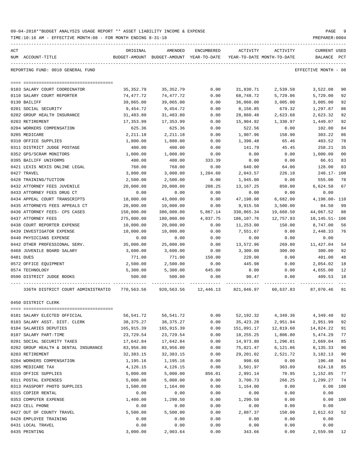|     | TIME:10:16 AM - EFFECTIVE MONTH:08 - FOR MONTH ENDING 8-31-18 |                           |                                       |            |             |                                        | PREPARER: 0004                 |                |
|-----|---------------------------------------------------------------|---------------------------|---------------------------------------|------------|-------------|----------------------------------------|--------------------------------|----------------|
| ACT | NUM ACCOUNT-TITLE                                             | ORIGINAL<br>BUDGET-AMOUNT | AMENDED<br>BUDGET-AMOUNT YEAR-TO-DATE | ENCUMBERED | ACTIVITY    | ACTIVITY<br>YEAR-TO-DATE MONTH-TO-DATE | <b>CURRENT USED</b><br>BALANCE | PCT            |
|     | REPORTING FUND: 0010 GENERAL FUND                             |                           |                                       |            |             |                                        | EFFECTIVE MONTH - 08           |                |
|     |                                                               |                           |                                       |            |             |                                        |                                |                |
|     | 0103 SALARY COURT COORDINATOR                                 | 35, 352.79                | 35, 352.79                            | 0.00       | 31,830.71   | 2,539.58                               | 3,522.08                       | 90             |
|     | 0110 SALARY COURT REPORTER                                    | 74,477.72                 | 74,477.72                             | 0.00       | 68,748.72   | 5,729.06                               | 5,729.00                       | 92             |
|     | 0130 BAILIFF                                                  | 39,065.00                 | 39,065.00                             | 0.00       | 36,060.00   | 3,005.00                               | 3,005.00                       | 92             |
|     | 0201 SOCIAL SECURITY                                          | 9,454.72                  | 9,454.72                              | 0.00       | 8,156.85    | 679.32                                 | 1,297.87                       | 86             |
|     | 0202 GROUP HEALTH INSURANCE                                   | 31,483.80                 | 31,483.80                             | 0.00       | 28,860.48   | 2,623.68                               | 2,623.32                       | 92             |
|     | 0203 RETIREMENT                                               | 17,353.99                 | 17,353.99                             | 0.00       | 15,904.92   | 1,330.97                               | 1,449.07                       | 92             |
|     | 0204 WORKERS COMPENSATION                                     | 625.36                    | 625.36                                | 0.00       | 522.56      | 0.00                                   | 102.80                         | 84             |
|     | 0205 MEDICARE                                                 | 2,211.18                  | 2,211.18                              | 0.00       | 1,907.96    | 158.90                                 | 303.22                         | 86             |
|     | 0310 OFFICE SUPPLIES                                          | 1,800.00                  | 1,800.00                              | 0.00       | 1,396.48    | 65.46                                  | 403.52                         | 78             |
|     | 0311 DISTRICT JUDGE POSTAGE                                   | 400.00                    | 400.00                                | 0.00       | 141.79      | 45.45                                  | 258.21                         | 35             |
|     | 0352 GPS/SCRAM MONITORS                                       | 1,000.00                  | 1,000.00                              | 0.00       | 0.00        | 0.00                                   | 1,000.00                       | 0 <sub>0</sub> |
|     | 0395 BAILIFF UNIFORMS                                         | 400.00                    | 400.00                                | 333.39     | 0.00        | 0.00                                   | 66.61                          | 83             |
|     | 0421 LEXIS NEXIS ONLINE LEGAL                                 | 768.00                    | 768.00                                | 0.00       | 640.00      | 64.00                                  | 128.00                         | 83             |
|     | 0427 TRAVEL                                                   | 3,000.00                  | 3,000.00                              | 1,204.60   | 2,043.57    | 226.18                                 | 248.17- 108                    |                |
|     | 0428 TRAINING/TUITION                                         | 2,500.00                  | 2,500.00                              | 0.00       | 1,945.00    | 0.00                                   | 555.00                         | 78             |
|     | 0432 ATTORNEY FEES JUVENILE                                   | 20,000.00                 | 20,000.00                             | 208.25     | 13,167.25   | 850.00                                 | 6,624.50                       | 67             |
|     | 0433 ATTORNEY FEES DRUG CT                                    | 0.00                      | 0.00                                  | 0.00       | 0.00        | 0.00                                   | 0.00                           |                |
|     | 0434 APPEAL COURT TRANSCRIPTS                                 | 18,000.00                 | 43,000.00                             | 0.00       | 47,198.00   | 6,682.00                               | 4,198.00- 110                  |                |
|     | 0435 ATTORNEYS FEES APPEALS CT                                | 20,000.00                 | 10,000.00                             | 0.00       | 9,915.50    | 3,500.00                               | 84.50                          | 99             |
|     | 0436 ATTORNEY FEES- CPS CASES                                 | 150,000.00                | 380,000.00                            | 5,867.14   | 330,065.34  | 19,660.50                              | 44,067.52                      | 88             |
|     | 0437 ATTORNEY FEES                                            | 275,000.00                | 180,000.00                            | 4,037.75   | 186,107.76  | 12,757.93                              | 10, 145. 51 - 106              |                |
|     | 0438 COURT REPORTER EXPENSE                                   | 10,000.00                 | 20,000.00                             | 0.00       | 11,253.00   | 150.00                                 | 8,747.00                       | 56             |
|     | 0439 INVESTIGATOR EXPENSE                                     | 10,000.00                 | 10,000.00                             | 0.00       | 7,551.67    | 0.00                                   | 2,448.33                       | 76             |
|     | 0440 PHYSICIANS EXPENSE                                       | 0.00                      | 0.00                                  | 0.00       | 0.00        | 0.00                                   | 0.00                           |                |
|     | 0442 OTHER PROFESSIONAL SERV.                                 | 35,000.00                 | 25,000.00                             | 0.00       | 13,572.96   | 269.80                                 | 11,427.04                      | 54             |
|     | 0468 JUVENILE BOARD SALARY                                    | 3,600.00                  | 3,600.00                              | 0.00       | 3,300.00    | 300.00                                 | 300.00                         | 92             |
|     | 0481 DUES                                                     | 771.00                    | 771.00                                | 150.00     | 220.00      | 0.00                                   | 401.00                         | 48             |
|     | 0572 OFFICE EQUIPMENT                                         | 2,500.00                  | 2,500.00                              | 0.00       | 445.98      | 0.00                                   | 2,054.02                       | 18             |
|     | 0574 TECHNOLOGY                                               | 5,300.00                  | 5,300.00                              | 645.00     | 0.00        | 0.00                                   | 4,655.00                       | 12             |
|     | 0590 DISTRICT JUDGE BOOKS                                     | 500.00                    | 500.00                                | 0.00       | 90.47       | 0.00                                   | 409.53                         | 18             |
|     | 336TH DISTRICT COURT ADMINISTRATIO                            | 770,563.56                | 920,563.56                            | 12,446.13  | 821,046.97  | 60,637.83                              | 87,070.46                      | 91             |
|     | 0450 DISTRICT CLERK                                           |                           |                                       |            |             |                                        |                                |                |
|     |                                                               |                           |                                       |            |             |                                        |                                |                |
|     | 0101 SALARY ELECTED OFFICIAL                                  | 56,541.72                 | 56, 541.72                            | 0.00       | 52, 192.32  | 4,349.36                               | 4,349.40                       | 92             |
|     | 0103 SALARY ASST. DIST. CLERK                                 | 38, 375. 27               | 38, 375. 27                           | 0.00       | 35, 423. 28 | 2,951.94                               | 2,951.99                       | 92             |
|     | 0104 SALARIES DEPUTIES                                        | 165,915.39                | 165, 915.39                           | 0.00       | 151,091.17  | 12,819.60                              | 14,824.22                      | 91             |
|     | 0107 SALARY PART-TIME                                         | 23,729.54                 | 23,729.54                             | 0.00       | 18,255.25   | 1,806.80                               | 5,474.29                       | 77             |
|     | 0201 SOCIAL SECURITY TAXES                                    | 17,642.84                 | 17,642.84                             | 0.00       | 14,973.80   | 1,296.01                               | 2,669.04                       | 85             |
|     | 0202 GROUP HEALTH & DENTAL INSURANCE                          | 83,956.80                 | 83,956.80                             | 0.00       | 75,821.47   | 6,121.86                               | 8,135.33                       | 90             |
|     | 0203 RETIREMENT                                               | 32, 383. 15               | 32, 383. 15                           | 0.00       | 29,201.02   | 2,521.72                               | 3,182.13                       | 90             |
|     | 0204 WORKERS COMPENSATION                                     | 1,195.16                  | 1,195.16                              | 0.00       | 998.68      | 0.00                                   | 196.48                         | 84             |
|     | 0205 MEDICARE TAX                                             | 4,126.15                  | 4,126.15                              | 0.00       | 3,501.97    | 303.09                                 | 624.18                         | 85             |
|     | 0310 OFFICE SUPPLIES                                          | 5,000.00                  | 5,000.00                              | 856.01     | 2,991.14    | 70.95                                  | 1,152.85                       | 77             |
|     | 0311 POSTAL EXPENSES                                          | 5,000.00                  | 5,000.00                              | 0.00       | 3,700.73    | 266.25                                 | 1,299.27                       | 74             |
|     | 0313 PASSPORT PHOTO SUPPLIES                                  | 1,500.00                  | 1,164.00                              | 0.00       | 1,164.00    | 0.00                                   | 0.00                           | 100            |
|     | 0315 COPIER RENTAL                                            | 0.00                      | 0.00                                  | 0.00       | 0.00        | 0.00                                   | 0.00                           |                |
|     | 0353 COMPUTER EXPENSE                                         | 1,400.00                  | 1,290.50                              | 0.00       | 1,290.50    | 0.00                                   | 0.00                           | 100            |
|     | 0423 CELL PHONE                                               | 0.00                      | 0.00                                  | 0.00       | 0.00        | 0.00                                   | 0.00                           |                |
|     | 0427 OUT OF COUNTY TRAVEL                                     | 5,500.00                  | 5,500.00                              | 0.00       | 2,887.37    | 150.00                                 | 2,612.63                       | 52             |
|     | 0428 EMPLOYEE TRAINING                                        | 0.00                      | 0.00                                  | 0.00       | 0.00        | 0.00                                   | 0.00                           |                |
|     | 0431 LOCAL TRAVEL                                             | 0.00                      | 0.00                                  | 0.00       | 0.00        | 0.00                                   | 0.00                           |                |

0435 PRINTING 3,000.00 2,903.64 0.00 343.66 0.00 2,559.98 12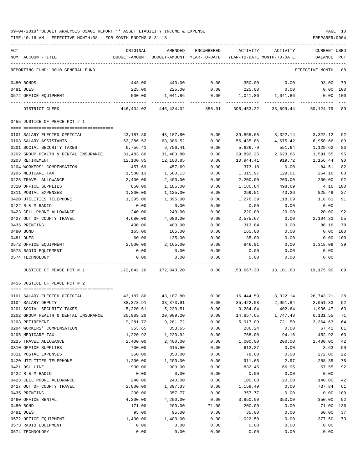| ACT |                                      | ORIGINAL                                                  | AMENDED                                  | ENCUMBERED | ACTIVITY                   | ACTIVITY          | <b>CURRENT USED</b>          |          |
|-----|--------------------------------------|-----------------------------------------------------------|------------------------------------------|------------|----------------------------|-------------------|------------------------------|----------|
|     | NUM ACCOUNT-TITLE                    |                                                           | BUDGET-AMOUNT BUDGET-AMOUNT YEAR-TO-DATE |            | YEAR-TO-DATE MONTH-TO-DATE |                   | BALANCE PCT                  |          |
|     |                                      |                                                           |                                          |            |                            |                   |                              |          |
|     | REPORTING FUND: 0010 GENERAL FUND    |                                                           |                                          |            |                            |                   | EFFECTIVE MONTH - 08         |          |
|     | 0480 BONDS                           | 443.00                                                    | 443.00                                   | 0.00       | 350.00                     | 0.00              | 93.00                        | 79       |
|     | 0481 DUES                            | 225.00                                                    | 225.00                                   | 0.00       | 225.00                     | 0.00              | $0.00$ 100                   |          |
|     | 0572 OFFICE EQUIPMENT                | 500.00                                                    | 1,041.86                                 | 0.00       |                            | 1,041.86 1,041.86 | $0.00$ 100                   |          |
|     | DISTRICT CLERK                       |                                                           | 446,434.02 446,434.02 856.01 395,453.22  |            |                            | 33,699.44         | 50,124.79 89                 |          |
|     | 0455 JUSTICE OF PEACE PCT # 1        |                                                           |                                          |            |                            |                   |                              |          |
|     | 0101 SALARY ELECTED OFFICIAL         | 43,187.80                                                 | 43,187.80                                | 0.00       | 39,865.68                  | 3,322.14          | 3,322.12                     | 92       |
|     | 0103 SALARY ASSISTANTS               | 63,386.52                                                 | 63,386.52                                | 0.00       | 56,435.86                  | 4,675.42          | 6,950.66                     | 89       |
|     | 0201 SOCIAL SECURITY TAXES           | 6,756.41                                                  | 6,756.41                                 | 0.00       | 5,626.79                   | 551.64            | 1,129.62                     | 83       |
|     | 0202 GROUP HEALTH & DENTAL INSURANCE | 31,483.80                                                 | 31,483.80                                | 0.00       | 29,892.25                  | 2,623.66          | 1,591.55                     | 95       |
|     | 0203 RETIREMENT                      | 12,100.85                                                 | 12,100.85                                | 0.00       | 10,944.41                  | 919.72            | 1,156.44                     | 90       |
|     | 0204 WORKERS' COMPENSATION           | 457.69                                                    | 457.69                                   | 0.00       | 373.18                     | 0.00              | 84.51                        | 82       |
|     | 0205 MEDICARE TAX                    | 1,580.13                                                  | 1,580.13                                 | 0.00       | 1,315.97                   | 129.01            | 264.16                       | 83       |
|     | 0225 TRAVEL ALLOWANCE                | 2,400.00                                                  | 2,400.00                                 | 0.00       | 2,200.00                   | 200.00            | 200.00                       | 92       |
|     | 0310 OFFICE SUPPLIES                 | 850.00                                                    | 1,185.00                                 | 0.00       | 1,180.84                   | 498.69            | 4.16                         | 100      |
|     | 0311 POSTAL EXPENSES                 | 1,200.00                                                  | 1,125.00                                 | 0.00       | 299.51                     | 43.26             | 825.49                       | 27       |
|     |                                      |                                                           |                                          |            |                            |                   |                              |          |
|     | 0420 UTILITIES TELEPHONE             | 1,395.00                                                  | 1,395.00                                 | 0.00       | 1,276.39                   | 118.09            | 118.61                       | 91       |
|     | 0422 R & M RADIO                     | 0.00                                                      | 0.00                                     | 0.00       | 0.00                       | 0.00              | 0.00                         |          |
|     | 0423 CELL PHONE ALLOWANCE            | 240.00                                                    | 240.00                                   | 0.00       | 220.00                     | 20.00             | 20.00                        | 92       |
|     | 0427 OUT OF COUNTY TRAVEL            | 4,680.00                                                  | 4,680.00                                 | 0.00       | 2,575.67                   | 0.00              | 2,104.33                     | 55       |
|     | 0435 PRINTING                        | 400.00                                                    | 400.00                                   | 0.00       | 313.84                     | 0.00              | 86.16                        | 78       |
|     | 0480 BOND                            | 165.00                                                    | 165.00                                   | 0.00       | 165.00                     | 0.00              | 0.00                         | 100      |
|     | 0481 DUES                            | 60.00                                                     | 135.00                                   | 0.00       | 135.00                     | 0.00              |                              | 0.00 100 |
|     | 0572 OFFICE EQUIPMENT                | 2,500.00                                                  | 2,165.00                                 | 0.00       | 846.91                     | 0.00              | 1,318.09                     | 39       |
|     | 0573 RADIO EQUIPMENT                 | 0.00                                                      | 0.00                                     | 0.00       | 0.00                       | 0.00              | 0.00                         |          |
|     | 0574 TECHNOLOGY                      | 0.00                                                      | 0.00                                     | 0.00       | 0.00                       | 0.00              | 0.00                         |          |
|     | JUSTICE OF PEACE PCT # 1             | 172,843.20 172,843.20 0.00 153,667.30 13,101.63 19,175.90 |                                          |            |                            |                   |                              | 89       |
|     | 0456 JUSTICE OF PEACE PCT # 2        |                                                           |                                          |            |                            |                   |                              |          |
|     |                                      |                                                           |                                          |            |                            |                   |                              |          |
|     | 0101 SALARY ELECTED OFFICIAL         |                                                           | 43,187.80 43,187.80 0.00                 |            |                            |                   | 16,444.59 3,322.14 26,743.21 | 38       |
|     | 0104 SALARY DEPUTY                   | 38,373.91                                                 | 38,373.91                                | 0.00       |                            |                   | 35,422.08 2,951.84 2,951.83  | 92       |
|     | 0201 SOCIAL SECURITY TAXES           | 5,220.51                                                  | 5,220.51                                 | 0.00       | 3,284.04                   | 402.64            | 1,936.47                     | 63       |
|     | 0202 GROUP HEALTH & DENTAL INSURANCE | 20,989.20                                                 | 20,989.20                                | 0.00       | 14,857.65                  | 1,747.48          | 6,131.55                     | 71       |
|     | 0203 RETIREMENT                      | 9,281.72                                                  | 9,281.72                                 | 0.00       | 5,917.09                   | 721.50            | 3,364.63                     | 64       |
|     | 0204 WORKERS' COMPENSATION           | 353.65                                                    | 353.65                                   | 0.00       | 286.24                     | 0.00              | 67.41                        | 81       |
|     | 0205 MEDICARE TAX                    | 1,220.92                                                  | 1,220.92                                 | 0.00       | 768.00                     | 94.16             | 452.92                       | 63       |
|     | 0225 TRAVEL ALLOWANCE                | 2,400.00                                                  | 2,400.00                                 | 0.00       | 1,000.00                   | 200.00            | 1,400.00                     | 42       |
|     | 0310 OFFICE SUPPLIES                 | 700.00                                                    | 615.90                                   | 0.00       | 612.27                     | 0.00              | 3.63                         | 99       |
|     | 0311 POSTAL EXPENSES                 | 350.00                                                    | 350.00                                   | 0.00       | 78.00                      | 0.00              | 272.00                       | 22       |
|     | 0420 UTILITIES TELEPHONE             | 1,200.00                                                  | 1,200.00                                 | 0.00       | 911.65                     | 2.97              | 288.35                       | 76       |
|     | 0421 DSL LINE                        | 900.00                                                    | 900.00                                   | 0.00       | 832.45                     | 66.95             | 67.55                        | 92       |
|     | 0422 R & M RADIO                     | 0.00                                                      | 0.00                                     | 0.00       | 0.00                       | 0.00              | 0.00                         |          |
|     | 0423 CELL PHONE ALLOWANCE            | 240.00                                                    | 240.00                                   | 0.00       | 100.00                     | 20.00             | 140.00                       | 42       |
|     | 0427 OUT OF COUNTY TRAVEL            | 2,000.00                                                  | 1,897.33                                 | 0.00       | 1,159.49                   | 0.00              | 737.84                       | 61       |
|     | 0435 PRINTING                        | 200.00                                                    | 357.77                                   | 0.00       | 357.77                     | 0.00              | 0.00                         | 100      |
|     | 0460 OFFICE RENTAL                   | 4,200.00                                                  | 4,200.00                                 | 0.00       | 3,850.00                   | 350.00            | 350.00                       | 92       |
|     | 0480 BOND                            | 171.00                                                    | 200.00                                   | 71.00      | 200.00                     | 0.00              | $71.00 - 136$                |          |
|     | 0481 DUES                            | 95.00                                                     | 95.00                                    | 0.00       | 35.00                      | 0.00              | 60.00                        | 37       |
|     | 0572 OFFICE EQUIPMENT                | 1,400.00                                                  | 1,400.00                                 | 0.00       | 1,022.50                   | 0.00              | 377.50                       | 73       |
|     | 0573 RADIO EQUIPMENT                 | 0.00                                                      | 0.00                                     | 0.00       | 0.00                       | 0.00              | 0.00                         |          |
|     | 0574 TECHNOLOGY                      | 0.00                                                      | 0.00                                     | 0.00       | 0.00                       | 0.00              | 0.00                         |          |
|     |                                      |                                                           |                                          |            |                            |                   |                              |          |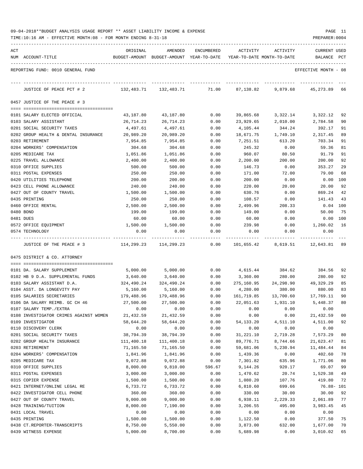|  | 09-04-2018**BUDGET ANALYSIS USAGE REPORT ** ASSET LIABILITY INCOME & EXPENSE |  |  |  | PAGE | <b>__</b> |
|--|------------------------------------------------------------------------------|--|--|--|------|-----------|
|  |                                                                              |  |  |  |      |           |

TIME:10:16 AM - EFFECTIVE MONTH:08 - FOR MONTH ENDING 8-31-18 PREPARER:0004

| ACT |                                                                 | ORIGINAL                | AMENDED                                                             | ENCUMBERED       | ACTIVITY              | ACTIVITY         | <b>CURRENT USED</b>           |          |
|-----|-----------------------------------------------------------------|-------------------------|---------------------------------------------------------------------|------------------|-----------------------|------------------|-------------------------------|----------|
|     | NUM ACCOUNT-TITLE                                               |                         | BUDGET-AMOUNT BUDGET-AMOUNT YEAR-TO-DATE YEAR-TO-DATE MONTH-TO-DATE |                  |                       |                  | BALANCE PCT                   |          |
|     | REPORTING FUND: 0010 GENERAL FUND                               |                         |                                                                     |                  |                       |                  | EFFECTIVE MONTH - 08          |          |
|     | JUSTICE OF PEACE PCT # 2                                        | 132,483.71              | 132,483.71                                                          | 71.00            | 87,138.82             | 9,879.68         | 45,273.89                     | 66       |
|     | 0457 JUSTICE OF THE PEACE # 3                                   |                         |                                                                     |                  |                       |                  |                               |          |
|     | 0101 SALARY ELECTED OFFICIAL                                    | 43,187.80               | 43,187.80                                                           | 0.00             | 39,865.68             | 3,322.14         | 3,322.12                      | 92       |
|     | 0103 SALARY ASSISTANT                                           | 26,714.23               | 26,714.23                                                           | 0.00             | 23,929.65             | 2,010.00         | 2,784.58                      | 90       |
|     | 0201 SOCIAL SECURITY TAXES                                      | 4,497.61                | 4,497.61                                                            | 0.00             | 4,105.44              | 344.24           | 392.17                        | 91       |
|     | 0202 GROUP HEALTH & DENTAL INSURANCE                            | 20,989.20               | 20,989.20                                                           | 0.00             | 18,671.75             | 1,749.10         | 2,317.45                      | 89       |
|     | 0203 RETIREMENT                                                 | 7,954.85                | 7,954.85                                                            | 0.00             | 7,251.51              | 613.20           | 703.34                        | 91       |
|     | 0204 WORKERS' COMPENSATION                                      | 304.68                  | 304.68                                                              | 0.00             | 245.32                | 0.00             | 59.36                         | 81       |
|     | 0205 MEDICARE TAX                                               | 1,051.86                | 1,051.86                                                            | 0.00             | 960.07                | 80.50            | 91.79                         | 91       |
|     | 0225 TRAVEL ALLOWANCE<br>0310 OFFICE SUPPLIES                   | 2,400.00<br>500.00      | 2,400.00<br>500.00                                                  | 0.00<br>0.00     | 2,200.00<br>146.73    | 200.00<br>0.00   | 200.00<br>353.27              | 92<br>29 |
|     | 0311 POSTAL EXPENSES                                            | 250.00                  | 250.00                                                              | 0.00             | 171.00                | 72.00            | 79.00                         | 68       |
|     | 0420 UTILITIES TELEPHONE                                        | 200.00                  | 200.00                                                              | 0.00             | 200.00                | 0.00             | 0.00                          | 100      |
|     | 0423 CELL PHONE ALLOWANCE                                       | 240.00                  | 240.00                                                              | 0.00             | 220.00                | 20.00            | 20.00                         | 92       |
|     | 0427 OUT OF COUNTY TRAVEL                                       | 1,500.00                | 1,500.00                                                            | 0.00             | 630.76                | 0.00             | 869.24                        | 42       |
|     | 0435 PRINTING                                                   | 250.00                  | 250.00                                                              | 0.00             | 108.57                | 0.00             | 141.43                        | 43       |
|     | 0460 OFFICE RENTAL                                              | 2,500.00                | 2,500.00                                                            | 0.00             | 2,499.96              | 208.33           | $0.04$ 100                    |          |
|     | 0480 BOND                                                       | 199.00                  | 199.00                                                              | 0.00             | 149.00                | 0.00             | 50.00                         | 75       |
|     | 0481 DUES                                                       | 60.00                   | 60.00                                                               | 0.00             | 60.00                 | 0.00             | $0.00$ 100                    |          |
|     | 0572 OFFICE EQUIPMENT                                           | 1,500.00                | 1,500.00                                                            | 0.00             | 239.98                | 0.00             | 1,260.02                      | 16       |
|     | 0574 TECHNOLOGY                                                 | 0.00                    | 0.00                                                                | 0.00             | 0.00                  | 0.00             | 0.00                          |          |
|     | JUSTICE OF THE PEACE # 3                                        |                         | 114,299.23 114,299.23                                               | --------<br>0.00 |                       |                  | 101,655.42 8,619.51 12,643.81 | 89       |
|     | 0475 DISTRICT & CO. ATTORNEY                                    |                         |                                                                     |                  |                       |                  |                               |          |
|     |                                                                 | 5,000.00                | 5,000.00                                                            |                  | 4,615.44 384.62       |                  |                               | 92       |
|     | 0101 DA. SALARY SUPPLEMENT<br>0102 HB 9 D.A. SUPPLEMENTAL FUNDS | 3,640.00                | 3,640.00                                                            | 0.00<br>0.00     | 3,360.00              | 280.00           | 384.56<br>280.00              | 92       |
|     | 0103 SALARY ASSISTANT D.A.                                      | 324,490.24              | 324,490.24                                                          | 0.00             | 275,160.95            | 24,298.90        | 49,329.29                     | 85       |
|     | 0104 ASST. DA LONGEVITY PAY                                     | 5,160.00                | 5,160.00                                                            | 0.00             | 4,280.00              | 380.00           | 880.00                        | 83       |
|     | 0105 SALARIES SECRETARIES                                       | 179,488.96              | 179,488.96                                                          | 0.00             | 161,719.85            | 13,700.60        | 17,769.11                     | 90       |
|     | 0106 DA SALARY REIMB. GC CH 46                                  | 27,500.00               | 27,500.00                                                           | 0.00             | 22,051.63             | 1,931.10         | 5,448.37                      | 80       |
|     | 0107 SALARY TEMP./EXTRA                                         | 0.00                    | 0.00                                                                | 0.00             | 0.00                  | 0.00             | 0.00                          |          |
|     | 0108 INVESTIGATOR CRIMES AGAINST WOMEN                          | 21,432.59               | 21, 432.59                                                          | 0.00             | 0.00                  | 0.00             | 21,432.59                     | 00       |
|     | 0109 INVESTIGATOR                                               | 58,644.20               | 58,644.20                                                           | 0.00             | 54,133.20             | 4,511.10         | 4,511.00                      | 92       |
|     | 0110 DISCOVERY CLERK                                            | 0.00                    | 0.00                                                                | 0.00             | 0.00                  | 0.00             | 0.00                          |          |
|     | 0201 SOCIAL SECURITY TAXES                                      | 38,794.39               | 38,794.39                                                           | 0.00             | 31,221.10             | 2,719.28         | 7,573.29                      | 80       |
|     | 0202 GROUP HEALTH INSURANCE<br>0203 RETIREMENT                  | 111,400.18<br>71,165.50 | 111,400.18                                                          | 0.00             | 89,776.71             | 8,744.66         | 21,623.47                     | 81<br>84 |
|     | 0204 WORKERS' COMPENSATION                                      | 1,841.96                | 71,165.50<br>1,841.96                                               | 0.00<br>0.00     | 59,681.06<br>1,439.36 | 5,230.94<br>0.00 | 11,484.44<br>402.60           | 78       |
|     | 0205 MEDICARE TAX                                               | 9,072.88                | 9,072.88                                                            | 0.00             | 7,301.82              | 635.96           | 1,771.06                      | 80       |
|     | 0310 OFFICE SUPPLIES                                            | 8,000.00                | 9,810.00                                                            | 596.67           | 9,144.26              | 920.17           | 69.07                         | 99       |
|     | 0311 POSTAL EXPENSES                                            | 3,000.00                | 3,000.00                                                            | 0.00             | 1,470.62              | 20.74            | 1,529.38                      | 49       |
|     | 0315 COPIER EXPENSE                                             | 1,500.00                | 1,500.00                                                            | 0.00             | 1,080.20              | 107.76           | 419.80                        | 72       |
|     | 0421 INTERNET/ONLINE LEGAL RE                                   | 6,733.72                | 6,733.72                                                            | 0.00             | 6,810.60              | 699.66           | $76.88 - 101$                 |          |
|     | 0422 INVESTIGATOR CELL PHONE                                    | 360.00                  | 360.00                                                              | 0.00             | 330.00                | 30.00            | 30.00                         | 92       |
|     | 0427 OUT OF COUNTY TRAVEL                                       | 9,000.00                | 9,000.00                                                            | 0.00             | 6,938.11              | 2,229.33         | 2,061.89                      | 77       |
|     | 0428 TRAINING/TUITION                                           | 8,000.00                | 7,190.00                                                            | 0.00             | 3,206.55              | 495.00           | 3,983.45                      | 45       |
|     | 0431 LOCAL TRAVEL                                               | 0.00                    | 0.00                                                                | 0.00             | 0.00                  | 0.00             | 0.00                          |          |
|     | 0435 PRINTING                                                   | 1,500.00                | 1,500.00                                                            | 0.00             | 1,122.50              | 0.00             | 377.50                        | 75       |
|     | 0438 CT.REPORTER-TRANSCRIPTS                                    | 8,750.00                | 5,550.00                                                            | 0.00             | 3,873.00              | 632.00           | 1,677.00                      | 70       |

0439 WITNESS EXPENSE 5,000.00 8,700.00 0.00 5,689.98 0.00 3,010.02 65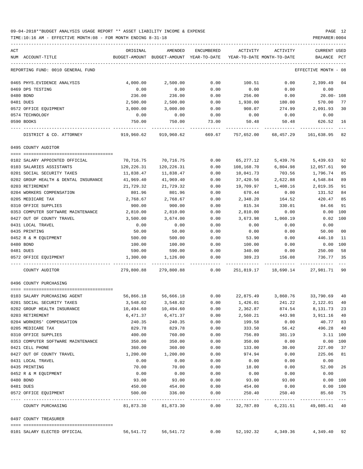TIME:10:16 AM - EFFECTIVE MONTH:08 - FOR MONTH ENDING 8-31-18 PREPARER:0004

----------------------------------------------------------------------------------------------------------------------------------- REPORTING FUND: 0010 GENERAL FUND EFFECTIVE MONTH - 08 0465 PHYS.EVIDENCE ANALYSIS 4,000.00 2,500.00 0.00 100.51 0.00 2,399.49 04 0469 DPS TESTING 0.00 0.00 0.00 0.00 0.00 0.00 0480 BOND 236.00 236.00 0.00 256.00 0.00 20.00- 108 0481 DUES 2,500.00 2,500.00 0.00 1,930.00 180.00 570.00 77 0572 OFFICE EQUIPMENT 3,000.00 3,000.00 0.00 908.07 274.99 2,091.93 30 0574 TECHNOLOGY 0.00 0.00 0.00 0.00 0.00 0.00 0590 BOOKS 750.00 750.00 73.00 50.48 50.48 626.52 16 ---- ---------------------------------- ------------- ------------- ------------ ------------- ------------ ------------- --- DISTRICT & CO. ATTORNEY 919,960.62 919,960.62 669.67 757,652.00 68,457.29 161,638.95 82 0495 COUNTY AUDITOR ==== =================================== 0102 SALARY APPOINTED OFFICIAL 70,716.75 70,716.75 0.00 65,277.12 5,439.76 5,439.63 92 0103 SALARIES ASSISTANTS 120,226.31 120,226.31 0.00 108,168.70 6,804.98 12,057.61 90 0201 SOCIAL SECURITY TAXES 11,838.47 11,838.47 0.00 10,041.73 703.56 1,796.74 85 0202 GROUP HEALTH & DENTAL INSURANCE 41,969.40 41,969.40 0.00 37,420.56 2,622.88 4,548.84 89 0203 RETIREMENT 21,729.32 21,729.32 0.00 19,709.97 1,408.16 2,019.35 91 0204 WORKERS COMPENSATION 801.96 801.96 0.00 670.44 0.00 131.52 84 0205 MEDICARE TAX 2,768.67 2,768.67 0.00 2,348.20 164.52 420.47 85 0310 OFFICE SUPPLIES 900.00 900.00 0.00 815.34 330.01 84.66 91 0353 COMPUTER SOFTWARE MAINTENANCE  $2,810.00$   $2,810.00$  0.00  $2,810.00$  0.00 0.00 0.00 0427 OUT OF COUNTY TRAVEL 3,500.00 3,674.00 0.00 3,673.98 1,060.19 0.02 100 0431 LOCAL TRAVEL 0.00 0.00 0.00 0.00 0.00 0.00 0435 PRINTING 50.00 50.00 0.00 0.00 0.00 50.00 00 0452 R & M EQUIPMENT 500.00 500.00 0.00 53.90 0.00 446.10 11 0480 BOND 100.00 100.00 0.00 100.00 0.00 0.00 100 0481 DUES 590.00 590.00 0.00 340.00 0.00 250.00 58 0572 OFFICE EQUIPMENT 1,300.00 1,126.00 0.00 389.23 156.08 736.77 35 ---- ---------------------------------- ------------- ------------- ------------ ------------- ------------ ------------- --- COUNTY AUDITOR 279,800.88 279,800.88 0.00 251,819.17 18,690.14 27,981.71 90 0496 COUNTY PURCHASING ==== =================================== 0103 SALARY PURCHASING AGENT 56,866.18 56,666.18 0.00 22,875.49 3,860.76 33,790.69 40 0201 SOCIAL SECURITY TAXES 3,548.02 3,548.02 0.00 1,426.01 241.22 2,122.01 40 0202 GROUP HEALTH INSURANCE 10,494.60 10,494.60 0.00 2,362.87 874.54 8,131.73 23 0203 RETIREMENT 6,471.37 6,471.37 0.00 2,560.21 443.98 3,911.16 40 0204 WORKERS' COMPENSATION 240.35 240.35 0.00 199.58 0.00 40.77 83 0205 MEDICARE TAX 829.78 829.78 0.00 333.50 56.42 496.28 40 0310 OFFICE SUPPLIES 600 0.00 760.00 0.00 756.89 381.19 3.11 100 0353 COMPUTER SOFTWARE MAINTENANCE  $\begin{array}{ccccccc} 350.00 && 350.00 && 0.00 && 350.00 && 0.00 && 0.00 \end{array}$ 0421 CELL PHONE 360.00 360.00 0.00 133.00 30.00 227.00 37 0427 OUT OF COUNTY TRAVEL 1,200.00 1,200.00 0.00 974.94 0.00 225.06 81 0431 LOCAL TRAVEL 0.00 0.00 0.00 0.00 0.00 0.00 0435 PRINTING 70.00 70.00 0.00 18.00 0.00 52.00 26 0452 R & M EQUIPMENT 0.00 0.00 0.00 0.00 0.00 0.00 0480 BOND 93.00 93.00 0.00 93.00 93.00 0.00 100 0481 DUES 450.00 454.00 0.00 454.00 0.00 0.00 100 0572 OFFICE EQUIPMENT 65.60 CONTROLLED TO A SALLED SOO.00 336.00 0.00 250.40 250.40 250.40 85.60 75 ---- ---------------------------------- ------------- ------------- ------------ ------------- ------------ ------------- --- COUNTY PURCHASING 81,873.30 81,873.30 0.00 32,787.89 6,231.51 49,085.41 40 0497 COUNTY TREASURER ==== ===================================

----------------------------------------------------------------------------------------------------------------------------------- ACT ORIGINAL AMENDED ENCUMBERED ACTIVITY ACTIVITY CURRENT USED NUM ACCOUNT-TITLE BUDGET-AMOUNT BUDGET-AMOUNT YEAR-TO-DATE YEAR-TO-DATE MONTH-TO-DATE BALANCE PCT

0101 SALARY ELECTED OFFICIAL 56,541.72 56,541.72 0.00 52,192.32 4,349.36 4,349.40 92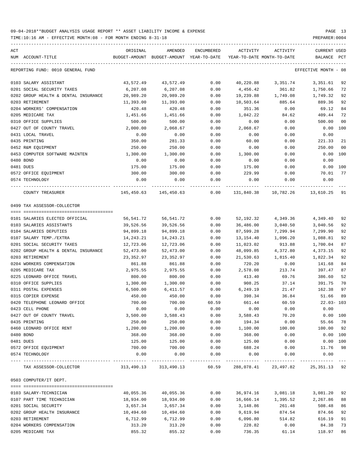TIME:10:16 AM - EFFECTIVE MONTH:08 - FOR MONTH ENDING 8-31-18 PREPARER:0004

| ACT<br>NUM ACCOUNT-TITLE             | ORIGINAL<br>BUDGET-AMOUNT | AMENDED<br>BUDGET-AMOUNT YEAR-TO-DATE | <b>ENCUMBERED</b> | ACTIVITY<br>YEAR-TO-DATE MONTH-TO-DATE                        | ACTIVITY  | <b>CURRENT USED</b><br>BALANCE | PCT  |
|--------------------------------------|---------------------------|---------------------------------------|-------------------|---------------------------------------------------------------|-----------|--------------------------------|------|
|                                      |                           |                                       |                   |                                                               |           |                                |      |
| REPORTING FUND: 0010 GENERAL FUND    |                           |                                       |                   |                                                               |           | EFFECTIVE MONTH                | - 08 |
| 0103 SALARY ASSISTANT                | 43,572.49                 | 43,572.49                             | 0.00              | 40,220.88                                                     | 3,351.74  | 3,351.61                       | 92   |
| 0201 SOCIAL SECURITY TAXES           | 6,207.08                  | 6,207.08                              | 0.00              | 4,456.42                                                      | 361.82    | 1,750.66                       | 72   |
| 0202 GROUP HEALTH & DENTAL INSURANCE | 20,989.20                 | 20,989.20                             | 0.00              | 19,239.88                                                     | 1,749.08  | 1,749.32                       | 92   |
| 0203 RETIREMENT                      | 11,393.00                 | 11,393.00                             | 0.00              | 10,503.64                                                     | 885.64    | 889.36                         | 92   |
| 0204 WORKERS' COMPENSATION           | 420.48                    | 420.48                                | 0.00              | 351.36                                                        | 0.00      | 69.12                          | 84   |
| 0205 MEDICARE TAX                    | 1,451.66                  | 1,451.66                              | 0.00              | 1,042.22                                                      | 84.62     | 409.44                         | 72   |
| 0310 OFFICE SUPPLIES                 | 500.00                    | 500.00                                | 0.00              | 0.00                                                          | 0.00      | 500.00                         | 00   |
| 0427 OUT OF COUNTY TRAVEL            | 2,000.00                  | 2,068.67                              | 0.00              | 2,068.67                                                      | 0.00      | 0.00                           | 100  |
| 0431 LOCAL TRAVEL                    | 0.00                      | 0.00                                  | 0.00              | 0.00                                                          | 0.00      | 0.00                           |      |
| 0435 PRINTING                        | 350.00                    | 281.33                                | 0.00              | 60.00                                                         | 0.00      | 221.33                         | 21   |
| 0452 R&M EQUIPMENT                   | 250.00                    | 250.00                                | 0.00              | 0.00                                                          | 0.00      | 250.00                         | 00   |
| 0453 COMPUTER SOFTWARE MAINTEN       | 1,300.00                  | 1,300.00                              | 0.00              | 1,300.00                                                      | 0.00      | 0.00                           | 100  |
| 0480 BOND                            | 0.00                      | 0.00                                  | 0.00              | 0.00                                                          | 0.00      | 0.00                           |      |
| 0481 DUES                            | 175.00                    | 175.00                                | 0.00              | 175.00                                                        | 0.00      | 0.00                           | 100  |
| 0572 OFFICE EQUIPMENT                | 300.00                    | 300.00                                | 0.00              | 229.99                                                        | 0.00      | 70.01                          | 77   |
| 0574 TECHNOLOGY                      | 0.00                      | 0.00                                  | 0.00              | 0.00                                                          | 0.00      | 0.00                           |      |
| COUNTY TREASURER                     | 145,450.63                | 145,450.63                            | 0.00              | 131,840.38                                                    | 10,782.26 | 13,610.25                      | 91   |
| 0499 TAX ASSESSOR-COLLECTOR          |                           |                                       |                   |                                                               |           |                                |      |
|                                      |                           |                                       |                   |                                                               |           |                                |      |
| 0101 SALARIES ELECTED OFFICIAL       | 56,541.72                 | 56,541.72                             | 0.00              | 52,192.32                                                     | 4,349.36  | 4,349.40                       | 92   |
| 0103 SALARIES ASSISTANTS             | 39,526.56                 | 39,526.56                             | 0.00              | 36,486.00                                                     | 3,040.50  | 3,040.56                       | 92   |
| 0104 SALARIES DEPUTIES               | 94,899.18                 | 94,899.18                             | 0.00              | 87,599.28                                                     | 7,299.94  | 7,299.90                       | 92   |
| 0107 SALARY TEMP./EXTRA              | 14,243.21                 | 14, 243. 21                           | 0.00              | 13,154.40                                                     | 1,096.20  | 1,088.81                       | 92   |
| 0201 SOCIAL SECURITY TAXES           | 12,723.06                 | 12,723.06                             | 0.00              | 11,023.02                                                     | 913.88    | 1,700.04                       | 87   |
| 0202 GROUP HEALTH & DENTAL INSURANCE | 52,473.00                 | 52,473.00                             | 0.00              | 48,099.85                                                     | 4,372.80  | 4,373.15                       | 92   |
| 0203 RETIREMENT                      | 23,352.97                 | 23, 352.97                            | 0.00              | 21,530.63                                                     | 1,815.40  | 1,822.34                       | 92   |
| 0204 WORKERS COMPENSATION            | 861.88                    | 861.88                                | 0.00              | 720.20                                                        | 0.00      | 141.68                         | 84   |
| 0205 MEDICARE TAX                    | 2,975.55                  | 2,975.55                              | 0.00              | 2,578.08                                                      | 213.74    | 397.47                         | 87   |
| 0225 LEONARD OFFICE TRAVEL           | 800.00                    | 800.00                                | 0.00              | 413.40                                                        | 69.76     | 386.60                         | 52   |
| 0310 OFFICE SUPPLIES                 | 1,300.00                  | 1,300.00                              | 0.00              | 908.25                                                        | 37.14     | 391.75                         | 70   |
| 0311 POSTAL EXPENSES                 | 6,500.00                  | 6,411.57                              | 0.00              | 6,249.19                                                      | 21.47     | 162.38                         | 97   |
| 0315 COPIER EXPENSE                  | 450.00                    | 450.00                                | 0.00              | 398.34                                                        | 36.84     | 51.66                          | 89   |
| 0420 TELEPHONE LEONARD OFFICE        | 700.00                    | 700.00                                | 60.59             | 661.44                                                        | 60.59     | $22.03 - 103$                  |      |
| 0423 CELL PHONE                      | 0.00                      | 0.00                                  | 0.00              | 0.00                                                          | 0.00      | 0.00                           |      |
| 0427 OUT OF COUNTY TRAVEL            | 3,500.00                  | 3,588.43                              | 0.00              | 3,588.43                                                      | 70.20     | $0.00$ 100                     |      |
| 0435 PRINTING                        | 250.00                    | 250.00                                | 0.00              | 194.34                                                        | 0.00      | 55.66 78                       |      |
| 0460 LEONARD OFFICE RENT             | 1,200.00                  | 1,200.00                              | 0.00              | 1,100.00                                                      | 100.00    | 100.00 92                      |      |
| 0480 BOND                            | 368.00                    | 368.00                                | 0.00              | 368.00                                                        | 0.00      | 0.00 100                       |      |
| 0481 DUES                            | 125.00                    | 125.00                                | 0.00              | 125.00                                                        | 0.00      | $0.00$ 100                     |      |
| 0572 OFFICE EQUIPMENT                | 700.00                    | 700.00                                | 0.00              | 688.24                                                        | 0.00      | 11.76                          | 98   |
| 0574 TECHNOLOGY                      | 0.00                      | 0.00                                  | 0.00              | 0.00                                                          | 0.00      | 0.00                           |      |
| TAX ASSESSOR-COLLECTOR               |                           |                                       |                   | 313,490.13 313,490.13 60.59 288,078.41 23,497.82 25,351.13 92 |           |                                |      |
| 0503 COMPUTER/IT DEPT.               |                           |                                       |                   |                                                               |           |                                |      |
|                                      |                           |                                       |                   |                                                               |           |                                |      |
| 0103 SALARY-TECHNICIAN               | 40,055.36                 | 40,055.36                             | 0.00              | 36,974.16                                                     | 3,081.18  | 3,081.20 92                    |      |
| 0107 PART TIME TECHNICIAN            | 18,934.00                 | 18,934.00                             | 0.00              | 16,666.14                                                     | 1,395.52  | 2,267.86                       | 88   |
| 0201 SOCIAL SECURITY                 | 3,657.34                  | 3,657.34                              | 0.00              | 3,148.86                                                      | 261.48    | 508.48                         | 86   |
| 0202 GROUP HEALTH INSURANCE          | 10,494.60                 | 10,494.60                             | 0.00              | 9,619.94                                                      | 874.54    | 874.66                         | 92   |
| 0203 RETIREMENT                      | 6,712.99                  | 6,712.99                              | 0.00              | 6,096.80                                                      | 514.82    | 616.19                         | 91   |
| 0204 WORKERS COMPENSATION            | 313.20                    | 313.20                                | 0.00              | 228.82                                                        | 0.00      | 84.38                          | 73   |

0205 MEDICARE TAX 855.32 855.32 0.00 736.35 61.14 118.97 86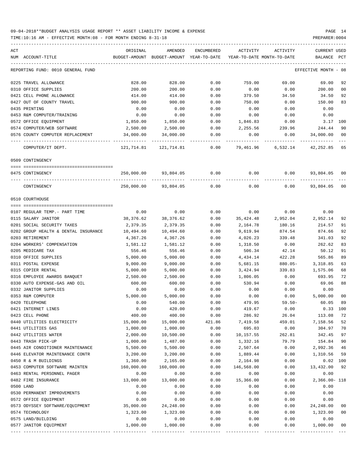| ACT<br>ORIGINAL<br>AMENDED<br>ENCUMBERED<br>ACTIVITY<br>ACTIVITY<br>NUM ACCOUNT-TITLE<br>BUDGET-AMOUNT BUDGET-AMOUNT YEAR-TO-DATE YEAR-TO-DATE MONTH-TO-DATE<br>BALANCE<br>EFFECTIVE MONTH - 08<br>REPORTING FUND: 0010 GENERAL FUND<br>828.00<br>828.00<br>0.00<br>759.00<br>69.00<br>69.00<br>0225 TRAVEL ALLOWANCE<br>0310 OFFICE SUPPLIES<br>0.00<br>0.00<br>0.00<br>200.00<br>200.00<br>200.00<br>0421 CELL PHONE ALLOWANCE<br>414.00<br>414.00<br>0.00<br>379.50<br>34.50<br>0427 OUT OF COUNTY TRAVEL<br>900.00<br>900.00<br>0.00<br>750.00<br>0.00<br>150.00<br>0.00<br>0.00<br>0.00<br>0.00<br>0.00<br>0435 PRINTING<br>0.00<br>0.00<br>0.00<br>0.00<br>0.00<br>0453 R&M COMPUTER/TRAINING<br>0572 OFFICE EQUIPMENT<br>1,850.00<br>1,850.00<br>0.00<br>1,846.83<br>0.00<br>0574 COMPUTER/WEB SOFTWARE<br>2,500.00<br>2,500.00<br>0.00<br>2,255.56 239.96<br>244.44<br>34,000.00<br>0576 COUNTY COMPUTER REPLACEMENT<br>34,000.00<br>0.00<br>0.00<br>0.00<br>34,000.00<br>COMPUTER/IT DEPT.<br>121,714.81 121,714.81<br>0.00<br>79,461.96<br>6,532.14<br>0509 CONTINGENCY<br>93,804.05 0.00<br>$0.00$ $0.00$ $93,804.05$ 00<br>0475 CONTINGENCY<br>250,000.00<br>93,804.05<br>0.00<br>0.00<br>CONTINGENCY<br>250,000.00<br>0.00<br>0510 COURTHOUSE<br>0.00<br>0.00<br>0.00<br>0107 REGULAR TEMP. - PART TIME<br>0.00<br>0.00<br>2,952.14<br>38,376.62<br>38,376.62<br>2,952.04<br>0115 SALARY JANITOR<br>0.00<br>35,424.48<br>0201 SOCIAL SECURITY TAXES<br>2,379.35<br>2,379.35<br>0.00<br>2,164.78<br>180.16<br>214.57<br>874.66<br>0202 GROUP HEALTH & DENTAL INSURANCE<br>10,494.60<br>10,494.60<br>0.00<br>9,619.94<br>874.54<br>0203 RETIREMENT<br>4,367.26<br>4,367.26<br>0.00<br>4,026.23<br>339.48<br>341.03<br>0.00<br>262.62<br>0204 WORKERS' COMPENSATION<br>1,581.12<br>1,581.12<br>0.00<br>1,318.50<br>0205 MEDICARE TAX<br>556.46<br>556.46<br>0.00<br>506.34<br>42.14<br>0310 OFFICE SUPPLIES<br>5,000.00<br>5,000.00<br>4,434.14<br>422.28<br>0.00<br>0311 POSTAL EXPENSE<br>9,000.00<br>9,000.00<br>0.00<br>5,681.15<br>880.05-<br>3,318.85<br>0315 COPIER RENTAL<br>5,000.00<br>5,000.00<br>0.00<br>3,424.94<br>339.83<br>1,575.06<br>2,500.00<br>2,500.00<br>0316 EMPLOYEE AWARDS BANQUET<br>0.00<br>1,806.05<br>0.00<br>693.95<br>600.00<br>600.00<br>530.94<br>0330 AUTO EXPENSE-GAS AND OIL<br>0.00<br>0.00<br>0332 JANITOR SUPPLIES<br>0.00<br>0.00<br>0.00<br>0.00<br>0.00<br>$0.00$ 5,000.00<br>5,000.00<br>5,000.00<br>0353 R&M COMPUTER<br>0.00<br>0.00<br>0420 TELEPHONE<br>$59.50 -$<br>0.00<br>540.00<br>0.00<br>479.95<br>0.00<br>420.00<br>0.00<br>0421 INTERNET LINES<br>0.00<br>419.67<br>0423 CELL PHONE<br>400.00<br>400.00<br>0.00<br>286.92<br>26.04 | CURRENT USED<br>PCT<br>92<br>00<br>92<br>34.50<br>83<br>0.00<br>0.00<br>3.17<br>100<br>90<br>$_{00}$<br>42,252.85 65 |
|-----------------------------------------------------------------------------------------------------------------------------------------------------------------------------------------------------------------------------------------------------------------------------------------------------------------------------------------------------------------------------------------------------------------------------------------------------------------------------------------------------------------------------------------------------------------------------------------------------------------------------------------------------------------------------------------------------------------------------------------------------------------------------------------------------------------------------------------------------------------------------------------------------------------------------------------------------------------------------------------------------------------------------------------------------------------------------------------------------------------------------------------------------------------------------------------------------------------------------------------------------------------------------------------------------------------------------------------------------------------------------------------------------------------------------------------------------------------------------------------------------------------------------------------------------------------------------------------------------------------------------------------------------------------------------------------------------------------------------------------------------------------------------------------------------------------------------------------------------------------------------------------------------------------------------------------------------------------------------------------------------------------------------------------------------------------------------------------------------------------------------------------------------------------------------------------------------------------------------------------------------------------------------------------------------------------------------------------------------------------------------------------------------------------------------------------------------------------------------------------------------------------------------------------------------------------------------------------------------------------------------------------------------------------------------------------------------|----------------------------------------------------------------------------------------------------------------------|
|                                                                                                                                                                                                                                                                                                                                                                                                                                                                                                                                                                                                                                                                                                                                                                                                                                                                                                                                                                                                                                                                                                                                                                                                                                                                                                                                                                                                                                                                                                                                                                                                                                                                                                                                                                                                                                                                                                                                                                                                                                                                                                                                                                                                                                                                                                                                                                                                                                                                                                                                                                                                                                                                                                     |                                                                                                                      |
|                                                                                                                                                                                                                                                                                                                                                                                                                                                                                                                                                                                                                                                                                                                                                                                                                                                                                                                                                                                                                                                                                                                                                                                                                                                                                                                                                                                                                                                                                                                                                                                                                                                                                                                                                                                                                                                                                                                                                                                                                                                                                                                                                                                                                                                                                                                                                                                                                                                                                                                                                                                                                                                                                                     |                                                                                                                      |
|                                                                                                                                                                                                                                                                                                                                                                                                                                                                                                                                                                                                                                                                                                                                                                                                                                                                                                                                                                                                                                                                                                                                                                                                                                                                                                                                                                                                                                                                                                                                                                                                                                                                                                                                                                                                                                                                                                                                                                                                                                                                                                                                                                                                                                                                                                                                                                                                                                                                                                                                                                                                                                                                                                     |                                                                                                                      |
|                                                                                                                                                                                                                                                                                                                                                                                                                                                                                                                                                                                                                                                                                                                                                                                                                                                                                                                                                                                                                                                                                                                                                                                                                                                                                                                                                                                                                                                                                                                                                                                                                                                                                                                                                                                                                                                                                                                                                                                                                                                                                                                                                                                                                                                                                                                                                                                                                                                                                                                                                                                                                                                                                                     |                                                                                                                      |
|                                                                                                                                                                                                                                                                                                                                                                                                                                                                                                                                                                                                                                                                                                                                                                                                                                                                                                                                                                                                                                                                                                                                                                                                                                                                                                                                                                                                                                                                                                                                                                                                                                                                                                                                                                                                                                                                                                                                                                                                                                                                                                                                                                                                                                                                                                                                                                                                                                                                                                                                                                                                                                                                                                     |                                                                                                                      |
|                                                                                                                                                                                                                                                                                                                                                                                                                                                                                                                                                                                                                                                                                                                                                                                                                                                                                                                                                                                                                                                                                                                                                                                                                                                                                                                                                                                                                                                                                                                                                                                                                                                                                                                                                                                                                                                                                                                                                                                                                                                                                                                                                                                                                                                                                                                                                                                                                                                                                                                                                                                                                                                                                                     |                                                                                                                      |
|                                                                                                                                                                                                                                                                                                                                                                                                                                                                                                                                                                                                                                                                                                                                                                                                                                                                                                                                                                                                                                                                                                                                                                                                                                                                                                                                                                                                                                                                                                                                                                                                                                                                                                                                                                                                                                                                                                                                                                                                                                                                                                                                                                                                                                                                                                                                                                                                                                                                                                                                                                                                                                                                                                     |                                                                                                                      |
|                                                                                                                                                                                                                                                                                                                                                                                                                                                                                                                                                                                                                                                                                                                                                                                                                                                                                                                                                                                                                                                                                                                                                                                                                                                                                                                                                                                                                                                                                                                                                                                                                                                                                                                                                                                                                                                                                                                                                                                                                                                                                                                                                                                                                                                                                                                                                                                                                                                                                                                                                                                                                                                                                                     |                                                                                                                      |
|                                                                                                                                                                                                                                                                                                                                                                                                                                                                                                                                                                                                                                                                                                                                                                                                                                                                                                                                                                                                                                                                                                                                                                                                                                                                                                                                                                                                                                                                                                                                                                                                                                                                                                                                                                                                                                                                                                                                                                                                                                                                                                                                                                                                                                                                                                                                                                                                                                                                                                                                                                                                                                                                                                     |                                                                                                                      |
|                                                                                                                                                                                                                                                                                                                                                                                                                                                                                                                                                                                                                                                                                                                                                                                                                                                                                                                                                                                                                                                                                                                                                                                                                                                                                                                                                                                                                                                                                                                                                                                                                                                                                                                                                                                                                                                                                                                                                                                                                                                                                                                                                                                                                                                                                                                                                                                                                                                                                                                                                                                                                                                                                                     |                                                                                                                      |
|                                                                                                                                                                                                                                                                                                                                                                                                                                                                                                                                                                                                                                                                                                                                                                                                                                                                                                                                                                                                                                                                                                                                                                                                                                                                                                                                                                                                                                                                                                                                                                                                                                                                                                                                                                                                                                                                                                                                                                                                                                                                                                                                                                                                                                                                                                                                                                                                                                                                                                                                                                                                                                                                                                     |                                                                                                                      |
|                                                                                                                                                                                                                                                                                                                                                                                                                                                                                                                                                                                                                                                                                                                                                                                                                                                                                                                                                                                                                                                                                                                                                                                                                                                                                                                                                                                                                                                                                                                                                                                                                                                                                                                                                                                                                                                                                                                                                                                                                                                                                                                                                                                                                                                                                                                                                                                                                                                                                                                                                                                                                                                                                                     |                                                                                                                      |
|                                                                                                                                                                                                                                                                                                                                                                                                                                                                                                                                                                                                                                                                                                                                                                                                                                                                                                                                                                                                                                                                                                                                                                                                                                                                                                                                                                                                                                                                                                                                                                                                                                                                                                                                                                                                                                                                                                                                                                                                                                                                                                                                                                                                                                                                                                                                                                                                                                                                                                                                                                                                                                                                                                     |                                                                                                                      |
|                                                                                                                                                                                                                                                                                                                                                                                                                                                                                                                                                                                                                                                                                                                                                                                                                                                                                                                                                                                                                                                                                                                                                                                                                                                                                                                                                                                                                                                                                                                                                                                                                                                                                                                                                                                                                                                                                                                                                                                                                                                                                                                                                                                                                                                                                                                                                                                                                                                                                                                                                                                                                                                                                                     |                                                                                                                      |
|                                                                                                                                                                                                                                                                                                                                                                                                                                                                                                                                                                                                                                                                                                                                                                                                                                                                                                                                                                                                                                                                                                                                                                                                                                                                                                                                                                                                                                                                                                                                                                                                                                                                                                                                                                                                                                                                                                                                                                                                                                                                                                                                                                                                                                                                                                                                                                                                                                                                                                                                                                                                                                                                                                     | 93,804.05 00                                                                                                         |
|                                                                                                                                                                                                                                                                                                                                                                                                                                                                                                                                                                                                                                                                                                                                                                                                                                                                                                                                                                                                                                                                                                                                                                                                                                                                                                                                                                                                                                                                                                                                                                                                                                                                                                                                                                                                                                                                                                                                                                                                                                                                                                                                                                                                                                                                                                                                                                                                                                                                                                                                                                                                                                                                                                     |                                                                                                                      |
|                                                                                                                                                                                                                                                                                                                                                                                                                                                                                                                                                                                                                                                                                                                                                                                                                                                                                                                                                                                                                                                                                                                                                                                                                                                                                                                                                                                                                                                                                                                                                                                                                                                                                                                                                                                                                                                                                                                                                                                                                                                                                                                                                                                                                                                                                                                                                                                                                                                                                                                                                                                                                                                                                                     |                                                                                                                      |
|                                                                                                                                                                                                                                                                                                                                                                                                                                                                                                                                                                                                                                                                                                                                                                                                                                                                                                                                                                                                                                                                                                                                                                                                                                                                                                                                                                                                                                                                                                                                                                                                                                                                                                                                                                                                                                                                                                                                                                                                                                                                                                                                                                                                                                                                                                                                                                                                                                                                                                                                                                                                                                                                                                     | 0.00                                                                                                                 |
|                                                                                                                                                                                                                                                                                                                                                                                                                                                                                                                                                                                                                                                                                                                                                                                                                                                                                                                                                                                                                                                                                                                                                                                                                                                                                                                                                                                                                                                                                                                                                                                                                                                                                                                                                                                                                                                                                                                                                                                                                                                                                                                                                                                                                                                                                                                                                                                                                                                                                                                                                                                                                                                                                                     | 92                                                                                                                   |
|                                                                                                                                                                                                                                                                                                                                                                                                                                                                                                                                                                                                                                                                                                                                                                                                                                                                                                                                                                                                                                                                                                                                                                                                                                                                                                                                                                                                                                                                                                                                                                                                                                                                                                                                                                                                                                                                                                                                                                                                                                                                                                                                                                                                                                                                                                                                                                                                                                                                                                                                                                                                                                                                                                     | 91                                                                                                                   |
|                                                                                                                                                                                                                                                                                                                                                                                                                                                                                                                                                                                                                                                                                                                                                                                                                                                                                                                                                                                                                                                                                                                                                                                                                                                                                                                                                                                                                                                                                                                                                                                                                                                                                                                                                                                                                                                                                                                                                                                                                                                                                                                                                                                                                                                                                                                                                                                                                                                                                                                                                                                                                                                                                                     | 92                                                                                                                   |
|                                                                                                                                                                                                                                                                                                                                                                                                                                                                                                                                                                                                                                                                                                                                                                                                                                                                                                                                                                                                                                                                                                                                                                                                                                                                                                                                                                                                                                                                                                                                                                                                                                                                                                                                                                                                                                                                                                                                                                                                                                                                                                                                                                                                                                                                                                                                                                                                                                                                                                                                                                                                                                                                                                     | 92                                                                                                                   |
|                                                                                                                                                                                                                                                                                                                                                                                                                                                                                                                                                                                                                                                                                                                                                                                                                                                                                                                                                                                                                                                                                                                                                                                                                                                                                                                                                                                                                                                                                                                                                                                                                                                                                                                                                                                                                                                                                                                                                                                                                                                                                                                                                                                                                                                                                                                                                                                                                                                                                                                                                                                                                                                                                                     | 83                                                                                                                   |
|                                                                                                                                                                                                                                                                                                                                                                                                                                                                                                                                                                                                                                                                                                                                                                                                                                                                                                                                                                                                                                                                                                                                                                                                                                                                                                                                                                                                                                                                                                                                                                                                                                                                                                                                                                                                                                                                                                                                                                                                                                                                                                                                                                                                                                                                                                                                                                                                                                                                                                                                                                                                                                                                                                     | 50.12<br>91                                                                                                          |
|                                                                                                                                                                                                                                                                                                                                                                                                                                                                                                                                                                                                                                                                                                                                                                                                                                                                                                                                                                                                                                                                                                                                                                                                                                                                                                                                                                                                                                                                                                                                                                                                                                                                                                                                                                                                                                                                                                                                                                                                                                                                                                                                                                                                                                                                                                                                                                                                                                                                                                                                                                                                                                                                                                     | 565.86<br>89                                                                                                         |
|                                                                                                                                                                                                                                                                                                                                                                                                                                                                                                                                                                                                                                                                                                                                                                                                                                                                                                                                                                                                                                                                                                                                                                                                                                                                                                                                                                                                                                                                                                                                                                                                                                                                                                                                                                                                                                                                                                                                                                                                                                                                                                                                                                                                                                                                                                                                                                                                                                                                                                                                                                                                                                                                                                     | 63                                                                                                                   |
|                                                                                                                                                                                                                                                                                                                                                                                                                                                                                                                                                                                                                                                                                                                                                                                                                                                                                                                                                                                                                                                                                                                                                                                                                                                                                                                                                                                                                                                                                                                                                                                                                                                                                                                                                                                                                                                                                                                                                                                                                                                                                                                                                                                                                                                                                                                                                                                                                                                                                                                                                                                                                                                                                                     | 68                                                                                                                   |
|                                                                                                                                                                                                                                                                                                                                                                                                                                                                                                                                                                                                                                                                                                                                                                                                                                                                                                                                                                                                                                                                                                                                                                                                                                                                                                                                                                                                                                                                                                                                                                                                                                                                                                                                                                                                                                                                                                                                                                                                                                                                                                                                                                                                                                                                                                                                                                                                                                                                                                                                                                                                                                                                                                     | 72                                                                                                                   |
|                                                                                                                                                                                                                                                                                                                                                                                                                                                                                                                                                                                                                                                                                                                                                                                                                                                                                                                                                                                                                                                                                                                                                                                                                                                                                                                                                                                                                                                                                                                                                                                                                                                                                                                                                                                                                                                                                                                                                                                                                                                                                                                                                                                                                                                                                                                                                                                                                                                                                                                                                                                                                                                                                                     | 88<br>69.06                                                                                                          |
|                                                                                                                                                                                                                                                                                                                                                                                                                                                                                                                                                                                                                                                                                                                                                                                                                                                                                                                                                                                                                                                                                                                                                                                                                                                                                                                                                                                                                                                                                                                                                                                                                                                                                                                                                                                                                                                                                                                                                                                                                                                                                                                                                                                                                                                                                                                                                                                                                                                                                                                                                                                                                                                                                                     | 0.00                                                                                                                 |
|                                                                                                                                                                                                                                                                                                                                                                                                                                                                                                                                                                                                                                                                                                                                                                                                                                                                                                                                                                                                                                                                                                                                                                                                                                                                                                                                                                                                                                                                                                                                                                                                                                                                                                                                                                                                                                                                                                                                                                                                                                                                                                                                                                                                                                                                                                                                                                                                                                                                                                                                                                                                                                                                                                     | 00                                                                                                                   |
|                                                                                                                                                                                                                                                                                                                                                                                                                                                                                                                                                                                                                                                                                                                                                                                                                                                                                                                                                                                                                                                                                                                                                                                                                                                                                                                                                                                                                                                                                                                                                                                                                                                                                                                                                                                                                                                                                                                                                                                                                                                                                                                                                                                                                                                                                                                                                                                                                                                                                                                                                                                                                                                                                                     | 60.05<br>89                                                                                                          |
|                                                                                                                                                                                                                                                                                                                                                                                                                                                                                                                                                                                                                                                                                                                                                                                                                                                                                                                                                                                                                                                                                                                                                                                                                                                                                                                                                                                                                                                                                                                                                                                                                                                                                                                                                                                                                                                                                                                                                                                                                                                                                                                                                                                                                                                                                                                                                                                                                                                                                                                                                                                                                                                                                                     | 0.33 100                                                                                                             |
|                                                                                                                                                                                                                                                                                                                                                                                                                                                                                                                                                                                                                                                                                                                                                                                                                                                                                                                                                                                                                                                                                                                                                                                                                                                                                                                                                                                                                                                                                                                                                                                                                                                                                                                                                                                                                                                                                                                                                                                                                                                                                                                                                                                                                                                                                                                                                                                                                                                                                                                                                                                                                                                                                                     | 113.08<br>72                                                                                                         |
| 0440 UTILITIES ELECTRICITY<br>15,000.00<br>15,000.00<br>421.86<br>7,419.58<br>459.01<br>7,158.56                                                                                                                                                                                                                                                                                                                                                                                                                                                                                                                                                                                                                                                                                                                                                                                                                                                                                                                                                                                                                                                                                                                                                                                                                                                                                                                                                                                                                                                                                                                                                                                                                                                                                                                                                                                                                                                                                                                                                                                                                                                                                                                                                                                                                                                                                                                                                                                                                                                                                                                                                                                                    | 52                                                                                                                   |
| 0441 UTILITIES GAS<br>1,000.00<br>1,000.00<br>0.00<br>695.03<br>0.00                                                                                                                                                                                                                                                                                                                                                                                                                                                                                                                                                                                                                                                                                                                                                                                                                                                                                                                                                                                                                                                                                                                                                                                                                                                                                                                                                                                                                                                                                                                                                                                                                                                                                                                                                                                                                                                                                                                                                                                                                                                                                                                                                                                                                                                                                                                                                                                                                                                                                                                                                                                                                                | 304.97<br>70                                                                                                         |
| 0442 UTILITIES WATER<br>2,000.00<br>10,500.00<br>0.00<br>262.81<br>10,157.55                                                                                                                                                                                                                                                                                                                                                                                                                                                                                                                                                                                                                                                                                                                                                                                                                                                                                                                                                                                                                                                                                                                                                                                                                                                                                                                                                                                                                                                                                                                                                                                                                                                                                                                                                                                                                                                                                                                                                                                                                                                                                                                                                                                                                                                                                                                                                                                                                                                                                                                                                                                                                        | 97<br>342.45                                                                                                         |
| 0443 TRASH PICK-UP<br>1,000.00<br>1,487.00<br>79.79<br>0.00<br>1,332.16                                                                                                                                                                                                                                                                                                                                                                                                                                                                                                                                                                                                                                                                                                                                                                                                                                                                                                                                                                                                                                                                                                                                                                                                                                                                                                                                                                                                                                                                                                                                                                                                                                                                                                                                                                                                                                                                                                                                                                                                                                                                                                                                                                                                                                                                                                                                                                                                                                                                                                                                                                                                                             | 154.84<br>90                                                                                                         |
| 0445 AIR CONDITIONER MAINTENANCE<br>5,500.00<br>5,500.00<br>0.00<br>2,507.64<br>0.00                                                                                                                                                                                                                                                                                                                                                                                                                                                                                                                                                                                                                                                                                                                                                                                                                                                                                                                                                                                                                                                                                                                                                                                                                                                                                                                                                                                                                                                                                                                                                                                                                                                                                                                                                                                                                                                                                                                                                                                                                                                                                                                                                                                                                                                                                                                                                                                                                                                                                                                                                                                                                | 2,992.36<br>46                                                                                                       |
| 3,200.00<br>0446 ELEVATOR MAINTENANCE CONTR<br>3,200.00<br>0.00<br>1,889.44<br>0.00                                                                                                                                                                                                                                                                                                                                                                                                                                                                                                                                                                                                                                                                                                                                                                                                                                                                                                                                                                                                                                                                                                                                                                                                                                                                                                                                                                                                                                                                                                                                                                                                                                                                                                                                                                                                                                                                                                                                                                                                                                                                                                                                                                                                                                                                                                                                                                                                                                                                                                                                                                                                                 | 1,310.56 59                                                                                                          |
| 1,360.00<br>2,165.00<br>0.00<br>2,164.98<br>0.00<br>0450 R & M BUILDINGS                                                                                                                                                                                                                                                                                                                                                                                                                                                                                                                                                                                                                                                                                                                                                                                                                                                                                                                                                                                                                                                                                                                                                                                                                                                                                                                                                                                                                                                                                                                                                                                                                                                                                                                                                                                                                                                                                                                                                                                                                                                                                                                                                                                                                                                                                                                                                                                                                                                                                                                                                                                                                            | $0.02$ 100<br>13,432.00 92                                                                                           |
| 0453 COMPUTER SOFTWARE MAINTEN<br>160,000.00<br>160,000.00<br>0.00<br>146,568.00<br>0.00<br>0463 RENTAL PERSONNEL PAGER<br>0.00<br>0.00<br>0.00<br>0.00<br>0.00                                                                                                                                                                                                                                                                                                                                                                                                                                                                                                                                                                                                                                                                                                                                                                                                                                                                                                                                                                                                                                                                                                                                                                                                                                                                                                                                                                                                                                                                                                                                                                                                                                                                                                                                                                                                                                                                                                                                                                                                                                                                                                                                                                                                                                                                                                                                                                                                                                                                                                                                     | 0.00                                                                                                                 |
| 13,000.00<br>15,366.00                                                                                                                                                                                                                                                                                                                                                                                                                                                                                                                                                                                                                                                                                                                                                                                                                                                                                                                                                                                                                                                                                                                                                                                                                                                                                                                                                                                                                                                                                                                                                                                                                                                                                                                                                                                                                                                                                                                                                                                                                                                                                                                                                                                                                                                                                                                                                                                                                                                                                                                                                                                                                                                                              |                                                                                                                      |
| 13,000.00<br>0.00<br>0.00<br>0482 FIRE INSURANCE<br>0.00<br>0.00<br>0.00<br>0500 LAND<br>0.00<br>0.00                                                                                                                                                                                                                                                                                                                                                                                                                                                                                                                                                                                                                                                                                                                                                                                                                                                                                                                                                                                                                                                                                                                                                                                                                                                                                                                                                                                                                                                                                                                                                                                                                                                                                                                                                                                                                                                                                                                                                                                                                                                                                                                                                                                                                                                                                                                                                                                                                                                                                                                                                                                               | 2,366.00- 118<br>0.00                                                                                                |
| 0530 PERMANENT IMPROVEMENTS<br>0.00<br>0.00<br>0.00<br>0.00<br>0.00                                                                                                                                                                                                                                                                                                                                                                                                                                                                                                                                                                                                                                                                                                                                                                                                                                                                                                                                                                                                                                                                                                                                                                                                                                                                                                                                                                                                                                                                                                                                                                                                                                                                                                                                                                                                                                                                                                                                                                                                                                                                                                                                                                                                                                                                                                                                                                                                                                                                                                                                                                                                                                 | 0.00                                                                                                                 |
| 0572 OFFICE EQUIPMENT<br>0.00<br>0.00<br>0.00<br>0.00<br>0.00                                                                                                                                                                                                                                                                                                                                                                                                                                                                                                                                                                                                                                                                                                                                                                                                                                                                                                                                                                                                                                                                                                                                                                                                                                                                                                                                                                                                                                                                                                                                                                                                                                                                                                                                                                                                                                                                                                                                                                                                                                                                                                                                                                                                                                                                                                                                                                                                                                                                                                                                                                                                                                       | 0.00                                                                                                                 |
| 0573 ODYSSEY SOFTWARE/EQUIPMENT<br>35,000.00<br>24, 248.00<br>0.00<br>0.00<br>0.00<br>24,248.00                                                                                                                                                                                                                                                                                                                                                                                                                                                                                                                                                                                                                                                                                                                                                                                                                                                                                                                                                                                                                                                                                                                                                                                                                                                                                                                                                                                                                                                                                                                                                                                                                                                                                                                                                                                                                                                                                                                                                                                                                                                                                                                                                                                                                                                                                                                                                                                                                                                                                                                                                                                                     | 00                                                                                                                   |
| 0574 TECHNOLOGY<br>1,323.00<br>1,323.00<br>0.00<br>0.00<br>0.00<br>1,323.00                                                                                                                                                                                                                                                                                                                                                                                                                                                                                                                                                                                                                                                                                                                                                                                                                                                                                                                                                                                                                                                                                                                                                                                                                                                                                                                                                                                                                                                                                                                                                                                                                                                                                                                                                                                                                                                                                                                                                                                                                                                                                                                                                                                                                                                                                                                                                                                                                                                                                                                                                                                                                         | 00                                                                                                                   |
| 0575 LAND/BUILDING<br>0.00<br>0.00<br>0.00<br>0.00<br>0.00                                                                                                                                                                                                                                                                                                                                                                                                                                                                                                                                                                                                                                                                                                                                                                                                                                                                                                                                                                                                                                                                                                                                                                                                                                                                                                                                                                                                                                                                                                                                                                                                                                                                                                                                                                                                                                                                                                                                                                                                                                                                                                                                                                                                                                                                                                                                                                                                                                                                                                                                                                                                                                          |                                                                                                                      |
| 0577 JANITOR EQUIPMENT<br>1,000.00<br>1,000.00<br>0.00<br>0.00<br>0.00<br>1,000.00                                                                                                                                                                                                                                                                                                                                                                                                                                                                                                                                                                                                                                                                                                                                                                                                                                                                                                                                                                                                                                                                                                                                                                                                                                                                                                                                                                                                                                                                                                                                                                                                                                                                                                                                                                                                                                                                                                                                                                                                                                                                                                                                                                                                                                                                                                                                                                                                                                                                                                                                                                                                                  |                                                                                                                      |
| -------------<br>------------------<br>-------------<br>------------                                                                                                                                                                                                                                                                                                                                                                                                                                                                                                                                                                                                                                                                                                                                                                                                                                                                                                                                                                                                                                                                                                                                                                                                                                                                                                                                                                                                                                                                                                                                                                                                                                                                                                                                                                                                                                                                                                                                                                                                                                                                                                                                                                                                                                                                                                                                                                                                                                                                                                                                                                                                                                | 0.00<br>00                                                                                                           |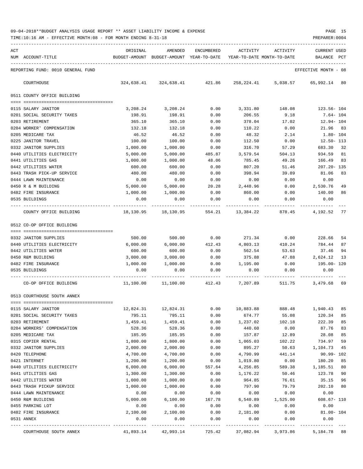TIME:10:16 AM - EFFECTIVE MONTH:08 - FOR MONTH ENDING 8-31-18 PREPARER:0004

| ACT |                                         | ORIGINAL             | AMENDED                                                             | ENCUMBERED       | ACTIVITY           | ACTIVITY                            | <b>CURRENT USED</b>       |      |
|-----|-----------------------------------------|----------------------|---------------------------------------------------------------------|------------------|--------------------|-------------------------------------|---------------------------|------|
|     | NUM ACCOUNT-TITLE                       |                      | BUDGET-AMOUNT BUDGET-AMOUNT YEAR-TO-DATE YEAR-TO-DATE MONTH-TO-DATE |                  |                    |                                     | BALANCE PCT               |      |
|     | REPORTING FUND: 0010 GENERAL FUND       |                      |                                                                     |                  |                    |                                     | EFFECTIVE MONTH - 08      |      |
|     | COURTHOUSE                              |                      | 324,638.41 324,638.41 421.86                                        |                  |                    | 258, 224.41 5, 038.57 65, 992.14 80 |                           |      |
|     | 0511 COUNTY OFFICE BUILDING             |                      |                                                                     |                  |                    |                                     |                           |      |
|     | 0115 SALARY JANITOR                     | 3,208.24             | 3,208.24                                                            | 0.00             | 3,331.80           | 148.08                              | 123.56- 104               |      |
|     | 0201 SOCIAL SECURITY TAXES              | 198.91               | 198.91                                                              | 0.00             | 206.55             | 9.18                                | 7.64- 104                 |      |
|     | 0203 RETIREMENT                         | 365.10               | 365.10                                                              | 0.00             | 378.04             | 17.02                               | 12.94- 104                |      |
|     | 0204 WORKER' COMPENSATION               | 132.18               | 132.18                                                              | 0.00             | 110.22             | 0.00                                | 21.96 83                  |      |
|     | 0205 MEDICARE TAX                       | 46.52                | 46.52                                                               | 0.00             | 48.32              | 2.14                                | $1.80 - 104$              |      |
|     | 0225 JANITOR TRAVEL                     | 100.00               | 100.00                                                              | 0.00             | 112.50             | 0.00                                | $12.50 - 113$             |      |
|     | 0332 JANITOR SUPPLIES                   | 1,000.00             | 1,000.00                                                            | 0.00             | 316.70             | 57.29                               | 683.30                    | 32   |
|     | 0440 UTILITIES ELECTRICITY              | 5,000.00             | 5,000.00                                                            | 485.87           | 3,579.54           | 504.13                              | 934.59                    | 81   |
|     | 0441 UTILITIES GAS                      | 1,000.00             | 1,000.00                                                            | 48.06            | 785.45             | 49.26                               | 166.49                    | 83   |
|     | 0442 UTILITIES WATER                    | 600.00               | 600.00                                                              | 0.00             | 807.20             | 51.46                               | 207.20- 135               |      |
|     | 0443 TRASH PICK-UP SERVICE              | 480.00               | 480.00                                                              | 0.00             | 398.94             | 39.89                               | 81.06                     | 83   |
|     | 0444 LAWN MAINTENANCE                   | 0.00                 | 0.00                                                                | 0.00             | 0.00               | 0.00                                | 0.00                      |      |
|     | 0450 R & M BUILDING                     | 5,000.00             | 5,000.00                                                            | 20.28            | 2,448.96           | 0.00                                | 2,530.76                  | 49   |
|     | 0482 FIRE INSURANCE                     | 1,000.00             | 1,000.00                                                            | 0.00             | 860.00             | 0.00                                | 140.00                    | 86   |
|     | 0535 BUILDINGS                          | 0.00                 | 0.00                                                                | 0.00             | 0.00               | 0.00                                | 0.00                      |      |
|     | COUNTY OFFICE BUILDING                  |                      | 18,130.95    18,130.95                                              | 554.21           | 13,384.22          | 878.45                              | 4,192.52                  | - 77 |
|     | 0512 CO-OP OFFICE BUILDING              |                      |                                                                     |                  |                    |                                     |                           |      |
|     |                                         |                      |                                                                     |                  |                    |                                     |                           |      |
|     | 0332 JANITOR SUPPLIES                   | 500.00               | 500.00                                                              | 0.00             | 271.34             | 0.00                                | 228.66                    | 54   |
|     | 0440 UTILITIES ELECTRICITY              | 6,000.00             | 6,000.00                                                            | 412.43           | 4,803.13           | 410.24                              | 784.44                    | 87   |
|     | 0442 UTILITIES WATER                    | 600.00               | 600.00                                                              | 0.00             | 562.54             | 53.63                               | 37.46                     | 94   |
|     | 0450 R&M BUILDING                       | 3,000.00             | 3,000.00                                                            | 0.00             | 375.88             | 47.88                               | 2,624.12                  | 13   |
|     | 0482 FIRE INSURANCE                     | 1,000.00             | 1,000.00                                                            | 0.00             | 1,195.00           | 0.00                                | 195.00- 120               |      |
|     | 0535 BUILDINGS                          | 0.00                 | 0.00                                                                | 0.00             | 0.00               | 0.00                                | 0.00                      |      |
|     | CO-OP OFFICE BUILDING                   | 11,100.00            |                                                                     | 11,100.00 412.43 | 7,207.89           | 511.75                              | 3,479.68 69               |      |
|     | 0513 COURTHOUSE SOUTH ANNEX             |                      |                                                                     |                  |                    |                                     |                           |      |
|     |                                         |                      |                                                                     |                  |                    |                                     |                           |      |
|     | 0115 SALARY JANITOR                     | 12,824.31            | 12,824.31                                                           | 0.00             | 10,883.88          | 888.48                              | 1,940.43                  | 85   |
|     | 0201 SOCIAL SECURITY TAXES              | 795.11               | 795.11                                                              | 0.00             | 674.77             | 55.08                               | 120.34                    | 85   |
|     | 0203 RETIREMENT                         | 1,459.41             | 1,459.41                                                            | 0.00             | 1,237.02           | 102.18                              | 222.39                    | 85   |
|     | 0204 WORKERS' COMPENSATION              | 528.36               | 528.36                                                              | 0.00             | 440.60             | 0.00                                | 87.76                     | 83   |
|     | 0205 MEDICARE TAX                       | 185.95               | 185.95                                                              | 0.00             | 157.87             | 12.89                               | 28.08                     | 85   |
|     | 0315 COPIER RENTAL                      | 1,800.00<br>2,000.00 | 1,800.00<br>2,000.00                                                | 0.00<br>0.00     | 1,065.03<br>895.27 | 102.22<br>50.63                     | 734.97                    | 59   |
|     | 0332 JANITOR SUPPLIES<br>0420 TELEPHONE | 4,700.00             | 4,700.00                                                            | 0.00             | 4,790.99           | 441.14                              | 1,104.73<br>$90.99 - 102$ | 45   |
|     | 0421 INTERNET                           | 1,200.00             | 1,200.00                                                            | 0.00             | 1,019.80           | 0.00                                | 180.20                    | 85   |
|     | 0440 UTILITIES ELECTRICITY              | 6,000.00             | 6,000.00                                                            | 557.64           | 4,256.85           | 589.38                              | 1,185.51                  | 80   |
|     | 0441 UTILITIES GAS                      | 1,300.00             | 1,300.00                                                            | 0.00             | 1,176.22           | 50.46                               | 123.78                    | 90   |
|     | 0442 UTILITIES WATER                    | 1,000.00             | 1,000.00                                                            | 0.00             | 964.85             | 76.61                               | 35.15                     | 96   |
|     | 0443 TRASH PICKUP SERVICE               | 1,000.00             | 1,000.00                                                            | 0.00             | 797.90             | 79.79                               | 202.10                    | 80   |
|     | 0444 LAWN MAINTENANCE                   | 0.00                 | 0.00                                                                | 0.00             | 0.00               | 0.00                                | 0.00                      |      |
|     | 0450 R&M BUILDING                       | 5,000.00             | 6,100.00                                                            | 167.78           | 6,540.89           | 1,525.00                            | $608.67 - 110$            |      |
|     | 0455 PARKING LOT                        | 0.00                 | 0.00                                                                | 0.00             | 0.00               | 0.00                                | 0.00                      |      |
|     | 0482 FIRE INSURANCE                     | 2,100.00             | 2,100.00                                                            | 0.00             | 2,181.00           | 0.00                                | 81.00- 104                |      |
|     | 0531 ANNEX                              | 0.00                 | 0.00                                                                | 0.00             | 0.00               | 0.00                                | 0.00                      |      |
|     |                                         |                      |                                                                     |                  |                    |                                     |                           |      |

COURTHOUSE SOUTH ANNEX 41,893.14 42,993.14 725.42 37,082.94 3,973.86 5,184.78 88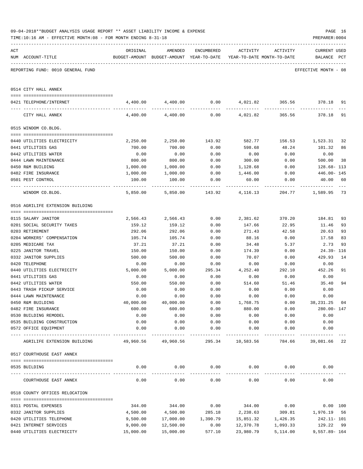|     | TIME:10:16 AM - EFFECTIVE MONTH:08 - FOR MONTH ENDING 8-31-18 |                      |                   |                    |                                                                                 |             | PREPARER: 0004                     |          |
|-----|---------------------------------------------------------------|----------------------|-------------------|--------------------|---------------------------------------------------------------------------------|-------------|------------------------------------|----------|
| ACT | NUM ACCOUNT-TITLE                                             | ORIGINAL             | AMENDED           | ENCUMBERED         | ACTIVITY<br>BUDGET-AMOUNT BUDGET-AMOUNT YEAR-TO-DATE YEAR-TO-DATE MONTH-TO-DATE | ACTIVITY    | <b>CURRENT USED</b><br>BALANCE PCT |          |
|     | REPORTING FUND: 0010 GENERAL FUND                             |                      |                   |                    |                                                                                 |             | EFFECTIVE MONTH - 08               |          |
|     | 0514 CITY HALL ANNEX                                          |                      |                   |                    |                                                                                 |             |                                    |          |
|     | 0421 TELEPHONE/INTERNET                                       |                      | 4,400.00 4,400.00 |                    | $0.00 \t 4,021.82 \t 365.56 \t 378.18$                                          |             |                                    | 91       |
|     | CITY HALL ANNEX                                               |                      | 4,400.00 4,400.00 |                    | $0.00$ $4.021.82$ $365.56$                                                      |             | 378.18                             | 91       |
|     | 0515 WINDOM CO.BLDG.                                          |                      |                   |                    |                                                                                 |             |                                    |          |
|     | 0440 UTILITIES ELECTRICITY                                    | 2,250.00             | 2,250.00          | 143.92             | 582.77                                                                          |             | 156.53 1,523.31                    | 32       |
|     | 0441 UTILITIES GAS                                            | 700.00               | 700.00            | 0.00               | 598.68                                                                          | 48.24       | 101.32                             | 86       |
|     | 0442 UTILITIES WATER                                          | 0.00                 | 0.00              | 0.00               | 0.00                                                                            | 0.00        | 0.00                               |          |
|     | 0444 LAWN MAINTENANCE                                         | 800.00               | 800.00            | 0.00               | 300.00                                                                          | 0.00        | 500.00                             | 38       |
|     | 0450 R&M BUILDING                                             | 1,000.00             | 1,000.00          | 0.00               | 1,128.68                                                                        | 0.00        | 128.68- 113                        |          |
|     | 0482 FIRE INSURANCE                                           | 1,000.00             | 1,000.00          | 0.00               | 1,446.00                                                                        | 0.00        | 446.00- 145                        |          |
|     | 0501 PEST CONTROL                                             | 100.00<br>---------- | 100.00<br>.       | 0.00               | 60.00<br>----------                                                             | 0.00        | 40.00 60                           |          |
|     | WINDOM CO.BLDG.                                               | 5,850.00             |                   | 5,850.00 143.92    | 4,116.13                                                                        |             | 204.77 1,589.95                    | 73       |
|     | 0516 AGRILIFE EXTENSION BUILDING                              |                      |                   |                    |                                                                                 |             |                                    |          |
|     | 0115 SALARY JANITOR                                           | 2,566.43             | 2,566.43          | 0.00               | 2,381.62                                                                        | 370.20      | 184.81                             | 93       |
|     | 0201 SOCIAL SECURITY TAXES                                    | 159.12               | 159.12            | 0.00               | 147.66                                                                          | 22.95       | 11.46                              | 93       |
|     | 0203 RETIREMENT                                               | 292.06               | 292.06            | 0.00               | 271.43                                                                          | 42.58       | 20.63                              | 93       |
|     | 0204 WORKERS' COMPENSATION                                    | 105.74               | 105.74            | 0.00               | 88.16                                                                           | 0.00        | 17.58                              | 83       |
|     | 0205 MEDICARE TAX                                             | 37.21                | 37.21             | 0.00               | 34.48                                                                           | 5.37        | 2.73                               | 93       |
|     | 0225 JANITOR TRAVEL                                           | 150.00               | 150.00            | 0.00               | 174.39                                                                          | 0.00        | $24.39 - 116$                      |          |
|     | 0332 JANITOR SUPPLIES                                         | 500.00               | 500.00            | 0.00               | 70.07                                                                           | 0.00        | 429.93                             | 14       |
|     | 0420 TELEPHONE                                                | 0.00                 | 0.00              | 0.00               | 0.00                                                                            | 0.00        | 0.00                               |          |
|     | 0440 UTILITIES ELECTRICITY                                    | 5,000.00             | 5,000.00          | 295.34             | 4,252.40                                                                        | 292.10      | 452.26                             | 91       |
|     | 0441 UTILITIES GAS                                            | 0.00                 | 0.00              | 0.00               | 0.00                                                                            | 0.00        | 0.00                               |          |
|     | 0442 UTILITIES WATER                                          | 550.00               | 550.00            | 0.00               | 514.60                                                                          | 51.46       | 35.40                              | 94       |
|     | 0443 TRASH PICKUP SERVICE                                     | 0.00                 | 0.00              | 0.00               | 0.00                                                                            | 0.00        | 0.00                               |          |
|     | 0444 LAWN MAINTENANCE                                         | 0.00                 | 0.00              | 0.00               | 0.00                                                                            | 0.00        | 0.00                               |          |
|     | 0450 R&M BUILDING                                             | 40,000.00            | 40,000.00         | 0.00               | 1,768.75                                                                        | 0.00        | 38,231.25 04                       |          |
|     | 0482 FIRE INSURANCE                                           | 600.00               | 600.00            | 0.00               | 880.00                                                                          | 0.00        | 280.00- 147                        |          |
|     | 0530 BUILDING REMODEL                                         | 0.00                 | 0.00              | 0.00               | 0.00                                                                            | 0.00        | 0.00                               |          |
|     | 0535 BUILDING CONSTRUCTION                                    | 0.00                 | 0.00              | 0.00               | 0.00                                                                            | 0.00        | 0.00                               |          |
|     | 0572 OFFICE EQUIPMENT                                         | 0.00                 | 0.00              | 0.00               | 0.00                                                                            | 0.00        | 0.00                               |          |
|     | AGRILIFE EXTENSION BUILDING                                   |                      |                   |                    | 49,960.56    49,960.56     295.34    10,583.56     784.66    39,081.66  22      |             |                                    |          |
|     | 0517 COURTHOUSE EAST ANNEX                                    |                      |                   |                    |                                                                                 |             |                                    |          |
|     | 0535 BUILDING                                                 | 0.00                 | 0.00              | 0.00               | 0.00                                                                            | 0.00        | 0.00                               |          |
|     |                                                               |                      | . <u>.</u> .      |                    | -----------                                                                     | ----------- |                                    |          |
|     | COURTHOUSE EAST ANNEX                                         | 0.00                 | 0.00              | 0.00               | 0.00                                                                            | 0.00        | 0.00                               |          |
|     | 0518 COUNTY OFFICES RELOCATION                                |                      |                   |                    |                                                                                 |             |                                    |          |
|     | 0311 POSTAL EXPENSES                                          | 344.00               | 344.00            | 0.00               | 344.00                                                                          | 0.00        |                                    | 0.00 100 |
|     | 0332 JANITOR SUPPLIES                                         | 4,500.00             | 4,500.00          | 285.18             | 2,238.63                                                                        | 309.81      | 1,976.19                           | 56       |
|     | 0420 UTILITIES TELEPHONE                                      | 9,500.00             |                   | 17,000.00 1,390.79 | 15,851.32                                                                       | 1,426.35    | 242.11- 101                        |          |
|     | 0421 INTERNET SERVICES                                        | 9,000.00             | 12,500.00         | 0.00               | 12,370.78                                                                       | 1,093.33    | 129.22                             | 99       |
|     | 0440 UTILITIES ELECTRICITY                                    | 15,000.00            | 15,000.00         | 577.10             | 23,980.79                                                                       | 5,114.00    | $9,557.89 - 164$                   |          |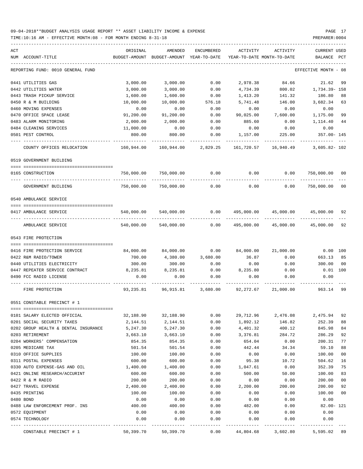| ACT |                                      | ORIGINAL       | AMENDED                                                             | ENCUMBERED        | ACTIVITY       | ACTIVITY                                                     | CURRENT USED                |     |
|-----|--------------------------------------|----------------|---------------------------------------------------------------------|-------------------|----------------|--------------------------------------------------------------|-----------------------------|-----|
|     | NUM ACCOUNT-TITLE                    |                | BUDGET-AMOUNT BUDGET-AMOUNT YEAR-TO-DATE YEAR-TO-DATE MONTH-TO-DATE |                   |                |                                                              | BALANCE                     | PCT |
|     | REPORTING FUND: 0010 GENERAL FUND    |                |                                                                     |                   |                |                                                              | EFFECTIVE MONTH - 08        |     |
|     | 0441 UTILITIES GAS                   | 3,000.00       | 3,000.00                                                            | 0.00              | 2,978.38       | 84.66                                                        | 21.62                       | 99  |
|     | 0442 UTILITIES WATER                 | 3,000.00       | 3,000.00                                                            | 0.00              | 4,734.39       | 800.02                                                       | 1,734.39- 158               |     |
|     | 0443 TRASH PICKUP SERVICE            | 1,600.00       | 1,600.00                                                            | 0.00              | 1,413.20       | 141.32                                                       | 186.80                      | 88  |
|     | 0450 R & M BUILDING                  | 10,000.00      | 10,000.00                                                           | 576.18            | 5,741.48       | 146.00                                                       | 3,682.34                    | 63  |
|     | 0460 MOVING EXPENSES                 | 0.00           | 0.00                                                                | 0.00              | 0.00           | 0.00                                                         | 0.00                        |     |
|     | 0470 OFFICE SPACE LEASE              | 91,200.00      | 91,200.00                                                           | 0.00              | 90,025.00      | 7,600.00                                                     | 1,175.00                    | 99  |
|     | 0483 ALARM MONITORING                | 2,000.00       | 2,000.00                                                            | 0.00              | 885.60         | 0.00                                                         | 1,114.40                    | 44  |
|     | 0484 CLEANING SERVICES               | 11,000.00      | 0.00                                                                | 0.00              | 0.00           | 0.00                                                         | 0.00                        |     |
|     | 0501 PEST CONTROL                    | 800.00         | 800.00                                                              | 0.00              | 1,157.00       | 225.00                                                       | 357.00- 145                 |     |
|     | COUNTY OFFICES RELOCATION            | 160,944.00     | 160,944.00 2,829.25                                                 |                   |                | 161,720.57    16,940.49    3,605.82-102                      |                             |     |
|     | 0519 GOVERNMENT BUILDING             |                |                                                                     |                   |                |                                                              |                             |     |
|     | 0165 CONSTRUCTION                    | 750,000.00     | 750,000.00                                                          | 0.00              |                | $0.00$ 0.00                                                  | 750,000.00                  | 00  |
|     | GOVERNMENT BUILDING                  |                | 750,000.00 750,000.00                                               | ---------<br>0.00 | 0.00           | --------<br>0.00                                             | ----------<br>750,000.00 00 |     |
|     | 0540 AMBULANCE SERVICE               |                |                                                                     |                   |                |                                                              |                             |     |
|     |                                      |                |                                                                     |                   |                |                                                              |                             |     |
|     | 0417 AMBULANCE SERVICE               | 540,000.00     | 540,000.00                                                          | 0.00              |                | 495,000.00 45,000.00 45,000.00 92                            |                             |     |
|     | AMBULANCE SERVICE                    | 540,000.00     | 540,000.00                                                          | 0.00              |                | 495,000.00 45,000.00 45,000.00 92                            |                             |     |
|     | 0543 FIRE PROTECTION                 |                |                                                                     |                   |                |                                                              |                             |     |
|     | 0416 FIRE PROTECTION SERVICE         | 84,000.00      | 84,000.00                                                           |                   |                | $0.00$ $84,000.00$ $21,000.00$                               | $0.00$ 100                  |     |
|     | 0422 R&M RADIO/TOWER                 | 700.00         | 4,380.00                                                            | 3,680.00          | 36.87          | 0.00                                                         | 663.13 85                   |     |
|     | 0440 UTILITIES ELECTRICITY           | 300.00         | 300.00                                                              | 0.00              | 0.00           | 0.00                                                         | 300.00                      | 00  |
|     | 0447 REPEATER SERVICE CONTRACT       | 8,235.81       | 8,235.81                                                            | 0.00              | 8,235.80       | 0.00                                                         | $0.01$ 100                  |     |
|     | 0490 FCC RADIO LICENSE               | 0.00           | 0.00                                                                | 0.00              | 0.00           | 0.00                                                         | 0.00                        |     |
|     | FIRE PROTECTION                      |                |                                                                     |                   |                | 93,235.81    96,915.81    3,680.00    92,272.67    21,000.00 | 963.14 99                   |     |
|     | 0551 CONSTABLE PRECINCT # 1          |                |                                                                     |                   |                |                                                              |                             |     |
|     |                                      |                |                                                                     |                   |                |                                                              |                             |     |
|     | 0101 SALARY ELECTED OFFICIAL         | 32,188.90      | 32,188.90                                                           | 0.00              | 29,712.96      | 2,476.08                                                     | 2,475.94                    | 92  |
|     | 0201 SOCIAL SECURITY TAXES           | 2,144.51       | 2,144.51                                                            | 0.00              | 1,892.12       | 146.82                                                       | 252.39                      | 88  |
|     | 0202 GROUP HEALTH & DENTAL INSURANCE | 5,247.30       | 5,247.30                                                            | 0.00              | 4,401.32       | 400.12                                                       | 845.98                      | 84  |
|     | 0203 RETIREMENT                      | 3,663.10       | 3,663.10                                                            | 0.00              | 3,376.81       | 284.72                                                       | 286.29                      | 92  |
|     | 0204 WORKERS' COMPENSATION           | 854.35         | 854.35                                                              | 0.00              | 654.04         | 0.00                                                         | 200.31                      | 77  |
|     | 0205 MEDICARE TAX                    | 501.54         | 501.54                                                              | 0.00              | 442.44         | 34.34                                                        | 59.10                       | 88  |
|     | 0310 OFFICE SUPPLIES                 | 100.00         | 100.00                                                              | 0.00              | 0.00           | 0.00                                                         | 100.00                      | 00  |
|     | 0311 POSTAL EXPENSES                 | 600.00         | 600.00                                                              | 0.00              | 95.38          | 10.72                                                        | 504.62                      | 16  |
|     | 0330 AUTO EXPENSE-GAS AND OIL        | 1,400.00       | 1,400.00                                                            | 0.00              | 1,047.61       | 0.00                                                         | 352.39                      | 75  |
|     | 0421 ONLINE RESEARCH/ACCURINT        | 600.00         | 600.00                                                              | 0.00              | 500.00         | 50.00                                                        | 100.00                      | 83  |
|     | 0422 R & M RADIO                     | 200.00         | 200.00                                                              | 0.00              | 0.00           | 0.00                                                         | 200.00                      | 00  |
|     | 0427 TRAVEL EXPENSE                  | 2,400.00       | 2,400.00                                                            | 0.00              | 2,200.00       | 200.00                                                       | 200.00                      | 92  |
|     | 0435 PRINTING                        | 100.00         | 100.00                                                              | 0.00              | 0.00           | 0.00                                                         | 100.00                      | 00  |
|     | 0480 BOND                            | 0.00           | 0.00                                                                | 0.00              | 0.00           | 0.00                                                         | 0.00                        |     |
|     | 0488 LAW ENFORCEMENT PROF. INS       | 400.00<br>0.00 | 400.00<br>0.00                                                      | 0.00              | 482.00<br>0.00 | 0.00<br>0.00                                                 | $82.00 - 121$<br>0.00       |     |
|     | 0572 EQUIPMENT<br>0574 TECHNOLOGY    | 0.00           | 0.00                                                                | 0.00<br>0.00      | 0.00           | 0.00                                                         | 0.00                        |     |
|     | CONSTABLE PRECINCT # 1               |                | 50,399.70 50,399.70                                                 | 0.00              | 44,804.68      | 3,602.80                                                     | 5,595.02 89                 |     |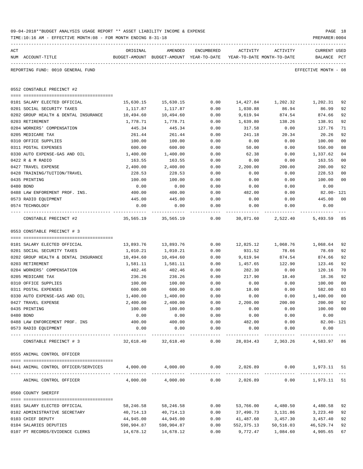|     | 09-04-2018**BUDGET ANALYSIS USAGE REPORT ** ASSET LIABILITY INCOME & EXPENSE<br>TIME:10:16 AM - EFFECTIVE MONTH:08 - FOR MONTH ENDING 8-31-18 |                       |                                                     |                      |                      |                                        | PREPARER: 0004          | PAGE 18        |
|-----|-----------------------------------------------------------------------------------------------------------------------------------------------|-----------------------|-----------------------------------------------------|----------------------|----------------------|----------------------------------------|-------------------------|----------------|
| ACT | NUM ACCOUNT-TITLE                                                                                                                             | ORIGINAL              | AMENDED<br>BUDGET-AMOUNT BUDGET-AMOUNT YEAR-TO-DATE | ENCUMBERED           | ACTIVITY             | ACTIVITY<br>YEAR-TO-DATE MONTH-TO-DATE | CURRENT USED<br>BALANCE | PCT            |
|     | REPORTING FUND: 0010 GENERAL FUND                                                                                                             |                       |                                                     |                      |                      |                                        | EFFECTIVE MONTH - 08    |                |
|     | 0552 CONSTABLE PRECINCT #2                                                                                                                    |                       |                                                     |                      |                      |                                        |                         |                |
|     |                                                                                                                                               |                       |                                                     |                      |                      |                                        |                         |                |
|     | 0101 SALARY ELECTED OFFICIAL                                                                                                                  | 15,630.15             | 15,630.15                                           | 0.00                 |                      | 14,427.84 1,202.32                     | 1,202.31                | 92             |
|     | 0201 SOCIAL SECURITY TAXES                                                                                                                    | 1,117.87              | 1,117.87                                            | 0.00                 | 1,030.88             | 86.94                                  | 86.99                   | 92             |
|     | 0202 GROUP HEALTH & DENTAL INSURANCE<br>0203 RETIREMENT                                                                                       | 10,494.60<br>1,778.71 | 10,494.60<br>1,778.71                               | 0.00<br>0.00         | 9,619.94<br>1,639.80 | 874.54<br>138.26                       | 874.66<br>138.91        | 92<br>92       |
|     | 0204 WORKERS' COMPENSATION                                                                                                                    | 445.34                | 445.34                                              | 0.00                 | 317.58               | 0.00                                   | 127.76                  | 71             |
|     | 0205 MEDICARE TAX                                                                                                                             | 261.44                | 261.44                                              | 0.00                 | 241.18               | 20.34                                  | 20.26                   | 92             |
|     | 0310 OFFICE SUPPLIES                                                                                                                          | 100.00                | 100.00                                              | 0.00                 | 0.00                 | 0.00                                   | 100.00                  | 00             |
|     | 0311 POSTAL EXPENSES                                                                                                                          | 600.00                | 600.00                                              | 0.00                 | 50.00                | 0.00                                   | 550.00                  | 08             |
|     | 0330 AUTO EXPENSE-GAS AND OIL                                                                                                                 | 1,400.00              | 1,400.00                                            | 0.00                 | 62.38                | 0.00                                   | 1,337.62                | 04             |
|     | 0422 R & M RADIO                                                                                                                              | 163.55                | 163.55                                              | 0.00                 | 0.00                 | 0.00                                   | 163.55                  | 00             |
|     | 0427 TRAVEL EXPENSE                                                                                                                           | 2,400.00              | 2,400.00                                            | 0.00                 | 2,200.00             | 200.00                                 | 200.00                  | 92             |
|     | 0428 TRAINING/TUITION/TRAVEL                                                                                                                  | 228.53                | 228.53                                              | 0.00                 | 0.00                 | 0.00                                   | 228.53                  | 0 <sub>0</sub> |
|     | 0435 PRINTING                                                                                                                                 | 100.00                | 100.00                                              | 0.00                 | 0.00                 | 0.00                                   | 100.00                  | 00             |
|     | 0480 BOND                                                                                                                                     | 0.00                  | 0.00                                                | 0.00                 | 0.00                 | 0.00                                   | 0.00                    |                |
|     | 0488 LAW ENFOREMENT PROF. INS.                                                                                                                | 400.00                | 400.00                                              | 0.00                 | 482.00               | 0.00                                   | 82.00- 121              |                |
|     | 0573 RADIO EQUIPMENT                                                                                                                          | 445.00                | 445.00                                              | 0.00                 | 0.00                 | 0.00                                   | 445.00                  | 00             |
|     | 0574 TECHNOLOGY                                                                                                                               | 0.00                  | 0.00                                                | 0.00                 | 0.00                 | 0.00                                   | 0.00                    |                |
|     | CONSTABLE PRECINCT #2                                                                                                                         | 35,565.19             | 35,565.19                                           | 0.00                 |                      | 30,071.60 2,522.40                     | 5,493.59 85             |                |
|     | 0553 CONSTABLE PRECINCT # 3                                                                                                                   |                       |                                                     |                      |                      |                                        |                         |                |
|     | 0101 SALARY ELECTED OFFICIAL                                                                                                                  | 13,893.76             | 13,893.76                                           | 0.00                 |                      | 12,825.12 1,068.76                     | 1,068.64                | 92             |
|     | 0201 SOCIAL SECURITY TAXES                                                                                                                    | 1,010.21              | 1,010.21                                            | 0.00                 | 931.52               | 78.66                                  | 78.69                   | 92             |
|     | 0202 GROUP HEALTH & DENTAL INSURANCE                                                                                                          | 10,494.60             | 10,494.60                                           | 0.00                 | 9,619.94             | 874.54                                 | 874.66                  | 92             |
|     | 0203 RETIREMENT                                                                                                                               | 1,581.11              | 1,581.11                                            | 0.00                 | 1,457.65             | 122.90                                 | 123.46                  | 92             |
|     | 0204 WORKERS' COMPENSATION                                                                                                                    | 402.46                | 402.46                                              | 0.00                 | 282.30               | 0.00                                   | 120.16                  | 70             |
|     | 0205 MEDICARE TAX                                                                                                                             | 236.26                | 236.26                                              | 0.00                 | 217.90               | 18.40                                  | 18.36                   | 92             |
|     | 0310 OFFICE SUPPLIES                                                                                                                          | 100.00                | 100.00                                              | 0.00                 | 0.00                 | 0.00                                   | 100.00                  | 00             |
|     | 0311 POSTAL EXPENSES                                                                                                                          | 600.00                | 600.00                                              | 0.00                 | 18.00                | 0.00                                   | 582.00                  | 03             |
|     | 0330 AUTO EXPENSE-GAS AND OIL                                                                                                                 | 1,400.00              | 1,400.00                                            | 0.00                 | 0.00                 | 0.00                                   | 1,400.00                | 00             |
|     | 0427 TRAVEL EXPENSE                                                                                                                           | 2,400.00              | 2,400.00                                            | 0.00                 | 2,200.00             | 200.00                                 | 200.00                  | 92             |
|     | 0435 PRINTING                                                                                                                                 | 100.00                | 100.00                                              | 0.00                 | 0.00                 | 0.00                                   | 100.00                  | 00             |
|     | 0480 BOND                                                                                                                                     | 0.00                  | 0.00                                                | 0.00                 | 0.00                 | 0.00                                   | 0.00                    |                |
|     | 0488 LAW ENFORCEMENT PROF. INS                                                                                                                | 400.00                | 400.00                                              | 0.00                 | 482.00               | 0.00                                   | $82.00 - 121$           |                |
|     | 0573 RADIO EQUIPMENT                                                                                                                          | 0.00                  | 0.00<br>-------------                               | 0.00<br>------------ | 0.00                 | 0.00<br>----------- ------------       | 0.00                    |                |
|     | CONSTABLE PRECINCT # 3                                                                                                                        |                       | 32,618.40 32,618.40                                 | 0.00                 |                      | 28,034.43 2,363.26 4,583.97 86         |                         |                |
|     | 0555 ANIMAL CONTROL OFFICER                                                                                                                   |                       |                                                     |                      |                      |                                        |                         |                |
|     |                                                                                                                                               |                       |                                                     |                      |                      |                                        |                         |                |
|     | 0441 ANIMAL CONTROL OFFICER/SERVICES $4,000.00$ $4,000.00$ 0.00 $2,026.89$ 0.00 1,973.11 51                                                   |                       |                                                     |                      |                      |                                        |                         |                |
|     | ANIMAL CONTROL OFFICER                                                                                                                        |                       | 4,000.00 4,000.00                                   | 0.00                 |                      | 2,026.89                               | $0.00$ 1,973.11 51      |                |
|     | 0560 COUNTY SHERIFF                                                                                                                           |                       |                                                     |                      |                      |                                        |                         |                |
|     | 0101 SALARY ELECTED OFFICIAL                                                                                                                  | 58,246.58             | 58,246.58                                           | 0.00                 |                      | 53,766.00 4,480.50                     | 4,480.58                | 92             |
|     | 0102 ADMINISTRATIVE SECRETARY                                                                                                                 | 40,714.13             | 40,714.13                                           | 0.00                 | 37,490.73            | 3,131.86                               | 3,223.40                | 92             |
|     | 0103 CHIEF DEPUTY                                                                                                                             | 44,945.00             | 44,945.00                                           | 0.00                 | 41,487.60            | 3,457.30                               | 3,457.40                | 92             |
|     | 0104 SALARIES DEPUTIES                                                                                                                        | 598,904.87            | 598,904.87                                          | 0.00                 | 552,375.13           | 50,516.03                              | 46,529.74               | 92             |
|     | 0107 PT RECORDS/EVIDENCE CLERKS                                                                                                               | 14,678.12             | 14,678.12                                           | 0.00                 |                      | 9,772.47 1,084.60                      | 4,905.65                | 67             |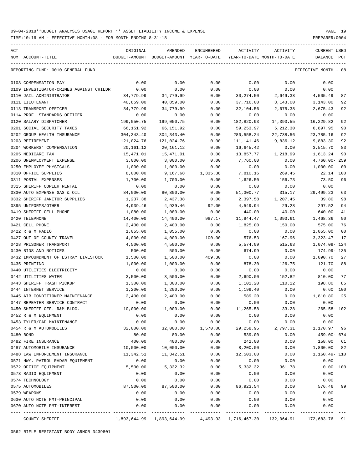TIME:10:16 AM - EFFECTIVE MONTH:08 - FOR MONTH ENDING 8-31-18 PREPARER:0004

| ACT |                                         | ORIGINAL    | AMENDED                                  | ENCUMBERED | ACTIVITY                 | ACTIVITY                   | CURRENT USED         |              |
|-----|-----------------------------------------|-------------|------------------------------------------|------------|--------------------------|----------------------------|----------------------|--------------|
|     | NUM ACCOUNT-TITLE                       |             | BUDGET-AMOUNT BUDGET-AMOUNT YEAR-TO-DATE |            |                          | YEAR-TO-DATE MONTH-TO-DATE | BALANCE              | $_{\rm PCT}$ |
|     | REPORTING FUND: 0010 GENERAL FUND       |             |                                          |            |                          |                            | EFFECTIVE MONTH - 08 |              |
|     | 0108 COMPENSATION PAY                   | 0.00        | 0.00                                     | 0.00       | 0.00                     | 0.00                       | 0.00                 |              |
|     | 0109 INVESTIGATOR-CRIMES AGAINST CHILDR | 0.00        | 0.00                                     | 0.00       | 0.00                     | 0.00                       | 0.00                 |              |
|     | 0110 JAIL ADMINISTRATOR                 | 34,779.99   | 34,779.99                                | 0.00       | 30,274.50                | 2,649.38                   | 4,505.49             | 87           |
|     | 0111 LIEUTENANT                         | 40,859.00   | 40,859.00                                | 0.00       | 37,716.00                | 3,143.00                   | 3,143.00             | 92           |
|     | 0113 TRANSPORT OFFICER                  | 34,779.99   | 34,779.99                                | 0.00       | 32,104.56                | 2,675.38                   | 2,675.43             | 92           |
|     | 0114 PROF. STANDARDS OFFICER            | 0.00        | 0.00                                     | 0.00       | 0.00                     | 0.00                       | 0.00                 |              |
|     | 0120 SALARY DISPATCHER                  | 199,050.75  | 199,050.75                               | 0.00       | 182,820.93               | 14,393.55                  | 16,229.82            | 92           |
|     | 0201 SOCIAL SECURITY TAXES              | 66,151.92   | 66,151.92                                | 0.00       | 59,253.97                | 5,212.30                   | 6,897.95             | 90           |
|     | 0202 GROUP HEALTH INSURANCE             | 304, 343.40 | 304,343.40                               | 0.00       | 280,558.24               | 22,738.56                  | 23,785.16            | 92           |
|     | 0203 RETIREMENT                         | 121,024.76  | 121,024.76                               | 0.00       | 111,141.46               | 9,836.12                   | 9,883.30             | 92           |
|     | 0204 WORKERS' COMPENSATION              | 20,161.12   | 20,161.12                                | 0.00       | 16,645.42                | 0.00                       | 3,515.70             | 83           |
|     | 0205 MEDICARE TAX                       | 15,471.01   | 15,471.01                                | 0.00       | 13,857.77                | 1,218.99                   | 1,613.24             | 90           |
|     | 0206 UNEMPLOYMENT EXPENSE               | 3,000.00    | 3,000.00                                 | 0.00       | 7,760.00                 | 0.00                       | 4,760.00-259         |              |
|     | 0250 EMPLOYEE PHYSICALS                 | 1,000.00    | 1,000.00                                 | 0.00       | 0.00                     | 0.00                       | 1,000.00             | 00           |
|     | 0310 OFFICE SUPPLIES                    | 8,000.00    | 9,167.68                                 | 1,335.38   | 7,810.16                 | 269.45                     | 22.14                | 100          |
|     | 0311 POSTAL EXPENSES                    | 1,700.00    | 1,700.00                                 | 0.00       | 1,626.50                 | 156.73                     | 73.50                | 96           |
|     | 0315 SHERIFF COPIER RENTAL              | 0.00        | 0.00                                     | 0.00       | 0.00                     | 0.00                       | 0.00                 |              |
|     | 0330 AUTO EXPENSE GAS & OIL             | 84,000.00   | 80,800.00                                | 0.00       | 51,300.77                | 315.17                     | 29,499.23            | 63           |
|     | 0332 SHERIFF JANITOR SUPPLIES           | 1,237.38    | 2,437.38                                 | 0.00       | 2,397.58                 | 1,207.45                   | 39.80                | 98           |
|     | 0395 UNIFORMS/OTHER                     |             | 4,939.46                                 |            | 4,549.94                 |                            | 297.52               | 94           |
|     |                                         | 4,939.46    |                                          | 92.00      |                          | 29.28                      |                      |              |
|     | 0419 SHERIFF CELL PHONE                 | 1,080.00    | 1,080.00                                 | 0.00       | 440.00                   | 40.00                      | 640.00               | 41           |
|     | 0420 TELEPHONE                          | 14,400.00   | 14,400.00                                | 987.17     | 11,944.47                | 1,093.61                   | 1,468.36             | 90           |
|     | 0421 CELL PHONE                         | 2,400.00    | 2,400.00                                 | 0.00       | 1,825.00                 | 150.00                     | 575.00               | 76           |
|     | 0422 R & M RADIO                        | 1,055.00    | 1,055.00                                 | 0.00       | 0.00                     | 0.00                       | 1,055.00             | 00           |
|     | 0427 OUT OF COUNTY TRAVEL               | 4,000.00    | 4,000.00                                 | 100.00     | 576.53                   | 167.96                     | 3,323.47             | 17           |
|     | 0428 PRISONER TRANSPORT                 | 4,500.00    | 4,500.00                                 | 0.00       | 5,574.09                 | 515.63                     | 1,074.09- 124        |              |
|     | 0430 BIDS AND NOTICES                   | 500.00      | 500.00                                   | 0.00       | 674.99                   | 0.00                       | 174.99- 135          |              |
|     | 0432 IMPOUNDMENT OF ESTRAY LIVESTOCK    | 1,500.00    | 1,500.00                                 | 409.30     | 0.00                     | 0.00                       | 1,090.70             | 27           |
|     | 0435 PRINTING                           | 1,000.00    | 1,000.00                                 | 0.00       | 878.30                   | 126.75                     | 121.70               | 88           |
|     | 0440 UTILITIES ELECTRICITY              | 0.00        | 0.00                                     | 0.00       | 0.00                     | 0.00                       | 0.00                 |              |
|     | 0442 UTILITIES WATER                    | 3,500.00    | 3,500.00                                 | 0.00       | 2,690.00                 | 152.82                     | 810.00               | 77           |
|     | 0443 SHERIFF TRASH PICKUP               | 1,300.00    | 1,300.00                                 | 0.00       | 1,101.20                 | 110.12                     | 198.80               | 85           |
|     | 0444 INTERNET SERVICE                   | 1,200.00    | 1,200.00                                 | 0.00       | 1,199.40                 | 0.00                       | 0.60 100             |              |
|     | 0445 AIR CONDITIONER MAINTENANCE        | 2,400.00    | 2,400.00                                 | 0.00       | 589.20                   | 0.00                       | 1,810.80             | 25           |
|     | 0447 REPEATER SERVICE CONTRACT          | 0.00        | 0.00                                     | 0.00       | 0.00                     | 0.00                       | 0.00                 |              |
|     | 0450 SHERIFF OFF. R&M BLDG.             | 10,000.00   | 11,000.00                                | 0.00       | 11,265.58                | 33.28                      | $265.58 - 102$       |              |
|     | 0452 R & M EQUIPMENT                    | 0.00        | 0.00                                     | 0.00       | 0.00                     | 0.00                       | 0.00                 |              |
|     | 0453 TYLER/CAD MAINTENANCE              | 0.00        | 0.00                                     | 0.00       | 0.00                     | 0.00                       | 0.00                 |              |
|     | 0454 R & M AUTOMOBILES                  | 32,000.00   | 32,000.00                                | 1,570.08   | 29,258.95                | 2,797.31                   | 1,170.97             | 96           |
|     | 0480 BOND                               | 80.00       | 80.00                                    | 0.00       | 539.00                   | 0.00                       | 459.00- 674          |              |
|     | 0482 FIRE INSURANCE                     | 400.00      | 400.00                                   | 0.00       | 242.00                   | 0.00                       | 158.00               | 61           |
|     | 0487 AUTOMOBILE INSURANCE               | 10,000.00   | 10,000.00                                | 0.00       | 8,200.00                 | 0.00                       | 1,800.00             | 82           |
|     | 0488 LAW ENFORCEMENT INSURANCE          | 11,342.51   | 11,342.51                                | 0.00       | 12,503.00                | 0.00                       | 1,160.49- 110        |              |
|     | 0571 HWY. PATROL RADAR EQUIPMENT        | 0.00        | 0.00                                     | 0.00       | 0.00                     | 0.00                       | 0.00                 |              |
|     | 0572 OFFICE EQUIPMENT                   | 5,500.00    | 5,332.32                                 | 0.00       | 5,332.32                 | 361.78                     | 0.00                 | 100          |
|     | 0573 RADIO EQUIPMENT                    | 0.00        | 0.00                                     | 0.00       | 0.00                     | 0.00                       | 0.00                 |              |
|     | 0574 TECHNOLOGY                         | 0.00        | 0.00                                     | 0.00       | 0.00                     | 0.00                       | 0.00                 |              |
|     | 0575 AUTOMOBILES                        | 87,500.00   | 87,500.00                                | 0.00       | 86,923.54                | 0.00                       | 576.46               | 99           |
|     | 0579 WEAPONS                            | 0.00        | 0.00                                     | 0.00       | 0.00                     | 0.00                       | 0.00                 |              |
|     | 0630 AUTO NOTE PMT-PRINCIPAL            | 0.00        | 0.00                                     | 0.00       | 0.00                     | 0.00                       | 0.00                 |              |
|     | 0670 AUTO NOTE PMT-INTEREST             | 0.00        | 0.00                                     | 0.00       | 0.00                     | 0.00                       | 0.00                 |              |
|     |                                         |             |                                          |            |                          |                            |                      |              |
|     | COUNTY SHERIFF                          |             | 1,893,644.99 1,893,644.99                |            | 4, 493.93 1, 716, 467.30 | 132,064.91                 | 172,683.76 91        |              |

0562 RIFLE RESISTANT BODY ARMOR 3439801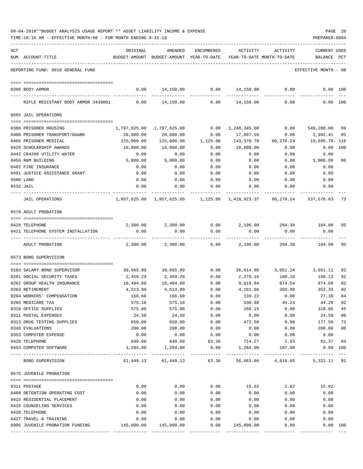| 09-04-2018**BUDGET ANALYSIS USAGE REPORT ** ASSET LIABILITY INCOME & EXPENSE |  |  |  | PAGE | 20 |
|------------------------------------------------------------------------------|--|--|--|------|----|
|                                                                              |  |  |  |      |    |

| ACT |                                                            | ORIGINAL                  | AMENDED                                                   | ENCUMBERED     | ACTIVITY                  | ACTIVITY                   | <b>CURRENT USED</b>       |              |
|-----|------------------------------------------------------------|---------------------------|-----------------------------------------------------------|----------------|---------------------------|----------------------------|---------------------------|--------------|
|     | NUM ACCOUNT-TITLE                                          |                           | BUDGET-AMOUNT BUDGET-AMOUNT YEAR-TO-DATE                  |                |                           | YEAR-TO-DATE MONTH-TO-DATE | BALANCE                   | $_{\rm PCT}$ |
|     |                                                            |                           |                                                           |                |                           |                            |                           |              |
|     | REPORTING FUND: 0010 GENERAL FUND                          |                           |                                                           |                |                           |                            | EFFECTIVE MONTH - 08      |              |
|     |                                                            |                           |                                                           |                |                           |                            |                           |              |
|     | 0396 BODY ARMOR                                            | 0.00                      | 14,150.00                                                 | 0.00           | 14,150.00                 | 0.00                       |                           | 0.00 100     |
|     |                                                            |                           |                                                           |                |                           |                            |                           |              |
|     | RIFLE RESISTANT BODY ARMOR 3439801                         | 0.00                      | 14,150.00                                                 | 0.00           | 14,150.00                 | 0.00                       |                           | 0.00 100     |
|     | 0565 JAIL OPERATIONS                                       |                           |                                                           |                |                           |                            |                           |              |
|     |                                                            |                           |                                                           |                |                           |                            |                           |              |
|     | 0380 PRISONER HOUSING<br>0400 PRISONER TRANSPORT/GUARD     | 1,797,625.00<br>20,000.00 | 1,797,625.00<br>20,000.00                                 | 0.00<br>0.00   | 1,248,345.00<br>17,007.59 | 0.00<br>0.00               | 549,280.00 69<br>2,992.41 | 85           |
|     | 0405 PRISONER MEDICAL                                      | 125,000.00                | 125,000.00                                                | 1,125.00       | 143,570.78                | 60,278.24                  | 19,695.78– 116            |              |
|     | 0429 SCHOLARSHIP AWARDS                                    | 10,000.00                 | 10,000.00                                                 | 0.00           | 10,000.00                 | 0.00                       | 0.00                      | 100          |
|     | 0442 CR4200 UTILITY WATER                                  | 0.00                      | 0.00                                                      | 0.00           | 0.00                      | 0.00                       | 0.00                      |              |
|     | 0450 R&M BUILDING                                          | 5,000.00                  | 5,000.00                                                  | 0.00           | 0.00                      | 0.00                       | 5,000.00                  | 00           |
|     | 0482 FIRE INSURANCE                                        | 0.00                      | 0.00                                                      | 0.00           | 0.00                      | 0.00                       | 0.00                      |              |
|     | 0491 JUSTICE ASSISTANCE GRANT                              | 0.00                      | 0.00                                                      | 0.00           | 0.00                      | 0.00                       | 0.00                      |              |
|     | 0500 LAND                                                  | 0.00                      | 0.00                                                      | 0.00           | 0.00                      | 0.00                       | 0.00                      |              |
|     | 0532 JAIL                                                  | 0.00                      | 0.00                                                      | 0.00           | 0.00                      | 0.00                       | 0.00                      |              |
|     |                                                            |                           |                                                           |                |                           |                            |                           |              |
|     | <b>JAIL OPERATIONS</b>                                     |                           | 1,957,625.00 1,957,625.00 1,125.00 1,418,923.37 60,278.24 |                |                           |                            | 537,576.63 73             |              |
|     | 0570 ADULT PROBATION                                       |                           |                                                           |                |                           |                            |                           |              |
|     |                                                            |                           |                                                           |                |                           |                            |                           |              |
|     | 0420 TELEPHONE                                             | 2,300.00                  | 2,300.00                                                  | 0.00           |                           | 2,196.00 204.39 104.00     |                           | 95           |
|     | 0421 TELEPHONE SYSTEM INSTALLATION                         | 0.00                      | 0.00                                                      | 0.00           | 0.00                      | 0.00                       | 0.00                      |              |
|     | ADULT PROBATION                                            | 2,300.00                  | 2,300.00                                                  | 0.00           | 2,196.00                  | 204.39                     | 104.00                    | 95           |
|     | 0573 BOND SUPERVISION                                      |                           |                                                           |                |                           |                            |                           |              |
|     |                                                            |                           |                                                           |                |                           |                            |                           |              |
|     | 0103 SALARY-BOND SUPERVISOR                                | 39,665.99                 | 39,665.99                                                 | 0.00           | 36,614.88                 | 3,051.24                   | 3,051.11                  | 92           |
|     | 0201 SOCIAL SECURITY TAXES                                 | 2,459.29                  | 2,459.29                                                  | 0.00           | 2,270.16                  | 189.18                     | 189.13                    | 92           |
|     | 0202 GROUP HEALTH INSURANCE                                | 10,494.60                 | 10,494.60                                                 | 0.00           | 9,619.94                  | 874.54                     | 874.66                    | 92           |
|     | 0203 RETIREMENT                                            | 4,513.99                  | 4,513.99                                                  | 0.00           | 4,161.66                  | 350.90                     | 352.33                    | 92           |
|     | 0204 WORKERS' COMPENSATION                                 | 166.60                    | 166.60                                                    | 0.00           | 139.22                    | 0.00                       | 27.38                     | 84           |
|     | 0205 MEDICARE TAX                                          | 575.16                    | 575.16                                                    | 0.00           | 530.88                    | 44.24                      | 44.28                     | 92           |
|     | 0310 OFFICE SUPPLIES                                       | 575.00                    | 575.00                                                    | 0.00           | 256.15                    | 0.00                       | 318.85                    | 45           |
|     | 0311 POSTAL EXPENSES                                       | 24.50                     | 24.50                                                     | 0.00           | 0.00                      | 0.00                       | 24.50                     | $00\,$       |
|     | 0313 DRUG TESTING SUPPLIES                                 | 650.00                    | 650.00                                                    | 0.00           | 472.50                    | 0.00                       | 177.50                    | 73           |
|     | 0340 EVALUATIONS                                           | 200.00                    | 200.00                                                    | 0.00           | 0.00                      | 0.00                       | 200.00                    | 00           |
|     | 0353 COMPUTER EXPENSE                                      | 0.00                      | 0.00                                                      | 0.00           | 0.00                      | 0.00                       | 0.00                      |              |
|     | 0420 TELEPHONE                                             | 840.00                    | 840.00                                                    | 63.36          | 714.27                    | 1.55                       | 62.37                     | 93           |
|     | 0453 COMPUTER SOFTWARE<br>------------------ ------------- | 1,284.00                  | 1,284.00<br>------------                                  | 0.00<br>------ | 1,284.00<br>----------    | 107.00                     | $0.00$ 100<br>----------- |              |
|     | BOND SUPERVISION                                           | 61,449.13                 | 61,449.13                                                 | 63.36          | 56,063.66                 | 4,618.65                   | 5, 322. 11 91             |              |
|     | 0575 JUVENILE PROBATION                                    |                           |                                                           |                |                           |                            |                           |              |
|     | 0311 POSTAGE                                               | 0.00                      | 0.00                                                      | 0.00           | 15.02                     | 2.82                       | $15.02-$                  |              |
|     | 0408 DETENTION OPERATING COST                              | 0.00                      | 0.00                                                      | 0.00           | 0.00                      | 0.00                       | 0.00                      |              |
|     | 0415 RESIDENTIAL PLACEMENT                                 | 0.00                      | 0.00                                                      | 0.00           | 0.00                      | 0.00                       | 0.00                      |              |
|     | 0416 COUNSELING SERVICES                                   | 0.00                      | 0.00                                                      | 0.00           | 0.00                      | 0.00                       | 0.00                      |              |
|     | 0420 TELEPHONE                                             | 0.00                      | 0.00                                                      | 0.00           | 0.00                      | 0.00                       | 0.00                      |              |
|     | 0427 TRAVEL & TRAINING                                     | 0.00                      | 0.00                                                      | 0.00           | 0.00                      | 0.00                       | 0.00                      |              |
|     | 0995 JUVENILE PROBATION FUNDING                            | 145,000.00                | 145,000.00                                                | 0.00           | 145,000.00                | 0.00                       |                           | 0.00 100     |
|     |                                                            |                           |                                                           |                |                           |                            |                           |              |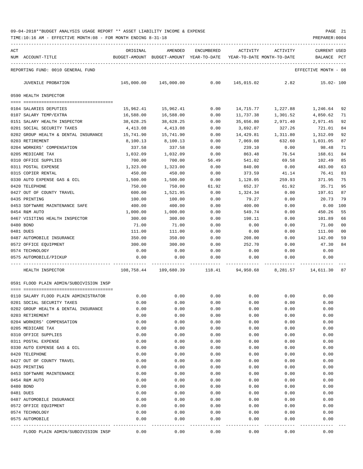| ACT |                                               | ORIGINAL         | AMENDED                    | ENCUMBERED    | ACTIVITY                   | ACTIVITY      | <b>CURRENT USED</b>  |          |
|-----|-----------------------------------------------|------------------|----------------------------|---------------|----------------------------|---------------|----------------------|----------|
| NUM | ACCOUNT-TITLE                                 | BUDGET-AMOUNT    | BUDGET-AMOUNT YEAR-TO-DATE |               | YEAR-TO-DATE MONTH-TO-DATE |               | BALANCE              | PCT      |
|     | REPORTING FUND: 0010 GENERAL FUND             |                  |                            |               |                            |               | EFFECTIVE MONTH - 08 |          |
|     | JUVENILE PROBATION                            | 145,000.00       | 145,000.00                 | 0.00          | 145,015.02                 | 2.82          | $15.02 - 100$        |          |
|     | 0590 HEALTH INSPECTOR                         |                  |                            |               |                            |               |                      |          |
|     |                                               |                  |                            |               |                            |               |                      |          |
|     | 0104 SALARIES DEPUTIES                        | 15,962.41        | 15,962.41                  | 0.00          | 14,715.77                  | 1,227.88      | 1,246.64 92          |          |
|     | 0107 SALARY TEMP/EXTRA                        | 16,588.00        | 16,588.00                  | 0.00          | 11,737.38                  | 1,301.52      | 4,850.62             | 71       |
|     | 0151 SALARY HEALTH INSPECTOR                  | 38,628.25        | 38,628.25                  | 0.00          | 35,656.80                  | 2,971.40      | 2,971.45             | 92       |
|     | 0201 SOCIAL SECURITY TAXES                    | 4,413.08         | 4,413.08                   | 0.00          | 3,692.07                   | 327.26        | 721.01               | 84       |
|     | 0202 GROUP HEALTH & DENTAL INSURANCE          | 15,741.90        | 15,741.90                  | 0.00          | 14,429.81                  | 1,311.80      | 1,312.09             | 92       |
|     | 0203 RETIREMENT                               | 8,100.13         | 8,100.13                   | 0.00          | 7,069.08                   | 632.60        | 1,031.05             | 87       |
|     | 0204 WORKERS' COMPENSATION                    | 337.58           | 337.58                     | 0.00          | 239.10                     | 0.00          | 98.48                | 71       |
|     | 0205 MEDICARE TAX                             | 1,032.09         | 1,032.09                   | 0.00          | 863.48                     | 76.54         | 168.61               | 84       |
|     | 0310 OFFICE SUPPLIES                          | 700.00           | 700.00                     | 56.49         | 541.02                     | 69.58         | 102.49               | 85       |
|     | 0311 POSTAL EXPENSE                           | 1,323.00         | 1,323.00<br>450.00         | 0.00          | 840.00                     | 0.00          | 483.00               | 63       |
|     | 0315 COPIER RENTAL                            | 450.00           |                            | 0.00          | 373.59                     | 41.14         | 76.41                | 83       |
|     | 0330 AUTO EXPENSE GAS & OIL<br>0420 TELEPHONE | 1,500.00         | 1,500.00                   | 0.00          | 1,128.05                   | 259.93        | 371.95<br>35.71      | 75       |
|     | 0427 OUT OF COUNTY TRAVEL                     | 750.00<br>600.00 | 750.00<br>1,521.95         | 61.92<br>0.00 | 652.37<br>1,324.34         | 61.92<br>0.00 | 197.61               | 95<br>87 |
|     | 0435 PRINTING                                 | 100.00           | 100.00                     | 0.00          | 79.27                      | 0.00          | 20.73                | 79       |
|     | 0453 SOFTWARE MAINTENANCE SAFE                | 400.00           | 400.00                     | 0.00          | 400.00                     | 0.00          | 0.00                 | 100      |
|     | 0454 R&M AUTO                                 | 1,000.00         | 1,000.00                   | 0.00          | 549.74                     | 0.00          | 450.26               | 55       |
|     | 0467 VISITING HEALTH INSPECTOR                | 300.00           | 300.00                     | 0.00          | 198.11                     | 0.00          | 101.89               | 66       |
|     | 0480 BOND                                     | 71.00            | 71.00                      | 0.00          | 0.00                       | 0.00          | 71.00                | 00       |
|     | 0481 DUES                                     | 111.00           | 111.00                     | 0.00          | 0.00                       | 0.00          | 111.00               | 00       |
|     | 0487 AUTOMOBILE INSURANCE                     | 350.00           | 350.00                     | 0.00          | 208.00                     | 0.00          | 142.00               | 59       |
|     | 0572 OFFICE EQUIPMENT                         | 300.00           | 300.00                     | 0.00          | 252.70                     | 0.00          | 47.30                | 84       |
|     | 0574 TECHNOLOGY                               | 0.00             | 0.00                       | 0.00          | 0.00                       | 0.00          | 0.00                 |          |
|     | 0575 AUTOMOBILE/PICKUP                        | 0.00             | 0.00                       | 0.00          | 0.00                       | 0.00          | 0.00                 |          |
|     | HEALTH INSPECTOR                              |                  | 108,758.44 109,680.39      | 118.41        | 94,950.68                  |               | 8, 281.57 14, 611.30 | 87       |
|     |                                               |                  |                            |               |                            |               |                      |          |
|     | 0591 FLOOD PLAIN ADMIN/SUBDIVISION INSP       |                  |                            |               |                            |               |                      |          |
|     | 0110 SALARY FLOOD PLAIN ADMINISTRATOR         | 0.00             | 0.00                       | 0.00          | 0.00                       | 0.00          | 0.00                 |          |
|     | 0201 SOCIAL SECURITY TAXES                    | 0.00             | 0.00                       | 0.00          | 0.00                       | 0.00          | 0.00                 |          |
|     | 0202 GROUP HEALTH & DENTAL INSURANCE          | 0.00             | 0.00                       | 0.00          | 0.00                       | 0.00          | 0.00                 |          |
|     | 0203 RETIREMENT                               | 0.00             | 0.00                       | 0.00          | 0.00                       | 0.00          | 0.00                 |          |
|     | 0204 WORKERS' COMPENSATION                    | 0.00             | 0.00                       | 0.00          | 0.00                       | 0.00          | 0.00                 |          |
|     | 0205 MEDICARE TAX                             | 0.00             | 0.00                       | 0.00          | 0.00                       | 0.00          | 0.00                 |          |
|     | 0310 OFFICE SUPPLIES                          | 0.00             | 0.00                       | 0.00          | 0.00                       | 0.00          | 0.00                 |          |
|     | 0311 POSTAL EXPENSE                           | 0.00             | 0.00                       | 0.00          | 0.00                       | 0.00          | 0.00                 |          |
|     | 0330 AUTO EXPENSE GAS & OIL                   | 0.00             | 0.00                       | 0.00          | 0.00                       | 0.00          | 0.00                 |          |
|     | 0420 TELEPHONE                                | 0.00             | 0.00                       | 0.00          | 0.00                       | 0.00          | 0.00                 |          |
|     | 0427 OUT OF COUNTY TRAVEL                     | 0.00             | 0.00                       | 0.00          | 0.00                       | 0.00          | 0.00                 |          |
|     | 0435 PRINTING                                 | 0.00             | 0.00                       | 0.00          | 0.00                       | 0.00          | 0.00                 |          |
|     | 0453 SOFTWARE MAINTENANCE                     | 0.00             | 0.00                       | 0.00          | 0.00                       | 0.00          | 0.00                 |          |
|     | 0454 R&M AUTO                                 | 0.00             | 0.00                       | 0.00          | 0.00                       | 0.00          | 0.00                 |          |
|     | 0480 BOND                                     | 0.00             | 0.00                       | 0.00          | 0.00                       | 0.00          | 0.00                 |          |
|     | 0481 DUES                                     | 0.00             | 0.00                       | 0.00          | 0.00                       | 0.00          | 0.00                 |          |
|     | 0487 AUTOMOBILE INSURANCE                     | 0.00             | 0.00                       | 0.00          | 0.00                       | 0.00          | 0.00                 |          |
|     | 0572 OFFICE EQUIPMENT                         | 0.00             | 0.00                       | 0.00          | 0.00                       | 0.00          | 0.00                 |          |
|     | 0574 TECHNOLOGY                               | 0.00             | 0.00                       | 0.00          | 0.00                       | 0.00          | 0.00                 |          |
|     | 0575 AUTOMOBILE                               | 0.00             | 0.00                       | 0.00          | 0.00                       | 0.00          | 0.00                 |          |
|     | FLOOD PLAIN ADMIN/SUBDIVISION INSP            | 0.00             | 0.00                       | 0.00          | 0.00                       | 0.00          | 0.00                 |          |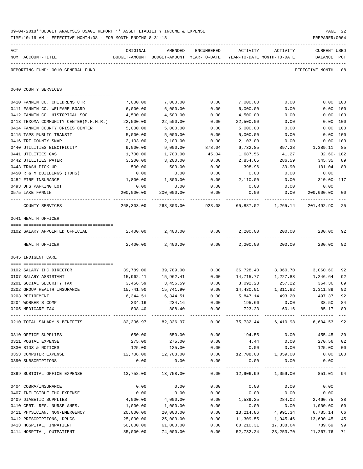|     | 09-04-2018**BUDGET ANALYSIS USAGE REPORT ** ASSET LIABILITY INCOME & EXPENSE<br>TIME:10:16 AM - EFFECTIVE MONTH:08 - FOR MONTH ENDING 8-31-18 |                         |                                                     |               |                                        |                                                 | PREPARER: 0004                 | PAGE 22  |
|-----|-----------------------------------------------------------------------------------------------------------------------------------------------|-------------------------|-----------------------------------------------------|---------------|----------------------------------------|-------------------------------------------------|--------------------------------|----------|
| ACT | NUM ACCOUNT-TITLE                                                                                                                             | ORIGINAL                | AMENDED<br>BUDGET-AMOUNT BUDGET-AMOUNT YEAR-TO-DATE | ENCUMBERED    | ACTIVITY<br>YEAR-TO-DATE MONTH-TO-DATE | ACTIVITY                                        | CURRENT USED<br><b>BALANCE</b> | PCT      |
|     | REPORTING FUND: 0010 GENERAL FUND                                                                                                             |                         |                                                     |               |                                        |                                                 | EFFECTIVE MONTH - 08           |          |
|     | 0640 COUNTY SERVICES                                                                                                                          |                         |                                                     |               |                                        |                                                 |                                |          |
|     |                                                                                                                                               |                         |                                                     |               |                                        |                                                 |                                |          |
|     | 0410 FANNIN CO. CHILDRENS CTR                                                                                                                 | 7,000.00                | 7,000.00                                            | 0.00          | 7,000.00                               | 0.00                                            | 0.00 100                       |          |
|     | 0411 FANNIN CO. WELFARE BOARD                                                                                                                 | 6,000.00                | 6,000.00                                            | 0.00          | 6,000.00                               | 0.00                                            | 0.00 100                       |          |
|     | 0412 FANNIN CO. HISTORICAL SOC                                                                                                                | 4,500.00                | 4,500.00                                            | 0.00          | 4,500.00                               | 0.00                                            | 0.00 100                       |          |
|     | 0413 TEXOMA COMMUNITY CENTER(M.H.M.R.)                                                                                                        | 22,500.00               | 22,500.00                                           | 0.00          | 22,500.00                              | 0.00                                            | 0.00 100                       |          |
|     | 0414 FANNIN COUNTY CRISIS CENTER                                                                                                              | 5,000.00                | 5,000.00                                            | 0.00          | 5,000.00                               | 0.00                                            | 0.00 100                       |          |
|     | 0415 TAPS PUBLIC TRANSIT                                                                                                                      | 5,000.00                | 5,000.00                                            | 0.00          | 5,000.00                               | 0.00                                            | 0.00 100                       |          |
|     | 0416 TRI-COUNTY SNAP                                                                                                                          | 2,103.00                | 2,103.00                                            | 0.00          | 2,103.00                               | 0.00                                            | 0.00 100                       |          |
|     | 0440 UTILITIES ELECTRICITY                                                                                                                    | 9,000.00                | 9,000.00<br>1,700.00                                | 878.04        | 6,732.85                               | 897.38<br>41.27                                 | 1,389.11                       | 85       |
|     | 0441 UTILITIES GAS<br>0442 UTILITIES WATER                                                                                                    | 1,700.00<br>3,200.00    | 3,200.00                                            | 45.04<br>0.00 | 1,687.56<br>2,854.65                   | 286.59                                          | $32.60 - 102$<br>345.35        | 89       |
|     | 0443 TRASH PICK-UP                                                                                                                            | 500.00                  | 500.00                                              | 0.00          | 398.96                                 | 39.90                                           | 101.04                         | 80       |
|     | 0450 R & M BUILDINGS (TDHS)                                                                                                                   | 0.00                    | 0.00                                                | 0.00          | 0.00                                   | 0.00                                            | 0.00                           |          |
|     | 0482 FIRE INSURANCE                                                                                                                           | 1,800.00                | 1,800.00                                            | 0.00          | 2,110.00                               | 0.00                                            | 310.00- 117                    |          |
|     | 0493 DHS PARKING LOT                                                                                                                          | 0.00                    | 0.00                                                | 0.00          | 0.00                                   | 0.00                                            | 0.00                           |          |
|     | 0575 LAKE FANNIN                                                                                                                              | 200,000.00              | 200,000.00                                          | 0.00          |                                        | $0.00$ 0.00                                     | 200,000.00 00                  |          |
|     |                                                                                                                                               |                         |                                                     |               |                                        |                                                 |                                |          |
|     | COUNTY SERVICES                                                                                                                               |                         |                                                     |               |                                        | 268,303.00 268,303.00 923.08 65,887.02 1,265.14 | 201,492.90                     | 25       |
|     | 0641 HEALTH OFFICER                                                                                                                           |                         |                                                     |               |                                        |                                                 |                                |          |
|     |                                                                                                                                               |                         |                                                     |               |                                        |                                                 |                                |          |
|     | 0102 SALARY APPOINTED OFFICIAL                                                                                                                |                         | 2,400.00 2,400.00 0.00                              |               | 2,200.00                               |                                                 | 200.00 200.00                  | 92       |
|     | HEALTH OFFICER                                                                                                                                | 2,400.00                | 2,400.00                                            | 0.00          | 2,200.00                               | 200.00                                          | 200.00                         | 92       |
|     | 0645 INDIGENT CARE                                                                                                                            |                         |                                                     |               |                                        |                                                 |                                |          |
|     |                                                                                                                                               |                         |                                                     |               |                                        |                                                 |                                |          |
|     | 0102 SALARY IHC DIRECTOR                                                                                                                      | 39,789.00               | 39,789.00                                           | 0.00          | 14,715.77                              | 36,728.40 3,060.70                              | 3,060.60                       | 92<br>92 |
|     | 0107 SALARY ASSISTANT<br>0201 SOCIAL SECURITY TAX                                                                                             | 15,962.41               | 15,962.41                                           | 0.00          |                                        | 1,227.88<br>257.22                              | 1,246.64<br>364.36             |          |
|     | 0202 GROUP HEALTH INSURANCE                                                                                                                   | 3,456.59<br>15,741.90   | 3,456.59<br>15,741.90                               | 0.00<br>0.00  | 3,092.23<br>14,430.01                  | 1,311.82                                        | 1,311.89                       | 89<br>92 |
|     | 0203 RETIREMENT                                                                                                                               |                         | $6,344.51$ $6,344.51$                               | 0.00          |                                        | 5,847.14 493.20                                 | 497.37                         | 92       |
|     | 0204 WORKER'S COMP                                                                                                                            |                         | 234.16 234.16                                       | 0.00          |                                        | 195.66 0.00                                     | 38.50                          | 84       |
|     | 0205 MEDICARE TAX                                                                                                                             | 808.40                  | 808.40                                              | 0.00          | 723.23                                 | 60.16                                           | 85.17                          | 89       |
|     | 0210 TOTAL SALARY & BENEFITS                                                                                                                  |                         | 82,336.97 82,336.97                                 | 0.00          |                                        | 75,732.44 6,410.98 6,604.53                     |                                | 92       |
|     |                                                                                                                                               |                         |                                                     |               |                                        |                                                 |                                |          |
|     | 0310 OFFICE SUPPLIES                                                                                                                          | 650.00                  | 650.00                                              | 0.00          | 194.55                                 | 0.00                                            | 455.45                         | 30       |
|     | 0311 POSTAL EXPENSE                                                                                                                           | 275.00                  | 275.00                                              | 0.00          | 4.44                                   | 0.00                                            | 270.56                         | 02       |
|     | 0330 BIDS & NOTICES                                                                                                                           | 125.00                  | 125.00                                              | 0.00          | 0.00                                   | 0.00                                            | 125.00                         | 00       |
|     | 0353 COMPUTER EXPENSE                                                                                                                         | 12,708.00               | 12,708.00                                           | 0.00          |                                        | 12,708.00 1,059.00                              | $0.00$ 100                     |          |
|     | 0390 SUBSCRIPTIONS                                                                                                                            | 0.00                    | 0.00                                                | 0.00          | 0.00                                   | 0.00                                            | 0.00                           |          |
|     | -------------------------------------<br>0399 SUBTOTAL OFFICE EXPENSE                                                                         | $13,758.00$ $13,758.00$ |                                                     | -----------   | ----------                             | $0.00$ 12,906.99 1,059.00                       | -------------<br>851.01 94     |          |
|     | 0404 COBRA/INSURANCE                                                                                                                          | 0.00                    | 0.00                                                | 0.00          | 0.00                                   | 0.00                                            | 0.00                           |          |
|     | 0407 INELIGIBLE IHC EXPENSE                                                                                                                   | 0.00                    | 0.00                                                | 0.00          | 0.00                                   | 0.00                                            | 0.00                           |          |
|     | 0409 DIABETIC SUPPLIES                                                                                                                        | 4,000.00                | 4,000.00                                            | 0.00          | 1,539.25                               | 284.02                                          | 2,460.75                       | 38       |
|     | 0410 CERT. REG. NURSE ANES.                                                                                                                   | 1,000.00                | 1,000.00                                            | 0.00          | 0.00                                   | 0.00                                            | 1,000.00                       | 00       |
|     | 0411 PHYSICIAN, NON-EMERGENCY                                                                                                                 | 20,000.00               | 20,000.00                                           | 0.00          |                                        | 13, 214.86 4, 991.34                            | 6,785.14                       | 66       |
|     | 0412 PRESCRIPTIONS, DRUGS                                                                                                                     | 25,000.00               | 25,000.00                                           | 0.00          | 11,309.55                              | 1,945.46                                        | 13,690.45                      | 45       |
|     | 0413 HOSPITAL, INPATIENT                                                                                                                      | 50,000.00               | 61,000.00                                           | 0.00          | 60,210.31                              | 17,338.64                                       | 789.69                         | 99       |

0414 HOSPITAL, OUTPATIENT 85,000.00 74,000.00 0.00 52,732.24 23,253.70 21,267.76 71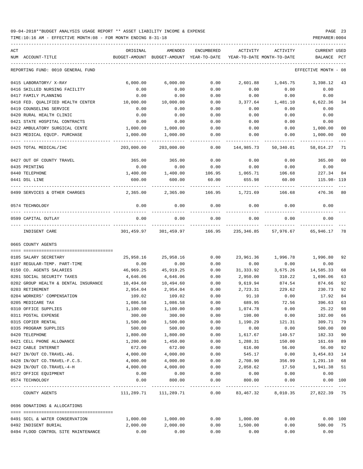TIME:10:16 AM - EFFECTIVE MONTH:08 - FOR MONTH ENDING 8-31-18 PREPARER:0004

| ACT<br>NUM ACCOUNT-TITLE                                               | ORIGINAL<br>BUDGET-AMOUNT | AMENDED<br>BUDGET-AMOUNT YEAR-TO-DATE | ENCUMBERED          | ACTIVITY          | ACTIVITY<br>YEAR-TO-DATE MONTH-TO-DATE | <b>CURRENT USED</b><br>BALANCE | PCT                 |
|------------------------------------------------------------------------|---------------------------|---------------------------------------|---------------------|-------------------|----------------------------------------|--------------------------------|---------------------|
| REPORTING FUND: 0010 GENERAL FUND                                      |                           |                                       |                     |                   |                                        | EFFECTIVE MONTH - 08           |                     |
| 0415 LABORATORY/ X-RAY                                                 | 6,000.00                  | 6,000.00                              | 0.00                | 2,601.88          | 1,045.75                               | 3,398.12                       | 43                  |
| 0416 SKILLED NURSING FACILITY                                          | 0.00                      | 0.00                                  | 0.00                | 0.00              | 0.00                                   | 0.00                           |                     |
| 0417 FAMILY PLANNING                                                   | 0.00                      | 0.00                                  | 0.00                | 0.00              | 0.00                                   | 0.00                           |                     |
| 0418 FED. QUALIFIED HEALTH CENTER                                      | 10,000.00                 | 10,000.00                             | 0.00                | 3,377.64          | 1,481.10                               | 6,622.36                       | 34                  |
| 0419 COUNSELING SERVICE                                                | 0.00                      | 0.00                                  | 0.00                | 0.00              | 0.00                                   | 0.00                           |                     |
| 0420 RURAL HEALTH CLINIC                                               | 0.00                      | 0.00                                  | 0.00                | 0.00              | 0.00                                   | 0.00                           |                     |
| 0421 STATE HOSPITAL CONTRACTS                                          | 0.00                      | 0.00                                  | 0.00                | 0.00              | 0.00                                   | 0.00                           |                     |
| 0422 AMBULATORY SURGICAL CENTE                                         | 1,000.00                  | 1,000.00                              | 0.00                | 0.00              | 0.00                                   | 1,000.00                       | 0 <sub>0</sub>      |
| 0423 MEDICAL EQUIP. PURCHASE                                           | 1,000.00                  | 1,000.00                              | 0.00                | 0.00              | 0.00                                   | 1,000.00                       | 0 <sub>0</sub>      |
| 0425 TOTAL MEDICAL/IHC                                                 | 203,000.00                | 203,000.00                            | 0.00                | 144,985.73        | 50,340.01                              | 58,014.27                      | 71                  |
| 0427 OUT OF COUNTY TRAVEL                                              | 365.00                    | 365.00                                | 0.00                | 0.00              | 0.00                                   | 365.00                         | 0 <sub>0</sub>      |
| 0435 PRINTING                                                          | 0.00                      | 0.00                                  | 0.00                | 0.00              | 0.00                                   | 0.00                           |                     |
| 0440 TELEPHONE                                                         | 1,400.00                  | 1,400.00                              | 106.95              | 1,065.71          | 106.68                                 | 227.34                         | 84                  |
| 0441 DSL LINE                                                          | 600.00                    | 600.00                                | 60.00               | 655.98            | 60.00                                  | 115.98-119                     |                     |
| 0499 SERVICES & OTHER CHARGES                                          | 2,365.00                  | 2,365.00                              | 166.95              | 1,721.69          | 166.68                                 | 476.36                         | 80                  |
| 0574 TECHNOLOGY                                                        | 0.00                      | 0.00                                  | 0.00                | 0.00              | 0.00                                   | 0.00                           |                     |
| 0599 CAPITAL OUTLAY                                                    | 0.00                      | 0.00                                  | 0.00                | 0.00              | 0.00                                   | 0.00                           |                     |
| INDIGENT CARE                                                          |                           | 301,459.97 301,459.97                 | ---------<br>166.95 |                   | 235,346.85 57,976.67                   | 65,946.17                      | 78                  |
| 0665 COUNTY AGENTS                                                     |                           |                                       |                     |                   |                                        |                                |                     |
| 0105 SALARY SECRETARY                                                  |                           |                                       |                     |                   |                                        |                                |                     |
| 0107 REGULAR-TEMP. PART-TIME                                           | 25,958.16<br>0.00         | 25,958.16<br>0.00                     | 0.00<br>0.00        | 23,961.36<br>0.00 | 0.00                                   | 1,996.78 1,996.80<br>0.00      | 92                  |
| 0150 CO. AGENTS SALARIES                                               | 46,969.25                 | 45,919.25                             | 0.00                | 31,333.92         | 3,675.26                               | 14,585.33                      | 68                  |
| 0201 SOCIAL SECURITY TAXES                                             | 4,646.06                  | 4,646.06                              | 0.00                |                   | 310.22                                 | 1,696.06                       | 63                  |
|                                                                        |                           |                                       |                     | 2,950.00          |                                        |                                |                     |
| 0202 GROUP HEALTH & DENTAL INSURANCE<br>0203 RETIREMENT                | 10,494.60                 | 10,494.60                             | 0.00                | 9,619.94          | 874.54                                 | 874.66                         | 92                  |
| 0204 WORKERS' COMPENSATION                                             | 2,954.04<br>109.02        | 2,954.04<br>109.02                    | 0.00<br>0.00        | 2,723.31<br>91.10 | 229.62<br>0.00                         | 230.73<br>17.92                | 92<br>84            |
| 0205 MEDICARE TAX                                                      | 1,086.58                  | 1,086.58                              | 0.00                | 689.95            | 72.56                                  | 396.63                         | 63                  |
| 0310 OFFICE SUPPLIES                                                   | 1,100.00                  | 1,100.00                              | 0.00                | 1,074.78          | 0.00                                   | 25.22                          | 98                  |
| 0311 POSTAL EXPENSE                                                    | 300.00                    | 300.00                                | 0.00                | 198.00            | 0.00                                   | 102.00                         | 66                  |
| 0315 COPIER RENTAL                                                     | 1,500.00                  | 1,500.00                              | 0.00                | 1,190.29          | 121.31                                 | 309.71                         | 79                  |
| 0335 PROGRAM SUPPLIES                                                  | 500.00                    | 500.00                                | 0.00                | 0.00              | 0.00                                   | 500.00                         | 0 <sub>0</sub>      |
| 0420 TELEPHONE                                                         | 1,800.00                  | 1,800.00                              | 0.00                | 1,617.67          | 149.57                                 | 182.33                         | 90                  |
| 0421 CELL PHONE ALLOWANCE                                              | 1,200.00                  | 1,450.00                              | 0.00                | 1,288.31          | 150.00                                 | 161.69                         | 89                  |
| 0422 CABLE INTERNET                                                    | 672.00                    | 672.00                                | 0.00                | 616.00            | 56.00                                  | 56.00                          | 92                  |
| 0427 IN/OUT CO.TRAVEL-AG.                                              | 4,000.00                  | 4,000.00                              | 0.00                | 545.17            | 0.00                                   | 3,454.83                       | 14                  |
| 0428 IN/OUT CO.TRAVEL-F.C.S.                                           | 4,000.00                  | 4,000.00                              | 0.00                | 2,708.90          | 356.99                                 | 1,291.10                       | 68                  |
| 0429 IN/OUT CO.TRAVEL-4-H                                              | 4,000.00                  | 4,000.00                              | 0.00                | 2,058.62          | 17.50                                  | 1,941.38                       | 51                  |
| 0572 OFFICE EQUIPMENT                                                  | 0.00                      | 0.00                                  | 0.00                | 0.00              | 0.00                                   | 0.00                           |                     |
| 0574 TECHNOLOGY                                                        | 0.00                      | 800.00                                | 0.00                | 800.00            | 0.00                                   | 0.00 100                       |                     |
| --------------------- -------------<br>---- ---------<br>COUNTY AGENTS | 111,289.71                | -----------<br>111,289.71             | -----<br>0.00       | ----------        | 83,467.32 8,010.35                     | 27,822.39 75                   | $\qquad \qquad - -$ |
| 0696 DONATIONS & ALLOCATIONS                                           |                           |                                       |                     |                   |                                        |                                |                     |
| 0491 SOIL & WATER CONSERVATION                                         | 1,000.00                  | 1,000.00                              | 0.00                | 1,000.00          | 0.00                                   | $0.00$ 100                     |                     |
| 0492 INDIGENT BURIAL                                                   | 2,000.00                  | 2,000.00                              | 0.00                | 1,500.00          | 0.00                                   | 500.00                         | 75                  |
|                                                                        |                           |                                       |                     |                   |                                        |                                |                     |

0494 FLOOD CONTROL SITE MAINTENANCE 0.00 0.00 0.00 0.00 0.00 0.00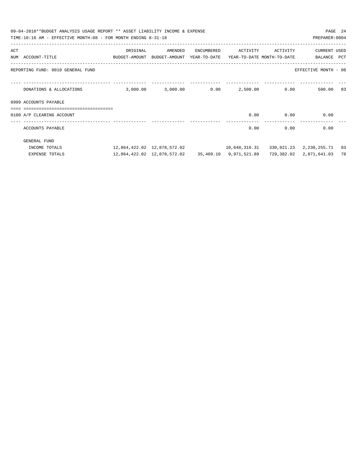|                                  | 09-04-2018**BUDGET ANALYSIS USAGE REPORT ** ASSET LIABILITY INCOME & EXPENSE<br>PAGE 24<br>TIME:10:16 AM - EFFECTIVE MONTH:08 - FOR MONTH ENDING 8-31-18<br>PREPARER: 0004 |                                                                     |                                                       |  |      |                   |                            |    |  |  |
|----------------------------------|----------------------------------------------------------------------------------------------------------------------------------------------------------------------------|---------------------------------------------------------------------|-------------------------------------------------------|--|------|-------------------|----------------------------|----|--|--|
| $\mathbb{A}\mathbb{C}\mathbb{T}$ |                                                                                                                                                                            | ORIGINAL                                                            | AMENDED ENCUMBERED                                    |  |      | ACTIVITY ACTIVITY | <b>CURRENT USED</b>        |    |  |  |
|                                  | NUM ACCOUNT-TITLE                                                                                                                                                          | BUDGET-AMOUNT BUDGET-AMOUNT YEAR-TO-DATE YEAR-TO-DATE MONTH-TO-DATE |                                                       |  |      |                   | BALANCE PCT                |    |  |  |
|                                  | REPORTING FUND: 0010 GENERAL FUND                                                                                                                                          |                                                                     |                                                       |  |      |                   | EFFECTIVE MONTH - 08       |    |  |  |
|                                  | DONATIONS & ALLOCATIONS                                                                                                                                                    |                                                                     | $3,000.00$ $3,000.00$ $0.00$ $2,500.00$ $0.00$        |  |      |                   | 500.00 83                  |    |  |  |
|                                  | 0999 ACCOUNTS PAYABLE                                                                                                                                                      |                                                                     |                                                       |  |      |                   |                            |    |  |  |
|                                  | =================================                                                                                                                                          |                                                                     |                                                       |  |      |                   |                            |    |  |  |
|                                  | 0100 A/P CLEARING ACCOUNT                                                                                                                                                  |                                                                     |                                                       |  | 0.00 | 0.00              | 0.00                       |    |  |  |
|                                  | ACCOUNTS PAYABLE                                                                                                                                                           |                                                                     |                                                       |  | 0.00 | 0.00              | 0.00                       |    |  |  |
|                                  | GENERAL FUND                                                                                                                                                               |                                                                     |                                                       |  |      |                   |                            |    |  |  |
|                                  | INCOME TOTALS                                                                                                                                                              |                                                                     | 12,864,422.02 12,878,572.02 10,648,316.31             |  |      |                   | 330,021.23 2,230,255.71 83 |    |  |  |
|                                  | <b>EXPENSE TOTALS</b>                                                                                                                                                      |                                                                     | 12,864,422.02  12,878,572.02  35,409.10  9,971,521.89 |  |      | 729,382.02        | 2,871,641.03               | 78 |  |  |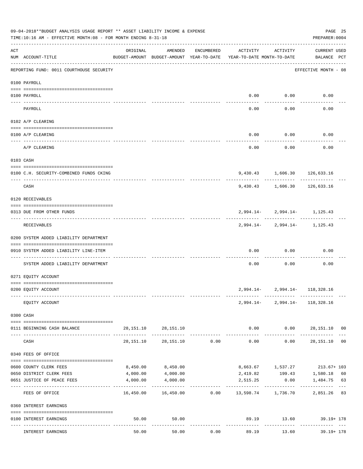|     | 09-04-2018**BUDGET ANALYSIS USAGE REPORT ** ASSET LIABILITY INCOME & EXPENSE<br>TIME:10:16 AM - EFFECTIVE MONTH:08 - FOR MONTH ENDING 8-31-18                                                                                                                                                                                                                                                                                                        |           |                                                                                |                |                           |                      | PREPARER: 0004                              | PAGE 25 |
|-----|------------------------------------------------------------------------------------------------------------------------------------------------------------------------------------------------------------------------------------------------------------------------------------------------------------------------------------------------------------------------------------------------------------------------------------------------------|-----------|--------------------------------------------------------------------------------|----------------|---------------------------|----------------------|---------------------------------------------|---------|
| ACT | NUM ACCOUNT-TITLE                                                                                                                                                                                                                                                                                                                                                                                                                                    | ORIGINAL  | AMENDED<br>BUDGET-AMOUNT BUDGET-AMOUNT YEAR-TO-DATE YEAR-TO-DATE MONTH-TO-DATE | ENCUMBERED     | ACTIVITY                  | ACTIVITY             | CURRENT USED<br>BALANCE PCT                 |         |
|     | REPORTING FUND: 0011 COURTHOUSE SECURITY                                                                                                                                                                                                                                                                                                                                                                                                             |           |                                                                                |                |                           |                      | EFFECTIVE MONTH - 08                        |         |
|     | 0100 PAYROLL                                                                                                                                                                                                                                                                                                                                                                                                                                         |           |                                                                                |                |                           |                      |                                             |         |
|     | 0100 PAYROLL                                                                                                                                                                                                                                                                                                                                                                                                                                         |           |                                                                                |                |                           | $0.00$ 0.00          | 0.00                                        |         |
|     | PAYROLL                                                                                                                                                                                                                                                                                                                                                                                                                                              |           |                                                                                |                | 0.00                      | 0.00                 | 0.00                                        |         |
|     | 0102 A/P CLEARING                                                                                                                                                                                                                                                                                                                                                                                                                                    |           |                                                                                |                |                           |                      |                                             |         |
|     | 0100 A/P CLEARING                                                                                                                                                                                                                                                                                                                                                                                                                                    |           |                                                                                |                | 0.00                      | 0.00                 | 0.00                                        |         |
|     | A/P CLEARING                                                                                                                                                                                                                                                                                                                                                                                                                                         |           |                                                                                |                | 0.00                      | 0.00                 | 0.00                                        |         |
|     | 0103 CASH                                                                                                                                                                                                                                                                                                                                                                                                                                            |           |                                                                                |                |                           |                      |                                             |         |
|     | 0100 C.H. SECURITY-COMBINED FUNDS CKING                                                                                                                                                                                                                                                                                                                                                                                                              |           |                                                                                |                |                           |                      | 9,430.43 1,606.30 126,633.16                |         |
|     | CASH                                                                                                                                                                                                                                                                                                                                                                                                                                                 |           |                                                                                |                |                           | -----------          | -----------<br>9,430.43 1,606.30 126,633.16 |         |
|     | 0120 RECEIVABLES                                                                                                                                                                                                                                                                                                                                                                                                                                     |           |                                                                                |                |                           |                      |                                             |         |
|     | 0313 DUE FROM OTHER FUNDS                                                                                                                                                                                                                                                                                                                                                                                                                            |           |                                                                                |                |                           |                      | $2,994.14 - 2,994.14 - 1,125.43$            |         |
|     | RECEIVABLES                                                                                                                                                                                                                                                                                                                                                                                                                                          |           |                                                                                |                |                           |                      | $2,994.14 - 2,994.14 - 1,125.43$            |         |
|     | 0200 SYSTEM ADDED LIABILITY DEPARTMENT                                                                                                                                                                                                                                                                                                                                                                                                               |           |                                                                                |                |                           |                      |                                             |         |
|     | 0910 SYSTEM ADDED LIABILITY LINE-ITEM                                                                                                                                                                                                                                                                                                                                                                                                                |           |                                                                                |                | 0.00                      | 0.00                 | 0.00                                        |         |
|     | SYSTEM ADDED LIABILITY DEPARTMENT                                                                                                                                                                                                                                                                                                                                                                                                                    |           |                                                                                |                | 0.00                      | 0.00                 | 0.00                                        |         |
|     | 0271 EQUITY ACCOUNT                                                                                                                                                                                                                                                                                                                                                                                                                                  |           |                                                                                |                |                           |                      |                                             |         |
|     | 0200 EQUITY ACCOUNT                                                                                                                                                                                                                                                                                                                                                                                                                                  |           |                                                                                |                |                           |                      | 2,994.14-2,994.14-118,328.16                |         |
|     | EOUITY ACCOUNT                                                                                                                                                                                                                                                                                                                                                                                                                                       |           |                                                                                |                |                           |                      | 2,994.14-2,994.14-118,328.16                |         |
|     | 0300 CASH                                                                                                                                                                                                                                                                                                                                                                                                                                            |           |                                                                                |                |                           |                      |                                             |         |
|     | $\verb c  = \verb c  = \verb c  = \verb c  = \verb c  = \verb c  = \verb c  = \verb c  = \verb c  = \verb c  = \verb c  = \verb c  = \verb c  = \verb c  = \verb c  = \verb c  = \verb c  = \verb c  = \verb c  = \verb c  = \verb c  = \verb c  = \verb c  = \verb c  = \verb c  = \verb c  = \verb c  = \verb c  = \verb c  = \verb c  = \verb c  = \verb c  = \verb c  = \verb c  = \verb c  = \verb c  = \verb c$<br>0111 BEGINNING CASH BALANCE |           | 28, 151. 10 28, 151. 10                                                        |                |                           |                      | $0.00$ $0.00$ $28,151.10$ 00                |         |
|     | CASH                                                                                                                                                                                                                                                                                                                                                                                                                                                 | 28,151.10 |                                                                                | 28,151.10 0.00 | 0.00                      | ------------<br>0.00 | ------------<br>28,151.10 00                |         |
|     | 0340 FEES OF OFFICE                                                                                                                                                                                                                                                                                                                                                                                                                                  |           |                                                                                |                |                           |                      |                                             |         |
|     | 0600 COUNTY CLERK FEES                                                                                                                                                                                                                                                                                                                                                                                                                               |           | 8,450.00 8,450.00                                                              |                |                           |                      | 8,663.67    1,537.27    213.67+ 103         |         |
|     | 0650 DISTRICT CLERK FEES                                                                                                                                                                                                                                                                                                                                                                                                                             |           | 4,000.00 4,000.00                                                              |                |                           |                      | 2,419.82 199.43 1,580.18 60                 |         |
|     | 0651 JUSTICE OF PEACE FEES                                                                                                                                                                                                                                                                                                                                                                                                                           | 4,000.00  | 4,000.00                                                                       |                | ----------- ------------- |                      | 2,515.25 0.00 1,484.75 63                   |         |
|     | FEES OF OFFICE                                                                                                                                                                                                                                                                                                                                                                                                                                       |           | $16,450.00$ $16,450.00$ $0.00$ $13,598.74$ $1,736.70$                          |                |                           |                      | 2,851.26 83                                 |         |
|     | 0360 INTEREST EARNINGS                                                                                                                                                                                                                                                                                                                                                                                                                               |           |                                                                                |                |                           |                      |                                             |         |
|     | 0100 INTEREST EARNINGS                                                                                                                                                                                                                                                                                                                                                                                                                               | 50.00     | 50.00                                                                          |                | -------------             | ------------         | 89.19 13.60 39.19+ 178<br>------------- -   |         |
|     | INTEREST EARNINGS                                                                                                                                                                                                                                                                                                                                                                                                                                    | 50.00     | 50.00                                                                          | 0.00           | 89.19                     | 13.60                | $39.19 + 178$                               |         |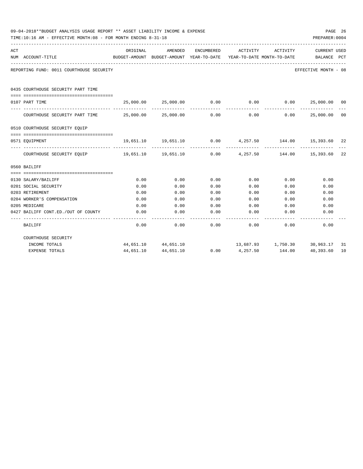|     | 09-04-2018**BUDGET ANALYSIS USAGE REPORT ** ASSET LIABILITY INCOME & EXPENSE<br>PREPARER: 0004<br>TIME:10:16 AM - EFFECTIVE MONTH:08 - FOR MONTH ENDING 8-31-18 |                                                      |                                                                |            |                                        |                                          |                             |                |  |  |  |
|-----|-----------------------------------------------------------------------------------------------------------------------------------------------------------------|------------------------------------------------------|----------------------------------------------------------------|------------|----------------------------------------|------------------------------------------|-----------------------------|----------------|--|--|--|
| ACT | NUM ACCOUNT-TITLE                                                                                                                                               | ORIGINAL<br>BUDGET-AMOUNT BUDGET-AMOUNT YEAR-TO-DATE | AMENDED                                                        | ENCUMBERED | ACTIVITY<br>YEAR-TO-DATE MONTH-TO-DATE | ACTIVITY                                 | CURRENT USED<br>BALANCE PCT |                |  |  |  |
|     | REPORTING FUND: 0011 COURTHOUSE SECURITY                                                                                                                        |                                                      |                                                                |            |                                        |                                          | EFFECTIVE MONTH - 08        |                |  |  |  |
|     | 0435 COURTHOUSE SECURITY PART TIME                                                                                                                              |                                                      |                                                                |            |                                        |                                          |                             |                |  |  |  |
|     | 0107 PART TIME                                                                                                                                                  |                                                      | $25,000.00$ $25,000.00$ $0.00$ $0.00$ $0.00$ $25,000.00$ $00$  |            |                                        |                                          |                             |                |  |  |  |
|     | COURTHOUSE SECURITY PART TIME $25,000.00$ $25,000.00$ $0.00$                                                                                                    |                                                      |                                                                |            |                                        | -----------<br>$0.00$ $0.00$ $25,000.00$ | --------------              | 0 <sup>0</sup> |  |  |  |
|     | 0510 COURTHOUSE SECURITY EQUIP                                                                                                                                  |                                                      |                                                                |            |                                        |                                          |                             |                |  |  |  |
|     | 0571 EOUIPMENT                                                                                                                                                  |                                                      | $19,651.10$ $19,651.10$ $0.00$ $4,257.50$ $144.00$ $15,393.60$ |            |                                        |                                          |                             | 22             |  |  |  |
|     | COURTHOUSE SECURITY EQUIP $19,651.10$ $19,651.10$ $0.00$ $4,257.50$ $144.00$ $15,393.60$                                                                        |                                                      |                                                                |            |                                        |                                          |                             | 22             |  |  |  |
|     | 0560 BAILIFF                                                                                                                                                    |                                                      |                                                                |            |                                        |                                          |                             |                |  |  |  |
|     |                                                                                                                                                                 |                                                      |                                                                |            |                                        |                                          |                             |                |  |  |  |
|     | 0130 SALARY/BAILIFF                                                                                                                                             | 0.00                                                 | 0.00                                                           | 0.00       | 0.00                                   | 0.00                                     | 0.00                        |                |  |  |  |
|     | 0201 SOCIAL SECURITY                                                                                                                                            | 0.00                                                 | 0.00                                                           | 0.00       | 0.00                                   | 0.00                                     | 0.00                        |                |  |  |  |
|     | 0203 RETIREMENT                                                                                                                                                 | 0.00                                                 | 0.00                                                           | 0.00       | 0.00                                   | 0.00                                     | 0.00                        |                |  |  |  |
|     | 0204 WORKER'S COMPENSATION                                                                                                                                      | 0.00                                                 | 0.00                                                           | 0.00       | 0.00                                   | 0.00                                     | 0.00                        |                |  |  |  |
|     | 0205 MEDICARE                                                                                                                                                   | 0.00                                                 | 0.00                                                           | 0.00       | 0.00                                   | 0.00                                     | 0.00                        |                |  |  |  |
|     | 0427 BAILIFF CONT.ED./OUT OF COUNTY                                                                                                                             | 0.00                                                 | 0.00                                                           | 0.00       | 0.00                                   | 0.00                                     | 0.00                        |                |  |  |  |
|     | BAILIFF                                                                                                                                                         | 0.00                                                 | 0.00                                                           | 0.00       |                                        | 0.00<br>0.00                             | 0.00                        |                |  |  |  |
|     | COURTHOUSE SECURITY                                                                                                                                             |                                                      |                                                                |            |                                        |                                          |                             |                |  |  |  |
|     | INCOME TOTALS                                                                                                                                                   |                                                      | 44,651.10 44,651.10                                            |            | 13,687.93    1,750.30    30,963.17     |                                          |                             | -31            |  |  |  |
|     | <b>EXPENSE TOTALS</b>                                                                                                                                           | 44,651.10                                            | 44,651.10                                                      | 0.00       | 4,257.50                               | 144.00                                   | 40,393.60                   | 10             |  |  |  |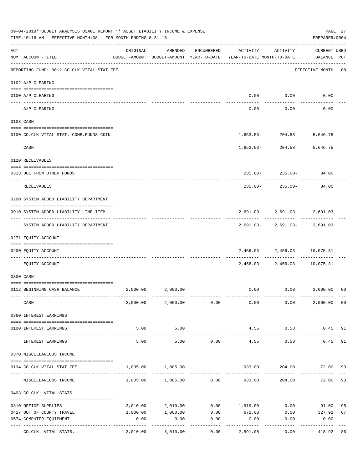|     | 09-04-2018**BUDGET ANALYSIS USAGE REPORT ** ASSET LIABILITY INCOME & EXPENSE<br>TIME:10:16 AM - EFFECTIVE MONTH:08 - FOR MONTH ENDING 8-31-18 |          |                              |                      |                                                                                 |                                   | PAGE 27<br>PREPARER: 0004          |    |
|-----|-----------------------------------------------------------------------------------------------------------------------------------------------|----------|------------------------------|----------------------|---------------------------------------------------------------------------------|-----------------------------------|------------------------------------|----|
| ACT | NUM ACCOUNT-TITLE                                                                                                                             | ORIGINAL |                              | AMENDED ENCUMBERED   | ACTIVITY<br>BUDGET-AMOUNT BUDGET-AMOUNT YEAR-TO-DATE YEAR-TO-DATE MONTH-TO-DATE | ACTIVITY                          | <b>CURRENT USED</b><br>BALANCE PCT |    |
|     | REPORTING FUND: 0012 CO.CLK.VITAL STAT.FEE                                                                                                    |          |                              |                      |                                                                                 |                                   | EFFECTIVE MONTH - 08               |    |
|     | 0102 A/P CLEARING                                                                                                                             |          |                              |                      |                                                                                 |                                   |                                    |    |
|     | 0100 A/P CLEARING                                                                                                                             |          |                              |                      |                                                                                 | $0.00$ $0.00$                     | 0.00                               |    |
|     | ---- ---------<br>A/P CLEARING                                                                                                                |          |                              |                      | 0.00                                                                            | 0.00                              | 0.00                               |    |
|     | 0103 CASH                                                                                                                                     |          |                              |                      |                                                                                 |                                   |                                    |    |
|     | 0100 CO.CLK.VITAL STAT.-COMB.FUNDS CKIN                                                                                                       |          |                              |                      |                                                                                 | 1,653.53-204.58                   | 5,646.75                           |    |
|     | CASH                                                                                                                                          |          |                              |                      |                                                                                 | ------------<br>$1,653.53-204.58$ | 5,646.75                           |    |
|     | 0120 RECEIVABLES                                                                                                                              |          |                              |                      |                                                                                 |                                   |                                    |    |
|     | 0313 DUE FROM OTHER FUNDS                                                                                                                     |          |                              |                      |                                                                                 |                                   | $235.00 - 235.00 - 84.00$          |    |
|     | RECEIVABLES                                                                                                                                   |          |                              |                      | -----------<br>$235.00 -$                                                       | 235.00-                           | 84.00                              |    |
|     | 0200 SYSTEM ADDED LIABILITY DEPARTMENT                                                                                                        |          |                              |                      |                                                                                 |                                   |                                    |    |
|     | 0910 SYSTEM ADDED LIABILITY LINE-ITEM                                                                                                         |          |                              |                      |                                                                                 |                                   | $2,691.03 - 2,691.03 - 2,691.03 -$ |    |
|     | SYSTEM ADDED LIABILITY DEPARTMENT                                                                                                             |          |                              |                      |                                                                                 |                                   | $2,691.03 - 2,691.03 - 2,691.03 -$ |    |
|     | 0271 EQUITY ACCOUNT                                                                                                                           |          |                              |                      |                                                                                 |                                   |                                    |    |
|     | 0200 EQUITY ACCOUNT                                                                                                                           |          |                              |                      |                                                                                 |                                   | 2,456.03 2,456.03 10,075.31        |    |
|     | EOUITY ACCOUNT                                                                                                                                |          |                              |                      |                                                                                 | ------------                      | 2,456.03 2,456.03 10,075.31        |    |
|     | 0300 CASH                                                                                                                                     |          |                              |                      |                                                                                 |                                   |                                    |    |
|     | 0112 BEGINNING CASH BALANCE                                                                                                                   |          | 2,000.00 2,000.00            |                      |                                                                                 |                                   | $0.00$ $0.00$ $2,000.00$ $00$      |    |
|     | CASH                                                                                                                                          |          | $2,000.00$ $2,000.00$ $0.00$ |                      |                                                                                 | $0.00$ 0.00                       | 2,000.00 00                        |    |
|     | 0360 INTEREST EARNINGS                                                                                                                        |          |                              |                      |                                                                                 |                                   |                                    |    |
|     | 0100 INTEREST EARNINGS                                                                                                                        | 5.00     | 5.00                         |                      |                                                                                 | 4.55 0.58                         | $0.45$ 91                          |    |
|     | INTEREST EARNINGS                                                                                                                             | 5.00     | 5.00                         | 0.00                 | --------------<br>4.55                                                          | -----------<br>0.58               | 0.45                               | 91 |
|     | 0370 MISCELLANEOUS INCOME                                                                                                                     |          |                              |                      |                                                                                 |                                   |                                    |    |
|     | 0134 CO.CLK.VITAL STAT.FEE                                                                                                                    |          | 1,005.00 1,005.00            |                      |                                                                                 | 933.00 204.00                     | 72.00 93                           |    |
|     | MISCELLANEOUS INCOME                                                                                                                          |          | $1,005.00$ $1,005.00$ $0.00$ |                      | 933.00                                                                          | 204.00                            | 72.00                              | 93 |
|     | 0403 CO.CLK. VITAL STATS.                                                                                                                     |          |                              |                      |                                                                                 |                                   |                                    |    |
|     | 0310 OFFICE SUPPLIES                                                                                                                          |          |                              |                      | $2,010.00$ $2,010.00$ $0.00$ $1,919.00$ $0.00$ $91.00$                          |                                   |                                    | 95 |
|     | 0427 OUT OF COUNTY TRAVEL                                                                                                                     | 1,000.00 |                              |                      | 1,000.00 0.00 672.08                                                            |                                   | $0.00$ 327.92                      | 67 |
|     | 0574 COMPUTER EQUIPMENT                                                                                                                       | 0.00     | 0.00                         | 0.00<br>. <u>.</u> . | 0.00                                                                            | 0.00                              | 0.00                               |    |
|     | CO.CLK. VITAL STATS.                                                                                                                          | 3,010.00 | 3,010.00                     | 0.00                 | 2,591.08                                                                        | 0.00                              | 418.92                             | 86 |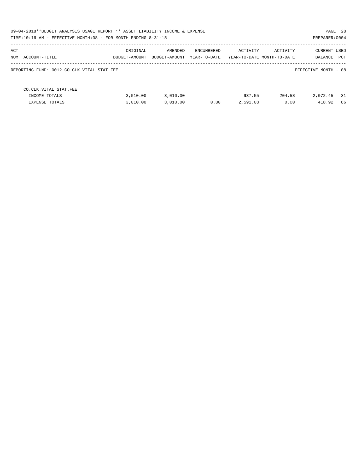| 09-04-2018**BUDGET ANALYSIS USAGE REPORT ** ASSET LIABILITY INCOME & EXPENSE<br>TIME:10:16 AM - EFFECTIVE MONTH:08 - FOR MONTH ENDING 8-31-18 |                           |                          |                            |                    |                                        | PAGE 28<br>PREPARER: 0004         |
|-----------------------------------------------------------------------------------------------------------------------------------------------|---------------------------|--------------------------|----------------------------|--------------------|----------------------------------------|-----------------------------------|
| ACT<br>NUM<br>ACCOUNT-TITLE                                                                                                                   | ORIGINAL<br>BUDGET-AMOUNT | AMENDED<br>BUDGET-AMOUNT | ENCUMBERED<br>YEAR-TO-DATE | ACTIVITY           | ACTIVITY<br>YEAR-TO-DATE MONTH-TO-DATE | CURRENT USED<br>PCT<br>BALANCE    |
| REPORTING FUND: 0012 CO.CLK.VITAL STAT.FEE                                                                                                    |                           |                          |                            |                    |                                        | EFFECTIVE MONTH - 08              |
| CO. CLK. VITAL STAT. FEE<br>INCOME TOTALS<br><b>EXPENSE TOTALS</b>                                                                            | 3.010.00<br>3.010.00      | 3,010.00<br>3,010.00     | 0.00                       | 937.55<br>2,591.08 | 204.58<br>0.00                         | 2,072.45<br>- 31<br>418.92<br>-86 |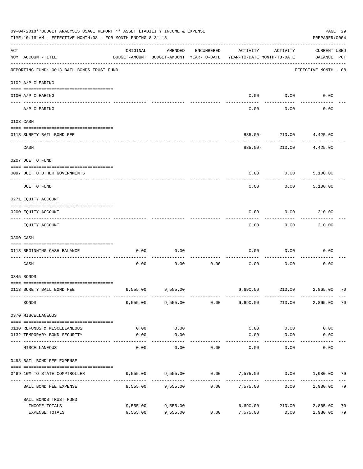|     | 09-04-2018**BUDGET ANALYSIS USAGE REPORT ** ASSET LIABILITY INCOME & EXPENSE<br>TIME:10:16 AM - EFFECTIVE MONTH:08 - FOR MONTH ENDING 8-31-18 |                      |                                                     |            |                                        |                       | PREPARER: 0004                     | PAGE 29  |
|-----|-----------------------------------------------------------------------------------------------------------------------------------------------|----------------------|-----------------------------------------------------|------------|----------------------------------------|-----------------------|------------------------------------|----------|
| ACT | NUM ACCOUNT-TITLE                                                                                                                             | ORIGINAL             | AMENDED<br>BUDGET-AMOUNT BUDGET-AMOUNT YEAR-TO-DATE | ENCUMBERED | ACTIVITY<br>YEAR-TO-DATE MONTH-TO-DATE | ACTIVITY              | <b>CURRENT USED</b><br>BALANCE PCT |          |
|     | REPORTING FUND: 0013 BAIL BONDS TRUST FUND                                                                                                    |                      |                                                     |            |                                        |                       | EFFECTIVE MONTH - 08               |          |
|     | 0102 A/P CLEARING                                                                                                                             |                      |                                                     |            |                                        |                       |                                    |          |
|     | 0100 A/P CLEARING<br>---- ----------                                                                                                          |                      |                                                     |            | 0.00                                   | 0.00                  | 0.00                               |          |
|     | A/P CLEARING                                                                                                                                  |                      |                                                     |            | 0.00                                   | 0.00                  | 0.00                               |          |
|     | 0103 CASH                                                                                                                                     |                      |                                                     |            |                                        |                       |                                    |          |
|     | 0113 SURETY BAIL BOND FEE                                                                                                                     |                      |                                                     |            |                                        |                       | 885.00- 210.00 4,425.00            |          |
|     | CASH                                                                                                                                          |                      |                                                     |            | 885.00-                                | ---------<br>210.00   | 4,425.00                           |          |
|     | 0207 DUE TO FUND                                                                                                                              |                      |                                                     |            |                                        |                       |                                    |          |
|     | 0097 DUE TO OTHER GOVERNMENTS                                                                                                                 |                      |                                                     |            | 0.00                                   | 0.00                  | 5,100.00                           |          |
|     |                                                                                                                                               |                      |                                                     |            |                                        |                       |                                    |          |
|     | DUE TO FUND                                                                                                                                   |                      |                                                     |            | 0.00                                   | 0.00                  | 5,100.00                           |          |
|     | 0271 EQUITY ACCOUNT                                                                                                                           |                      |                                                     |            |                                        |                       |                                    |          |
|     | 0200 EQUITY ACCOUNT                                                                                                                           |                      |                                                     |            | 0.00                                   | 0.00                  | 210.00                             |          |
|     | EQUITY ACCOUNT                                                                                                                                |                      |                                                     |            | 0.00                                   | 0.00                  | 210.00                             |          |
|     | 0300 CASH                                                                                                                                     |                      |                                                     |            |                                        |                       |                                    |          |
|     | 0113 BEGINNING CASH BALANCE                                                                                                                   | 0.00                 | 0.00                                                |            | 0.00                                   | 0.00                  | 0.00                               |          |
|     | CASH                                                                                                                                          | 0.00                 | 0.00                                                | 0.00       | 0.00                                   | 0.00                  | 0.00                               |          |
|     | 0345 BONDS                                                                                                                                    |                      |                                                     |            |                                        |                       |                                    |          |
|     | 0113 SURETY BAIL BOND FEE                                                                                                                     |                      | 9,555.00 9,555.00                                   |            |                                        |                       | 6,690.00 210.00 2,865.00 70        |          |
|     | <b>BONDS</b>                                                                                                                                  |                      | 9,555.00 9,555.00                                   | 0.00       | 6,690.00                               | 210.00                | 2,865.00                           | 70       |
|     | 0370 MISCELLANEOUS                                                                                                                            |                      |                                                     |            |                                        |                       |                                    |          |
|     | 0130 REFUNDS & MISCELLANEOUS                                                                                                                  | 0.00                 | 0.00                                                |            | 0.00                                   | 0.00                  | 0.00                               |          |
|     | 0132 TEMPORARY BOND SECURITY                                                                                                                  | 0.00                 | 0.00<br>.                                           |            | 0.00                                   | 0.00<br>$- - - - - -$ | 0.00                               |          |
|     | MISCELLANEOUS                                                                                                                                 | 0.00                 | 0.00                                                | 0.00       | 0.00                                   | 0.00                  | 0.00                               |          |
|     | 0498 BAIL BOND FEE EXPENSE                                                                                                                    |                      |                                                     |            |                                        |                       |                                    |          |
|     | 0489 10% TO STATE COMPTROLLER                                                                                                                 |                      | 9,555.00 9,555.00                                   |            | $0.00$ $7,575.00$ $0.00$ $1,980.00$    |                       |                                    | 79       |
|     | BAIL BOND FEE EXPENSE                                                                                                                         | 9,555.00             | 9,555.00                                            | 0.00       | 7,575.00                               | 0.00                  | 1,980.00                           | 79       |
|     | BAIL BONDS TRUST FUND                                                                                                                         |                      |                                                     |            |                                        |                       |                                    |          |
|     | INCOME TOTALS<br>EXPENSE TOTALS                                                                                                               | 9,555.00<br>9,555.00 | 9,555.00<br>9,555.00                                | 0.00       | 6,690.00<br>7,575.00                   | 210.00<br>0.00        | 2,865.00<br>1,980.00               | 70<br>79 |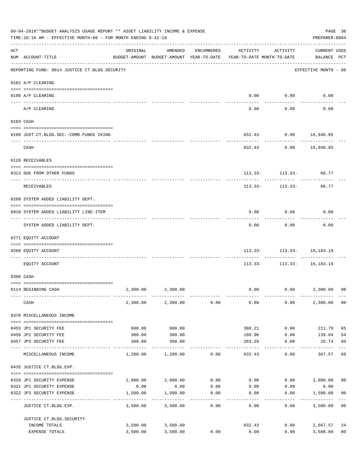|     | 09-04-2018**BUDGET ANALYSIS USAGE REPORT ** ASSET LIABILITY INCOME & EXPENSE<br>TIME:10:16 AM - EFFECTIVE MONTH:08 - FOR MONTH ENDING 8-31-18 |                  |                                                                                |                  |                   |                                                                      | PAGE 30<br>PREPARER: 0004          |                |
|-----|-----------------------------------------------------------------------------------------------------------------------------------------------|------------------|--------------------------------------------------------------------------------|------------------|-------------------|----------------------------------------------------------------------|------------------------------------|----------------|
| ACT | -----------------------------<br>NUM ACCOUNT-TITLE                                                                                            | ORIGINAL         | AMENDED<br>BUDGET-AMOUNT BUDGET-AMOUNT YEAR-TO-DATE YEAR-TO-DATE MONTH-TO-DATE | ENCUMBERED       | ACTIVITY          | ACTIVITY                                                             | <b>CURRENT USED</b><br>BALANCE PCT |                |
|     | REPORTING FUND: 0014 JUSTICE CT. BLDG. SECURITY                                                                                               |                  |                                                                                |                  |                   |                                                                      | EFFECTIVE MONTH - 08               |                |
|     | 0102 A/P CLEARING                                                                                                                             |                  |                                                                                |                  |                   |                                                                      |                                    |                |
|     | 0100 A/P CLEARING                                                                                                                             |                  |                                                                                |                  | 0.00              | 0.00                                                                 | 0.00                               |                |
|     | ---- ----------<br>A/P CLEARING                                                                                                               |                  |                                                                                |                  | 0.00              | ---------<br>0.00                                                    | 0.00                               |                |
|     | 0103 CASH                                                                                                                                     |                  |                                                                                |                  |                   |                                                                      |                                    |                |
|     | 0100 JUST.CT.BLDG.SEC.-COMB.FUNDS CKING                                                                                                       |                  |                                                                                |                  |                   | 832.43 0.00 16,948.85                                                |                                    |                |
|     | ------------------------------------<br>CASH                                                                                                  |                  |                                                                                |                  |                   | ----------<br>832.43 0.00 16,948.85                                  |                                    |                |
|     | 0120 RECEIVABLES                                                                                                                              |                  |                                                                                |                  |                   |                                                                      |                                    |                |
|     | 0313 DUE FROM OTHER FUNDS                                                                                                                     |                  |                                                                                |                  |                   | $113.33 - 113.33 - 66.77$                                            |                                    |                |
|     | RECEIVABLES                                                                                                                                   |                  |                                                                                |                  | 113.33-           | 113.33-                                                              | 66.77                              |                |
|     | 0200 SYSTEM ADDED LIABILITY DEPT.                                                                                                             |                  |                                                                                |                  |                   |                                                                      |                                    |                |
|     | 0910 SYSTEM ADDED LIABILITY LINE-ITEM                                                                                                         |                  |                                                                                |                  | 0.00              | 0.00                                                                 | 0.00                               |                |
|     | SYSTEM ADDED LIABILITY DEPT.                                                                                                                  |                  |                                                                                |                  | 0.00              | 0.00                                                                 | 0.00                               |                |
|     | 0271 EQUITY ACCOUNT                                                                                                                           |                  |                                                                                |                  |                   |                                                                      |                                    |                |
|     | 0200 EQUITY ACCOUNT                                                                                                                           |                  |                                                                                |                  |                   | $113.33 - 113.33 - 16.183.19$<br>.---------  ------------  --------- |                                    |                |
|     | EQUITY ACCOUNT                                                                                                                                |                  |                                                                                |                  | 113.33-           |                                                                      | $113.33 - 16,183.19$               |                |
|     | 0300 CASH                                                                                                                                     |                  |                                                                                |                  |                   |                                                                      |                                    |                |
|     |                                                                                                                                               |                  |                                                                                |                  |                   |                                                                      |                                    |                |
|     | 0114 BEGINNING CASH                                                                                                                           | 2,300.00         | 2,300.00                                                                       |                  | 0.00              |                                                                      | $0.00$ 2,300.00                    | 0 <sup>0</sup> |
|     | CASH                                                                                                                                          | 2,300.00         | 2,300.00                                                                       | 0.00             | 0.00              | 0.00                                                                 | 2,300.00                           | 0 <sub>0</sub> |
|     | 0370 MISCELLANEOUS INCOME                                                                                                                     |                  |                                                                                |                  |                   |                                                                      |                                    |                |
|     |                                                                                                                                               |                  |                                                                                |                  |                   |                                                                      |                                    |                |
|     | 0455 JP1 SECURITY FEE                                                                                                                         | 600.00           | 600.00                                                                         |                  | 388.21            | 0.00                                                                 | 211.79                             | 65             |
|     | 0456 JP2 SECURITY FEE<br>0457 JP3 SECURITY FEE                                                                                                | 300.00<br>300.00 | 300.00<br>300.00                                                               |                  | 160.96<br>283.26  | 0.00<br>0.00                                                         | 139.04<br>16.74                    | 54<br>94       |
|     | ---- ---------------<br>MISCELLANEOUS INCOME                                                                                                  | 1,200.00         | 1,200.00                                                                       | 0.00             | -------<br>832.43 | 0.00                                                                 | 367.57                             | 69             |
|     | 0435 JUSTICE CT.BLDG.EXP.                                                                                                                     |                  |                                                                                |                  |                   |                                                                      |                                    |                |
|     | 0320 JP1 SECURITY EXPENSE                                                                                                                     |                  | 2,000.00 2,000.00                                                              | 0.00             | 0.00              |                                                                      | $0.00$ 2,000.00                    | 0 <sub>0</sub> |
|     | 0321 JP2 SECURITY EXPENSE                                                                                                                     | 0.00             | 0.00                                                                           | 0.00             | 0.00              | 0.00                                                                 | 0.00                               |                |
|     | 0322 JP3 SECURITY EXPENSE                                                                                                                     | 1,500.00         | 1,500.00<br>----------                                                         | 0.00<br>-------- | 0.00              | 0.00<br>--------                                                     | 1,500.00                           | 00             |
|     | JUSTICE CT.BLDG.EXP.                                                                                                                          | 3,500.00         | 3,500.00                                                                       | 0.00             | 0.00              | 0.00                                                                 | 3,500.00                           | 0 <sub>0</sub> |
|     | JUSTICE CT.BLDG.SECURITY                                                                                                                      |                  |                                                                                |                  |                   |                                                                      |                                    |                |
|     | INCOME TOTALS                                                                                                                                 |                  | 3,500.00 3,500.00                                                              |                  | 832.43            | 0.00                                                                 | 2,667.57                           | 24             |
|     | EXPENSE TOTALS                                                                                                                                | 3,500.00         | 3,500.00                                                                       | 0.00             | 0.00              | 0.00                                                                 | 3,500.00                           | 0 <sub>0</sub> |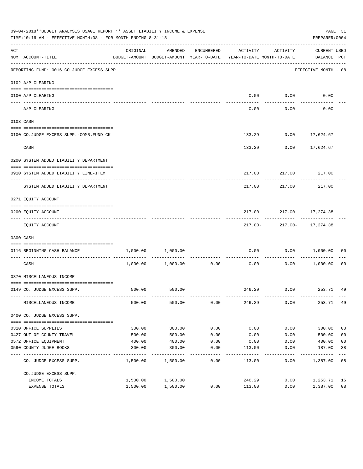|                    | 09-04-2018**BUDGET ANALYSIS USAGE REPORT ** ASSET LIABILITY INCOME & EXPENSE<br>TIME:10:16 AM - EFFECTIVE MONTH:08 - FOR MONTH ENDING 8-31-18 |          |                   |            |                                                                                 |             | PREPARER: 0004                | PAGE 31        |
|--------------------|-----------------------------------------------------------------------------------------------------------------------------------------------|----------|-------------------|------------|---------------------------------------------------------------------------------|-------------|-------------------------------|----------------|
| $\mathop{\rm ACT}$ | NUM ACCOUNT-TITLE                                                                                                                             | ORIGINAL | AMENDED           | ENCUMBERED | ACTIVITY<br>BUDGET-AMOUNT BUDGET-AMOUNT YEAR-TO-DATE YEAR-TO-DATE MONTH-TO-DATE | ACTIVITY    | CURRENT USED<br>BALANCE PCT   |                |
|                    | REPORTING FUND: 0016 CO.JUDGE EXCESS SUPP.                                                                                                    |          |                   |            |                                                                                 |             | EFFECTIVE MONTH - 08          |                |
|                    | 0102 A/P CLEARING                                                                                                                             |          |                   |            |                                                                                 |             |                               |                |
|                    | 0100 A/P CLEARING                                                                                                                             |          |                   |            |                                                                                 | $0.00$ 0.00 | 0.00                          |                |
|                    | ---- ---------<br>A/P CLEARING                                                                                                                |          |                   |            | 0.00                                                                            | 0.00        | 0.00                          |                |
|                    | 0103 CASH                                                                                                                                     |          |                   |            |                                                                                 |             |                               |                |
|                    | 0100 CO.JUDGE EXCESS SUPP.-COMB.FUND CK                                                                                                       |          |                   |            |                                                                                 |             | 133.29 0.00 17,624.67         |                |
|                    | CASH                                                                                                                                          |          |                   |            | 133.29                                                                          |             | $0.00$ 17,624.67              |                |
|                    | 0200 SYSTEM ADDED LIABILITY DEPARTMENT                                                                                                        |          |                   |            |                                                                                 |             |                               |                |
|                    | 0910 SYSTEM ADDED LIABILITY LINE-ITEM                                                                                                         |          |                   |            |                                                                                 |             | 217.00 217.00 217.00          |                |
|                    | SYSTEM ADDED LIABILITY DEPARTMENT                                                                                                             |          |                   |            | 217.00                                                                          | 217.00      | 217.00                        |                |
|                    | 0271 EQUITY ACCOUNT                                                                                                                           |          |                   |            |                                                                                 |             |                               |                |
|                    | 0200 EQUITY ACCOUNT                                                                                                                           |          |                   |            |                                                                                 |             | $217.00 - 217.00 - 17,274.38$ |                |
|                    | EQUITY ACCOUNT                                                                                                                                |          |                   |            |                                                                                 |             | 217.00- 217.00- 17,274.38     |                |
|                    | 0300 CASH                                                                                                                                     |          |                   |            |                                                                                 |             |                               |                |
|                    | 0116 BEGINNING CASH BALANCE                                                                                                                   | 1,000.00 | 1,000.00          |            | 0.00                                                                            | 0.00        | 1,000.00                      | 00             |
|                    | CASH                                                                                                                                          |          | 1,000.00 1,000.00 | 0.00       | ------------ -------------<br>0.00                                              | .<br>0.00   | 1,000.00                      | - 00           |
|                    | 0370 MISCELLANEOUS INCOME                                                                                                                     |          |                   |            |                                                                                 |             |                               |                |
|                    | 0149 CO. JUDGE EXCESS SUPP.                                                                                                                   |          | 500.00 500.00     |            |                                                                                 |             | 246.29 0.00 253.71 49         |                |
|                    | MISCELLANEOUS INCOME                                                                                                                          | 500.00   | 500.00            | 0.00       | 246.29                                                                          | 0.00        | 253.71                        | 49             |
|                    | 0400 CO. JUDGE EXCESS SUPP.                                                                                                                   |          |                   |            |                                                                                 |             |                               |                |
|                    | 0310 OFFICE SUPPLIES                                                                                                                          | 300.00   | 300.00            | 0.00       | 0.00                                                                            | 0.00        | 300.00                        | 0 <sub>0</sub> |
|                    | 0427 OUT OF COUNTY TRAVEL                                                                                                                     | 500.00   | 500.00            | 0.00       | 0.00                                                                            | 0.00        | 500.00                        | 0 <sub>0</sub> |
|                    | 0572 OFFICE EQUIPMENT                                                                                                                         | 400.00   | 400.00            | 0.00       | 0.00                                                                            | 0.00        | 400.00                        | 0 <sub>0</sub> |
|                    | 0590 COUNTY JUDGE BOOKS                                                                                                                       | 300.00   | 300.00            | 0.00       | 113.00                                                                          | 0.00        | 187.00                        | 38             |
|                    | CO. JUDGE EXCESS SUPP.                                                                                                                        | 1,500.00 | 1,500.00          | 0.00       | 113.00                                                                          | 0.00        | 1,387.00                      | 08             |
|                    | CO.JUDGE EXCESS SUPP.                                                                                                                         |          |                   |            |                                                                                 |             |                               |                |
|                    | INCOME TOTALS                                                                                                                                 | 1,500.00 | 1,500.00          |            | 246.29                                                                          | 0.00        | 1,253.71                      | 16             |
|                    | EXPENSE TOTALS                                                                                                                                | 1,500.00 | 1,500.00          | 0.00       | 113.00                                                                          | 0.00        | 1,387.00                      | 08             |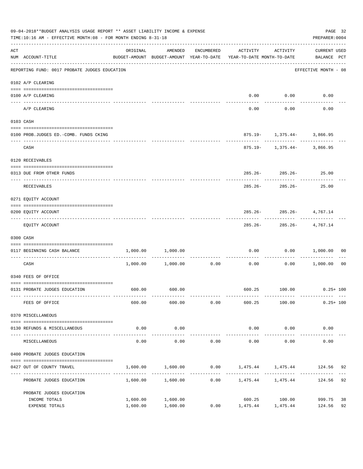|     | 09-04-2018**BUDGET ANALYSIS USAGE REPORT ** ASSET LIABILITY INCOME & EXPENSE<br>TIME:10:16 AM - EFFECTIVE MONTH:08 - FOR MONTH ENDING 8-31-18 |                      |                      |              |                                                                                             |                                   | PAGE 32<br>PREPARER: 0004 |                |
|-----|-----------------------------------------------------------------------------------------------------------------------------------------------|----------------------|----------------------|--------------|---------------------------------------------------------------------------------------------|-----------------------------------|---------------------------|----------------|
| ACT | NUM ACCOUNT-TITLE                                                                                                                             | ORIGINAL             | AMENDED              | ENCUMBERED   | ACTIVITY<br>BUDGET-AMOUNT BUDGET-AMOUNT YEAR-TO-DATE YEAR-TO-DATE MONTH-TO-DATE BALANCE PCT | ACTIVITY                          | CURRENT USED              |                |
|     | REPORTING FUND: 0017 PROBATE JUDGES EDUCATION                                                                                                 |                      |                      |              |                                                                                             |                                   | EFFECTIVE MONTH - 08      |                |
|     | 0102 A/P CLEARING                                                                                                                             |                      |                      |              |                                                                                             |                                   |                           |                |
|     | 0100 A/P CLEARING                                                                                                                             |                      |                      |              |                                                                                             | $0.00$ $0.00$                     | 0.00                      |                |
|     | ---- --------<br>A/P CLEARING                                                                                                                 |                      |                      |              | 0.00                                                                                        | 0.00                              | 0.00                      |                |
|     | 0103 CASH                                                                                                                                     |                      |                      |              |                                                                                             |                                   |                           |                |
|     | 0100 PROB.JUDGES ED.-COMB. FUNDS CKING                                                                                                        |                      |                      |              |                                                                                             | $875.19 - 1,375.44 - 3,866.95$    |                           |                |
|     | CASH                                                                                                                                          |                      |                      |              |                                                                                             | $875.19 - 1,375.44 - 3,866.95$    |                           |                |
|     | 0120 RECEIVABLES                                                                                                                              |                      |                      |              |                                                                                             |                                   |                           |                |
|     | 0313 DUE FROM OTHER FUNDS                                                                                                                     |                      |                      |              |                                                                                             | $285.26 - 285.26 - 25.00$         |                           |                |
|     | RECEIVABLES                                                                                                                                   |                      |                      |              | 285.26-                                                                                     | 285.26-                           | 25.00                     |                |
|     | 0271 EQUITY ACCOUNT                                                                                                                           |                      |                      |              |                                                                                             |                                   |                           |                |
|     | 0200 EQUITY ACCOUNT                                                                                                                           |                      |                      |              |                                                                                             | $285.26 - 285.26 - 4,767.14$      |                           |                |
|     | EQUITY ACCOUNT                                                                                                                                |                      |                      |              |                                                                                             | .<br>$285.26 - 285.26 - 4,767.14$ |                           |                |
|     | 0300 CASH                                                                                                                                     |                      |                      |              |                                                                                             |                                   |                           |                |
|     | 0117 BEGINNING CASH BALANCE                                                                                                                   | 1,000.00             | 1,000.00             |              | 0.00                                                                                        | 0.00                              | 1,000.00                  | 00             |
|     | CASH                                                                                                                                          |                      |                      |              | -----------------------------<br>$1,000.00$ $1,000.00$ $0.00$ $0.00$ $0.00$ $1,000.00$      |                                   |                           | 0 <sub>0</sub> |
|     | 0340 FEES OF OFFICE                                                                                                                           |                      |                      |              |                                                                                             |                                   |                           |                |
|     | 0131 PROBATE JUDGES EDUCATION                                                                                                                 |                      | 600.00 600.00        |              |                                                                                             | 600.25 100.00 0.25+100            |                           |                |
|     | FEES OF OFFICE                                                                                                                                |                      | 600.00               | 600.00 0.00  | 600.25                                                                                      | 100.00                            | $0.25 + 100$              |                |
|     | 0370 MISCELLANEOUS                                                                                                                            |                      |                      |              |                                                                                             |                                   |                           |                |
|     | 0130 REFUNDS & MISCELLANEOUS                                                                                                                  | 0.00                 | 0.00                 |              | 0.00                                                                                        | 0.00                              | 0.00                      |                |
|     | MISCELLANEOUS                                                                                                                                 | 0.00                 | 0.00                 | 0.00         | 0.00                                                                                        | 0.00                              | 0.00                      |                |
|     | 0400 PROBATE JUDGES EDUCATION                                                                                                                 |                      |                      |              |                                                                                             |                                   |                           |                |
|     | 0427 OUT OF COUNTY TRAVEL                                                                                                                     |                      |                      |              | $1,600.00$ $1,600.00$ $0.00$ $1,475.44$ $1,475.44$ $124.56$ 92                              |                                   |                           |                |
|     | PROBATE JUDGES EDUCATION                                                                                                                      |                      | 1,600.00 1,600.00    | ------------ | $0.00$ 1,475.44 1,475.44                                                                    |                                   | 124.56                    | 92             |
|     | PROBATE JUDGES EDUCATION                                                                                                                      |                      |                      |              |                                                                                             |                                   |                           |                |
|     | INCOME TOTALS<br>EXPENSE TOTALS                                                                                                               | 1,600.00<br>1,600.00 | 1,600.00<br>1,600.00 | 0.00         | 600.25<br>1,475.44 1,475.44                                                                 | 100.00                            | 999.75<br>124.56          | 38<br>92       |
|     |                                                                                                                                               |                      |                      |              |                                                                                             |                                   |                           |                |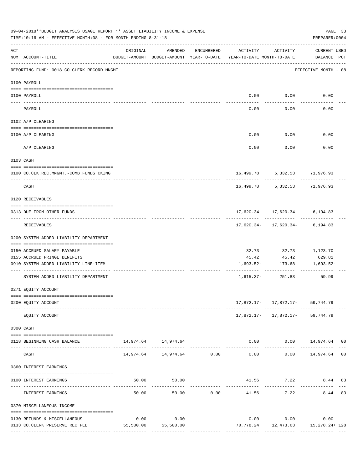|            | 09-04-2018**BUDGET ANALYSIS USAGE REPORT ** ASSET LIABILITY INCOME & EXPENSE<br>TIME:10:16 AM - EFFECTIVE MONTH:08 - FOR MONTH ENDING 8-31-18 |          |                                |            |                                                                                 |                  | PREPARER: 0004                                                          | PAGE 33 |
|------------|-----------------------------------------------------------------------------------------------------------------------------------------------|----------|--------------------------------|------------|---------------------------------------------------------------------------------|------------------|-------------------------------------------------------------------------|---------|
| ACT        | NUM ACCOUNT-TITLE                                                                                                                             | ORIGINAL | AMENDED                        | ENCUMBERED | ACTIVITY<br>BUDGET-AMOUNT BUDGET-AMOUNT YEAR-TO-DATE YEAR-TO-DATE MONTH-TO-DATE | ACTIVITY         | <b>CURRENT USED</b><br>BALANCE PCT                                      |         |
|            | REPORTING FUND: 0018 CO.CLERK RECORD MNGMT.                                                                                                   |          |                                |            |                                                                                 |                  | EFFECTIVE MONTH - 08                                                    |         |
|            | 0100 PAYROLL                                                                                                                                  |          |                                |            |                                                                                 |                  |                                                                         |         |
|            | 0100 PAYROLL                                                                                                                                  |          |                                |            |                                                                                 | $0.00$ $0.00$    | 0.00                                                                    |         |
| ----- ---- | -------------------------- -----------<br>PAYROLL                                                                                             |          |                                |            | 0.00                                                                            | 0.00             | 0.00                                                                    |         |
|            | 0102 A/P CLEARING                                                                                                                             |          |                                |            |                                                                                 |                  |                                                                         |         |
|            | 0100 A/P CLEARING                                                                                                                             |          |                                |            | 0.00                                                                            | 0.00             | 0.00                                                                    |         |
|            | -------------------------------------<br>A/P CLEARING                                                                                         |          |                                |            | 0.00                                                                            | 0.00             | 0.00                                                                    |         |
|            | 0103 CASH                                                                                                                                     |          |                                |            |                                                                                 |                  |                                                                         |         |
|            | 0100 CO.CLK.REC.MNGMT.-COMB.FUNDS CKING                                                                                                       |          |                                |            |                                                                                 |                  | 16,499.78 5,332.53 71,976.93                                            |         |
|            | CASH                                                                                                                                          |          |                                |            | 16,499.78                                                                       |                  | 5,332.53 71,976.93                                                      |         |
|            | 0120 RECEIVABLES                                                                                                                              |          |                                |            |                                                                                 |                  |                                                                         |         |
|            | 0313 DUE FROM OTHER FUNDS                                                                                                                     |          |                                |            |                                                                                 |                  | $17,620.34 - 17,620.34 - 6,194.83$                                      |         |
|            | RECEIVABLES                                                                                                                                   |          |                                |            |                                                                                 |                  | $17,620.34 - 17,620.34 - 6,194.83$                                      |         |
|            | 0200 SYSTEM ADDED LIABILITY DEPARTMENT                                                                                                        |          |                                |            |                                                                                 |                  |                                                                         |         |
|            | 0150 ACCRUED SALARY PAYABLE                                                                                                                   |          |                                |            | 32.73                                                                           | 32.73            | 1,123.70                                                                |         |
|            | 0155 ACCRUED FRINGE BENEFITS<br>0910 SYSTEM ADDED LIABILITY LINE-ITEM                                                                         |          |                                |            | 45.42<br>1,693.52-                                                              | 45.42<br>173.68  | 629.81<br>1,693.52-                                                     |         |
|            | SYSTEM ADDED LIABILITY DEPARTMENT                                                                                                             |          |                                |            |                                                                                 | 1,615.37- 251.83 | 59.99                                                                   |         |
|            | 0271 EQUITY ACCOUNT                                                                                                                           |          |                                |            |                                                                                 |                  |                                                                         |         |
|            |                                                                                                                                               |          |                                |            |                                                                                 |                  |                                                                         |         |
|            | 0200 EQUITY ACCOUNT                                                                                                                           |          |                                |            |                                                                                 |                  | 17,872.17- 17,872.17- 59,744.79<br>----------- ------------ ----------- |         |
|            | EQUITY ACCOUNT                                                                                                                                |          |                                |            |                                                                                 |                  | 17,872.17- 17,872.17- 59,744.79                                         |         |
|            | 0300 CASH                                                                                                                                     |          |                                |            |                                                                                 |                  |                                                                         |         |
|            | 0118 BEGINNING CASH BALANCE                                                                                                                   |          | 14,974.64   14,974.64          |            |                                                                                 |                  | $0.00$ $0.00$ $14,974.64$ 00                                            |         |
|            | CASH                                                                                                                                          |          | 14,974.64    14,974.64    0.00 |            | 0.00                                                                            |                  | $0.00$ 14,974.64 00                                                     |         |
|            | 0360 INTEREST EARNINGS                                                                                                                        |          |                                |            |                                                                                 |                  |                                                                         |         |
|            | 0100 INTEREST EARNINGS                                                                                                                        |          | 50.00<br>50.00                 |            |                                                                                 | 41.56 7.22       | 8.44 83                                                                 |         |
|            | INTEREST EARNINGS                                                                                                                             | 50.00    |                                | 50.00 0.00 | -------------<br>41.56                                                          | 7.22             | 8.44 83                                                                 |         |
|            | 0370 MISCELLANEOUS INCOME                                                                                                                     |          |                                |            |                                                                                 |                  |                                                                         |         |
|            | 0130 REFUNDS & MISCELLANEOUS                                                                                                                  | 0.00     | 0.00                           |            |                                                                                 | $0.00$ $0.00$    | 0.00                                                                    |         |
|            | 0133 CO.CLERK PRESERVE REC FEE                                                                                                                |          | 55,500.00 55,500.00            |            |                                                                                 |                  | 70,778.24    12,473.63    15,278.24+ 128                                |         |
|            |                                                                                                                                               |          |                                |            |                                                                                 |                  |                                                                         |         |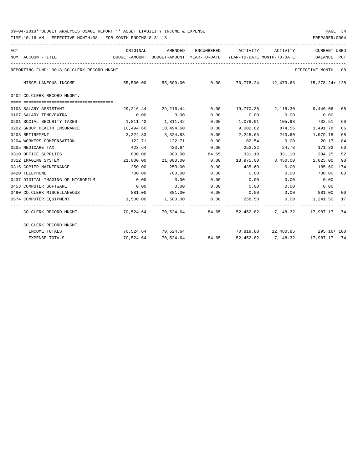| ACT |                                             | ORIGINAL  | AMENDED                                  | ENCUMBERED            | ACTIVITY                   | ACTIVITY                                                     | <b>CURRENT USED</b>  |                |
|-----|---------------------------------------------|-----------|------------------------------------------|-----------------------|----------------------------|--------------------------------------------------------------|----------------------|----------------|
|     | NUM ACCOUNT-TITLE                           |           | BUDGET-AMOUNT BUDGET-AMOUNT YEAR-TO-DATE |                       | YEAR-TO-DATE MONTH-TO-DATE |                                                              | BALANCE              | PCT            |
|     | REPORTING FUND: 0018 CO.CLERK RECORD MNGMT. |           |                                          |                       |                            |                                                              | EFFECTIVE MONTH - 08 |                |
|     | MISCELLANEOUS INCOME                        | 55,500.00 | 55,500.00                                | 0.00                  |                            | 70,778.24 12,473.63 15,278.24+ 128                           |                      |                |
|     | 0402 CO. CLERK RECORD MNGMT.                |           |                                          |                       |                            |                                                              |                      |                |
|     |                                             |           |                                          |                       |                            |                                                              |                      |                |
|     | 0103 SALARY ASSISTANT                       | 29,216.44 | 29,216.44                                | 0.00                  |                            | 19,770.38 2,118.30 9,446.06                                  |                      | 68             |
|     | 0107 SALARY TEMP/EXTRA                      | 0.00      | 0.00                                     | 0.00                  | 0.00                       | 0.00                                                         | 0.00                 |                |
|     | 0201 SOCIAL SECURITY TAXES                  | 1,811.42  | 1,811.42                                 | 0.00                  |                            | 1,078.91 105.98                                              | 732.51               | 60             |
|     | 0202 GROUP HEALTH INSURANCE                 | 10,494.60 | 10,494.60                                | 0.00                  | 9,002.82                   | 874.56                                                       | 1,491.78             | 86             |
|     | 0203 RETIREMENT                             | 3,324.83  | 3,324.83                                 | 0.00                  | 2,245.65                   | 243.60                                                       | 1,079.18             | 68             |
|     | 0204 WORKERS COMPENSATION                   | 122.71    | 122.71                                   | 0.00                  | 102.54                     | 0.00                                                         | 20.17                | 84             |
|     | 0205 MEDICARE TAX                           | 423.64    | 423.64                                   | 0.00                  | 252.32                     | 24.78                                                        | 171.32               | 60             |
|     | 0310 OFFICE SUPPLIES                        | 800.00    | 800.00                                   | 84.65                 | 331.10                     | 331.10                                                       | 384.25               | 52             |
|     | 0312 IMAGING SYSTEM                         | 21,000.00 | 21,000.00                                | 0.00                  | 18,975.00                  | 3,450.00                                                     | 2,025.00             | 90             |
|     | 0315 COPIER MAINTENANCE                     | 250.00    | 250.00                                   | 0.00                  | 435.60                     | 0.00                                                         | 185.60- 174          |                |
|     | 0420 TELEPHONE                              | 700.00    | 700.00                                   | 0.00                  | 0.00                       | 0.00                                                         | 700.00               | 0 <sub>0</sub> |
|     | 0437 DIGITAL IMAGING OF MICROFILM           | 0.00      | 0.00                                     | 0.00                  | 0.00                       | 0.00                                                         | 0.00                 |                |
|     | 0453 COMPUTER SOFTWARE                      | 0.00      | 0.00                                     | 0.00                  | 0.00                       | 0.00                                                         | 0.00                 |                |
|     | 0490 CO. CLERK MISCELLANEOUS                | 881.00    | 881.00                                   | 0.00                  | $0.00$ 0.00                |                                                              | 881.00               | 00             |
|     | 0574 COMPUTER EOUIPMENT                     |           | 1,500.00 1,500.00                        | 0.00<br>------------- |                            | 258.50 0.00 1,241.50<br>------------ ------------ ---------- |                      | 17             |
|     | CO.CLERK RECORD MNGMT.                      |           | 70,524.64 70,524.64 84.65                |                       |                            | 52,452.82 7,148.32 17,987.17 74                              |                      |                |
|     | CO.CLERK RECORD MNGMT.                      |           |                                          |                       |                            |                                                              |                      |                |
|     | INCOME TOTALS                               |           | 70,524.64 70,524.64                      |                       |                            | 70,819.80  12,480.85  295.16+100                             |                      |                |
|     | <b>EXPENSE TOTALS</b>                       |           | 70,524.64 70,524.64 84.65                |                       |                            | 52,452.82 7,148.32 17,987.17 74                              |                      |                |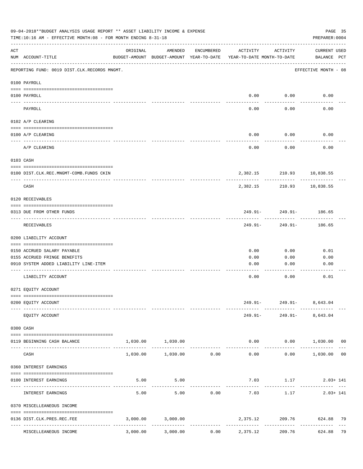| 09-04-2018**BUDGET ANALYSIS USAGE REPORT ** ASSET LIABILITY INCOME & EXPENSE<br>PAGE 35<br>TIME:10:16 AM - EFFECTIVE MONTH:08 - FOR MONTH ENDING 8-31-18<br>PREPARER: 0004 |                                              |          |                        |                               |                                                                                 |                                                           |                             |  |
|----------------------------------------------------------------------------------------------------------------------------------------------------------------------------|----------------------------------------------|----------|------------------------|-------------------------------|---------------------------------------------------------------------------------|-----------------------------------------------------------|-----------------------------|--|
| ACT                                                                                                                                                                        | NUM ACCOUNT-TITLE                            | ORIGINAL | AMENDED                | ENCUMBERED                    | ACTIVITY<br>BUDGET-AMOUNT BUDGET-AMOUNT YEAR-TO-DATE YEAR-TO-DATE MONTH-TO-DATE | ACTIVITY                                                  | CURRENT USED<br>BALANCE PCT |  |
|                                                                                                                                                                            | REPORTING FUND: 0019 DIST.CLK.RECORDS MNGMT. |          |                        |                               |                                                                                 |                                                           | EFFECTIVE MONTH - 08        |  |
|                                                                                                                                                                            | 0100 PAYROLL                                 |          |                        |                               |                                                                                 |                                                           |                             |  |
|                                                                                                                                                                            | 0100 PAYROLL                                 |          |                        |                               |                                                                                 | $0.00$ $0.00$                                             | 0.00                        |  |
|                                                                                                                                                                            | PAYROLL                                      |          |                        |                               | 0.00                                                                            | 0.00                                                      | 0.00                        |  |
|                                                                                                                                                                            | 0102 A/P CLEARING                            |          |                        |                               |                                                                                 |                                                           |                             |  |
|                                                                                                                                                                            | 0100 A/P CLEARING                            |          |                        |                               | 0.00                                                                            | 0.00                                                      | 0.00                        |  |
|                                                                                                                                                                            | A/P CLEARING                                 |          |                        |                               | 0.00                                                                            | 0.00                                                      | 0.00                        |  |
|                                                                                                                                                                            | 0103 CASH                                    |          |                        |                               |                                                                                 |                                                           |                             |  |
|                                                                                                                                                                            | 0100 DIST.CLK.REC.MNGMT-COMB.FUNDS CKIN      |          |                        |                               |                                                                                 | 2,382.15 210.93 10,838.55                                 |                             |  |
|                                                                                                                                                                            | CASH                                         |          |                        |                               | 2,382.15                                                                        | ---------<br>210.93                                       | 10,838.55                   |  |
|                                                                                                                                                                            | 0120 RECEIVABLES                             |          |                        |                               |                                                                                 |                                                           |                             |  |
|                                                                                                                                                                            | 0313 DUE FROM OTHER FUNDS                    |          |                        |                               |                                                                                 | 249.91- 249.91- 186.65                                    |                             |  |
|                                                                                                                                                                            | RECEIVABLES                                  |          |                        |                               | 249.91-                                                                         | ---------<br>249.91-                                      | 186.65                      |  |
|                                                                                                                                                                            | 0200 LIABILITY ACCOUNT                       |          |                        |                               |                                                                                 |                                                           |                             |  |
|                                                                                                                                                                            | 0150 ACCRUED SALARY PAYABLE                  |          |                        |                               | 0.00                                                                            | 0.00                                                      | 0.01                        |  |
|                                                                                                                                                                            | 0155 ACCRUED FRINGE BENEFITS                 |          |                        |                               | 0.00                                                                            | 0.00                                                      | 0.00                        |  |
|                                                                                                                                                                            | 0910 SYSTEM ADDED LIABILITY LINE-ITEM        |          |                        |                               | 0.00                                                                            | 0.00                                                      | 0.00                        |  |
|                                                                                                                                                                            |                                              |          |                        |                               |                                                                                 |                                                           |                             |  |
|                                                                                                                                                                            | LIABILITY ACCOUNT                            |          |                        |                               | 0.00                                                                            | 0.00                                                      | 0.01                        |  |
|                                                                                                                                                                            | 0271 EQUITY ACCOUNT                          |          |                        |                               |                                                                                 |                                                           |                             |  |
|                                                                                                                                                                            | 0200 EQUITY ACCOUNT                          |          |                        |                               |                                                                                 | 249.91- 249.91- 8,643.04<br>------- ------------ -------- |                             |  |
|                                                                                                                                                                            | EQUITY ACCOUNT                               |          |                        |                               |                                                                                 | 249.91- 249.91- 8,643.04                                  |                             |  |
|                                                                                                                                                                            | 0300 CASH                                    |          |                        |                               |                                                                                 |                                                           |                             |  |
|                                                                                                                                                                            | 0119 BEGINNING CASH BALANCE                  |          | 1,030.00 1,030.00      |                               |                                                                                 | $0.00$ $0.00$ $1,030.00$ 00                               |                             |  |
|                                                                                                                                                                            | CASH                                         |          | 1,030.00 1,030.00 0.00 | ----------------------------- |                                                                                 | $0.00$ $0.00$ $1,030.00$ 00                               |                             |  |
|                                                                                                                                                                            | 0360 INTEREST EARNINGS                       |          |                        |                               |                                                                                 |                                                           |                             |  |
|                                                                                                                                                                            | 0100 INTEREST EARNINGS                       |          | 5.00 5.00              |                               |                                                                                 | $7.03$ 1.17 2.03+141                                      |                             |  |
|                                                                                                                                                                            |                                              |          |                        |                               | --------------                                                                  |                                                           |                             |  |
|                                                                                                                                                                            | INTEREST EARNINGS                            | 5.00     |                        | 5.00 0.00                     | 7.03                                                                            | 1.17                                                      | $2.03 + 141$                |  |
|                                                                                                                                                                            | 0370 MISCELLEANEOUS INCOME                   |          |                        |                               |                                                                                 |                                                           |                             |  |
|                                                                                                                                                                            | 0136 DIST.CLK.PRES.REC.FEE                   |          | 3,000.00 3,000.00      |                               |                                                                                 | 2,375.12 209.76 624.88 79                                 | ------------------          |  |
|                                                                                                                                                                            | MISCELLEANEOUS INCOME                        |          |                        |                               | $3,000.00$ $3,000.00$ $0.00$ $2,375.12$                                         | 209.76                                                    | 624.88 79                   |  |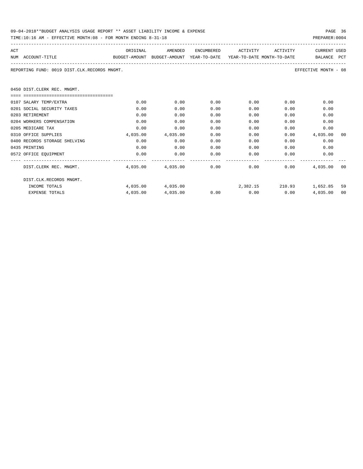| 09-04-2018**BUDGET ANALYSIS USAGE REPORT ** ASSET LIABILITY INCOME & EXPENSE | PAGE 36        |  |
|------------------------------------------------------------------------------|----------------|--|
| TIME:10:16 AM - EFFECTIVE MONTH:08 - FOR MONTH ENDING 8-31-18                | PREPARER: 0004 |  |

| ACT                                                                                      | ORIGINAL | AMENDED                | ENCUMBERED | ACTIVITY ACTIVITY           |      | <b>CURRENT USED</b>               |    |
|------------------------------------------------------------------------------------------|----------|------------------------|------------|-----------------------------|------|-----------------------------------|----|
| NUM ACCOUNT-TITLE<br>BUDGET-AMOUNT BUDGET-AMOUNT YEAR-TO-DATE YEAR-TO-DATE MONTH-TO-DATE |          |                        |            |                             |      | BALANCE PCT                       |    |
|                                                                                          |          |                        |            |                             |      |                                   |    |
| REPORTING FUND: 0019 DIST.CLK.RECORDS MNGMT.                                             |          |                        |            |                             |      | EFFECTIVE MONTH - 08              |    |
|                                                                                          |          |                        |            |                             |      |                                   |    |
| 0450 DIST.CLERK REC. MNGMT.                                                              |          |                        |            |                             |      |                                   |    |
| ====================================                                                     |          |                        |            |                             |      |                                   |    |
| 0107 SALARY TEMP/EXTRA                                                                   | 0.00     | 0.00                   | 0.00       | 0.00                        | 0.00 | 0.00                              |    |
| 0201 SOCIAL SECURITY TAXES                                                               | 0.00     | 0.00                   | 0.00       | 0.00                        | 0.00 | 0.00                              |    |
| 0203 RETIREMENT                                                                          | 0.00     | 0.00                   | 0.00       | 0.00                        | 0.00 | 0.00                              |    |
| 0204 WORKERS COMPENSATION                                                                | 0.00     | 0.00                   | 0.00       | 0.00                        | 0.00 | 0.00                              |    |
| 0205 MEDICARE TAX                                                                        | 0.00     | 0.00                   | 0.00       | 0.00                        | 0.00 | 0.00                              |    |
| 0310 OFFICE SUPPLIES                                                                     | 4,035.00 | 4,035.00               | 0.00       | 0.00                        |      | 0.00<br>4,035.00                  | 00 |
| 0400 RECORDS STORAGE SHELVING                                                            | 0.00     | 0.00                   | 0.00       | 0.00                        | 0.00 | 0.00                              |    |
| 0435 PRINTING                                                                            | 0.00     | 0.00                   | 0.00       |                             | 0.00 | 0.00<br>0.00                      |    |
| 0572 OFFICE EOUIPMENT                                                                    | 0.00     | 0.00                   | 0.00       | 0.00                        |      | 0.00<br>0.00                      |    |
|                                                                                          |          |                        |            |                             |      |                                   |    |
| DIST.CLERK REC. MNGMT.                                                                   |          | 4,035.00 4,035.00 0.00 |            | $0.00$ 0.00                 |      | 4,035,00 00                       |    |
|                                                                                          |          |                        |            |                             |      |                                   |    |
| DIST.CLK.RECORDS MNGMT.                                                                  |          |                        |            |                             |      |                                   |    |
| INCOME TOTALS                                                                            |          | 4,035.00 4,035.00      |            |                             |      | $2,382.15$ $210.93$ $1,652.85$ 59 |    |
| <b>EXPENSE TOTALS</b>                                                                    | 4,035.00 | 4,035.00               |            | $0.00$ $0.00$ $0.00$ $0.00$ |      | 4,035.00                          | 00 |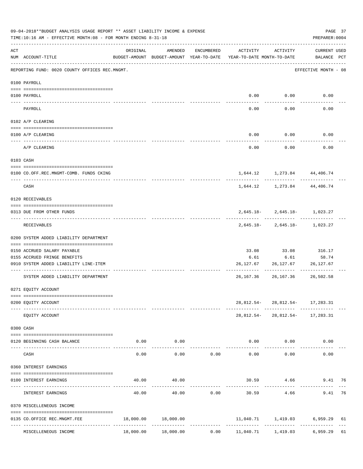|     | 09-04-2018**BUDGET ANALYSIS USAGE REPORT ** ASSET LIABILITY INCOME & EXPENSE<br>TIME:10:16 AM - EFFECTIVE MONTH:08 - FOR MONTH ENDING 8-31-18 |          |                                                                                |            |                         |                            | PREPARER: 0004                                                | PAGE 37 |
|-----|-----------------------------------------------------------------------------------------------------------------------------------------------|----------|--------------------------------------------------------------------------------|------------|-------------------------|----------------------------|---------------------------------------------------------------|---------|
| ACT | NUM ACCOUNT-TITLE                                                                                                                             | ORIGINAL | AMENDED<br>BUDGET-AMOUNT BUDGET-AMOUNT YEAR-TO-DATE YEAR-TO-DATE MONTH-TO-DATE | ENCUMBERED | ACTIVITY                | ACTIVITY                   | <b>CURRENT USED</b><br>BALANCE PCT                            |         |
|     | REPORTING FUND: 0020 COUNTY OFFICES REC.MNGMT.                                                                                                |          |                                                                                |            |                         |                            | EFFECTIVE MONTH - 08                                          |         |
|     | 0100 PAYROLL                                                                                                                                  |          |                                                                                |            |                         |                            |                                                               |         |
|     | 0100 PAYROLL                                                                                                                                  |          |                                                                                |            |                         | $0.00$ 0.00                | 0.00                                                          |         |
|     | ---- ----<br>PAYROLL                                                                                                                          |          |                                                                                |            | 0.00                    | 0.00                       | 0.00                                                          |         |
|     | 0102 A/P CLEARING                                                                                                                             |          |                                                                                |            |                         |                            |                                                               |         |
|     | 0100 A/P CLEARING                                                                                                                             |          |                                                                                |            | 0.00                    | 0.00                       | 0.00                                                          |         |
|     | -------------------------------------<br>A/P CLEARING                                                                                         |          |                                                                                |            | 0.00                    | 0.00                       | 0.00                                                          |         |
|     | 0103 CASH                                                                                                                                     |          |                                                                                |            |                         |                            |                                                               |         |
|     | 0100 CO.OFF.REC.MNGMT-COMB. FUNDS CKING                                                                                                       |          |                                                                                |            |                         |                            | $1,644.12$ $1,273.84$ $44,406.74$                             |         |
|     | CASH                                                                                                                                          |          |                                                                                |            |                         | 1,644.12 1,273.84          | 44,406.74                                                     |         |
|     | 0120 RECEIVABLES                                                                                                                              |          |                                                                                |            |                         |                            |                                                               |         |
|     | 0313 DUE FROM OTHER FUNDS                                                                                                                     |          |                                                                                |            |                         |                            | $2,645.18 - 2,645.18 - 1,023.27$                              |         |
|     | RECEIVABLES                                                                                                                                   |          |                                                                                |            |                         |                            | $2,645.18 - 2,645.18 - 1,023.27$                              |         |
|     | 0200 SYSTEM ADDED LIABILITY DEPARTMENT                                                                                                        |          |                                                                                |            |                         |                            |                                                               |         |
|     | 0150 ACCRUED SALARY PAYABLE                                                                                                                   |          |                                                                                |            | 33.08                   | 33.08                      | 316.17                                                        |         |
|     | 0155 ACCRUED FRINGE BENEFITS                                                                                                                  |          |                                                                                |            | 6.61                    | 6.61                       | 58.74                                                         |         |
|     | 0910 SYSTEM ADDED LIABILITY LINE-ITEM                                                                                                         |          |                                                                                |            |                         |                            | 26, 127.67 26, 127.67 26, 127.67                              |         |
|     | SYSTEM ADDED LIABILITY DEPARTMENT                                                                                                             |          |                                                                                |            |                         | -----------                | 26, 167. 36 26, 167. 36 26, 502. 58                           |         |
|     | 0271 EQUITY ACCOUNT                                                                                                                           |          |                                                                                |            |                         |                            |                                                               |         |
|     | 0200 EQUITY ACCOUNT                                                                                                                           |          |                                                                                |            |                         |                            | 28,812.54-28,812.54-17,283.31                                 |         |
|     | EQUITY ACCOUNT                                                                                                                                |          |                                                                                |            |                         |                            | 28,812.54-28,812.54-17,283.31                                 |         |
|     | 0300 CASH                                                                                                                                     |          |                                                                                |            |                         |                            |                                                               |         |
|     | 0120 BEGINNING CASH BALANCE<br>---- ----                                                                                                      | 0.00     | $\overline{0.00}$<br>-----------                                               |            |                         | $0.00$ 0.00<br>----------- | 0.00                                                          |         |
|     | CASH                                                                                                                                          | 0.00     | 0.00                                                                           | 0.00       | 0.00                    | 0.00                       | 0.00                                                          |         |
|     | 0360 INTEREST EARNINGS                                                                                                                        |          |                                                                                |            |                         |                            |                                                               |         |
|     | 0100 INTEREST EARNINGS                                                                                                                        |          | 40.00 40.00                                                                    |            |                         | 30.59 4.66                 | 9.41 76                                                       |         |
|     | INTEREST EARNINGS                                                                                                                             | 40.00    |                                                                                | 40.00 0.00 | --------------<br>30.59 | .<br>4.66                  | 9.41 76                                                       |         |
|     | 0370 MISCELLENEOUS INCOME                                                                                                                     |          |                                                                                |            |                         |                            |                                                               |         |
|     | 0135 CO.OFFICE REC.MNGMT.FEE                                                                                                                  |          | 18,000.00 18,000.00                                                            |            |                         |                            | 11,040.71    1,419.03    6,959.29                             | 61      |
|     | MISCELLENEOUS INCOME                                                                                                                          |          |                                                                                |            |                         |                            | $18,000.00$ $18,000.00$ 0.00 $11,040.71$ 1,419.03 6,959.29 61 |         |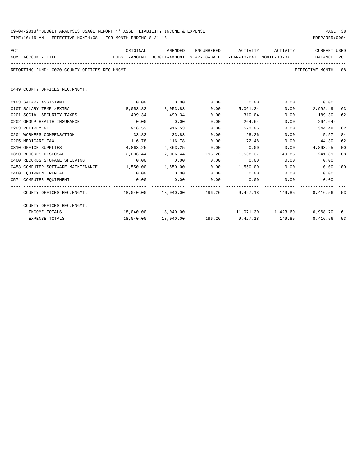| 09-04-2018**BUDGET ANALYSIS USAGE REPORT ** ASSET LIABILITY INCOME & EXPENSE |  |  |  |  |  | PAGE | 38 |
|------------------------------------------------------------------------------|--|--|--|--|--|------|----|
|                                                                              |  |  |  |  |  |      |    |

| TIME:10:16 AM - EFFECTIVE MONTH:08 - FOR MONTH ENDING 8-31-18                                        |           |                      |      |                                                         |      | PREPARER: 0004                 |    |
|------------------------------------------------------------------------------------------------------|-----------|----------------------|------|---------------------------------------------------------|------|--------------------------------|----|
| ACT                                                                                                  | ORIGINAL  |                      |      | AMENDED ENCUMBERED ACTIVITY ACTIVITY                    |      | <b>CURRENT USED</b>            |    |
| BUDGET-AMOUNT BUDGET-AMOUNT YEAR-TO-DATE YEAR-TO-DATE MONTH-TO-DATE BALANCE PCT<br>NUM ACCOUNT-TITLE |           |                      |      |                                                         |      |                                |    |
| REPORTING FUND: 0020 COUNTY OFFICES REC.MNGMT.                                                       |           |                      |      |                                                         |      | EFFECTIVE MONTH - 08           |    |
| 0449 COUNTY OFFICES REC.MNGMT.                                                                       |           |                      |      |                                                         |      |                                |    |
|                                                                                                      |           |                      |      |                                                         |      |                                |    |
| 0103 SALARY ASSISTANT                                                                                | 0.00      |                      |      | $0.00$ $0.00$ $0.00$ $0.00$ $0.00$ $0.00$ $0.00$        |      |                                |    |
| 0107 SALARY TEMP./EXTRA                                                                              | 8,053.83  | 8,053.83 0.00        |      | 5,061.34                                                |      | $0.00$ 2,992.49 63             |    |
| 0201 SOCIAL SECURITY TAXES                                                                           | 499.34    | 499.34               | 0.00 | 310.04                                                  |      | $0.00$ 189.30 62               |    |
| 0202 GROUP HEALTH INSURANCE                                                                          | 0.00      | 0.00                 | 0.00 | 264.64                                                  | 0.00 | $264.64-$                      |    |
| 0203 RETIREMENT                                                                                      | 916.53    | 916.53               | 0.00 | 572.05                                                  |      | 0.00<br>344.48                 | 62 |
| 0204 WORKERS COMPENSATION                                                                            | 33.83     | $33.83$ 0.00         |      | 28.26                                                   |      | $0.00$ 5.57                    | 84 |
| 0205 MEDICARE TAX                                                                                    | 116.78    | 116.78               | 0.00 | 72.48 0.00 44.30                                        |      |                                | 62 |
| 0310 OFFICE SUPPLIES                                                                                 | 4,863.25  | 4,863.25             | 0.00 | $0.00$ $0.00$ $4,863.25$                                |      |                                | 00 |
| 0350 RECORDS DISPOSAL                                                                                |           |                      |      | 2,006.44 2,006.44 196.26 1,568.37 149.85 241.81 88      |      |                                |    |
| 0400 RECORDS STORAGE SHELVING                                                                        | 0.00      | 0.00                 | 0.00 | $0.00$ $0.00$ $0.00$ $0.00$                             |      |                                |    |
| 0453 COMPUTER SOFTWARE MAINTENANCE 1,550.00                                                          |           |                      |      | $1,550.00$ $0.00$ $1,550.00$ $0.00$ $0.00$ $0.00$ $100$ |      |                                |    |
| 0460 EOUIPMENT RENTAL                                                                                | 0.00      |                      |      | $0.00$ $0.00$ $0.00$ $0.00$ $0.00$                      |      | 0.00                           |    |
| 0574 COMPUTER EOUIPMENT                                                                              | 0.00      | 0.00                 | 0.00 | 0.00                                                    |      | $0.00$ 0.00                    |    |
|                                                                                                      |           |                      |      |                                                         |      |                                |    |
| COUNTY OFFICES REC.MNGMT. 48,040.00 18,040.00 196.26 9,427.18 149.85 8,416.56 53                     |           |                      |      |                                                         |      |                                |    |
| COUNTY OFFICES REC.MNGMT.                                                                            |           |                      |      |                                                         |      |                                |    |
| INCOME TOTALS                                                                                        |           | 18,040.00  18,040.00 |      |                                                         |      | 11,071.30 1,423.69 6,968.70 61 |    |
| <b>EXPENSE TOTALS</b>                                                                                | 18,040.00 |                      |      | $18,040.00$ $196.26$ $9,427.18$ $149.85$ $8,416.56$ 53  |      |                                |    |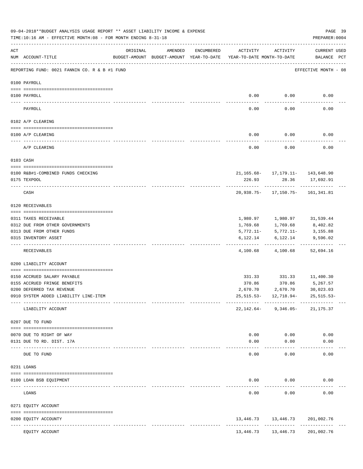|               | 09-04-2018**BUDGET ANALYSIS USAGE REPORT ** ASSET LIABILITY INCOME & EXPENSE<br>TIME:10:16 AM - EFFECTIVE MONTH:08 - FOR MONTH ENDING 8-31-18 |                               |               |            |                                                                                 |                                                 | PAGE 39<br>PREPARER: 0004    |  |
|---------------|-----------------------------------------------------------------------------------------------------------------------------------------------|-------------------------------|---------------|------------|---------------------------------------------------------------------------------|-------------------------------------------------|------------------------------|--|
| ACT           | NUM ACCOUNT-TITLE                                                                                                                             | ORIGINAL                      | AMENDED       | ENCUMBERED | ACTIVITY<br>BUDGET-AMOUNT BUDGET-AMOUNT YEAR-TO-DATE YEAR-TO-DATE MONTH-TO-DATE | ACTIVITY                                        | CURRENT USED<br>BALANCE PCT  |  |
|               | REPORTING FUND: 0021 FANNIN CO. R & B #1 FUND                                                                                                 |                               |               |            |                                                                                 |                                                 | EFFECTIVE MONTH - 08         |  |
|               | 0100 PAYROLL                                                                                                                                  |                               |               |            |                                                                                 |                                                 |                              |  |
|               | 0100 PAYROLL                                                                                                                                  |                               |               |            | 0.00                                                                            | 0.00                                            | 0.00                         |  |
| $\frac{1}{2}$ | PAYROLL                                                                                                                                       |                               |               |            | $----$<br>0.00                                                                  | 0.00                                            | 0.00                         |  |
|               | 0102 A/P CLEARING                                                                                                                             |                               |               |            |                                                                                 |                                                 |                              |  |
|               | 0100 A/P CLEARING                                                                                                                             |                               |               |            | 0.00                                                                            | 0.00                                            | 0.00                         |  |
|               | A/P CLEARING                                                                                                                                  |                               |               |            | 0.00                                                                            | 0.00                                            | 0.00                         |  |
|               | 0103 CASH                                                                                                                                     |                               |               |            |                                                                                 |                                                 |                              |  |
|               | 0100 R&B#1-COMBINED FUNDS CHECKING                                                                                                            |                               |               |            |                                                                                 | $21, 165.68 - 17, 179.11 - 143, 648.90$         |                              |  |
|               | 0175 TEXPOOL                                                                                                                                  |                               |               |            | 226.93                                                                          |                                                 | 28.36 17,692.91              |  |
|               | CASH                                                                                                                                          |                               |               |            |                                                                                 | -----------<br>20,938.75- 17,150.75- 161,341.81 |                              |  |
|               | 0120 RECEIVABLES                                                                                                                              |                               |               |            |                                                                                 |                                                 |                              |  |
|               | 0311 TAXES RECEIVABLE                                                                                                                         |                               |               |            |                                                                                 | 1,980.97 1,980.97 31,539.44                     |                              |  |
|               | 0312 DUE FROM OTHER GOVERNMENTS                                                                                                               |                               |               |            | 1,769.68                                                                        | 1,769.68                                        | 8,402.82                     |  |
|               | 0313 DUE FROM OTHER FUNDS                                                                                                                     |                               |               |            |                                                                                 | $5,772.11 - 5,772.11 -$                         | 3,155.88                     |  |
|               | 0315 INVENTORY ASSET                                                                                                                          |                               |               |            | 6,122.14                                                                        | 6,122.14                                        | 9,596.02                     |  |
|               | RECEIVABLES                                                                                                                                   |                               |               |            | 4,100.68                                                                        | 4,100.68                                        | -------------<br>52,694.16   |  |
|               | 0200 LIABILITY ACCOUNT                                                                                                                        |                               |               |            |                                                                                 |                                                 |                              |  |
|               |                                                                                                                                               |                               |               |            |                                                                                 |                                                 |                              |  |
|               | 0150 ACCRUED SALARY PAYABLE<br>0155 ACCRUED FRINGE BENEFITS                                                                                   |                               |               |            | 370.86                                                                          | 331.33 331.33 11,400.30<br>370.86 5,267.57      |                              |  |
|               | 0200 DEFERRED TAX REVENUE                                                                                                                     |                               |               |            | 2,670.70                                                                        | 2,670.70                                        | 30,023.03                    |  |
|               | 0910 SYSTEM ADDED LIABILITY LINE-ITEM                                                                                                         |                               |               |            |                                                                                 | 25, 515. 53 - 12, 718. 94 -                     | $25, 515.53 -$               |  |
|               | LIABILITY ACCOUNT                                                                                                                             |                               |               |            |                                                                                 | $22,142.64 - 9,346.05 -$                        | 21,175.37                    |  |
|               | 0207 DUE TO FUND                                                                                                                              |                               |               |            |                                                                                 |                                                 |                              |  |
|               |                                                                                                                                               |                               |               |            |                                                                                 |                                                 |                              |  |
|               | 0070 DUE TO RIGHT OF WAY<br>0131 DUE TO RD. DIST. 17A                                                                                         |                               |               |            | 0.00<br>0.00                                                                    | 0.00<br>0.00                                    | 0.00<br>0.00                 |  |
|               | DUE TO FUND                                                                                                                                   | -------------- -------------- |               |            | $--- - -$<br>0.00                                                               | -----<br>0.00                                   | 0.00                         |  |
|               | 0231 LOANS                                                                                                                                    |                               |               |            |                                                                                 |                                                 |                              |  |
|               |                                                                                                                                               |                               |               |            |                                                                                 |                                                 |                              |  |
|               | 0100 LOAN BSB EQUIPMENT                                                                                                                       |                               |               |            | 0.00                                                                            | 0.00                                            | 0.00                         |  |
|               | LOANS                                                                                                                                         |                               |               |            | 0.00                                                                            | 0.00                                            | 0.00                         |  |
|               | 0271 EQUITY ACCOUNT                                                                                                                           |                               |               |            |                                                                                 |                                                 |                              |  |
|               | 0200 EQUITY ACCOUNTY<br>---- ------------<br>------------------------------                                                                   |                               | ------------- |            | 13,446.73<br>-----------------------------                                      | 13,446.73                                       | 201,002.76<br>-------------- |  |
|               | EQUITY ACCOUNT                                                                                                                                |                               |               |            | 13,446.73                                                                       | 13,446.73                                       | 201,002.76                   |  |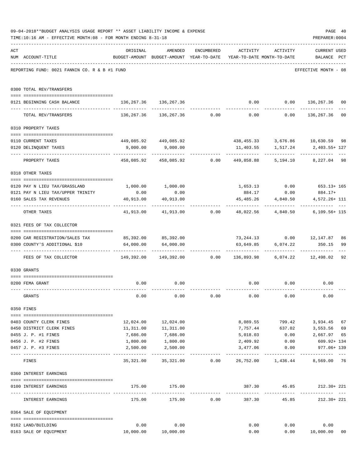|     | 09-04-2018**BUDGET ANALYSIS USAGE REPORT ** ASSET LIABILITY INCOME & EXPENSE<br>TIME:10:16 AM - EFFECTIVE MONTH:08 - FOR MONTH ENDING 8-31-18 |                                                                                 |                                                                  |             |          |                              | PAGE 40<br>PREPARER: 0004                   |                |
|-----|-----------------------------------------------------------------------------------------------------------------------------------------------|---------------------------------------------------------------------------------|------------------------------------------------------------------|-------------|----------|------------------------------|---------------------------------------------|----------------|
| ACT | NUM ACCOUNT-TITLE                                                                                                                             | ORIGINAL<br>BUDGET-AMOUNT BUDGET-AMOUNT YEAR-TO-DATE YEAR-TO-DATE MONTH-TO-DATE | AMENDED                                                          |             |          | ENCUMBERED ACTIVITY ACTIVITY | CURRENT USED<br>BALANCE PCT                 |                |
|     | REPORTING FUND: 0021 FANNIN CO. R & B #1 FUND                                                                                                 |                                                                                 |                                                                  |             |          |                              | EFFECTIVE MONTH - 08                        |                |
|     | 0300 TOTAL REV/TRANSFERS                                                                                                                      |                                                                                 |                                                                  |             |          |                              |                                             |                |
|     | 0121 BEGINNING CASH BALANCE                                                                                                                   | 136, 267.36 136, 267.36                                                         |                                                                  |             |          | . <u>.</u> .                 | $0.00$ $0.00$ $136,267.36$<br>------------- | 0 <sub>0</sub> |
|     | TOTAL REV/TRANSFERS                                                                                                                           |                                                                                 | $136, 267.36$ $136, 267.36$ 0.00 0.00 0.00 $136, 267.36$ 00      |             |          |                              |                                             |                |
|     | 0310 PROPERTY TAXES                                                                                                                           |                                                                                 |                                                                  |             |          |                              |                                             |                |
|     |                                                                                                                                               |                                                                                 |                                                                  |             |          |                              |                                             |                |
|     | 0110 CURRENT TAXES<br>0120 DELINQUENT TAXES                                                                                                   | 449,085.92  449,085.92  438,455.33  3,676.86  10,630.59  98                     | $9,000.00$ $9,000.00$                                            |             |          |                              | 11,403.55 1,517.24 2,403.55+127             | $\frac{1}{2}$  |
|     | PROPERTY TAXES                                                                                                                                |                                                                                 | 458,085.92  458,085.92  0.00  449,858.88  5,194.10  8,227.04  98 |             |          |                              |                                             |                |
|     | 0318 OTHER TAXES                                                                                                                              |                                                                                 |                                                                  |             |          |                              |                                             |                |
|     |                                                                                                                                               |                                                                                 |                                                                  |             |          |                              |                                             |                |
|     | 0120 PAY N LIEU TAX/GRASSLAND<br>0121 PAY N LIEU TAX/UPPER TRINITY                                                                            | 0.00                                                                            | $1,000.00$ $1,000.00$<br>0.00                                    |             | 884.17   | 0.00                         | $1,653.13$ 0.00 653.13+165<br>884.17+       |                |
|     |                                                                                                                                               | 40,913.00                                                                       | 40,913.00                                                        |             |          | 45,485.26 4,840.50           | 4,572.26+ 111                               |                |
|     | 0160 SALES TAX REVENUES                                                                                                                       |                                                                                 |                                                                  |             |          |                              |                                             |                |
|     | OTHER TAXES                                                                                                                                   |                                                                                 | $41,913.00$ $41,913.00$ $0.00$ $48,022.56$ $4,840.50$            |             |          |                              | $6,109.56+115$                              |                |
|     | 0321 FEES OF TAX COLLECTOR                                                                                                                    |                                                                                 |                                                                  |             |          |                              |                                             |                |
|     | 0200 CAR REGISTRATION/SALES TAX                                                                                                               | $85,392.00$ $85,392.00$ $73,244.13$ $0.00$ $12,147.87$                          |                                                                  |             |          |                              |                                             | 86             |
|     | 0300 COUNTY'S ADDITIONAL \$10                                                                                                                 |                                                                                 | 64,000.00 64,000.00                                              |             |          |                              | 63,649.85 6,074.22 350.15                   | 99<br>$---$    |
|     | FEES OF TAX COLLECTOR 6.02 COLLECTOR 149,392.00 149,392.00 0.00 136,893.98 6,074.22 12,498.02                                                 |                                                                                 |                                                                  |             |          |                              |                                             | 92             |
|     | 0330 GRANTS                                                                                                                                   |                                                                                 |                                                                  |             |          |                              |                                             |                |
|     |                                                                                                                                               |                                                                                 |                                                                  |             |          |                              |                                             |                |
|     | 0200 FEMA GRANT                                                                                                                               | 0.00                                                                            | 0.00                                                             |             |          | $0.00$ $0.00$                | 0.00                                        |                |
|     | GRANTS                                                                                                                                        | 0.00                                                                            | 0.00                                                             | 0.00        | 0.00     | 0.00                         | 0.00                                        |                |
|     | 0350 FINES                                                                                                                                    |                                                                                 |                                                                  |             |          |                              |                                             |                |
|     | 0403 COUNTY CLERK FINES                                                                                                                       |                                                                                 | 12,024.00 12,024.00                                              |             |          |                              | 8,089.55 799.42 3,934.45 67                 |                |
|     | 0450 DISTRICT CLERK FINES                                                                                                                     | 11,311.00                                                                       | 11,311.00                                                        |             | 7,757.44 | 637.02                       | 3,553.56                                    | 69             |
|     | 0455 J. P. #1 FINES                                                                                                                           | 7,686.00                                                                        | 7,686.00                                                         |             | 5,018.03 | 0.00                         | 2,667.97 65                                 |                |
|     | 0456 J. P. #2 FINES                                                                                                                           | 1,800.00                                                                        | 1,800.00                                                         |             | 2,409.92 | 0.00                         | 609.92+ 134                                 |                |
|     | 0457 J. P. #3 FINES                                                                                                                           | 2,500.00                                                                        | 2,500.00                                                         |             |          |                              | 3,477.06 0.00 977.06+ 139                   |                |
|     | FINES                                                                                                                                         | -----------                                                                     | 35,321.00  35,321.00  0.00  26,752.00  1,436.44  8,569.00  76    |             |          |                              | -------------                               |                |
|     | 0360 INTEREST EARNINGS                                                                                                                        |                                                                                 |                                                                  |             |          |                              |                                             |                |
|     | 0100 INTEREST EARNINGS                                                                                                                        |                                                                                 | 175.00 175.00                                                    |             |          |                              | 387.30  45.85  212.30 + 221                 |                |
|     | INTEREST EARNINGS                                                                                                                             | 175.00                                                                          |                                                                  | 175.00 0.00 |          |                              | 387.30 45.85 212.30+221                     |                |
|     | 0364 SALE OF EQUIPMENT                                                                                                                        |                                                                                 |                                                                  |             |          |                              |                                             |                |
|     | 0162 LAND/BUILDING                                                                                                                            | 0.00                                                                            | 0.00                                                             |             | 0.00     |                              | 0.00<br>0.00                                |                |
|     | 0163 SALE OF EQUIPMENT                                                                                                                        |                                                                                 | 10,000.00    10,000.00                                           |             | 0.00     |                              | 0.00 10,000.00                              | 00             |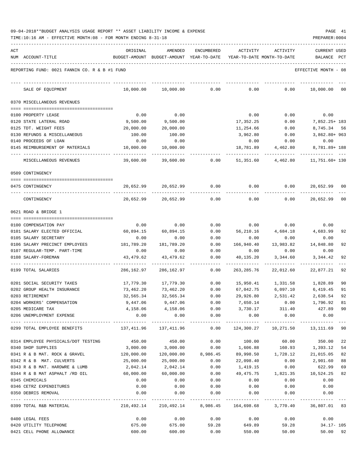| 09-04-2018**BUDGET ANALYSIS USAGE REPORT ** ASSET LIABILITY INCOME & EXPENSE |  |  |  |  |  | PAGE | 41 |
|------------------------------------------------------------------------------|--|--|--|--|--|------|----|
|                                                                              |  |  |  |  |  |      |    |

TIME:10:16 AM - EFFECTIVE MONTH:08 - FOR MONTH ENDING 8-31-18 PREPARER:0004

| ACT |                                               | ORIGINAL                                                     | AMENDED                                                             | ENCUMBERED                    | ACTIVITY          | ACTIVITY  | <b>CURRENT USED</b>                                             |     |
|-----|-----------------------------------------------|--------------------------------------------------------------|---------------------------------------------------------------------|-------------------------------|-------------------|-----------|-----------------------------------------------------------------|-----|
|     | NUM ACCOUNT-TITLE                             |                                                              | BUDGET-AMOUNT BUDGET-AMOUNT YEAR-TO-DATE YEAR-TO-DATE MONTH-TO-DATE |                               |                   |           | BALANCE                                                         | PCT |
|     | REPORTING FUND: 0021 FANNIN CO. R & B #1 FUND |                                                              |                                                                     |                               |                   |           | EFFECTIVE MONTH - 08                                            |     |
|     | SALE OF EQUIPMENT                             | 10,000.00                                                    | 10,000.00                                                           | 0.00                          | 0.00              | 0.00      | 10,000.00                                                       | 00  |
|     | 0370 MISCELLANEOUS REVENUES                   |                                                              |                                                                     |                               |                   |           |                                                                 |     |
|     |                                               |                                                              |                                                                     |                               |                   |           |                                                                 |     |
|     | 0100 PROPERTY LEASE                           | 0.00                                                         | 0.00                                                                |                               | 0.00              | 0.00      | 0.00                                                            |     |
|     | 0120 STATE LATERAL ROAD                       | 9,500.00                                                     | 9,500.00                                                            |                               | 17,352.25         | 0.00      | 7,852.25+ 183                                                   |     |
|     | 0125 TDT. WEIGHT FEES                         | 20,000.00                                                    | 20,000.00                                                           |                               | 11,254.66         | 0.00      | 8,745.34 56                                                     |     |
|     | 0130 REFUNDS & MISCELLANEOUS                  | 100.00                                                       | 100.00                                                              |                               | 3,962.80          | 0.00      | 3,862.80+ 963                                                   |     |
|     | 0140 PROCEEDS OF LOAN                         | 0.00                                                         | 0.00                                                                |                               | 0.00              | 0.00      | 0.00                                                            |     |
|     | 0145 REIMBURSEMENT OF MATERIALS               | 10,000.00                                                    | 10,000.00                                                           |                               | 18,781.89         | 4,462.80  | 8,781.89+ 188                                                   |     |
|     | MISCELLANEOUS REVENUES                        | 39,600.00                                                    | 39,600.00                                                           | 0.00                          | 51,351.60         | 4,462.80  | 11,751.60+ 130                                                  |     |
|     | 0509 CONTINGENCY                              |                                                              |                                                                     |                               |                   |           |                                                                 |     |
|     |                                               |                                                              |                                                                     |                               |                   |           |                                                                 |     |
|     | 0475 CONTINGENCY                              |                                                              | 20,652.99 20,652.99                                                 | 0.00                          | 0.00              | 0.00      | 20,652.99                                                       | 00  |
|     | CONTINGENCY                                   | 20,652.99                                                    | 20,652.99                                                           | 0.00                          | 0.00              | 0.00      | 20,652.99                                                       | 00  |
|     | 0621 ROAD & BRIDGE 1                          |                                                              |                                                                     |                               |                   |           |                                                                 |     |
|     |                                               |                                                              |                                                                     |                               |                   |           |                                                                 |     |
|     | 0100 COMPENSATION PAY                         | 0.00                                                         | 0.00                                                                | 0.00                          | 0.00              | 0.00      | 0.00                                                            |     |
|     | 0101 SALARY ELECTED OFFICIAL                  | 60,894.15                                                    | 60,894.15                                                           | 0.00                          | 56,210.16         | 4,684.18  | 4,683.99                                                        | 92  |
|     | 0105 SALARY SECRETARY                         | 0.00                                                         | 0.00                                                                | 0.00                          | 0.00              | 0.00      | 0.00                                                            |     |
|     | 0106 SALARY PRECINCT EMPLOYEES                | 181,789.20                                                   | 181,789.20                                                          | 0.00                          | 166,940.40        | 13,983.82 | 14,848.80                                                       | 92  |
|     | 0107 REGULAR-TEMP. PART-TIME                  | 0.00                                                         | 0.00                                                                | 0.00                          | 0.00              | 0.00      | 0.00                                                            |     |
|     | 0108 SALARY-FOREMAN                           | 43,479.62                                                    | 43, 479.62                                                          | 0.00                          | 40,135.20         | 3,344.60  | 3,344.42                                                        | 92  |
|     | 0199 TOTAL SALARIES                           | 286,162.97                                                   | 286,162.97                                                          | 0.00                          | 263, 285.76       | 22,012.60 | 22,877.21                                                       | 92  |
|     | 0201 SOCIAL SECURITY TAXES                    | 17,779.30                                                    | 17,779.30                                                           | 0.00                          | 15,950.41         | 1,331.58  | 1,828.89                                                        | 90  |
|     | 0202 GROUP HEALTH INSURANCE                   | 73,462.20                                                    | 73,462.20                                                           | 0.00                          | 67,042.75         | 6,097.10  | 6,419.45                                                        | 91  |
|     | 0203 RETIREMENT                               | 32,565.34                                                    | 32,565.34                                                           | 0.00                          | 29,926.80         | 2,531.42  | 2,638.54                                                        | 92  |
|     | 0204 WORKERS' COMPENSATION                    | 9,447.06                                                     | 9,447.06                                                            | 0.00                          | 7,650.14          | 0.00      | 1,796.92                                                        | 81  |
|     | 0205 MEDICARE TAX                             |                                                              | 4, 158.06 4, 158.06                                                 | 0.00                          |                   |           | 3,730.17 311.40 427.89 90                                       |     |
|     | 0206 UNEMPLOYMENT EXPENSE                     | 0.00                                                         | 0.00                                                                | 0.00                          | 0.00              | 0.00      | 0.00                                                            |     |
|     | 0299 TOTAL EMPLOYEE BENEFITS                  | 137,411.96 137,411.96 0.00 124,300.27 10,271.50 13,111.69 90 |                                                                     |                               |                   |           |                                                                 |     |
|     | 0314 EMPLOYEE PHYSICALS/DOT TESTING           |                                                              | 450.00 450.00                                                       | 0.00                          |                   |           | 100.00 60.00 350.00                                             | 22  |
|     | 0340 SHOP SUPPLIES                            | 3,000.00                                                     | 3,000.00                                                            |                               | $0.00$ 1,606.88   |           | 160.93 1,393.12                                                 | 54  |
|     | 0341 R & B MAT. ROCK & GRAVEL 120,000.00      |                                                              |                                                                     | 120,000.00 8,986.45 89,998.50 |                   |           | 1,728.12 21,015.05                                              | 82  |
|     | 0342 R & B MAT. CULVERTS                      | 25,000.00                                                    | 25,000.00                                                           | 0.00                          | 22,098.40         | 0.00      | 2,901.60                                                        | 88  |
|     | 0343 R & B MAT. HARDWRE & LUMB                | 2,042.14                                                     | 2,042.14                                                            | 0.00                          | 1,419.15          | 0.00      | 622.99                                                          | 69  |
|     | 0344 R & B MAT ASPHALT /RD OIL                | 60,000.00                                                    | 60,000.00                                                           | 0.00                          | 49,475.75         | 1,821.35  | 10,524.25                                                       | 82  |
|     | 0345 CHEMICALS                                | 0.00                                                         | 0.00                                                                | 0.00                          | 0.00              | 0.00      | 0.00                                                            |     |
|     | 0346 CETRZ EXPENDITURES                       | 0.00                                                         | 0.00                                                                | 0.00                          | 0.00              | 0.00      | 0.00                                                            |     |
|     | 0350 DEBRIS REMOVAL                           | 0.00                                                         | 0.00                                                                | 0.00                          | 0.00              | 0.00      | 0.00                                                            |     |
|     | 0399 TOTAL R&B MATERIAL                       |                                                              |                                                                     |                               |                   |           | 210,492.14 210,492.14 8,986.45 164,698.68 3,770.40 36,807.01 83 |     |
|     | 0400 LEGAL FEES                               |                                                              | $0.00$ $0.00$ $0.00$ $0.00$ $0.00$ $0.00$                           |                               |                   |           | 0.00                                                            |     |
|     | 0420 UTILITY TELEPHONE                        | 675.00                                                       |                                                                     | 675.00 59.28 649.89 59.28     |                   |           | 34.17- 105                                                      |     |
|     | 0421 CELL PHONE ALLOWANCE                     | 600.00                                                       | 600.00                                                              |                               | 0.00 550.00 50.00 |           | 50.00 92                                                        |     |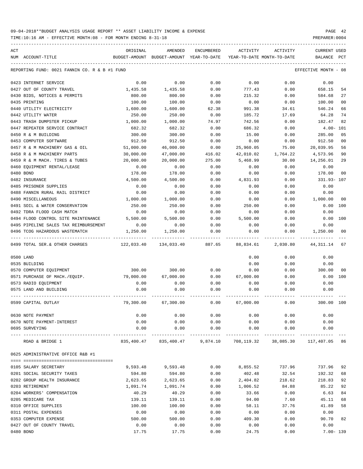TIME:10:16 AM - EFFECTIVE MONTH:08 - FOR MONTH ENDING 8-31-18 PREPARER:0004

| ACT |                                                              | ORIGINAL   | AMENDED                                  | ENCUMBERED | ACTIVITY                   | ACTIVITY  | <b>CURRENT USED</b>  |     |
|-----|--------------------------------------------------------------|------------|------------------------------------------|------------|----------------------------|-----------|----------------------|-----|
|     | NUM ACCOUNT-TITLE                                            |            | BUDGET-AMOUNT BUDGET-AMOUNT YEAR-TO-DATE |            | YEAR-TO-DATE MONTH-TO-DATE |           | BALANCE              | PCT |
|     |                                                              |            |                                          |            |                            |           |                      |     |
|     | REPORTING FUND: 0021 FANNIN CO. R & B #1 FUND                |            |                                          |            |                            |           | EFFECTIVE MONTH - 08 |     |
|     | 0423 INTERNET SERVICE                                        | 0.00       | 0.00                                     | 0.00       | 0.00                       | 0.00      | 0.00                 |     |
|     | 0427 OUT OF COUNTY TRAVEL                                    | 1,435.58   | 1,435.58                                 | 0.00       | 777.43                     | 0.00      | 658.15               | 54  |
|     | 0430 BIDS, NOTICES & PERMITS                                 | 800.00     | 800.00                                   | 0.00       | 215.32                     | 0.00      | 584.68               | 27  |
|     | 0435 PRINTING                                                | 100.00     | 100.00                                   | 0.00       | 0.00                       | 0.00      | 100.00               | 00  |
|     | 0440 UTILITY ELECTRICITY                                     | 1,600.00   | 1,600.00                                 | 62.38      | 991.38                     | 34.61     | 546.24               | 66  |
|     | 0442 UTILITY WATER                                           | 250.00     | 250.00                                   | 0.00       | 185.72                     | 17.69     | 64.28                | 74  |
|     | 0443 TRASH DUMPSTER PICKUP                                   | 1,000.00   | 1,000.00                                 | 74.97      | 742.56                     | 0.00      | 182.47               | 82  |
|     | 0447 REPEATER SERVICE CONTRACT                               | 682.32     | 682.32                                   | 0.00       | 686.32                     | 0.00      | $4.00 - 101$         |     |
|     | 0450 R & M BUILDING                                          | 300.00     | 300.00                                   | 0.00       | 15.00                      | 0.00      | 285.00               | 05  |
|     | 0453 COMPUTER SOFTWARE                                       | 912.50     | 912.50                                   | 0.00       | 0.00                       | 0.00      | 912.50               | 00  |
|     | 0457 R & M MACHINERY GAS & OIL                               | 51,000.00  | 46,000.00                                | 0.00       | 25,960.05                  | 75.00     | 20,039.95            | 56  |
|     |                                                              | 30,000.00  | 47,000.00                                |            | 42,010.02                  |           | 4,573.96             | 90  |
|     | 0458 R & M MACHINERY PARTS<br>0459 R & M MACH. TIRES & TUBES |            |                                          | 416.02     | 5,468.99                   | 1,764.22  |                      |     |
|     |                                                              | 20,000.00  | 20,000.00                                | 275.00     |                            | 30.00     | 14,256.01            | 29  |
|     | 0460 EQUIPMENT RENTAL/LEASE                                  | 0.00       | 0.00                                     | 0.00       | 0.00                       | 0.00      | 0.00                 |     |
|     | 0480 BOND                                                    | 178.00     | 178.00                                   | 0.00       | 0.00                       | 0.00      | 178.00               | 00  |
|     | 0482 INSURANCE                                               | 4,500.00   | 4,500.00                                 | 0.00       | 4,831.93                   | 0.00      | 331.93-107           |     |
|     | 0485 PRISONER SUPPLIES                                       | 0.00       | 0.00                                     | 0.00       | 0.00                       | 0.00      | 0.00                 |     |
|     | 0488 FANNIN RURAL RAIL DISTRICT                              | 0.00       | 0.00                                     | 0.00       | 0.00                       | 0.00      | 0.00                 |     |
|     | 0490 MISCELLANEOUS                                           | 1,000.00   | 1,000.00                                 | 0.00       | 0.00                       | 0.00      | 1,000.00             | 00  |
|     | 0491 SOIL & WATER CONSERVATION                               | 250.00     | 250.00                                   | 0.00       | 250.00                     | 0.00      | 0.00                 | 100 |
|     | 0492 TDRA FLOOD CASH MATCH                                   | 0.00       | 0.00                                     | 0.00       | 0.00                       | 0.00      | 0.00                 |     |
|     | 0494 FLOOD CONTROL SITE MAINTENANCE                          | 5,500.00   | 5,500.00                                 | 0.00       | 5,500.00                   | 0.00      | 0.00                 | 100 |
|     | 0495 PIPELINE SALES TAX REIMBURSEMENT                        | 0.00       | 0.00                                     | 0.00       | 0.00                       | 0.00      | 0.00                 |     |
|     | 0496 TCOG HAZARDOUS WASTEMATCH                               | 1,250.00   | 1,250.00                                 | 0.00       | 0.00                       | 0.00      | 1,250.00             | 00  |
|     |                                                              |            |                                          |            |                            |           |                      |     |
|     | 0499 TOTAL SER. & OTHER CHARGES                              | 122,033.40 | 134,033.40                               | 887.65     | 88,834.61                  | 2,030.80  | 44, 311.14           | 67  |
|     | 0500 LAND                                                    |            |                                          |            | 0.00                       | 0.00      | 0.00                 |     |
|     | 0535 BUILDING                                                |            |                                          |            | 0.00                       | 0.00      | 0.00                 |     |
|     | 0570 COMPUTER EQUIPMENT                                      | 300.00     | 300.00                                   | 0.00       | 0.00                       | 0.00      | 300.00               | 00  |
|     | 0571 PURCHASE OF MACH./EQUIP.                                | 79,000.00  | 67,000.00                                | 0.00       | 67,000.00                  | 0.00      | 0.00                 | 100 |
|     | 0573 RADIO EQUIPMENT                                         | 0.00       | 0.00                                     | 0.00       | 0.00                       | 0.00      | 0.00                 |     |
|     | 0575 LAND AND BUILDING                                       | 0.00       | 0.00                                     | 0.00       | 0.00                       | 0.00      | 0.00                 |     |
|     |                                                              |            |                                          |            |                            |           |                      |     |
|     | 0599 CAPITAL OUTLAY                                          | 79,300.00  | 67,300.00                                | 0.00       | 67,000.00                  | 0.00      | 300.00               | 100 |
|     | 0630 NOTE PAYMENT                                            | 0.00       | 0.00                                     | 0.00       | 0.00                       | 0.00      | 0.00                 |     |
|     | 0670 NOTE PAYMENT-INTEREST                                   | 0.00       | 0.00                                     | 0.00       | 0.00                       | 0.00      | 0.00                 |     |
|     | 0695 SURVEYING                                               | 0.00       | 0.00                                     | 0.00       | 0.00                       | 0.00      | 0.00                 |     |
|     | ROAD & BRIDGE 1                                              | 835,400.47 | 835,400.47                               | 9,874.10   | 708,119.32                 | 38,085.30 | 117,407.05 86        |     |
|     | 0625 ADMINISTRATIVE OFFICE R&B #1                            |            |                                          |            |                            |           |                      |     |
|     |                                                              |            |                                          |            |                            |           |                      |     |
|     | 0105 SALARY SECRETARY                                        | 9,593.48   | 9,593.48                                 | 0.00       | 8,855.52                   | 737.96    | 737.96               | 92  |
|     | 0201 SOCIAL SECURITY TAXES                                   | 594.80     | 594.80                                   | 0.00       | 402.48                     | 32.54     | 192.32               | 68  |
|     | 0202 GROUP HEALTH INSURANCE                                  | 2,623.65   | 2,623.65                                 | 0.00       | 2,404.82                   | 218.62    | 218.83               | 92  |
|     | 0203 RETIREMENT                                              | 1,091.74   | 1,091.74                                 | 0.00       | 1,006.52                   | 84.88     | 85.22                | 92  |
|     | 0204 WORKERS' COMPENSATION                                   | 40.29      | 40.29                                    | 0.00       | 33.66                      | 0.00      | 6.63                 | 84  |
|     | 0205 MEDICARE TAX                                            | 139.11     | 139.11                                   | 0.00       | 94.00                      | 7.60      | 45.11                | 68  |
|     | 0310 OFFICE SUPPLIES                                         | 100.00     | 100.00                                   | 0.00       | 58.11                      | 37.76     | 41.89                | 58  |
|     | 0311 POSTAL EXPENSES                                         | 0.00       | 0.00                                     | 0.00       | 0.00                       | 0.00      | 0.00                 |     |
|     | 0353 COMPUTER EXPENSE                                        | 500.00     | 500.00                                   | 0.00       | 409.30                     | 0.00      | 90.70                | 82  |
|     | 0427 OUT OF COUNTY TRAVEL                                    | 0.00       | 0.00                                     | 0.00       | 0.00                       | 0.00      | 0.00                 |     |

0480 BOND 17.75 17.75 0.00 24.75 0.00 7.00- 139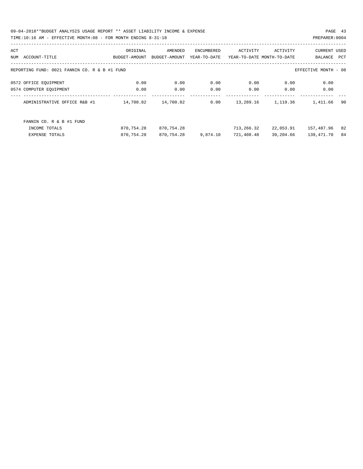09-04-2018\*\*BUDGET ANALYSIS USAGE REPORT \*\* ASSET LIABILITY INCOME & EXPENSE PAGE 43 TIME:10:16 AM - EFFECTIVE MONTH:08 - FOR MONTH ENDING 8-31-18 PREPARER:0004

| ACT |                                               | ORIGINAL      | AMENDED       | ENCUMBERED   | ACTIVITY                   | ACTIVITY  | <b>CURRENT USED</b>  |            |
|-----|-----------------------------------------------|---------------|---------------|--------------|----------------------------|-----------|----------------------|------------|
| NUM | ACCOUNT-TITLE                                 | BUDGET-AMOUNT | BUDGET-AMOUNT | YEAR-TO-DATE | YEAR-TO-DATE MONTH-TO-DATE |           | BALANCE              | <b>PCT</b> |
|     |                                               |               |               |              |                            |           |                      |            |
|     | REPORTING FUND: 0021 FANNIN CO. R & B #1 FUND |               |               |              |                            |           | EFFECTIVE MONTH - 08 |            |
|     | 0572 OFFICE EQUIPMENT                         | 0.00          | 0.00          | 0.00         | 0.00                       | 0.00      | 0.00                 |            |
|     | 0574 COMPUTER EQUIPMENT                       | 0.00          | 0.00          | 0.00         | 0.00                       | 0.00      | 0.00                 |            |
|     | ADMINISTRATIVE OFFICE R&B #1                  | 14,700.82     | 14,700.82     | 0.00         | 13,289.16                  | 1,119.36  | 1,411.66             | 90         |
|     | FANNIN CO. R & B #1 FUND                      |               |               |              |                            |           |                      |            |
|     | INCOME TOTALS                                 | 870,754.28    | 870,754.28    |              | 713,266.32                 | 22,053.91 | 157,487.96           | 82         |
|     | EXPENSE TOTALS                                | 870,754.28    | 870,754.28    | 9,874.10     | 721,408.48                 | 39,204.66 | 139,471.70           | 84         |
|     |                                               |               |               |              |                            |           |                      |            |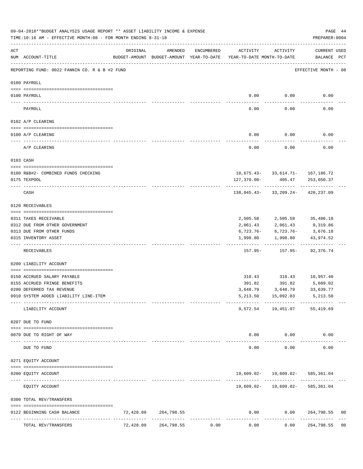|     | 09-04-2018**BUDGET ANALYSIS USAGE REPORT ** ASSET LIABILITY INCOME & EXPENSE<br>TIME:10:16 AM - EFFECTIVE MONTH:08 - FOR MONTH ENDING 8-31-18 |                                            |                      |                     |                                                                                 |                                         |                                                     |                |  |  |  |  |  |
|-----|-----------------------------------------------------------------------------------------------------------------------------------------------|--------------------------------------------|----------------------|---------------------|---------------------------------------------------------------------------------|-----------------------------------------|-----------------------------------------------------|----------------|--|--|--|--|--|
| ACT | NUM ACCOUNT-TITLE                                                                                                                             | ORIGINAL                                   | AMENDED              | ENCUMBERED          | ACTIVITY<br>BUDGET-AMOUNT BUDGET-AMOUNT YEAR-TO-DATE YEAR-TO-DATE MONTH-TO-DATE | ACTIVITY                                | CURRENT USED<br>BALANCE PCT<br>-------------------- |                |  |  |  |  |  |
|     | REPORTING FUND: 0022 FANNIN CO. R & B #2 FUND                                                                                                 |                                            |                      |                     |                                                                                 |                                         | EFFECTIVE MONTH - 08                                |                |  |  |  |  |  |
|     | 0100 PAYROLL                                                                                                                                  |                                            |                      |                     |                                                                                 |                                         |                                                     |                |  |  |  |  |  |
|     | 0100 PAYROLL                                                                                                                                  |                                            |                      |                     |                                                                                 | $0.00$ $0.00$                           | 0.00                                                |                |  |  |  |  |  |
|     | PAYROLL                                                                                                                                       |                                            |                      |                     | $- - - - -$<br>0.00                                                             | . <u>.</u> .<br>0.00                    | 0.00                                                |                |  |  |  |  |  |
|     | 0102 A/P CLEARING                                                                                                                             |                                            |                      |                     |                                                                                 |                                         |                                                     |                |  |  |  |  |  |
|     | 0100 A/P CLEARING                                                                                                                             |                                            |                      |                     | 0.00                                                                            | 0.00                                    | 0.00                                                |                |  |  |  |  |  |
|     | A/P CLEARING                                                                                                                                  |                                            |                      |                     | -----------<br>0.00                                                             | -----------<br>0.00                     | 0.00                                                |                |  |  |  |  |  |
|     | 0103 CASH                                                                                                                                     |                                            |                      |                     |                                                                                 |                                         |                                                     |                |  |  |  |  |  |
|     | 0100 R&B#2- COMBINED FUNDS CHECKING                                                                                                           |                                            |                      |                     |                                                                                 | $10,675.43 - 33,614.71 - 167,186.72$    |                                                     |                |  |  |  |  |  |
|     | 0175 TEXPOOL                                                                                                                                  |                                            |                      |                     |                                                                                 | $127,370.00 - 405.47$ 253,050.37        |                                                     |                |  |  |  |  |  |
|     | CASH                                                                                                                                          |                                            |                      |                     |                                                                                 | 138,045.43-33,209.24-420,237.09         |                                                     |                |  |  |  |  |  |
|     | 0120 RECEIVABLES                                                                                                                              |                                            |                      |                     |                                                                                 |                                         |                                                     |                |  |  |  |  |  |
|     |                                                                                                                                               |                                            |                      |                     |                                                                                 |                                         |                                                     |                |  |  |  |  |  |
|     | 0311 TAXES RECEIVABLE<br>0312 DUE FROM OTHER GOVERNMENT                                                                                       |                                            |                      |                     | 2,061.43                                                                        | 2,505.58 2,505.58 35,406.18<br>2,061.43 | 9,319.86                                            |                |  |  |  |  |  |
|     | 0313 DUE FROM OTHER FUNDS                                                                                                                     |                                            |                      |                     |                                                                                 | $6,723.76 - 6,723.76 -$                 | 3,676.18                                            |                |  |  |  |  |  |
|     | 0315 INVENTORY ASSET                                                                                                                          |                                            |                      |                     |                                                                                 | 1,998.80 1,998.80                       | 43,974.52                                           |                |  |  |  |  |  |
|     | RECEIVABLES                                                                                                                                   |                                            |                      |                     |                                                                                 | 157.95 - 157.95 - 92,376.74             |                                                     |                |  |  |  |  |  |
|     | 0200 LIABILITY ACCOUNT                                                                                                                        |                                            |                      |                     |                                                                                 |                                         |                                                     |                |  |  |  |  |  |
|     | 0150 ACCRUED SALARY PAYABLE                                                                                                                   |                                            |                      |                     |                                                                                 | 318.43 318.43 10,957.40                 |                                                     |                |  |  |  |  |  |
|     | 0155 ACCRUED FRINGE BENEFITS                                                                                                                  |                                            |                      |                     |                                                                                 | 391.82 391.82 5,609.02                  |                                                     |                |  |  |  |  |  |
|     | 0200 DEFERRED TAX REVENUE                                                                                                                     |                                            |                      |                     | 3,648.79                                                                        | 3,648.79                                | 33,639.77                                           |                |  |  |  |  |  |
|     | 0910 SYSTEM ADDED LIABILITY LINE-ITEM                                                                                                         |                                            |                      |                     | 5,213.50                                                                        | 15,092.03 5,213.50                      |                                                     |                |  |  |  |  |  |
|     | LIABILITY ACCOUNT                                                                                                                             |                                            |                      |                     |                                                                                 | 9,572.54 19,451.07 55,419.69            |                                                     |                |  |  |  |  |  |
|     | 0207 DUE TO FUND                                                                                                                              |                                            |                      |                     |                                                                                 |                                         |                                                     |                |  |  |  |  |  |
|     | 0070 DUE TO RIGHT OF WAY                                                                                                                      |                                            |                      |                     | 0.00                                                                            | 0.00                                    | 0.00                                                |                |  |  |  |  |  |
|     | DUE TO FUND                                                                                                                                   |                                            |                      |                     | $- - - - - -$<br>0.00                                                           | .<br>0.00                               | 0.00                                                |                |  |  |  |  |  |
|     | 0271 EQUITY ACCOUNT                                                                                                                           |                                            |                      |                     |                                                                                 |                                         |                                                     |                |  |  |  |  |  |
|     | 0200 EQUITY ACCOUNT                                                                                                                           |                                            |                      |                     |                                                                                 | 19,609.02- 19,609.02- 585,361.04        |                                                     |                |  |  |  |  |  |
|     | EQUITY ACCOUNT                                                                                                                                |                                            |                      |                     |                                                                                 | $19,609.02 - 19,609.02 - 585,361.04$    |                                                     |                |  |  |  |  |  |
|     | 0300 TOTAL REV/TRANSFERS                                                                                                                      |                                            |                      |                     |                                                                                 |                                         |                                                     |                |  |  |  |  |  |
|     | 0122 BEGINNING CASH BALANCE                                                                                                                   |                                            | 72,428.09 264,798.55 |                     |                                                                                 | $0.00$ $0.00$ $264,798.55$              |                                                     | 00             |  |  |  |  |  |
|     | TOTAL REV/TRANSFERS                                                                                                                           | -------------- --------------<br>72,428.09 | 264,798.55           | -----------<br>0.00 | -----------<br>0.00                                                             | ----------<br>0.00                      | -------<br>264,798.55                               | 0 <sub>0</sub> |  |  |  |  |  |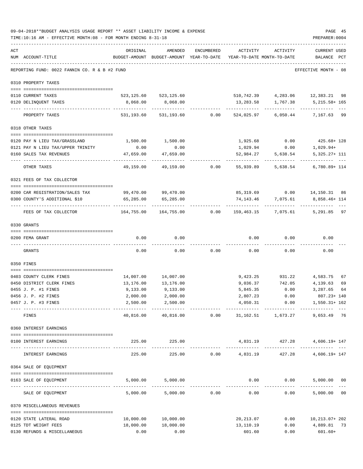|     | 09-04-2018**BUDGET ANALYSIS USAGE REPORT ** ASSET LIABILITY INCOME & EXPENSE<br>TIME:10:16 AM - EFFECTIVE MONTH:08 - FOR MONTH ENDING 8-31-18 |                                                      |                         |                 |                                        |                                                      | PAGE 45<br>PREPARER: 0004                        |
|-----|-----------------------------------------------------------------------------------------------------------------------------------------------|------------------------------------------------------|-------------------------|-----------------|----------------------------------------|------------------------------------------------------|--------------------------------------------------|
| ACT | NUM ACCOUNT-TITLE                                                                                                                             | ORIGINAL<br>BUDGET-AMOUNT BUDGET-AMOUNT YEAR-TO-DATE | AMENDED                 | ENCUMBERED      | ACTIVITY<br>YEAR-TO-DATE MONTH-TO-DATE | ACTIVITY                                             | <b>CURRENT USED</b><br>BALANCE<br>PCT            |
|     | REPORTING FUND: 0022 FANNIN CO. R & B #2 FUND                                                                                                 | -------------------------------                      |                         |                 |                                        |                                                      | EFFECTIVE MONTH - 08                             |
|     | 0310 PROPERTY TAXES                                                                                                                           |                                                      |                         |                 |                                        |                                                      |                                                  |
|     | 0110 CURRENT TAXES                                                                                                                            |                                                      | 523, 125.60 523, 125.60 |                 |                                        |                                                      | 510,742.39 4,283.06 12,383.21 98                 |
|     | 0120 DELINQUENT TAXES<br>---------------------- ------------                                                                                  | 8,068.00                                             | 8,068.00<br>----------- |                 | . <u>.</u> .                           | 13,283.58 1,767.38<br>------------                   | 5,215.58+ 165<br>----------                      |
|     | PROPERTY TAXES                                                                                                                                |                                                      | 531,193.60 531,193.60   |                 | $0.00$ 524,025.97                      | 6,050.44                                             | 7,167.63 99                                      |
|     | 0318 OTHER TAXES                                                                                                                              |                                                      |                         |                 |                                        |                                                      |                                                  |
|     | 0120 PAY N LIEU TAX/GRASSLAND                                                                                                                 | 1,500.00                                             | 1,500.00                |                 | 1,925.68                               | 0.00                                                 |                                                  |
|     | 0121 PAY N LIEU TAX/UPPER TRINITY                                                                                                             | 0.00                                                 | 0.00                    |                 | 1,029.94                               | 0.00                                                 | $425.68 + 128$<br>1,029.94+                      |
|     | 0160 SALES TAX REVENUES                                                                                                                       | 47,659.00                                            | 47,659.00               |                 | 52,984.27                              | 5,638.54                                             | 5,325.27+ 111                                    |
|     | OTHER TAXES                                                                                                                                   | .<br>49,159.00                                       |                         | 49,159.00 0.00  | ----------<br>55,939.89                | -----------<br>5,638.54                              | ---------- ---<br>6,780.89+ 114                  |
|     | 0321 FEES OF TAX COLLECTOR                                                                                                                    |                                                      |                         |                 |                                        |                                                      |                                                  |
|     | 0200 CAR REGISTRATION/SALES TAX                                                                                                               |                                                      | 99,470.00 99,470.00     |                 |                                        |                                                      | 85,319.69   0.00   14,150.31   86                |
|     | 0300 COUNTY'S ADDITIONAL \$10                                                                                                                 | 65,285.00                                            | 65,285.00               |                 |                                        |                                                      | 74, 143. 46 7, 075. 61 8, 858. 46+ 114           |
|     | FEES OF TAX COLLECTOR                                                                                                                         | 164,755.00                                           |                         | 164,755.00 0.00 |                                        |                                                      | -------------<br>159,463.15 7,075.61 5,291.85 97 |
|     | 0330 GRANTS                                                                                                                                   |                                                      |                         |                 |                                        |                                                      |                                                  |
|     | 0200 FEMA GRANT                                                                                                                               | 0.00                                                 | 0.00                    |                 | 0.00                                   | 0.00                                                 | 0.00                                             |
|     | GRANTS                                                                                                                                        | 0.00                                                 | 0.00                    | 0.00            | 0.00                                   | 0.00                                                 | 0.00                                             |
|     |                                                                                                                                               |                                                      |                         |                 |                                        |                                                      |                                                  |
|     | 0350 FINES                                                                                                                                    |                                                      |                         |                 |                                        |                                                      |                                                  |
|     | 0403 COUNTY CLERK FINES                                                                                                                       | 14,007.00                                            | 14,007.00               |                 |                                        |                                                      | 67                                               |
|     | 0450 DISTRICT CLERK FINES                                                                                                                     | 13,176.00                                            | 13,176.00               |                 |                                        | 9,423.25 931.22 4,583.75<br>9,036.37 742.05 4,139.63 | 69                                               |
|     | 0455 J. P. #1 FINES                                                                                                                           | 9,133.00                                             | 9,133.00                |                 | 5,845.35                               | 0.00                                                 | 3,287.65<br>64                                   |
|     | 0456 J. P. #2 FINES                                                                                                                           | 2,000.00                                             | 2,000.00                |                 |                                        | 2,807.23 0.00                                        | 807.23+ 140                                      |
|     | 0457 J. P. #3 FINES                                                                                                                           | 2,500.00                                             | 2,500.00                |                 | 4,050.31                               |                                                      | $0.00$ $1,550.31+162$                            |
|     | ----------------------------------<br>FINES                                                                                                   | -------------<br>40,816.00                           | -------------           | 40,816.00 0.00  |                                        | 31, 162.51 1, 673.27                                 | 9,653.49 76                                      |
|     | 0360 INTEREST EARNINGS                                                                                                                        |                                                      |                         |                 |                                        |                                                      |                                                  |
|     | 0100 INTEREST EARNINGS                                                                                                                        |                                                      | 225.00 225.00           |                 |                                        |                                                      | 4,831.19  427.28  4,606.19+147                   |
|     | INTEREST EARNINGS                                                                                                                             | 225.00                                               | -------------<br>225.00 |                 |                                        |                                                      | $0.00 \t 4,831.19 \t 427.28 \t 4,606.19 + 147$   |
|     | 0364 SALE OF EQUIPMENT                                                                                                                        |                                                      |                         |                 |                                        |                                                      |                                                  |
|     | 0163 SALE OF EQUIPMENT                                                                                                                        |                                                      | 5,000.00 5,000.00       |                 |                                        | $0.00$ 0.00                                          | 5,000.00 00                                      |
|     | SALE OF EQUIPMENT                                                                                                                             | 5,000.00                                             |                         | 5,000.00 0.00   | 0.00                                   | 0.00                                                 | --------------<br>5,000.00 00                    |
|     | 0370 MISCELLANEOUS REVENUES                                                                                                                   |                                                      |                         |                 |                                        |                                                      |                                                  |
|     |                                                                                                                                               |                                                      |                         |                 |                                        |                                                      |                                                  |
|     | 0120 STATE LATERAL ROAD<br>0125 TDT WEIGHT FEES                                                                                               | 10,000.00<br>18,000.00                               | 10,000.00<br>18,000.00  |                 | 20,213.07<br>13,110.19                 |                                                      | $0.00$ $10,213.07+202$<br>$0.00$ 4,889.81 73     |
|     | 0130 REFUNDS & MISCELLANEOUS                                                                                                                  | 0.00                                                 | 0.00                    |                 | 601.60                                 | 0.00                                                 | $601.60+$                                        |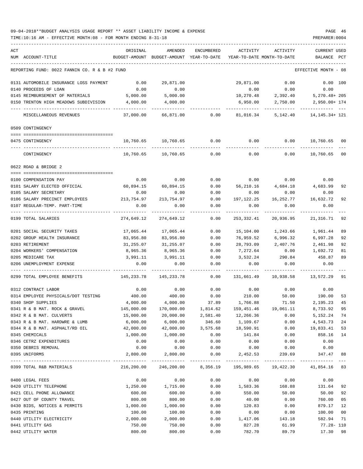## 09-04-2018\*\*BUDGET ANALYSIS USAGE REPORT \*\* ASSET LIABILITY INCOME & EXPENSE PAGE 46 TIME:10:16 AM - EFFECTIVE MONTH:08 - FOR MONTH ENDING 8-31-18 PREPARER:0004

| ACT | NUM ACCOUNT-TITLE                                       | ORIGINAL              | AMENDED<br>BUDGET-AMOUNT BUDGET-AMOUNT YEAR-TO-DATE | ENCUMBERED     | ACTIVITY            | ACTIVITY<br>YEAR-TO-DATE MONTH-TO-DATE                           | <b>CURRENT USED</b><br>BALANCE | PCT |
|-----|---------------------------------------------------------|-----------------------|-----------------------------------------------------|----------------|---------------------|------------------------------------------------------------------|--------------------------------|-----|
|     |                                                         |                       |                                                     |                |                     |                                                                  |                                |     |
|     | REPORTING FUND: 0022 FANNIN CO. R & B #2 FUND           |                       |                                                     |                |                     |                                                                  | EFFECTIVE MONTH - 08           |     |
|     | 0131 AUTOMOBILE INSURANCE LOSS PAYMENT                  | 0.00                  | 29,871.00                                           |                | 29,871.00           | 0.00                                                             | 0.00 100                       |     |
|     | 0140 PROCEEDS OF LOAN                                   | 0.00                  | 0.00                                                |                | 0.00                | 0.00                                                             | 0.00                           |     |
|     | 0145 REIMBURSEMENT OF MATERIALS                         | 5,000.00              | 5,000.00                                            |                | 10,270.48           | 2,392.40                                                         | 5,270.48+205                   |     |
|     | 0150 TRENTON HIGH MEADOWS SUBDIVISION                   | 4,000.00              | 4,000.00                                            |                | 6,950.00            | 2,750.00                                                         | 2,950.00+ 174                  |     |
|     | MISCELLANEOUS REVENUES                                  | 37,000.00             |                                                     | 66,871.00 0.00 | 81,016.34           | 5,142.40                                                         | 14, 145. 34+ 121               |     |
|     | 0509 CONTINGENCY                                        |                       |                                                     |                |                     |                                                                  |                                |     |
|     | 0475 CONTINGENCY                                        |                       | 10,760.65 10,760.65                                 | 0.00           | 0.00                | 0.00                                                             | 10,760.65 00                   |     |
|     | CONTINGENCY                                             | 10,760.65             | 10,760.65                                           | 0.00           | 0.00                | 0.00                                                             | 10,760.65                      | 00  |
|     | 0622 ROAD & BRIDGE 2                                    |                       |                                                     |                |                     |                                                                  |                                |     |
|     |                                                         |                       |                                                     |                |                     |                                                                  |                                |     |
|     | 0100 COMPENSATION PAY                                   | 0.00                  | 0.00                                                | 0.00           |                     | $0.00$ 0.00                                                      | 0.00                           |     |
|     | 0101 SALARY ELECTED OFFICIAL                            | $60,894.15$ 60,894.15 |                                                     | 0.00           |                     | 56,210.16 4,684.18 4,683.99                                      |                                | 92  |
|     | 0105 SALARY SECRETARY<br>0106 SALARY PRECINCT EMPLOYEES | 0.00<br>213,754.97    | 0.00<br>213,754.97                                  | 0.00           | 0.00<br>197,122.25  | 0.00<br>16,252.77                                                | 0.00<br>16,632.72              | 92  |
|     | 0107 REGULAR-TEMP. PART-TIME                            | 0.00                  | 0.00                                                | 0.00<br>0.00   | 0.00                | 0.00                                                             | 0.00                           |     |
|     |                                                         |                       |                                                     |                |                     |                                                                  |                                |     |
|     | 0199 TOTAL SALARIES                                     | 274,649.12            | 274,649.12                                          | 0.00           | 253,332.41          | 20,936.95                                                        | 21,316.71                      | 92  |
|     | 0201 SOCIAL SECURITY TAXES                              | 17,065.44             | 17,065.44                                           | 0.00           | 15,104.00           | 1,243.66                                                         | 1,961.44                       | 89  |
|     | 0202 GROUP HEALTH INSURANCE                             | 83,956.80             | 83,956.80                                           | 0.00           | 76,959.52           | 6,996.32                                                         | 6,997.28                       | 92  |
|     | 0203 RETIREMENT                                         | 31,255.07             | 31,255.07                                           | 0.00           | 28,793.09           | 2,407.76                                                         | 2,461.98                       | 92  |
|     | 0204 WORKERS' COMPENSATION                              | 8,965.36              | 8,965.36                                            | 0.00           | 7,272.64            | 0.00                                                             | 1,692.72                       | 81  |
|     | 0205 MEDICARE TAX                                       | 3,991.11              | 3,991.11                                            | 0.00           | 3,532.24            | 290.84                                                           | 458.87                         | 89  |
|     | 0206 UNEMPLOYMENT EXPENSE                               | 0.00                  | 0.00                                                | 0.00           | 0.00                | 0.00                                                             | 0.00                           |     |
|     | 0299 TOTAL EMPLOYEE BENEFITS                            | 145,233.78            | 145,233.78                                          | 0.00           | 131,661.49          | 10,938.58                                                        | 13,572.29                      | 91  |
|     | 0312 CONTRACT LABOR                                     | 0.00                  | 0.00                                                | 0.00           | 0.00                | 0.00                                                             | 0.00                           |     |
|     | 0314 EMPLOYEE PHYSICALS/DOT TESTING                     | 400.00                | 400.00                                              | 0.00           | 210.00              | 50.00                                                            | 190.00                         | 53  |
|     | 0340 SHOP SUPPLIES                                      | 4,000.00              | 4,000.00                                            | 37.89          | 1,766.88            | 71.50                                                            | 2,195.23                       | 45  |
|     | 0341 R & B MAT. ROCK & GRAVEL                           | 145,000.00            | 170,000.00                                          |                | 1,814.62 159,451.46 | 19,061.11                                                        | 8,733.92                       | 95  |
|     | 0342 R & B MAT. CULVERTS                                | 15,000.00             | 20,000.00                                           | 2,581.40       | 12,266.36           | 0.00                                                             | 5, 152. 24 74                  |     |
|     | 0343 R & B MAT. HARDWRE & LUMB                          | 6,000.00              | 6,000.00                                            | 346.60         | 1,109.67            | 0.00                                                             | 4,543.73 24                    |     |
|     | 0344 R & B MAT. ASPHALT/RD OIL                          | 42,000.00             | 42,000.00                                           | 3,575.68       | 18,590.91           | 0.00                                                             | 19,833.41                      | 53  |
|     | 0345 CHEMICALS                                          | 1,000.00              | 1,000.00                                            | 0.00           | 141.84              | 0.00                                                             | 858.16                         | 14  |
|     | 0346 CETRZ EXPENDITURES                                 | 0.00                  | 0.00                                                | 0.00           | 0.00                | 0.00                                                             | 0.00                           |     |
|     | 0350 DEBRIS REMOVAL                                     | 0.00                  | 0.00                                                | 0.00           | 0.00                | 0.00                                                             | 0.00                           |     |
|     | 0395 UNIFORMS                                           | 2,800.00              | 2,800.00                                            | 0.00           | 2,452.53            | 239.69                                                           | 347.47                         | 88  |
|     | 0399 TOTAL R&B MATERIALS                                |                       |                                                     |                |                     | 216,200.00 246,200.00 8,356.19 195,989.65 19,422.30 41,854.16 83 |                                |     |
|     | 0400 LEGAL FEES                                         | 0.00                  | 0.00                                                | 0.00           | 0.00                | 0.00                                                             | 0.00                           |     |
|     | 0420 UTILITY TELEPHONE                                  | 1,250.00              | 1,715.00                                            | 0.00           | 1,583.36            | 168.88                                                           | 131.64                         | 92  |
|     | 0421 CELL PHONE ALLOWANCE                               | 600.00                | 600.00                                              | 0.00           | 550.00              | 50.00                                                            | 50.00                          | 92  |
|     | 0427 OUT OF COUNTY TRAVEL                               | 800.00                | 800.00                                              | 0.00           | 40.00               | 0.00                                                             | 760.00                         | 05  |
|     | 0430 BIDS, NOTICES & PERMITS                            | 1,000.00              | 1,000.00                                            | 0.00           | 120.83              | 0.00                                                             | 879.17                         | 12  |
|     | 0435 PRINTING                                           | 100.00                | 100.00                                              | 0.00           | 0.00                | 0.00                                                             | 100.00                         | 00  |
|     | 0440 UTILITY ELECTRICITY                                | 2,000.00              | 2,000.00                                            | 0.00           | 1,417.06            | 143.18                                                           | 582.94                         | 71  |
|     | 0441 UTILITY GAS                                        | 750.00                | 750.00                                              | 0.00           | 827.28              | 61.99                                                            | $77.28 - 110$                  |     |
|     | 0442 UTILITY WATER                                      | 800.00                | 800.00                                              | 0.00           | 782.70              | 89.79                                                            | 17.30                          | 98  |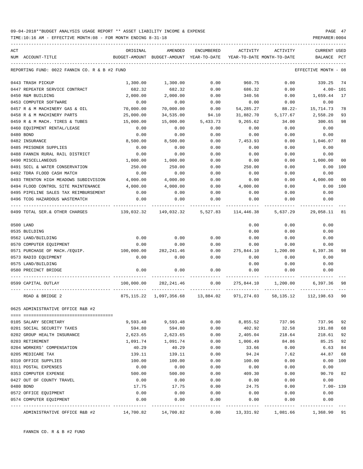TIME:10:16 AM - EFFECTIVE MONTH:08 - FOR MONTH ENDING 8-31-18 PREPARER:0004

| ACT |                                               | ORIGINAL   | AMENDED                                  | <b>ENCUMBERED</b>   | ACTIVITY   | ACTIVITY                   | <b>CURRENT USED</b>  |     |
|-----|-----------------------------------------------|------------|------------------------------------------|---------------------|------------|----------------------------|----------------------|-----|
|     | NUM ACCOUNT-TITLE                             |            | BUDGET-AMOUNT BUDGET-AMOUNT YEAR-TO-DATE |                     |            | YEAR-TO-DATE MONTH-TO-DATE | BALANCE              | PCT |
|     | REPORTING FUND: 0022 FANNIN CO. R & B #2 FUND |            |                                          |                     |            |                            | EFFECTIVE MONTH - 08 |     |
|     | 0443 TRASH PICKUP                             | 1,300.00   | 1,300.00                                 | 0.00                | 960.75     | 0.00                       | 339.25               | 74  |
|     | 0447 REPEATER SERVICE CONTRACT                | 682.32     | 682.32                                   | 0.00                | 686.32     | 0.00                       | $4.00 - 101$         |     |
|     | 0450 R&M BUILDING                             | 2,000.00   | 2,000.00                                 | 0.00                | 340.56     | 0.00                       | 1,659.44             | 17  |
|     | 0453 COMPUTER SOFTWARE                        | 0.00       | 0.00                                     | 0.00                | 0.00       | 0.00                       | 0.00                 |     |
|     | 0457 R & M MACHINERY GAS & OIL                | 70,000.00  | 70,000.00                                | 0.00                | 54,285.27  | $88.22 -$                  | 15,714.73            | 78  |
|     | 0458 R & M MACHINERY PARTS                    | 25,000.00  | 34,535.00                                | 94.10               | 31,882.70  | 5,177.67                   | 2,558.20             | 93  |
|     | 0459 R & M MACH. TIRES & TUBES                | 15,000.00  | 15,000.00                                | 5,433.73            | 9,265.62   | 34.00                      | 300.65               | 98  |
|     | 0460 EQUIPMENT RENTAL/LEASE                   | 0.00       | 0.00                                     | 0.00                | 0.00       | 0.00                       | 0.00                 |     |
|     | 0480 BOND                                     | 0.00       | 0.00                                     | 0.00                | 0.00       | 0.00                       | 0.00                 |     |
|     | 0482 INSURANCE                                | 8,500.00   | 8,500.00                                 | 0.00                | 7,453.93   | 0.00                       | 1,046.07             | 88  |
|     | 0485 PRISONER SUPPLIES                        | 0.00       | 0.00                                     | 0.00                | 0.00       | 0.00                       | 0.00                 |     |
|     | 0488 FANNIN RURAL RAIL DISTRICT               | 0.00       | 0.00                                     | 0.00                | 0.00       | 0.00                       | 0.00                 |     |
|     | 0490 MISCELLANEOUS                            | 1,000.00   | 1,000.00                                 | 0.00                | 0.00       | 0.00                       | 1,000.00             | 00  |
|     | 0491 SOIL & WATER CONSERVATION                | 250.00     | 250.00                                   | 0.00                | 250.00     | 0.00                       | 0.00                 | 100 |
|     | 0492 TDRA FLOOD CASH MATCH                    | 0.00       | 0.00                                     | 0.00                | 0.00       | 0.00                       | 0.00                 |     |
|     | 0493 TRENTON HIGH MEADOWS SUBDIVISION         | 4,000.00   | 4,000.00                                 | 0.00                | 0.00       | 0.00                       | 4,000.00             | 00  |
|     | 0494 FLOOD CONTROL SITE MAINTENANCE           | 4,000.00   | 4,000.00                                 | 0.00                | 4,000.00   | 0.00                       | 0.00                 | 100 |
|     | 0495 PIPELINE SALES TAX REIMBURSEMENT         | 0.00       | 0.00                                     | 0.00                | 0.00       | 0.00                       | 0.00                 |     |
|     | 0496 TCOG HAZARDOUS WASTEMATCH                | 0.00       | 0.00                                     | 0.00                | 0.00       | 0.00                       | 0.00                 |     |
|     | 0499 TOTAL SER. & OTHER CHARGES               | 139,032.32 |                                          | 149,032.32 5,527.83 | 114,446.38 | 5,637.29                   | 29,058.11            | 81  |
|     | 0500 LAND                                     |            |                                          |                     | 0.00       | 0.00                       | 0.00                 |     |
|     | 0535 BUILDING                                 |            |                                          |                     | 0.00       | 0.00                       | 0.00                 |     |
|     | 0562 LAND/BUILDING                            | 0.00       | 0.00                                     | 0.00                | 0.00       | 0.00                       | 0.00                 |     |
|     | 0570 COMPUTER EQUIPMENT                       | 0.00       | 0.00                                     | 0.00                | 0.00       | 0.00                       | 0.00                 |     |
|     | 0571 PURCHASE OF MACH./EQUIP.                 | 100,000.00 | 282,241.46                               | 0.00                | 275,844.10 | 1,200.00                   | 6,397.36             | 98  |
|     | 0573 RADIO EQUIPMENT                          | 0.00       | 0.00                                     | 0.00                | 0.00       | 0.00                       | 0.00                 |     |
|     | 0575 LAND/BUILDING                            |            |                                          |                     | 0.00       | 0.00                       | 0.00                 |     |
|     | 0580 PRECINCT BRIDGE                          | 0.00       | 0.00                                     | 0.00                | 0.00       | 0.00                       | 0.00                 |     |
|     |                                               |            |                                          |                     |            |                            |                      |     |
|     | 0599 CAPITAL OUTLAY                           | 100,000.00 | 282, 241.46                              | 0.00                | 275,844.10 | 1,200.00                   | 6,397.36             | 98  |
|     | ROAD & BRIDGE 2                               |            | 875, 115.22 1, 097, 356.68 13, 884.02    |                     | 971,274.03 | 58,135.12                  | 112,198.63 90        |     |
|     | 0625 ADMINISTRATIVE OFFICE R&B #2             |            |                                          |                     |            |                            |                      |     |
|     |                                               |            |                                          |                     |            |                            |                      |     |
|     | 0105 SALARY SECRETARY                         | 9,593.48   | 9,593.48                                 | 0.00                | 8,855.52   | 737.96                     | 737.96               | 92  |
|     | 0201 SOCIAL SECURITY TAXES                    | 594.80     | 594.80                                   | 0.00                | 402.92     | 32.58                      | 191.88               | 68  |
|     | 0202 GROUP HEALTH INSURANCE                   | 2,623.65   | 2,623.65                                 | 0.00                | 2,405.04   | 218.64                     | 218.61               | 92  |
|     | 0203 RETIREMENT                               | 1,091.74   | 1,091.74                                 | 0.00                | 1,006.49   | 84.86                      | 85.25                | 92  |
|     | 0204 WORKERS' COMPENSATION                    | 40.29      | 40.29                                    | 0.00                | 33.66      | 0.00                       | 6.63                 | 84  |
|     | 0205 MEDICARE TAX                             | 139.11     | 139.11                                   | 0.00                | 94.24      | 7.62                       | 44.87                | 68  |
|     | 0310 OFFICE SUPPLIES                          | 100.00     | 100.00                                   | 0.00                | 100.00     | 0.00                       | 0.00                 | 100 |
|     | 0311 POSTAL EXPENSES                          | 0.00       | 0.00                                     | 0.00                | 0.00       | 0.00                       | 0.00                 |     |
|     | 0353 COMPUTER EXPENSE                         | 500.00     | 500.00                                   | 0.00                | 409.30     | 0.00                       | 90.70                | 82  |
|     | 0427 OUT OF COUNTY TRAVEL                     | 0.00       | 0.00                                     | 0.00                | 0.00       | 0.00                       | 0.00                 |     |
|     | 0480 BOND                                     | 17.75      | 17.75                                    | 0.00                | 24.75      | 0.00                       | $7.00 - 139$         |     |
|     | 0572 OFFICE EQUIPMENT                         | 0.00       | 0.00                                     | 0.00                | 0.00       | 0.00                       | 0.00                 |     |
|     | 0574 COMPUTER EQUIPMENT                       | 0.00       | 0.00                                     | 0.00                | 0.00       | 0.00                       | 0.00                 |     |
|     |                                               |            |                                          |                     |            |                            |                      |     |

ADMINISTRATIVE OFFICE R&B #2 14,700.82 14,700.82 0.00 13,331.92 1,081.66 1,368.90 91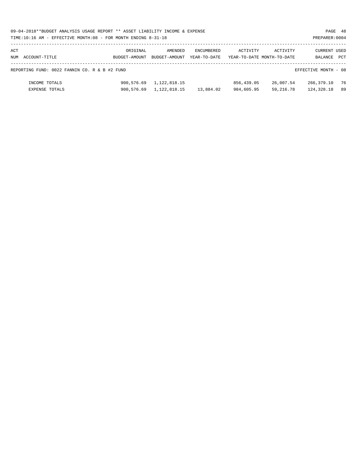|     | 09-04-2018**BUDGET ANALYSIS USAGE REPORT ** ASSET LIABILITY INCOME & EXPENSE<br>PAGE 48 |               |               |              |                            |             |                      |     |  |  |  |
|-----|-----------------------------------------------------------------------------------------|---------------|---------------|--------------|----------------------------|-------------|----------------------|-----|--|--|--|
|     | TIME:10:16 AM - EFFECTIVE MONTH:08 - FOR MONTH ENDING 8-31-18                           |               |               |              |                            |             | PREPARER: 0004       |     |  |  |  |
|     |                                                                                         |               |               |              |                            |             |                      |     |  |  |  |
| ACT |                                                                                         | ORIGINAL      | AMENDED       | ENCUMBERED   | ACTIVITY                   | ACTIVITY    | <b>CURRENT USED</b>  |     |  |  |  |
|     | NUM ACCOUNT-TITLE                                                                       | BUDGET-AMOUNT | BUDGET-AMOUNT | YEAR-TO-DATE | YEAR-TO-DATE MONTH-TO-DATE |             | BALANCE PCT          |     |  |  |  |
|     | REPORTING FUND: 0022 FANNIN CO. R & B #2 FUND                                           |               |               |              |                            |             | EFFECTIVE MONTH - 08 |     |  |  |  |
|     | INCOME TOTALS                                                                           | 900,576.69    | 1,122,818.15  |              | 856,439.05                 | 26,007.54   | 266,379.10           | 76  |  |  |  |
|     | <b>EXPENSE TOTALS</b>                                                                   | 900,576.69    | 1,122,818.15  | 13,884.02    | 984,605.95                 | 59, 216, 78 | 124,328.18           | -89 |  |  |  |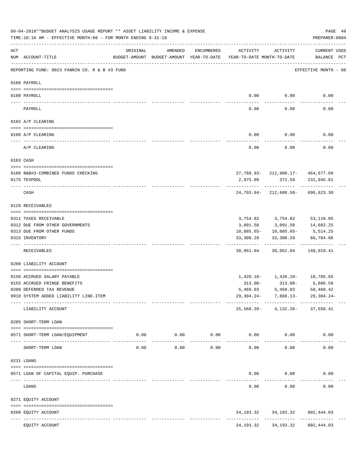|     | 09-04-2018**BUDGET ANALYSIS USAGE REPORT ** ASSET LIABILITY INCOME & EXPENSE<br>TIME:10:16 AM - EFFECTIVE MONTH:08 - FOR MONTH ENDING 8-31-18 |          |                      |                             |                                                                                 |                                       | PAGE 49<br>PREPARER: 0004       |
|-----|-----------------------------------------------------------------------------------------------------------------------------------------------|----------|----------------------|-----------------------------|---------------------------------------------------------------------------------|---------------------------------------|---------------------------------|
| ACT | NUM ACCOUNT-TITLE                                                                                                                             | ORIGINAL | AMENDED              | ENCUMBERED                  | ACTIVITY<br>BUDGET-AMOUNT BUDGET-AMOUNT YEAR-TO-DATE YEAR-TO-DATE MONTH-TO-DATE | ACTIVITY                              | CURRENT USED<br>BALANCE PCT     |
|     | REPORTING FUND: 0023 FANNIN CO. R & B #3 FUND                                                                                                 |          |                      |                             |                                                                                 |                                       | EFFECTIVE MONTH - 08            |
|     | 0100 PAYROLL                                                                                                                                  |          |                      |                             |                                                                                 |                                       |                                 |
|     | 0100 PAYROLL                                                                                                                                  |          |                      |                             | 0.00                                                                            | 0.00                                  | 0.00                            |
|     | PAYROLL                                                                                                                                       |          |                      |                             | 0.00                                                                            | 0.00                                  | 0.00                            |
|     | 0102 A/P CLEARING                                                                                                                             |          |                      |                             |                                                                                 |                                       |                                 |
|     | 0100 A/P CLEARING                                                                                                                             |          |                      |                             | 0.00                                                                            | 0.00                                  | 0.00                            |
|     |                                                                                                                                               |          |                      |                             |                                                                                 |                                       | 0.00                            |
|     | A/P CLEARING                                                                                                                                  |          |                      |                             | 0.00                                                                            | 0.00                                  |                                 |
|     | 0103 CASH                                                                                                                                     |          |                      |                             |                                                                                 |                                       |                                 |
|     | 0100 R&B#3-COMBINED FUNDS CHECKING                                                                                                            |          |                      |                             |                                                                                 | $27,768.93 - 212,980.17 - 464,677.69$ |                                 |
|     | 0175 TEXPOOL                                                                                                                                  |          |                      |                             | 2,975.09                                                                        |                                       | 371.59 231,945.61               |
|     | CASH                                                                                                                                          |          |                      |                             |                                                                                 | 24,793.84-212,608.58-696,623.30       |                                 |
|     | 0120 RECEIVABLES                                                                                                                              |          |                      |                             |                                                                                 |                                       |                                 |
|     | 0311 TAXES RECEIVABLE                                                                                                                         |          |                      |                             |                                                                                 | 3,754.82 3,754.82                     | 53,118.05                       |
|     | 0312 DUE FROM OTHER GOVERNMENTS                                                                                                               |          |                      |                             | 3,091.58                                                                        | 3,091.58                              | 14,682.25                       |
|     | 0313 DUE FROM OTHER FUNDS                                                                                                                     |          |                      |                             |                                                                                 | $10,085.65 - 10,085.65 -$             | 5,514.25                        |
|     | 0315 INVENTORY                                                                                                                                |          |                      |                             | 33,300.29<br>----------                                                         | 33,300.29                             | 66,704.86                       |
|     | RECEIVABLES                                                                                                                                   |          |                      |                             | 30,061.04                                                                       | 30,061.04                             | 140,019.41                      |
|     | 0200 LIABILITY ACCOUNT                                                                                                                        |          |                      |                             |                                                                                 |                                       |                                 |
|     | 0150 ACCRUED SALARY PAYABLE                                                                                                                   |          |                      |                             |                                                                                 | $1,420.10 - 1,420.10 - 10,785.65$     |                                 |
|     | 0155 ACCRUED FRINGE BENEFITS                                                                                                                  |          |                      |                             | 313.08-                                                                         | $313.08-$                             | 5,606.58                        |
|     | 0200 DEFERRED TAX REVENUE                                                                                                                     |          |                      |                             | 5,469.03                                                                        | 5,469.03                              | 50,468.42                       |
|     | 0910 SYSTEM ADDED LIABILITY LINE-ITEM                                                                                                         |          |                      |                             |                                                                                 | $29,304.24 - 7,868.13 - 29,304.24 -$  |                                 |
|     | LIABILITY ACCOUNT                                                                                                                             |          |                      |                             |                                                                                 | 25, 568.39- 4, 132.28- 37, 556.41     |                                 |
|     | 0205 SHORT-TERM LOAN                                                                                                                          |          |                      |                             |                                                                                 |                                       |                                 |
|     | 0571 SHORT-TERM LOAN/EOUIPMENT                                                                                                                |          | $0.00$ $0.00$ $0.00$ |                             |                                                                                 | 0.00<br>0.00                          | 0.00                            |
|     | SHORT-TERM LOAN                                                                                                                               | 0.00     |                      | -----------<br>0.00<br>0.00 | ------------<br>0.00                                                            | ------------<br>0.00                  | . _ _ _ _ _ _ _ _ _ _ _<br>0.00 |
|     | 0231 LOANS                                                                                                                                    |          |                      |                             |                                                                                 |                                       |                                 |
|     |                                                                                                                                               |          |                      |                             |                                                                                 |                                       |                                 |
|     | 0571 LOAN OF CAPITAL EQUIP. PURCHASE                                                                                                          |          |                      |                             | --------                                                                        | 0.00<br>0.00<br>----------            | 0.00<br>. <u>.</u>              |
|     | LOANS                                                                                                                                         |          |                      |                             | 0.00                                                                            | 0.00                                  | 0.00                            |
|     | 0271 EQUITY ACCOUNT                                                                                                                           |          |                      |                             |                                                                                 |                                       |                                 |
|     | 0200 EQUITY ACCOUNT                                                                                                                           |          |                      |                             |                                                                                 | 34, 193. 32 34, 193. 32 802, 444. 03  |                                 |
|     | -------------------- --------------<br>---- --------------<br>EQUITY ACCOUNT                                                                  |          | --------------       |                             | 34,193.32                                                                       | 34,193.32                             | 802,444.03                      |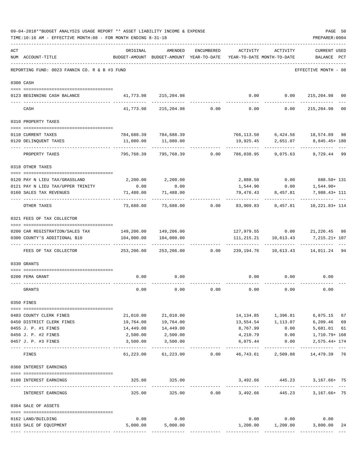|     | 09-04-2018**BUDGET ANALYSIS USAGE REPORT ** ASSET LIABILITY INCOME & EXPENSE<br>TIME:10:16 AM - EFFECTIVE MONTH:08 - FOR MONTH ENDING 8-31-18 |                                |                                                                                |             |                         |                                                                      | PAGE 50<br>PREPARER: 0004          |                |
|-----|-----------------------------------------------------------------------------------------------------------------------------------------------|--------------------------------|--------------------------------------------------------------------------------|-------------|-------------------------|----------------------------------------------------------------------|------------------------------------|----------------|
| ACT | NUM ACCOUNT-TITLE                                                                                                                             | ORIGINAL                       | AMENDED<br>BUDGET-AMOUNT BUDGET-AMOUNT YEAR-TO-DATE YEAR-TO-DATE MONTH-TO-DATE | ENCUMBERED  | ACTIVITY                | ACTIVITY                                                             | <b>CURRENT USED</b><br>BALANCE PCT |                |
|     | REPORTING FUND: 0023 FANNIN CO. R & B #3 FUND                                                                                                 |                                |                                                                                |             |                         |                                                                      | EFFECTIVE MONTH - 08               |                |
|     | 0300 CASH                                                                                                                                     |                                |                                                                                |             |                         |                                                                      |                                    |                |
|     |                                                                                                                                               |                                |                                                                                |             |                         |                                                                      |                                    |                |
|     | 0123 BEGINNING CASH BALANCE                                                                                                                   |                                | 41,773.98 215,204.98                                                           |             | 0.00                    | 0.0000215,204.98                                                     | ------                             | 00             |
|     | CASH                                                                                                                                          | 41,773.98                      | 215,204.98                                                                     | 0.00        | 0.00                    | 0.00                                                                 | 215,204.98                         | 0 <sub>0</sub> |
|     | 0310 PROPERTY TAXES                                                                                                                           |                                |                                                                                |             |                         |                                                                      |                                    |                |
|     | 0110 CURRENT TAXES                                                                                                                            |                                | 784,688.39 784,688.39                                                          |             |                         | 766,113.50    6,424.56    18,574.89    98                            |                                    |                |
|     | 0120 DELINQUENT TAXES                                                                                                                         | 11,080.00                      | 11,080.00                                                                      |             | 19,925.45               | 2,651.07                                                             | 8,845.45+ 180                      |                |
|     | PROPERTY TAXES                                                                                                                                | -----------<br>795,768.39      | 795,768.39                                                                     | 0.00        | ----------- -           | ------------<br>786,038.95 9,075.63                                  | 9,729.44                           | -99            |
|     | 0318 OTHER TAXES                                                                                                                              |                                |                                                                                |             |                         |                                                                      |                                    |                |
|     |                                                                                                                                               |                                |                                                                                |             |                         |                                                                      |                                    |                |
|     | 0120 PAY N LIEU TAX/GRASSLAND                                                                                                                 | 2,200.00                       | 2,200.00                                                                       |             | 2,888.50                |                                                                      | $0.00$ 688.50+ 131                 |                |
|     | 0121 PAY N LIEU TAX/UPPER TRINITY                                                                                                             | 0.00                           | 0.00                                                                           |             | 1,544.90                | 0.00                                                                 | $1,544.90+$                        |                |
|     | 0160 SALES TAX REVENUES                                                                                                                       | 71,488.00                      | 71,488.00                                                                      | ----------- |                         | 79,476.43 8,457.81                                                   | 7,988.43+ 111                      |                |
|     | OTHER TAXES                                                                                                                                   | 73,688.00                      | 73,688.00 0.00                                                                 |             |                         |                                                                      |                                    |                |
|     | 0321 FEES OF TAX COLLECTOR                                                                                                                    |                                |                                                                                |             |                         |                                                                      |                                    |                |
|     |                                                                                                                                               |                                |                                                                                |             |                         |                                                                      |                                    |                |
|     | 0200 CAR REGISTRATION/SALES TAX                                                                                                               |                                | 149,206.00 149,206.00                                                          |             |                         | 127,979.55 0.00 21,226.45 86                                         |                                    |                |
|     | 0300 COUNTY'S ADDITIONAL \$10                                                                                                                 | 104,000.00<br>-------------    | 104,000.00                                                                     |             |                         | 111, 215. 21 10, 613. 43<br>--------                                 | 7,215.21+ 107                      |                |
|     | FEES OF TAX COLLECTOR                                                                                                                         |                                | 253,206.00 253,206.00                                                          | 0.00        | 239,194.76              |                                                                      |                                    |                |
|     | 0330 GRANTS                                                                                                                                   |                                |                                                                                |             |                         |                                                                      |                                    |                |
|     | 0200 FEMA GRANT                                                                                                                               | 0.00                           | 0.00                                                                           |             | 0.00                    | 0.00                                                                 | 0.00                               |                |
|     |                                                                                                                                               |                                |                                                                                |             |                         |                                                                      | ----------                         |                |
|     | GRANTS                                                                                                                                        | 0.00                           | 0.00                                                                           | 0.00        | 0.00                    | 0.00                                                                 | 0.00                               |                |
|     | 0350 FINES                                                                                                                                    |                                |                                                                                |             |                         |                                                                      |                                    |                |
|     |                                                                                                                                               |                                |                                                                                |             |                         |                                                                      |                                    |                |
|     | 0403 COUNTY CLERK FINES                                                                                                                       |                                | 21,010.00 21,010.00                                                            |             |                         | 14, 134.85 1, 396.81                                                 | 6,875.15                           | 67             |
|     | 0450 DISTRICT CLERK FINES                                                                                                                     | 19,764.00                      | 19,764.00                                                                      |             | 13,554.54               | 1,113.07                                                             | 6,209.46                           | 69             |
|     | 0455 J. P. #1 FINES                                                                                                                           | 14,449.00                      | 14,449.00                                                                      |             | 8,767.99                | 0.00                                                                 | 5,681.01                           | 61             |
|     | 0456 J. P. #2 FINES                                                                                                                           | 2,500.00                       | 2,500.00                                                                       |             |                         | 4,210.79   0.00   1,710.79+ 168                                      |                                    |                |
|     | 0457 J. P. #3 FINES                                                                                                                           | 3,500.00                       | 3,500.00<br>-----------                                                        |             | 6,075.44<br>----------- | 0.00                                                                 | $2,575.44+174$<br>------------     |                |
|     | FINES                                                                                                                                         |                                |                                                                                |             |                         | $61,223.00$ $61,223.00$ $0.00$ $46,743.61$ $2,509.88$ $14,479.39$ 76 |                                    |                |
|     | 0360 INTEREST EARNINGS                                                                                                                        |                                |                                                                                |             |                         |                                                                      |                                    |                |
|     | 0100 INTEREST EARNINGS                                                                                                                        |                                | 325.00 325.00                                                                  |             |                         | 3,492.66 445.23 3,167.66+ 75                                         |                                    |                |
|     | INTEREST EARNINGS                                                                                                                             | 325.00                         |                                                                                |             |                         | $325.00$ $0.00$ $3,492.66$ $445.23$ $3,167.66+$ $75$                 |                                    |                |
|     | 0364 SALE OF ASSETS                                                                                                                           |                                |                                                                                |             |                         |                                                                      |                                    |                |
|     |                                                                                                                                               |                                |                                                                                |             |                         |                                                                      |                                    |                |
|     | 0162 LAND/BUILDING                                                                                                                            | 0.00                           | 0.00                                                                           |             |                         | $0.00$ 0.00                                                          | 0.00                               |                |
|     | 0163 SALE OF EQUIPMENT                                                                                                                        | 5,000.00                       | 5,000.00                                                                       |             | 1,200.00                | 1,200.00                                                             | 3,800.00                           | 24             |
|     |                                                                                                                                               | -------------- ------------ -- |                                                                                |             |                         |                                                                      |                                    |                |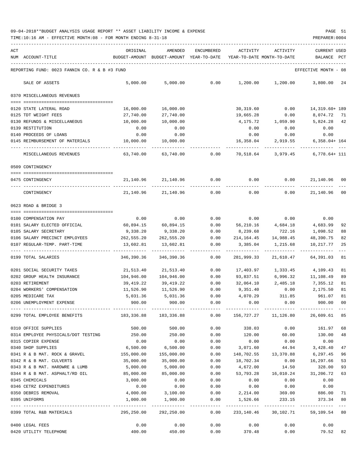TIME:10:16 AM - EFFECTIVE MONTH:08 - FOR MONTH ENDING 8-31-18 PREPARER:0004

| ACT                                        | ORIGINAL                                                                                    | AMENDED                                                                                         | ENCUMBERED      | ACTIVITY                | ACTIVITY                   | <b>CURRENT USED</b>                            |                |
|--------------------------------------------|---------------------------------------------------------------------------------------------|-------------------------------------------------------------------------------------------------|-----------------|-------------------------|----------------------------|------------------------------------------------|----------------|
| NUM ACCOUNT-TITLE                          |                                                                                             | BUDGET-AMOUNT BUDGET-AMOUNT YEAR-TO-DATE YEAR-TO-DATE MONTH-TO-DATE                             |                 |                         |                            | BALANCE PCT                                    |                |
|                                            | REPORTING FUND: 0023 FANNIN CO. R & B #3 FUND                                               |                                                                                                 |                 |                         |                            | EFFECTIVE MONTH - 08                           |                |
| SALE OF ASSETS                             | 5.000.00                                                                                    | 5,000.00                                                                                        | 0.00            |                         | $1,200.00$ $1,200.00$      | 3,800.00                                       | 24             |
| 0370 MISCELLANEOUS REVENUES                |                                                                                             |                                                                                                 |                 |                         |                            |                                                |                |
|                                            |                                                                                             |                                                                                                 |                 |                         |                            |                                                |                |
| 0120 STATE LATERAL ROAD                    | 16,000.00                                                                                   | 16,000.00                                                                                       |                 | 30,319.60               | 0.00                       | 14,319.60+ 189                                 |                |
| 0125 TDT WEIGHT FEES                       | 27,740.00                                                                                   | 27,740.00                                                                                       |                 | 19,665.28               | 0.00                       | 8,074.72                                       | 71             |
| 0130 REFUNDS & MISCELLANEOUS               | 10,000.00                                                                                   | 10,000.00<br>0.00                                                                               |                 | 4,175.72                | 1,059.90                   | 5,824.28                                       | 42             |
| 0139 RESTITUTION<br>0140 PROCEEDS OF LOANS | 0.00                                                                                        | 0.00                                                                                            |                 | 0.00                    | 0.00                       | 0.00                                           |                |
|                                            | 0.00                                                                                        |                                                                                                 |                 | 0.00                    | 0.00<br>16,358.04 2,919.55 | 0.00                                           |                |
| 0145 REIMBURSEMENT OF MATERIALS            | 10,000.00                                                                                   | 10,000.00                                                                                       |                 |                         |                            | $6,358.04+164$                                 |                |
| MISCELLANEOUS REVENUES                     | 63,740.00                                                                                   | 63,740.00                                                                                       | 0.00            |                         | 70,518.64 3,979.45         | $6,778.64+111$                                 |                |
| 0509 CONTINGENCY                           |                                                                                             |                                                                                                 |                 |                         |                            |                                                |                |
|                                            |                                                                                             |                                                                                                 |                 |                         |                            |                                                |                |
| 0475 CONTINGENCY                           | 21,140.96                                                                                   | 21,140.96                                                                                       | 0.00            | 0.00                    | 0.00                       | 21,140.96                                      | 00             |
| CONTINGENCY                                | 21,140.96                                                                                   | 21,140.96                                                                                       | 0.00            | 0.00                    | 0.00                       | 21,140.96                                      | 00             |
| 0623 ROAD & BRIDGE 3                       |                                                                                             |                                                                                                 |                 |                         |                            |                                                |                |
|                                            |                                                                                             |                                                                                                 |                 |                         |                            |                                                |                |
| 0100 COMPENSATION PAY                      | 0.00                                                                                        | 0.00                                                                                            | 0.00            | 0.00                    | 0.00                       | 0.00                                           |                |
| 0101 SALARY ELECTED OFFICIAL               | 60,894.15                                                                                   | 60,894.15                                                                                       | 0.00            |                         | 56,210.16 4,684.18         | 4,683.99                                       | 92             |
| 0105 SALARY SECRETARY                      | 9,338.20                                                                                    | 9,338.20                                                                                        | 0.00            | 8,239.68                | 722.16                     | 1,098.52                                       | 88             |
| 0106 SALARY PRECINCT EMPLOYEES             | 262,555.20                                                                                  | 262,555.20                                                                                      | 0.00            |                         | 214, 164. 45 14, 988. 45   | 48,390.75                                      | 82             |
| 0107 REGULAR-TEMP. PART-TIME               | 13,602.81<br>------------                                                                   | 13,602.81                                                                                       | 0.00            | 3,385.04                | 1,215.68                   | 10,217.77                                      | 25             |
| 0199 TOTAL SALARIES                        | 346,390.36                                                                                  | 346,390.36                                                                                      | 0.00            | 281,999.33              | 21,610.47                  | 64,391.03                                      | 81             |
| 0201 SOCIAL SECURITY TAXES                 | 21,513.40                                                                                   | 21,513.40                                                                                       | 0.00            | 17,403.97               | 1,333.45                   | 4,109.43                                       | 81             |
| 0202 GROUP HEALTH INSURANCE                | 104,946.00                                                                                  | 104,946.00                                                                                      | 0.00            | 93,837.51               | 6,996.32                   | 11,108.49                                      | 89             |
| 0203 RETIREMENT                            | 39,419.22                                                                                   | 39,419.22                                                                                       | 0.00            |                         |                            | 32,064.10 2,485.18 7,355.12                    | 81             |
| 0204 WORKERS' COMPENSATION                 | 11,526.90                                                                                   | 11,526.90                                                                                       | 0.00            | 9,351.40                | 0.00                       | 2,175.50                                       | 81             |
| 0205 MEDICARE TAX                          | 5,031.36                                                                                    | 5,031.36                                                                                        | 0.00            |                         | 4,070.29 311.85            | 961.07                                         | 81             |
| 0206 UNEMPLOYMENT EXPENSE                  | 900.00                                                                                      | 900.00                                                                                          | 0.00            | 0.00                    | 0.00                       | 900.00                                         | 0 <sub>0</sub> |
|                                            | 0299 TOTAL EMPLOYEE BENEFITS 68 183,336.88 183,336.88 680 156,727.27 11,126.80 26,609.61 85 |                                                                                                 |                 |                         |                            |                                                |                |
|                                            |                                                                                             |                                                                                                 |                 |                         |                            | 161.97                                         |                |
| 0310 OFFICE SUPPLIES                       | 500.00                                                                                      | 500.00                                                                                          | 0.00            | 338.03                  | 0.00                       |                                                | 68             |
| 0314 EMPLOYEE PHYSICALS/DOT TESTING        | 250.00                                                                                      | 250.00                                                                                          | 0.00            | 120.00                  | 60.00                      | 130.00                                         | 48             |
| 0315 COPIER EXPENSE                        | 0.00<br>6,500.00                                                                            | 0.00<br>6,500.00                                                                                | 0.00            | 0.00<br>$0.00$ 3,071.60 | 0.00                       | 0.00<br>44.94 3,428.40                         |                |
| 0340 SHOP SUPPLIES                         | 0341 R & B MAT. ROCK & GRAVEL 155,000.00                                                    |                                                                                                 | 155,000.00 0.00 |                         | 148,702.55 13,370.88       |                                                | 47             |
| 0342 R & B MAT. CULVERTS                   | 35,000.00                                                                                   |                                                                                                 | 0.00            | 18,702.34               | 0.00                       | 6,297.45<br>16,297.66                          | 96<br>53       |
| 0343 R & B MAT. HARDWRE & LUMB             | 5,000.00                                                                                    | 35,000.00<br>5,000.00                                                                           | 0.00            | 4,672.00                | 14.50                      | 328.00                                         | 93             |
| 0344 R & B MAT. ASPHALT/RD OIL             | 85,000.00                                                                                   | 85,000.00                                                                                       | 0.00            | 53,793.28               | 16,010.24                  | 31,206.72                                      | 63             |
| 0345 CHEMICALS                             | 3,000.00                                                                                    | 0.00                                                                                            | 0.00            | 0.00                    | 0.00                       | 0.00                                           |                |
| 0346 CETRZ EXPENDITURES                    | 0.00                                                                                        |                                                                                                 | $0.00$ 0.00     | 0.00                    | 0.00                       | 0.00                                           |                |
| 0350 DEBRIS REMOVAL                        | 4,000.00                                                                                    |                                                                                                 |                 |                         |                            | $3,100.00$ $0.00$ $2,214.00$ $369.00$ $886.00$ | 71             |
| 0395 UNIFORMS                              | 1,000.00                                                                                    |                                                                                                 | 1,900.00 0.00   |                         |                            | 1,526.66 233.15 373.34 80                      |                |
|                                            |                                                                                             |                                                                                                 |                 |                         |                            |                                                |                |
| 0399 TOTAL R&B MATERIALS                   |                                                                                             | 295,250.00 292,250.00        0.00        233,140.46        30,102.71        59,109.54        80 |                 |                         |                            |                                                |                |
| 0400 LEGAL FEES                            | 0.00                                                                                        |                                                                                                 | $0.00$ 0.00     |                         | 0.00                       | 0.00<br>0.00                                   |                |

0420 UTILITY TELEPHONE 400.00 450.00 0.00 370.48 0.00 79.52 82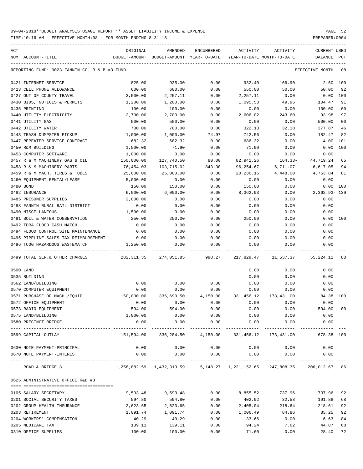TIME:10:16 AM - EFFECTIVE MONTH:08 - FOR MONTH ENDING 8-31-18 PREPARER:0004

| ACT<br>NUM ACCOUNT-TITLE                      | ORIGINAL                                                              | AMENDED                                  | ENCUMBERED    | ACTIVITY<br>YEAR-TO-DATE MONTH-TO-DATE | ACTIVITY              | CURRENT USED         | PCT            |
|-----------------------------------------------|-----------------------------------------------------------------------|------------------------------------------|---------------|----------------------------------------|-----------------------|----------------------|----------------|
|                                               |                                                                       | BUDGET-AMOUNT BUDGET-AMOUNT YEAR-TO-DATE |               |                                        |                       | BALANCE              |                |
| REPORTING FUND: 0023 FANNIN CO. R & B #3 FUND |                                                                       |                                          |               |                                        |                       | EFFECTIVE MONTH - 08 |                |
| 0421 INTERNET SERVICE                         | 825.00                                                                | 935.00                                   | 0.00          | 932.40                                 | 166.90                | 2.60 100             |                |
| 0423 CELL PHONE ALLOWANCE                     | 600.00                                                                | 600.00                                   | 0.00          | 550.00                                 | 50.00                 | 50.00                | 92             |
| 0427 OUT OF COUNTY TRAVEL                     | 3,500.00                                                              | 2,257.11                                 | 0.00          | 2,257.11                               | 0.00                  | $0.00$ 100           |                |
| 0430 BIDS, NOTICES & PERMITS                  | 1,200.00                                                              | 1,200.00                                 | 0.00          | 1,095.53                               | 49.95                 | 104.47               | 91             |
| 0435 PRINTING                                 | 100.00                                                                | 100.00                                   | 0.00          | 0.00                                   | 0.00                  | 100.00               | 0 <sub>0</sub> |
| 0440 UTILITY ELECTRICITY                      | 2,700.00                                                              | 2,700.00                                 | 0.00          | 2,606.02                               | 243.60                | 93.98                | 97             |
| 0441 UTILITY GAS                              | 500.00                                                                | 500.00                                   | 0.00          | 0.00                                   | 0.00                  | 500.00               | 0 <sub>0</sub> |
| 0442 UTILITY WATER                            | 700.00                                                                | 700.00                                   | 0.00          | 322.13                                 | 32.18                 | 377.87               | 46             |
| 0443 TRASH DUMPSTER PICKUP                    | 1,000.00                                                              | 1,000.00                                 | 74.97         | 742.56                                 | 0.00                  | 182.47               | 82             |
| 0447 REPEATER SERVICE CONTRACT                | 682.32                                                                | 682.32                                   | 0.00          | 686.32                                 | 0.00                  | $4.00 - 101$         |                |
| 0450 R&M BUILDING                             | 1,500.00                                                              | 71.90                                    | 0.00          | 71.90                                  | 0.00                  | 0.00                 | 100            |
| 0453 COMPUTER SOFTWARE                        | 1,000.00                                                              | 0.00                                     | 0.00          | 0.00                                   | 0.00                  | 0.00                 |                |
| 0457 R & M MACHINERY GAS & OIL                | 150,000.00                                                            | 127,740.50                               | 80.00         | 82,941.26                              | 164.33-               | 44,719.24            | 65             |
| 0458 R & M MACHINERY PARTS                    | 76,454.03                                                             | 103,715.02                               | 843.30        | 96,254.67                              | 6,711.07              | 6,617.05             | 94             |
| 0459 R & M MACH. TIRES & TUBES                | 25,000.00                                                             | 25,000.00                                | 0.00          | 20,236.16                              | 4,448.00              | 4,763.84             | 81             |
| 0460 EQUIPMENT RENTAL/LEASE                   | 5,000.00                                                              | 0.00                                     | 0.00          | 0.00                                   | 0.00                  | 0.00                 |                |
| 0480 BOND                                     | 150.00                                                                | 150.00                                   | 0.00          | 150.00                                 | 0.00                  | 0.00 100             |                |
|                                               | 6,000.00                                                              |                                          |               | 8,362.93                               |                       |                      |                |
| 0482 INSURANCE                                |                                                                       | 6,000.00                                 | 0.00          |                                        | 0.00                  | 2,362.93-139         |                |
| 0485 PRISONER SUPPLIES                        | 2,000.00                                                              | 0.00                                     | 0.00          | 0.00                                   | 0.00                  | 0.00                 |                |
| 0488 FANNIN RURAL RAIL DISTRICT               | 0.00                                                                  | 0.00                                     | 0.00          | 0.00                                   | 0.00                  | 0.00                 |                |
| 0490 MISCELLANEOUS                            | 1,500.00                                                              | 0.00                                     | 0.00          | 0.00                                   | 0.00                  | 0.00                 |                |
| 0491 SOIL & WATER CONSERVATION                | 250.00                                                                | 250.00                                   | 0.00          | 250.00                                 | 0.00                  | 0.00 100             |                |
| 0492 TDRA FLOOD CASH MATCH                    | 0.00                                                                  | 0.00                                     | 0.00          | 0.00                                   | 0.00                  | 0.00                 |                |
| 0494 FLOOD CONTROL SITE MAINTENANCE           | 0.00                                                                  | 0.00                                     | 0.00          | 0.00                                   | 0.00                  | 0.00                 |                |
| 0495 PIPELINE SALES TAX REIMBURSEMENT         | 0.00                                                                  | 0.00                                     | 0.00          | 0.00                                   | 0.00                  | 0.00                 |                |
| 0496 TCOG HAZARDOUS WASTEMATCH                | 1,250.00                                                              | 0.00                                     | 0.00          | 0.00                                   | 0.00                  | 0.00                 |                |
| 0499 TOTAL SER.& OTHER CHARGES                | 282,311.35                                                            | 274,051.85                               | 998.27        | 217,829.47                             | 11,537.37             | 55,224.11            | 80             |
| 0500 LAND                                     |                                                                       |                                          |               | 0.00                                   | 0.00                  | 0.00                 |                |
| 0535 BUILDING                                 |                                                                       |                                          |               | 0.00                                   | 0.00                  | 0.00                 |                |
| 0562 LAND/BUILDING                            | 0.00                                                                  | 0.00                                     | 0.00          | 0.00                                   | 0.00                  | 0.00                 |                |
| 0570 COMPUTER EQUIPMENT                       | 0.00                                                                  | 0.00                                     | 0.00          | 0.00                                   | 0.00                  | 0.00                 |                |
| 0571 PURCHASE OF MACH./EQUIP.                 | 150,000.00                                                            | 335,690.50                               | 4,150.00      | 331,456.12                             | 173,431.00            | 84.38 100            |                |
| 0572 OFFICE EQUIPMENT                         | 0.00                                                                  | 0.00                                     | 0.00          | 0.00                                   | 0.00                  | 0.00                 |                |
| 0573 RADIO EQUIPMENT                          | 594.00                                                                | 594.00                                   | 0.00          | 0.00                                   | 0.00                  | 594.00 00            |                |
| 0575 LAND/BUILDING                            | 1,000.00                                                              | 0.00                                     | 0.00          | 0.00                                   | 0.00                  | 0.00                 |                |
| 0580 PRECINCT BRIDGE                          | 0.00                                                                  | 0.00                                     | 0.00          | 0.00                                   | 0.00                  | 0.00                 |                |
| 0599 CAPITAL OUTLAY                           |                                                                       | 151,594.00 336,284.50 4,150.00           | ------------- |                                        | 331,456.12 173,431.00 | 678.38 100           |                |
| 0630 NOTE PAYMENT-PRINCIPAL                   | 0.00                                                                  | 0.00                                     | 0.00          | 0.00                                   | 0.00                  | 0.00                 |                |
| 0670 NOTE PAYMENT-INTEREST                    | 0.00                                                                  | 0.00                                     | 0.00          | 0.00                                   | 0.00                  | 0.00                 |                |
| ROAD & BRIDGE 3                               | 1,258,882.59 1,432,313.59 5,148.27 1,221,152.65 247,808.35 206,012.67 |                                          |               |                                        |                       | -------------        | 86             |
| 0625 ADMINISTRATIVE OFFICE R&B #3             |                                                                       |                                          |               |                                        |                       |                      |                |
| 0105 SALARY SECRETARY                         | 9,593.48                                                              | 9,593.48                                 | 0.00          | 8,855.52                               | 737.96                | 737.96               | 92             |
| 0201 SOCIAL SECURITY TAXES                    | 594.80                                                                | 594.80                                   | 0.00          | 402.92                                 | 32.58                 | 191.88               | 68             |
| 0202 GROUP HEALTH INSURANCE                   | 2,623.65                                                              | 2,623.65                                 | 0.00          | 2,405.04                               | 218.64                | 218.61               | 92             |
| 0203 RETIREMENT                               | 1,091.74                                                              | 1,091.74                                 | 0.00          | 1,006.49                               | 84.86                 | 85.25                | 92             |
| 0204 WORKERS' COMPENSATION                    | 40.29                                                                 | 40.29                                    | 0.00          | 33.66                                  | 0.00                  | 6.63                 | 84             |
| 0205 MEDICARE TAX                             | 139.11                                                                | 139.11                                   | 0.00          | 94.24                                  | 7.62                  | 44.87                | 68             |
|                                               |                                                                       |                                          |               |                                        |                       |                      |                |

0310 OFFICE SUPPLIES 100.00 100.00 0.00 71.60 0.00 28.40 72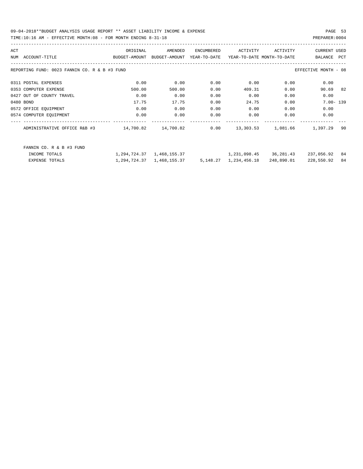09-04-2018\*\*BUDGET ANALYSIS USAGE REPORT \*\* ASSET LIABILITY INCOME & EXPENSE PAGE 53 TIME:10:16 AM - EFFECTIVE MONTH:08 - FOR MONTH ENDING 8-31-18 PREPARER:0004

| ACT |                                               | ORIGINAL      | AMENDED       | ENCUMBERED   | ACTIVITY                   | ACTIVITY   | <b>CURRENT USED</b>  |            |
|-----|-----------------------------------------------|---------------|---------------|--------------|----------------------------|------------|----------------------|------------|
| NUM | ACCOUNT-TITLE                                 | BUDGET-AMOUNT | BUDGET-AMOUNT | YEAR-TO-DATE | YEAR-TO-DATE MONTH-TO-DATE |            | BALANCE              | <b>PCT</b> |
|     | REPORTING FUND: 0023 FANNIN CO. R & B #3 FUND |               |               |              |                            |            | EFFECTIVE MONTH - 08 |            |
|     | 0311 POSTAL EXPENSES                          | 0.00          | 0.00          | 0.00         | 0.00                       | 0.00       | 0.00                 |            |
|     | 0353 COMPUTER EXPENSE                         | 500.00        | 500.00        | 0.00         | 409.31                     | 0.00       | 90.69                | 82         |
|     | 0427 OUT OF COUNTY TRAVEL                     | 0.00          | 0.00          | 0.00         | 0.00                       | 0.00       | 0.00                 |            |
|     | 0480 BOND                                     | 17.75         | 17.75         | 0.00         | 24.75                      | 0.00       | $7.00 - 139$         |            |
|     | 0572 OFFICE EQUIPMENT                         | 0.00          | 0.00          | 0.00         | 0.00                       | 0.00       | 0.00                 |            |
|     | 0574 COMPUTER EQUIPMENT                       | 0.00          | 0.00          | 0.00         | 0.00                       | 0.00       | 0.00                 |            |
|     | ADMINISTRATIVE OFFICE R&B #3                  | 14,700.82     | 14,700.82     | 0.00         | 13,303.53                  | 1,081.66   | 1,397.29             | 90         |
|     | FANNIN CO. R & B #3 FUND                      |               |               |              |                            |            |                      |            |
|     | INCOME TOTALS                                 | 1,294,724.37  | 1,468,155.37  |              | 1,231,098.45               | 36,281.43  | 237,056.92           | 84         |
|     | EXPENSE TOTALS                                | 1,294,724.37  | 1,468,155.37  | 5,148.27     | 1,234,456.18               | 248,890.01 | 228,550.92           | 84         |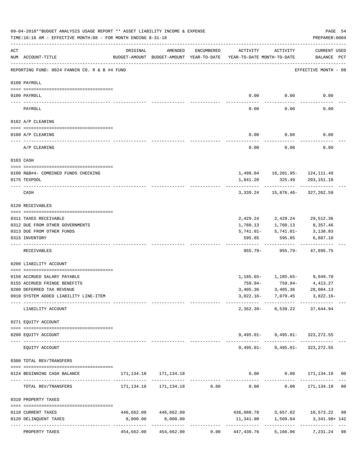|     | 09-04-2018**BUDGET ANALYSIS USAGE REPORT ** ASSET LIABILITY INCOME & EXPENSE<br>TIME:10:16 AM - EFFECTIVE MONTH:08 - FOR MONTH ENDING 8-31-18 |          |                                                                                |            |                              |             | PREPARER: 0004                            | PAGE 54 |
|-----|-----------------------------------------------------------------------------------------------------------------------------------------------|----------|--------------------------------------------------------------------------------|------------|------------------------------|-------------|-------------------------------------------|---------|
| ACT | NUM ACCOUNT-TITLE                                                                                                                             | ORIGINAL | AMENDED<br>BUDGET-AMOUNT BUDGET-AMOUNT YEAR-TO-DATE YEAR-TO-DATE MONTH-TO-DATE | ENCUMBERED | ACTIVITY                     | ACTIVITY    | CURRENT USED<br>BALANCE PCT               |         |
|     | REPORTING FUND: 0024 FANNIN CO. R & B #4 FUND                                                                                                 |          |                                                                                |            |                              |             | EFFECTIVE MONTH - 08                      |         |
|     | 0100 PAYROLL                                                                                                                                  |          |                                                                                |            |                              |             |                                           |         |
|     | 0100 PAYROLL                                                                                                                                  |          |                                                                                |            | 0.00                         | 0.00        | 0.00                                      |         |
|     | PAYROLL                                                                                                                                       |          |                                                                                |            | 0.00                         | 0.00        | 0.00                                      |         |
|     | 0102 A/P CLEARING                                                                                                                             |          |                                                                                |            |                              |             |                                           |         |
|     | 0100 A/P CLEARING                                                                                                                             |          |                                                                                |            | 0.00                         | 0.00        | 0.00                                      |         |
|     | A/P CLEARING                                                                                                                                  |          |                                                                                |            | 0.00                         | 0.00        | 0.00                                      |         |
|     | 0103 CASH                                                                                                                                     |          |                                                                                |            |                              |             |                                           |         |
|     | 0100 R&B#4- COMBINED FUNDS CHECKING                                                                                                           |          |                                                                                |            |                              |             | 1,498.04   16,201.95-   124,111.49        |         |
|     | 0175 TEXPOOL                                                                                                                                  |          |                                                                                |            | 1,841.20                     | 325.49      | 203,151.10                                |         |
|     | CASH                                                                                                                                          |          |                                                                                |            | 3,339.24                     |             | 15,876.46-327,262.59                      |         |
|     | 0120 RECEIVABLES                                                                                                                              |          |                                                                                |            |                              |             |                                           |         |
|     | 0311 TAXES RECEIVABLE                                                                                                                         |          |                                                                                |            | 2,429.24                     | 2,429.24    | 29,512.36                                 |         |
|     | 0312 DUE FROM OTHER GOVERNMENTS                                                                                                               |          |                                                                                |            | 1,760.13                     | 1,760.13    | 8,357.46                                  |         |
|     | 0313 DUE FROM OTHER FUNDS                                                                                                                     |          |                                                                                |            | 5,741.01-                    | $5,741.01-$ | 3,138.83                                  |         |
|     | 0315 INVENTORY                                                                                                                                |          |                                                                                |            | 595.85                       | 595.85      | 6,887.10                                  |         |
|     | RECEIVABLES                                                                                                                                   |          |                                                                                |            | 955.79-                      | 955.79-     | 47,895.75                                 |         |
|     | 0200 LIABILITY ACCOUNT                                                                                                                        |          |                                                                                |            |                              |             |                                           |         |
|     | 0150 ACCRUED SALARY PAYABLE                                                                                                                   |          |                                                                                |            |                              |             | $1,185.65 - 1,185.65 - 9,049.70$          |         |
|     | 0155 ACCRUED FRINGE BENEFITS                                                                                                                  |          |                                                                                |            | 759.94-                      | 759.94-     | 4,413.27                                  |         |
|     | 0200 DEFERRED TAX REVENUE                                                                                                                     |          |                                                                                |            | 3,405.36                     | 3,405.36    | 28,004.13                                 |         |
|     | 0910 SYSTEM ADDED LIABILITY LINE-ITEM                                                                                                         |          |                                                                                |            |                              |             | $3,822.16 - 7,079.45$ 3,822.16-           |         |
|     | LIABILITY ACCOUNT                                                                                                                             |          |                                                                                |            |                              |             | 2,362.39- 8,539.22 37,644.94              |         |
|     | 0271 EQUITY ACCOUNT<br>--------------------------------------                                                                                 |          |                                                                                |            |                              |             |                                           |         |
|     | 0200 EQUITY ACCOUNT                                                                                                                           |          |                                                                                |            |                              |             | $9,495.01 - 9,495.01 - 323,272.55$        |         |
|     | EQUITY ACCOUNT                                                                                                                                |          |                                                                                |            |                              |             | $9,495.01 - 9,495.01 - 323,272.55$        |         |
|     | 0300 TOTAL REV/TRANSFERS                                                                                                                      |          |                                                                                |            |                              |             |                                           |         |
|     | 0124 BEGINNING CASH BALANCE                                                                                                                   |          | 171, 134. 18 171, 134. 18                                                      |            |                              |             | $0.00$ $0.00$ $171,134.18$ 00             |         |
|     | TOTAL REV/TRANSFERS                                                                                                                           |          |                                                                                |            |                              |             |                                           |         |
|     | 0310 PROPERTY TAXES                                                                                                                           |          |                                                                                |            |                              |             |                                           |         |
|     | 0110 CURRENT TAXES                                                                                                                            |          | 446,662.00 446,662.00                                                          |            |                              |             | 436,088.78 3,657.02 10,573.22 98          |         |
|     | 0120 DELINQUENT TAXES                                                                                                                         | 8,000.00 | 8,000.00                                                                       |            |                              |             | 11, 341.98    1, 509.04    3, 341.98+ 142 |         |
|     | PROPERTY TAXES                                                                                                                                |          | 454,662.00 454,662.00                                                          |            | $0.00$ $447,430.76$ 5,166.06 |             | 7,231.24 98                               |         |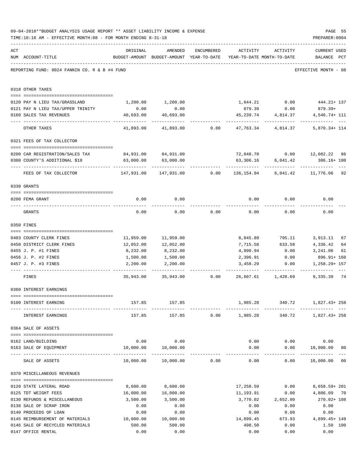|     | 09-04-2018**BUDGET ANALYSIS USAGE REPORT ** ASSET LIABILITY INCOME & EXPENSE<br>TIME:10:16 AM - EFFECTIVE MONTH:08 - FOR MONTH ENDING 8-31-18                                                                                                                                                                                                                                                                         |                                                                      |                                                                                |                      |                   |                     | PAGE 55<br>PREPARER: 0004                 |                     |
|-----|-----------------------------------------------------------------------------------------------------------------------------------------------------------------------------------------------------------------------------------------------------------------------------------------------------------------------------------------------------------------------------------------------------------------------|----------------------------------------------------------------------|--------------------------------------------------------------------------------|----------------------|-------------------|---------------------|-------------------------------------------|---------------------|
| ACT | NUM ACCOUNT-TITLE                                                                                                                                                                                                                                                                                                                                                                                                     | ORIGINAL                                                             | AMENDED<br>BUDGET-AMOUNT BUDGET-AMOUNT YEAR-TO-DATE YEAR-TO-DATE MONTH-TO-DATE | ENCUMBERED           | ACTIVITY          | ACTIVITY            | CURRENT USED<br>BALANCE PCT               |                     |
|     | REPORTING FUND: 0024 FANNIN CO. R & B #4 FUND                                                                                                                                                                                                                                                                                                                                                                         |                                                                      |                                                                                |                      |                   |                     | EFFECTIVE MONTH - 08                      |                     |
|     | 0318 OTHER TAXES                                                                                                                                                                                                                                                                                                                                                                                                      |                                                                      |                                                                                |                      |                   |                     |                                           |                     |
|     |                                                                                                                                                                                                                                                                                                                                                                                                                       |                                                                      |                                                                                |                      |                   |                     |                                           |                     |
|     | 0120 PAY N LIEU TAX/GRASSLAND<br>0121 PAY N LIEU TAX/UPPER TRINITY                                                                                                                                                                                                                                                                                                                                                    | 0.00                                                                 | 1,200.00 1,200.00<br>0.00                                                      |                      |                   | 879.39 0.00         | $1,644.21$ 0.00 $444.21+137$<br>$879.39+$ |                     |
|     | 0160 SALES TAX REVENUES                                                                                                                                                                                                                                                                                                                                                                                               | 40,693.00                                                            | 40,693.00                                                                      |                      |                   | 45,239.74 4,814.37  | 4,546.74+ 111                             |                     |
|     | OTHER TAXES                                                                                                                                                                                                                                                                                                                                                                                                           | -------------<br>41,893.00                                           | 41,893.00                                                                      | 0.00                 |                   | 47,763.34 4,814.37  | 5,870.34+ 114                             |                     |
|     | 0321 FEES OF TAX COLLECTOR                                                                                                                                                                                                                                                                                                                                                                                            |                                                                      |                                                                                |                      |                   |                     |                                           |                     |
|     | 0200 CAR REGISTRATION/SALES TAX                                                                                                                                                                                                                                                                                                                                                                                       |                                                                      | 84,931.00 84,931.00                                                            |                      |                   |                     | 72,848.78   0.00   12,082.22   86         |                     |
|     | 0300 COUNTY'S ADDITIONAL \$10                                                                                                                                                                                                                                                                                                                                                                                         | 63,000.00                                                            | 63,000.00                                                                      |                      | 63,306.16         | 6,041.42            | 306.16+ 100                               |                     |
|     | FEES OF TAX COLLECTOR                                                                                                                                                                                                                                                                                                                                                                                                 | 147,931.00 147,931.00    0.00    136,154.94    6,041.42    11,776.06 |                                                                                |                      |                   | .                   | ----------                                | 92                  |
|     | 0330 GRANTS                                                                                                                                                                                                                                                                                                                                                                                                           |                                                                      |                                                                                |                      |                   |                     |                                           |                     |
|     |                                                                                                                                                                                                                                                                                                                                                                                                                       |                                                                      |                                                                                |                      |                   |                     |                                           |                     |
|     | 0200 FEMA GRANT                                                                                                                                                                                                                                                                                                                                                                                                       | 0.00                                                                 | 0.00                                                                           |                      | 0.00              | 0.00                | 0.00                                      |                     |
|     | GRANTS                                                                                                                                                                                                                                                                                                                                                                                                                | 0.00                                                                 | 0.00                                                                           | 0.00                 | 0.00              | 0.00                | 0.00                                      |                     |
|     | 0350 FINES                                                                                                                                                                                                                                                                                                                                                                                                            |                                                                      |                                                                                |                      |                   |                     |                                           |                     |
|     | 0403 COUNTY CLERK FINES                                                                                                                                                                                                                                                                                                                                                                                               |                                                                      | 11,959.00 11,959.00                                                            |                      | 8,045.89          | 795.11              | 3,913.11                                  | 67                  |
|     | 0450 DISTRICT CLERK FINES                                                                                                                                                                                                                                                                                                                                                                                             | 12,052.00                                                            | 12,052.00                                                                      |                      |                   | 7,715.58 633.58     | 4,336.42                                  | 64                  |
|     | 0455 J. P. #1 FINES                                                                                                                                                                                                                                                                                                                                                                                                   | 8,232.00                                                             | 8,232.00                                                                       |                      | 4,990.94          | 0.00                | 3,241.06                                  | 61                  |
|     | 0456 J. P. #2 FINES                                                                                                                                                                                                                                                                                                                                                                                                   | 1,500.00                                                             | 1,500.00                                                                       |                      | 2,396.91          | 0.00                | 896.91+ 160                               |                     |
|     | 0457 J. P. #3 FINES                                                                                                                                                                                                                                                                                                                                                                                                   | 2,200.00<br>---------                                                | 2,200.00                                                                       |                      | 3,458.29          | 0.00<br>----------- | 1,258.29+ 157<br>----------               |                     |
|     | FINES                                                                                                                                                                                                                                                                                                                                                                                                                 |                                                                      | $35,943.00$ $35,943.00$ $0.00$ $26,607.61$ $1,428.69$                          |                      |                   |                     | 9,335.39                                  | 74                  |
|     | 0360 INTEREST EARNINGS                                                                                                                                                                                                                                                                                                                                                                                                |                                                                      |                                                                                |                      |                   |                     |                                           |                     |
|     | 0100 INTEREST EARNING                                                                                                                                                                                                                                                                                                                                                                                                 |                                                                      | 157.85 157.85                                                                  |                      |                   |                     | 1,985.28 340.72 1,827.43+258              |                     |
|     | INTEREST EARNINGS                                                                                                                                                                                                                                                                                                                                                                                                     |                                                                      | 157.85                                                                         | 157.85 0.00 1,985.28 |                   |                     | 340.72 1,827.43+258                       |                     |
|     | 0364 SALE OF ASSETS                                                                                                                                                                                                                                                                                                                                                                                                   |                                                                      |                                                                                |                      |                   |                     |                                           |                     |
|     |                                                                                                                                                                                                                                                                                                                                                                                                                       |                                                                      | $0.00$ 0.00                                                                    |                      |                   |                     | $0.00$ $0.00$ $0.00$ $0.00$               |                     |
|     | 0162 LAND/BUILDING<br>0163 SALE OF EQUIPMENT                                                                                                                                                                                                                                                                                                                                                                          |                                                                      | 10,000.00  10,000.00                                                           |                      |                   |                     | $0.00$ $0.00$ $10,000.00$                 | 0 <sub>0</sub>      |
|     | SALE OF ASSETS                                                                                                                                                                                                                                                                                                                                                                                                        |                                                                      | 10,000.00  10,000.00  0.00                                                     |                      | 0.00              | ------------        | -------------<br>$0.00$ 10,000.00 00      | $\qquad \qquad - -$ |
|     | 0370 MISCELLANEOUS REVENUES                                                                                                                                                                                                                                                                                                                                                                                           |                                                                      |                                                                                |                      |                   |                     |                                           |                     |
|     | $\verb c  = \verb c  = \verb c  = \verb c  = \verb c  = \verb c  = \verb c  = \verb c  = \verb c  = \verb c  = \verb c  = \verb c  = \verb c  = \verb c  = \verb c  = \verb c  = \verb c  = \verb c  = \verb c  = \verb c  = \verb c  = \verb c  = \verb c  = \verb c  = \verb c  = \verb c  = \verb c  = \verb c  = \verb c  = \verb c  = \verb c  = \verb c  = \verb c  = \verb c  = \verb c  = \verb c  = \verb c$ |                                                                      |                                                                                |                      |                   |                     |                                           |                     |
|     | 0120 STATE LATERAL ROAD                                                                                                                                                                                                                                                                                                                                                                                               | 8,600.00                                                             | 8,600.00                                                                       |                      |                   |                     | 17,258.59   0.00   8,658.59+   201        |                     |
|     | 0125 TDT WEIGHT FEES                                                                                                                                                                                                                                                                                                                                                                                                  | 16,000.00                                                            | 16,000.00                                                                      |                      | 11,193.91         | 0.00                | 4,806.09                                  | 70                  |
|     | 0130 REFUNDS & MISCELLANEOUS                                                                                                                                                                                                                                                                                                                                                                                          | 3,500.00                                                             | 3,500.00                                                                       |                      | 3,770.02          | 2,652.90            | 270.02+ 108                               |                     |
|     | 0138 SALE OF SCRAP IRON                                                                                                                                                                                                                                                                                                                                                                                               | 0.00                                                                 | 0.00                                                                           |                      | 0.00              | 0.00                | 0.00                                      |                     |
|     | 0140 PROCEEDS OF LOAN<br>0145 REIMBURSEMENT OF MATERIALS 10,000.00                                                                                                                                                                                                                                                                                                                                                    | 0.00                                                                 | 0.00<br>10,000.00                                                              |                      | 0.00<br>14,899.45 | 0.00<br>673.93      | 0.00<br>4,899.45+ 149                     |                     |
|     | 0146 SALE OF RECYCLED MATERIALS                                                                                                                                                                                                                                                                                                                                                                                       | 500.00                                                               | 500.00                                                                         |                      | 498.50            | 0.00                | 1.50 100                                  |                     |
|     | 0147 OFFICE RENTAL                                                                                                                                                                                                                                                                                                                                                                                                    | 0.00                                                                 | 0.00                                                                           |                      | 0.00              | 0.00                | 0.00                                      |                     |
|     |                                                                                                                                                                                                                                                                                                                                                                                                                       |                                                                      |                                                                                |                      |                   |                     |                                           |                     |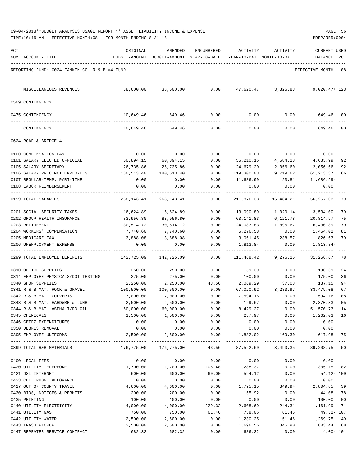| 09-04-2018**BUDGET ANALYSIS USAGE REPORT ** ASSET LIABILITY INCOME & EXPENSE |  |  |  |  | PAGE | 56 |
|------------------------------------------------------------------------------|--|--|--|--|------|----|
|                                                                              |  |  |  |  |      |    |

TIME:10:16 AM - EFFECTIVE MONTH:08 - FOR MONTH ENDING 8-31-18 PREPARER:0004

| ACT | NUM ACCOUNT-TITLE                                                | ORIGINAL               | AMENDED<br>BUDGET-AMOUNT BUDGET-AMOUNT YEAR-TO-DATE | ENCUMBERED   | ACTIVITY           | ACTIVITY<br>YEAR-TO-DATE MONTH-TO-DATE | <b>CURRENT USED</b><br>$_{\rm PCT}$<br>BALANCE |
|-----|------------------------------------------------------------------|------------------------|-----------------------------------------------------|--------------|--------------------|----------------------------------------|------------------------------------------------|
|     |                                                                  |                        |                                                     |              |                    |                                        |                                                |
|     | REPORTING FUND: 0024 FANNIN CO. R & B #4 FUND                    |                        |                                                     |              |                    |                                        | EFFECTIVE MONTH - 08                           |
|     | MISCELLANEOUS REVENUES                                           | 38,600.00              | 38,600.00                                           | 0.00         |                    | 47,620.47 3,326.83                     | $9,020.47+123$                                 |
|     | 0509 CONTINGENCY                                                 |                        |                                                     |              |                    |                                        |                                                |
|     | 0475 CONTINGENCY                                                 | 10,649.46              | 649.46                                              | 0.00         | 0.00               | 0.00                                   | 649.46<br>00                                   |
|     | CONTINGENCY                                                      | 10,649.46              | 649.46                                              | 0.00         | 0.00               | 0.00                                   | 00<br>649.46                                   |
|     | 0624 ROAD & BRIDGE 4                                             |                        |                                                     |              |                    |                                        |                                                |
|     |                                                                  |                        |                                                     |              |                    |                                        |                                                |
|     | 0100 COMPENSATION PAY<br>0101 SALARY ELECTED OFFICIAL            | 0.00                   | 0.00<br>60,894.15                                   | 0.00<br>0.00 | 0.00<br>56,210.16  | 0.00<br>4,684.18                       | 0.00<br>92<br>4,683.99                         |
|     | 0105 SALARY SECRETARY                                            | 60,894.15<br>26,735.86 | 26,735.86                                           | 0.00         | 24,679.20          | 2,056.60                               | 2,056.66<br>92                                 |
|     | 0106 SALARY PRECINCT EMPLOYEES                                   | 180,513.40             | 180,513.40                                          | 0.00         | 119,300.03         | 9,719.62                               | 61,213.37<br>66                                |
|     | 0107 REGULAR-TEMP. PART-TIME                                     | 0.00                   | 0.00                                                | 0.00         | 11,686.99          | 23.81                                  | $11,686.99-$                                   |
|     | 0108 LABOR REIMBURSEMENT                                         | 0.00                   | 0.00                                                | 0.00         | 0.00               | 0.00                                   | 0.00                                           |
|     | 0199 TOTAL SALARIES                                              | 268,143.41             | 268, 143. 41                                        | 0.00         | 211,876.38         | 16,484.21                              | 79<br>56,267.03                                |
|     | 0201 SOCIAL SECURITY TAXES                                       | 16,624.89              | 16,624.89                                           | 0.00         | 13,090.89          | 1,020.14                               | 79<br>3,534.00                                 |
|     | 0202 GROUP HEALTH INSURANCE                                      | 83,956.80              | 83,956.80                                           | 0.00         | 63,141.83          | 6,121.78                               | 20,814.97<br>75                                |
|     | 0203 RETIREMENT                                                  | 30,514.72              | 30,514.72                                           | 0.00         | 24,083.83          | 1,895.67                               | 79<br>6,430.89                                 |
|     | 0204 WORKERS' COMPENSATION                                       | 7,740.60               | 7,740.60                                            | 0.00         | 6,276.58           | 0.00                                   | 1,464.02<br>81                                 |
|     | 0205 MEDICARE TAX                                                | 3,888.08               | 3,888.08                                            | 0.00         | 3,061.45           | 238.57                                 | 826.63<br>79                                   |
|     | 0206 UNEMPLOYMENT EXPENSE                                        | 0.00                   | 0.00                                                | 0.00         | 1,813.84           | 0.00                                   | 1,813.84-                                      |
|     | 0299 TOTAL EMPLOYEE BENEFITS                                     | 142,725.09             | 142,725.09                                          | 0.00         | 111,468.42         | 9,276.16                               | 31,256.67<br>78                                |
|     | 0310 OFFICE SUPPLIES                                             | 250.00                 | 250.00                                              | 0.00         | 59.39              | 0.00                                   | 24<br>190.61                                   |
|     | 0314 EMPLOYEE PHYSICALS/DOT TESTING                              | 275.00                 | 275.00                                              | 0.00         | 100.00             | 0.00                                   | 175.00<br>36                                   |
|     | 0340 SHOP SUPPLIES                                               | 2,250.00               | 2,250.00                                            | 43.56        | 2,069.29           | 37.08                                  | 137.15<br>94                                   |
|     | 0341 R & B MAT. ROCK & GRAVEL                                    | 100,500.00             | 100,500.00                                          | 0.00         | 67,020.92          | 3,283.97                               | 33,479.08<br>67                                |
|     | 0342 R & B MAT. CULVERTS                                         | 7,000.00               | 7,000.00                                            | 0.00         | 7,594.16           | 0.00                                   | $594.16 - 108$                                 |
|     | 0343 R & B MAT. HARDWRE & LUMB<br>0344 R & B MAT. ASPHALT/RD OIL | 2,500.00<br>60,000.00  | 2,500.00<br>60,000.00                               | 0.00<br>0.00 | 129.67             | 0.00<br>0.00                           | 2,370.33<br>05                                 |
|     | 0345 CHEMICALS                                                   | 1,500.00               | 1,500.00                                            | 0.00         | 8,429.27<br>237.97 | 0.00                                   | 51, 570. 73 14<br>1,262.03 16                  |
|     | 0346 CETRZ EXPENDITURES                                          | 0.00                   | 0.00                                                | 0.00         | 0.00               | 0.00                                   | 0.00                                           |
|     | 0350 DEBRIS REMOVAL                                              | 0.00                   | 0.00                                                | 0.00         | 0.00               | 0.00                                   | 0.00                                           |
|     | 0395 EMPLOYEE UNIFORMS                                           | 2,500.00               | 2,500.00                                            | 0.00         | 1,882.02           | 169.30                                 | 617.98<br>75                                   |
|     | 0399 TOTAL R&B MATERIALS                                         | 176,775.00             | 176,775.00                                          | 43.56        |                    |                                        | 87,522.69 3,490.35 89,208.75 50                |
|     | 0400 LEGAL FEES                                                  | 0.00                   | 0.00                                                | 0.00         | 0.00               | 0.00                                   | 0.00                                           |
|     | 0420 UTILITY TELEPHONE                                           | 1,700.00               | 1,700.00                                            | 106.48       | 1,288.37           | 0.00                                   | 305.15 82                                      |
|     | 0421 DSL INTERNET                                                | 600.00                 | 600.00                                              | 60.00        | 594.12             | 0.00                                   | 54.12- 109                                     |
|     | 0423 CELL PHONE ALLOWANCE                                        | 0.00                   | 0.00                                                | 0.00         | 0.00               | 0.00                                   | 0.00                                           |
|     | 0427 OUT OF COUNTY TRAVEL                                        | 4,600.00               | 4,600.00                                            | 0.00         | 1,795.15           | 349.94                                 | 2,804.85 39                                    |
|     | 0430 BIDS, NOTICES & PERMITS                                     | 200.00                 | 200.00                                              | 0.00         | 155.92             | 0.00                                   | 44.08 78                                       |
|     | 0435 PRINTING                                                    | 100.00                 | 100.00                                              | 0.00         | 0.00               | 0.00                                   | 100.00<br>00                                   |
|     | 0440 UTILITY ELECTRICITY                                         | 4,000.00               | 4,000.00                                            | 229.32       | 2,608.69           | 244.31                                 | 1,161.99<br>71                                 |
|     | 0441 UTILITY GAS                                                 | 750.00                 | 750.00                                              | 61.46        | 738.06             | 61.46                                  | 49.52- 107                                     |
|     | 0442 UTILITY WATER                                               | 2,500.00               | 2,500.00                                            | 0.00         | 1,230.25           | 51.46                                  | 1,269.75 49                                    |
|     | 0443 TRASH PICKUP                                                | 2,500.00               | 2,500.00                                            | 0.00         | 1,696.56           | 345.90                                 | 803.44 68                                      |

0447 REPEATER SERVICE CONTRACT 682.32 682.32 0.00 686.32 0.00 4.00- 101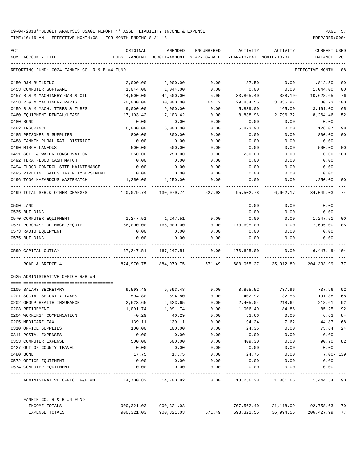TIME:10:16 AM - EFFECTIVE MONTH:08 - FOR MONTH ENDING 8-31-18 PREPARER:0004

| ACT |                                                               | ORIGINAL   | AMENDED                                  | ENCUMBERED | ACTIVITY                   | ACTIVITY   | <b>CURRENT USED</b>  |                |
|-----|---------------------------------------------------------------|------------|------------------------------------------|------------|----------------------------|------------|----------------------|----------------|
|     | NUM ACCOUNT-TITLE                                             |            | BUDGET-AMOUNT BUDGET-AMOUNT YEAR-TO-DATE |            | YEAR-TO-DATE MONTH-TO-DATE |            | BALANCE              | PCT            |
|     | REPORTING FUND: 0024 FANNIN CO. R & B #4 FUND                 |            |                                          |            |                            |            | EFFECTIVE MONTH - 08 |                |
|     | 0450 R&M BUILDING                                             | 2,000.00   | 2,000.00                                 | 0.00       | 187.50                     | 0.00       | 1,812.50             | 09             |
|     | 0453 COMPUTER SOFTWARE                                        | 1,044.00   | 1,044.00                                 | 0.00       | 0.00                       | 0.00       | 1,044.00             | 00             |
|     | 0457 R & M MACHINERY GAS & OIL                                | 44,500.00  | 44,500.00                                | 5.95       | 33,865.40                  | $388.19 -$ | 10,628.65            | 76             |
|     | 0458 R & M MACHINERY PARTS                                    | 20,000.00  | 30,000.00                                | 64.72      | 29,854.55                  | 3,035.97   | 80.73                | 100            |
|     | 0459 R & M MACH. TIRES & TUBES                                | 9,000.00   | 9,000.00                                 | 0.00       | 5,839.00                   | 165.00     | 3,161.00             | 65             |
|     | 0460 EQUIPMENT RENTAL/LEASE                                   | 17,103.42  | 17,103.42                                | 0.00       | 8,838.96                   | 2,796.32   | 8,264.46             | 52             |
|     | 0480 BOND                                                     | 0.00       | 0.00                                     | 0.00       | 0.00                       | 0.00       | 0.00                 |                |
|     | 0482 INSURANCE                                                | 6,000.00   | 6,000.00                                 | 0.00       | 5,873.93                   | 0.00       | 126.07               | 98             |
|     | 0485 PRISONER'S SUPPLIES                                      | 800.00     | 800.00                                   | 0.00       | 0.00                       | 0.00       | 800.00               | 0 <sub>0</sub> |
|     | 0488 FANNIN RURAL RAIL DISTRICT                               | 0.00       | 0.00                                     | 0.00       | 0.00                       | 0.00       | 0.00                 |                |
|     | 0490 MISCELLANEOUS                                            | 500.00     | 500.00                                   | 0.00       | 0.00                       | 0.00       | 500.00               | 0 <sup>0</sup> |
|     | 0491 SOIL & WATER CONSERVATION                                | 250.00     | 250.00                                   | 0.00       | 250.00                     | 0.00       | 0.00                 | 100            |
|     | 0492 TDRA FLOOD CASH MATCH                                    | 0.00       | 0.00                                     | 0.00       | 0.00                       | 0.00       | 0.00                 |                |
|     | 0494 FLOOD CONTROL SITE MAINTENANCE                           | 0.00       | 0.00                                     | 0.00       | 0.00                       | 0.00       | 0.00                 |                |
|     | 0495 PIPELINE SALES TAX REIMBURSEMENT                         | 0.00       | 0.00                                     | 0.00       | 0.00                       | 0.00       | 0.00                 |                |
|     | 0496 TCOG HAZARDOUS WASTEMATCH                                | 1,250.00   | 1,250.00                                 | 0.00       | 0.00                       | 0.00       | 1,250.00             | 00             |
|     | 0499 TOTAL SER. & OTHER CHARGES                               | 120,079.74 | 130,079.74                               | 527.93     | 95,502.78                  | 6,662.17   | 34,049.03            | -74            |
|     | 0500 LAND                                                     |            |                                          |            | 0.00                       | 0.00       | 0.00                 |                |
|     | 0535 BUILDING                                                 |            |                                          |            | 0.00                       | 0.00       | 0.00                 |                |
|     | 0570 COMPUTER EQUIPMENT                                       | 1,247.51   | 1,247.51                                 | 0.00       | 0.00                       | 0.00       | 1,247.51             | 00             |
|     | 0571 PURCHASE OF MACH./EQUIP.                                 | 166,000.00 | 166,000.00                               | 0.00       | 173,695.00                 | 0.00       | 7,695.00- 105        |                |
|     | 0573 RADIO EQUIPMENT                                          | 0.00       | 0.00                                     | 0.00       | 0.00                       | 0.00       | 0.00                 |                |
|     | 0575 BUILDING                                                 | 0.00       | 0.00                                     | 0.00       | 0.00                       | 0.00       | 0.00                 |                |
|     | 0599 CAPITAL OUTLAY                                           | 167,247.51 | 167,247.51                               | 0.00       | 173,695.00                 | 0.00       | $6,447.49 - 104$     |                |
|     | ROAD & BRIDGE 4                                               | 874,970.75 | 884,970.75                               | 571.49     | 680,065.27                 | 35,912.89  | 204,333.99           | 77             |
|     | 0625 ADMINISTRATIVE OFFICE R&B #4                             |            |                                          |            |                            |            |                      |                |
|     | ====================================<br>0105 SALARY SECRETARY | 9,593.48   | 9,593.48                                 | 0.00       | 8,855.52                   | 737.96     | 737.96               | 92             |
|     | 0201 SOCIAL SECURITY TAXES                                    | 594.80     | 594.80                                   | 0.00       | 402.92                     | 32.58      | 191.88               | 68             |
|     | 0202 GROUP HEALTH INSURANCE                                   | 2,623.65   | 2,623.65                                 | 0.00       | 2,405.04                   | 218.64     | 218.61               | 92             |
|     | 0203 RETIREMENT                                               | 1,091.74   | 1,091.74                                 | 0.00       | 1,006.49                   | 84.86      | 85.25                | 92             |
|     | 0204 WORKERS' COMPENSATION                                    | 40.29      | 40.29                                    | 0.00       | 33.66                      | 0.00       | 6.63                 | 84             |
|     | 0205 MEDICARE TAX                                             | 139.11     | 139.11                                   | 0.00       | 94.24                      | 7.62       | 44.87                | 68             |
|     | 0310 OFFICE SUPPLIES                                          | 100.00     | 100.00                                   | 0.00       | 24.36                      | 0.00       | 75.64                | 24             |
|     | 0311 POSTAL EXPENSES                                          | 0.00       | 0.00                                     | 0.00       | 0.00                       | 0.00       | 0.00                 |                |
|     | 0353 COMPUTER EXPENSE                                         | 500.00     | 500.00                                   | 0.00       | 409.30                     | 0.00       | 90.70                | 82             |
|     | 0427 OUT OF COUNTY TRAVEL                                     | 0.00       | 0.00                                     | 0.00       | 0.00                       | 0.00       | 0.00                 |                |
|     | 0480 BOND                                                     | 17.75      | 17.75                                    | 0.00       | 24.75                      | 0.00       |                      | $7.00 - 139$   |
|     | 0572 OFFICE EQUIPMENT                                         | 0.00       | 0.00                                     | 0.00       | 0.00                       | 0.00       | 0.00                 |                |
|     | 0574 COMPUTER EQUIPMENT                                       | 0.00       | 0.00                                     | 0.00       | 0.00                       | 0.00       | 0.00                 |                |
|     | ADMINISTRATIVE OFFICE R&B #4 14,700.82                        |            | 14,700.82                                | 0.00       | 13,256.28                  | 1,081.66   | 1,444.54 90          |                |
|     | FANNIN CO. R & B #4 FUND                                      |            |                                          |            |                            |            |                      |                |
|     | INCOME TOTALS                                                 | 900,321.03 | 900,321.03                               |            | 707,562.40                 | 21,118.09  | 192,758.63 79        |                |
|     | EXPENSE TOTALS                                                | 900,321.03 | 900, 321.03                              | 571.49     | 693,321.55                 | 36,994.55  | 206,427.99           | 77             |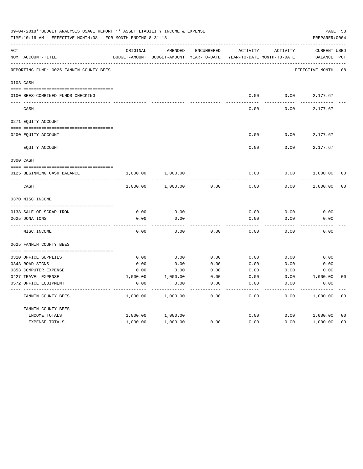|     | 09-04-2018**BUDGET ANALYSIS USAGE REPORT ** ASSET LIABILITY INCOME & EXPENSE<br>TIME:10:16 AM - EFFECTIVE MONTH:08 - FOR MONTH ENDING 8-31-18 |               |               |                   |                            |                 |                      |                |  |  |
|-----|-----------------------------------------------------------------------------------------------------------------------------------------------|---------------|---------------|-------------------|----------------------------|-----------------|----------------------|----------------|--|--|
| ACT |                                                                                                                                               | ORIGINAL      | AMENDED       | <b>ENCUMBERED</b> | ACTIVITY                   | <b>ACTIVITY</b> | <b>CURRENT USED</b>  |                |  |  |
|     | NUM ACCOUNT-TITLE                                                                                                                             | BUDGET-AMOUNT | BUDGET-AMOUNT | YEAR-TO-DATE      | YEAR-TO-DATE MONTH-TO-DATE |                 | BALANCE              | $_{\rm PCT}$   |  |  |
|     | REPORTING FUND: 0025 FANNIN COUNTY BEES                                                                                                       |               |               |                   |                            |                 | EFFECTIVE MONTH - 08 |                |  |  |
|     | 0103 CASH                                                                                                                                     |               |               |                   |                            |                 |                      |                |  |  |
|     | 0100 BEES-COMBINED FUNDS CHECKING                                                                                                             |               |               |                   | 0.00                       | 0.00            | 2,177.67             |                |  |  |
|     | CASH                                                                                                                                          |               |               |                   | 0.00                       | 0.00            | 2,177.67             |                |  |  |
|     | 0271 EQUITY ACCOUNT                                                                                                                           |               |               |                   |                            |                 |                      |                |  |  |
|     | 0200 EQUITY ACCOUNT                                                                                                                           |               |               |                   | 0.00                       | 0.00            | 2,177.67             |                |  |  |
|     | EQUITY ACCOUNT                                                                                                                                |               |               |                   | 0.00                       | 0.00            | 2,177.67             |                |  |  |
|     | 0300 CASH                                                                                                                                     |               |               |                   |                            |                 |                      |                |  |  |
|     | 0125 BEGINNING CASH BALANCE                                                                                                                   | 1,000.00      | 1,000.00      |                   | 0.00                       | 0.00            | 1,000.00             | 00             |  |  |
|     | CASH                                                                                                                                          | 1,000.00      | 1,000.00      | 0.00              | 0.00                       | 0.00            | 1,000.00             | 0 <sub>0</sub> |  |  |
|     | 0370 MISC. INCOME                                                                                                                             |               |               |                   |                            |                 |                      |                |  |  |
|     | 0138 SALE OF SCRAP IRON                                                                                                                       | 0.00          | 0.00          |                   | 0.00                       | 0.00            | 0.00                 |                |  |  |
|     | 0625 DONATIONS                                                                                                                                | 0.00          | 0.00          |                   | 0.00                       | 0.00            | 0.00                 |                |  |  |
|     | MISC. INCOME                                                                                                                                  | 0.00          | 0.00          | 0.00              | 0.00                       | 0.00            | 0.00                 |                |  |  |
|     | 0625 FANNIN COUNTY BEES                                                                                                                       |               |               |                   |                            |                 |                      |                |  |  |
|     | 0310 OFFICE SUPPLIES                                                                                                                          | 0.00          | 0.00          | 0.00              | 0.00                       | 0.00            | 0.00                 |                |  |  |
|     | 0343 ROAD SIGNS                                                                                                                               | 0.00          | 0.00          | 0.00              | 0.00                       | 0.00            | 0.00                 |                |  |  |
|     | 0353 COMPUTER EXPENSE                                                                                                                         | 0.00          | 0.00          | 0.00              | 0.00                       | 0.00            | 0.00                 |                |  |  |
|     | 0427 TRAVEL EXPENSE                                                                                                                           | 1,000.00      | 1,000.00      | 0.00              | 0.00                       | 0.00            | 1,000.00             | 0 <sub>0</sub> |  |  |
|     | 0572 OFFICE EQUIPMENT                                                                                                                         | 0.00          | 0.00          | 0.00              | 0.00                       | 0.00            | 0.00                 |                |  |  |
|     | FANNIN COUNTY BEES                                                                                                                            | 1,000.00      | 1,000.00      | 0.00              | 0.00                       | 0.00            | 1,000.00             | 0 <sub>0</sub> |  |  |
|     | FANNIN COUNTY BEES                                                                                                                            |               |               |                   |                            |                 |                      |                |  |  |
|     | INCOME TOTALS                                                                                                                                 | 1,000.00      | 1,000.00      |                   | 0.00                       | 0.00            | 1,000.00             | 0 <sub>0</sub> |  |  |
|     | EXPENSE TOTALS                                                                                                                                | 1,000.00      | 1,000.00      | 0.00              | 0.00                       | 0.00            | 1,000.00             | 0 <sub>0</sub> |  |  |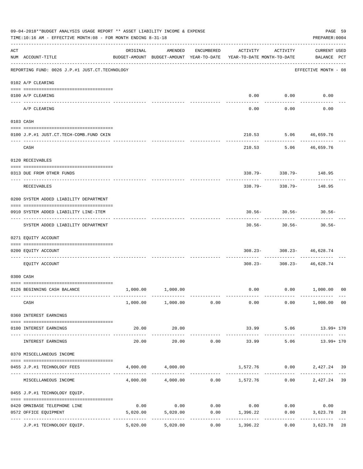|     | 09-04-2018**BUDGET ANALYSIS USAGE REPORT ** ASSET LIABILITY INCOME & EXPENSE<br>TIME:10:16 AM - EFFECTIVE MONTH:08 - FOR MONTH ENDING 8-31-18 |                                                                                 |                                                |                       |                                    |                           | PREPARER: 0004                            | PAGE 59 |
|-----|-----------------------------------------------------------------------------------------------------------------------------------------------|---------------------------------------------------------------------------------|------------------------------------------------|-----------------------|------------------------------------|---------------------------|-------------------------------------------|---------|
| ACT | NUM ACCOUNT-TITLE                                                                                                                             | ORIGINAL<br>BUDGET-AMOUNT BUDGET-AMOUNT YEAR-TO-DATE YEAR-TO-DATE MONTH-TO-DATE | AMENDED                                        | ENCUMBERED            | ACTIVITY                           | ACTIVITY                  | <b>CURRENT USED</b><br>BALANCE PCT        |         |
|     | REPORTING FUND: 0026 J.P.#1 JUST.CT.TECHNOLOGY                                                                                                |                                                                                 |                                                |                       |                                    |                           | EFFECTIVE MONTH - 08                      |         |
|     | 0102 A/P CLEARING                                                                                                                             |                                                                                 |                                                |                       |                                    |                           |                                           |         |
|     | 0100 A/P CLEARING                                                                                                                             |                                                                                 |                                                |                       |                                    | $0.00$ 0.00               | 0.00                                      |         |
|     | ---- ---------<br>A/P CLEARING                                                                                                                |                                                                                 |                                                |                       | 0.00                               | 0.00                      | 0.00                                      |         |
|     | 0103 CASH                                                                                                                                     |                                                                                 |                                                |                       |                                    |                           |                                           |         |
|     | 0100 J.P.#1 JUST.CT.TECH-COMB.FUND CKIN                                                                                                       |                                                                                 |                                                |                       |                                    |                           | 210.53 5.06 46,659.76                     |         |
|     | CASH                                                                                                                                          |                                                                                 |                                                |                       | 210.53                             |                           | .<br>5.06 46,659.76                       |         |
|     | 0120 RECEIVABLES                                                                                                                              |                                                                                 |                                                |                       |                                    |                           |                                           |         |
|     | 0313 DUE FROM OTHER FUNDS                                                                                                                     |                                                                                 |                                                |                       |                                    |                           | $338.79 - 338.79 - 148.95$                |         |
|     | RECEIVABLES                                                                                                                                   |                                                                                 |                                                |                       | 338.79-                            | 338.79-                   | 148.95                                    |         |
|     | 0200 SYSTEM ADDED LIABILITY DEPARTMENT                                                                                                        |                                                                                 |                                                |                       |                                    |                           |                                           |         |
|     | 0910 SYSTEM ADDED LIABILITY LINE-ITEM                                                                                                         |                                                                                 |                                                |                       |                                    |                           | $30.56 - 30.56 - 30.56 -$                 |         |
|     | SYSTEM ADDED LIABILITY DEPARTMENT                                                                                                             |                                                                                 |                                                |                       | --------<br>$30.56 -$              | . <u>.</u> .<br>$30.56 -$ | $30.56 -$                                 |         |
|     | 0271 EQUITY ACCOUNT                                                                                                                           |                                                                                 |                                                |                       |                                    |                           |                                           |         |
|     | 0200 EQUITY ACCOUNT<br>------------------- -------                                                                                            |                                                                                 |                                                |                       |                                    | ----------- -             | $308.23 - 308.23 - 46,628.74$<br>-------- |         |
|     | EQUITY ACCOUNT                                                                                                                                |                                                                                 |                                                |                       |                                    |                           | $308.23 - 308.23 - 46,628.74$             |         |
|     | 0300 CASH                                                                                                                                     |                                                                                 |                                                |                       |                                    |                           |                                           |         |
|     | 0126 BEGINNING CASH BALANCE                                                                                                                   |                                                                                 | 1,000.00 1,000.00                              |                       |                                    |                           | $0.00$ $0.00$ $1,000.00$ 00               |         |
|     | CASH                                                                                                                                          |                                                                                 | $1,000.00$ $1,000.00$ $0.00$                   |                       | 0.00                               |                           | $0.00$ 1,000.00 00                        |         |
|     | 0360 INTEREST EARNINGS                                                                                                                        |                                                                                 |                                                |                       |                                    |                           |                                           |         |
|     | 0100 INTEREST EARNINGS                                                                                                                        | 20.00                                                                           | 20.00<br>-------------                         |                       |                                    | -------------             | 33.99 5.06 13.99+ 170                     |         |
|     | ------------------- --------------<br>INTEREST EARNINGS                                                                                       | 20.00                                                                           | 20.00                                          | 0.00                  | --------------<br>33.99            | 5.06                      | .<br>13.99+ 170                           |         |
|     | 0370 MISCELLANEOUS INCOME                                                                                                                     |                                                                                 |                                                |                       |                                    |                           |                                           |         |
|     | 0455 J.P.#1 TECHNOLOGY FEES                                                                                                                   |                                                                                 | 4,000.00 4,000.00                              |                       |                                    | ----- ------------        | 1,572.76   0.00   2,427.24   39           |         |
|     | MISCELLANEOUS INCOME                                                                                                                          |                                                                                 | $4,000.00$ $4,000.00$ $0.00$ $1,572.76$ $0.00$ |                       |                                    |                           | 2,427.24                                  | 39      |
|     | 0455 J.P.#1 TECHNOLOGY EQUIP.                                                                                                                 |                                                                                 |                                                |                       |                                    |                           |                                           |         |
|     | 0420 OMNIBASE TELEPHONE LINE                                                                                                                  | 0.00                                                                            |                                                |                       | $0.00$ $0.00$ $0.00$ $0.00$ $0.00$ |                           | 0.00                                      |         |
|     | 0572 OFFICE EQUIPMENT<br>--------------------- --------------                                                                                 | 5,020.00                                                                        | 5,020.00                                       | . _ _ _ _ _ _ _ _ _ _ | $0.00$ 1,396.22<br>-----------     | -----------               | 0.00<br>3,623.78<br>------------          | 28      |
|     | J.P.#1 TECHNOLOGY EQUIP.                                                                                                                      | 5,020.00                                                                        | 5,020.00                                       | 0.00                  | 1,396.22                           |                           | 0.00<br>3,623.78                          | 28      |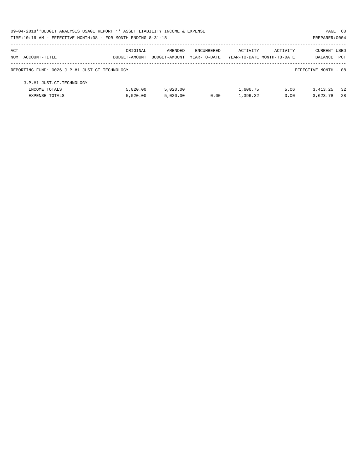| 09-04-2018**BUDGET ANALYSIS USAGE REPORT ** ASSET LIABILITY INCOME & EXPENSE |               |               |              |                            |          | PAGE 60              |     |
|------------------------------------------------------------------------------|---------------|---------------|--------------|----------------------------|----------|----------------------|-----|
| TIME:10:16 AM - EFFECTIVE MONTH:08 - FOR MONTH ENDING 8-31-18                |               |               |              |                            |          | PREPARER: 0004       |     |
| ACT                                                                          | ORIGINAL      | AMENDED       | ENCUMBERED   | ACTIVITY                   | ACTIVITY | <b>CURRENT USED</b>  |     |
| NUM ACCOUNT-TITLE                                                            | BUDGET-AMOUNT | BUDGET-AMOUNT | YEAR-TO-DATE | YEAR-TO-DATE MONTH-TO-DATE |          | BALANCE              | PCT |
| REPORTING FUND: 0026 J.P.#1 JUST.CT.TECHNOLOGY                               |               |               |              |                            |          | EFFECTIVE MONTH - 08 |     |
| J.P.#1 JUST.CT.TECHNOLOGY                                                    |               |               |              |                            |          |                      |     |
| INCOME TOTALS                                                                | 5.020.00      | 5.020.00      |              | 1,606.75                   | 5.06     | 3, 413, 25           | 32  |
| <b>EXPENSE TOTALS</b>                                                        | 5.020.00      | 5.020.00      | 0.00         | 1,396.22                   | 0.00     | 3,623.78             | 28  |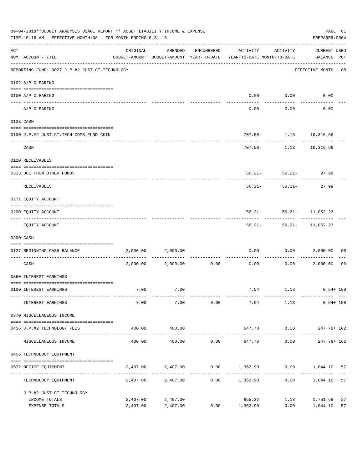|     | 09-04-2018**BUDGET ANALYSIS USAGE REPORT ** ASSET LIABILITY INCOME & EXPENSE<br>TIME:10:16 AM - EFFECTIVE MONTH:08 - FOR MONTH ENDING 8-31-18 |                      |                      |              |                                                                                 |                                       | PAGE 61<br>PREPARER: 0004          |                |
|-----|-----------------------------------------------------------------------------------------------------------------------------------------------|----------------------|----------------------|--------------|---------------------------------------------------------------------------------|---------------------------------------|------------------------------------|----------------|
| ACT | NUM ACCOUNT-TITLE                                                                                                                             | ORIGINAL             | AMENDED              | ENCUMBERED   | ACTIVITY<br>BUDGET-AMOUNT BUDGET-AMOUNT YEAR-TO-DATE YEAR-TO-DATE MONTH-TO-DATE | ACTIVITY                              | <b>CURRENT USED</b><br>BALANCE PCT |                |
|     | -------------------------------------<br>REPORTING FUND: 0027 J.P.#2 JUST.CT.TECHNOLOGY                                                       |                      |                      |              |                                                                                 |                                       | EFFECTIVE MONTH - 08               |                |
|     | 0102 A/P CLEARING                                                                                                                             |                      |                      |              |                                                                                 |                                       |                                    |                |
|     | 0100 A/P CLEARING<br>---- ---------                                                                                                           |                      |                      |              | 0.00                                                                            | 0.00                                  | 0.00                               |                |
|     | A/P CLEARING                                                                                                                                  |                      |                      |              | 0.00                                                                            | 0.00                                  | 0.00                               |                |
|     | 0103 CASH                                                                                                                                     |                      |                      |              |                                                                                 |                                       |                                    |                |
|     | 0100 J.P.#2 JUST.CT.TECH-COMB.FUND CKIN                                                                                                       |                      |                      |              |                                                                                 | 707.58- 1.13 10,316.66                |                                    |                |
|     | CASH                                                                                                                                          |                      |                      |              |                                                                                 | -----------<br>707.58- 1.13 10,316.66 | ------------                       |                |
|     | 0120 RECEIVABLES                                                                                                                              |                      |                      |              |                                                                                 |                                       |                                    |                |
|     | 0313 DUE FROM OTHER FUNDS                                                                                                                     |                      |                      |              |                                                                                 | $56.21 - 56.21 - 27.99$               |                                    |                |
|     | RECEIVABLES                                                                                                                                   |                      |                      |              | $56.21 -$                                                                       | $56.21-$                              | 27.99                              |                |
|     | 0271 EQUITY ACCOUNT                                                                                                                           |                      |                      |              |                                                                                 |                                       |                                    |                |
|     | 0200 EQUITY ACCOUNT                                                                                                                           |                      |                      |              |                                                                                 | $56.21 - 56.21 - 11,052.23$           |                                    |                |
|     | EQUITY ACCOUNT                                                                                                                                |                      |                      |              |                                                                                 | $56.21 - 56.21 - 11,052.23$           |                                    |                |
|     | 0300 CASH                                                                                                                                     |                      |                      |              |                                                                                 |                                       |                                    |                |
|     | 0127 BEGINNING CASH BALANCE                                                                                                                   | 2,000.00             | 2,000.00             |              | 0.00                                                                            | 0.00                                  | 2,000.00                           | 00             |
|     | CASH                                                                                                                                          |                      | 2,000.00 2,000.00    | 0.00         | ------------ -------------<br>0.00                                              | 0.00                                  | 2,000.00                           | 0 <sub>0</sub> |
|     | 0360 INTEREST EARNINGS                                                                                                                        |                      |                      |              |                                                                                 |                                       |                                    |                |
|     | 0100 INTEREST EARNINGS                                                                                                                        | 7.00                 | 7.00                 |              |                                                                                 |                                       | 7.54 1.13 0.54+ 108                |                |
|     | INTEREST EARNINGS                                                                                                                             | 7.00                 | 7.00                 | 0.00         | 7.54                                                                            | 1.13                                  | $0.54 + 108$                       |                |
|     | 0370 MISCELLANEOUS INCOME                                                                                                                     |                      |                      |              |                                                                                 |                                       |                                    |                |
|     | 0456 J.P.#2 TECHNOLOGY FEES                                                                                                                   | 400.00               | 400.00               |              |                                                                                 |                                       | 647.78 0.00 247.78+ 162            |                |
|     | MISCELLANEOUS INCOME                                                                                                                          | 400.00               | 400.00               | 0.00         | 647.78                                                                          | 0.00                                  | 247.78+ 162                        |                |
|     | 0456 TECHNOLOGY EQUIPMENT                                                                                                                     |                      |                      |              |                                                                                 |                                       |                                    |                |
|     | 0572 OFFICE EQUIPMENT                                                                                                                         | 2,407.00             | 2,407.00             |              | $0.00$ 1,362.90 0.00 1,044.10                                                   |                                       |                                    | 57             |
|     | --------------------- ----<br>TECHNOLOGY EQUIPMENT                                                                                            |                      | --------------       | ------------ | 2,407.00 2,407.00 0.00 1,362.90                                                 | 0.00                                  | 1,044.10                           | 57             |
|     | J.P.#2 JUST.CT.TECHNOLOGY                                                                                                                     |                      |                      |              |                                                                                 |                                       |                                    |                |
|     | INCOME TOTALS<br>EXPENSE TOTALS                                                                                                               | 2,407.00<br>2,407.00 | 2,407.00<br>2,407.00 |              | 655.32<br>$0.00$ 1,362.90                                                       | 1.13<br>0.00                          | 1,751.68<br>1,044.10               | 27<br>57       |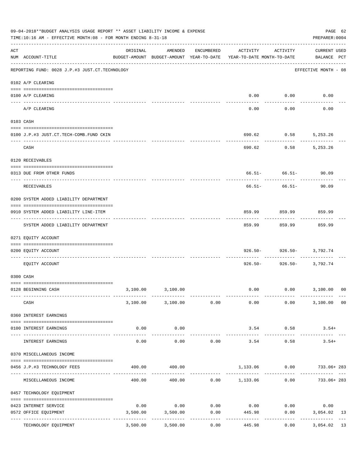|     | 09-04-2018**BUDGET ANALYSIS USAGE REPORT ** ASSET LIABILITY INCOME & EXPENSE<br>TIME:10:16 AM - EFFECTIVE MONTH:08 - FOR MONTH ENDING 8-31-18 |                                                                                 |                         |                               |                                    |                               | PAGE 62<br>PREPARER: 0004          |    |
|-----|-----------------------------------------------------------------------------------------------------------------------------------------------|---------------------------------------------------------------------------------|-------------------------|-------------------------------|------------------------------------|-------------------------------|------------------------------------|----|
| ACT | NUM ACCOUNT-TITLE                                                                                                                             | ORIGINAL<br>BUDGET-AMOUNT BUDGET-AMOUNT YEAR-TO-DATE YEAR-TO-DATE MONTH-TO-DATE | AMENDED                 | ENCUMBERED                    | ACTIVITY                           | ACTIVITY                      | <b>CURRENT USED</b><br>BALANCE PCT |    |
|     | REPORTING FUND: 0028 J.P.#3 JUST.CT.TECHNOLOGY                                                                                                |                                                                                 |                         |                               |                                    |                               | EFFECTIVE MONTH - 08               |    |
|     | 0102 A/P CLEARING                                                                                                                             |                                                                                 |                         |                               |                                    |                               |                                    |    |
|     | 0100 A/P CLEARING<br>---- --------                                                                                                            |                                                                                 |                         |                               |                                    | $0.00$ $0.00$                 | 0.00                               |    |
|     | A/P CLEARING                                                                                                                                  |                                                                                 |                         |                               | 0.00                               | 0.00                          | 0.00                               |    |
|     | 0103 CASH                                                                                                                                     |                                                                                 |                         |                               |                                    |                               |                                    |    |
|     | 0100 J.P.#3 JUST.CT.TECH-COMB.FUND CKIN                                                                                                       |                                                                                 |                         |                               | 690.62                             | 0.58                          | 5,253.26                           |    |
|     | CASH                                                                                                                                          |                                                                                 |                         |                               | 690.62                             | 0.58                          | 5,253.26                           |    |
|     | 0120 RECEIVABLES                                                                                                                              |                                                                                 |                         |                               |                                    |                               |                                    |    |
|     | 0313 DUE FROM OTHER FUNDS                                                                                                                     |                                                                                 |                         |                               |                                    | ------------- ---------       | $66.51 - 66.51 - 90.09$            |    |
|     | RECEIVABLES                                                                                                                                   |                                                                                 |                         |                               | 66.51-                             | $66.51-$                      | 90.09                              |    |
|     | 0200 SYSTEM ADDED LIABILITY DEPARTMENT                                                                                                        |                                                                                 |                         |                               |                                    |                               |                                    |    |
|     | 0910 SYSTEM ADDED LIABILITY LINE-ITEM                                                                                                         |                                                                                 |                         |                               | 859.99                             | 859.99<br>- - - - - - - - - - | 859.99<br>----------               |    |
|     | SYSTEM ADDED LIABILITY DEPARTMENT                                                                                                             |                                                                                 |                         |                               | 859.99                             | 859.99                        | 859.99                             |    |
|     | 0271 EQUITY ACCOUNT                                                                                                                           |                                                                                 |                         |                               |                                    |                               |                                    |    |
|     | 0200 EQUITY ACCOUNT<br>------------------ -----                                                                                               |                                                                                 |                         |                               | 926.50-                            | -----------                   | 926.50- 3,792.74                   |    |
|     | EQUITY ACCOUNT                                                                                                                                |                                                                                 |                         |                               | $926.50 -$                         |                               | 926.50- 3,792.74                   |    |
|     | 0300 CASH                                                                                                                                     |                                                                                 |                         |                               |                                    |                               |                                    |    |
|     | 0128 BEGINNING CASH                                                                                                                           |                                                                                 | 3,100.00 3,100.00       |                               |                                    |                               | $0.00$ $0.00$ $3,100.00$ 00        |    |
|     | CASH                                                                                                                                          |                                                                                 | 3,100.00 3,100.00 0.00  |                               | 0.00                               |                               | 0.00<br>3,100.00 00                |    |
|     | 0360 INTEREST EARNINGS                                                                                                                        |                                                                                 |                         |                               |                                    |                               |                                    |    |
|     | 0100 INTEREST EARNINGS                                                                                                                        | 0.00                                                                            | 0.00                    |                               |                                    | 3.54 0.58                     | $3.54+$                            |    |
|     | INTEREST EARNINGS                                                                                                                             | 0.00                                                                            | 0.00                    | 0.00                          | 3.54                               | 0.58                          | $3.54+$                            |    |
|     | 0370 MISCELLANEOUS INCOME                                                                                                                     |                                                                                 |                         |                               |                                    |                               |                                    |    |
|     | 0456 J.P.#3 TECHNOLOGY FEES                                                                                                                   | 400.00                                                                          | 400.00                  |                               |                                    |                               | 1,133.06   0.00   733.06+283       |    |
|     | MISCELLANEOUS INCOME                                                                                                                          | 400.00                                                                          |                         |                               |                                    | ----------                    |                                    |    |
|     | 0457 TECHNOLOGY EQUIPMENT                                                                                                                     |                                                                                 |                         |                               |                                    |                               |                                    |    |
|     | 0423 INTERNET SERVICE                                                                                                                         | 0.00                                                                            |                         |                               | $0.00$ $0.00$ $0.00$ $0.00$ $0.00$ |                               | 0.00                               |    |
|     | 0572 OFFICE EQUIPMENT<br>--------------------- --------------                                                                                 | 3,500.00                                                                        | 3,500.00<br>----------- | 0.00                          | 445.98                             |                               | 0.00<br>3,054.02                   | 13 |
|     | TECHNOLOGY EQUIPMENT                                                                                                                          | 3,500.00                                                                        | 3,500.00                | . _ _ _ _ _ _ _ _ _ _<br>0.00 | 445.98                             | ----------<br>0.00            | ------------<br>3,054.02           | 13 |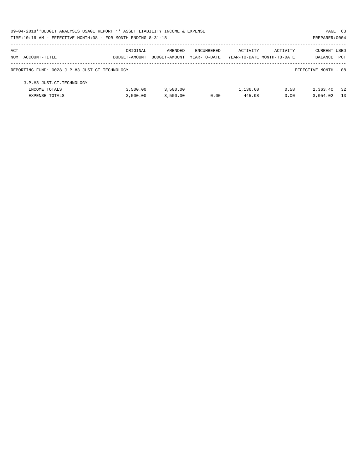| 09-04-2018**BUDGET ANALYSIS USAGE REPORT ** ASSET LIABILITY INCOME & EXPENSE |               |               |              |                            |          | PAGE 63              |            |
|------------------------------------------------------------------------------|---------------|---------------|--------------|----------------------------|----------|----------------------|------------|
| TIME:10:16 AM - EFFECTIVE MONTH:08 - FOR MONTH ENDING 8-31-18                |               |               |              |                            |          | PREPARER: 0004       |            |
| ACT                                                                          | ORIGINAL      | AMENDED       | ENCUMBERED   | ACTIVITY                   | ACTIVITY | CURRENT USED         |            |
| NUM ACCOUNT-TITLE                                                            | BUDGET-AMOUNT | BUDGET-AMOUNT | YEAR-TO-DATE | YEAR-TO-DATE MONTH-TO-DATE |          | BALANCE              | <b>PCT</b> |
| REPORTING FUND: 0028 J.P.#3 JUST.CT.TECHNOLOGY                               |               |               |              |                            |          | EFFECTIVE MONTH - 08 |            |
| J.P.#3 JUST.CT.TECHNOLOGY                                                    |               |               |              |                            |          |                      |            |
| INCOME TOTALS                                                                | 3.500.00      | 3,500.00      |              | 1,136.60                   | 0.58     | 2,363.40             | 32         |
| <b>EXPENSE TOTALS</b>                                                        | 3,500.00      | 3,500.00      | 0.00         | 445.98                     | 0.00     | 3,054.02             | 13         |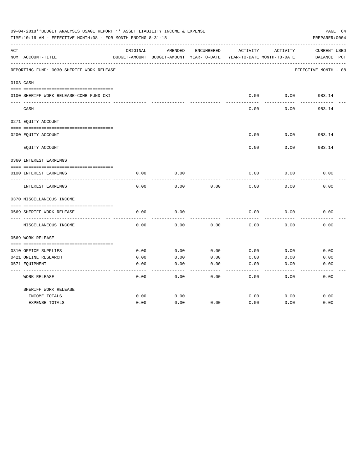|     | 09-04-2018**BUDGET ANALYSIS USAGE REPORT ** ASSET LIABILITY INCOME & EXPENSE<br>TIME:10:16 AM - EFFECTIVE MONTH:08 - FOR MONTH ENDING 8-31-18 |          |                                                     |            |          |                                        | PAGE 64<br>PREPARER: 0004          |
|-----|-----------------------------------------------------------------------------------------------------------------------------------------------|----------|-----------------------------------------------------|------------|----------|----------------------------------------|------------------------------------|
| ACT | NUM ACCOUNT-TITLE                                                                                                                             | ORIGINAL | AMENDED<br>BUDGET-AMOUNT BUDGET-AMOUNT YEAR-TO-DATE | ENCUMBERED | ACTIVITY | ACTIVITY<br>YEAR-TO-DATE MONTH-TO-DATE | <b>CURRENT USED</b><br>BALANCE PCT |
|     | REPORTING FUND: 0030 SHERIFF WORK RELEASE                                                                                                     |          |                                                     |            |          |                                        | EFFECTIVE MONTH - 08               |
|     | 0103 CASH                                                                                                                                     |          |                                                     |            |          |                                        |                                    |
|     | 0100 SHERIFF WORK RELEASE-COMB FUND CKI                                                                                                       |          |                                                     |            | 0.00     | 0.00                                   | 983.14                             |
|     | CASH                                                                                                                                          |          |                                                     |            | 0.00     | 0.00                                   | 983.14                             |
|     | 0271 EQUITY ACCOUNT                                                                                                                           |          |                                                     |            |          |                                        |                                    |
|     | 0200 EQUITY ACCOUNT                                                                                                                           |          |                                                     |            | 0.00     | 0.00                                   | 983.14                             |
|     | EQUITY ACCOUNT                                                                                                                                |          |                                                     |            | 0.00     | 0.00                                   | 983.14                             |
|     | 0360 INTEREST EARNINGS                                                                                                                        |          |                                                     |            |          |                                        |                                    |
|     | 0100 INTEREST EARNINGS                                                                                                                        | 0.00     | 0.00                                                |            | 0.00     | 0.00                                   | 0.00                               |
|     | INTEREST EARNINGS                                                                                                                             | 0.00     | 0.00                                                | 0.00       | 0.00     | 0.00                                   | 0.00                               |
|     | 0370 MISCELLANEOUS INCOME                                                                                                                     |          |                                                     |            |          |                                        |                                    |
|     | 0569 SHERIFF WORK RELEASE                                                                                                                     | 0.00     | 0.00                                                |            | 0.00     | 0.00                                   | 0.00                               |
|     | MISCELLANEOUS INCOME                                                                                                                          | 0.00     | 0.00                                                | 0.00       | 0.00     | 0.00                                   | 0.00                               |
|     | 0569 WORK RELEASE                                                                                                                             |          |                                                     |            |          |                                        |                                    |
|     |                                                                                                                                               |          |                                                     |            |          |                                        |                                    |
|     | 0310 OFFICE SUPPLIES                                                                                                                          | 0.00     | 0.00                                                | 0.00       | 0.00     | 0.00                                   | 0.00                               |
|     | 0421 ONLINE RESEARCH                                                                                                                          | 0.00     | 0.00                                                | 0.00       | 0.00     | 0.00                                   | 0.00                               |
|     | 0571 EQUIPMENT                                                                                                                                | 0.00     | 0.00                                                | 0.00       | 0.00     | 0.00                                   | 0.00                               |
|     | <b>WORK RELEASE</b>                                                                                                                           | 0.00     | 0.00                                                | 0.00       | 0.00     | 0.00                                   | 0.00                               |
|     | SHERIFF WORK RELEASE                                                                                                                          |          |                                                     |            |          |                                        |                                    |
|     | INCOME TOTALS                                                                                                                                 | 0.00     | 0.00                                                |            | 0.00     | 0.00                                   | 0.00                               |
|     | <b>EXPENSE TOTALS</b>                                                                                                                         | 0.00     | 0.00                                                | 0.00       | 0.00     | 0.00                                   | 0.00                               |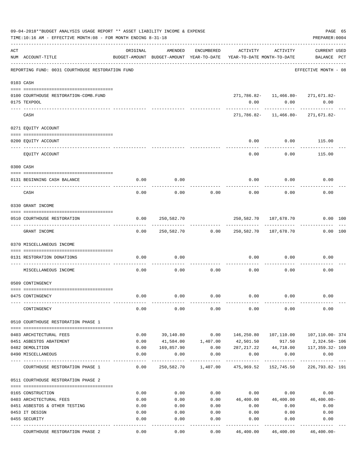|     | 09-04-2018**BUDGET ANALYSIS USAGE REPORT ** ASSET LIABILITY INCOME & EXPENSE<br>TIME:10:16 AM - EFFECTIVE MONTH:08 - FOR MONTH ENDING 8-31-18 |          |                   |                    |                                                                                 |                                                                    | PAGE 65<br>PREPARER: 0004          |  |
|-----|-----------------------------------------------------------------------------------------------------------------------------------------------|----------|-------------------|--------------------|---------------------------------------------------------------------------------|--------------------------------------------------------------------|------------------------------------|--|
| ACT | NUM ACCOUNT-TITLE                                                                                                                             | ORIGINAL | AMENDED           | ENCUMBERED         | ACTIVITY<br>BUDGET-AMOUNT BUDGET-AMOUNT YEAR-TO-DATE YEAR-TO-DATE MONTH-TO-DATE | ACTIVITY                                                           | <b>CURRENT USED</b><br>BALANCE PCT |  |
|     | REPORTING FUND: 0031 COURTHOUSE RESTORATION FUND                                                                                              |          |                   |                    |                                                                                 |                                                                    | EFFECTIVE MONTH - 08               |  |
|     | 0103 CASH                                                                                                                                     |          |                   |                    |                                                                                 |                                                                    |                                    |  |
|     | 0100 COURTHOUSE RESTORATION-COMB.FUND<br>0175 TEXPOOL                                                                                         |          |                   |                    | 0.00                                                                            | 271, 786.82- 11, 466.80- 271, 671.82-<br>0.00                      | 0.00                               |  |
|     | CASH                                                                                                                                          |          |                   |                    |                                                                                 | -------------------------<br>271, 786.82- 11, 466.80- 271, 671.82- | -------------                      |  |
|     | 0271 EQUITY ACCOUNT                                                                                                                           |          |                   |                    |                                                                                 |                                                                    |                                    |  |
|     | 0200 EQUITY ACCOUNT                                                                                                                           |          |                   |                    | 0.00                                                                            | $0.00$ 115.00<br>---------                                         | ----------                         |  |
|     | EQUITY ACCOUNT                                                                                                                                |          |                   |                    | 0.00                                                                            | 0.00                                                               | 115.00                             |  |
|     | 0300 CASH                                                                                                                                     |          |                   |                    |                                                                                 |                                                                    |                                    |  |
|     | 0131 BEGINNING CASH BALANCE                                                                                                                   | 0.00     | 0.00              |                    |                                                                                 | $0.00$ 0.00                                                        | 0.00                               |  |
|     | CASH                                                                                                                                          | 0.00     | 0.00              | 0.00               | 0.00                                                                            | 0.00                                                               | 0.00                               |  |
|     | 0330 GRANT INCOME                                                                                                                             |          |                   |                    |                                                                                 |                                                                    |                                    |  |
|     | 0510 COURTHOUSE RESTORATION                                                                                                                   |          | $0.00$ 250,582.70 |                    |                                                                                 | 250,582.70 187,678.70                                              | 0.00 100                           |  |
|     | GRANT INCOME                                                                                                                                  |          |                   |                    | $0.00$ $250,582.70$ $0.00$ $250,582.70$ $187,678.70$                            |                                                                    | $0.00$ 100                         |  |
|     | 0370 MISCELLANEOUS INCOME                                                                                                                     |          |                   |                    |                                                                                 |                                                                    |                                    |  |
|     | 0131 RESTORATION DONATIONS                                                                                                                    | 0.00     | 0.00              |                    |                                                                                 | $0.00$ 0.00                                                        | 0.00                               |  |
|     | MISCELLANEOUS INCOME                                                                                                                          | 0.00     | 0.00              | 0.00               | 0.00                                                                            | 0.00                                                               | 0.00                               |  |
|     | 0509 CONTINGENCY                                                                                                                              |          |                   |                    |                                                                                 |                                                                    |                                    |  |
|     | 0475 CONTINGENCY                                                                                                                              | 0.00     | 0.00              | 0.00               | 0.00                                                                            | 0.00                                                               | 0.00                               |  |
|     | CONTINGENCY                                                                                                                                   | 0.00     | 0.00              | 0.00               | 0.00                                                                            | 0.00                                                               | 0.00                               |  |
|     | 0510 COURTHOUSE RESTORATION PHASE 1                                                                                                           |          |                   |                    |                                                                                 |                                                                    |                                    |  |
|     | 0403 ARCHITECTURAL FEES                                                                                                                       | 0.00     | 39,140.80         | 0.00               | 146,250.80                                                                      | 107,110.00                                                         | 107,110.00- 374                    |  |
|     | 0451 ASBESTOS ABATEMENT                                                                                                                       | 0.00     |                   | 41,584.00 1,407.00 | 42,501.50                                                                       | 917.50                                                             | 2,324.50- 106                      |  |
|     | 0482 DEMOLITION                                                                                                                               | 0.00     | 169,857.90        | 0.00               | 287, 217.22                                                                     | 44,718.00                                                          | 117,359.32- 169                    |  |
|     | 0490 MISCELLANEOUS                                                                                                                            | 0.00     | 0.00              | 0.00               | 0.00<br>.                                                                       | 0.00<br>-----------                                                | 0.00<br>------------ ---           |  |
|     | COURTHOUSE RESTORATION PHASE 1                                                                                                                | 0.00     |                   |                    | 250,582.70    1,407.00    475,969.52    152,745.50                              |                                                                    | 226,793.82-191                     |  |
|     | 0511 COURTHOUSE RESTORATION PHASE 2                                                                                                           |          |                   |                    |                                                                                 |                                                                    |                                    |  |
|     | 0165 CONSTRUCTION                                                                                                                             | 0.00     | 0.00              | 0.00               | 0.00                                                                            | 0.00                                                               | 0.00                               |  |
|     | 0403 ARCHITECTURAL FEES                                                                                                                       | 0.00     | 0.00              | 0.00               | 46,400.00                                                                       | 46,400.00                                                          | 46,400.00-                         |  |
|     | 0451 ASBESTOS & OTHER TESTING                                                                                                                 | 0.00     | 0.00              | 0.00               | 0.00                                                                            | 0.00                                                               | 0.00                               |  |
|     | 0453 IT DESIGN                                                                                                                                | 0.00     | 0.00              | 0.00               | 0.00                                                                            | 0.00                                                               | 0.00                               |  |
|     | 0455 SECURITY                                                                                                                                 | 0.00     | 0.00              | 0.00               | 0.00                                                                            | 0.00                                                               | 0.00                               |  |
|     | COURTHOUSE RESTORATION PHASE 2                                                                                                                | 0.00     | 0.00              | 0.00               | 46,400.00                                                                       | 46,400.00                                                          | $46,400.00-$                       |  |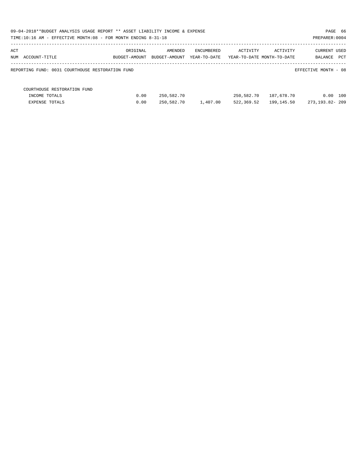| 09-04-2018**BUDGET ANALYSIS USAGE REPORT ** ASSET LIABILITY INCOME & EXPENSE<br>TIME:10:16 AM - EFFECTIVE MONTH:08 - FOR MONTH ENDING 8-31-18 |                           |                          |                                   |            |                                        | PAGE 66<br>PREPARER: 0004      |
|-----------------------------------------------------------------------------------------------------------------------------------------------|---------------------------|--------------------------|-----------------------------------|------------|----------------------------------------|--------------------------------|
| ACT<br>NUM ACCOUNT-TITLE                                                                                                                      | ORIGINAL<br>BUDGET-AMOUNT | AMENDED<br>BUDGET-AMOUNT | <b>ENCUMBERED</b><br>YEAR-TO-DATE | ACTIVITY   | ACTIVITY<br>YEAR-TO-DATE MONTH-TO-DATE | CURRENT USED<br>PCT<br>BALANCE |
| REPORTING FUND: 0031 COURTHOUSE RESTORATION FUND                                                                                              |                           |                          |                                   |            |                                        | EFFECTIVE MONTH - 08           |
| COURTHOUSE RESTORATION FUND                                                                                                                   |                           |                          |                                   |            |                                        |                                |
| INCOME TOTALS                                                                                                                                 | 0.00                      | 250,582.70               |                                   | 250,582.70 | 187,678.70                             | 100<br>0.00                    |
| <b>EXPENSE TOTALS</b>                                                                                                                         | 0.00                      | 250,582.70               | 1,407.00                          | 522,369.52 | 199,145.50                             | 273,193.82-209                 |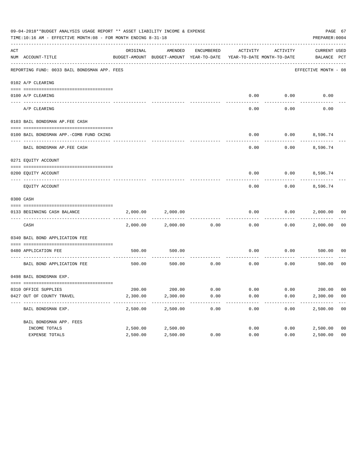|     | 09-04-2018**BUDGET ANALYSIS USAGE REPORT ** ASSET LIABILITY INCOME & EXPENSE<br>TIME:10:16 AM - EFFECTIVE MONTH:08 - FOR MONTH ENDING 8-31-18 |          |                    |            |                                                                                 |          | PAGE 67<br>PREPARER: 0004   |                |
|-----|-----------------------------------------------------------------------------------------------------------------------------------------------|----------|--------------------|------------|---------------------------------------------------------------------------------|----------|-----------------------------|----------------|
| ACT | NUM ACCOUNT-TITLE                                                                                                                             | ORIGINAL | AMENDED            | ENCUMBERED | ACTIVITY<br>BUDGET-AMOUNT BUDGET-AMOUNT YEAR-TO-DATE YEAR-TO-DATE MONTH-TO-DATE | ACTIVITY | CURRENT USED<br>BALANCE PCT |                |
|     | REPORTING FUND: 0033 BAIL BONDSMAN APP. FEES                                                                                                  |          |                    |            |                                                                                 |          | EFFECTIVE MONTH - 08        |                |
|     | 0102 A/P CLEARING                                                                                                                             |          |                    |            |                                                                                 |          |                             |                |
|     | 0100 A/P CLEARING                                                                                                                             |          |                    |            | 0.00                                                                            | 0.00     | 0.00                        |                |
|     | ---- --------<br>A/P CLEARING                                                                                                                 |          |                    |            | 0.00                                                                            | 0.00     | 0.00                        |                |
|     | 0103 BAIL BONDSMAN AP.FEE CASH                                                                                                                |          |                    |            |                                                                                 |          |                             |                |
|     | 0100 BAIL BONDSMAN APP.-COMB FUND CKING                                                                                                       |          |                    |            | 0.00                                                                            |          | $0.00$ 8,596.74             |                |
|     | BAIL BONDSMAN AP.FEE CASH                                                                                                                     |          |                    |            | 0.00                                                                            | 0.00     | 8,596.74                    |                |
|     | 0271 EQUITY ACCOUNT                                                                                                                           |          |                    |            |                                                                                 |          |                             |                |
|     | 0200 EQUITY ACCOUNT                                                                                                                           |          |                    |            | 0.00                                                                            |          | $0.00$ 8,596.74             |                |
|     | EQUITY ACCOUNT                                                                                                                                |          |                    |            | 0.00                                                                            | 0.00     | 8,596.74                    |                |
|     | 0300 CASH                                                                                                                                     |          |                    |            |                                                                                 |          |                             |                |
|     | 0133 BEGINNING CASH BALANCE                                                                                                                   | 2,000.00 | 2,000.00           |            | 0.00                                                                            | 0.00     | 2,000.00 00                 |                |
|     | CASH                                                                                                                                          | 2,000.00 | 2,000.00           | 0.00       | 0.00                                                                            | 0.00     | 2,000.00                    | 00             |
|     | 0340 BAIL BOND APPLICATION FEE                                                                                                                |          |                    |            |                                                                                 |          |                             |                |
|     | 0480 APPLICATION FEE                                                                                                                          | 500.00   | 500.00             |            | 0.00                                                                            | 0.00     | 500.00                      | 00             |
|     | BAIL BOND APPLICATION FEE                                                                                                                     | 500.00   | 500.00             | 0.00       | 0.00                                                                            | 0.00     | 500.00                      | 0 <sub>0</sub> |
|     | 0498 BAIL BONDSMAN EXP.                                                                                                                       |          |                    |            |                                                                                 |          |                             |                |
|     | 0310 OFFICE SUPPLIES                                                                                                                          |          | 200.00 200.00 0.00 |            | $0.00$ $0.00$ $200.00$ $00$                                                     |          |                             |                |
|     | 0427 OUT OF COUNTY TRAVEL                                                                                                                     | 2,300.00 | 2,300.00           | 0.00       | 0.00                                                                            | 0.00     | 2,300.00 00                 |                |
|     | BAIL BONDSMAN EXP.                                                                                                                            | 2,500.00 | 2,500.00           | 0.00       | 0.00                                                                            | 0.00     | 2,500.00                    | 0 <sub>0</sub> |
|     | BAIL BONDSMAN APP. FEES                                                                                                                       |          |                    |            |                                                                                 |          |                             |                |
|     | INCOME TOTALS                                                                                                                                 | 2,500.00 | 2,500.00           |            | 0.00                                                                            | 0.00     | 2,500.00                    | 0 <sub>0</sub> |
|     | EXPENSE TOTALS                                                                                                                                | 2,500.00 | 2,500.00           | 0.00       | 0.00                                                                            | 0.00     | 2,500.00                    | 0 <sub>0</sub> |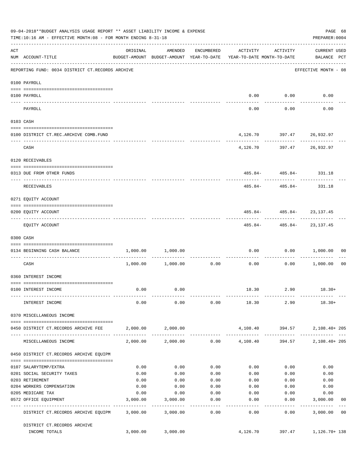|                                                                                                                                                                                                                                                                                                                                                                                                                                                                            | 09-04-2018**BUDGET ANALYSIS USAGE REPORT ** ASSET LIABILITY INCOME & EXPENSE<br>TIME:10:16 AM - EFFECTIVE MONTH:08 - FOR MONTH ENDING 8-31-18 |          |                                                                                |                    |                                    |                                           | PAGE 68<br>PREPARER: 0004          |                |
|----------------------------------------------------------------------------------------------------------------------------------------------------------------------------------------------------------------------------------------------------------------------------------------------------------------------------------------------------------------------------------------------------------------------------------------------------------------------------|-----------------------------------------------------------------------------------------------------------------------------------------------|----------|--------------------------------------------------------------------------------|--------------------|------------------------------------|-------------------------------------------|------------------------------------|----------------|
| ACT                                                                                                                                                                                                                                                                                                                                                                                                                                                                        | NUM ACCOUNT-TITLE                                                                                                                             | ORIGINAL | AMENDED<br>BUDGET-AMOUNT BUDGET-AMOUNT YEAR-TO-DATE YEAR-TO-DATE MONTH-TO-DATE | ENCUMBERED         | ACTIVITY                           | ACTIVITY                                  | <b>CURRENT USED</b><br>BALANCE PCT |                |
|                                                                                                                                                                                                                                                                                                                                                                                                                                                                            | REPORTING FUND: 0034 DISTRICT CT.RECORDS ARCHIVE                                                                                              |          |                                                                                |                    |                                    |                                           | EFFECTIVE MONTH - 08               |                |
|                                                                                                                                                                                                                                                                                                                                                                                                                                                                            | 0100 PAYROLL                                                                                                                                  |          |                                                                                |                    |                                    |                                           |                                    |                |
|                                                                                                                                                                                                                                                                                                                                                                                                                                                                            | 0100 PAYROLL                                                                                                                                  |          |                                                                                |                    |                                    | $0.00$ $0.00$                             | 0.00                               |                |
| $\frac{1}{2} \left( \frac{1}{2} \right) \left( \frac{1}{2} \right) \left( \frac{1}{2} \right) \left( \frac{1}{2} \right) \left( \frac{1}{2} \right) \left( \frac{1}{2} \right) \left( \frac{1}{2} \right) \left( \frac{1}{2} \right) \left( \frac{1}{2} \right) \left( \frac{1}{2} \right) \left( \frac{1}{2} \right) \left( \frac{1}{2} \right) \left( \frac{1}{2} \right) \left( \frac{1}{2} \right) \left( \frac{1}{2} \right) \left( \frac{1}{2} \right) \left( \frac$ | PAYROLL                                                                                                                                       |          |                                                                                |                    | 0.00                               | 0.00                                      | 0.00                               |                |
|                                                                                                                                                                                                                                                                                                                                                                                                                                                                            | 0103 CASH                                                                                                                                     |          |                                                                                |                    |                                    |                                           |                                    |                |
|                                                                                                                                                                                                                                                                                                                                                                                                                                                                            | 0100 DISTRICT CT.REC.ARCHIVE COMB.FUND                                                                                                        |          |                                                                                |                    |                                    | 4, 126.70 397.47 26, 932.97               |                                    |                |
|                                                                                                                                                                                                                                                                                                                                                                                                                                                                            | CASH                                                                                                                                          |          |                                                                                |                    | ----------                         | . <u>.</u><br>4, 126.70 397.47 26, 932.97 |                                    |                |
|                                                                                                                                                                                                                                                                                                                                                                                                                                                                            | 0120 RECEIVABLES                                                                                                                              |          |                                                                                |                    |                                    |                                           |                                    |                |
|                                                                                                                                                                                                                                                                                                                                                                                                                                                                            | 0313 DUE FROM OTHER FUNDS                                                                                                                     |          |                                                                                |                    |                                    | $485.84 - 485.84 - 331.18$                |                                    |                |
|                                                                                                                                                                                                                                                                                                                                                                                                                                                                            | RECEIVABLES                                                                                                                                   |          |                                                                                |                    | 485.84-                            |                                           | 485.84- 331.18                     |                |
|                                                                                                                                                                                                                                                                                                                                                                                                                                                                            | 0271 EQUITY ACCOUNT                                                                                                                           |          |                                                                                |                    |                                    |                                           |                                    |                |
|                                                                                                                                                                                                                                                                                                                                                                                                                                                                            | 0200 EQUITY ACCOUNT                                                                                                                           |          |                                                                                |                    |                                    | $485.84 - 485.84 - 23,137.45$             |                                    |                |
|                                                                                                                                                                                                                                                                                                                                                                                                                                                                            | EQUITY ACCOUNT                                                                                                                                |          |                                                                                |                    |                                    | $485.84 - 485.84 - 23,137.45$             |                                    |                |
|                                                                                                                                                                                                                                                                                                                                                                                                                                                                            | 0300 CASH                                                                                                                                     |          |                                                                                |                    |                                    |                                           |                                    |                |
|                                                                                                                                                                                                                                                                                                                                                                                                                                                                            | 0134 BEGINNING CASH BALANCE                                                                                                                   | 1,000.00 | 1,000.00                                                                       |                    | 0.00                               | 0.00                                      | 1,000.00                           | 00             |
|                                                                                                                                                                                                                                                                                                                                                                                                                                                                            | CASH                                                                                                                                          |          | $1,000.00$ $1,000.00$ $0.00$                                                   |                    | ------------ -------------<br>0.00 | ----------                                | $0.00$ 1,000.00                    | 00             |
|                                                                                                                                                                                                                                                                                                                                                                                                                                                                            | 0360 INTEREST INCOME                                                                                                                          |          |                                                                                |                    |                                    |                                           |                                    |                |
|                                                                                                                                                                                                                                                                                                                                                                                                                                                                            | 0100 INTEREST INCOME                                                                                                                          | 0.00     | 0.00                                                                           |                    |                                    | 18.30 2.90                                | $18.30+$                           |                |
|                                                                                                                                                                                                                                                                                                                                                                                                                                                                            | INTEREST INCOME                                                                                                                               | 0.00     | 0.00                                                                           |                    |                                    |                                           | $0.00$ 18.30 2.90 18.30+           |                |
|                                                                                                                                                                                                                                                                                                                                                                                                                                                                            | 0370 MISCELLANEOUS INCOME                                                                                                                     |          |                                                                                |                    |                                    |                                           |                                    |                |
|                                                                                                                                                                                                                                                                                                                                                                                                                                                                            | 0450 DISTRICT CT.RECORDS ARCHIVE FEE                                                                                                          |          | 2,000.00 2,000.00                                                              |                    |                                    | 4, 108, 40 394, 57                        | 2,108.40+ 205                      |                |
|                                                                                                                                                                                                                                                                                                                                                                                                                                                                            | MISCELLANEOUS INCOME                                                                                                                          |          | $2,000.00$ $2,000.00$ $0.00$ $4,108.40$                                        |                    |                                    | 394.57                                    | 2,108.40+ 205                      |                |
|                                                                                                                                                                                                                                                                                                                                                                                                                                                                            | 0450 DISTRICT CT.RECORDS ARCHIVE EQUIPM                                                                                                       |          |                                                                                |                    |                                    |                                           |                                    |                |
|                                                                                                                                                                                                                                                                                                                                                                                                                                                                            | 0107 SALARYTEMP/EXTRA                                                                                                                         | 0.00     | 0.00                                                                           | 0.00               | 0.00                               | 0.00                                      | 0.00                               |                |
|                                                                                                                                                                                                                                                                                                                                                                                                                                                                            | 0201 SOCIAL SECURITY TAXES                                                                                                                    | 0.00     | 0.00                                                                           | 0.00               | 0.00                               | 0.00                                      | 0.00                               |                |
|                                                                                                                                                                                                                                                                                                                                                                                                                                                                            | 0203 RETIREMENT                                                                                                                               | 0.00     | 0.00                                                                           | 0.00               | 0.00                               | 0.00                                      | 0.00                               |                |
|                                                                                                                                                                                                                                                                                                                                                                                                                                                                            | 0204 WORKERS COMPENSATION                                                                                                                     | 0.00     | 0.00                                                                           | 0.00               | 0.00                               | 0.00                                      | 0.00                               |                |
|                                                                                                                                                                                                                                                                                                                                                                                                                                                                            | 0205 MEDICARE TAX                                                                                                                             | 0.00     | 0.00                                                                           | 0.00               | 0.00                               | 0.00                                      | 0.00                               |                |
|                                                                                                                                                                                                                                                                                                                                                                                                                                                                            | 0572 OFFICE EQUIPMENT                                                                                                                         | 3,000.00 | 3,000.00                                                                       | 0.00<br>. <u>.</u> | 0.00<br>$- - - - - - -$            | 0.00<br>---------                         | 3,000.00<br>-------------          | 0 <sub>0</sub> |
|                                                                                                                                                                                                                                                                                                                                                                                                                                                                            | DISTRICT CT.RECORDS ARCHIVE EQUIPM 3,000.00 3,000.00                                                                                          |          |                                                                                | 0.00               | 0.00                               | 0.00                                      | 3,000.00                           | 0 <sub>0</sub> |
|                                                                                                                                                                                                                                                                                                                                                                                                                                                                            | DISTRICT CT.RECORDS ARCHIVE                                                                                                                   |          |                                                                                |                    |                                    |                                           |                                    |                |
|                                                                                                                                                                                                                                                                                                                                                                                                                                                                            | INCOME TOTALS                                                                                                                                 | 3,000.00 | 3,000.00                                                                       |                    |                                    |                                           | 4, 126.70 397.47 1, 126.70 + 138   |                |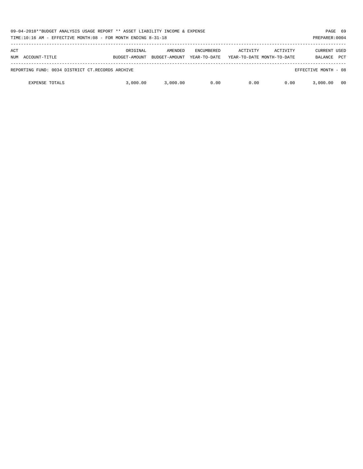| 09-04-2018**BUDGET ANALYSIS USAGE REPORT ** ASSET LIABILITY INCOME & EXPENSE<br>TIME:10:16 AM - EFFECTIVE MONTH:08 - FOR MONTH ENDING 8-31-18 |                           |                          |                                   |                                        |          |                         |            |
|-----------------------------------------------------------------------------------------------------------------------------------------------|---------------------------|--------------------------|-----------------------------------|----------------------------------------|----------|-------------------------|------------|
| ACT<br>NUM ACCOUNT-TITLE                                                                                                                      | ORIGINAL<br>BUDGET-AMOUNT | AMENDED<br>BUDGET-AMOUNT | <b>ENCUMBERED</b><br>YEAR-TO-DATE | ACTIVITY<br>YEAR-TO-DATE MONTH-TO-DATE | ACTIVITY | CURRENT USED<br>BALANCE | <b>PCT</b> |
| REPORTING FUND: 0034 DISTRICT CT.RECORDS ARCHIVE                                                                                              |                           |                          |                                   |                                        |          | EFFECTIVE MONTH - 08    |            |
| <b>EXPENSE TOTALS</b>                                                                                                                         | 3,000.00                  | 3.000.00                 | 0.00                              | 0.00                                   | 0.00     | 3,000,00                | 00         |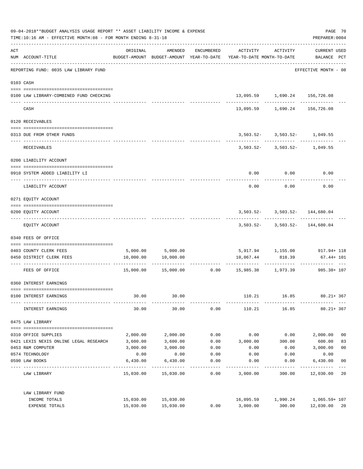| 09-04-2018**BUDGET ANALYSIS USAGE REPORT ** ASSET LIABILITY INCOME & EXPENSE<br>TIME:10:16 AM - EFFECTIVE MONTH:08 - FOR MONTH ENDING 8-31-18 |                                                 |           |                      |                             |                                                                                 |                                    | PAGE 70<br>PREPARER: 0004     |                           |
|-----------------------------------------------------------------------------------------------------------------------------------------------|-------------------------------------------------|-----------|----------------------|-----------------------------|---------------------------------------------------------------------------------|------------------------------------|-------------------------------|---------------------------|
| ACT                                                                                                                                           | NUM ACCOUNT-TITLE                               | ORIGINAL  |                      | AMENDED ENCUMBERED          | BUDGET-AMOUNT BUDGET-AMOUNT YEAR-TO-DATE YEAR-TO-DATE MONTH-TO-DATE BALANCE PCT | ACTIVITY ACTIVITY                  | CURRENT USED                  |                           |
|                                                                                                                                               | REPORTING FUND: 0035 LAW LIBRARY FUND           |           |                      |                             |                                                                                 |                                    | EFFECTIVE MONTH - 08          |                           |
|                                                                                                                                               | 0103 CASH                                       |           |                      |                             |                                                                                 |                                    |                               |                           |
|                                                                                                                                               | 0100 LAW LIBRARY-COMBINED FUND CHECKING         |           |                      |                             |                                                                                 | 13,095.59 1,690.24 156,726.08      |                               |                           |
|                                                                                                                                               | CASH                                            |           |                      |                             |                                                                                 | 13,095.59 1,690.24 156,726.08      |                               |                           |
|                                                                                                                                               | 0120 RECEIVABLES                                |           |                      |                             |                                                                                 |                                    |                               |                           |
|                                                                                                                                               | 0313 DUE FROM OTHER FUNDS                       |           |                      |                             |                                                                                 | $3,503.52 - 3,503.52 - 1,049.55$   |                               |                           |
|                                                                                                                                               | RECEIVABLES                                     |           |                      |                             |                                                                                 | $3,503.52 - 3,503.52 - 1,049.55$   |                               |                           |
|                                                                                                                                               | 0200 LIABILITY ACCOUNT                          |           |                      |                             |                                                                                 |                                    |                               |                           |
|                                                                                                                                               | 0910 SYSTEM ADDED LIABILITY LI                  |           |                      |                             |                                                                                 | $0.00$ 0.00                        | 0.00                          |                           |
|                                                                                                                                               | LIABILITY ACCOUNT                               |           |                      |                             | 0.00                                                                            | 0.00                               | 0.00                          |                           |
|                                                                                                                                               | 0271 EQUITY ACCOUNT                             |           |                      |                             |                                                                                 |                                    |                               |                           |
|                                                                                                                                               | 0200 EQUITY ACCOUNT                             |           |                      |                             |                                                                                 | $3,503.52 - 3,503.52 - 144,680.04$ |                               |                           |
|                                                                                                                                               | EQUITY ACCOUNT                                  |           |                      |                             |                                                                                 | $3,503.52 - 3,503.52 - 144,680.04$ |                               |                           |
|                                                                                                                                               | 0340 FEES OF OFFICE                             |           |                      |                             |                                                                                 |                                    |                               |                           |
|                                                                                                                                               | 0403 COUNTY CLERK FEES                          |           | 5,000.00 5,000.00    |                             |                                                                                 |                                    | 5,917.94 1,155.00 917.94+118  |                           |
|                                                                                                                                               | 0450 DISTRICT CLERK FEES                        |           | 10,000.00  10,000.00 |                             | 10,067.44                                                                       | 818.39                             | 67.44+ 101<br>--------------- |                           |
|                                                                                                                                               | FEES OF OFFICE                                  |           |                      |                             | $15,000.00$ $15,000.00$ $0.00$ $15,985.38$ $1,973.39$ $985.38+107$              |                                    |                               |                           |
|                                                                                                                                               | 0360 INTEREST EARNINGS                          |           |                      |                             |                                                                                 |                                    |                               |                           |
|                                                                                                                                               | 0100 INTEREST EARNINGS                          | 30.00     | 30.00                |                             | 110.21                                                                          | 16.85                              | $80.21 + 367$                 |                           |
|                                                                                                                                               | INTEREST EARNINGS                               | 30.00     | 30.00                | 0.00                        |                                                                                 | 110.21 16.85                       | $80.21 + 367$                 |                           |
|                                                                                                                                               | 0475 LAW LIBRARY                                |           |                      |                             |                                                                                 |                                    |                               |                           |
|                                                                                                                                               | 0310 OFFICE SUPPLIES                            | 2,000.00  | 2,000.00             | 0.00                        | 0.00                                                                            | 0.00                               | 2,000.00                      | 0 <sub>0</sub>            |
|                                                                                                                                               | 0421 LEXIS NEXIS ONLINE LEGAL RESEARCH 3,600.00 |           | 3,600.00             | 0.00                        | 3,000.00                                                                        | 300.00                             | 600.00                        | 83                        |
|                                                                                                                                               | 0453 R&M COMPUTER                               | 3,000.00  | 3,000.00             | 0.00                        | 0.00                                                                            | 0.00                               | 3,000.00                      | 0 <sub>0</sub>            |
|                                                                                                                                               | 0574 TECHNOLOGY                                 | 0.00      | 0.00                 | 0.00                        | 0.00                                                                            | 0.00                               | 0.00                          |                           |
|                                                                                                                                               | 0590 LAW BOOKS                                  | 6,430.00  | 6,430.00             | 0.00<br>$- - - - - - - - -$ | 0.00                                                                            | 0.00                               | 6,430.00                      | 0 <sub>0</sub><br>$- - -$ |
|                                                                                                                                               | LAW LIBRARY                                     |           | 15,030.00 15,030.00  | 0.00                        | 3,000.00                                                                        | 300.00                             | 12,030.00 20                  |                           |
|                                                                                                                                               | LAW LIBRARY FUND                                |           |                      |                             |                                                                                 |                                    |                               |                           |
|                                                                                                                                               | INCOME TOTALS                                   | 15,030.00 | 15,030.00            |                             | 16,095.59                                                                       | 1,990.24                           | 1,065.59+ 107                 |                           |
|                                                                                                                                               | EXPENSE TOTALS                                  | 15,030.00 | 15,030.00            | 0.00                        | 3,000.00                                                                        | 300.00                             | 12,030.00 20                  |                           |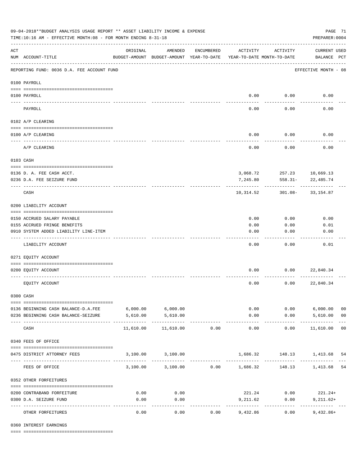| 09-04-2018**BUDGET ANALYSIS USAGE REPORT ** ASSET LIABILITY INCOME & EXPENSE<br>PAGE 71<br>TIME:10:16 AM - EFFECTIVE MONTH:08 - FOR MONTH ENDING 8-31-18<br>PREPARER: 0004 |                                            |                                                      |                                         |            |                       |                                        |                                    |                |
|----------------------------------------------------------------------------------------------------------------------------------------------------------------------------|--------------------------------------------|------------------------------------------------------|-----------------------------------------|------------|-----------------------|----------------------------------------|------------------------------------|----------------|
| ACT                                                                                                                                                                        | NUM ACCOUNT-TITLE                          | ORIGINAL<br>BUDGET-AMOUNT BUDGET-AMOUNT YEAR-TO-DATE | AMENDED                                 | ENCUMBERED | ACTIVITY              | ACTIVITY<br>YEAR-TO-DATE MONTH-TO-DATE | <b>CURRENT USED</b><br>BALANCE PCT |                |
|                                                                                                                                                                            | REPORTING FUND: 0036 D.A. FEE ACCOUNT FUND |                                                      |                                         |            |                       |                                        | EFFECTIVE MONTH - 08               |                |
|                                                                                                                                                                            | 0100 PAYROLL                               |                                                      |                                         |            |                       |                                        |                                    |                |
|                                                                                                                                                                            | 0100 PAYROLL                               |                                                      |                                         |            |                       | $0.00$ 0.00                            | 0.00                               |                |
| ---- ---                                                                                                                                                                   | PAYROLL                                    |                                                      |                                         |            | 0.00                  | 0.00                                   | 0.00                               |                |
|                                                                                                                                                                            | 0102 A/P CLEARING                          |                                                      |                                         |            |                       |                                        |                                    |                |
|                                                                                                                                                                            | 0100 A/P CLEARING                          |                                                      |                                         |            | 0.00                  | 0.00                                   | 0.00                               |                |
|                                                                                                                                                                            | A/P CLEARING                               |                                                      |                                         |            | 0.00                  | 0.00                                   | 0.00                               |                |
|                                                                                                                                                                            | 0103 CASH                                  |                                                      |                                         |            |                       |                                        |                                    |                |
|                                                                                                                                                                            | 0136 D. A. FEE CASH ACCT.                  |                                                      |                                         |            |                       | 3,068.72 257.23 10,669.13              |                                    |                |
|                                                                                                                                                                            | 0236 D.A. FEE SEIZURE FUND                 |                                                      |                                         |            | 7,245.80              | $558.31 -$                             | 22,485.74                          |                |
|                                                                                                                                                                            | CASH                                       |                                                      |                                         |            | 10,314.52             |                                        | 301.08- 33,154.87                  |                |
|                                                                                                                                                                            | 0200 LIABILITY ACCOUNT                     |                                                      |                                         |            |                       |                                        |                                    |                |
|                                                                                                                                                                            | 0150 ACCRUED SALARY PAYABLE                |                                                      |                                         |            | 0.00                  | 0.00                                   | 0.00                               |                |
|                                                                                                                                                                            | 0155 ACCRUED FRINGE BENEFITS               |                                                      |                                         |            | 0.00                  | 0.00                                   | 0.01                               |                |
|                                                                                                                                                                            | 0910 SYSTEM ADDED LIABILITY LINE-ITEM      |                                                      |                                         |            | 0.00                  | 0.00                                   | 0.00                               |                |
|                                                                                                                                                                            | LIABILITY ACCOUNT                          |                                                      |                                         |            | 0.00                  | 0.00                                   | 0.01                               |                |
|                                                                                                                                                                            | 0271 EQUITY ACCOUNT                        |                                                      |                                         |            |                       |                                        |                                    |                |
|                                                                                                                                                                            | 0200 EQUITY ACCOUNT                        |                                                      |                                         |            | 0.00                  | 0.00                                   | 22,840.34                          |                |
|                                                                                                                                                                            | EQUITY ACCOUNT                             |                                                      |                                         |            | 0.00                  | 0.00                                   | 22,840.34                          |                |
|                                                                                                                                                                            | 0300 CASH                                  |                                                      |                                         |            |                       |                                        |                                    |                |
|                                                                                                                                                                            | 0136 BEGINNING CASH BALANCE-D.A.FEE        | $6,000.00$ $6,000.00$                                |                                         |            |                       | 0.00                                   | $0.00$ 6,000.00                    | 0 <sub>0</sub> |
|                                                                                                                                                                            | 0236 BEGINNING CASH BALANCE-SEIZURE        | 5,610.00                                             | 5,610.00                                |            | 0.00                  |                                        | $0.00$ 5,610.00                    | 0 <sub>0</sub> |
|                                                                                                                                                                            | CASH                                       | 11,610.00                                            | 11,610.00                               | 0.00       | -------------<br>0.00 | -----------<br>0.00                    | . <u>.</u> .<br>11,610.00 00       |                |
|                                                                                                                                                                            | 0340 FEES OF OFFICE                        |                                                      |                                         |            |                       |                                        |                                    |                |
|                                                                                                                                                                            | 0475 DISTRICT ATTORNEY FEES                |                                                      | 3,100.00 3,100.00                       |            |                       | 1,686.32 148.13 1,413.68               |                                    | 54             |
|                                                                                                                                                                            | FEES OF OFFICE                             |                                                      | $3,100.00$ $3,100.00$ $0.00$ $1,686.32$ |            |                       |                                        | 148.13 1,413.68                    | 54             |
|                                                                                                                                                                            | 0352 OTHER FORFEITURES                     |                                                      |                                         |            |                       |                                        |                                    |                |
|                                                                                                                                                                            | 0200 CONTRABAND FORFEITURE                 | 0.00                                                 | 0.00                                    |            |                       | 221.24 0.00                            | $221.24+$                          |                |
|                                                                                                                                                                            | 0300 D.A. SEIZURE FUND                     | 0.00                                                 | 0.00                                    |            | 9,211.62              | 0.00                                   | $9,211.62+$                        |                |
|                                                                                                                                                                            | OTHER FORFEITURES                          | 0.00                                                 | ----------<br>0.00                      | 0.00       | 9,432.86              | 0.00                                   | $9,432.86+$                        |                |

0360 INTEREST EARNINGS

==== ===================================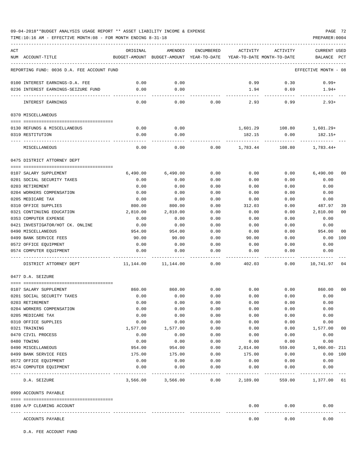## 09-04-2018\*\*BUDGET ANALYSIS USAGE REPORT \*\* ASSET LIABILITY INCOME & EXPENSE PAGE 72

|     | TIME:10:16 AM - EFFECTIVE MONTH:08 - FOR MONTH ENDING 8-31-18 |              |                                                     |              |                                        |                                 | PREPARER: 0004                 |                |
|-----|---------------------------------------------------------------|--------------|-----------------------------------------------------|--------------|----------------------------------------|---------------------------------|--------------------------------|----------------|
| ACT | NUM ACCOUNT-TITLE                                             | ORIGINAL     | AMENDED<br>BUDGET-AMOUNT BUDGET-AMOUNT YEAR-TO-DATE | ENCUMBERED   | ACTIVITY<br>YEAR-TO-DATE MONTH-TO-DATE | ACTIVITY                        | <b>CURRENT USED</b><br>BALANCE | $_{\rm PCT}$   |
|     | REPORTING FUND: 0036 D.A. FEE ACCOUNT FUND                    |              |                                                     |              |                                        |                                 | EFFECTIVE MONTH - 08           |                |
|     | 0100 INTEREST EARNINGS-D.A. FEE                               | 0.00         | 0.00                                                |              | 0.99                                   | 0.30                            | $0.99+$                        |                |
|     | 0236 INTEREST EARNINGS-SEIZURE FUND                           | 0.00         | 0.00<br>.                                           |              | 1.94<br>-------------                  | 0.69<br>---------               | $1.94+$<br>-----------         |                |
|     | INTEREST EARNINGS                                             | 0.00         | 0.00                                                | 0.00         | 2.93                                   | 0.99                            | $2.93+$                        |                |
|     | 0370 MISCELLANEOUS                                            |              |                                                     |              |                                        |                                 |                                |                |
|     | 0130 REFUNDS & MISCELLANEOUS                                  | 0.00         | 0.00                                                |              |                                        | 1,601.29    108.80    1,601.29+ |                                |                |
|     | 0319 RESTITUTION                                              | 0.00         | 0.00                                                |              |                                        | 182.15 0.00                     | 182.15+                        |                |
|     | MISCELLANEOUS                                                 | 0.00         | 0.00                                                | 0.00         |                                        | 1,783.44 108.80                 | 1,783.44+                      |                |
|     | 0475 DISTRICT ATTORNEY DEPT                                   |              |                                                     |              |                                        |                                 |                                |                |
|     |                                                               |              |                                                     |              |                                        |                                 |                                |                |
|     | 0107 SALARY SUPPLEMENT                                        | 6,490.00     | 6,490.00                                            | 0.00         | 0.00                                   | 0.00                            | 6,490.00                       | 00             |
|     | 0201 SOCIAL SECURITY TAXES                                    | 0.00         | 0.00                                                | 0.00         | 0.00<br>0.00                           | 0.00<br>0.00                    | 0.00                           |                |
|     | 0203 RETIREMENT<br>0204 WORKERS COMPENSATION                  | 0.00<br>0.00 | 0.00<br>0.00                                        | 0.00<br>0.00 | 0.00                                   | 0.00                            | 0.00<br>0.00                   |                |
|     | 0205 MEDICARE TAX                                             | 0.00         | 0.00                                                | 0.00         | 0.00                                   | 0.00                            | 0.00                           |                |
|     | 0310 OFFICE SUPPLIES                                          | 800.00       | 800.00                                              | 0.00         | 312.03                                 | 0.00                            | 487.97                         | 39             |
|     | 0321 CONTINUING EDUCATION                                     | 2,810.00     | 2,810.00                                            | 0.00         | 0.00                                   | 0.00                            | 2,810.00                       | 0 <sub>0</sub> |
|     | 0353 COMPUTER EXPENSE                                         | 0.00         | 0.00                                                | 0.00         | 0.00                                   | 0.00                            | 0.00                           |                |
|     | 0421 INVESTIGATOR/HOT CK. ONLINE                              | 0.00         | 0.00                                                | 0.00         | 0.00                                   | 0.00                            | 0.00                           |                |
|     | 0490 MISCELLANEOUS                                            | 954.00       | 954.00                                              | 0.00         | 0.00                                   | 0.00                            | 954.00                         | 00             |
|     | 0499 BANK SERVICE FEES                                        | 90.00        | 90.00                                               | 0.00         | 90.00                                  | 0.00                            | 0.00                           | 100            |
|     | 0572 OFFICE EQUIPMENT                                         | 0.00         | 0.00                                                | 0.00         | 0.00                                   | 0.00                            | 0.00                           |                |
|     | 0574 COMPUTER EQUIPMENT                                       | 0.00         | 0.00                                                | 0.00         | 0.00                                   | 0.00                            | 0.00                           |                |
|     | DISTRICT ATTORNEY DEPT                                        | 11,144.00    | 11,144.00                                           | 0.00         | 402.03                                 | 0.00                            | 10,741.97 04                   |                |
|     | 0477 D.A. SEIZURE                                             |              |                                                     |              |                                        |                                 |                                |                |
|     | 0107 SALARY SUPPLEMENT                                        | 860.00       | 860.00                                              | 0.00         | 0.00                                   | 0.00                            | 860.00                         | 00             |
|     | 0201 SOCIAL SECURITY TAXES                                    | 0.00         | 0.00                                                | 0.00         | 0.00                                   | 0.00                            | 0.00                           |                |
|     | 0203 RETIREMENT                                               | 0.00         | 0.00                                                | 0.00         | 0.00                                   | 0.00                            | 0.00                           |                |
|     | 0204 WORKERS COMPENSATION                                     | 0.00         | 0.00                                                | 0.00         | 0.00                                   | 0.00                            | 0.00                           |                |
|     | 0205 MEDICARE TAX                                             | 0.00         | 0.00                                                | 0.00         | 0.00                                   | 0.00                            | 0.00                           |                |
|     | 0310 OFFICE SUPPLIES                                          | 0.00         | 0.00                                                | 0.00         | 0.00                                   | 0.00                            | 0.00                           |                |
|     | 0321 TRAINING                                                 | 1,577.00     | 1,577.00                                            | 0.00         | 0.00                                   | 0.00                            | 1,577.00                       | 00             |
|     | 0470 CIVIL PROCESS                                            | 0.00         | 0.00                                                | 0.00         | 0.00                                   | 0.00                            | 0.00                           |                |
|     | 0480 TOWING                                                   | 0.00         | 0.00                                                | 0.00         | 0.00                                   | 0.00                            | 0.00                           |                |
|     | 0490 MISCELLANEOUS                                            | 954.00       | 954.00                                              | 0.00         | 2,014.00                               | 559.00                          | 1,060.00-211                   |                |
|     | 0499 BANK SERVICE FEES                                        | 175.00       | 175.00                                              | 0.00         | 175.00                                 | 0.00                            | 0.00                           | 100            |
|     | 0572 OFFICE EQUIPMENT                                         | 0.00         | 0.00                                                | 0.00         | 0.00                                   | 0.00                            | 0.00                           |                |
|     | 0574 COMPUTER EQUIPMENT                                       | 0.00         | 0.00                                                | 0.00         | 0.00                                   | 0.00                            | 0.00                           |                |
|     | D.A. SEIZURE                                                  | 3,566.00     | 3,566.00                                            | 0.00         | 2,189.00                               | 559.00                          | 1,377.00 61                    |                |
|     | 0999 ACCOUNTS PAYABLE                                         |              |                                                     |              |                                        |                                 |                                |                |
|     |                                                               |              |                                                     |              |                                        |                                 |                                |                |
|     | 0100 A/P CLEARING ACCOUNT                                     |              |                                                     |              | 0.00                                   | 0.00                            | 0.00                           |                |
|     | ACCOUNTS PAYABLE                                              |              |                                                     |              | 0.00                                   | 0.00                            | 0.00                           |                |

D.A. FEE ACCOUNT FUND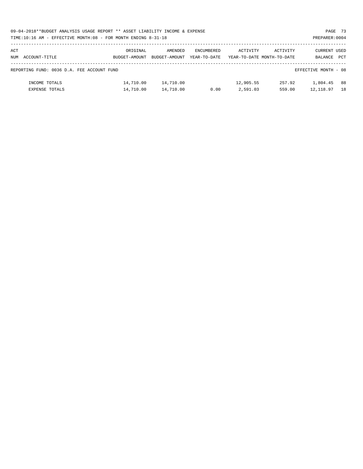| 09-04-2018**BUDGET ANALYSIS USAGE REPORT ** ASSET LIABILITY INCOME & EXPENSE | PAGE 73        |
|------------------------------------------------------------------------------|----------------|
| TIME:10:16 AM - EFFECTIVE MONTH:08 - FOR MONTH ENDING 8-31-18                | PREPARER: 0004 |

| ACT<br>NUM | ACCOUNT-TITLE                                                      | ORIGINAL<br>BUDGET-AMOUNT | AMENDED<br>BUDGET-AMOUNT | ENCUMBERED<br>YEAR-TO-DATE | ACTIVITY              | ACTIVITY<br>YEAR-TO-DATE MONTH-TO-DATE | CURRENT USED<br>BALANCE | <b>PCT</b> |
|------------|--------------------------------------------------------------------|---------------------------|--------------------------|----------------------------|-----------------------|----------------------------------------|-------------------------|------------|
|            | REPORTING FUND: 0036 D.A. FEE ACCOUNT FUND<br>EFFECTIVE MONTH - 08 |                           |                          |                            |                       |                                        |                         |            |
|            | INCOME TOTALS<br><b>EXPENSE TOTALS</b>                             | 14,710.00<br>14,710.00    | 14,710.00<br>14,710.00   | 0.00                       | 12,905.55<br>2,591.03 | 257.92<br>559.00                       | 1,804.45<br>12,118.97   | 88<br>18   |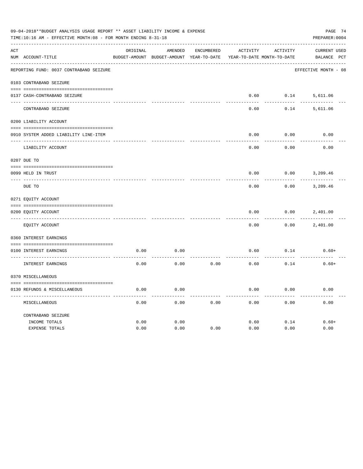| 09-04-2018**BUDGET ANALYSIS USAGE REPORT ** ASSET LIABILITY INCOME & EXPENSE<br>PAGE 74<br>TIME:10:16 AM - EFFECTIVE MONTH:08 - FOR MONTH ENDING 8-31-18<br>PREPARER: 0004 |                                         |          |                                          |                   |          |                            |                      |  |  |
|----------------------------------------------------------------------------------------------------------------------------------------------------------------------------|-----------------------------------------|----------|------------------------------------------|-------------------|----------|----------------------------|----------------------|--|--|
| ACT                                                                                                                                                                        |                                         | ORIGINAL | AMENDED                                  | <b>ENCUMBERED</b> | ACTIVITY | ACTIVITY                   | CURRENT USED         |  |  |
|                                                                                                                                                                            | NUM ACCOUNT-TITLE                       |          | BUDGET-AMOUNT BUDGET-AMOUNT YEAR-TO-DATE |                   |          | YEAR-TO-DATE MONTH-TO-DATE | BALANCE PCT          |  |  |
|                                                                                                                                                                            | REPORTING FUND: 0037 CONTRABAND SEIZURE |          |                                          |                   |          |                            | EFFECTIVE MONTH - 08 |  |  |
|                                                                                                                                                                            | 0103 CONTRABAND SEIZURE                 |          |                                          |                   |          |                            |                      |  |  |
|                                                                                                                                                                            | 0137 CASH-CONTRABAND SEIZURE            |          |                                          |                   | 0.60     | 0.14                       | 5,611.06             |  |  |
|                                                                                                                                                                            | CONTRABAND SEIZURE                      |          |                                          |                   | 0.60     | 0.14                       | 5,611.06             |  |  |
|                                                                                                                                                                            | 0200 LIABILITY ACCOUNT                  |          |                                          |                   |          |                            |                      |  |  |
|                                                                                                                                                                            | 0910 SYSTEM ADDED LIABILITY LINE-ITEM   |          |                                          |                   | 0.00     | 0.00                       | 0.00                 |  |  |
|                                                                                                                                                                            |                                         |          |                                          |                   |          |                            |                      |  |  |
|                                                                                                                                                                            | LIABILITY ACCOUNT                       |          |                                          |                   | 0.00     | 0.00                       | 0.00                 |  |  |
|                                                                                                                                                                            | 0207 DUE TO                             |          |                                          |                   |          |                            |                      |  |  |
|                                                                                                                                                                            | 0099 HELD IN TRUST                      |          |                                          |                   | 0.00     | 0.00                       | 3,209.46             |  |  |
| $- - - - - - -$                                                                                                                                                            | DUE TO                                  |          |                                          |                   | 0.00     | 0.00                       | 3,209.46             |  |  |
|                                                                                                                                                                            | 0271 EQUITY ACCOUNT                     |          |                                          |                   |          |                            |                      |  |  |
|                                                                                                                                                                            | 0200 EQUITY ACCOUNT                     |          |                                          |                   | 0.00     | 0.00                       | 2,401.00             |  |  |
|                                                                                                                                                                            | EQUITY ACCOUNT                          |          |                                          |                   | 0.00     | 0.00                       | 2,401.00             |  |  |
|                                                                                                                                                                            | 0360 INTEREST EARNINGS                  |          |                                          |                   |          |                            |                      |  |  |
|                                                                                                                                                                            | 0100 INTEREST EARNINGS                  | 0.00     | 0.00                                     |                   | 0.60     | 0.14                       | $0.60+$              |  |  |
|                                                                                                                                                                            | INTEREST EARNINGS                       | 0.00     | 0.00                                     | 0.00              | 0.60     | 0.14                       | $0.60+$              |  |  |
|                                                                                                                                                                            | 0370 MISCELLANEOUS                      |          |                                          |                   |          |                            |                      |  |  |
|                                                                                                                                                                            | 0130 REFUNDS & MISCELLANEOUS            | 0.00     | 0.00                                     |                   | 0.00     | 0.00                       | 0.00                 |  |  |
|                                                                                                                                                                            | MISCELLANEOUS                           | 0.00     | 0.00                                     | 0.00              | 0.00     | 0.00                       | 0.00                 |  |  |
|                                                                                                                                                                            | CONTRABAND SEIZURE                      |          |                                          |                   |          |                            |                      |  |  |
|                                                                                                                                                                            | INCOME TOTALS                           | 0.00     | 0.00                                     |                   | 0.60     | 0.14                       | $0.60+$              |  |  |
|                                                                                                                                                                            | EXPENSE TOTALS                          | 0.00     | 0.00                                     | 0.00              | 0.00     | 0.00                       | 0.00                 |  |  |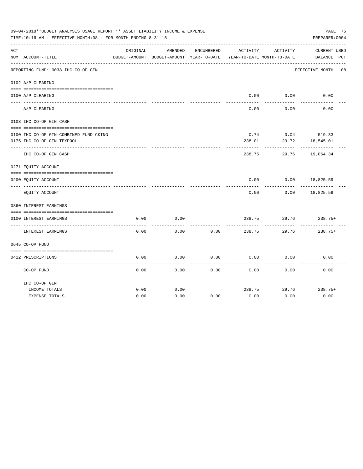|     | 09-04-2018**BUDGET ANALYSIS USAGE REPORT ** ASSET LIABILITY INCOME & EXPENSE<br>TIME:10:16 AM - EFFECTIVE MONTH:08 - FOR MONTH ENDING 8-31-18 |          |                                          |            |                            |          | PAGE 75<br>PREPARER: 0004 |  |
|-----|-----------------------------------------------------------------------------------------------------------------------------------------------|----------|------------------------------------------|------------|----------------------------|----------|---------------------------|--|
| ACT |                                                                                                                                               | ORIGINAL | AMENDED                                  | ENCUMBERED | ACTIVITY                   | ACTIVITY | <b>CURRENT USED</b>       |  |
|     | NUM ACCOUNT-TITLE                                                                                                                             |          | BUDGET-AMOUNT BUDGET-AMOUNT YEAR-TO-DATE |            | YEAR-TO-DATE MONTH-TO-DATE |          | BALANCE PCT               |  |
|     | REPORTING FUND: 0038 IHC CO-OP GIN                                                                                                            |          |                                          |            |                            |          | EFFECTIVE MONTH - 08      |  |
|     | 0102 A/P CLEARING                                                                                                                             |          |                                          |            |                            |          |                           |  |
|     | 0100 A/P CLEARING                                                                                                                             |          |                                          |            | 0.00                       | 0.00     | 0.00                      |  |
|     |                                                                                                                                               |          |                                          |            |                            |          |                           |  |
|     | A/P CLEARING                                                                                                                                  |          |                                          |            | 0.00                       | 0.00     | 0.00                      |  |
|     | 0103 IHC CO-OP GIN CASH                                                                                                                       |          |                                          |            |                            |          |                           |  |
|     |                                                                                                                                               |          |                                          |            |                            |          |                           |  |
|     | 0100 IHC CO-OP GIN-COMBINED FUND CKING                                                                                                        |          |                                          |            | 0.74                       |          | $0.04$ 519.33             |  |
|     | 0175 IHC CO-OP GIN TEXPOOL                                                                                                                    |          |                                          |            | 238.01                     | 29.72    | 18,545.01                 |  |
|     | IHC CO-OP GIN CASH                                                                                                                            |          |                                          |            | 238.75                     | 29.76    | 19,064.34                 |  |
|     | 0271 EQUITY ACCOUNT                                                                                                                           |          |                                          |            |                            |          |                           |  |
|     | 0200 EQUITY ACCOUNT                                                                                                                           |          |                                          |            | 0.00                       | 0.00     | 18,825.59                 |  |
|     | EQUITY ACCOUNT                                                                                                                                |          |                                          |            | 0.00                       | 0.00     | 18,825.59                 |  |
|     | 0360 INTEREST EARNINGS                                                                                                                        |          |                                          |            |                            |          |                           |  |
|     |                                                                                                                                               |          |                                          |            |                            |          |                           |  |
|     | 0100 INTEREST EARNINGS                                                                                                                        | 0.00     | 0.00                                     |            | 238.75                     | 29.76    | $238.75+$                 |  |
|     | INTEREST EARNINGS                                                                                                                             | 0.00     | 0.00                                     | 0.00       | 238.75                     | 29.76    | $238.75+$                 |  |
|     | 0645 CO-OP FUND                                                                                                                               |          |                                          |            |                            |          |                           |  |
|     |                                                                                                                                               |          |                                          |            |                            |          |                           |  |
|     | 0412 PRESCRIPTIONS                                                                                                                            | 0.00     | 0.00                                     | 0.00       | 0.00                       | 0.00     | 0.00                      |  |
|     | CO-OP FUND                                                                                                                                    | 0.00     | 0.00                                     | 0.00       | 0.00                       | 0.00     | 0.00                      |  |
|     | IHC CO-OP GIN                                                                                                                                 |          |                                          |            |                            |          |                           |  |
|     | INCOME TOTALS                                                                                                                                 | 0.00     | 0.00                                     |            | 238.75                     | 29.76    | $238.75+$                 |  |
|     | <b>EXPENSE TOTALS</b>                                                                                                                         | 0.00     | 0.00                                     | 0.00       | 0.00                       | 0.00     | 0.00                      |  |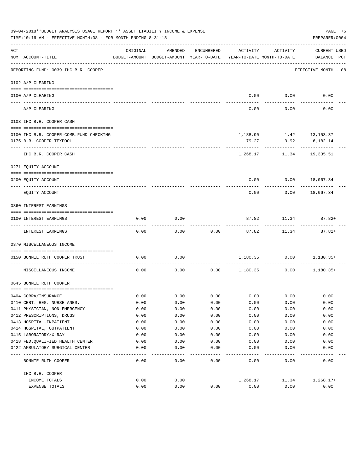|     | 09-04-2018**BUDGET ANALYSIS USAGE REPORT ** ASSET LIABILITY INCOME & EXPENSE<br>PAGE 76<br>PREPARER: 0004<br>TIME:10:16 AM - EFFECTIVE MONTH:08 - FOR MONTH ENDING 8-31-18 |              |                                                     |              |                                        |                                             |                                    |  |  |  |
|-----|----------------------------------------------------------------------------------------------------------------------------------------------------------------------------|--------------|-----------------------------------------------------|--------------|----------------------------------------|---------------------------------------------|------------------------------------|--|--|--|
| ACT | NUM ACCOUNT-TITLE                                                                                                                                                          | ORIGINAL     | AMENDED<br>BUDGET-AMOUNT BUDGET-AMOUNT YEAR-TO-DATE | ENCUMBERED   | ACTIVITY<br>YEAR-TO-DATE MONTH-TO-DATE | ACTIVITY                                    | <b>CURRENT USED</b><br>BALANCE PCT |  |  |  |
|     | ----------------------------------<br>REPORTING FUND: 0039 IHC B.R. COOPER                                                                                                 |              |                                                     |              |                                        |                                             | EFFECTIVE MONTH - 08               |  |  |  |
|     | 0102 A/P CLEARING                                                                                                                                                          |              |                                                     |              |                                        |                                             |                                    |  |  |  |
|     |                                                                                                                                                                            |              |                                                     |              |                                        |                                             |                                    |  |  |  |
|     | 0100 A/P CLEARING                                                                                                                                                          |              |                                                     |              |                                        | $0.00$ $0.00$                               | 0.00                               |  |  |  |
|     | A/P CLEARING                                                                                                                                                               |              |                                                     |              | 0.00                                   | 0.00                                        | 0.00                               |  |  |  |
|     | 0103 IHC B.R. COOPER CASH                                                                                                                                                  |              |                                                     |              |                                        |                                             |                                    |  |  |  |
|     | 0100 IHC B.R. COOPER-COMB. FUND CHECKING                                                                                                                                   |              |                                                     |              |                                        | $1,188.90$ $1.42$ $13,153.37$               |                                    |  |  |  |
|     | 0175 B.R. COOPER-TEXPOOL                                                                                                                                                   |              |                                                     |              | 79.27                                  | 9.92                                        | 6,182.14                           |  |  |  |
|     | IHC B.R. COOPER CASH                                                                                                                                                       |              |                                                     |              | 1,268.17                               | 11.34                                       | 19,335.51                          |  |  |  |
|     | 0271 EQUITY ACCOUNT                                                                                                                                                        |              |                                                     |              |                                        |                                             |                                    |  |  |  |
|     | 0200 EQUITY ACCOUNT                                                                                                                                                        |              |                                                     |              | 0.00                                   |                                             | $0.00$ 18,067.34                   |  |  |  |
|     | EQUITY ACCOUNT                                                                                                                                                             |              |                                                     |              | 0.00                                   | 0.00                                        | 18,067.34                          |  |  |  |
|     | 0360 INTEREST EARNINGS                                                                                                                                                     |              |                                                     |              |                                        |                                             |                                    |  |  |  |
|     | 0100 INTEREST EARNINGS                                                                                                                                                     | 0.00         | 0.00                                                |              | 87.82                                  | 11.34                                       | $87.82+$                           |  |  |  |
|     | INTEREST EARNINGS                                                                                                                                                          | 0.00         | 0.00                                                | 0.00         | 87.82                                  | 11.34                                       | $87.82+$                           |  |  |  |
|     | 0370 MISCELLANEOUS INCOME                                                                                                                                                  |              |                                                     |              |                                        |                                             |                                    |  |  |  |
|     | 0150 BONNIE RUTH COOPER TRUST                                                                                                                                              | 0.00         | 0.00                                                |              |                                        |                                             | $1,180.35$ $0.00$ $1,180.35+$      |  |  |  |
|     | MISCELLANEOUS INCOME                                                                                                                                                       | 0.00         |                                                     |              |                                        | $0.00$ $0.00$ $1,180.35$ $0.00$ $1,180.35+$ |                                    |  |  |  |
|     | 0645 BONNIE RUTH COOPER                                                                                                                                                    |              |                                                     |              |                                        |                                             |                                    |  |  |  |
|     |                                                                                                                                                                            |              |                                                     |              |                                        |                                             |                                    |  |  |  |
|     | 0404 COBRA/INSURANCE<br>0410 CERT. REG. NURSE ANES.                                                                                                                        | 0.00         | 0.00<br>0.00                                        | 0.00         | 0.00                                   | 0.00<br>0.00                                | 0.00                               |  |  |  |
|     | 0411 PHYSICIAN, NON-EMERGENCY                                                                                                                                              | 0.00<br>0.00 |                                                     | 0.00<br>0.00 | 0.00                                   |                                             | 0.00                               |  |  |  |
|     | 0412 PRESCRIPTIONS, DRUGS                                                                                                                                                  | 0.00         | 0.00<br>0.00                                        | 0.00         | 0.00<br>0.00                           | 0.00<br>0.00                                | 0.00<br>0.00                       |  |  |  |
|     | 0413 HOSPITAL-INPATIENT                                                                                                                                                    | 0.00         | 0.00                                                | 0.00         | 0.00                                   | 0.00                                        | 0.00                               |  |  |  |
|     | 0414 HOSPITAL, OUTPATIENT                                                                                                                                                  | 0.00         | 0.00                                                | 0.00         | 0.00                                   | 0.00                                        | 0.00                               |  |  |  |
|     | 0415 LABORATORY/X-RAY                                                                                                                                                      | 0.00         | 0.00                                                | 0.00         | 0.00                                   | 0.00                                        | 0.00                               |  |  |  |
|     | 0418 FED. QUALIFIED HEALTH CENTER                                                                                                                                          | 0.00         | 0.00                                                | 0.00         | 0.00                                   | 0.00                                        | 0.00                               |  |  |  |
|     | 0422 AMBULATORY SURGICAL CENTER                                                                                                                                            | 0.00         | 0.00                                                | 0.00         | 0.00                                   | 0.00                                        | 0.00                               |  |  |  |
|     |                                                                                                                                                                            |              |                                                     |              |                                        |                                             |                                    |  |  |  |
|     | BONNIE RUTH COOPER                                                                                                                                                         | 0.00         | 0.00                                                | 0.00         | 0.00                                   | 0.00                                        | 0.00                               |  |  |  |
|     | IHC B.R. COOPER                                                                                                                                                            |              |                                                     |              |                                        |                                             |                                    |  |  |  |
|     | INCOME TOTALS                                                                                                                                                              | 0.00         | 0.00                                                |              | 1,268.17                               | 11.34                                       | $1,268.17+$                        |  |  |  |
|     | EXPENSE TOTALS                                                                                                                                                             | 0.00         | 0.00                                                | 0.00         | 0.00                                   | 0.00                                        | 0.00                               |  |  |  |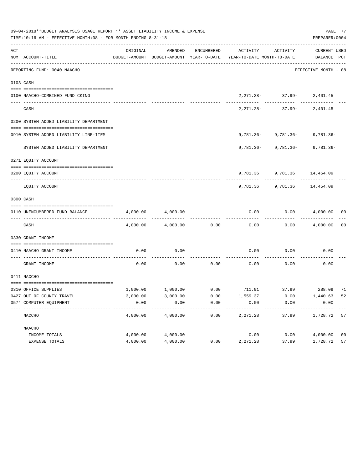|     | 09-04-2018**BUDGET ANALYSIS USAGE REPORT ** ASSET LIABILITY INCOME & EXPENSE<br>TIME:10:16 AM - EFFECTIVE MONTH:08 - FOR MONTH ENDING 8-31-18 |          |                   |      |                                                                                                                                                                                                       |                                  |                      |                |  |  |
|-----|-----------------------------------------------------------------------------------------------------------------------------------------------|----------|-------------------|------|-------------------------------------------------------------------------------------------------------------------------------------------------------------------------------------------------------|----------------------------------|----------------------|----------------|--|--|
| ACT |                                                                                                                                               | ORIGINAL | AMENDED           |      | ENCUMBERED ACTIVITY ACTIVITY CURRENT USED                                                                                                                                                             |                                  |                      |                |  |  |
|     | NUM ACCOUNT-TITLE                                                                                                                             |          |                   |      | BUDGET-AMOUNT BUDGET-AMOUNT YEAR-TO-DATE YEAR-TO-DATE MONTH-TO-DATE BALANCE PCT                                                                                                                       |                                  |                      |                |  |  |
|     | REPORTING FUND: 0040 NAACHO                                                                                                                   |          |                   |      |                                                                                                                                                                                                       |                                  | EFFECTIVE MONTH - 08 |                |  |  |
|     | 0103 CASH                                                                                                                                     |          |                   |      |                                                                                                                                                                                                       |                                  |                      |                |  |  |
|     |                                                                                                                                               |          |                   |      |                                                                                                                                                                                                       |                                  |                      |                |  |  |
|     | 0100 NAACHO-COMBINED FUND CKING                                                                                                               |          |                   |      |                                                                                                                                                                                                       | $2,271.28 - 37.99 - 2,401.45$    |                      |                |  |  |
|     | CASH                                                                                                                                          |          |                   |      |                                                                                                                                                                                                       | $2,271.28 - 37.99 - 2,401.45$    |                      |                |  |  |
|     | 0200 SYSTEM ADDED LIABILITY DEPARTMENT                                                                                                        |          |                   |      |                                                                                                                                                                                                       |                                  |                      |                |  |  |
|     |                                                                                                                                               |          |                   |      |                                                                                                                                                                                                       |                                  |                      |                |  |  |
|     | 0910 SYSTEM ADDED LIABILITY LINE-ITEM                                                                                                         |          |                   |      |                                                                                                                                                                                                       | $9,781.36 - 9,781.36 - 9,781.36$ |                      |                |  |  |
|     | SYSTEM ADDED LIABILITY DEPARTMENT                                                                                                             |          |                   |      |                                                                                                                                                                                                       | $9,781.36 - 9,781.36 - 9,781.36$ |                      |                |  |  |
|     | 0271 EOUITY ACCOUNT                                                                                                                           |          |                   |      |                                                                                                                                                                                                       |                                  |                      |                |  |  |
|     | 0200 EQUITY ACCOUNT                                                                                                                           |          |                   |      |                                                                                                                                                                                                       | 9,781.36 9,781.36 14,454.09      |                      |                |  |  |
|     | EQUITY ACCOUNT                                                                                                                                |          |                   |      |                                                                                                                                                                                                       | 9,781.36 9,781.36 14,454.09      |                      |                |  |  |
|     | 0300 CASH                                                                                                                                     |          |                   |      |                                                                                                                                                                                                       |                                  |                      |                |  |  |
|     | 0110 UNENCUMBERED FUND BALANCE                                                                                                                | 4,000.00 | 4,000.00          |      | 0.00                                                                                                                                                                                                  |                                  | $0.00$ $4,000.00$ 00 |                |  |  |
|     | CASH                                                                                                                                          |          | 4,000.00 4,000.00 | 0.00 | 0.00                                                                                                                                                                                                  |                                  | $0.00$ $4,000.00$    | 00             |  |  |
|     | 0330 GRANT INCOME                                                                                                                             |          |                   |      |                                                                                                                                                                                                       |                                  |                      |                |  |  |
|     | 0410 NAACHO GRANT INCOME                                                                                                                      | 0.00     | 0.00              |      |                                                                                                                                                                                                       | $0.00$ $0.00$ $0.00$             |                      |                |  |  |
|     | GRANT INCOME                                                                                                                                  | 0.00     |                   |      | $0.00$ $0.00$ $0.00$ $0.00$ $0.00$                                                                                                                                                                    |                                  | 0.00                 |                |  |  |
|     | 0411 NACCHO                                                                                                                                   |          |                   |      |                                                                                                                                                                                                       |                                  |                      |                |  |  |
|     | 0310 OFFICE SUPPLIES                                                                                                                          |          |                   |      | $1,000.00 \qquad \qquad 1,000.00 \qquad \qquad 0.00 \qquad \qquad 711.91 \qquad \qquad 37.99 \qquad \qquad 288.09 \quad \  711.000 \qquad \qquad 211.000 \qquad \qquad 228.000 \qquad \qquad 238.001$ |                                  |                      |                |  |  |
|     | 0427 OUT OF COUNTY TRAVEL                                                                                                                     | 3,000.00 | 3,000.00          | 0.00 | 1,559.37                                                                                                                                                                                              | 0.00                             | 1,440.63             | 52             |  |  |
|     | 0574 COMPUTER EQUIPMENT                                                                                                                       | 0.00     | 0.00              | 0.00 | 0.00                                                                                                                                                                                                  | 0.00                             | 0.00                 |                |  |  |
|     | NACCHO                                                                                                                                        | 4,000.00 | 4,000.00          | 0.00 | -------<br>2,271.28                                                                                                                                                                                   | 37.99                            | 1,728.72             | 57             |  |  |
|     | NAACHO                                                                                                                                        |          |                   |      |                                                                                                                                                                                                       |                                  |                      |                |  |  |
|     | INCOME TOTALS                                                                                                                                 | 4,000.00 | 4,000.00          |      | 0.00                                                                                                                                                                                                  | 0.00                             | 4,000.00             | 0 <sub>0</sub> |  |  |
|     | EXPENSE TOTALS                                                                                                                                | 4,000.00 | 4,000.00          | 0.00 | 2,271.28                                                                                                                                                                                              | 37.99                            | 1,728.72             | 57             |  |  |
|     |                                                                                                                                               |          |                   |      |                                                                                                                                                                                                       |                                  |                      |                |  |  |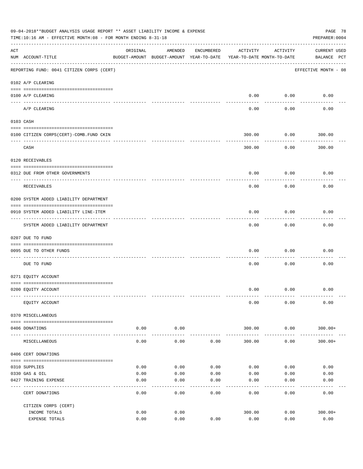|     | 09-04-2018**BUDGET ANALYSIS USAGE REPORT ** ASSET LIABILITY INCOME & EXPENSE<br>PAGE 78<br>PREPARER: 0004<br>TIME:10:16 AM - EFFECTIVE MONTH:08 - FOR MONTH ENDING 8-31-18 |          |                                                                                |            |          |                      |                                    |  |  |  |
|-----|----------------------------------------------------------------------------------------------------------------------------------------------------------------------------|----------|--------------------------------------------------------------------------------|------------|----------|----------------------|------------------------------------|--|--|--|
| ACT | NUM ACCOUNT-TITLE                                                                                                                                                          | ORIGINAL | AMENDED<br>BUDGET-AMOUNT BUDGET-AMOUNT YEAR-TO-DATE YEAR-TO-DATE MONTH-TO-DATE | ENCUMBERED | ACTIVITY | ACTIVITY             | <b>CURRENT USED</b><br>BALANCE PCT |  |  |  |
|     | REPORTING FUND: 0041 CITIZEN CORPS (CERT)                                                                                                                                  |          |                                                                                |            |          |                      | EFFECTIVE MONTH - 08               |  |  |  |
|     | 0102 A/P CLEARING                                                                                                                                                          |          |                                                                                |            |          |                      |                                    |  |  |  |
|     | 0100 A/P CLEARING                                                                                                                                                          |          |                                                                                |            | 0.00     | 0.00                 | 0.00                               |  |  |  |
|     | ---- --------<br>A/P CLEARING                                                                                                                                              |          |                                                                                |            | 0.00     | 0.00                 | 0.00                               |  |  |  |
|     | 0103 CASH                                                                                                                                                                  |          |                                                                                |            |          |                      |                                    |  |  |  |
|     | 0100 CITIZEN CORPS (CERT)-COMB. FUND CKIN                                                                                                                                  |          |                                                                                |            | 300.00   | 0.00                 | 300.00                             |  |  |  |
|     | CASH                                                                                                                                                                       |          |                                                                                |            | 300.00   | 0.00                 | -------<br>300.00                  |  |  |  |
|     | 0120 RECEIVABLES                                                                                                                                                           |          |                                                                                |            |          |                      |                                    |  |  |  |
|     | 0312 DUE FROM OTHER GOVERNMENTS                                                                                                                                            |          |                                                                                |            | 0.00     | 0.00                 | 0.00                               |  |  |  |
|     | RECEIVABLES                                                                                                                                                                |          |                                                                                |            | 0.00     | 0.00                 | 0.00                               |  |  |  |
|     | 0200 SYSTEM ADDED LIABILITY DEPARTMENT                                                                                                                                     |          |                                                                                |            |          |                      |                                    |  |  |  |
|     | 0910 SYSTEM ADDED LIABILITY LINE-ITEM<br>-----------------------                                                                                                           |          |                                                                                |            | 0.00     | 0.00<br>--------     | 0.00                               |  |  |  |
|     | SYSTEM ADDED LIABILITY DEPARTMENT                                                                                                                                          |          |                                                                                |            | 0.00     | 0.00                 | 0.00                               |  |  |  |
|     | 0207 DUE TO FUND                                                                                                                                                           |          |                                                                                |            |          |                      |                                    |  |  |  |
|     | 0095 DUE TO OTHER FUNDS                                                                                                                                                    |          |                                                                                |            | 0.00     | 0.00                 | 0.00                               |  |  |  |
|     | DUE TO FUND                                                                                                                                                                |          |                                                                                |            | 0.00     | 0.00                 | 0.00                               |  |  |  |
|     | 0271 EQUITY ACCOUNT                                                                                                                                                        |          |                                                                                |            |          |                      |                                    |  |  |  |
|     | 0200 EQUITY ACCOUNT                                                                                                                                                        |          |                                                                                |            |          | $0.00$ $0.00$        | 0.00                               |  |  |  |
|     | EQUITY ACCOUNT                                                                                                                                                             |          |                                                                                |            | 0.00     | 0.00                 | 0.00                               |  |  |  |
|     | 0370 MISCELLANEOUS                                                                                                                                                         |          |                                                                                |            |          |                      |                                    |  |  |  |
|     | 0406 DONATIONS                                                                                                                                                             | 0.00     | 0.00                                                                           |            | 300.00   | 0.00                 | $300.00+$                          |  |  |  |
|     | MISCELLANEOUS                                                                                                                                                              | 0.00     | 0.00                                                                           | 0.00       | 300.00   | ------------<br>0.00 | $300.00+$                          |  |  |  |
|     | 0406 CERT DONATIONS                                                                                                                                                        |          |                                                                                |            |          |                      |                                    |  |  |  |
|     | 0310 SUPPLIES                                                                                                                                                              | 0.00     | 0.00                                                                           | 0.00       | 0.00     | 0.00                 | 0.00                               |  |  |  |
|     | 0330 GAS & OIL                                                                                                                                                             | 0.00     | 0.00                                                                           | 0.00       | 0.00     | 0.00                 | 0.00                               |  |  |  |
|     | 0427 TRAINING EXPENSE                                                                                                                                                      | 0.00     | 0.00                                                                           | 0.00       | 0.00     | 0.00                 | 0.00                               |  |  |  |
|     | CERT DONATIONS                                                                                                                                                             | 0.00     | 0.00                                                                           | 0.00       | 0.00     | 0.00                 | 0.00                               |  |  |  |
|     | CITIZEN CORPS (CERT)                                                                                                                                                       |          |                                                                                |            |          |                      |                                    |  |  |  |
|     | INCOME TOTALS                                                                                                                                                              | 0.00     | 0.00                                                                           |            | 300.00   | 0.00                 | $300.00+$<br>0.00                  |  |  |  |
|     | EXPENSE TOTALS                                                                                                                                                             | 0.00     | 0.00                                                                           | 0.00       | 0.00     | 0.00                 |                                    |  |  |  |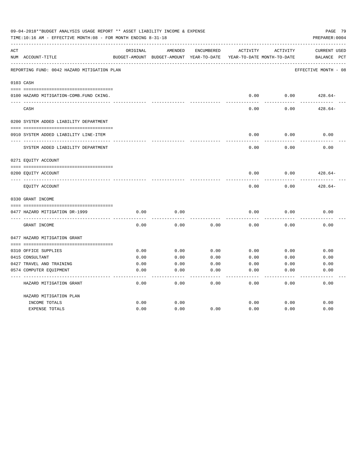|     | 09-04-2018**BUDGET ANALYSIS USAGE REPORT ** ASSET LIABILITY INCOME & EXPENSE<br>PAGE 79<br>TIME:10:16 AM - EFFECTIVE MONTH:08 - FOR MONTH ENDING 8-31-18<br>PREPARER: 0004 |          |                                                     |            |          |                                        |                                    |  |  |
|-----|----------------------------------------------------------------------------------------------------------------------------------------------------------------------------|----------|-----------------------------------------------------|------------|----------|----------------------------------------|------------------------------------|--|--|
| ACT | NUM ACCOUNT-TITLE                                                                                                                                                          | ORIGINAL | AMENDED<br>BUDGET-AMOUNT BUDGET-AMOUNT YEAR-TO-DATE | ENCUMBERED | ACTIVITY | ACTIVITY<br>YEAR-TO-DATE MONTH-TO-DATE | <b>CURRENT USED</b><br>BALANCE PCT |  |  |
|     | REPORTING FUND: 0042 HAZARD MITIGATION PLAN                                                                                                                                |          |                                                     |            |          |                                        | EFFECTIVE MONTH - 08               |  |  |
|     | 0103 CASH                                                                                                                                                                  |          |                                                     |            |          |                                        |                                    |  |  |
|     | 0100 HAZARD MITIGATION-COMB.FUND CKING.                                                                                                                                    |          |                                                     |            | 0.00     | 0.00                                   | $428.64-$                          |  |  |
|     | CASH                                                                                                                                                                       |          |                                                     |            | 0.00     | 0.00                                   | $428.64-$                          |  |  |
|     | 0200 SYSTEM ADDED LIABILITY DEPARTMENT                                                                                                                                     |          |                                                     |            |          |                                        |                                    |  |  |
|     | 0910 SYSTEM ADDED LIABILITY LINE-ITEM                                                                                                                                      |          |                                                     |            | 0.00     | 0.00                                   | 0.00                               |  |  |
|     | SYSTEM ADDED LIABILITY DEPARTMENT                                                                                                                                          |          |                                                     |            | 0.00     | 0.00                                   | 0.00                               |  |  |
|     | 0271 EQUITY ACCOUNT                                                                                                                                                        |          |                                                     |            |          |                                        |                                    |  |  |
|     | 0200 EQUITY ACCOUNT                                                                                                                                                        |          |                                                     |            | 0.00     | 0.00                                   | $428.64-$                          |  |  |
|     | EQUITY ACCOUNT                                                                                                                                                             |          |                                                     |            | 0.00     | 0.00                                   | $428.64-$                          |  |  |
|     | 0330 GRANT INCOME                                                                                                                                                          |          |                                                     |            |          |                                        |                                    |  |  |
|     | 0477 HAZARD MITIGATION DR-1999                                                                                                                                             | 0.00     | 0.00                                                |            | 0.00     | 0.00                                   | 0.00                               |  |  |
|     | GRANT INCOME                                                                                                                                                               | 0.00     | 0.00                                                | 0.00       | 0.00     | 0.00                                   | 0.00                               |  |  |
|     | 0477 HAZARD MITIGATION GRANT                                                                                                                                               |          |                                                     |            |          |                                        |                                    |  |  |
|     |                                                                                                                                                                            |          |                                                     |            |          |                                        |                                    |  |  |
|     | 0310 OFFICE SUPPLIES                                                                                                                                                       | 0.00     | 0.00                                                | 0.00       | 0.00     | 0.00                                   | 0.00                               |  |  |
|     | 0415 CONSULTANT                                                                                                                                                            | 0.00     | 0.00                                                | 0.00       | 0.00     | 0.00                                   | 0.00                               |  |  |
|     | 0427 TRAVEL AND TRAINING                                                                                                                                                   | 0.00     | 0.00                                                | 0.00       | 0.00     | 0.00                                   | 0.00                               |  |  |
|     | 0574 COMPUTER EQUIPMENT                                                                                                                                                    | 0.00     | 0.00                                                | 0.00       | 0.00     | 0.00                                   | 0.00                               |  |  |
|     | HAZARD MITIGATION GRANT                                                                                                                                                    | 0.00     | 0.00                                                | 0.00       | 0.00     | 0.00                                   | 0.00                               |  |  |
|     | HAZARD MITIGATION PLAN                                                                                                                                                     |          |                                                     |            |          |                                        |                                    |  |  |
|     | INCOME TOTALS                                                                                                                                                              | 0.00     | 0.00                                                |            | 0.00     | 0.00                                   | 0.00                               |  |  |
|     | <b>EXPENSE TOTALS</b>                                                                                                                                                      | 0.00     | 0.00                                                | 0.00       | 0.00     | 0.00                                   | 0.00                               |  |  |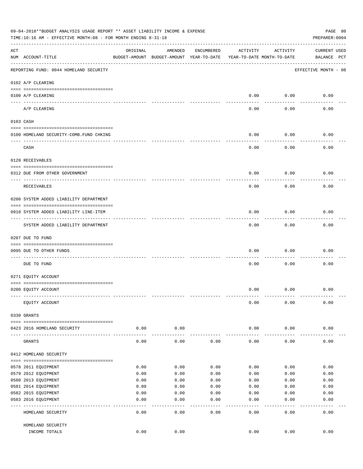|     | 09-04-2018**BUDGET ANALYSIS USAGE REPORT ** ASSET LIABILITY INCOME & EXPENSE<br>PAGE 80<br>TIME:10:16 AM - EFFECTIVE MONTH:08 - FOR MONTH ENDING 8-31-18<br>PREPARER: 0004 |              |                                                     |              |                                        |              |                                    |  |  |  |
|-----|----------------------------------------------------------------------------------------------------------------------------------------------------------------------------|--------------|-----------------------------------------------------|--------------|----------------------------------------|--------------|------------------------------------|--|--|--|
| ACT | NUM ACCOUNT-TITLE                                                                                                                                                          | ORIGINAL     | AMENDED<br>BUDGET-AMOUNT BUDGET-AMOUNT YEAR-TO-DATE | ENCUMBERED   | ACTIVITY<br>YEAR-TO-DATE MONTH-TO-DATE | ACTIVITY     | <b>CURRENT USED</b><br>BALANCE PCT |  |  |  |
|     | REPORTING FUND: 0044 HOMELAND SECURITY                                                                                                                                     |              |                                                     |              |                                        |              | EFFECTIVE MONTH - 08               |  |  |  |
|     | 0102 A/P CLEARING                                                                                                                                                          |              |                                                     |              |                                        |              |                                    |  |  |  |
|     | 0100 A/P CLEARING<br>---- ----------                                                                                                                                       |              |                                                     |              | 0.00                                   | 0.00         | 0.00                               |  |  |  |
|     | A/P CLEARING                                                                                                                                                               |              |                                                     |              | 0.00                                   | 0.00         | 0.00                               |  |  |  |
|     | 0103 CASH                                                                                                                                                                  |              |                                                     |              |                                        |              |                                    |  |  |  |
|     | 0100 HOMELAND SECURITY-COMB.FUND CHKING                                                                                                                                    |              |                                                     |              | 0.00                                   | 0.00         | 0.00                               |  |  |  |
|     | CASH                                                                                                                                                                       |              |                                                     |              | 0.00                                   | 0.00         | 0.00                               |  |  |  |
|     | 0120 RECEIVABLES                                                                                                                                                           |              |                                                     |              |                                        |              |                                    |  |  |  |
|     | 0312 DUE FROM OTHER GOVERNMENT                                                                                                                                             |              |                                                     |              | 0.00                                   | 0.00         | 0.00                               |  |  |  |
|     | RECEIVABLES                                                                                                                                                                |              |                                                     |              | 0.00                                   | 0.00         | 0.00                               |  |  |  |
|     |                                                                                                                                                                            |              |                                                     |              |                                        |              |                                    |  |  |  |
|     | 0200 SYSTEM ADDED LIABILITY DEPARTMENT                                                                                                                                     |              |                                                     |              |                                        |              |                                    |  |  |  |
|     | 0910 SYSTEM ADDED LIABILITY LINE-ITEM                                                                                                                                      |              |                                                     |              | 0.00                                   | 0.00         | 0.00                               |  |  |  |
|     | SYSTEM ADDED LIABILITY DEPARTMENT                                                                                                                                          |              |                                                     |              | 0.00                                   | 0.00         | 0.00                               |  |  |  |
|     | 0207 DUE TO FUND                                                                                                                                                           |              |                                                     |              |                                        |              |                                    |  |  |  |
|     | 0095 DUE TO OTHER FUNDS                                                                                                                                                    |              |                                                     |              | 0.00                                   | 0.00         | 0.00                               |  |  |  |
|     | DUE TO FUND                                                                                                                                                                |              |                                                     |              | 0.00                                   | 0.00         | 0.00                               |  |  |  |
|     | 0271 EQUITY ACCOUNT                                                                                                                                                        |              |                                                     |              |                                        |              |                                    |  |  |  |
|     | 0200 EQUITY ACCOUNT                                                                                                                                                        |              |                                                     |              | 0.00                                   | 0.00         | 0.00                               |  |  |  |
|     | EQUITY ACCOUNT                                                                                                                                                             |              |                                                     |              | 0.00                                   | 0.00         | 0.00                               |  |  |  |
|     |                                                                                                                                                                            |              |                                                     |              |                                        |              |                                    |  |  |  |
|     | 0330 GRANTS                                                                                                                                                                |              |                                                     |              |                                        |              |                                    |  |  |  |
|     | 0423 2016 HOMELAND SECURITY                                                                                                                                                | 0.00         | 0.00                                                |              | 0.00                                   | 0.00         | 0.00                               |  |  |  |
|     | GRANTS                                                                                                                                                                     | 0.00         | 0.00                                                | 0.00         | 0.00                                   | 0.00         | 0.00                               |  |  |  |
|     | 0412 HOMELAND SECURITY                                                                                                                                                     |              |                                                     |              |                                        |              |                                    |  |  |  |
|     |                                                                                                                                                                            |              |                                                     |              |                                        |              |                                    |  |  |  |
|     | 0578 2011 EQUIPMENT                                                                                                                                                        | 0.00         | 0.00                                                | 0.00         | 0.00                                   | 0.00         | 0.00                               |  |  |  |
|     | 0579 2012 EQUIPMENT                                                                                                                                                        | 0.00<br>0.00 | 0.00<br>0.00                                        | 0.00<br>0.00 | 0.00                                   | 0.00         | 0.00                               |  |  |  |
|     | 0580 2013 EQUIPMENT<br>0581 2014 EQUIPMENT                                                                                                                                 | 0.00         | 0.00                                                | 0.00         | 0.00<br>0.00                           | 0.00<br>0.00 | 0.00<br>0.00                       |  |  |  |
|     | 0582 2015 EQUIPMENT                                                                                                                                                        | 0.00         |                                                     |              |                                        |              |                                    |  |  |  |
|     | 0583 2016 EQUIPMENT                                                                                                                                                        | 0.00         | 0.00<br>0.00                                        | 0.00<br>0.00 | 0.00<br>0.00                           | 0.00<br>0.00 | 0.00<br>0.00                       |  |  |  |
|     |                                                                                                                                                                            |              | - - - -                                             | ----         | $---$                                  | .            | -----                              |  |  |  |
|     | HOMELAND SECURITY                                                                                                                                                          | 0.00         | 0.00                                                | 0.00         | 0.00                                   | 0.00         | 0.00                               |  |  |  |
|     | HOMELAND SECURITY                                                                                                                                                          |              |                                                     |              |                                        |              |                                    |  |  |  |
|     | INCOME TOTALS                                                                                                                                                              | 0.00         | 0.00                                                |              | 0.00                                   | 0.00         | 0.00                               |  |  |  |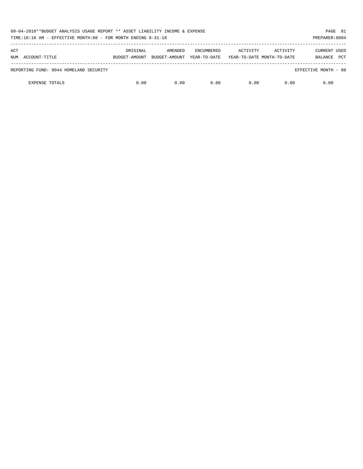| 09-04-2018**BUDGET ANALYSIS USAGE REPORT ** ASSET LIABILITY INCOME & EXPENSE<br>TIME:10:16 AM - EFFECTIVE MONTH:08 - FOR MONTH ENDING 8-31-18 |          |                                        |                                   |                                        |          | PAGE 81<br>PREPARER: 0004                    |
|-----------------------------------------------------------------------------------------------------------------------------------------------|----------|----------------------------------------|-----------------------------------|----------------------------------------|----------|----------------------------------------------|
| ACT<br>NUM ACCOUNT-TITLE                                                                                                                      | ORIGINAL | AMENDED<br>BUDGET-AMOUNT BUDGET-AMOUNT | <b>ENCUMBERED</b><br>YEAR-TO-DATE | ACTIVITY<br>YEAR-TO-DATE MONTH-TO-DATE | ACTIVITY | <b>CURRENT USED</b><br><b>PCT</b><br>BALANCE |
| REPORTING FUND: 0044 HOMELAND SECURITY                                                                                                        |          |                                        |                                   |                                        |          | EFFECTIVE MONTH - 08                         |
| <b>EXPENSE TOTALS</b>                                                                                                                         | 0.00     | 0.00                                   | 0.00                              | 0.00                                   | 0.00     | 0.00                                         |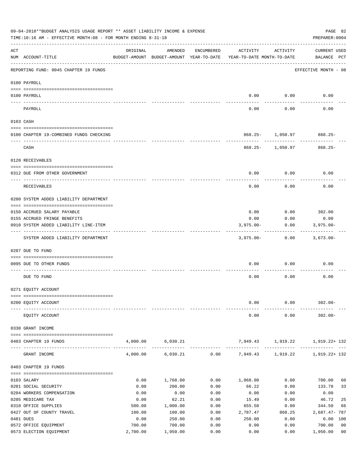| 09-04-2018**BUDGET ANALYSIS USAGE REPORT ** ASSET LIABILITY INCOME & EXPENSE<br>PAGE 82<br>TIME:10:16 AM - EFFECTIVE MONTH:08 - FOR MONTH ENDING 8-31-18<br>PREPARER: 0004 |                                         |                |                                                     |              |                                        |                   |                                    |  |
|----------------------------------------------------------------------------------------------------------------------------------------------------------------------------|-----------------------------------------|----------------|-----------------------------------------------------|--------------|----------------------------------------|-------------------|------------------------------------|--|
| ACT                                                                                                                                                                        | NUM ACCOUNT-TITLE                       | ORIGINAL       | AMENDED<br>BUDGET-AMOUNT BUDGET-AMOUNT YEAR-TO-DATE | ENCUMBERED   | ACTIVITY<br>YEAR-TO-DATE MONTH-TO-DATE | ACTIVITY          | <b>CURRENT USED</b><br>BALANCE PCT |  |
|                                                                                                                                                                            | REPORTING FUND: 0045 CHAPTER 19 FUNDS   |                |                                                     |              |                                        |                   | EFFECTIVE MONTH - 08               |  |
|                                                                                                                                                                            | 0100 PAYROLL                            |                |                                                     |              |                                        |                   |                                    |  |
|                                                                                                                                                                            | 0100 PAYROLL                            |                |                                                     |              | 0.00                                   | 0.00              | 0.00                               |  |
|                                                                                                                                                                            | PAYROLL                                 |                |                                                     |              | 0.00                                   | 0.00              | 0.00                               |  |
|                                                                                                                                                                            | 0103 CASH                               |                |                                                     |              |                                        |                   |                                    |  |
|                                                                                                                                                                            | 0100 CHAPTER 19-COMBINED FUNDS CHECKING |                |                                                     |              |                                        | 868.25- 1,050.97  | 868.25-                            |  |
|                                                                                                                                                                            | CASH                                    |                |                                                     |              |                                        | 868.25- 1,050.97  | $868.25-$                          |  |
|                                                                                                                                                                            | 0120 RECEIVABLES                        |                |                                                     |              |                                        |                   |                                    |  |
|                                                                                                                                                                            | 0312 DUE FROM OTHER GOVERNMENT          |                |                                                     |              | 0.00                                   | 0.00              | 0.00                               |  |
|                                                                                                                                                                            | <b>RECEIVABLES</b>                      |                |                                                     |              | 0.00                                   | 0.00              | 0.00                               |  |
|                                                                                                                                                                            | 0200 SYSTEM ADDED LIABILITY DEPARTMENT  |                |                                                     |              |                                        |                   |                                    |  |
|                                                                                                                                                                            | 0150 ACCRUED SALARY PAYABLE             |                |                                                     |              | 0.00                                   |                   | $0.00$ 302.00                      |  |
|                                                                                                                                                                            | 0155 ACCRUED FRINGE BENEFITS            |                |                                                     |              | 0.00                                   | 0.00              | 0.00                               |  |
|                                                                                                                                                                            | 0910 SYSTEM ADDED LIABILITY LINE-ITEM   |                |                                                     |              | $3,975.00 -$                           | 0.00              | $3,975.00 -$                       |  |
|                                                                                                                                                                            | SYSTEM ADDED LIABILITY DEPARTMENT       |                |                                                     |              | $3,975.00 -$                           | 0.00              | 3,673.00-                          |  |
|                                                                                                                                                                            | 0207 DUE TO FUND                        |                |                                                     |              |                                        |                   |                                    |  |
|                                                                                                                                                                            | 0095 DUE TO OTHER FUNDS                 |                |                                                     |              | 0.00                                   | 0.00              | 0.00                               |  |
|                                                                                                                                                                            | DUE TO FUND                             |                |                                                     |              | 0.00                                   | 0.00              | 0.00                               |  |
|                                                                                                                                                                            | 0271 EQUITY ACCOUNT                     |                |                                                     |              |                                        |                   |                                    |  |
|                                                                                                                                                                            | 0200 EQUITY ACCOUNT                     |                |                                                     |              | 0.00                                   | 0.00              | $302.00 -$                         |  |
|                                                                                                                                                                            | EQUITY ACCOUNT                          |                |                                                     |              | 0.00                                   | 0.00              | $302.00 -$                         |  |
|                                                                                                                                                                            | 0330 GRANT INCOME                       |                |                                                     |              |                                        |                   |                                    |  |
|                                                                                                                                                                            | 0403 CHAPTER 19 FUNDS                   | 4,000.00       | 6,030.21                                            |              |                                        | 7,949.43 1,919.22 | 1,919.22+ 132                      |  |
|                                                                                                                                                                            | GRANT INCOME                            | 4,000.00       | 6,030.21                                            |              | $0.00$ 7,949.43 1,919.22               |                   | 1,919.22+ 132                      |  |
|                                                                                                                                                                            | 0403 CHAPTER 19 FUNDS                   |                |                                                     |              |                                        |                   |                                    |  |
|                                                                                                                                                                            | 0103 SALARY                             | 0.00           | 1,768.00                                            | 0.00         | 1,068.00                               | 0.00              | 700.00<br>60                       |  |
|                                                                                                                                                                            | 0201 SOCIAL SECURITY                    | 0.00           | 200.00                                              | 0.00         | 66.22                                  | 0.00              | 33<br>133.78                       |  |
|                                                                                                                                                                            | 0204 WORKERS COMPENSATION               | 0.00           | 0.00                                                | 0.00         | 0.00                                   | 0.00              | 0.00                               |  |
|                                                                                                                                                                            | 0205 MEDICARE TAX                       | 0.00           | 62.21                                               | 0.00         | 15.49                                  | 0.00              | 46.72<br>25                        |  |
|                                                                                                                                                                            | 0310 OFFICE SUPPLIES                    | 500.00         | 1,000.00                                            | 0.00         | 655.50                                 | 0.00              | 344.50<br>66                       |  |
|                                                                                                                                                                            | 0427 OUT OF COUNTY TRAVEL<br>0481 DUES  | 100.00<br>0.00 | 100.00<br>250.00                                    | 0.00<br>0.00 | 2,787.47<br>250.00                     | 868.25<br>0.00    | 2,687.47- 787<br>0.00 100          |  |
|                                                                                                                                                                            | 0572 OFFICE EQUIPMENT                   | 700.00         | 700.00                                              | 0.00         | 0.00                                   | 0.00              | 0 <sub>0</sub><br>700.00           |  |
|                                                                                                                                                                            | 0573 ELECTION EQUIPMENT                 | 2,700.00       | 1,950.00                                            | 0.00         | 0.00                                   | 0.00              | 0 <sub>0</sub><br>1,950.00         |  |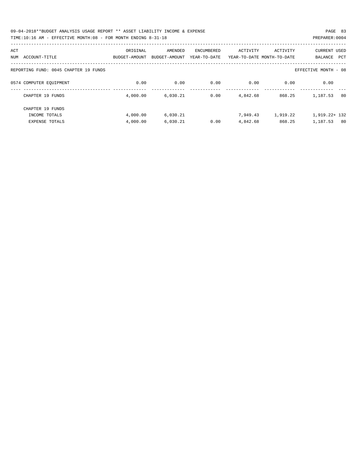| 09-04-2018**BUDGET ANALYSIS USAGE REPORT ** ASSET LIABILITY INCOME & EXPENSE | PAGE 83        |  |
|------------------------------------------------------------------------------|----------------|--|
| TIME:10:16 AM - EFFECTIVE MONTH:08 - FOR MONTH ENDING 8-31-18                | PREPARER: 0004 |  |

| ACT<br>ACCOUNT-TITLE<br>NUM           | ORIGINAL<br>BUDGET-AMOUNT | AMENDED<br>BUDGET-AMOUNT | <b>ENCUMBERED</b><br>YEAR-TO-DATE | ACTIVITY | ACTIVITY<br>YEAR-TO-DATE MONTH-TO-DATE | <b>CURRENT USED</b><br>BALANCE<br>PCT |
|---------------------------------------|---------------------------|--------------------------|-----------------------------------|----------|----------------------------------------|---------------------------------------|
| REPORTING FUND: 0045 CHAPTER 19 FUNDS |                           |                          |                                   |          |                                        | EFFECTIVE MONTH - 08                  |
| 0574 COMPUTER EQUIPMENT               | 0.00                      | 0.00                     | 0.00                              | 0.00     | 0.00                                   | 0.00                                  |
| CHAPTER 19 FUNDS                      | 4,000.00                  | 6.030.21                 | 0.00                              | 4,842.68 | 868.25                                 | 1,187.53<br>80                        |
| CHAPTER 19 FUNDS                      |                           |                          |                                   |          |                                        |                                       |
| INCOME TOTALS                         | 4,000.00                  | 6,030.21                 |                                   | 7,949.43 | 1,919.22                               | 1,919.22+ 132                         |
| <b>EXPENSE TOTALS</b>                 | 4,000.00                  | 6.030.21                 | 0.00                              | 4,842.68 | 868.25                                 | 1,187.53<br>80                        |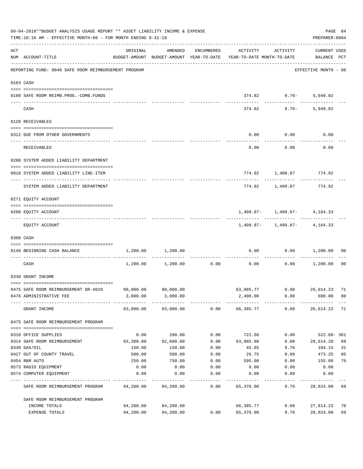|     | 09-04-2018**BUDGET ANALYSIS USAGE REPORT ** ASSET LIABILITY INCOME & EXPENSE<br>TIME:10:16 AM - EFFECTIVE MONTH:08 - FOR MONTH ENDING 8-31-18 |                                                                                 |                     |               |                  |                                                    | PREPARER: 0004                            | PAGE 84 |
|-----|-----------------------------------------------------------------------------------------------------------------------------------------------|---------------------------------------------------------------------------------|---------------------|---------------|------------------|----------------------------------------------------|-------------------------------------------|---------|
| ACT | NUM ACCOUNT-TITLE                                                                                                                             | ORIGINAL<br>BUDGET-AMOUNT BUDGET-AMOUNT YEAR-TO-DATE YEAR-TO-DATE MONTH-TO-DATE | AMENDED             | ENCUMBERED    | ACTIVITY         | ACTIVITY                                           | CURRENT USED<br>BALANCE PCT               |         |
|     | REPORTING FUND: 0046 SAFE ROOM REIMBURSEMENT PROGRAM                                                                                          |                                                                                 |                     |               |                  |                                                    | -----------------<br>EFFECTIVE MONTH - 08 |         |
|     | 0103 CASH                                                                                                                                     |                                                                                 |                     |               |                  |                                                    |                                           |         |
|     | 0100 SAFE ROOM REIMB. PROG. - COMB. FUNDS                                                                                                     |                                                                                 |                     |               |                  | 374.82 9.76- 5,949.02                              |                                           |         |
|     | CASH                                                                                                                                          |                                                                                 |                     |               | ------------     | ------------ ----------<br>$374.82$ 9.76- 5,949.02 |                                           |         |
|     | 0120 RECEIVABLES                                                                                                                              |                                                                                 |                     |               |                  |                                                    |                                           |         |
|     | 0312 DUE FROM OTHER GOVERNMENTS                                                                                                               |                                                                                 |                     |               |                  | $0.00$ $0.00$                                      | 0.00                                      |         |
|     | RECEIVABLES                                                                                                                                   |                                                                                 |                     |               | 0.00             | . <u>.</u> .<br>0.00                               | 0.00                                      |         |
|     | 0200 SYSTEM ADDED LIABILITY DEPARTMENT                                                                                                        |                                                                                 |                     |               |                  |                                                    |                                           |         |
|     | 0910 SYSTEM ADDED LIABILITY LINE-ITEM                                                                                                         |                                                                                 |                     |               |                  | 774.92 1,409.87 774.92                             |                                           |         |
|     | SYSTEM ADDED LIABILITY DEPARTMENT                                                                                                             |                                                                                 |                     |               |                  | 774.92 1,409.87                                    | 774.92                                    |         |
|     | 0271 EQUITY ACCOUNT                                                                                                                           |                                                                                 |                     |               |                  |                                                    |                                           |         |
|     | 0200 EQUITY ACCOUNT                                                                                                                           |                                                                                 |                     |               |                  | $1,409.87 - 1,409.87 - 4,164.33$                   |                                           |         |
|     | EQUITY ACCOUNT                                                                                                                                |                                                                                 |                     |               |                  | $1,409.87 - 1,409.87 - 4,164.33$                   |                                           |         |
|     | 0300 CASH                                                                                                                                     |                                                                                 |                     |               |                  |                                                    |                                           |         |
|     | 0146 BEGINNING CASH BALANCE<br>------------------------------- ----                                                                           |                                                                                 | 1,200.00 1,200.00   | ------------- | -------------    | $0.00$ $0.00$ $1,200.00$                           |                                           | 00      |
|     | CASH                                                                                                                                          |                                                                                 | 1,200.00 1,200.00   | 0.00          | 0.00             | 0.00                                               | 1,200.00                                  | 00      |
|     | 0330 GRANT INCOME                                                                                                                             |                                                                                 |                     |               |                  |                                                    |                                           |         |
|     | 0475 SAFE ROOM REIMBURSEMENT DR-4029 90,000.00 90,000.00                                                                                      |                                                                                 |                     |               |                  | 63.985.77 0.00 26.014.23 71                        |                                           |         |
|     | 0476 ADMINISTRATIVE FEE                                                                                                                       |                                                                                 | 3,000.00 3,000.00   |               | 2,400.00         | 0.00                                               | 600.00                                    | 80      |
|     | GRANT INCOME                                                                                                                                  |                                                                                 | 93,000.00 93,000.00 |               | $0.00$ 66,385.77 | 0.00                                               | 26,614.23                                 | 71      |
|     | 0475 SAFE ROOM REIMBURSEMENT PROGRAM                                                                                                          |                                                                                 |                     |               |                  |                                                    |                                           |         |
|     | 0310 OFFICE SUPPLIES                                                                                                                          | 0.00                                                                            | 200.00              | 0.00          | 722.60           | 0.00                                               | $522.60 - 361$                            |         |
|     | 0314 SAFE ROOM REIMBURSEMENT                                                                                                                  | 93,300.00                                                                       | 92,600.00           | 0.00          | 63,985.80        | 0.00                                               | 28,614.20                                 | 69      |
|     | 0330 GAS/OIL                                                                                                                                  | 150.00                                                                          | 150.00              | 0.00          | 45.85            | 9.76                                               | 104.15                                    | 31      |
|     | 0427 OUT OF COUNTY TRAVEL                                                                                                                     | 500.00                                                                          | 500.00              | 0.00          | 26.75            | 0.00                                               | 473.25                                    | 05      |
|     | 0454 R&M AUTO                                                                                                                                 | 250.00                                                                          | 750.00              | 0.00          | 595.00           | 0.00                                               | 155.00                                    | 79      |
|     | 0573 RADIO EQUIPMENT                                                                                                                          | 0.00                                                                            | 0.00                | 0.00          | 0.00             | 0.00                                               | 0.00                                      |         |
|     | 0574 COMPUTER EQUIPMENT                                                                                                                       | 0.00                                                                            | 0.00                | 0.00          | 0.00             | 0.00                                               | 0.00                                      |         |
|     | SAFE ROOM REIMBURSEMENT PROGRAM                                                                                                               | 94,200.00                                                                       | 94,200.00           | 0.00          | 65,376.00        | 9.76                                               | 28,824.00                                 | 69      |
|     | SAFE ROOM REIMBURSEMENT PROGRAM                                                                                                               |                                                                                 |                     |               |                  |                                                    |                                           |         |
|     | INCOME TOTALS                                                                                                                                 | 94,200.00                                                                       | 94,200.00           |               | 66,385.77        | 0.00                                               | 27,814.23                                 | 70      |
|     | EXPENSE TOTALS                                                                                                                                | 94,200.00                                                                       | 94,200.00           | 0.00          | 65,376.00        | 9.76                                               | 28,824.00                                 | 69      |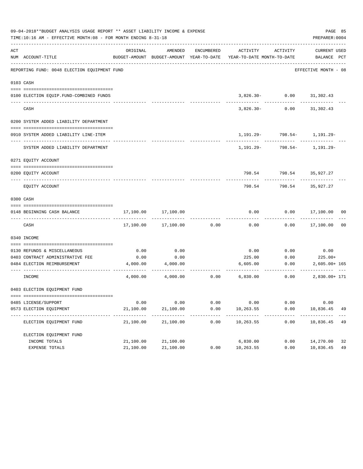|     | 09-04-2018**BUDGET ANALYSIS USAGE REPORT ** ASSET LIABILITY INCOME & EXPENSE<br>TIME:10:16 AM - EFFECTIVE MONTH:08 - FOR MONTH ENDING 8-31-18 |                   |                     |              |                                                                     |                                     | PAGE 85<br>PREPARER: 0004 |                |
|-----|-----------------------------------------------------------------------------------------------------------------------------------------------|-------------------|---------------------|--------------|---------------------------------------------------------------------|-------------------------------------|---------------------------|----------------|
| ACT |                                                                                                                                               | ORIGINAL          | AMENDED             | ENCUMBERED   | ACTIVITY                                                            | ACTIVITY                            | CURRENT USED              |                |
|     | NUM ACCOUNT-TITLE                                                                                                                             |                   |                     |              | BUDGET-AMOUNT BUDGET-AMOUNT YEAR-TO-DATE YEAR-TO-DATE MONTH-TO-DATE |                                     | BALANCE PCT               |                |
|     | REPORTING FUND: 0048 ELECTION EQUIPMENT FUND                                                                                                  |                   |                     |              |                                                                     |                                     | EFFECTIVE MONTH - 08      |                |
|     | 0103 CASH                                                                                                                                     |                   |                     |              |                                                                     |                                     |                           |                |
|     |                                                                                                                                               |                   |                     |              |                                                                     |                                     |                           |                |
|     | 0100 ELECTION EQUIP.FUND-COMBINED FUNDS<br>___________________________                                                                        |                   |                     |              |                                                                     | $3,826.30 - 0.00$ $31,302.43$       |                           |                |
|     | CASH                                                                                                                                          |                   |                     |              | 3,826.30-                                                           | 0.00                                | 31,302.43                 |                |
|     | 0200 SYSTEM ADDED LIABILITY DEPARTMENT                                                                                                        |                   |                     |              |                                                                     |                                     |                           |                |
|     | 0910 SYSTEM ADDED LIABILITY LINE-ITEM                                                                                                         |                   |                     |              |                                                                     | 1, 191. 29 - 798. 54 - 1, 191. 29 - |                           |                |
|     | SYSTEM ADDED LIABILITY DEPARTMENT                                                                                                             |                   |                     |              |                                                                     | $1,191.29 - 798.54 - 1,191.29 -$    |                           |                |
|     | 0271 EQUITY ACCOUNT                                                                                                                           |                   |                     |              |                                                                     |                                     |                           |                |
|     | 0200 EOUITY ACCOUNT                                                                                                                           |                   |                     |              |                                                                     | 798.54 798.54 35,927.27             |                           |                |
|     | EQUITY ACCOUNT                                                                                                                                |                   |                     |              | 798.54                                                              | 798.54                              | 35,927.27                 |                |
|     | 0300 CASH                                                                                                                                     |                   |                     |              |                                                                     |                                     |                           |                |
|     | 0148 BEGINNING CASH BALANCE                                                                                                                   |                   | 17,100.00 17,100.00 |              | 0.00                                                                |                                     | $0.00$ 17,100.00 00       |                |
|     | CASH                                                                                                                                          |                   | 17,100.00 17,100.00 | 0.00         | 0.00                                                                |                                     | $0.00$ 17,100.00          | 0 <sub>0</sub> |
|     | 0340 INCOME                                                                                                                                   |                   |                     |              |                                                                     |                                     |                           |                |
|     | 0130 REFUNDS & MISCELLANEOUS                                                                                                                  | 0.00              | 0.00                |              | 0.00                                                                | 0.00                                | 0.00                      |                |
|     | 0403 CONTRACT ADMINISTRATIVE FEE                                                                                                              | 0.00              | 0.00                |              | 225.00                                                              | 0.00                                | $225.00+$                 |                |
|     | 0484 ELECTION REIMBURSEMENT                                                                                                                   | 4,000.00          | 4,000.00            |              | 6,605.00                                                            | 0.00                                | $2,605.00+165$            |                |
|     | INCOME                                                                                                                                        |                   |                     |              | $4,000.00$ $4,000.00$ $0.00$ $6,830.00$                             | 0.00                                | 2,830.00+ 171             |                |
|     | 0403 ELECTION EQUIPMENT FUND                                                                                                                  |                   |                     |              |                                                                     |                                     |                           |                |
|     |                                                                                                                                               |                   |                     |              |                                                                     |                                     |                           |                |
|     | 0485 LICENSE/SUPPORT<br>0573 ELECTION EQUIPMENT                                                                                               | 0.00<br>21,100.00 | 0.00<br>21,100.00   | 0.00<br>0.00 | 0.00<br>10,263.55                                                   | 0.00<br>0.00                        | 0.00<br>10,836.45         | 49             |
|     | ------------------------------- ---                                                                                                           | ----------        |                     |              | ----------                                                          |                                     |                           |                |
|     | ELECTION EQUIPMENT FUND                                                                                                                       | 21,100.00         | 21,100.00           | 0.00         | 10,263.55                                                           | 0.00                                | 10,836.45                 | 49             |
|     | ELECTION EQUIPMENT FUND                                                                                                                       |                   |                     |              |                                                                     |                                     |                           |                |
|     | INCOME TOTALS                                                                                                                                 | 21,100.00         | 21,100.00           |              | 6,830.00                                                            | 0.00                                | 14,270.00                 | 32             |
|     | EXPENSE TOTALS                                                                                                                                | 21,100.00         | 21,100.00           | 0.00         | 10,263.55                                                           | 0.00                                | 10,836.45                 | 49             |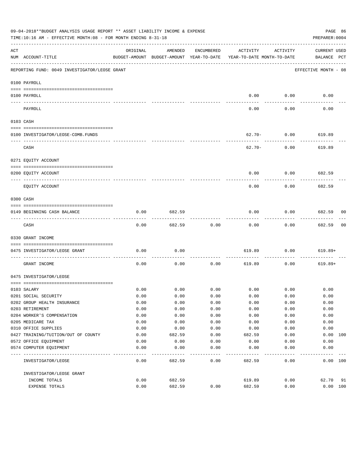|     | 09-04-2018**BUDGET ANALYSIS USAGE REPORT ** ASSET LIABILITY INCOME & EXPENSE<br>TIME:10:16 AM - EFFECTIVE MONTH:08 - FOR MONTH ENDING 8-31-18 |          |                                                     |            |                                        |             | PAGE 86<br>PREPARER: 0004   |    |
|-----|-----------------------------------------------------------------------------------------------------------------------------------------------|----------|-----------------------------------------------------|------------|----------------------------------------|-------------|-----------------------------|----|
| ACT | NUM ACCOUNT-TITLE                                                                                                                             | ORIGINAL | AMENDED<br>BUDGET-AMOUNT BUDGET-AMOUNT YEAR-TO-DATE | ENCUMBERED | ACTIVITY<br>YEAR-TO-DATE MONTH-TO-DATE | ACTIVITY    | CURRENT USED<br>BALANCE PCT |    |
|     | REPORTING FUND: 0049 INVESTIGATOR/LEOSE GRANT                                                                                                 |          |                                                     |            |                                        |             | EFFECTIVE MONTH - 08        |    |
|     | 0100 PAYROLL                                                                                                                                  |          |                                                     |            |                                        |             |                             |    |
|     | 0100 PAYROLL                                                                                                                                  |          |                                                     |            | 0.00                                   | 0.00        | 0.00                        |    |
|     | PAYROLL                                                                                                                                       |          |                                                     |            | 0.00                                   | 0.00        | 0.00                        |    |
|     | 0103 CASH                                                                                                                                     |          |                                                     |            |                                        |             |                             |    |
|     | 0100 INVESTIGATOR/LEOSE-COMB.FUNDS                                                                                                            |          |                                                     |            | $62.70 -$                              | 0.00        | 619.89                      |    |
|     | CASH                                                                                                                                          |          |                                                     |            | 62.70-                                 | 0.00        | 619.89                      |    |
|     | 0271 EQUITY ACCOUNT                                                                                                                           |          |                                                     |            |                                        |             |                             |    |
|     | 0200 EQUITY ACCOUNT                                                                                                                           |          |                                                     |            | 0.00                                   | 0.00        | 682.59                      |    |
|     | EQUITY ACCOUNT                                                                                                                                |          |                                                     |            | 0.00                                   | 0.00        | 682.59                      |    |
|     | 0300 CASH                                                                                                                                     |          |                                                     |            |                                        |             |                             |    |
|     | 0149 BEGINNING CASH BALANCE                                                                                                                   | 0.00     | 682.59                                              |            | 0.00                                   | 0.00        | 682.59 00                   |    |
|     | CASH                                                                                                                                          | 0.00     | 682.59                                              | 0.00       | 0.00                                   | 0.00        | 682.59                      | 00 |
|     | 0330 GRANT INCOME                                                                                                                             |          |                                                     |            |                                        |             |                             |    |
|     | 0475 INVESTIGATOR/LEOSE GRANT                                                                                                                 | 0.00     | 0.00                                                |            | 619.89                                 | 0.00        | $619.89+$                   |    |
|     | GRANT INCOME                                                                                                                                  | 0.00     | 0.00                                                | 0.00       | 619.89                                 | 0.00        | $619.89+$                   |    |
|     | 0475 INVESTIGATOR/LEOSE                                                                                                                       |          |                                                     |            |                                        |             |                             |    |
|     |                                                                                                                                               |          |                                                     |            |                                        |             |                             |    |
|     | 0103 SALARY                                                                                                                                   | 0.00     | 0.00                                                | 0.00       |                                        | $0.00$ 0.00 | 0.00                        |    |
|     | 0201 SOCIAL SECURITY                                                                                                                          | 0.00     | 0.00                                                | 0.00       | 0.00                                   | 0.00        | 0.00                        |    |
|     | 0202 GROUP HEALTH INSURANCE                                                                                                                   | 0.00     | 0.00                                                | 0.00       | 0.00                                   | 0.00        | 0.00                        |    |
|     | 0203 RETIREMENT                                                                                                                               | 0.00     | 0.00                                                | 0.00       | 0.00                                   | 0.00        | 0.00                        |    |
|     | 0204 WORKER'S COMPENSATION                                                                                                                    | 0.00     | 0.00                                                | 0.00       | 0.00                                   | 0.00        | 0.00                        |    |
|     | 0205 MEDICARE TAX                                                                                                                             | 0.00     | 0.00                                                | 0.00       | 0.00                                   | 0.00        | 0.00                        |    |
|     | 0310 OFFICE SUPPLIES                                                                                                                          | 0.00     | 0.00                                                | 0.00       | 0.00                                   | 0.00        | 0.00                        |    |
|     | 0427 TRAINING/TUITION/OUT OF COUNTY                                                                                                           | 0.00     | 682.59                                              | 0.00       | 682.59                                 | 0.00        | 0.00<br>100                 |    |
|     | 0572 OFFICE EQUIPMENT                                                                                                                         | 0.00     | 0.00                                                | 0.00       | 0.00                                   | 0.00        | 0.00                        |    |
|     | 0574 COMPUTER EQUIPMENT                                                                                                                       | 0.00     | 0.00                                                | 0.00       | 0.00                                   | 0.00        | 0.00                        |    |
|     | INVESTIGATOR/LEOSE                                                                                                                            | 0.00     | 682.59                                              | 0.00       | 682.59                                 | 0.00        | 0.00 100                    |    |
|     | INVESTIGATOR/LEOSE GRANT                                                                                                                      |          |                                                     |            |                                        |             |                             |    |
|     | INCOME TOTALS                                                                                                                                 | 0.00     | 682.59                                              |            | 619.89                                 | 0.00        | 62.70                       | 91 |
|     | EXPENSE TOTALS                                                                                                                                | 0.00     | 682.59                                              | 0.00       | 682.59                                 | 0.00        | 0.00 100                    |    |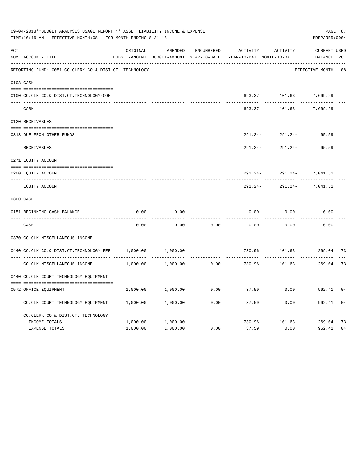|     | 09-04-2018**BUDGET ANALYSIS USAGE REPORT ** ASSET LIABILITY INCOME & EXPENSE<br>TIME:10:16 AM - EFFECTIVE MONTH:08 - FOR MONTH ENDING 8-31-18 |          |                                          |                   |                            |           | PAGE 87<br>PREPARER: 0004 |    |
|-----|-----------------------------------------------------------------------------------------------------------------------------------------------|----------|------------------------------------------|-------------------|----------------------------|-----------|---------------------------|----|
| ACT |                                                                                                                                               | ORIGINAL | AMENDED                                  | <b>ENCUMBERED</b> | ACTIVITY                   | ACTIVITY  | <b>CURRENT USED</b>       |    |
|     | NUM ACCOUNT-TITLE                                                                                                                             |          | BUDGET-AMOUNT BUDGET-AMOUNT YEAR-TO-DATE |                   | YEAR-TO-DATE MONTH-TO-DATE |           | BALANCE PCT               |    |
|     | REPORTING FUND: 0051 CO.CLERK CO.& DIST.CT. TECHNOLOGY                                                                                        |          |                                          |                   |                            |           | EFFECTIVE MONTH - 08      |    |
|     | 0103 CASH                                                                                                                                     |          |                                          |                   |                            |           |                           |    |
|     | 0100 CO.CLK.CO.& DIST.CT.TECHNOLOGY-COM                                                                                                       |          |                                          |                   | 693.37                     | 101.63    | 7,669.29                  |    |
|     | CASH                                                                                                                                          |          |                                          |                   | 693.37                     | 101.63    | 7,669.29                  |    |
|     | 0120 RECEIVABLES                                                                                                                              |          |                                          |                   |                            |           |                           |    |
|     | 0313 DUE FROM OTHER FUNDS                                                                                                                     |          |                                          |                   | 291.24-                    | 291.24-   | 65.59                     |    |
|     | RECEIVABLES                                                                                                                                   |          |                                          |                   | $291.24-$                  | $291.24-$ | 65.59                     |    |
|     | 0271 EQUITY ACCOUNT                                                                                                                           |          |                                          |                   |                            |           |                           |    |
|     | 0200 EQUITY ACCOUNT                                                                                                                           |          |                                          |                   | 291.24-                    | $291.24-$ | 7,041.51                  |    |
|     | ________________<br>EQUITY ACCOUNT                                                                                                            |          |                                          |                   | 291.24-                    | 291.24-   | 7,041.51                  |    |
|     | 0300 CASH                                                                                                                                     |          |                                          |                   |                            |           |                           |    |
|     | 0151 BEGINNING CASH BALANCE                                                                                                                   | 0.00     | 0.00                                     |                   | 0.00                       | 0.00      | 0.00                      |    |
|     | CASH                                                                                                                                          | 0.00     | 0.00                                     | 0.00              | 0.00                       | 0.00      | 0.00                      |    |
|     | 0370 CO.CLK.MISCELLANEOUS INCOME                                                                                                              |          |                                          |                   |                            |           |                           |    |
|     | 0440 CO.CLK.CO.& DIST.CT.TECHNOLOGY FEE                                                                                                       | 1,000.00 | 1,000.00                                 |                   | 730.96                     | 101.63    | 269.04 73                 |    |
|     | CO. CLK. MISCELLANEOUS INCOME                                                                                                                 | 1,000.00 | 1,000.00                                 | 0.00              | 730.96                     | 101.63    | 269.04                    | 73 |
|     | 0440 CO. CLK. COURT TECHNOLOGY EQUIPMENT                                                                                                      |          |                                          |                   |                            |           |                           |    |
|     | 0572 OFFICE EQUIPMENT                                                                                                                         | 1,000.00 | 1,000.00                                 | 0.00              | 37.59                      | 0.00      | 962.41                    | 04 |
|     | CO.CLK.COURT TECHNOLOGY EQUIPMENT                                                                                                             | 1,000.00 | 1,000.00                                 | 0.00              | 37.59                      | 0.00      | 962.41                    | 04 |
|     | CO.CLERK CO.& DIST.CT. TECHNOLOGY                                                                                                             |          |                                          |                   |                            |           |                           |    |
|     | INCOME TOTALS                                                                                                                                 | 1,000.00 | 1,000.00                                 |                   | 730.96                     | 101.63    | 269.04                    | 73 |
|     | EXPENSE TOTALS                                                                                                                                | 1,000.00 | 1,000.00                                 | 0.00              | 37.59                      | 0.00      | 962.41                    | 04 |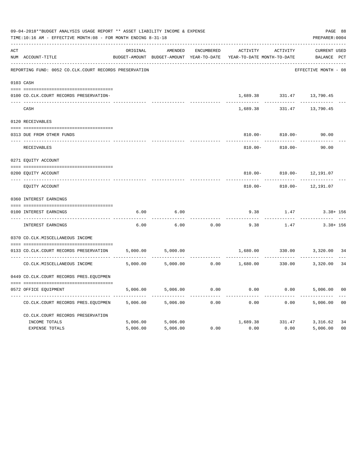|     | 09-04-2018**BUDGET ANALYSIS USAGE REPORT ** ASSET LIABILITY INCOME & EXPENSE<br>TIME:10:16 AM - EFFECTIVE MONTH:08 - FOR MONTH ENDING 8-31-18 |          |                   |            |                                                                     |                                            | PAGE 88<br>PREPARER: 0004      |                |
|-----|-----------------------------------------------------------------------------------------------------------------------------------------------|----------|-------------------|------------|---------------------------------------------------------------------|--------------------------------------------|--------------------------------|----------------|
| ACT |                                                                                                                                               | ORIGINAL | AMENDED           | ENCUMBERED | ACTIVITY                                                            | ACTIVITY                                   | <b>CURRENT USED</b>            |                |
|     | NUM ACCOUNT-TITLE                                                                                                                             |          |                   |            | BUDGET-AMOUNT BUDGET-AMOUNT YEAR-TO-DATE YEAR-TO-DATE MONTH-TO-DATE |                                            | BALANCE PCT                    |                |
|     | REPORTING FUND: 0052 CO.CLK.COURT RECORDS PRESERVATION                                                                                        |          |                   |            |                                                                     |                                            | EFFECTIVE MONTH - 08           |                |
|     | 0103 CASH                                                                                                                                     |          |                   |            |                                                                     |                                            |                                |                |
|     | 0100 CO.CLK.COURT RECORDS PRESERVATION-                                                                                                       |          |                   |            |                                                                     | 1,689.38 331.47 13,790.45                  |                                |                |
|     | CASH                                                                                                                                          |          |                   |            | 1,689.38                                                            |                                            | 331.47 13,790.45               |                |
|     | 0120 RECEIVABLES                                                                                                                              |          |                   |            |                                                                     |                                            |                                |                |
|     | 0313 DUE FROM OTHER FUNDS                                                                                                                     |          |                   |            |                                                                     | 810.00- 810.00-                            | 90.00                          |                |
|     | RECEIVABLES                                                                                                                                   |          |                   |            | $810.00 -$                                                          | $810.00 -$                                 | 90.00                          |                |
|     | 0271 EQUITY ACCOUNT                                                                                                                           |          |                   |            |                                                                     |                                            |                                |                |
|     | 0200 EQUITY ACCOUNT                                                                                                                           |          |                   |            | $810.00 -$                                                          | $810.00 -$                                 | 12,191.07                      |                |
|     | ---- -------------------------<br>EQUITY ACCOUNT                                                                                              |          |                   |            | $810.00 -$                                                          | ------------- --------------<br>$810.00 -$ | 12,191.07                      |                |
|     | 0360 INTEREST EARNINGS                                                                                                                        |          |                   |            |                                                                     |                                            |                                |                |
|     | 0100 INTEREST EARNINGS                                                                                                                        | 6.00     | 6.00              |            | 9.38                                                                | 1.47                                       | $3.38 + 156$                   |                |
|     | INTEREST EARNINGS                                                                                                                             | 6.00     | 6.00              | 0.00       | - - - - - - - -<br>9.38                                             | 1.47                                       | ---------- ---<br>$3.38 + 156$ |                |
|     | 0370 CO.CLK.MISCELLANEOUS INCOME                                                                                                              |          |                   |            |                                                                     |                                            |                                |                |
|     | --------------------------------------<br>0133 CO.CLK.COURT RECORDS PRESERVATION                                                              | 5,000.00 | 5,000.00          |            | 1,680.00                                                            | 330.00                                     | 3,320.00 34                    |                |
|     | CO. CLK. MISCELLANEOUS INCOME                                                                                                                 | 5,000.00 | 5,000.00          |            | $0.00$ 1,680.00 330.00 3,320.00                                     | ------------                               |                                | 34             |
|     | 0449 CO.CLK.COURT RECORDS PRES.EQUIPMEN                                                                                                       |          |                   |            |                                                                     |                                            |                                |                |
|     | 0572 OFFICE EQUIPMENT                                                                                                                         | 5,006.00 | 5,006.00          | 0.00       | 0.00                                                                |                                            | $0.00$ 5,006.00                | 00             |
|     | CO.CLK.COURT RECORDS PRES.EQUIPMEN                                                                                                            | 5,006.00 | 5,006.00          | 0.00       | 0.00                                                                | 0.00                                       | 5,006.00                       | 00             |
|     | CO. CLK. COURT RECORDS PRESERVATION                                                                                                           |          |                   |            |                                                                     |                                            |                                |                |
|     | INCOME TOTALS                                                                                                                                 |          | 5,006.00 5,006.00 |            |                                                                     | 1,689.38 331.47 3,316.62                   |                                | 34             |
|     | <b>EXPENSE TOTALS</b>                                                                                                                         | 5,006.00 | 5,006.00          | 0.00       | 0.00                                                                | 0.00                                       | 5,006.00                       | 0 <sub>0</sub> |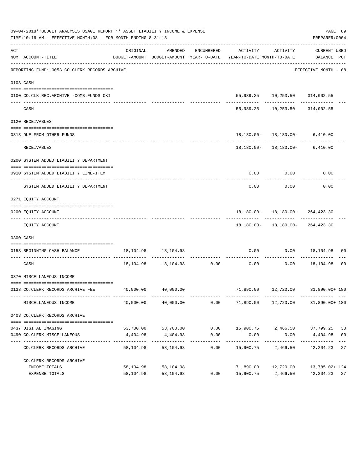|     | 09-04-2018**BUDGET ANALYSIS USAGE REPORT ** ASSET LIABILITY INCOME & EXPENSE<br>TIME:10:16 AM - EFFECTIVE MONTH:08 - FOR MONTH ENDING 8-31-18 |           |                            |                    |                                                                                                                              |                                       | PAGE 89<br>PREPARER: 0004 |                |
|-----|-----------------------------------------------------------------------------------------------------------------------------------------------|-----------|----------------------------|--------------------|------------------------------------------------------------------------------------------------------------------------------|---------------------------------------|---------------------------|----------------|
| ACT | NUM ACCOUNT-TITLE                                                                                                                             | ORIGINAL  | AMENDED                    |                    | ENCUMBERED ACTIVITY ACTIVITY CURRENT USED<br>BUDGET-AMOUNT BUDGET-AMOUNT YEAR-TO-DATE YEAR-TO-DATE MONTH-TO-DATE BALANCE PCT |                                       |                           |                |
|     | REPORTING FUND: 0053 CO.CLERK RECORDS ARCHIVE                                                                                                 |           |                            |                    |                                                                                                                              |                                       | EFFECTIVE MONTH - 08      |                |
|     | 0103 CASH                                                                                                                                     |           |                            |                    |                                                                                                                              |                                       |                           |                |
|     | 0100 CO.CLK.REC.ARCHIVE -COMB.FUNDS CKI                                                                                                       |           |                            |                    |                                                                                                                              | 55,989.25   10,253.50   314,002.55    |                           |                |
|     | CASH                                                                                                                                          |           |                            |                    |                                                                                                                              | 55,989.25 10,253.50 314,002.55        |                           |                |
|     | 0120 RECEIVABLES                                                                                                                              |           |                            |                    |                                                                                                                              |                                       |                           |                |
|     | 0313 DUE FROM OTHER FUNDS                                                                                                                     |           |                            |                    |                                                                                                                              | $18,180.00 - 18,180.00 - 6,410.00$    |                           |                |
|     | RECEIVABLES                                                                                                                                   |           |                            |                    |                                                                                                                              | 18,180.00- 18,180.00- 6,410.00        |                           |                |
|     | 0200 SYSTEM ADDED LIABILITY DEPARTMENT                                                                                                        |           |                            |                    |                                                                                                                              |                                       |                           |                |
|     | 0910 SYSTEM ADDED LIABILITY LINE-ITEM                                                                                                         |           |                            |                    | 0.00                                                                                                                         | $0.00$ 0.00                           |                           |                |
|     | SYSTEM ADDED LIABILITY DEPARTMENT                                                                                                             |           |                            |                    | 0.00                                                                                                                         | 0.00                                  | 0.00                      |                |
|     | 0271 EQUITY ACCOUNT                                                                                                                           |           |                            |                    |                                                                                                                              |                                       |                           |                |
|     |                                                                                                                                               |           |                            |                    |                                                                                                                              |                                       |                           |                |
|     | 0200 EQUITY ACCOUNT                                                                                                                           |           |                            |                    |                                                                                                                              | 18,180.00- 18,180.00- 264,423.30      |                           |                |
|     | EQUITY ACCOUNT                                                                                                                                |           |                            |                    |                                                                                                                              | 18, 180.00 - 18, 180.00 - 264, 423.30 |                           |                |
|     | 0300 CASH                                                                                                                                     |           |                            |                    |                                                                                                                              |                                       |                           |                |
|     | 0153 BEGINNING CASH BALANCE                                                                                                                   |           | 18, 104. 98   18, 104. 98  |                    | 0.00                                                                                                                         |                                       | $0.00$ 18,104.98 00       |                |
|     | CASH                                                                                                                                          |           |                            |                    | $18,104.98$ $18,104.98$ $0.00$ $0.00$ $0.00$ $18,104.98$ 00                                                                  |                                       |                           |                |
|     | 0370 MISCELLANEOUS INCOME                                                                                                                     |           |                            |                    |                                                                                                                              |                                       |                           |                |
|     | 0133 CO.CLERK RECORDS ARCHIVE FEE                                                                                                             |           | 40,000.00 40,000.00        |                    |                                                                                                                              | 71,890.00  12,720.00  31,890.00+ 180  |                           |                |
|     | MISCELLANEOUS INCOME                                                                                                                          | 40,000.00 | 40,000.00                  | 0.00               | 71,890.00                                                                                                                    | 12,720.00                             | 31,890.00+ 180            |                |
|     | 0403 CO. CLERK RECORDS ARCHIVE                                                                                                                |           |                            |                    |                                                                                                                              |                                       |                           |                |
|     | 0437 DIGITAL IMAGING                                                                                                                          |           | 53,700.00 53,700.00        | 0.00               |                                                                                                                              | 15,900.75 2,466.50 37,799.25          |                           | 30             |
|     | 0490 CO. CLERK MISCELLANEOUS                                                                                                                  | 4,404.98  | 4,404.98                   | 0.00               | 0.00                                                                                                                         | 0.00                                  | 4,404.98                  | 0 <sub>0</sub> |
|     | CO. CLERK RECORDS ARCHIVE                                                                                                                     | 58,104.98 | -------------<br>58,104.98 | ----------<br>0.00 | 15,900.75                                                                                                                    | ----------<br>2,466.50                | 42,204.23                 | 27             |
|     | CO. CLERK RECORDS ARCHIVE                                                                                                                     |           |                            |                    |                                                                                                                              |                                       |                           |                |
|     | INCOME TOTALS                                                                                                                                 | 58,104.98 | 58,104.98                  |                    | 71,890.00                                                                                                                    | 12,720.00                             | 13,785.02+ 124            |                |
|     | EXPENSE TOTALS                                                                                                                                | 58,104.98 | 58,104.98                  | 0.00               | 15,900.75                                                                                                                    | 2,466.50                              | 42, 204. 23 27            |                |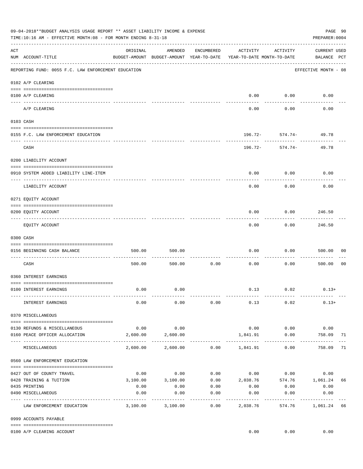|     | 09-04-2018**BUDGET ANALYSIS USAGE REPORT ** ASSET LIABILITY INCOME & EXPENSE<br>TIME:10:16 AM - EFFECTIVE MONTH:08 - FOR MONTH ENDING 8-31-18 |          |                                                     |                   |                                        |                     | PREPARER: 0004                     | PAGE 90        |
|-----|-----------------------------------------------------------------------------------------------------------------------------------------------|----------|-----------------------------------------------------|-------------------|----------------------------------------|---------------------|------------------------------------|----------------|
| ACT | NUM ACCOUNT-TITLE                                                                                                                             | ORIGINAL | AMENDED<br>BUDGET-AMOUNT BUDGET-AMOUNT YEAR-TO-DATE | ENCUMBERED        | ACTIVITY<br>YEAR-TO-DATE MONTH-TO-DATE | ACTIVITY            | <b>CURRENT USED</b><br>BALANCE PCT |                |
|     | REPORTING FUND: 0055 F.C. LAW ENFORCEMENT EDUCATION                                                                                           |          |                                                     |                   |                                        |                     | EFFECTIVE MONTH - 08               |                |
|     | 0102 A/P CLEARING                                                                                                                             |          |                                                     |                   |                                        |                     |                                    |                |
|     | 0100 A/P CLEARING                                                                                                                             |          |                                                     |                   | 0.00                                   | 0.00                | 0.00                               |                |
|     | ---- ----------<br>A/P CLEARING                                                                                                               |          |                                                     |                   | 0.00                                   | 0.00                | 0.00                               |                |
|     | 0103 CASH                                                                                                                                     |          |                                                     |                   |                                        |                     |                                    |                |
|     | 0155 F.C. LAW ENFORCEMENT EDUCATION                                                                                                           |          |                                                     |                   |                                        |                     | 196.72- 574.74- 49.78              |                |
|     | CASH                                                                                                                                          |          |                                                     |                   | 196.72-                                | --------<br>574.74- | 49.78                              |                |
|     | 0200 LIABILITY ACCOUNT                                                                                                                        |          |                                                     |                   |                                        |                     |                                    |                |
|     | 0910 SYSTEM ADDED LIABILITY LINE-ITEM                                                                                                         |          |                                                     |                   | 0.00                                   | 0.00                | 0.00                               |                |
|     | LIABILITY ACCOUNT                                                                                                                             |          |                                                     |                   | 0.00                                   | 0.00                | 0.00                               |                |
|     | 0271 EQUITY ACCOUNT                                                                                                                           |          |                                                     |                   |                                        |                     |                                    |                |
|     | 0200 EQUITY ACCOUNT                                                                                                                           |          |                                                     |                   | 0.00                                   | 0.00                | 246.50                             |                |
|     | EQUITY ACCOUNT                                                                                                                                |          |                                                     |                   | 0.00                                   | 0.00                | 246.50                             |                |
|     | 0300 CASH                                                                                                                                     |          |                                                     |                   |                                        |                     |                                    |                |
|     | 0156 BEGINNING CASH BALANCE                                                                                                                   | 500.00   | 500.00                                              |                   | 0.00                                   | 0.00                | 500.00                             | 00             |
|     | CASH                                                                                                                                          | 500.00   | 500.00                                              | 0.00              | 0.00                                   | 0.00                | 500.00                             | 0 <sub>0</sub> |
|     | 0360 INTEREST EARNINGS                                                                                                                        |          |                                                     |                   |                                        |                     |                                    |                |
|     | 0100 INTEREST EARNINGS                                                                                                                        | 0.00     | 0.00                                                |                   |                                        | $0.13$ $0.02$       | $0.13+$                            |                |
|     | INTEREST EARNINGS                                                                                                                             | 0.00     | 0.00                                                | 0.00              | 0.13                                   | 0.02                | $0.13+$                            |                |
|     | 0370 MISCELLANEOUS                                                                                                                            |          |                                                     |                   |                                        |                     |                                    |                |
|     | 0130 REFUNDS & MISCELLANEOUS                                                                                                                  | 0.00     | 0.00                                                |                   | 0.00                                   | 0.00                | 0.00                               |                |
|     | 0160 PEACE OFFICER ALLOCATION                                                                                                                 | 2,600.00 | 2,600.00<br>-----------                             |                   | 1,841.91<br>-----------                | 0.00                | 758.09                             | 71             |
|     | MISCELLANEOUS                                                                                                                                 | 2,600.00 | 2,600.00                                            |                   | $0.00$ 1,841.91                        | 0.00                | 758.09                             | 71             |
|     | 0560 LAW ENFORCEMENT EDUCATION                                                                                                                |          |                                                     |                   |                                        |                     |                                    |                |
|     | 0427 OUT OF COUNTY TRAVEL                                                                                                                     | 0.00     | 0.00                                                |                   | $0.00$ $0.00$ $0.00$                   |                     | 0.00                               |                |
|     | 0428 TRAINING & TUITION                                                                                                                       | 3,100.00 | 3,100.00                                            | 0.00              | 2,038.76 574.76 1,061.24               |                     |                                    | 66             |
|     | 0435 PRINTING                                                                                                                                 | 0.00     | 0.00                                                | 0.00              | 0.00                                   | 0.00                | 0.00                               |                |
|     | 0490 MISCELLANEOUS                                                                                                                            | 0.00     | 0.00                                                | 0.00<br>$- - - -$ | 0.00                                   | 0.00                | 0.00                               |                |
|     | LAW ENFORCEMENT EDUCATION                                                                                                                     | 3,100.00 | 3,100.00                                            | 0.00              | 2,038.76                               | 574.76              | 1,061.24                           | 66             |
|     | 0999 ACCOUNTS PAYABLE                                                                                                                         |          |                                                     |                   |                                        |                     |                                    |                |
|     | 0100 A/P CLEARING ACCOUNT                                                                                                                     |          |                                                     |                   | 0.00                                   | 0.00                | 0.00                               |                |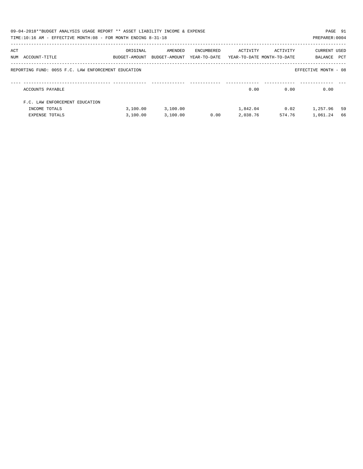|     | 09-04-2018**BUDGET ANALYSIS USAGE REPORT ** ASSET LIABILITY INCOME & EXPENSE<br>TIME:10:16 AM - EFFECTIVE MONTH:08 - FOR MONTH ENDING 8-31-18 |                           |                          |                            |                                        |          | PAGE 91<br>PREPARER: 0004 |     |
|-----|-----------------------------------------------------------------------------------------------------------------------------------------------|---------------------------|--------------------------|----------------------------|----------------------------------------|----------|---------------------------|-----|
| ACT | NUM ACCOUNT-TITLE                                                                                                                             | ORIGINAL<br>BUDGET-AMOUNT | AMENDED<br>BUDGET-AMOUNT | ENCUMBERED<br>YEAR-TO-DATE | ACTIVITY<br>YEAR-TO-DATE MONTH-TO-DATE | ACTIVITY | CURRENT USED<br>BALANCE   | PCT |
|     | REPORTING FUND: 0055 F.C. LAW ENFORCEMENT EDUCATION                                                                                           |                           |                          |                            |                                        |          | EFFECTIVE MONTH - 08      |     |
|     | ACCOUNTS PAYABLE                                                                                                                              |                           |                          |                            | 0.00                                   | 0.00     | 0.00                      |     |
|     | F.C. LAW ENFORCEMENT EDUCATION                                                                                                                |                           |                          |                            |                                        |          |                           |     |
|     | INCOME TOTALS                                                                                                                                 | 3,100.00                  | 3,100.00                 |                            | 1,842.04                               | 0.02     | 1,257.96                  | 59  |
|     | <b>EXPENSE TOTALS</b>                                                                                                                         | 3,100.00                  | 3,100.00                 | 0.00                       | 2,038.76                               | 574.76   | 1,061.24                  | 66  |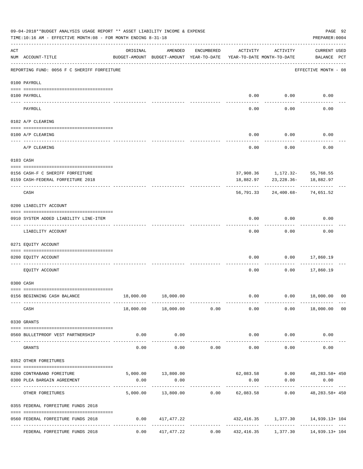|     | 09-04-2018**BUDGET ANALYSIS USAGE REPORT ** ASSET LIABILITY INCOME & EXPENSE<br>TIME:10:16 AM - EFFECTIVE MONTH:08 - FOR MONTH ENDING 8-31-18 |          |                                                     |               |                                        |                               | PAGE 92<br>PREPARER: 0004                              |                |
|-----|-----------------------------------------------------------------------------------------------------------------------------------------------|----------|-----------------------------------------------------|---------------|----------------------------------------|-------------------------------|--------------------------------------------------------|----------------|
| ACT | NUM ACCOUNT-TITLE                                                                                                                             | ORIGINAL | AMENDED<br>BUDGET-AMOUNT BUDGET-AMOUNT YEAR-TO-DATE | ENCUMBERED    | ACTIVITY<br>YEAR-TO-DATE MONTH-TO-DATE | ACTIVITY                      | <b>CURRENT USED</b><br>BALANCE PCT                     |                |
|     | REPORTING FUND: 0056 F C SHERIFF FORFEITURE                                                                                                   |          |                                                     |               |                                        |                               | EFFECTIVE MONTH - 08                                   |                |
|     | 0100 PAYROLL                                                                                                                                  |          |                                                     |               |                                        |                               |                                                        |                |
|     | 0100 PAYROLL                                                                                                                                  |          |                                                     |               | 0.00                                   | 0.00                          | 0.00                                                   |                |
|     | ---- ----<br>PAYROLL                                                                                                                          |          |                                                     |               | 0.00                                   | 0.00                          | 0.00                                                   |                |
|     | 0102 A/P CLEARING                                                                                                                             |          |                                                     |               |                                        |                               |                                                        |                |
|     | 0100 A/P CLEARING                                                                                                                             |          |                                                     |               | 0.00                                   | 0.00                          | 0.00                                                   |                |
|     | A/P CLEARING                                                                                                                                  |          |                                                     |               | 0.00                                   | 0.00                          | 0.00                                                   |                |
|     | 0103 CASH                                                                                                                                     |          |                                                     |               |                                        |                               |                                                        |                |
|     |                                                                                                                                               |          |                                                     |               |                                        |                               |                                                        |                |
|     | 0156 CASH-F C SHERIFF FORFEITURE<br>0159 CASH-FEDERAL FORFEITURE 2018                                                                         |          |                                                     |               | 18,882.97                              | 23,228.36-                    | 37,908.36 1,172.32- 55,768.55<br>18,882.97             |                |
|     |                                                                                                                                               |          |                                                     |               |                                        |                               |                                                        |                |
|     | CASH                                                                                                                                          |          |                                                     |               | 56,791.33                              | 24,400.68-                    | 74,651.52                                              |                |
|     | 0200 LIABILITY ACCOUNT                                                                                                                        |          |                                                     |               |                                        |                               |                                                        |                |
|     | 0910 SYSTEM ADDED LIABILITY LINE-ITEM                                                                                                         |          |                                                     |               | 0.00                                   | 0.00                          | 0.00                                                   |                |
|     | LIABILITY ACCOUNT                                                                                                                             |          |                                                     |               | 0.00                                   | 0.00                          | 0.00                                                   |                |
|     | 0271 EQUITY ACCOUNT                                                                                                                           |          |                                                     |               |                                        |                               |                                                        |                |
|     | 0200 EQUITY ACCOUNT                                                                                                                           |          |                                                     |               | 0.00                                   | 0.00                          | 17,860.19                                              |                |
|     | EQUITY ACCOUNT                                                                                                                                |          |                                                     |               | 0.00                                   | 0.00                          | 17,860.19                                              |                |
|     | 0300 CASH                                                                                                                                     |          |                                                     |               |                                        |                               |                                                        |                |
|     | 0156 BEGINNING CASH BALANCE                                                                                                                   |          | 18,000.00  18,000.00                                |               | 0.00                                   |                               | $0.00$ 18,000.00 00                                    |                |
|     | CASH                                                                                                                                          |          | 18,000.00 18,000.00                                 | 0.00          | 0.00                                   |                               | $0.00$ 18,000.00                                       | 0 <sub>0</sub> |
|     | 0330 GRANTS                                                                                                                                   |          |                                                     |               |                                        |                               |                                                        |                |
|     | 0560 BULLETPROOF VEST PARTNERSHIP                                                                                                             |          | $0.00$ 0.00                                         |               |                                        | $0.00$ $0.00$                 | 0.00                                                   |                |
|     |                                                                                                                                               |          |                                                     | ------------  | --------------                         | ------------                  |                                                        |                |
|     | GRANTS                                                                                                                                        | 0.00     | 0.00                                                | 0.00          | 0.00                                   | 0.00                          | 0.00                                                   |                |
|     | 0352 OTHER FOREITURES                                                                                                                         |          |                                                     |               |                                        |                               |                                                        |                |
|     | 0200 CONTRABAND FOREITURE                                                                                                                     |          |                                                     |               |                                        |                               | 5,000.00 13,800.00 62,083.58 0.00 48,283.58 + 450      |                |
|     | 0300 PLEA BARGAIN AGREEMENT                                                                                                                   | 0.00     | 0.00                                                |               | 0.00                                   | 0.00                          | 0.00                                                   |                |
|     | OTHER FOREITURES                                                                                                                              |          | .                                                   | ------------- |                                        | ----------------------------- | 5,000.00 13,800.00 0.00 62,083.58 0.00 48,283.58 + 450 |                |
|     | 0355 FEDERAL FORFEITURE FUNDS 2018                                                                                                            |          |                                                     |               |                                        |                               |                                                        |                |
|     | 0560 FEDERAL FORFEITURE FUNDS 2018                                                                                                            |          | $0.00$ $417,477.22$                                 |               |                                        |                               | 432,416.35 1,377.30 14,939.13+104                      |                |
|     | FEDERAL FORFEITURE FUNDS 2018                                                                                                                 |          | $0.00$ $417,477.22$                                 |               |                                        |                               | $0.00$ $432,416.35$ $1,377.30$ $14,939.13+104$         |                |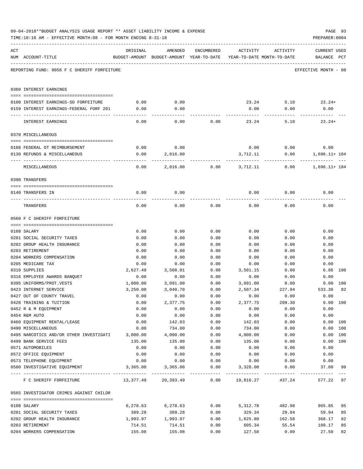| ACT | NUM ACCOUNT-TITLE                             | ORIGINAL         | AMENDED<br>BUDGET-AMOUNT BUDGET-AMOUNT YEAR-TO-DATE YEAR-TO-DATE MONTH-TO-DATE | ENCUMBERED   | ACTIVITY         | ACTIVITY     | <b>CURRENT USED</b><br>BALANCE PCT |          |
|-----|-----------------------------------------------|------------------|--------------------------------------------------------------------------------|--------------|------------------|--------------|------------------------------------|----------|
|     | REPORTING FUND: 0056 F C SHERIFF FORFEITURE   |                  |                                                                                |              |                  |              | EFFECTIVE MONTH - 08               |          |
|     | 0360 INTEREST EARNINGS                        |                  |                                                                                |              |                  |              |                                    |          |
|     | 0100 INTEREST EARNINGS-SO FORFEITURE          | 0.00             | 0.00                                                                           |              |                  |              | $23.24$ 5.10 $23.24+$              |          |
|     | 0159 INTEREST EARNINGS-FEDERAL FORF 201       | 0.00             | 0.00                                                                           |              | 0.00             | 0.00         | 0.00                               |          |
|     |                                               |                  |                                                                                |              |                  |              |                                    |          |
|     | INTEREST EARNINGS                             | 0.00             | 0.00                                                                           | 0.00         | 23.24            | 5.10         | $23.24+$                           |          |
|     | 0370 MISCELLANEOUS                            |                  |                                                                                |              |                  |              |                                    |          |
|     |                                               |                  |                                                                                |              |                  |              |                                    |          |
|     | 0108 FEDERAL OT REIMBURSEMENT                 | 0.00             | 0.00                                                                           |              |                  | $0.00$ 0.00  | 0.00                               |          |
|     | 0130 REFUNDS & MISCELLANEOUS                  | 0.00             | 2,016.00                                                                       |              | 3,712.11         | 0.00         | 1,696.11+ 184                      |          |
|     | MISCELLANEOUS                                 | 0.00             | 2,016.00                                                                       |              | $0.00$ 3,712.11  | 0.00         | 1,696.11+ 184                      |          |
|     | 0390 TRANSFERS                                |                  |                                                                                |              |                  |              |                                    |          |
|     |                                               |                  |                                                                                |              |                  |              |                                    |          |
|     | 0140 TRANSFERS IN                             | 0.00             | 0.00                                                                           |              | 0.00             | 0.00         | 0.00                               |          |
|     | TRANSFERS                                     | 0.00             | 0.00                                                                           | 0.00         | 0.00             | 0.00         | 0.00                               |          |
|     | 0560 F C SHERIFF FORFEITURE                   |                  |                                                                                |              |                  |              |                                    |          |
|     |                                               |                  |                                                                                |              |                  |              |                                    |          |
|     | 0108 SALARY                                   | 0.00             | 0.00                                                                           | 0.00         | 0.00             | 0.00         | 0.00                               |          |
|     | 0201 SOCIAL SECURITY TAXES                    | 0.00             | 0.00                                                                           | 0.00         | 0.00             | 0.00         | 0.00                               |          |
|     | 0202 GROUP HEALTH INSURANCE                   | 0.00             | 0.00                                                                           | 0.00         | 0.00             | 0.00         | 0.00                               |          |
|     | 0203 RETIREMENT                               | 0.00             | 0.00                                                                           | 0.00         | 0.00             | 0.00         | 0.00                               |          |
|     | 0204 WORKERS COMPENSATION                     | 0.00             | 0.00                                                                           | 0.00         | 0.00             | 0.00         | 0.00                               |          |
|     | 0205 MEDICARE TAX                             | 0.00<br>2,627.49 | 0.00                                                                           | 0.00         | 0.00             | 0.00         | 0.00                               | 6.86 100 |
|     | 0310 SUPPLIES<br>0316 EMPLOYEE AWARDS BANQUET | 0.00             | 3,508.01<br>0.00                                                               | 0.00<br>0.00 | 3,501.15<br>0.00 | 0.00<br>0.00 | 0.00                               |          |
|     | 0395 UNIFORMS/PROT.VESTS                      | 1,000.00         | 3,091.00                                                                       | 0.00         | 3,091.00         | 0.00         |                                    | 0.00 100 |
|     | 0423 INTERNET SERVICE                         | 3,250.00         | 3,040.70                                                                       | 0.00         | 2,507.34         | 227.94       | 533.36                             | 82       |
|     | 0427 OUT OF COUNTY TRAVEL                     | 0.00             | 0.00                                                                           | 0.00         | 0.00             | 0.00         | 0.00                               |          |
|     | 0428 TRAINING & TUITION                       | 0.00             | 2,377.75                                                                       | 0.00         | 2,377.75         | 209.30       |                                    | 0.00 100 |
|     | 0452 R & M EQUIPMENT                          | 0.00             | 0.00                                                                           | 0.00         | 0.00             | 0.00         | 0.00                               |          |
|     | 0454 R&M AUTO                                 | 0.00             | 0.00                                                                           | 0.00         | 0.00             | 0.00         | 0.00                               |          |
|     | 0460 EQUIPMENT RENTAL/LEASE                   | 0.00             | 142.03                                                                         | 0.00         | 142.03           | 0.00         |                                    | 0.00 100 |
|     | 0490 MISCELLANEOUS                            | 0.00             | 734.00                                                                         | 0.00         | 734.00           | 0.00         |                                    | 0.00 100 |
|     | 0495 NARCOTICS AND/OR OTHER INVESTIGATI       | 3,000.00         | 4,000.00                                                                       | 0.00         | 4,000.00         | 0.00         |                                    | 0.00 100 |
|     | 0499 BANK SERVICE FEES                        | 135.00           | 135.00                                                                         | 0.00         | 135.00           | 0.00         |                                    | 0.00 100 |
|     | 0571 AUTOMOBILES                              | 0.00             | 0.00                                                                           | 0.00         | 0.00             | 0.00         | 0.00                               |          |
|     | 0572 OFFICE EQUIPMENT                         | 0.00             | 0.00                                                                           | 0.00         | 0.00             | 0.00         | 0.00                               |          |
|     | 0573 TELEPHONE EQUIPMENT                      | 0.00             | 0.00                                                                           | 0.00         | 0.00             | 0.00         | 0.00                               |          |
|     | 0580 INVESTIGATIVE EQUIPMENT                  | 3,365.00         | 3,365.00                                                                       | 0.00         | 3,328.00         | 0.00         | 37.00 99                           |          |
|     | F C SHERIFF FORFEITURE                        |                  | $13,377.49$ $20,393.49$ $0.00$ $19,816.27$                                     |              |                  | 437.24       | 577.22 97                          |          |
|     | 0565 INVESTIGATOR CRIMES AGAINST CHILDR       |                  |                                                                                |              |                  |              |                                    |          |
|     | 0108 SALARY                                   | 6,278.63         | 6,278.63                                                                       | 0.00         | 5,312.78         | 482.98       | 965.85                             | 85       |
|     | 0201 SOCIAL SECURITY TAXES                    | 389.28           | 389.28                                                                         | 0.00         | 329.34           | 29.94        | 59.94                              | 85       |
|     | 0202 GROUP HEALTH INSURANCE                   | 1,993.97         | 1,993.97                                                                       | 0.00         | 1,625.80         | 162.58       | 368.17                             | 82       |
|     | 0203 RETIREMENT                               | 714.51           | 714.51                                                                         | 0.00         | 605.34           | 55.54        | 109.17                             | 85       |
|     | 0204 WORKERS COMPENSATION                     | 155.08           | 155.08                                                                         | 0.00         | 127.58           | 0.00         | 27.50                              | 82       |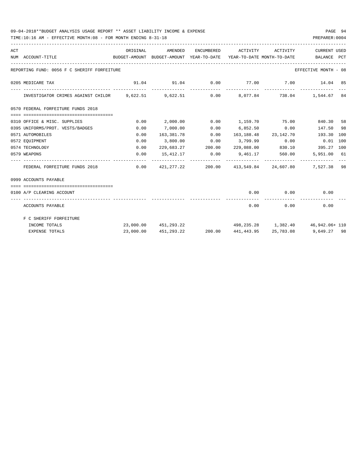### 09-04-2018\*\*BUDGET ANALYSIS USAGE REPORT \*\* ASSET LIABILITY INCOME & EXPENSE PAGE 94

TIME:10:16 AM - EFFECTIVE MONTH:08 - FOR MONTH ENDING 8-31-18 PREPARER:0004

| ACT | NUM ACCOUNT-TITLE                                                                     | ORIGINAL  | AMENDED<br>BUDGET-AMOUNT BUDGET-AMOUNT YEAR-TO-DATE YEAR-TO-DATE MONTH-TO-DATE | ENCUMBERED      | ACTIVITY                                  | ACTIVITY | <b>CURRENT USED</b><br>BALANCE PCT      |  |
|-----|---------------------------------------------------------------------------------------|-----------|--------------------------------------------------------------------------------|-----------------|-------------------------------------------|----------|-----------------------------------------|--|
|     | REPORTING FUND: 0056 F C SHERIFF FORFEITURE                                           |           |                                                                                |                 |                                           |          | EFFECTIVE MONTH - 08                    |  |
|     | 0205 MEDICARE TAX                                                                     |           | $91.04$ $91.04$ $0.00$ $77.00$ $7.00$ $14.04$ 85                               |                 |                                           |          |                                         |  |
|     | INVESTIGATOR CRIMES AGAINST CHILDR 9,622.51 9,622.51 0.00 8,077.84 738.04 1,544.67 84 |           |                                                                                |                 |                                           |          |                                         |  |
|     | 0570 FEDERAL FORFEITURE FUNDS 2018                                                    |           |                                                                                |                 |                                           |          |                                         |  |
|     | =====================================                                                 |           |                                                                                |                 |                                           |          |                                         |  |
|     | 0310 OFFICE & MISC. SUPPLIES                                                          | 0.00      | 2,000.00                                                                       |                 | $0.00$ 1,159.70 75.00                     |          | 840.30 58                               |  |
|     | 0395 UNIFORMS/PROT. VESTS/BADGES                                                      | 0.00      | 7,000.00                                                                       | 0.00            | $6,852.50$ 0.00                           |          | 147.50 98                               |  |
|     | 0571 AUTOMOBILES                                                                      | 0.00      | 163,381.78                                                                     |                 | $0.00 \qquad 163,188.48 \qquad 23,142.70$ |          | 193.30 100                              |  |
|     | 0572 EOUIPMENT                                                                        | 0.00      |                                                                                | $3,800.00$ 0.00 |                                           |          | 3,799.99   0.00   0.01   100            |  |
|     | 0574 TECHNOLOGY                                                                       | 0.00      |                                                                                |                 |                                           |          |                                         |  |
|     | 0579 WEAPONS                                                                          | 0.00      |                                                                                |                 | 15,412.17 0.00 9,461.17                   | 560.00   | 5,951.00 61                             |  |
|     | FEDERAL FORFEITURE FUNDS 2018                                                         |           | $0.00$ $421,277.22$ $200.00$ $413,549.84$ $24,607.80$ $7,527.38$ 98            |                 |                                           |          |                                         |  |
|     | 0999 ACCOUNTS PAYABLE                                                                 |           |                                                                                |                 |                                           |          |                                         |  |
|     | -------------------------------------<br>0100 A/P CLEARING ACCOUNT                    |           |                                                                                |                 |                                           |          | $0.00$ $0.00$ $0.00$                    |  |
|     | ACCOUNTS PAYABLE                                                                      |           |                                                                                |                 | 0.00                                      | 0.00     | 0.00                                    |  |
|     | F C SHERIFF FORFEITURE                                                                |           |                                                                                |                 |                                           |          |                                         |  |
|     | INCOME TOTALS                                                                         |           | 23,000.00 451,293.22 498,235.28 1,382.40 46,942.06+110                         |                 |                                           |          |                                         |  |
|     | <b>EXPENSE TOTALS</b>                                                                 | 23,000.00 | 451,293.22                                                                     |                 |                                           |          | 200.00 441,443.95 25,783.08 9,649.27 98 |  |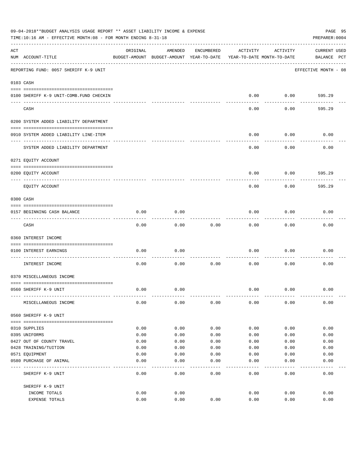|     | 09-04-2018**BUDGET ANALYSIS USAGE REPORT ** ASSET LIABILITY INCOME & EXPENSE<br>TIME:10:16 AM - EFFECTIVE MONTH:08 - FOR MONTH ENDING 8-31-18 |          |                                                     |            |                                        |          | PAGE 95<br>PREPARER: 0004          |
|-----|-----------------------------------------------------------------------------------------------------------------------------------------------|----------|-----------------------------------------------------|------------|----------------------------------------|----------|------------------------------------|
| ACT | NUM ACCOUNT-TITLE                                                                                                                             | ORIGINAL | AMENDED<br>BUDGET-AMOUNT BUDGET-AMOUNT YEAR-TO-DATE | ENCUMBERED | ACTIVITY<br>YEAR-TO-DATE MONTH-TO-DATE | ACTIVITY | <b>CURRENT USED</b><br>BALANCE PCT |
|     | REPORTING FUND: 0057 SHERIFF K-9 UNIT                                                                                                         |          |                                                     |            |                                        |          | EFFECTIVE MONTH - 08               |
|     | 0103 CASH                                                                                                                                     |          |                                                     |            |                                        |          |                                    |
|     | 0100 SHERIFF K-9 UNIT-COMB. FUND CHECKIN                                                                                                      |          |                                                     |            | 0.00                                   | 0.00     | 595.29                             |
|     | CASH                                                                                                                                          |          |                                                     |            | 0.00                                   | 0.00     | 595.29                             |
|     | 0200 SYSTEM ADDED LIABILITY DEPARTMENT                                                                                                        |          |                                                     |            |                                        |          |                                    |
|     | 0910 SYSTEM ADDED LIABILITY LINE-ITEM                                                                                                         |          |                                                     |            | 0.00                                   | 0.00     | 0.00                               |
|     | SYSTEM ADDED LIABILITY DEPARTMENT                                                                                                             |          |                                                     |            | 0.00                                   | 0.00     | 0.00                               |
|     | 0271 EQUITY ACCOUNT                                                                                                                           |          |                                                     |            |                                        |          |                                    |
|     | 0200 EQUITY ACCOUNT                                                                                                                           |          |                                                     |            | 0.00                                   | 0.00     | 595.29                             |
|     | EQUITY ACCOUNT                                                                                                                                |          |                                                     |            | 0.00                                   | 0.00     | 595.29                             |
|     | 0300 CASH                                                                                                                                     |          |                                                     |            |                                        |          |                                    |
|     | 0157 BEGINNING CASH BALANCE                                                                                                                   | 0.00     | 0.00                                                |            | 0.00                                   | 0.00     | 0.00                               |
|     | CASH                                                                                                                                          | 0.00     | 0.00                                                | 0.00       | 0.00                                   | 0.00     | 0.00                               |
|     | 0360 INTEREST INCOME                                                                                                                          |          |                                                     |            |                                        |          |                                    |
|     | 0100 INTEREST EARNINGS                                                                                                                        | 0.00     | 0.00                                                |            | 0.00                                   | 0.00     | 0.00                               |
|     | INTEREST INCOME                                                                                                                               | 0.00     | 0.00                                                | 0.00       | 0.00                                   | 0.00     | 0.00                               |
|     | 0370 MISCELLANEOUS INCOME                                                                                                                     |          |                                                     |            |                                        |          |                                    |
|     | 0560 SHERIFF K-9 UNIT                                                                                                                         | 0.00     | 0.00                                                |            | 0.00                                   | 0.00     | 0.00                               |
|     | MISCELLANEOUS INCOME                                                                                                                          | 0.00     | 0.00                                                | 0.00       | 0.00                                   | 0.00     | 0.00                               |
|     | 0560 SHERIFF K-9 UNIT                                                                                                                         |          |                                                     |            |                                        |          |                                    |
|     | 0310 SUPPLIES                                                                                                                                 | 0.00     | 0.00                                                | 0.00       | 0.00                                   | 0.00     | 0.00                               |
|     | 0395 UNIFORMS                                                                                                                                 | 0.00     | 0.00                                                | 0.00       | 0.00                                   | 0.00     | 0.00                               |
|     | 0427 OUT OF COUNTY TRAVEL                                                                                                                     | 0.00     | 0.00                                                | 0.00       | 0.00                                   | 0.00     | 0.00                               |
|     | 0428 TRAINING/TUITION                                                                                                                         | 0.00     | 0.00                                                | 0.00       | 0.00                                   | 0.00     | 0.00                               |
|     | 0571 EOUIPMENT                                                                                                                                | 0.00     | 0.00                                                | 0.00       | 0.00                                   | 0.00     | 0.00                               |
|     | 0580 PURCHASE OF ANIMAL                                                                                                                       | 0.00     | 0.00                                                | 0.00       | 0.00                                   | 0.00     | 0.00                               |
|     | SHERIFF K-9 UNIT                                                                                                                              | 0.00     | 0.00                                                | 0.00       | 0.00                                   | 0.00     | 0.00                               |
|     | SHERIFF K-9 UNIT                                                                                                                              |          |                                                     |            |                                        |          |                                    |
|     | INCOME TOTALS                                                                                                                                 | 0.00     | 0.00                                                |            | 0.00                                   | 0.00     | 0.00                               |
|     | EXPENSE TOTALS                                                                                                                                | 0.00     | 0.00                                                | 0.00       | 0.00                                   | 0.00     | 0.00                               |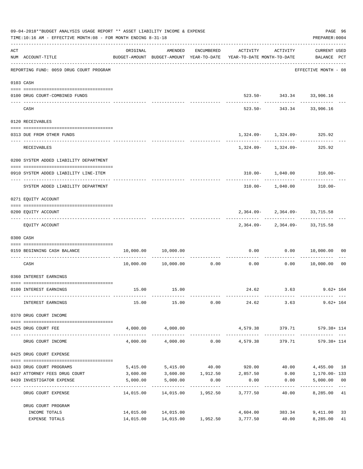| 09-04-2018**BUDGET ANALYSIS USAGE REPORT ** ASSET LIABILITY INCOME & EXPENSE<br>TIME:10:16 AM - EFFECTIVE MONTH:08 - FOR MONTH ENDING 8-31-18<br>PREPARER: 0004 |                                         |                         |                                |                    |                                                                                 |                                                                   |                                               |       |  |
|-----------------------------------------------------------------------------------------------------------------------------------------------------------------|-----------------------------------------|-------------------------|--------------------------------|--------------------|---------------------------------------------------------------------------------|-------------------------------------------------------------------|-----------------------------------------------|-------|--|
| ACT                                                                                                                                                             | NUM ACCOUNT-TITLE                       | ORIGINAL                |                                | AMENDED ENCUMBERED | ACTIVITY<br>BUDGET-AMOUNT BUDGET-AMOUNT YEAR-TO-DATE YEAR-TO-DATE MONTH-TO-DATE | ACTIVITY                                                          | CURRENT USED<br>BALANCE PCT                   |       |  |
|                                                                                                                                                                 | REPORTING FUND: 0059 DRUG COURT PROGRAM |                         |                                |                    |                                                                                 |                                                                   | ---------------------<br>EFFECTIVE MONTH - 08 |       |  |
|                                                                                                                                                                 | 0103 CASH                               |                         |                                |                    |                                                                                 |                                                                   |                                               |       |  |
|                                                                                                                                                                 | 0100 DRUG COURT-COMBINED FUNDS          |                         |                                |                    |                                                                                 | 523.50- 343.34 33,906.16                                          |                                               |       |  |
|                                                                                                                                                                 | CASH                                    |                         | -------------                  |                    |                                                                                 | ------------- -------------<br>523.50- 343.34 33,906.16           |                                               |       |  |
|                                                                                                                                                                 | 0120 RECEIVABLES                        |                         |                                |                    |                                                                                 |                                                                   |                                               |       |  |
|                                                                                                                                                                 | 0313 DUE FROM OTHER FUNDS               |                         |                                |                    |                                                                                 | $1,324.09 - 1,324.09 - 325.92$                                    |                                               |       |  |
|                                                                                                                                                                 | RECEIVABLES                             |                         |                                |                    |                                                                                 | ---------- ------------ -----------<br>1,324.09- 1,324.09- 325.92 |                                               |       |  |
|                                                                                                                                                                 | 0200 SYSTEM ADDED LIABILITY DEPARTMENT  |                         |                                |                    |                                                                                 |                                                                   |                                               |       |  |
|                                                                                                                                                                 | 0910 SYSTEM ADDED LIABILITY LINE-ITEM   |                         |                                |                    |                                                                                 | 310.00- 1,040.00 310.00-                                          |                                               |       |  |
|                                                                                                                                                                 | SYSTEM ADDED LIABILITY DEPARTMENT       |                         |                                |                    |                                                                                 | $310.00 - 1,040.00$ $310.00 -$                                    |                                               |       |  |
|                                                                                                                                                                 | 0271 EQUITY ACCOUNT                     |                         |                                |                    |                                                                                 |                                                                   |                                               |       |  |
|                                                                                                                                                                 | 0200 EQUITY ACCOUNT                     |                         |                                |                    |                                                                                 | $2,364.09 - 2,364.09 - 33,715.58$                                 |                                               |       |  |
|                                                                                                                                                                 | EQUITY ACCOUNT                          |                         |                                |                    |                                                                                 | 2,364.09-2,364.09-33,715.58                                       |                                               |       |  |
|                                                                                                                                                                 | 0300 CASH                               |                         |                                |                    |                                                                                 |                                                                   |                                               |       |  |
|                                                                                                                                                                 | 0159 BEGINNING CASH BALANCE             |                         | 10,000.00 10,000.00            |                    |                                                                                 | $0.00$ $0.00$ $10,000.00$ $00$<br>.                               |                                               |       |  |
|                                                                                                                                                                 | CASH                                    |                         |                                |                    | $10,000.00$ $10,000.00$ 0.00 0.00 0.00 0.00 10,000.00                           |                                                                   |                                               | 00    |  |
|                                                                                                                                                                 | 0360 INTEREST EARNINGS                  |                         |                                |                    |                                                                                 |                                                                   |                                               |       |  |
|                                                                                                                                                                 | 0100 INTEREST EARNINGS                  |                         | 15.00   15.00                  |                    |                                                                                 | 24.62 3.63 9.62+164                                               |                                               |       |  |
|                                                                                                                                                                 | INTEREST EARNINGS                       | 15.00                   | 15.00                          | 0.00               |                                                                                 | 24.62 3.63                                                        | $9.62 + 164$                                  |       |  |
|                                                                                                                                                                 | 0370 DRUG COURT INCOME                  |                         |                                |                    |                                                                                 |                                                                   |                                               |       |  |
|                                                                                                                                                                 | 0425 DRUG COURT FEE                     |                         | 4,000.00 4,000.00              |                    | 4,579.38                                                                        | 379.71                                                            | 579.38+ 114                                   |       |  |
|                                                                                                                                                                 | DRUG COURT INCOME                       | 4,000.00                | 4,000.00                       |                    | $0.00$ $4,579.38$                                                               | 379.71                                                            | 579.38+ 114                                   |       |  |
|                                                                                                                                                                 | 0425 DRUG COURT EXPENSE                 |                         |                                |                    |                                                                                 |                                                                   |                                               |       |  |
|                                                                                                                                                                 | 0433 DRUG COURT PROGRAMS                |                         | 5,415.00 5,415.00              |                    | 40.00 920.00                                                                    | 40.00                                                             | 4,455.00 18                                   |       |  |
|                                                                                                                                                                 | 0437 ATTORNEY FEES DRUG COURT           |                         |                                |                    | 3,600.00 3,600.00 1,912.50 2,857.50                                             |                                                                   | $0.00$ 1,170.00-133                           |       |  |
|                                                                                                                                                                 | 0439 INVESTIGATOR EXPENSE               | 5,000.00                | 5,000.00                       | 0.00               | 0.00                                                                            | 0.00                                                              | 5,000.00 00                                   |       |  |
|                                                                                                                                                                 | DRUG COURT EXPENSE                      | ----------<br>14,015.00 |                                |                    | 14,015.00    1,952.50    3,777.50                                               | 40.00                                                             | 8,285.00 41                                   | $---$ |  |
|                                                                                                                                                                 | DRUG COURT PROGRAM                      |                         |                                |                    |                                                                                 |                                                                   |                                               |       |  |
|                                                                                                                                                                 | INCOME TOTALS                           |                         | 14,015.00 14,015.00            |                    |                                                                                 | 4,604.00 383.34 9,411.00                                          |                                               | 33    |  |
|                                                                                                                                                                 | EXPENSE TOTALS                          |                         | 14,015.00  14,015.00  1,952.50 |                    | 3,777.50                                                                        |                                                                   | 40.00 8,285.00                                | 41    |  |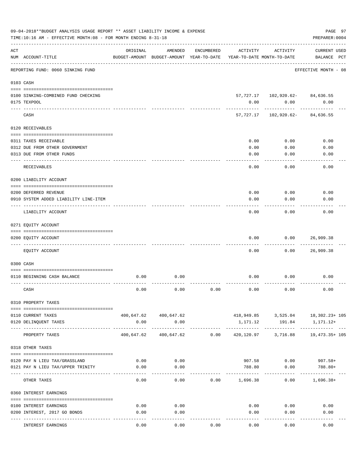|     | 09-04-2018**BUDGET ANALYSIS USAGE REPORT ** ASSET LIABILITY INCOME & EXPENSE<br>TIME:10:16 AM - EFFECTIVE MONTH:08 - FOR MONTH ENDING 8-31-18 |            |                                                     |            |                                        |                                         | PAGE 97<br>PREPARER: 0004                            |
|-----|-----------------------------------------------------------------------------------------------------------------------------------------------|------------|-----------------------------------------------------|------------|----------------------------------------|-----------------------------------------|------------------------------------------------------|
| ACT | NUM ACCOUNT-TITLE                                                                                                                             | ORIGINAL   | AMENDED<br>BUDGET-AMOUNT BUDGET-AMOUNT YEAR-TO-DATE | ENCUMBERED | ACTIVITY<br>YEAR-TO-DATE MONTH-TO-DATE | ACTIVITY                                | CURRENT USED<br>BALANCE PCT                          |
|     | REPORTING FUND: 0060 SINKING FUND                                                                                                             |            |                                                     |            |                                        |                                         | EFFECTIVE MONTH - 08                                 |
|     | 0103 CASH                                                                                                                                     |            |                                                     |            |                                        |                                         |                                                      |
|     | 0100 SINKING-COMBINED FUND CHECKING                                                                                                           |            |                                                     |            |                                        | 57, 727.17    102, 920.62    84, 636.55 |                                                      |
|     | 0175 TEXPOOL                                                                                                                                  |            |                                                     |            | 0.00                                   | 0.00                                    | 0.00                                                 |
|     | CASH                                                                                                                                          |            |                                                     |            |                                        | 57,727.17 102,920.62-                   | 84,636.55                                            |
|     | 0120 RECEIVABLES                                                                                                                              |            |                                                     |            |                                        |                                         |                                                      |
|     | 0311 TAXES RECEIVABLE                                                                                                                         |            |                                                     |            | 0.00                                   | 0.00                                    | 0.00                                                 |
|     | 0312 DUE FROM OTHER GOVERNMENT                                                                                                                |            |                                                     |            | 0.00                                   | 0.00                                    | 0.00                                                 |
|     | 0313 DUE FROM OTHER FUNDS                                                                                                                     |            |                                                     |            | 0.00                                   | 0.00                                    | 0.00                                                 |
|     | RECEIVABLES                                                                                                                                   |            |                                                     |            | 0.00                                   | 0.00                                    | 0.00                                                 |
|     | 0200 LIABILITY ACCOUNT                                                                                                                        |            |                                                     |            |                                        |                                         |                                                      |
|     | 0200 DEFERRED REVENUE                                                                                                                         |            |                                                     |            | 0.00                                   | 0.00                                    | 0.00                                                 |
|     | 0910 SYSTEM ADDED LIABILITY LINE-ITEM                                                                                                         |            |                                                     |            | 0.00                                   | 0.00                                    | 0.00                                                 |
|     | LIABILITY ACCOUNT                                                                                                                             |            |                                                     |            | 0.00                                   | 0.00                                    | 0.00                                                 |
|     | 0271 EQUITY ACCOUNT                                                                                                                           |            |                                                     |            |                                        |                                         |                                                      |
|     |                                                                                                                                               |            |                                                     |            |                                        |                                         |                                                      |
|     | 0200 EQUITY ACCOUNT                                                                                                                           |            |                                                     |            | 0.00                                   | 0.00                                    | 26,909.38                                            |
|     | EQUITY ACCOUNT                                                                                                                                |            |                                                     |            | 0.00                                   | 0.00                                    | 26,909.38                                            |
|     | 0300 CASH                                                                                                                                     |            |                                                     |            |                                        |                                         |                                                      |
|     |                                                                                                                                               |            |                                                     |            |                                        |                                         |                                                      |
|     | 0110 BEGINNING CASH BALANCE                                                                                                                   | 0.00       | 0.00                                                |            | 0.00                                   | 0.00                                    | 0.00                                                 |
|     | CASH                                                                                                                                          | 0.00       | 0.00                                                | 0.00       | 0.00                                   | 0.00                                    | 0.00                                                 |
|     | 0310 PROPERTY TAXES                                                                                                                           |            |                                                     |            |                                        |                                         |                                                      |
|     |                                                                                                                                               |            |                                                     |            |                                        |                                         |                                                      |
|     | 0110 CURRENT TAXES<br>0120 DELINQUENT TAXES                                                                                                   | 0.00       | 400,647.62 400,647.62<br>0.00                       |            | 1,171.12                               | 191.84                                  | $418,949.85$ $3,525.04$ $18,302.23+105$<br>1,171.12+ |
|     | PROPERTY TAXES                                                                                                                                | 400,647.62 | ______________________________<br>400,647.62        | 0.00       | 420,120.97                             | 3,716.88                                | 19,473.35+ 105                                       |
|     | 0318 OTHER TAXES                                                                                                                              |            |                                                     |            |                                        |                                         |                                                      |
|     |                                                                                                                                               |            |                                                     |            |                                        |                                         |                                                      |
|     | 0120 PAY N LIEU TAX/GRASSLAND                                                                                                                 | 0.00       | 0.00                                                |            |                                        | 907.58 0.00                             | $907.58+$                                            |
|     | 0121 PAY N LIEU TAX/UPPER TRINITY                                                                                                             | 0.00       | 0.00                                                |            | 788.80                                 | 0.00                                    | 788.80+                                              |
|     | OTHER TAXES                                                                                                                                   | 0.00       | 0.00                                                |            | $0.00$ 1,696.38                        | 0.00                                    | $1,696.38+$                                          |
|     | 0360 INTEREST EARNINGS                                                                                                                        |            |                                                     |            |                                        |                                         |                                                      |
|     | 0100 INTEREST EARNINGS                                                                                                                        | 0.00       | 0.00                                                |            |                                        | 0.00<br>0.00                            | 0.00                                                 |
|     | 0200 INTEREST, 2017 GO BONDS                                                                                                                  | 0.00       | 0.00                                                |            | 0.00                                   | 0.00                                    | 0.00                                                 |
|     |                                                                                                                                               |            |                                                     |            |                                        |                                         |                                                      |
|     | INTEREST EARNINGS                                                                                                                             | 0.00       | 0.00                                                | 0.00       | 0.00                                   | 0.00                                    | 0.00                                                 |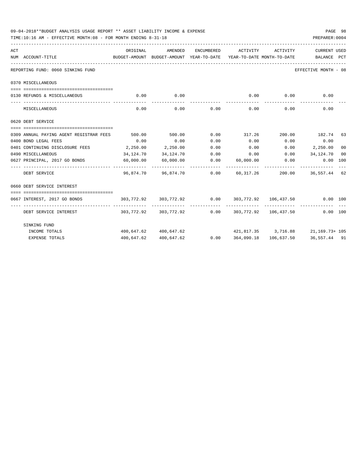|     | 09-04-2018**BUDGET ANALYSIS USAGE REPORT ** ASSET LIABILITY INCOME & EXPENSE<br>TIME:10:16 AM - EFFECTIVE MONTH:08 - FOR MONTH ENDING 8-31-18<br>PREPARER: 0004 |           |                       |            |                                                                         |              |                      |    |  |  |
|-----|-----------------------------------------------------------------------------------------------------------------------------------------------------------------|-----------|-----------------------|------------|-------------------------------------------------------------------------|--------------|----------------------|----|--|--|
| ACT |                                                                                                                                                                 | ORIGINAL  | AMENDED               | ENCUMBERED | ACTIVITY                                                                | ACTIVITY     | CURRENT USED         |    |  |  |
|     | NUM ACCOUNT-TITLE<br>BUDGET-AMOUNT BUDGET-AMOUNT YEAR-TO-DATE YEAR-TO-DATE MONTH-TO-DATE BALANCE PCT                                                            |           |                       |            |                                                                         |              |                      |    |  |  |
|     | REPORTING FUND: 0060 SINKING FUND                                                                                                                               |           |                       |            |                                                                         |              | EFFECTIVE MONTH - 08 |    |  |  |
|     | 0370 MISCELLANEOUS                                                                                                                                              |           |                       |            |                                                                         |              |                      |    |  |  |
|     | 0130 REFUNDS & MISCELLANEOUS                                                                                                                                    | 0.00      | 0.00                  |            | 0.00                                                                    | 0.00         | 0.00                 |    |  |  |
|     | MISCELLANEOUS                                                                                                                                                   | 0.00      | -----------<br>0.00   |            | $0.00$ 0.00                                                             | 0.00         | 0.00                 |    |  |  |
|     | 0620 DEBT SERVICE                                                                                                                                               |           |                       |            |                                                                         |              |                      |    |  |  |
|     |                                                                                                                                                                 |           |                       |            |                                                                         |              |                      |    |  |  |
|     | 0309 ANNUAL PAYING AGENT REGISTRAR FEES                                                                                                                         | 500.00    | 500.00                | 0.00       | 317.26 200.00 182.74 63                                                 |              |                      |    |  |  |
|     | 0400 BOND LEGAL FEES                                                                                                                                            | 0.00      | 0.00                  | 0.00       | 0.00                                                                    |              | $0.00$ 0.00          |    |  |  |
|     | 0401 CONTINUING DISCLOSURE FEES 2,250.00                                                                                                                        |           | 2,250.00              | 0.00       | 0.00                                                                    |              | $0.00$ 2,250.00      | 00 |  |  |
|     | 0490 MISCELLANEOUS                                                                                                                                              | 34,124.70 | 34,124.70             |            | $0.00$ 0.00                                                             |              | $0.00$ $34,124.70$   | 00 |  |  |
|     |                                                                                                                                                                 |           |                       |            |                                                                         | ------------ |                      |    |  |  |
|     | DEBT SERVICE                                                                                                                                                    |           |                       |            |                                                                         |              | 200.00 36,557.44 62  |    |  |  |
|     | 0660 DEBT SERVICE INTEREST                                                                                                                                      |           |                       |            |                                                                         |              |                      |    |  |  |
|     |                                                                                                                                                                 |           |                       |            |                                                                         |              |                      |    |  |  |
|     | 0667 INTEREST, 2017 GO BONDS                                                                                                                                    |           |                       |            | $303,772.92$ $303,772.92$ $0.00$ $303,772.92$ $106,437.50$ $0.00$ $100$ |              |                      |    |  |  |
|     | DEBT SERVICE INTEREST                                                                                                                                           |           |                       |            | $303,772.92$ $303,772.92$ $0.00$ $303,772.92$ $106,437.50$              |              | 0.00 100             |    |  |  |
|     | SINKING FUND                                                                                                                                                    |           |                       |            |                                                                         |              |                      |    |  |  |
|     | INCOME TOTALS                                                                                                                                                   |           | 400,647.62 400,647.62 |            | $421,817.35$ $3,716.88$ $21,169.73+105$                                 |              |                      |    |  |  |
|     | <b>EXPENSE TOTALS</b>                                                                                                                                           |           | 400,647.62 400,647.62 |            | $0.00$ $364,090.18$ $106,637.50$ $36,557.44$ $91$                       |              |                      |    |  |  |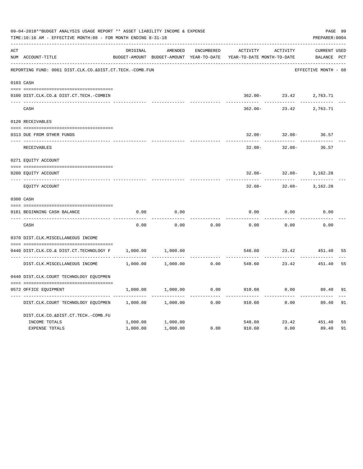|     | 09-04-2018**BUDGET ANALYSIS USAGE REPORT ** ASSET LIABILITY INCOME & EXPENSE<br>TIME:10:16 AM - EFFECTIVE MONTH:08 - FOR MONTH ENDING 8-31-18 |          |                                          |            |                            |           | PAGE 99<br>PREPARER: 0004 |    |
|-----|-----------------------------------------------------------------------------------------------------------------------------------------------|----------|------------------------------------------|------------|----------------------------|-----------|---------------------------|----|
| ACT |                                                                                                                                               | ORIGINAL | AMENDED                                  | ENCUMBERED | ACTIVITY                   | ACTIVITY  | <b>CURRENT USED</b>       |    |
|     | NUM ACCOUNT-TITLE                                                                                                                             |          | BUDGET-AMOUNT BUDGET-AMOUNT YEAR-TO-DATE |            | YEAR-TO-DATE MONTH-TO-DATE |           | BALANCE PCT               |    |
|     | REPORTING FUND: 0061 DIST.CLK.CO.&DIST.CT.TECH.-COMB.FUN                                                                                      |          |                                          |            |                            |           | EFFECTIVE MONTH - 08      |    |
|     | 0103 CASH                                                                                                                                     |          |                                          |            |                            |           |                           |    |
|     | 0100 DIST.CLK.CO.& DIST.CT.TECH.-COMBIN                                                                                                       |          |                                          |            | $362.00 -$                 | 23.42     | 2,763.71                  |    |
|     | CASH                                                                                                                                          |          |                                          |            | $362.00 -$                 | 23.42     | 2,763.71                  |    |
|     | 0120 RECEIVABLES                                                                                                                              |          |                                          |            |                            |           |                           |    |
|     | 0313 DUE FROM OTHER FUNDS                                                                                                                     |          |                                          |            | $32.08 -$                  | $32.08 -$ | 36.57                     |    |
|     | RECEIVABLES                                                                                                                                   |          |                                          |            | $32.08 -$                  | $32.08 -$ | 36.57                     |    |
|     | 0271 EQUITY ACCOUNT                                                                                                                           |          |                                          |            |                            |           |                           |    |
|     | 0200 EQUITY ACCOUNT                                                                                                                           |          |                                          |            | $32.08 -$                  | $32.08 -$ | 3,162.28                  |    |
|     | EQUITY ACCOUNT                                                                                                                                |          |                                          |            | $32.08 -$                  | $32.08 -$ | 3,162.28                  |    |
|     | 0300 CASH                                                                                                                                     |          |                                          |            |                            |           |                           |    |
|     | 0161 BEGINNING CASH BALANCE                                                                                                                   | 0.00     | 0.00                                     |            | 0.00                       | 0.00      | 0.00                      |    |
|     | CASH                                                                                                                                          | 0.00     | 0.00                                     | 0.00       | 0.00                       | 0.00      | 0.00                      |    |
|     | 0370 DIST.CLK.MISCELLANEOUS INCOME                                                                                                            |          |                                          |            |                            |           |                           |    |
|     | 0440 DIST.CLK.CO.& DIST.CT.TECHNOLOGY F                                                                                                       | 1,000.00 | 1,000.00                                 |            | 548.60                     | 23.42     | 451.40                    | 55 |
|     | DIST.CLK.MISCELLANEOUS INCOME                                                                                                                 | 1,000.00 | 1,000.00                                 | 0.00       | 548.60                     | 23.42     | 451.40                    | 55 |
|     | 0440 DIST.CLK.COURT TECHNOLOGY EQUIPMEN                                                                                                       |          |                                          |            |                            |           |                           |    |
|     | 0572 OFFICE EQUIPMENT                                                                                                                         | 1,000.00 | 1,000.00                                 | 0.00       | 910.60                     | 0.00      | 89.40                     | 91 |
|     | DIST.CLK.COURT TECHNOLOGY EQUIPMEN                                                                                                            | 1,000.00 | 1,000.00                                 | 0.00       | 910.60                     | 0.00      | 89.40                     | 91 |
|     | DIST.CLK.CO.&DIST.CT.TECH.-COMB.FU                                                                                                            |          |                                          |            |                            |           |                           |    |
|     | INCOME TOTALS                                                                                                                                 | 1,000.00 | 1,000.00                                 |            | 548.60                     | 23.42     | 451.40                    | 55 |
|     | EXPENSE TOTALS                                                                                                                                | 1,000.00 | 1,000.00                                 | 0.00       | 910.60                     | 0.00      | 89.40                     | 91 |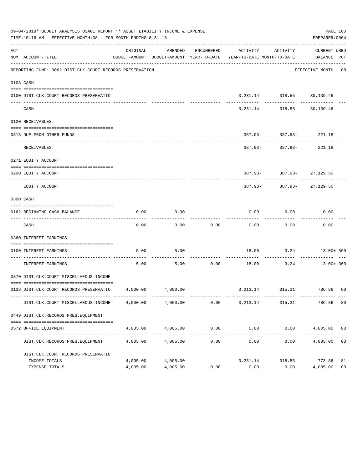|     | 09-04-2018**BUDGET ANALYSIS USAGE REPORT ** ASSET LIABILITY INCOME & EXPENSE<br>TIME:10:16 AM - EFFECTIVE MONTH:08 - FOR MONTH ENDING 8-31-18 |          |          |                                 |                                                                                                                 |                                             | PAGE 100<br>PREPARER: 0004 |                |
|-----|-----------------------------------------------------------------------------------------------------------------------------------------------|----------|----------|---------------------------------|-----------------------------------------------------------------------------------------------------------------|---------------------------------------------|----------------------------|----------------|
| ACT | NUM ACCOUNT-TITLE                                                                                                                             | ORIGINAL | AMENDED  |                                 | ENCUMBERED ACTIVITY ACTIVITY<br>BUDGET-AMOUNT BUDGET-AMOUNT YEAR-TO-DATE YEAR-TO-DATE MONTH-TO-DATE BALANCE PCT |                                             | CURRENT USED               |                |
|     | REPORTING FUND: 0062 DIST.CLK.COURT RECORDS PRESERVATION                                                                                      |          |          |                                 |                                                                                                                 |                                             | EFFECTIVE MONTH - 08       |                |
|     | 0103 CASH                                                                                                                                     |          |          |                                 |                                                                                                                 |                                             |                            |                |
|     | 0100 DIST.CLK.COURT RECORDS PRESERVATIO                                                                                                       |          |          |                                 |                                                                                                                 | 3, 231.14 318.55 30, 139.46                 |                            |                |
|     | CASH                                                                                                                                          |          |          |                                 | ---------                                                                                                       | ------------<br>3, 231.14 318.55 30, 139.46 | .                          |                |
|     | 0120 RECEIVABLES                                                                                                                              |          |          |                                 |                                                                                                                 |                                             |                            |                |
|     | 0313 DUE FROM OTHER FUNDS                                                                                                                     |          |          |                                 |                                                                                                                 |                                             |                            |                |
|     |                                                                                                                                               |          |          |                                 |                                                                                                                 | $387.93 - 387.93 - 221.18$                  |                            |                |
|     | RECEIVABLES                                                                                                                                   |          |          |                                 |                                                                                                                 | 387.93- 387.93- 221.18                      |                            |                |
|     | 0271 EQUITY ACCOUNT                                                                                                                           |          |          |                                 |                                                                                                                 |                                             |                            |                |
|     | 0200 EQUITY ACCOUNT                                                                                                                           |          |          |                                 |                                                                                                                 | 387.93- 387.93- 27,129.50                   |                            |                |
|     | EQUITY ACCOUNT                                                                                                                                |          |          |                                 |                                                                                                                 | 387.93- 387.93- 27,129.50                   |                            |                |
|     | 0300 CASH                                                                                                                                     |          |          |                                 |                                                                                                                 |                                             |                            |                |
|     | 0162 BEGINNING CASH BALANCE                                                                                                                   | 0.00     | 0.00     |                                 | 0.00                                                                                                            | 0.00                                        | 0.00                       |                |
|     | -------------------------------<br>CASH                                                                                                       | 0.00     |          | $0.00$ 0.00                     | 0.00                                                                                                            | 0.00                                        | 0.00                       |                |
|     | 0360 INTEREST EARNINGS                                                                                                                        |          |          |                                 |                                                                                                                 |                                             |                            |                |
|     | 0100 INTEREST EARNINGS                                                                                                                        | 5.00     | 5.00     |                                 |                                                                                                                 | 18.00 3.24 13.00+360                        |                            |                |
|     | ------------------- ------<br>INTEREST EARNINGS                                                                                               | 5.00     |          | ----------- ----<br>$5.00$ 0.00 |                                                                                                                 | ----------<br>18.00 3.24                    | 13.00+ 360                 |                |
|     | 0370 DIST.CLK.COURT MISCELLAEOUS INCOME                                                                                                       |          |          |                                 |                                                                                                                 |                                             |                            |                |
|     | 0133 DIST.CLK.COURT RECORDS PRESERVATIO 4,000.00 4,000.00                                                                                     |          |          |                                 |                                                                                                                 | 3, 213.14 315.31 786.86 80                  |                            |                |
|     | DIST.CLK.COURT MISCELLAEOUS INCOME 4,000.00                                                                                                   |          | 4,000.00 | 0.00                            | 3,213.14                                                                                                        | 315.31                                      | 786.86                     | 80             |
|     | 0449 DIST.CLK.RECORDS PRES.EQUIPMENT                                                                                                          |          |          |                                 |                                                                                                                 |                                             |                            |                |
|     | 0572 OFFICE EQUIPMENT                                                                                                                         | 4,005.00 | 4,005.00 | 0.00                            | 0.00                                                                                                            | 0.00                                        | 4,005.00 00                |                |
|     | DIST.CLK.RECORDS PRES.EQUIPMENT                                                                                                               | 4,005.00 | 4,005.00 | _____________<br>0.00           | ------------<br>0.00                                                                                            | -------------<br>0.00                       | --------------<br>4,005.00 | 0 <sub>0</sub> |
|     | DIST.CLK.COURT RECORDS PRESERVATIO                                                                                                            |          |          |                                 |                                                                                                                 |                                             |                            |                |
|     | INCOME TOTALS                                                                                                                                 | 4,005.00 | 4,005.00 |                                 | 3,231.14                                                                                                        | 318.55                                      | 773.86                     | 81             |
|     | EXPENSE TOTALS                                                                                                                                | 4,005.00 | 4,005.00 | 0.00                            | 0.00                                                                                                            | 0.00                                        | 4,005.00                   | 0 <sub>0</sub> |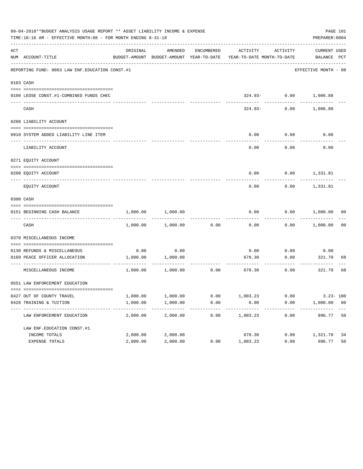|     | 09-04-2018**BUDGET ANALYSIS USAGE REPORT ** ASSET LIABILITY INCOME & EXPENSE<br>PAGE 101<br>TIME:10:16 AM - EFFECTIVE MONTH:08 - FOR MONTH ENDING 8-31-18<br>PREPARER: 0004 |          |                   |      |                                                                                                     |                          |                             |                |  |
|-----|-----------------------------------------------------------------------------------------------------------------------------------------------------------------------------|----------|-------------------|------|-----------------------------------------------------------------------------------------------------|--------------------------|-----------------------------|----------------|--|
| ACT | NUM ACCOUNT-TITLE                                                                                                                                                           | ORIGINAL | AMENDED           |      | ENCUMBERED ACTIVITY ACTIVITY<br>BUDGET-AMOUNT BUDGET-AMOUNT YEAR-TO-DATE YEAR-TO-DATE MONTH-TO-DATE |                          | CURRENT USED<br>BALANCE PCT |                |  |
|     | REPORTING FUND: 0063 LAW ENF. EDUCATION CONST.#1                                                                                                                            |          |                   |      |                                                                                                     |                          | EFFECTIVE MONTH - 08        |                |  |
|     | 0103 CASH                                                                                                                                                                   |          |                   |      |                                                                                                     |                          |                             |                |  |
|     | 0100 LEOSE CONST.#1-COMBINED FUNDS CHEC                                                                                                                                     |          |                   |      |                                                                                                     | 324.93- 0.00 1,006.88    |                             |                |  |
|     | CASH                                                                                                                                                                        |          |                   |      | 324.93-                                                                                             | ------------<br>0.00     | 1,006.88                    |                |  |
|     | 0200 LIABILITY ACCOUNT                                                                                                                                                      |          |                   |      |                                                                                                     |                          |                             |                |  |
|     | 0910 SYSTEM ADDED LIABILITY LINE ITEM                                                                                                                                       |          |                   |      | 0.00                                                                                                | 0.00                     | 0.00                        |                |  |
|     | LIABILITY ACCOUNT                                                                                                                                                           |          |                   |      | 0.00                                                                                                | 0.00                     | 0.00                        |                |  |
|     | 0271 EOUITY ACCOUNT                                                                                                                                                         |          |                   |      |                                                                                                     |                          |                             |                |  |
|     | 0200 EQUITY ACCOUNT                                                                                                                                                         |          |                   |      |                                                                                                     | $0.00$ $0.00$ $1,331.81$ |                             |                |  |
|     | EOUITY ACCOUNT                                                                                                                                                              |          |                   |      | 0.00                                                                                                | 0.00                     | 1,331.81                    |                |  |
|     | 0300 CASH                                                                                                                                                                   |          |                   |      |                                                                                                     |                          |                             |                |  |
|     | 0151 BEGINNING CASH BALANCE                                                                                                                                                 | 1,000.00 | 1,000.00          |      | 0.00                                                                                                | 0.00                     | 1,000.00 00                 |                |  |
|     | CASH                                                                                                                                                                        | 1,000.00 | 1,000.00          | 0.00 | 0.00                                                                                                |                          | $0.00$ 1,000.00             | 0 <sub>0</sub> |  |
|     | 0370 MISCELLANEOUS INCOME                                                                                                                                                   |          |                   |      |                                                                                                     |                          |                             |                |  |
|     | 0130 REFUNDS & MISCELLANEOUS                                                                                                                                                | 0.00     | 0.00              |      | 0.00                                                                                                | 0.00                     | 0.00                        |                |  |
|     | 0160 PEACE OFFICER ALLOCATION                                                                                                                                               | 1,000.00 | 1,000.00          |      | 678.30                                                                                              | 0.00<br>-----------      | 321.70                      | 68             |  |
|     | MISCELLANEOUS INCOME                                                                                                                                                        |          | 1,000.00 1,000.00 | 0.00 | 678.30                                                                                              | 0.00                     | 321.70                      | 68             |  |
|     | 0551 LAW ENFORCEMENT EDUCATION                                                                                                                                              |          |                   |      |                                                                                                     |                          |                             |                |  |
|     | 0427 OUT OF COUNTY TRAVEL                                                                                                                                                   | 1,000.00 | 1,000.00          | 0.00 | 1,003.23                                                                                            | 0.00                     | $3.23 - 100$                |                |  |
|     | 0428 TRAINING & TUITION                                                                                                                                                     | 1,000.00 | 1,000.00          | 0.00 | 0.00                                                                                                | 0.00                     | 1,000.00 00                 |                |  |
|     | LAW ENFORCEMENT EDUCATION                                                                                                                                                   | 2,000.00 | 2,000.00          | 0.00 | ---------<br>1,003.23                                                                               | 0.00                     | 996.77                      | 50             |  |
|     | LAW ENF. EDUCATION CONST. #1                                                                                                                                                |          |                   |      |                                                                                                     |                          |                             |                |  |
|     | INCOME TOTALS                                                                                                                                                               | 2,000.00 | 2,000.00          |      | 678.30                                                                                              | 0.00                     | 1,321.70                    | 34             |  |
|     | EXPENSE TOTALS                                                                                                                                                              | 2,000.00 | 2,000.00          | 0.00 | 1,003.23                                                                                            | 0.00                     | 996.77                      | 50             |  |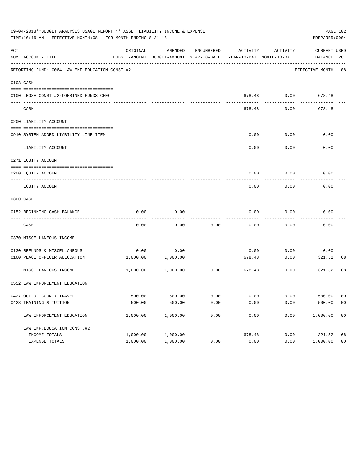|     | 09-04-2018**BUDGET ANALYSIS USAGE REPORT ** ASSET LIABILITY INCOME & EXPENSE<br>TIME:10:16 AM - EFFECTIVE MONTH:08 - FOR MONTH ENDING 8-31-18 |          |                                                     |            |                                       |                    | PREPARER: 0004                                         | PAGE 102       |
|-----|-----------------------------------------------------------------------------------------------------------------------------------------------|----------|-----------------------------------------------------|------------|---------------------------------------|--------------------|--------------------------------------------------------|----------------|
| ACT | NUM ACCOUNT-TITLE                                                                                                                             | ORIGINAL | AMENDED<br>BUDGET-AMOUNT BUDGET-AMOUNT YEAR-TO-DATE | ENCUMBERED | ACTIVITY                              | ACTIVITY           | CURRENT USED<br>YEAR-TO-DATE MONTH-TO-DATE BALANCE PCT |                |
|     | REPORTING FUND: 0064 LAW ENF. EDUCATION CONST. #2                                                                                             |          |                                                     |            |                                       |                    | EFFECTIVE MONTH - 08                                   |                |
|     | 0103 CASH                                                                                                                                     |          |                                                     |            |                                       |                    |                                                        |                |
|     | 0100 LEOSE CONST.#2-COMBINED FUNDS CHEC                                                                                                       |          |                                                     |            |                                       |                    | 678.48 0.00 678.48                                     |                |
|     | CASH                                                                                                                                          |          |                                                     |            | 678.48                                | 0.00               | 678.48                                                 |                |
|     | 0200 LIABILITY ACCOUNT                                                                                                                        |          |                                                     |            |                                       |                    |                                                        |                |
|     | 0910 SYSTEM ADDED LIABILITY LINE ITEM                                                                                                         |          |                                                     |            | 0.00                                  | 0.00               | 0.00                                                   |                |
|     | LIABILITY ACCOUNT                                                                                                                             |          |                                                     |            | 0.00                                  | 0.00               | 0.00                                                   |                |
|     | 0271 EQUITY ACCOUNT                                                                                                                           |          |                                                     |            |                                       |                    |                                                        |                |
|     | 0200 EQUITY ACCOUNT                                                                                                                           |          |                                                     |            |                                       |                    | $0.00$ $0.00$ $0.00$                                   |                |
|     | EQUITY ACCOUNT                                                                                                                                |          |                                                     |            | 0.00                                  | 0.00               | 0.00                                                   |                |
|     | 0300 CASH                                                                                                                                     |          |                                                     |            |                                       |                    |                                                        |                |
|     | 0152 BEGINNING CASH BALANCE                                                                                                                   | 0.00     | 0.00                                                |            | 0.00                                  | 0.00               | 0.00                                                   |                |
|     | CASH                                                                                                                                          | 0.00     | 0.00                                                | 0.00       | 0.00                                  | -------<br>0.00    | 0.00                                                   |                |
|     | 0370 MISCELLANEOUS INCOME                                                                                                                     |          |                                                     |            |                                       |                    |                                                        |                |
|     | 0130 REFUNDS & MISCELLANEOUS                                                                                                                  |          | $0.00$ 0.00                                         |            | 0.00                                  | 0.00               | 0.00                                                   |                |
|     | 0160 PEACE OFFICER ALLOCATION                                                                                                                 |          | 1,000.00 1,000.00                                   |            | 678.48<br>------------- ------------- | 0.00<br>---------- | 321.52<br>---------                                    | 68             |
|     | MISCELLANEOUS INCOME                                                                                                                          |          | 1,000.00 1,000.00                                   | 0.00       |                                       | 678.48<br>0.00     | 321.52                                                 | 68             |
|     | 0552 LAW ENFORCEMENT EDUCATION                                                                                                                |          |                                                     |            |                                       |                    |                                                        |                |
|     | 0427 OUT OF COUNTY TRAVEL                                                                                                                     | 500.00   | 500.00                                              | 0.00       | 0.00                                  | 0.00               | 500.00                                                 | 00             |
|     | 0428 TRAINING & TUITION                                                                                                                       | 500.00   | 500.00                                              | 0.00       | 0.00                                  | 0.00               | 500.00                                                 | 0 <sub>0</sub> |
|     | LAW ENFORCEMENT EDUCATION                                                                                                                     | 1,000.00 | 1,000.00                                            | 0.00       | 0.00                                  | 0.00               | 1,000.00                                               | 00             |
|     | LAW ENF. EDUCATION CONST. #2                                                                                                                  |          |                                                     |            |                                       |                    |                                                        |                |
|     | INCOME TOTALS                                                                                                                                 | 1,000.00 | 1,000.00                                            |            | 678.48                                | 0.00               | 321.52                                                 | 68             |
|     | EXPENSE TOTALS                                                                                                                                | 1,000.00 | 1,000.00                                            | 0.00       | 0.00                                  | 0.00               | 1,000.00                                               | 0 <sub>0</sub> |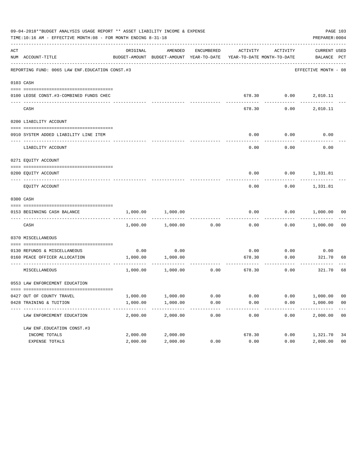|     | 09-04-2018**BUDGET ANALYSIS USAGE REPORT ** ASSET LIABILITY INCOME & EXPENSE<br>TIME:10:16 AM - EFFECTIVE MONTH:08 - FOR MONTH ENDING 8-31-18 |          |                                                     |                                       |          |                                        | PREPARER: 0004              | PAGE 103       |
|-----|-----------------------------------------------------------------------------------------------------------------------------------------------|----------|-----------------------------------------------------|---------------------------------------|----------|----------------------------------------|-----------------------------|----------------|
| ACT | NUM ACCOUNT-TITLE                                                                                                                             | ORIGINAL | AMENDED<br>BUDGET-AMOUNT BUDGET-AMOUNT YEAR-TO-DATE | ENCUMBERED                            | ACTIVITY | ACTIVITY<br>YEAR-TO-DATE MONTH-TO-DATE | CURRENT USED<br>BALANCE PCT |                |
|     | REPORTING FUND: 0065 LAW ENF. EDUCATION CONST.#3                                                                                              |          |                                                     |                                       |          |                                        | EFFECTIVE MONTH - 08        |                |
|     | 0103 CASH                                                                                                                                     |          |                                                     |                                       |          |                                        |                             |                |
|     | 0100 LEOSE CONST.#3-COMBINED FUNDS CHEC                                                                                                       |          |                                                     |                                       |          |                                        | 678.30   0.00   2,010.11    |                |
|     | CASH                                                                                                                                          |          |                                                     |                                       | 678.30   | 0.00                                   | 2,010.11                    |                |
|     | 0200 LIABILITY ACCOUNT                                                                                                                        |          |                                                     |                                       |          |                                        |                             |                |
|     | 0910 SYSTEM ADDED LIABILITY LINE ITEM                                                                                                         |          |                                                     |                                       | 0.00     | 0.00                                   | 0.00                        |                |
|     | LIABILITY ACCOUNT                                                                                                                             |          |                                                     |                                       | 0.00     | 0.00                                   | 0.00                        |                |
|     | 0271 EQUITY ACCOUNT                                                                                                                           |          |                                                     |                                       |          |                                        |                             |                |
|     | 0200 EQUITY ACCOUNT                                                                                                                           |          |                                                     |                                       |          |                                        | $0.00$ $0.00$ $1,331.81$    |                |
|     | EQUITY ACCOUNT                                                                                                                                |          |                                                     |                                       | 0.00     |                                        | $0.00$ 1,331.81             |                |
|     | 0300 CASH                                                                                                                                     |          |                                                     |                                       |          |                                        |                             |                |
|     | 0153 BEGINNING CASH BALANCE                                                                                                                   | 1,000.00 | 1,000.00                                            |                                       | 0.00     |                                        | $0.00$ $1,000.00$ 00        |                |
|     | CASH                                                                                                                                          |          | 1,000.00 1,000.00                                   | 0.00                                  | 0.00     |                                        | $0.00$ 1,000.00             | 00             |
|     | 0370 MISCELLANEOUS                                                                                                                            |          |                                                     |                                       |          |                                        |                             |                |
|     | 0130 REFUNDS & MISCELLANEOUS                                                                                                                  |          | $0.00$ 0.00                                         |                                       | 0.00     | 0.00                                   | 0.00                        |                |
|     | 0160 PEACE OFFICER ALLOCATION                                                                                                                 |          | 1,000.00 1,000.00                                   | ----------- ------------ ------------ | 678.30   | 0.00<br>-----------                    | 321.70<br>----------        | 68             |
|     | MISCELLANEOUS                                                                                                                                 |          | 1,000.00 1,000.00                                   | 0.00                                  |          | 678.30<br>0.00                         | 321.70                      | 68             |
|     | 0553 LAW ENFORCEMENT EDUCATION                                                                                                                |          |                                                     |                                       |          |                                        |                             |                |
|     | 0427 OUT OF COUNTY TRAVEL                                                                                                                     | 1,000.00 | 1,000.00                                            | 0.00                                  | 0.00     | 0.00                                   | 1,000.00                    | 00             |
|     | 0428 TRAINING & TUITION                                                                                                                       | 1,000.00 | 1,000.00                                            | 0.00                                  | 0.00     | 0.00                                   | 1,000.00                    | 0 <sub>0</sub> |
|     | LAW ENFORCEMENT EDUCATION                                                                                                                     | 2,000.00 | 2,000.00                                            | 0.00                                  | 0.00     | 0.00                                   | 2,000.00                    | 0 <sub>0</sub> |
|     | LAW ENF. EDUCATION CONST. #3                                                                                                                  |          |                                                     |                                       |          |                                        |                             |                |
|     | INCOME TOTALS                                                                                                                                 | 2,000.00 | 2,000.00                                            |                                       | 678.30   | 0.00                                   | 1,321.70                    | 34             |
|     | EXPENSE TOTALS                                                                                                                                | 2,000.00 | 2,000.00                                            | 0.00                                  | 0.00     | 0.00                                   | 2,000.00                    | 0 <sub>0</sub> |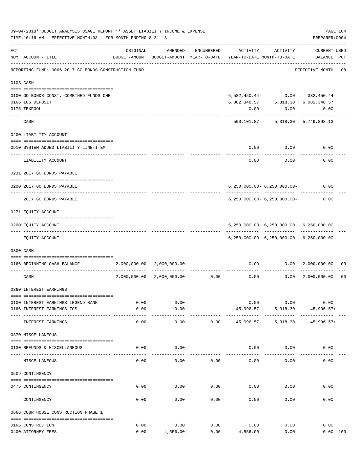|     | 09-04-2018**BUDGET ANALYSIS USAGE REPORT ** ASSET LIABILITY INCOME & EXPENSE<br>TIME:10:16 AM - EFFECTIVE MONTH:08 - FOR MONTH ENDING 8-31-18 |               |                           |                               |                                                                     |                                                                                                                                           | PAGE 104<br>PREPARER: 0004                                                       |                |
|-----|-----------------------------------------------------------------------------------------------------------------------------------------------|---------------|---------------------------|-------------------------------|---------------------------------------------------------------------|-------------------------------------------------------------------------------------------------------------------------------------------|----------------------------------------------------------------------------------|----------------|
| ACT | NUM ACCOUNT-TITLE                                                                                                                             | ORIGINAL      | AMENDED                   | ENCUMBERED                    | BUDGET-AMOUNT BUDGET-AMOUNT YEAR-TO-DATE YEAR-TO-DATE MONTH-TO-DATE | ACTIVITY ACTIVITY                                                                                                                         | CURRENT USED<br>BALANCE PCT                                                      |                |
|     | REPORTING FUND: 0066 2017 GO BONDS-CONSTRUCTION FUND                                                                                          |               |                           |                               |                                                                     |                                                                                                                                           | EFFECTIVE MONTH - 08                                                             |                |
|     | 0103 CASH                                                                                                                                     |               |                           |                               |                                                                     |                                                                                                                                           |                                                                                  |                |
|     | 0100 GO BONDS CONST. - COMBINED FUNDS CHE<br>0166 ICS DEPOSIT                                                                                 |               |                           |                               |                                                                     | $\begin{array}{cccc} 6 \, , 082 \, , 348 \, . \, 57 & \qquad & 5 \, , 318 \, . \, 30 & \qquad 6 \, , 082 \, , 348 \, . \, 57 \end{array}$ | $6\,, 582\,, 450\,.\,44 - \qquad \qquad 0\,.00 \qquad \quad 332\,, 450\,.\,44 -$ |                |
|     | 0175 TEXPOOL                                                                                                                                  |               |                           |                               | 0.00                                                                | 0.00                                                                                                                                      | 0.00                                                                             |                |
|     | CASH                                                                                                                                          |               |                           |                               |                                                                     | 500, 101.87 - 5, 318.30 5, 749, 898.13                                                                                                    |                                                                                  |                |
|     | 0200 LIABILITY ACCOUNT                                                                                                                        |               |                           |                               |                                                                     |                                                                                                                                           |                                                                                  |                |
|     | 0910 SYSTEM ADDED LIABILITY LINE-ITEM<br>----------------------------------                                                                   |               |                           |                               | 0.00<br>$- - - - -$                                                 | 0.00<br>---------                                                                                                                         | 0.00                                                                             |                |
|     | LIABILITY ACCOUNT                                                                                                                             |               |                           |                               | 0.00                                                                | 0.00                                                                                                                                      | 0.00                                                                             |                |
|     | 0231 2017 GO BONDS PAYABLE                                                                                                                    |               |                           |                               |                                                                     |                                                                                                                                           |                                                                                  |                |
|     | 0200 2017 GO BONDS PAYABLE                                                                                                                    |               |                           |                               |                                                                     | $6, 250, 000.00 - 6, 250, 000.00 -$                                                                                                       | 0.00                                                                             |                |
|     | 2017 GO BONDS PAYABLE                                                                                                                         |               |                           |                               |                                                                     | 6,250,000.00- 6,250,000.00-                                                                                                               | 0.00                                                                             |                |
|     | 0271 EQUITY ACCOUNT                                                                                                                           |               |                           |                               |                                                                     |                                                                                                                                           |                                                                                  |                |
|     | 0200 EQUITY ACCOUNT                                                                                                                           |               |                           |                               |                                                                     | 6,250,000.00 6,250,000.00 6,250,000.00                                                                                                    | -------------                                                                    |                |
|     | EQUITY ACCOUNT                                                                                                                                |               |                           |                               |                                                                     | 6,250,000.00 6,250,000.00 6,250,000.00                                                                                                    |                                                                                  |                |
|     | 0300 CASH                                                                                                                                     |               |                           |                               |                                                                     |                                                                                                                                           |                                                                                  |                |
|     | 0166 BEGINNING CASH BALANCE                                                                                                                   |               | 2,000,000.00 2,000,000.00 |                               |                                                                     |                                                                                                                                           | $0.00$ $0.00$ $2,000,000.00$                                                     | 00             |
|     | CASH                                                                                                                                          | 2,000,000.00  |                           | ----------------------------- | $2,000,000.00$ $0.00$ $0.00$ $0.00$ $0.00$ $2,000,000.00$           | -----------                                                                                                                               |                                                                                  | 0 <sub>0</sub> |
|     | 0360 INTEREST EARNINGS                                                                                                                        |               |                           |                               |                                                                     |                                                                                                                                           |                                                                                  |                |
|     | 0100 INTEREST EARNINGS LEGEND BANK                                                                                                            | 0.00          | 0.00                      |                               | 0.00                                                                | 0.00                                                                                                                                      | 0.00                                                                             |                |
|     | 0166 INTEREST EARNINGS ICS                                                                                                                    | 0.00<br>----- | 0.00<br>$- - - - - -$     |                               | 45,996.57<br>------------                                           | 5,318.30<br>.                                                                                                                             | 45,996.57+                                                                       |                |
|     | INTEREST EARNINGS                                                                                                                             | 0.00          | 0.00                      | 0.00                          | 45,996.57                                                           | 5,318.30                                                                                                                                  | 45,996.57+                                                                       |                |
|     | 0370 MISCELLANEOUS                                                                                                                            |               |                           |                               |                                                                     |                                                                                                                                           |                                                                                  |                |
|     | 0130 REFUNDS & MISCELLANEOUS                                                                                                                  | 0.00          | 0.00                      |                               |                                                                     | $0.00$ 0.00                                                                                                                               | 0.00                                                                             |                |
|     | MISCELLANEOUS                                                                                                                                 | 0.00          | 0.00                      | 0.00                          | 0.00                                                                | 0.00                                                                                                                                      | 0.00                                                                             |                |
|     | 0509 CONTINGENCY                                                                                                                              |               |                           |                               |                                                                     |                                                                                                                                           |                                                                                  |                |
|     | 0475 CONTINGENCY                                                                                                                              | 0.00          | 0.00                      | 0.00                          | 0.00                                                                | 0.00                                                                                                                                      | 0.00                                                                             |                |
|     | CONTINGENCY                                                                                                                                   | 0.00          | 0.00                      | 0.00                          | 0.00                                                                | 0.00                                                                                                                                      | 0.00                                                                             |                |
|     | 0666 COURTHOUSE CONSTRUCTION PHASE 1                                                                                                          |               |                           |                               |                                                                     |                                                                                                                                           |                                                                                  |                |
|     | 0165 CONSTRUCTION                                                                                                                             | 0.00          | 0.00                      | 0.00                          | 0.00                                                                | 0.00                                                                                                                                      | 0.00                                                                             |                |
|     | 0400 ATTORNEY FEES                                                                                                                            | 0.00          | 4,556.00                  | 0.00                          | 4,556.00                                                            | 0.00                                                                                                                                      | 0.00 100                                                                         |                |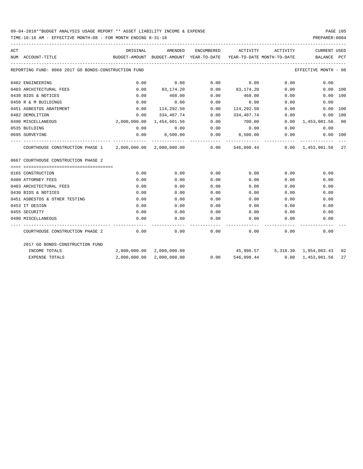# 09-04-2018\*\*BUDGET ANALYSIS USAGE REPORT \*\* ASSET LIABILITY INCOME & EXPENSE PAGE 105

TIME:10:16 AM - EFFECTIVE MONTH:08 - FOR MONTH ENDING 8-31-18 PREPARER:0004

| ACT |                                                                                                  | ORIGINAL                                 | AMENDED                   |      | ENCUMBERED ACTIVITY        | ACTIVITY | CURRENT USED                       |          |
|-----|--------------------------------------------------------------------------------------------------|------------------------------------------|---------------------------|------|----------------------------|----------|------------------------------------|----------|
|     | NUM ACCOUNT-TITLE                                                                                | BUDGET-AMOUNT BUDGET-AMOUNT YEAR-TO-DATE |                           |      | YEAR-TO-DATE MONTH-TO-DATE |          | BALANCE PCT                        |          |
|     | REPORTING FUND: 0066 2017 GO BONDS-CONSTRUCTION FUND                                             |                                          |                           |      |                            |          | EFFECTIVE MONTH - 08               |          |
|     | 0402 ENGINEERING                                                                                 | 0.00                                     | 0.00                      | 0.00 | 0.00                       | 0.00     | 0.00                               |          |
|     | 0403 ARCHITECTURAL FEES                                                                          | 0.00                                     | 83,174.20                 |      | $0.00$ $83,174.20$         |          | 0.00                               | 0.00 100 |
|     | 0430 BIDS & NOTICES                                                                              | 0.00                                     | 468.00                    | 0.00 | 468.00                     |          | 0.00                               | 0.00 100 |
|     | 0450 R & M BUILDINGS                                                                             | 0.00                                     | 0.00                      | 0.00 | 0.00                       | 0.00     | 0.00                               |          |
|     | 0451 ASBESTOS ABATEMENT                                                                          | 0.00                                     | 114,292.50                | 0.00 | 114,292.50                 | 0.00     |                                    | 0.00 100 |
|     | 0482 DEMOLITION                                                                                  | 0.00                                     | 334,407.74                | 0.00 | 334,407.74                 | 0.00     |                                    | 0.00 100 |
|     | 0490 MISCELLANEOUS                                                                               | 2,000,000.00                             | 1,454,601.56              | 0.00 | 700.00                     |          | $0.00 \quad 1,453,901.56 \quad 00$ |          |
|     | 0535 BUILDING                                                                                    | 0.00                                     | 0.00                      | 0.00 | 0.00                       |          | 0.00<br>0.00                       |          |
|     | 0695 SURVEYING                                                                                   | 0.00                                     | 8,500.00                  |      | $0.00$ 8,500.00            |          | $0.00$ $0.00$ $100$                |          |
|     | COURTHOUSE CONSTRUCTION PHASE 1 2,000,000.00 2,000,000.00 000.00 546,098.44 0.00 1,453,901.56 27 |                                          |                           |      |                            |          | -------------                      |          |
|     | 0667 COURTHOUSE CONSTRUCTION PHASE 2                                                             |                                          |                           |      |                            |          |                                    |          |
|     |                                                                                                  |                                          |                           |      |                            |          |                                    |          |
|     | 0165 CONSTRUCTION                                                                                | 0.00                                     | 0.00                      | 0.00 | 0.00                       | 0.00     | 0.00                               |          |
|     | 0400 ATTORNEY FEES                                                                               | 0.00                                     | 0.00                      | 0.00 | 0.00                       | 0.00     | 0.00                               |          |
|     | 0403 ARCHITECTURAL FEES                                                                          | 0.00                                     | 0.00                      | 0.00 | 0.00                       | 0.00     | 0.00                               |          |
|     | 0430 BIDS & NOTICES                                                                              | 0.00                                     | 0.00                      | 0.00 | 0.00                       | 0.00     | 0.00                               |          |
|     | 0451 ASBESTOS & OTHER TESTING                                                                    | 0.00                                     | 0.00                      | 0.00 | 0.00                       | 0.00     | 0.00                               |          |
|     | 0453 IT DESIGN                                                                                   | 0.00                                     | 0.00                      | 0.00 | 0.00                       | 0.00     | 0.00                               |          |
|     | 0455 SECURITY                                                                                    | 0.00                                     | 0.00                      | 0.00 | 0.00                       | 0.00     | 0.00                               |          |
|     | 0490 MISCELLANEOUS                                                                               | 0.00                                     | 0.00                      | 0.00 | 0.00                       | 0.00     | 0.00                               |          |
|     | COURTHOUSE CONSTRUCTION PHASE 2                                                                  | 0.00                                     | 0.00                      | 0.00 |                            | 0.00     | 0.00<br>0.00                       |          |
|     | 2017 GO BONDS-CONSTRUCTION FUND                                                                  |                                          |                           |      |                            |          |                                    |          |
|     | INCOME TOTALS                                                                                    |                                          | 2,000,000.00 2,000,000.00 |      |                            |          | 45,996.57 5,318.30 1,954,003.43 02 |          |
|     | <b>EXPENSE TOTALS</b>                                                                            |                                          | 2,000,000.00 2,000,000.00 | 0.00 | 546,098.44                 |          | $0.00 \quad 1.453.901.56$          | 27       |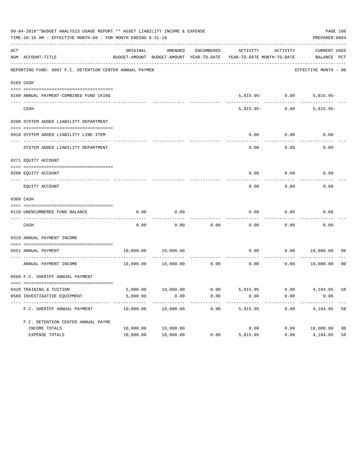| 09-04-2018**BUDGET ANALYSIS USAGE REPORT ** ASSET LIABILITY INCOME & EXPENSE<br>PAGE 106<br>TIME:10:16 AM - EFFECTIVE MONTH:08 - FOR MONTH ENDING 8-31-18<br>PREPARER: 0004 |                                                          |           |           |            |                                                                                 |                   |                             |                |  |  |
|-----------------------------------------------------------------------------------------------------------------------------------------------------------------------------|----------------------------------------------------------|-----------|-----------|------------|---------------------------------------------------------------------------------|-------------------|-----------------------------|----------------|--|--|
| ACT                                                                                                                                                                         | NUM ACCOUNT-TITLE                                        | ORIGINAL  | AMENDED   | ENCUMBERED | ACTIVITY<br>BUDGET-AMOUNT BUDGET-AMOUNT YEAR-TO-DATE YEAR-TO-DATE MONTH-TO-DATE | ACTIVITY          | CURRENT USED<br>BALANCE PCT |                |  |  |
|                                                                                                                                                                             | REPORTING FUND: 0067 F.C. DETENTION CENTER ANNUAL PAYMEN |           |           |            |                                                                                 |                   | EFFECTIVE MONTH - 08        |                |  |  |
|                                                                                                                                                                             | 0103 CASH                                                |           |           |            |                                                                                 |                   |                             |                |  |  |
|                                                                                                                                                                             | 0100 ANNUAL PAYMENT-COMBINED FUND CKING                  |           |           |            |                                                                                 | $5,815.95 - 0.00$ | $5,815.95-$                 |                |  |  |
|                                                                                                                                                                             | CASH                                                     |           |           |            | $5.815.95 -$                                                                    | 0.00              | $5,815.95-$                 |                |  |  |
|                                                                                                                                                                             | 0200 SYSTEM ADDED LIABILITY DEPARTMENT                   |           |           |            |                                                                                 |                   |                             |                |  |  |
|                                                                                                                                                                             | 0910 SYSTEM ADDED LIABILITY LINE-ITEM                    |           |           |            | 0.00                                                                            | 0.00              | 0.00                        |                |  |  |
|                                                                                                                                                                             | SYSTEM ADDED LIABILITY DEPARTMENT                        |           |           |            | 0.00                                                                            | 0.00              | 0.00                        |                |  |  |
|                                                                                                                                                                             | 0271 EQUITY ACCOUNT                                      |           |           |            |                                                                                 |                   |                             |                |  |  |
|                                                                                                                                                                             | 0200 EQUITY ACCOUNT                                      |           |           |            | 0.00                                                                            | 0.00              | 0.00                        |                |  |  |
|                                                                                                                                                                             | EQUITY ACCOUNT                                           |           |           |            | 0.00                                                                            | 0.00              | 0.00                        |                |  |  |
|                                                                                                                                                                             | 0300 CASH                                                |           |           |            |                                                                                 |                   |                             |                |  |  |
|                                                                                                                                                                             | 0110 UNENCUMBERED FUND BALANCE                           | 0.00      | 0.00      |            | 0.00                                                                            | 0.00              | 0.00                        |                |  |  |
|                                                                                                                                                                             | CASH                                                     | 0.00      | 0.00      | 0.00       | 0.00                                                                            | 0.00              | 0.00                        |                |  |  |
|                                                                                                                                                                             | 0319 ANNUAL PAYMENT INCOME                               |           |           |            |                                                                                 |                   |                             |                |  |  |
|                                                                                                                                                                             | 0551 ANNUAL PAYMENT                                      | 10,000.00 | 10,000.00 |            | 0.00                                                                            | 0.00              | 10,000.00                   | 00             |  |  |
|                                                                                                                                                                             | ---------------- -<br>ANNUAL PAYMENT INCOME              | 10,000.00 | 10,000.00 | 0.00       | 0.00                                                                            | 0.00              | 10,000.00                   | 0 <sub>0</sub> |  |  |
|                                                                                                                                                                             | 0560 F.C. SHERIFF ANNUAL PAYMENT                         |           |           |            |                                                                                 |                   |                             |                |  |  |
|                                                                                                                                                                             | 0428 TRAINING & TUITION                                  |           |           |            | 5,000.00 10,000.00 0.00 5,815.95 0.00 4,184.05                                  |                   |                             | 58             |  |  |
|                                                                                                                                                                             | 0580 INVESTIGATIVE EQUIPMENT                             | 5,000.00  | 0.00      | 0.00       | 0.00                                                                            | 0.00              | 0.00                        |                |  |  |
|                                                                                                                                                                             | F.C. SHERIFF ANNUAL PAYMENT                              | 10,000.00 | 10,000.00 | 0.00       | 5,815.95                                                                        | 0.00              | 4,184.05                    | 58             |  |  |
|                                                                                                                                                                             | F.C. DETENTION CENTER ANNUAL PAYME                       |           |           |            |                                                                                 |                   |                             |                |  |  |
|                                                                                                                                                                             | INCOME TOTALS                                            | 10,000.00 | 10,000.00 |            | 0.00                                                                            | 0.00              | 10,000.00                   | 0 <sub>0</sub> |  |  |
|                                                                                                                                                                             | EXPENSE TOTALS                                           | 10,000.00 | 10,000.00 | 0.00       | 5,815.95                                                                        | 0.00              | 4,184.05                    | 58             |  |  |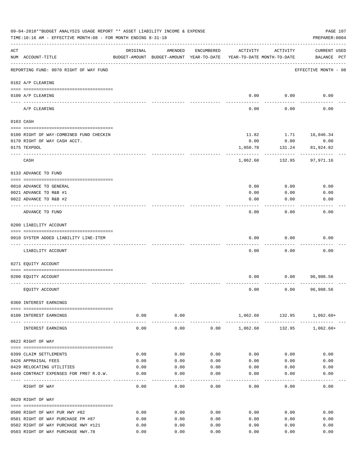| 09-04-2018**BUDGET ANALYSIS USAGE REPORT ** ASSET LIABILITY INCOME & EXPENSE<br>TIME:10:16 AM - EFFECTIVE MONTH:08 - FOR MONTH ENDING 8-31-18<br>PREPARER: 0004 |                                         |          |                                                     |            |                                        |              |                                    |  |
|-----------------------------------------------------------------------------------------------------------------------------------------------------------------|-----------------------------------------|----------|-----------------------------------------------------|------------|----------------------------------------|--------------|------------------------------------|--|
| ACT                                                                                                                                                             | NUM ACCOUNT-TITLE                       | ORIGINAL | AMENDED<br>BUDGET-AMOUNT BUDGET-AMOUNT YEAR-TO-DATE | ENCUMBERED | ACTIVITY<br>YEAR-TO-DATE MONTH-TO-DATE | ACTIVITY     | <b>CURRENT USED</b><br>BALANCE PCT |  |
|                                                                                                                                                                 | REPORTING FUND: 0070 RIGHT OF WAY FUND  |          |                                                     |            |                                        |              | EFFECTIVE MONTH - 08               |  |
|                                                                                                                                                                 | 0102 A/P CLEARING                       |          |                                                     |            |                                        |              |                                    |  |
|                                                                                                                                                                 | 0100 A/P CLEARING                       |          |                                                     |            | 0.00                                   | 0.00         | 0.00                               |  |
|                                                                                                                                                                 | ---- ---------<br>A/P CLEARING          |          |                                                     |            | 0.00                                   | 0.00         | 0.00                               |  |
|                                                                                                                                                                 | 0103 CASH                               |          |                                                     |            |                                        |              |                                    |  |
|                                                                                                                                                                 | 0100 RIGHT OF WAY-COMBINED FUND CHECKIN |          |                                                     |            | 11.82                                  | 1.71         | 16,046.34                          |  |
|                                                                                                                                                                 | 0170 RIGHT OF WAY CASH ACCT.            |          |                                                     |            | 0.00                                   | 0.00         | 0.00                               |  |
|                                                                                                                                                                 | 0175 TEXPOOL                            |          |                                                     |            | 1,050.78                               | 131.24       | 81,924.82                          |  |
|                                                                                                                                                                 | CASH                                    |          |                                                     |            | 1,062.60                               | 132.95       | 97,971.16                          |  |
|                                                                                                                                                                 | 0133 ADVANCE TO FUND                    |          |                                                     |            |                                        |              |                                    |  |
|                                                                                                                                                                 | 0010 ADVANCE TO GENERAL                 |          |                                                     |            | 0.00                                   | 0.00         | 0.00                               |  |
|                                                                                                                                                                 | 0021 ADVANCE TO R&B #1                  |          |                                                     |            | 0.00                                   | 0.00         | 0.00                               |  |
|                                                                                                                                                                 | 0022 ADVANCE TO R&B #2                  |          |                                                     |            | 0.00                                   | 0.00         | 0.00                               |  |
|                                                                                                                                                                 | ADVANCE TO FUND                         |          |                                                     |            | 0.00                                   | 0.00         | 0.00                               |  |
|                                                                                                                                                                 |                                         |          |                                                     |            |                                        |              |                                    |  |
|                                                                                                                                                                 | 0200 LIABILITY ACCOUNT                  |          |                                                     |            |                                        |              |                                    |  |
|                                                                                                                                                                 | 0910 SYSTEM ADDED LIABILITY LINE-ITEM   |          |                                                     |            | 0.00                                   | 0.00         | 0.00                               |  |
|                                                                                                                                                                 | LIABILITY ACCOUNT                       |          |                                                     |            | 0.00                                   | 0.00         | 0.00                               |  |
|                                                                                                                                                                 | 0271 EQUITY ACCOUNT                     |          |                                                     |            |                                        |              |                                    |  |
|                                                                                                                                                                 |                                         |          |                                                     |            |                                        |              |                                    |  |
|                                                                                                                                                                 | 0200 EQUITY ACCOUNT                     |          |                                                     |            | 0.00                                   | 0.00         | 96,908.56                          |  |
|                                                                                                                                                                 | EQUITY ACCOUNT                          |          |                                                     |            | 0.00                                   | 0.00         | 96,908.56                          |  |
|                                                                                                                                                                 | 0360 INTEREST EARNINGS                  |          |                                                     |            |                                        |              |                                    |  |
|                                                                                                                                                                 | 0100 INTEREST EARNINGS                  |          | $0.00$ 0.00                                         |            |                                        |              | $1,062.60$ $132.95$ $1,062.60+$    |  |
|                                                                                                                                                                 | INTEREST EARNINGS                       | 0.00     | ------------<br>0.00                                |            | $0.00$ 1,062.60                        | ------------ | 132.95 1,062.60+                   |  |
|                                                                                                                                                                 | 0622 RIGHT OF WAY                       |          |                                                     |            |                                        |              |                                    |  |
|                                                                                                                                                                 |                                         |          |                                                     |            |                                        |              |                                    |  |
|                                                                                                                                                                 | 0399 CLAIM SETTLEMENTS                  | 0.00     | 0.00                                                | 0.00       | 0.00                                   | 0.00         | 0.00                               |  |
|                                                                                                                                                                 | 0426 APPRAISAL FEES                     | 0.00     | 0.00                                                | 0.00       | 0.00                                   | 0.00         | 0.00                               |  |
|                                                                                                                                                                 | 0429 RELOCATING UTILITIES               | 0.00     | 0.00                                                | 0.00       | 0.00                                   | 0.00         | 0.00                               |  |
|                                                                                                                                                                 | 0449 CONTRACT EXPENSES FOR FM87 R.O.W.  | 0.00     | 0.00                                                | 0.00       | 0.00                                   | 0.00         | 0.00                               |  |
|                                                                                                                                                                 | RIGHT OF WAY                            | 0.00     | 0.00                                                | 0.00       | 0.00                                   | 0.00         | 0.00                               |  |
|                                                                                                                                                                 | 0629 RIGHT OF WAY                       |          |                                                     |            |                                        |              |                                    |  |
|                                                                                                                                                                 | 0500 RIGHT OF WAY PUR HWY #82           | 0.00     | 0.00                                                | 0.00       | 0.00                                   | 0.00         | 0.00                               |  |
|                                                                                                                                                                 | 0501 RIGHT OF WAY PURCHASE FM #87       | 0.00     | 0.00                                                | 0.00       | 0.00                                   | 0.00         | 0.00                               |  |
|                                                                                                                                                                 | 0502 RIGHT OF WAY PURCHASE HWY #121     | 0.00     | 0.00                                                | 0.00       | 0.00                                   | 0.00         | 0.00                               |  |
|                                                                                                                                                                 | 0503 RIGHT OF WAY PURCHASE HWY.78       | 0.00     | 0.00                                                | 0.00       | 0.00                                   | 0.00         | 0.00                               |  |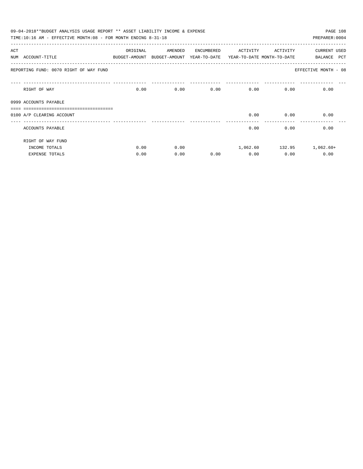|     | 09-04-2018**BUDGET ANALYSIS USAGE REPORT ** ASSET LIABILITY INCOME & EXPENSE |          |                                                                     |            |          |                   | PAGE 108                  |
|-----|------------------------------------------------------------------------------|----------|---------------------------------------------------------------------|------------|----------|-------------------|---------------------------|
|     | TIME:10:16 AM - EFFECTIVE MONTH:08 - FOR MONTH ENDING 8-31-18                |          |                                                                     |            |          |                   | PREPARER: 0004            |
| ACT |                                                                              | ORIGINAL | AMENDED                                                             | ENCUMBERED | ACTIVITY | ACTIVITY          | <b>CURRENT USED</b>       |
|     | NUM ACCOUNT-TITLE                                                            |          | BUDGET-AMOUNT BUDGET-AMOUNT YEAR-TO-DATE YEAR-TO-DATE MONTH-TO-DATE |            |          |                   | PCT<br>BALANCE            |
|     | REPORTING FUND: 0070 RIGHT OF WAY FUND                                       |          |                                                                     |            |          |                   | EFFECTIVE MONTH - 08      |
|     | RIGHT OF WAY                                                                 | 0.00     |                                                                     | 0.00       | 0.00     | $0.00$ and $0.00$ | 0.00<br>0.00              |
|     | 0999 ACCOUNTS PAYABLE                                                        |          |                                                                     |            |          |                   |                           |
|     |                                                                              |          |                                                                     |            |          |                   |                           |
|     | 0100 A/P CLEARING ACCOUNT                                                    |          |                                                                     |            | 0.00     | 0.00              | 0.00                      |
|     | ACCOUNTS PAYABLE                                                             |          |                                                                     |            | 0.00     | 0.00              | 0.00                      |
|     | RIGHT OF WAY FUND                                                            |          |                                                                     |            |          |                   |                           |
|     | INCOME TOTALS                                                                | 0.00     | 0.00                                                                |            |          |                   | 1,062.60 132.95 1,062.60+ |
|     | <b>EXPENSE TOTALS</b>                                                        | 0.00     | 0.00                                                                | 0.00       | 0.00     | 0.00              | 0.00                      |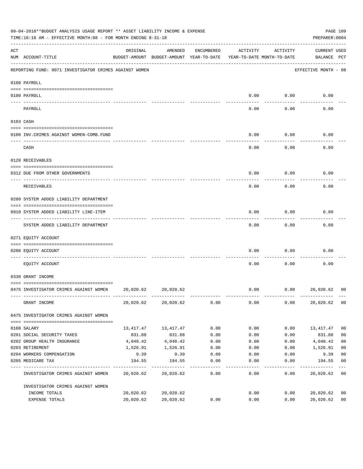|     | 09-04-2018**BUDGET ANALYSIS USAGE REPORT ** ASSET LIABILITY INCOME & EXPENSE<br>TIME:10:16 AM - EFFECTIVE MONTH:08 - FOR MONTH ENDING 8-31-18 |                                                                                 |           |            |          |          | PREPARER: 0004                     | PAGE 109       |
|-----|-----------------------------------------------------------------------------------------------------------------------------------------------|---------------------------------------------------------------------------------|-----------|------------|----------|----------|------------------------------------|----------------|
| ACT | NUM ACCOUNT-TITLE                                                                                                                             | ORIGINAL<br>BUDGET-AMOUNT BUDGET-AMOUNT YEAR-TO-DATE YEAR-TO-DATE MONTH-TO-DATE | AMENDED   | ENCUMBERED | ACTIVITY | ACTIVITY | <b>CURRENT USED</b><br>BALANCE PCT |                |
|     | REPORTING FUND: 0071 INVESTIGATOR CRIMES AGAINST WOMEN                                                                                        |                                                                                 |           |            |          |          | EFFECTIVE MONTH - 08               |                |
|     | 0100 PAYROLL                                                                                                                                  |                                                                                 |           |            |          |          |                                    |                |
|     | 0100 PAYROLL<br>---- -------                                                                                                                  |                                                                                 |           |            | 0.00     | 0.00     | 0.00                               |                |
|     | PAYROLL                                                                                                                                       |                                                                                 |           |            | 0.00     | 0.00     | 0.00                               |                |
|     | 0103 CASH                                                                                                                                     |                                                                                 |           |            |          |          |                                    |                |
|     | 0100 INV. CRIMES AGAINST WOMEN-COMB. FUND                                                                                                     |                                                                                 |           |            | 0.00     | 0.00     | 0.00                               |                |
|     | CASH                                                                                                                                          |                                                                                 |           |            | 0.00     | 0.00     | 0.00                               |                |
|     | 0120 RECEIVABLES                                                                                                                              |                                                                                 |           |            |          |          |                                    |                |
|     | 0312 DUE FROM OTHER GOVERNMENTS                                                                                                               |                                                                                 |           |            | 0.00     | 0.00     | 0.00                               |                |
|     | RECEIVABLES                                                                                                                                   |                                                                                 |           |            | 0.00     | 0.00     | 0.00                               |                |
|     | 0200 SYSTEM ADDED LIABILITY DEPARTMENT                                                                                                        |                                                                                 |           |            |          |          |                                    |                |
|     | 0910 SYSTEM ADDED LIABILITY LINE-ITEM                                                                                                         |                                                                                 |           |            | 0.00     | 0.00     | 0.00                               |                |
|     | SYSTEM ADDED LIABILITY DEPARTMENT                                                                                                             |                                                                                 |           |            | 0.00     | 0.00     | 0.00                               |                |
|     | 0271 EQUITY ACCOUNT                                                                                                                           |                                                                                 |           |            |          |          |                                    |                |
|     | 0200 EQUITY ACCOUNT                                                                                                                           |                                                                                 |           |            | 0.00     | 0.00     | 0.00                               |                |
|     | EQUITY ACCOUNT                                                                                                                                |                                                                                 |           |            | 0.00     | 0.00     | 0.00                               |                |
|     | 0330 GRANT INCOME                                                                                                                             |                                                                                 |           |            |          |          |                                    |                |
|     | 0475 INVESTIGATOR CRIMES AGAINST WOMEN                                                                                                        | 20,020.62                                                                       | 20,020.62 |            | 0.00     | 0.00     | 20,020.62                          | 00             |
|     | GRANT INCOME                                                                                                                                  | 20,020.62                                                                       | 20,020.62 | 0.00       | 0.00     | 0.00     | 20,020.62                          | 0 <sub>0</sub> |
|     | 0475 INVESTIGATOR CRIMES AGAINST WOMEN                                                                                                        |                                                                                 |           |            |          |          |                                    |                |
|     | 0108 SALARY                                                                                                                                   | 13,417.47                                                                       | 13,417.47 | 0.00       | 0.00     | 0.00     | 13,417.47                          | 0 <sub>0</sub> |
|     | 0201 SOCIAL SECURITY TAXES                                                                                                                    | 831.88                                                                          | 831.88    | 0.00       | 0.00     | 0.00     | 831.88                             | 0 <sub>0</sub> |
|     | 0202 GROUP HEALTH INSURANCE                                                                                                                   | 4,040.42                                                                        | 4,040.42  | 0.00       | 0.00     | 0.00     | 4,040.42                           | 0 <sub>0</sub> |
|     | 0203 RETIREMENT                                                                                                                               | 1,526.91                                                                        | 1,526.91  | 0.00       | 0.00     | 0.00     | 1,526.91                           | 0 <sub>0</sub> |
|     | 0204 WORKERS COMPENSATION                                                                                                                     | 9.39                                                                            | 9.39      | 0.00       | 0.00     | 0.00     | 9.39                               | 0 <sub>0</sub> |
|     | 0205 MEDICARE TAX                                                                                                                             | 194.55                                                                          | 194.55    | 0.00       | 0.00     | 0.00     | 194.55                             | 0 <sub>0</sub> |
|     | INVESTIGATOR CRIMES AGAINST WOMEN                                                                                                             | 20,020.62                                                                       | 20,020.62 | 0.00       | 0.00     | 0.00     | 20,020.62                          | 0 <sub>0</sub> |
|     | INVESTIGATOR CRIMES AGAINST WOMEN                                                                                                             |                                                                                 |           |            |          |          |                                    |                |
|     | INCOME TOTALS                                                                                                                                 | 20,020.62                                                                       | 20,020.62 |            | 0.00     | 0.00     | 20,020.62                          | 00             |
|     | EXPENSE TOTALS                                                                                                                                | 20,020.62                                                                       | 20,020.62 | 0.00       | 0.00     | 0.00     | 20,020.62                          | 0 <sub>0</sub> |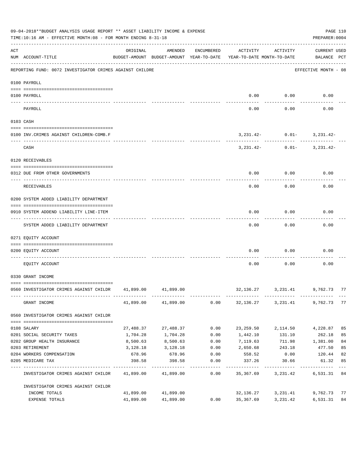|     | 09-04-2018**BUDGET ANALYSIS USAGE REPORT ** ASSET LIABILITY INCOME & EXPENSE<br>TIME:10:16 AM - EFFECTIVE MONTH:08 - FOR MONTH ENDING 8-31-18 |           |                     |                  |                                                                                 |                                            | PAGE 110<br>PREPARER: 0004         |               |
|-----|-----------------------------------------------------------------------------------------------------------------------------------------------|-----------|---------------------|------------------|---------------------------------------------------------------------------------|--------------------------------------------|------------------------------------|---------------|
| ACT | NUM ACCOUNT-TITLE                                                                                                                             | ORIGINAL  | AMENDED             | ENCUMBERED       | ACTIVITY<br>BUDGET-AMOUNT BUDGET-AMOUNT YEAR-TO-DATE YEAR-TO-DATE MONTH-TO-DATE | ACTIVITY                                   | <b>CURRENT USED</b><br>BALANCE PCT |               |
|     | REPORTING FUND: 0072 INVESTIGATOR CRIMES AGAINST CHILDRE                                                                                      |           |                     |                  |                                                                                 |                                            | EFFECTIVE MONTH - 08               |               |
|     | 0100 PAYROLL                                                                                                                                  |           |                     |                  |                                                                                 |                                            |                                    |               |
|     | 0100 PAYROLL                                                                                                                                  |           |                     |                  |                                                                                 | $0.00$ 0.00                                | 0.00                               |               |
|     | PAYROLL                                                                                                                                       |           |                     |                  | 0.00                                                                            | 0.00                                       | 0.00                               |               |
|     | 0103 CASH                                                                                                                                     |           |                     |                  |                                                                                 |                                            |                                    |               |
|     | 0100 INV. CRIMES AGAINST CHILDREN-COMB.F                                                                                                      |           |                     |                  |                                                                                 | $3,231.42 - 0.01 - 3,231.42 -$             |                                    |               |
|     | CASH                                                                                                                                          |           |                     |                  | ----------- ------------                                                        | $3,231.42 - 0.01 - 3,231.42 -$             | -------------                      |               |
|     | 0120 RECEIVABLES                                                                                                                              |           |                     |                  |                                                                                 |                                            |                                    |               |
|     | 0312 DUE FROM OTHER GOVERNMENTS                                                                                                               |           |                     |                  | 0.00                                                                            | 0.00                                       | 0.00                               |               |
|     | RECEIVABLES                                                                                                                                   |           |                     |                  | 0.00                                                                            | 0.00                                       | 0.00                               |               |
|     | 0200 SYSTEM ADDED LIABILITY DEPARTMENT                                                                                                        |           |                     |                  |                                                                                 |                                            |                                    |               |
|     | 0910 SYSTEM ADDEND LIABILITY LINE-ITEM                                                                                                        |           |                     |                  | 0.00                                                                            | 0.00                                       | 0.00                               |               |
|     | SYSTEM ADDED LIABILITY DEPARTMENT                                                                                                             |           |                     |                  | 0.00                                                                            | . <u>.</u><br>0.00                         | 0.00                               |               |
|     | 0271 EQUITY ACCOUNT                                                                                                                           |           |                     |                  |                                                                                 |                                            |                                    |               |
|     | 0200 EQUITY ACCOUNT                                                                                                                           |           |                     |                  | 0.00                                                                            | 0.00                                       | 0.00                               |               |
|     | EQUITY ACCOUNT                                                                                                                                |           |                     |                  | 0.00                                                                            | 0.00                                       | 0.00                               |               |
|     | 0330 GRANT INCOME                                                                                                                             |           |                     |                  |                                                                                 |                                            |                                    |               |
|     | 0560 INVESTIGATOR CRIMES AGAINST CHILDR 41,899.00 41,899.00                                                                                   |           |                     |                  |                                                                                 | 32, 136. 27   3, 231. 41   9, 762. 73   77 |                                    |               |
|     | GRANT INCOME                                                                                                                                  |           | 41,899.00 41,899.00 |                  | $0.00$ $32,136.27$ $3,231.41$                                                   |                                            | 9,762.73 77                        |               |
|     | 0560 INVESTIGATOR CRIMES AGAINST CHILDR                                                                                                       |           |                     |                  |                                                                                 |                                            |                                    |               |
|     | 0108 SALARY                                                                                                                                   | 27,488.37 | 27,488.37           | 0.00             | 23,259.50                                                                       | 2,114.50                                   | 4,228.87                           | 85            |
|     | 0201 SOCIAL SECURITY TAXES                                                                                                                    | 1,704.28  | 1,704.28            | 0.00             | 1,442.10                                                                        | 131.10                                     | 262.18                             | 85            |
|     | 0202 GROUP HEALTH INSURANCE                                                                                                                   | 8,500.63  | 8,500.63            | 0.00             | 7,119.63                                                                        | 711.98 1,381.00                            |                                    | 84            |
|     | 0203 RETIREMENT                                                                                                                               | 3,128.18  | 3,128.18            | 0.00             | 2,650.68                                                                        | 243.18                                     | 477.50                             | 85            |
|     | 0204 WORKERS COMPENSATION                                                                                                                     | 678.96    | 678.96              | 0.00             | 558.52                                                                          | 0.00                                       | 120.44                             | 82            |
|     | 0205 MEDICARE TAX                                                                                                                             | 398.58    | 398.58              | 0.00<br>-------- | 337.26                                                                          | 30.66                                      | 61.32                              | 85<br>$- - -$ |
|     | INVESTIGATOR CRIMES AGAINST CHILDR                                                                                                            |           | 41,899.00 41,899.00 | 0.00             | 35,367.69                                                                       | 3,231.42                                   | 6,531.31 84                        |               |
|     | INVESTIGATOR CRIMES AGAINST CHILDR                                                                                                            |           |                     |                  |                                                                                 |                                            |                                    |               |
|     | INCOME TOTALS                                                                                                                                 | 41,899.00 | 41,899.00           |                  | 32,136.27                                                                       | 3,231.41                                   | 9,762.73                           | 77            |
|     | EXPENSE TOTALS                                                                                                                                | 41,899.00 | 41,899.00           | 0.00             | 35,367.69                                                                       | 3,231.42                                   | 6,531.31                           | 84            |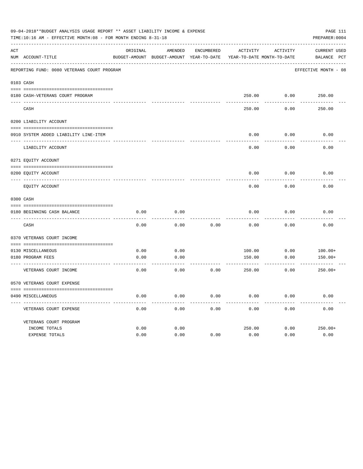|     | 09-04-2018**BUDGET ANALYSIS USAGE REPORT ** ASSET LIABILITY INCOME & EXPENSE<br>TIME:10:16 AM - EFFECTIVE MONTH:08 - FOR MONTH ENDING 8-31-18 |          |                                                     |            |          |                                        | PREPARER: 0004              | PAGE 111 |
|-----|-----------------------------------------------------------------------------------------------------------------------------------------------|----------|-----------------------------------------------------|------------|----------|----------------------------------------|-----------------------------|----------|
| ACT | NUM ACCOUNT-TITLE                                                                                                                             | ORIGINAL | AMENDED<br>BUDGET-AMOUNT BUDGET-AMOUNT YEAR-TO-DATE | ENCUMBERED | ACTIVITY | ACTIVITY<br>YEAR-TO-DATE MONTH-TO-DATE | CURRENT USED<br>BALANCE PCT |          |
|     | REPORTING FUND: 0080 VETERANS COURT PROGRAM                                                                                                   |          |                                                     |            |          |                                        | EFFECTIVE MONTH - 08        |          |
|     | 0103 CASH                                                                                                                                     |          |                                                     |            |          |                                        |                             |          |
|     | 0180 CASH-VETERANS COURT PROGRAM                                                                                                              |          |                                                     |            |          | 250.00 0.00                            | 250.00                      |          |
|     | CASH                                                                                                                                          |          |                                                     |            | 250.00   | 0.00                                   | 250.00                      |          |
|     | 0200 LIABILITY ACCOUNT                                                                                                                        |          |                                                     |            |          |                                        |                             |          |
|     | 0910 SYSTEM ADDED LIABILITY LINE-ITEM                                                                                                         |          |                                                     |            | 0.00     | 0.00                                   | 0.00                        |          |
|     | LIABILITY ACCOUNT                                                                                                                             |          |                                                     |            | 0.00     | 0.00                                   | 0.00                        |          |
|     | 0271 EQUITY ACCOUNT                                                                                                                           |          |                                                     |            |          |                                        |                             |          |
|     | 0200 EQUITY ACCOUNT                                                                                                                           |          |                                                     |            | 0.00     | 0.00                                   | 0.00                        |          |
|     | EQUITY ACCOUNT                                                                                                                                |          |                                                     |            | 0.00     | 0.00                                   | 0.00                        |          |
|     | 0300 CASH                                                                                                                                     |          |                                                     |            |          |                                        |                             |          |
|     | 0180 BEGINNING CASH BALANCE                                                                                                                   | 0.00     | 0.00                                                |            | 0.00     | 0.00                                   | 0.00                        |          |
|     | CASH                                                                                                                                          | 0.00     | 0.00                                                | 0.00       | 0.00     | 0.00                                   | 0.00                        |          |
|     | 0370 VETERANS COURT INCOME                                                                                                                    |          |                                                     |            |          |                                        |                             |          |
|     | 0130 MISCELLANEOUS                                                                                                                            | 0.00     | 0.00                                                |            | 100.00   | 0.00                                   | $100.00+$                   |          |
|     | 0180 PROGRAM FEES                                                                                                                             | 0.00     | 0.00                                                |            | 150.00   | 0.00                                   | $150.00+$                   |          |
|     | VETERANS COURT INCOME                                                                                                                         | 0.00     | 0.00                                                | 0.00       | 250.00   | 0.00                                   | $250.00+$                   |          |
|     | 0570 VETERANS COURT EXPENSE                                                                                                                   |          |                                                     |            |          |                                        |                             |          |
|     | 0490 MISCELLANEOUS                                                                                                                            | 0.00     | 0.00                                                | 0.00       | 0.00     | 0.00                                   | 0.00                        |          |
|     | VETERANS COURT EXPENSE                                                                                                                        | 0.00     | 0.00                                                | 0.00       | 0.00     | 0.00                                   | 0.00                        |          |
|     | VETERANS COURT PROGRAM                                                                                                                        |          |                                                     |            |          |                                        |                             |          |
|     | INCOME TOTALS                                                                                                                                 | 0.00     | 0.00                                                |            | 250.00   | 0.00                                   | $250.00+$                   |          |
|     | EXPENSE TOTALS                                                                                                                                | 0.00     | 0.00                                                | 0.00       | 0.00     | 0.00                                   | 0.00                        |          |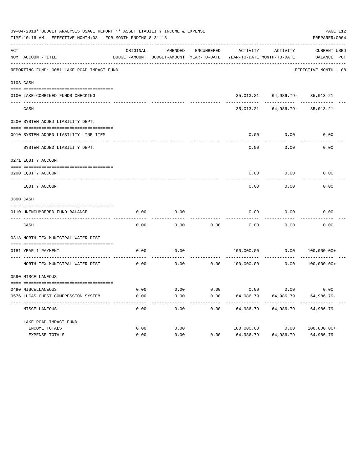|     | 09-04-2018**BUDGET ANALYSIS USAGE REPORT ** ASSET LIABILITY INCOME & EXPENSE<br>TIME:10:16 AM - EFFECTIVE MONTH:08 - FOR MONTH ENDING 8-31-18 |          |                                          |            |                            |                                                    | PAGE 112<br>PREPARER: 0004 |  |
|-----|-----------------------------------------------------------------------------------------------------------------------------------------------|----------|------------------------------------------|------------|----------------------------|----------------------------------------------------|----------------------------|--|
| ACT |                                                                                                                                               | ORIGINAL | AMENDED                                  | ENCUMBERED | ACTIVITY                   | ACTIVITY                                           | <b>CURRENT USED</b>        |  |
|     | NUM ACCOUNT-TITLE                                                                                                                             |          | BUDGET-AMOUNT BUDGET-AMOUNT YEAR-TO-DATE |            | YEAR-TO-DATE MONTH-TO-DATE |                                                    | BALANCE PCT                |  |
|     | REPORTING FUND: 0081 LAKE ROAD IMPACT FUND                                                                                                    |          |                                          |            |                            |                                                    | EFFECTIVE MONTH - 08       |  |
|     | 0103 CASH                                                                                                                                     |          |                                          |            |                            |                                                    |                            |  |
|     |                                                                                                                                               |          |                                          |            |                            |                                                    |                            |  |
|     | 0100 LAKE-COMBINED FUNDS CHECKING                                                                                                             |          |                                          |            |                            | 35, 013.21 64, 986.79- 35, 013.21<br>------------- | .                          |  |
|     | CASH                                                                                                                                          |          |                                          |            |                            | 35, 013. 21 64, 986. 79 - 35, 013. 21              |                            |  |
|     | 0200 SYSTEM ADDED LIABILITY DEPT.                                                                                                             |          |                                          |            |                            |                                                    |                            |  |
|     |                                                                                                                                               |          |                                          |            |                            |                                                    |                            |  |
|     | 0910 SYSTEM ADDED LIABILITY LINE ITEM                                                                                                         |          |                                          |            | 0.00                       | 0.00                                               | 0.00                       |  |
|     | SYSTEM ADDED LIABILITY DEPT.                                                                                                                  |          |                                          |            | 0.00                       | 0.00                                               | 0.00                       |  |
|     | 0271 EQUITY ACCOUNT                                                                                                                           |          |                                          |            |                            |                                                    |                            |  |
|     | 0200 EOUITY ACCOUNT                                                                                                                           |          |                                          |            | 0.00                       | 0.00                                               | 0.00                       |  |
|     | EQUITY ACCOUNT                                                                                                                                |          |                                          |            | 0.00                       | 0.00                                               | 0.00                       |  |
|     | 0300 CASH                                                                                                                                     |          |                                          |            |                            |                                                    |                            |  |
|     | 0110 UNENCUMBERED FUND BALANCE                                                                                                                | 0.00     | 0.00                                     |            | 0.00                       | 0.00                                               | 0.00                       |  |
|     | CASH                                                                                                                                          | 0.00     | 0.00                                     | 0.00       | 0.00                       | 0.00                                               | 0.00                       |  |
|     | 0318 NORTH TEX MUNICIPAL WATER DIST                                                                                                           |          |                                          |            |                            |                                                    |                            |  |
|     |                                                                                                                                               |          |                                          |            |                            |                                                    |                            |  |
|     | 0181 YEAR 1 PAYMENT                                                                                                                           | 0.00     | 0.00                                     |            | 100,000.00                 | 0.00                                               | $100,000.00+$              |  |
|     | NORTH TEX MUNICIPAL WATER DIST                                                                                                                | 0.00     | 0.00                                     | 0.00       | 100,000.00                 | 0.00                                               | $100,000.00+$              |  |
|     | 0590 MISCELLANEOUS                                                                                                                            |          |                                          |            |                            |                                                    |                            |  |
|     |                                                                                                                                               |          |                                          |            |                            |                                                    |                            |  |
|     | 0490 MISCELLANEOUS                                                                                                                            | 0.00     | 0.00                                     | 0.00       |                            | $0.00$ 0.00                                        | 0.00                       |  |
|     | 0576 LUCAS CHEST COMPRESSION SYSTEM                                                                                                           | 0.00     | 0.00                                     | 0.00       | 64,986.79                  | 64,986.79                                          | 64,986.79-                 |  |
|     | MISCELLANEOUS                                                                                                                                 | 0.00     | 0.00                                     | 0.00       | 64,986.79                  | 64,986.79                                          | $64,986.79-$               |  |
|     | LAKE ROAD IMPACT FUND                                                                                                                         |          |                                          |            |                            |                                                    |                            |  |
|     | INCOME TOTALS                                                                                                                                 | 0.00     | 0.00                                     |            | 100,000.00                 | 0.00                                               | $100,000.00+$              |  |
|     | EXPENSE TOTALS                                                                                                                                | 0.00     | 0.00                                     | 0.00       | 64,986.79                  | 64,986.79                                          | 64,986.79-                 |  |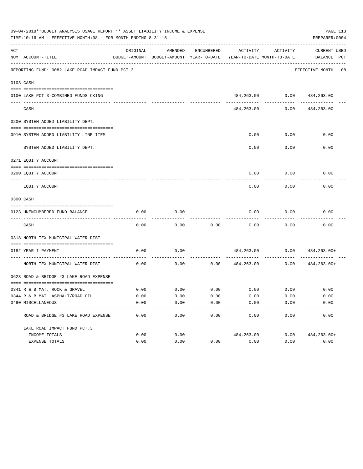|     | 09-04-2018**BUDGET ANALYSIS USAGE REPORT ** ASSET LIABILITY INCOME & EXPENSE<br>TIME:10:16 AM - EFFECTIVE MONTH:08 - FOR MONTH ENDING 8-31-18 |                     |                                                     |                       |                                        |                             | PAGE 113<br>PREPARER: 0004         |
|-----|-----------------------------------------------------------------------------------------------------------------------------------------------|---------------------|-----------------------------------------------------|-----------------------|----------------------------------------|-----------------------------|------------------------------------|
| ACT | NUM ACCOUNT-TITLE                                                                                                                             | ORIGINAL            | AMENDED<br>BUDGET-AMOUNT BUDGET-AMOUNT YEAR-TO-DATE | ENCUMBERED            | ACTIVITY<br>YEAR-TO-DATE MONTH-TO-DATE | ACTIVITY                    | <b>CURRENT USED</b><br>BALANCE PCT |
|     | REPORTING FUND: 0082 LAKE ROAD IMPACT FUND PCT.3                                                                                              |                     |                                                     |                       |                                        |                             | EFFECTIVE MONTH - 08               |
|     | 0103 CASH                                                                                                                                     |                     |                                                     |                       |                                        |                             |                                    |
|     |                                                                                                                                               |                     |                                                     |                       |                                        |                             |                                    |
|     | 0100 LAKE PCT 3-COMBINED FUNDS CKING                                                                                                          |                     |                                                     |                       |                                        | 484,263.00 0.00 484,263.00  |                                    |
|     | CASH                                                                                                                                          |                     |                                                     |                       | 484,263.00                             | . <u>.</u> .<br>0.00        | 484,263.00                         |
|     | 0200 SYSTEM ADDED LIABILITY DEPT.                                                                                                             |                     |                                                     |                       |                                        |                             |                                    |
|     |                                                                                                                                               |                     |                                                     |                       |                                        |                             |                                    |
|     | 0910 SYSTEM ADDED LIABILITY LINE ITEM                                                                                                         |                     |                                                     |                       | 0.00                                   | 0.00                        | 0.00                               |
|     | SYSTEM ADDED LIABILITY DEPT.                                                                                                                  |                     |                                                     |                       | 0.00                                   | . <u>.</u><br>0.00          | 0.00                               |
|     | 0271 EQUITY ACCOUNT                                                                                                                           |                     |                                                     |                       |                                        |                             |                                    |
|     | 0200 EQUITY ACCOUNT                                                                                                                           |                     |                                                     |                       | 0.00                                   | 0.00                        | 0.00                               |
|     | EQUITY ACCOUNT                                                                                                                                |                     |                                                     |                       | 0.00                                   | 0.00                        | 0.00                               |
|     | 0300 CASH                                                                                                                                     |                     |                                                     |                       |                                        |                             |                                    |
|     | 0123 UNENCUMBERED FUND BALANCE                                                                                                                | 0.00                | 0.00                                                |                       | 0.00                                   | 0.00                        | 0.00                               |
|     | CASH                                                                                                                                          | 0.00                | 0.00                                                | 0.00                  | 0.00                                   | 0.00                        | 0.00                               |
|     | 0318 NORTH TEX MUNICIPAL WATER DIST                                                                                                           |                     |                                                     |                       |                                        |                             |                                    |
|     | 0182 YEAR 1 PAYMENT                                                                                                                           | 0.00                | 0.00                                                |                       |                                        |                             | 484,263.00 0.00 484,263.00+        |
|     | NORTH TEX MUNICIPAL WATER DIST                                                                                                                | 0.00                | 0.00                                                | 0.00                  | 484,263.00                             | 0.00                        | 484,263.00+                        |
|     | 0623 ROAD & BRIDGE #3 LAKE ROAD EXPENSE                                                                                                       |                     |                                                     |                       |                                        |                             |                                    |
|     |                                                                                                                                               |                     |                                                     |                       |                                        |                             |                                    |
|     | 0341 R & B MAT. ROCK & GRAVEL                                                                                                                 | 0.00                | 0.00                                                |                       |                                        | $0.00$ $0.00$ $0.00$ $0.00$ | 0.00                               |
|     | 0344 R & B MAT. ASPHALT/ROAD OIL                                                                                                              | 0.00                | 0.00                                                | 0.00                  | 0.00                                   | 0.00                        | 0.00                               |
|     | 0490 MISCELLANEOUS                                                                                                                            | 0.00<br>$- - - - -$ | 0.00<br>--------                                    | 0.00<br>$- - - - - -$ | 0.00<br>----------                     | 0.00<br>---------           | 0.00<br>. <u>.</u> .               |
|     | ROAD & BRIDGE #3 LAKE ROAD EXPENSE                                                                                                            | 0.00                | 0.00                                                | 0.00                  | 0.00                                   | 0.00                        | 0.00                               |
|     | LAKE ROAD IMPACT FUND PCT.3                                                                                                                   |                     |                                                     |                       |                                        |                             |                                    |
|     | INCOME TOTALS                                                                                                                                 | 0.00                | 0.00                                                |                       | 484,263.00                             | 0.00                        | 484,263.00+                        |
|     | EXPENSE TOTALS                                                                                                                                | 0.00                | 0.00                                                | 0.00                  | 0.00                                   | 0.00                        | 0.00                               |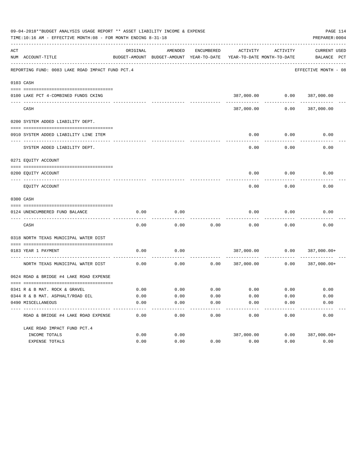|     | 09-04-2018**BUDGET ANALYSIS USAGE REPORT ** ASSET LIABILITY INCOME & EXPENSE<br>TIME:10:16 AM - EFFECTIVE MONTH:08 - FOR MONTH ENDING 8-31-18 |          |                                                     |            |                                           |                                        | PAGE 114<br>PREPARER: 0004         |
|-----|-----------------------------------------------------------------------------------------------------------------------------------------------|----------|-----------------------------------------------------|------------|-------------------------------------------|----------------------------------------|------------------------------------|
| ACT | NUM ACCOUNT-TITLE                                                                                                                             | ORIGINAL | AMENDED<br>BUDGET-AMOUNT BUDGET-AMOUNT YEAR-TO-DATE | ENCUMBERED | ACTIVITY                                  | ACTIVITY<br>YEAR-TO-DATE MONTH-TO-DATE | <b>CURRENT USED</b><br>BALANCE PCT |
|     | REPORTING FUND: 0083 LAKE ROAD IMPACT FUND PCT.4                                                                                              |          |                                                     |            |                                           |                                        | EFFECTIVE MONTH - 08               |
|     | 0103 CASH                                                                                                                                     |          |                                                     |            |                                           |                                        |                                    |
|     |                                                                                                                                               |          |                                                     |            |                                           |                                        |                                    |
|     | 0100 LAKE PCT 4-COMBINED FUNDS CKING                                                                                                          |          |                                                     |            |                                           |                                        | 387,000.00   0.00   387,000.00     |
|     | CASH                                                                                                                                          |          |                                                     |            | 387,000.00                                | 0.00                                   | 387,000.00                         |
|     | 0200 SYSTEM ADDED LIABILITY DEPT.                                                                                                             |          |                                                     |            |                                           |                                        |                                    |
|     |                                                                                                                                               |          |                                                     |            |                                           |                                        |                                    |
|     | 0910 SYSTEM ADDED LIABILITY LINE ITEM                                                                                                         |          |                                                     |            | 0.00                                      | 0.00                                   | 0.00                               |
|     | SYSTEM ADDED LIABILITY DEPT.                                                                                                                  |          |                                                     |            | 0.00                                      | 0.00                                   | 0.00                               |
|     | 0271 EQUITY ACCOUNT                                                                                                                           |          |                                                     |            |                                           |                                        |                                    |
|     |                                                                                                                                               |          |                                                     |            |                                           |                                        |                                    |
|     | 0200 EQUITY ACCOUNT                                                                                                                           |          |                                                     |            | 0.00                                      | 0.00                                   | 0.00                               |
|     | EQUITY ACCOUNT                                                                                                                                |          |                                                     |            | 0.00                                      | 0.00                                   | 0.00                               |
|     | 0300 CASH                                                                                                                                     |          |                                                     |            |                                           |                                        |                                    |
|     | 0124 UNENCUMBERED FUND BALANCE                                                                                                                | 0.00     | 0.00                                                |            | 0.00                                      | 0.00                                   | 0.00                               |
|     | CASH                                                                                                                                          | 0.00     | 0.00                                                | 0.00       | 0.00                                      | 0.00                                   | 0.00                               |
|     | 0318 NORTH TEXAS MUNICIPAL WATER DIST                                                                                                         |          |                                                     |            |                                           |                                        |                                    |
|     |                                                                                                                                               |          |                                                     |            |                                           |                                        |                                    |
|     | 0183 YEAR 1 PAYMENT                                                                                                                           | 0.00     | 0.00                                                |            | 387,000.00                                |                                        | $0.00$ 387,000.00+                 |
|     | NORTH TEXAS MUNICIPAL WATER DIST                                                                                                              | 0.00     | 0.00                                                | 0.00       | 387,000.00                                | 0.00                                   | 387,000.00+                        |
|     | 0624 ROAD & BRIDGE #4 LAKE ROAD EXPENSE                                                                                                       |          |                                                     |            |                                           |                                        |                                    |
|     | 0341 R & B MAT. ROCK & GRAVEL                                                                                                                 | 0.00     |                                                     |            | $0.00$ $0.00$ $0.00$ $0.00$ $0.00$ $0.00$ |                                        | 0.00                               |
|     | 0344 R & B MAT. ASPHALT/ROAD OIL                                                                                                              | 0.00     | 0.00                                                | 0.00       | 0.00                                      | 0.00                                   | 0.00                               |
|     | 0490 MISCELLANEOUS                                                                                                                            | 0.00     | 0.00                                                | 0.00       | 0.00                                      | 0.00                                   | 0.00                               |
|     | ROAD & BRIDGE #4 LAKE ROAD EXPENSE                                                                                                            | 0.00     | 0.00                                                | 0.00       | 0.00                                      | 0.00                                   | 0.00                               |
|     | LAKE ROAD IMPACT FUND PCT. 4                                                                                                                  |          |                                                     |            |                                           |                                        |                                    |
|     | INCOME TOTALS                                                                                                                                 | 0.00     | 0.00                                                |            | 387,000.00                                | 0.00                                   | 387,000.00+                        |
|     | EXPENSE TOTALS                                                                                                                                | 0.00     | 0.00                                                | 0.00       | 0.00                                      | 0.00                                   | 0.00                               |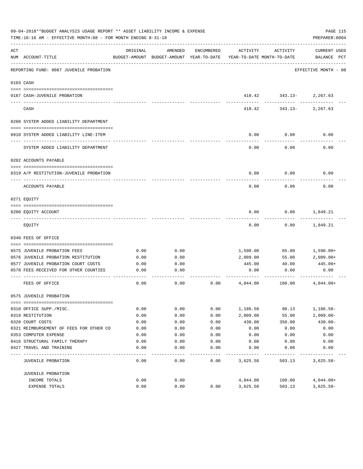|     | 09-04-2018**BUDGET ANALYSIS USAGE REPORT ** ASSET LIABILITY INCOME & EXPENSE<br>TIME:10:16 AM - EFFECTIVE MONTH:08 - FOR MONTH ENDING 8-31-18 |          |                                                     |            |                                        |                                         | PAGE 115<br>PREPARER: 0004         |
|-----|-----------------------------------------------------------------------------------------------------------------------------------------------|----------|-----------------------------------------------------|------------|----------------------------------------|-----------------------------------------|------------------------------------|
| ACT | NUM ACCOUNT-TITLE                                                                                                                             | ORIGINAL | AMENDED<br>BUDGET-AMOUNT BUDGET-AMOUNT YEAR-TO-DATE | ENCUMBERED | ACTIVITY<br>YEAR-TO-DATE MONTH-TO-DATE | ACTIVITY                                | <b>CURRENT USED</b><br>BALANCE PCT |
|     | REPORTING FUND: 0087 JUVENILE PROBATION                                                                                                       |          |                                                     |            |                                        |                                         | EFFECTIVE MONTH - 08               |
|     | 0103 CASH                                                                                                                                     |          |                                                     |            |                                        |                                         |                                    |
|     | 0187 CASH-JUVENILE PROBATION                                                                                                                  |          |                                                     |            |                                        | 418.42 343.13- 2,267.63<br>------------ | .                                  |
|     | CASH                                                                                                                                          |          |                                                     |            | 418.42                                 |                                         | $343.13 - 2,267.63$                |
|     | 0200 SYSTEM ADDED LIABILITY DEPARTMENT                                                                                                        |          |                                                     |            |                                        |                                         |                                    |
|     | 0910 SYSTEM ADDED LIABILITY LINE-ITEM                                                                                                         |          |                                                     |            | 0.00                                   | 0.00                                    | 0.00                               |
|     | SYSTEM ADDED LIABILITY DEPARTMENT                                                                                                             |          |                                                     |            | 0.00                                   | 0.00                                    | 0.00                               |
|     | 0202 ACCOUNTS PAYABLE                                                                                                                         |          |                                                     |            |                                        |                                         |                                    |
|     | 0319 A/P RESTITUTION-JUVENILE PROBATION                                                                                                       |          |                                                     |            | 0.00                                   | 0.00                                    | 0.00                               |
|     | ACCOUNTS PAYABLE                                                                                                                              |          |                                                     |            | 0.00                                   | 0.00                                    | 0.00                               |
|     | 0271 EQUITY                                                                                                                                   |          |                                                     |            |                                        |                                         |                                    |
|     | 0200 EQUITY ACCOUNT                                                                                                                           |          |                                                     |            | 0.00                                   | 0.00                                    | 1,849.21                           |
|     | EQUITY                                                                                                                                        |          |                                                     |            | 0.00                                   | 0.00                                    | 1,849.21                           |
|     | 0340 FEES OF OFFICE                                                                                                                           |          |                                                     |            |                                        |                                         |                                    |
|     |                                                                                                                                               |          |                                                     |            |                                        |                                         |                                    |
|     | 0575 JUVENILE PROBATION FEES                                                                                                                  | 0.00     | 0.00                                                |            | 1,590.00                               | 65.00                                   | 1,590.00+                          |
|     | 0576 JUVENILE PROBATION RESTITUTION                                                                                                           | 0.00     | 0.00                                                |            | 2,009.00                               | 55.00                                   | $2,009.00+$                        |
|     | 0577 JUVENILE PROBATION COURT COSTS                                                                                                           | 0.00     | 0.00                                                |            | 445.00                                 | 40.00                                   | 445.00+                            |
|     | 0578 FEES RECEIVED FOR OTHER COUNTIES                                                                                                         | 0.00     | 0.00                                                |            | 0.00                                   | 0.00                                    | 0.00                               |
|     | FEES OF OFFICE                                                                                                                                | 0.00     | 0.00                                                | 0.00       | 4,044.00                               | 160.00                                  | $4,044.00+$                        |
|     | 0575 JUVENILE PROBATION                                                                                                                       |          |                                                     |            |                                        |                                         |                                    |
|     |                                                                                                                                               |          |                                                     |            |                                        |                                         |                                    |
|     | 0310 OFFICE SUPP./MISC.                                                                                                                       | 0.00     | 0.00                                                | 0.00       | 1,186.58                               | 98.13                                   | $1,186.58-$                        |
|     | 0319 RESTITUTION                                                                                                                              | 0.00     | 0.00                                                | 0.00       | 2,009.00                               | 55.00                                   | $2,009.00 -$                       |
|     | 0320 COURT COSTS                                                                                                                              | 0.00     | 0.00                                                | 0.00       | 430.00                                 | 350.00                                  | $430.00 -$                         |
|     | 0321 REIMBURSEMENT OF FEES FOR OTHER CO                                                                                                       | 0.00     | 0.00                                                | 0.00       | 0.00                                   | 0.00                                    | 0.00                               |
|     | 0353 COMPUTER EXPENSE                                                                                                                         | 0.00     | 0.00                                                | 0.00       | 0.00                                   | 0.00                                    | 0.00                               |
|     | 0416 STRUCTURAL FAMILY THERAPY                                                                                                                | 0.00     | 0.00                                                | 0.00       | 0.00                                   | 0.00                                    | 0.00                               |
|     | 0427 TRAVEL AND TRAINING                                                                                                                      | 0.00     | 0.00                                                | 0.00       | 0.00                                   | 0.00                                    | 0.00                               |
|     | JUVENILE PROBATION                                                                                                                            | 0.00     | 0.00                                                | 0.00       | 3,625.58                               | 503.13                                  | $3,625.58-$                        |
|     | JUVENILE PROBATION                                                                                                                            |          |                                                     |            |                                        |                                         |                                    |
|     | INCOME TOTALS                                                                                                                                 | 0.00     | 0.00                                                |            | 4,044.00                               | 160.00                                  | $4,044.00+$                        |
|     | EXPENSE TOTALS                                                                                                                                | 0.00     | 0.00                                                | 0.00       | 3,625.58                               | 503.13                                  | $3,625.58-$                        |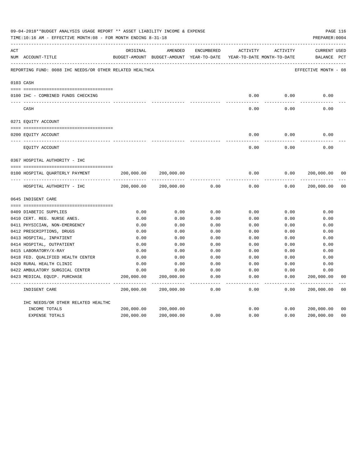|     | 09-04-2018**BUDGET ANALYSIS USAGE REPORT ** ASSET LIABILITY INCOME & EXPENSE<br>TIME:10:16 AM - EFFECTIVE MONTH:08 - FOR MONTH ENDING 8-31-18 |                           |                                          |               |                     |                            | PAGE 116<br>PREPARER: 0004 |                |
|-----|-----------------------------------------------------------------------------------------------------------------------------------------------|---------------------------|------------------------------------------|---------------|---------------------|----------------------------|----------------------------|----------------|
| ACT |                                                                                                                                               | ORIGINAL                  | AMENDED                                  | ENCUMBERED    | ACTIVITY            | ACTIVITY                   | CURRENT USED               |                |
|     | NUM ACCOUNT-TITLE                                                                                                                             |                           | BUDGET-AMOUNT BUDGET-AMOUNT YEAR-TO-DATE |               |                     | YEAR-TO-DATE MONTH-TO-DATE | BALANCE PCT                |                |
|     | REPORTING FUND: 0088 IHC NEEDS/OR OTHER RELATED HEALTHCA                                                                                      |                           |                                          |               |                     |                            | EFFECTIVE MONTH - 08       |                |
|     | 0103 CASH                                                                                                                                     |                           |                                          |               |                     |                            |                            |                |
|     | 0100 IHC - COMBINED FUNDS CHECKING                                                                                                            |                           |                                          |               | 0.00                | 0.00                       | 0.00                       |                |
|     | CASH                                                                                                                                          |                           |                                          |               | 0.00                | 0.00                       | 0.00                       |                |
|     | 0271 EQUITY ACCOUNT                                                                                                                           |                           |                                          |               |                     |                            |                            |                |
|     | 0200 EQUITY ACCOUNT                                                                                                                           |                           |                                          |               | 0.00                | 0.00                       | 0.00                       |                |
|     | ---- ---------------<br>EQUITY ACCOUNT                                                                                                        |                           |                                          |               | 0.00                | 0.00                       | 0.00                       |                |
|     | 0367 HOSPITAL AUTHORITY - IHC                                                                                                                 |                           |                                          |               |                     |                            |                            |                |
|     | 0100 HOSPITAL QUARTERLY PAYMENT                                                                                                               | 200,000.00                | 200,000.00                               |               | 0.00                | 0.00                       | 200,000.00                 | 00             |
|     | HOSPITAL AUTHORITY - IHC                                                                                                                      | -----------<br>200,000.00 | 200,000.00                               | 0.00          | $- - - - -$<br>0.00 | -----<br>0.00              | 200,000.00                 | 0 <sub>0</sub> |
|     | 0645 INDIGENT CARE                                                                                                                            |                           |                                          |               |                     |                            |                            |                |
|     |                                                                                                                                               |                           |                                          |               |                     |                            |                            |                |
|     | 0409 DIABETIC SUPPLIES                                                                                                                        | 0.00                      | 0.00                                     | 0.00          | 0.00                | 0.00                       | 0.00                       |                |
|     | 0410 CERT. REG. NURSE ANES.                                                                                                                   | 0.00                      | 0.00                                     | 0.00          | 0.00                | 0.00                       | 0.00                       |                |
|     | 0411 PHYSICIAN, NON-EMERGENCY                                                                                                                 | 0.00                      | 0.00                                     | 0.00          | 0.00                | 0.00                       | 0.00                       |                |
|     | 0412 PRESCRIPTIONS, DRUGS                                                                                                                     | 0.00                      | 0.00                                     | 0.00          | 0.00                | 0.00                       | 0.00                       |                |
|     | 0413 HOSPITAL, INPATIENT                                                                                                                      | 0.00                      | 0.00                                     | 0.00          | 0.00                | 0.00                       | 0.00                       |                |
|     | 0414 HOSPITAL, OUTPATIENT                                                                                                                     | 0.00                      | 0.00                                     | 0.00          | 0.00                | 0.00                       | 0.00                       |                |
|     | 0415 LABORATORY/X-RAY                                                                                                                         | 0.00                      | 0.00                                     | 0.00          | 0.00                | 0.00                       | 0.00                       |                |
|     | 0418 FED. QUALIFIED HEALTH CENTER                                                                                                             | 0.00                      | 0.00                                     | 0.00          | 0.00                | 0.00                       | 0.00                       |                |
|     | 0420 RURAL HEALTH CLINIC                                                                                                                      | 0.00                      | 0.00                                     | 0.00          | 0.00                | 0.00                       | 0.00                       |                |
|     | 0422 AMBULATORY SURGICAL CENTER                                                                                                               | 0.00                      | 0.00                                     | 0.00          | 0.00                | 0.00                       | 0.00                       |                |
|     | 0423 MEDICAL EQUIP. PURCHASE                                                                                                                  | 200,000.00                | 200,000.00                               | 0.00<br>$---$ | 0.00<br>$- - - - -$ | 0.00<br>-----              | 200,000.00<br>----------   | 0 <sub>0</sub> |
|     | INDIGENT CARE                                                                                                                                 | 200,000.00                | 200,000.00                               | 0.00          | 0.00                | 0.00                       | 200,000.00                 | 0 <sub>0</sub> |
|     | IHC NEEDS/OR OTHER RELATED HEALTHC                                                                                                            |                           |                                          |               |                     |                            |                            |                |
|     | INCOME TOTALS                                                                                                                                 | 200,000.00                | 200,000.00                               |               | 0.00                | 0.00                       | 200,000.00                 | 0 <sub>0</sub> |
|     | EXPENSE TOTALS                                                                                                                                | 200,000.00                | 200,000.00                               | 0.00          | 0.00                | 0.00                       | 200,000.00                 | 0 <sub>0</sub> |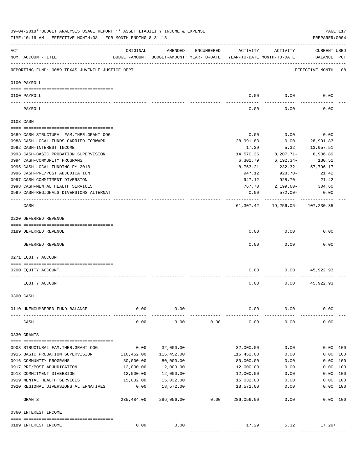|     | 09-04-2018**BUDGET ANALYSIS USAGE REPORT ** ASSET LIABILITY INCOME & EXPENSE<br>TIME:10:16 AM - EFFECTIVE MONTH:08 - FOR MONTH ENDING 8-31-18 |                                                      |                             |            |                            |                                        | PREPARER: 0004                     | PAGE 117 |
|-----|-----------------------------------------------------------------------------------------------------------------------------------------------|------------------------------------------------------|-----------------------------|------------|----------------------------|----------------------------------------|------------------------------------|----------|
| ACT | NUM ACCOUNT-TITLE                                                                                                                             | ORIGINAL<br>BUDGET-AMOUNT BUDGET-AMOUNT YEAR-TO-DATE | AMENDED                     | ENCUMBERED | ACTIVITY                   | ACTIVITY<br>YEAR-TO-DATE MONTH-TO-DATE | <b>CURRENT USED</b><br>BALANCE PCT |          |
|     | REPORTING FUND: 0089 TEXAS JUVENILE JUSTICE DEPT.                                                                                             |                                                      |                             |            |                            |                                        | EFFECTIVE MONTH - 08               |          |
|     | 0100 PAYROLL                                                                                                                                  |                                                      |                             |            |                            |                                        |                                    |          |
|     | 0100 PAYROLL                                                                                                                                  |                                                      |                             |            | 0.00                       | 0.00                                   | 0.00                               |          |
|     | PAYROLL                                                                                                                                       |                                                      |                             |            | 0.00                       | 0.00                                   | 0.00                               |          |
|     | 0103 CASH                                                                                                                                     |                                                      |                             |            |                            |                                        |                                    |          |
|     | 0689 CASH-STRUCTURAL FAM.THER.GRANT OOG                                                                                                       |                                                      |                             |            | 0.00                       | 0.00                                   | 0.00                               |          |
|     | 0988 CASH-LOCAL FUNDS CARRIED FORWARD                                                                                                         |                                                      |                             |            | 28,991.83                  | 0.00                                   | 28,991.83                          |          |
|     | 0992 CASH-INTEREST INCOME                                                                                                                     |                                                      |                             |            | 17.29                      | 5.32                                   | 13,057.51                          |          |
|     | 0993 CASH-BASIC PROBATION SUPERVISION                                                                                                         |                                                      |                             |            | 14,570.36                  | $8,207.71 -$                           | 6,906.89                           |          |
|     | 0994 CASH-COMMUNITY PROGRAMS                                                                                                                  |                                                      |                             |            | 6,302.79                   | 6,192.34-                              | 130.51                             |          |
|     | 0995 CASH-LOCAL FUNDING FY 2018                                                                                                               |                                                      |                             |            | 8,763.21                   | 232.32-                                | 57,796.17                          |          |
|     | 0996 CASH-PRE/POST ADJUDICATION                                                                                                               |                                                      |                             |            | 947.12                     | 928.70-                                | 21.42                              |          |
|     | 0997 CASH-COMMITMENT DIVERSION                                                                                                                |                                                      |                             |            | 947.12                     | 928.70-                                | 21.42                              |          |
|     | 0998 CASH-MENTAL HEALTH SERVICES                                                                                                              |                                                      |                             |            | 767.70                     | $2,199.60-$                            | 304.60                             |          |
|     | 0999 CASH-REGIONALS DIVERSIONS ALTERNAT                                                                                                       |                                                      |                             |            | 0.00                       | 572.00-                                | 0.00                               |          |
|     | CASH                                                                                                                                          |                                                      |                             |            | 61,307.42                  |                                        | 19,256.05- 107,230.35              |          |
|     | 0220 DEFERRED REVENUE                                                                                                                         |                                                      |                             |            |                            |                                        |                                    |          |
|     | 0189 DEFERRED REVENUE                                                                                                                         |                                                      |                             |            | 0.00                       | 0.00                                   | 0.00                               |          |
|     | DEFERRED REVENUE                                                                                                                              |                                                      |                             |            | 0.00                       | 0.00                                   | 0.00                               |          |
|     | 0271 EQUITY ACCOUNT                                                                                                                           |                                                      |                             |            |                            |                                        |                                    |          |
|     | 0200 EQUITY ACCOUNT                                                                                                                           |                                                      |                             |            | 0.00                       |                                        | $0.00$ 45,922.93                   |          |
|     | EQUITY ACCOUNT                                                                                                                                |                                                      |                             |            | 0.00                       | 0.00                                   | 45,922.93                          |          |
|     | 0300 CASH                                                                                                                                     |                                                      |                             |            |                            |                                        |                                    |          |
|     |                                                                                                                                               |                                                      |                             |            |                            |                                        |                                    |          |
|     | 0110 UNENCUMBERED FUND BALANCE                                                                                                                | 0.00                                                 | 0.00                        |            | 0.00                       | 0.00                                   | 0.00                               |          |
|     | CASH                                                                                                                                          | 0.00                                                 | 0.00                        | 0.00       | 0.00                       | 0.00                                   | 0.00                               |          |
|     | 0330 GRANTS                                                                                                                                   |                                                      |                             |            |                            |                                        |                                    |          |
|     | 0908 STRUCTURAL FAM. THER. GRANT OOG                                                                                                          | 0.00                                                 | 32,000.00                   |            | 32,000.00                  | 0.00                                   | 0.00 100                           |          |
|     | 0915 BASIC PROBATION SUPERVISION                                                                                                              | 116,452.00                                           | 116,452.00                  |            | 116,452.00                 | 0.00                                   | 0.00 100                           |          |
|     | 0916 COMMUNITY PROGRAMS                                                                                                                       | 80,000.00                                            | 80,000.00                   |            | 80,000.00                  | 0.00                                   | 0.00 100                           |          |
|     | 0917 PRE/POST ADJUDICATION                                                                                                                    | 12,000.00                                            | 12,000.00                   |            | 12,000.00                  | 0.00                                   | 0.00 100                           |          |
|     | 0918 COMMITMENT DIVERSION                                                                                                                     | 12,000.00                                            | 12,000.00                   |            | 12,000.00                  | 0.00                                   | 0.00 100                           |          |
|     | 0919 MENTAL HEALTH SERVICES                                                                                                                   | 15,032.00                                            | 15,032.00                   |            | 15,032.00                  | 0.00                                   | 0.00                               | 100      |
|     | 0920 REGIONAL DIVERSIONS ALTERNATIVES                                                                                                         | 0.00                                                 | 18,572.00                   |            | 18,572.00                  | 0.00                                   | 0.00 100                           |          |
|     | GRANTS                                                                                                                                        | --- --------------<br>235,484.00                     | -------------<br>286,056.00 | 0.00       | ------------<br>286,056.00 | .<br>0.00                              | ------<br>0.00 100                 | $- - -$  |
|     | 0360 INTEREST INCOME                                                                                                                          |                                                      |                             |            |                            |                                        |                                    |          |
|     |                                                                                                                                               |                                                      |                             |            |                            |                                        |                                    |          |
|     | 0189 INTEREST INCOME<br>---------------- --------------                                                                                       | 0.00                                                 | 0.00                        |            | 17.29                      | 5.32                                   | $17.29+$                           |          |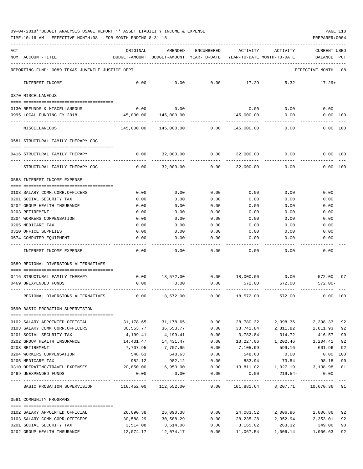TIME:10:16 AM - EFFECTIVE MONTH:08 - FOR MONTH ENDING 8-31-18 PREPARER:0004

| ACT | NUM ACCOUNT-TITLE                                                                       | ORIGINAL     | AMENDED<br>BUDGET-AMOUNT BUDGET-AMOUNT YEAR-TO-DATE | ENCUMBERED   | ACTIVITY<br>YEAR-TO-DATE MONTH-TO-DATE | ACTIVITY                                                         | CURRENT USED<br>BALANCE | $_{\rm PCT}$ |
|-----|-----------------------------------------------------------------------------------------|--------------|-----------------------------------------------------|--------------|----------------------------------------|------------------------------------------------------------------|-------------------------|--------------|
|     | REPORTING FUND: 0089 TEXAS JUVENILE JUSTICE DEPT.                                       |              |                                                     |              |                                        |                                                                  | EFFECTIVE MONTH - 08    |              |
|     | INTEREST INCOME                                                                         | 0.00         | 0.00                                                | 0.00         | 17.29                                  | 5.32                                                             | $17.29+$                |              |
|     | 0370 MISCELLANEOUS                                                                      |              |                                                     |              |                                        |                                                                  |                         |              |
|     |                                                                                         |              |                                                     |              |                                        |                                                                  |                         |              |
|     | 0130 REFUNDS & MISCELLANEOUS                                                            | 0.00         | 0.00                                                |              | 0.00                                   | 0.00                                                             | 0.00                    |              |
|     | 0995 LOCAL FUNDING FY 2018                                                              | 145,000.00   | 145,000.00                                          |              | 145,000.00                             | 0.00                                                             | $0.00$ 100              |              |
|     | MISCELLANEOUS                                                                           | 145,000.00   | 145,000.00                                          | 0.00         | 145,000.00                             | 0.00                                                             | 0.00 100                |              |
|     | 0581 STRUCTURAL FAMILY THERAPY OOG                                                      |              |                                                     |              |                                        |                                                                  |                         |              |
|     | 0416 STRUCTURAL FAMILY THERAPY                                                          | 0.00         | 32,000.00                                           | 0.00         | 32,000.00                              | 0.00                                                             | 0.00 100                |              |
|     | STRUCTURAL FAMILY THERAPY OOG                                                           | 0.00         | 32,000.00                                           | 0.00         | 32,000.00                              | 0.00                                                             | 0.00 100                |              |
|     | 0588 INTEREST INCOME EXPENSE                                                            |              |                                                     |              |                                        |                                                                  |                         |              |
|     |                                                                                         |              |                                                     |              |                                        |                                                                  |                         |              |
|     | 0103 SALARY COMM.CORR.OFFICERS                                                          | 0.00         | 0.00                                                | 0.00         | 0.00                                   | 0.00                                                             | 0.00                    |              |
|     | 0201 SOCIAL SECURITY TAX                                                                | 0.00         | 0.00                                                | 0.00         | 0.00                                   | 0.00                                                             | 0.00                    |              |
|     | 0202 GROUP HEALTH INSURANCE                                                             | 0.00         | 0.00                                                | 0.00         | 0.00                                   | 0.00                                                             | 0.00                    |              |
|     | 0203 RETIREMENT<br>0204 WORKERS COMPENSATION                                            | 0.00<br>0.00 | 0.00<br>0.00                                        | 0.00<br>0.00 | 0.00<br>0.00                           | 0.00<br>0.00                                                     | 0.00<br>0.00            |              |
|     | 0205 MEDICARE TAX                                                                       | 0.00         | 0.00                                                | 0.00         | 0.00                                   | 0.00                                                             | 0.00                    |              |
|     | 0310 OFFICE SUPPLIES                                                                    | 0.00         | 0.00                                                | 0.00         | 0.00                                   | 0.00                                                             | 0.00                    |              |
|     | 0574 COMPUTER EQUIPMENT                                                                 | 0.00         | 0.00                                                | 0.00         | 0.00                                   | 0.00                                                             | 0.00                    |              |
|     |                                                                                         |              |                                                     |              |                                        |                                                                  |                         |              |
|     | INTEREST INCOME EXPENSE                                                                 | 0.00         | 0.00                                                | 0.00         | 0.00                                   | 0.00                                                             | 0.00                    |              |
|     | 0589 REGIONAL DIVERSIONS ALTERNATIVES                                                   |              |                                                     |              |                                        |                                                                  |                         |              |
|     | 0416 STRUCTURAL FAMILY THERAPY                                                          | 0.00         | 18,572.00                                           |              |                                        | $0.00$ 18,000.00 0.00                                            | 572.00 97               |              |
|     | 0469 UNEXPENDED FUNDS                                                                   | 0.00         | 0.00                                                | 0.00         | 572.00                                 | 572.00                                                           | $572.00 -$              |              |
|     | REGIONAL DIVERSIONS ALTERNATIVES                                                        | 0.00         | 18,572.00                                           | 0.00         | 18,572.00                              | 572.00                                                           | 0.00 100                |              |
|     |                                                                                         |              |                                                     |              |                                        |                                                                  |                         |              |
|     | 0590 BASIC PROBATION SUPERVISION                                                        |              |                                                     |              |                                        |                                                                  |                         |              |
|     | 0102 SALARY APPOINTED OFFICIAL                                                          |              | 31, 178.65 31, 178.65                               | 0.00         | 28,780.32                              | 2,398.36                                                         | 2,398.33 92             |              |
|     | 0103 SALARY COMM.CORR.OFFICERS                                                          | 36,553.77    | 36,553.77                                           | 0.00         | 33,741.84                              | 2,811.82                                                         | 2,811.93                | 92           |
|     | 0201 SOCIAL SECURITY TAX                                                                | 4,199.41     | 4,199.41                                            | 0.00         | 3,782.84                               | 314.72                                                           | 416.57                  | 90           |
|     | 0202 GROUP HEALTH INSURANCE 14,431.47 14,431.47                                         |              |                                                     |              |                                        | $0.00$ 13,227.06 1,202.46 1,204.41                               |                         | 92           |
|     | 0203 RETIREMENT                                                                         | 7,707.95     | 7,707.95                                            |              | $0.00$ 7,105.99                        | 599.16                                                           | 601.96                  | 92           |
|     | 0204 WORKERS COMPENSATION                                                               | 548.63       |                                                     | 548.63 0.00  | 548.63                                 | 0.00                                                             | $0.00$ 100              |              |
|     | 0205 MEDICARE TAX                                                                       | 982.12       | 982.12                                              | 0.00         | 883.94                                 | 73.54                                                            | 98.18                   | 90           |
|     | 0310 OPERATING/TRAVEL EXPENSES                                                          |              | 20,850.00   16,950.00                               | 0.00         |                                        | 13,811.02 1,027.19                                               | 3,138.98 81             |              |
|     | 0469 UNEXPENDED FUNDS                                                                   | 0.00         | 0.00                                                | 0.00         | 0.00                                   | $219.54-$                                                        | 0.00                    |              |
|     | BASIC PROBATION SUPERVISION 116,452.00 112,552.00 0.00 101,881.64 8,207.71 10,670.36 91 |              |                                                     |              |                                        |                                                                  |                         |              |
|     | 0591 COMMUNITY PROGRAMS                                                                 |              |                                                     |              |                                        |                                                                  |                         |              |
|     |                                                                                         |              |                                                     |              |                                        |                                                                  |                         |              |
|     | 0102 SALARY APPOINTED OFFICIAL                                                          |              |                                                     |              |                                        | $26,090.38$ $26,090.38$ $0.00$ $24,083.52$ $2,006.96$ $2,006.86$ |                         | 92           |
|     | 0103 SALARY COMM.CORR.OFFICERS 30,588.29                                                |              | 30,588.29                                           |              |                                        | $0.00$ 28,235.28 2,352.94 2,353.01                               |                         | 92           |
|     | 0201 SOCIAL SECURITY TAX                                                                | 3,514.08     | 3,514.08 0.00                                       |              |                                        | 3, 165.02 263.32                                                 | 349.06                  | 90           |
|     | 0202 GROUP HEALTH INSURANCE                                                             |              |                                                     | 0.00         |                                        | 11,067.54    1,006.14    1,006.63    92                          |                         |              |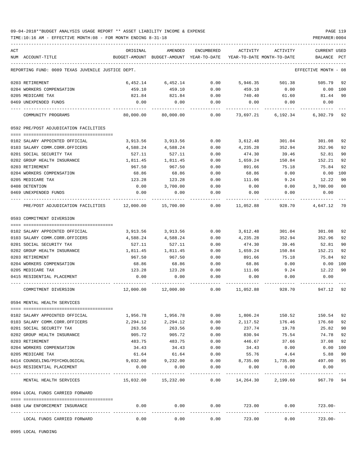TIME:10:16 AM - EFFECTIVE MONTH:08 - FOR MONTH ENDING 8-31-18 PREPARER:0004

| ACT |                                                            | ORIGINAL                                                            | AMENDED              | ENCUMBERED           | ACTIVITY                | ACTIVITY                | <b>CURRENT USED</b>  |                |
|-----|------------------------------------------------------------|---------------------------------------------------------------------|----------------------|----------------------|-------------------------|-------------------------|----------------------|----------------|
|     | NUM ACCOUNT-TITLE                                          | BUDGET-AMOUNT BUDGET-AMOUNT YEAR-TO-DATE YEAR-TO-DATE MONTH-TO-DATE |                      |                      |                         |                         | BALANCE PCT          |                |
|     | REPORTING FUND: 0089 TEXAS JUVENILE JUSTICE DEPT.          |                                                                     |                      |                      |                         |                         | EFFECTIVE MONTH - 08 |                |
|     | 0203 RETIREMENT                                            | 6,452.14                                                            | 6,452.14             | 0.00                 | 5,946.35                | 501.38                  | 505.79               | 92             |
|     | 0204 WORKERS COMPENSATION                                  | 459.10                                                              | 459.10               | 0.00                 | 459.10                  | 0.00                    | 0.00 100             |                |
|     | 0205 MEDICARE TAX                                          | 821.84                                                              | 821.84               | 0.00                 | 740.40                  | 61.60                   | 81.44                | 90             |
|     | 0469 UNEXPENDED FUNDS                                      | 0.00                                                                | 0.00                 | 0.00                 | 0.00                    | 0.00                    | 0.00                 |                |
|     | COMMUNITY PROGRAMS                                         |                                                                     | 80,000.00 80,000.00  | 0.00                 |                         |                         |                      |                |
|     | 0592 PRE/POST ADJUDICATION FACILITIES                      |                                                                     |                      |                      |                         |                         |                      |                |
|     | 0102 SALARY APPOINTED OFFICIAL                             | 3,913.56                                                            | 3,913.56             | 0.00                 | 3,612.48                | 301.04                  | 301.08               | 92             |
|     | 0103 SALARY COMM.CORR.OFFICERS                             | 4,588.24                                                            | 4,588.24             | 0.00                 | 4,235.28                | 352.94                  | 352.96               | 92             |
|     | 0201 SOCIAL SECURITY TAX                                   | 527.11                                                              | 527.11               | 0.00                 | 474.30                  | 39.46                   | 52.81                | 90             |
|     | 0202 GROUP HEALTH INSURANCE                                | 1,811.45                                                            | 1,811.45             | 0.00                 | 1,659.24                | 150.84                  | 152.21               | 92             |
|     | 0203 RETIREMENT                                            | 967.50                                                              | 967.50               | 0.00                 | 891.66                  | 75.18                   | 75.84                | 92             |
|     | 0204 WORKERS COMPENSATION                                  | 68.86                                                               | 68.86                | 0.00                 | 68.86                   | 0.00                    | 0.00                 | 100            |
|     | 0205 MEDICARE TAX                                          | 123.28                                                              | 123.28               | 0.00                 | 111.06                  | 9.24                    | 12.22                | 90             |
|     | 0408 DETENTION                                             | 0.00                                                                | 3,700.00             | 0.00                 | 0.00                    | 0.00                    | 3,700.00             | 0 <sub>0</sub> |
|     | 0469 UNEXPENDED FUNDS                                      | 0.00                                                                | 0.00                 | 0.00                 | 0.00                    | 0.00                    | 0.00                 |                |
|     | PRE/POST ADJUDICATION FACILITIES 12,000.00 15,700.00       |                                                                     |                      | 0.00                 | 11,052.88               |                         | 928.70 4.647.12      | 70             |
|     | 0593 COMMITMENT DIVERSION                                  |                                                                     |                      |                      |                         |                         |                      |                |
|     |                                                            |                                                                     |                      |                      |                         |                         |                      |                |
|     | 0102 SALARY APPOINTED OFFICIAL                             | 3,913.56                                                            | 3,913.56             | 0.00                 | 3,612.48                | 301.04                  | 301.08               | 92             |
|     | 0103 SALARY COMM.CORR.OFFICERS                             | 4,588.24                                                            | 4,588.24             | 0.00                 | 4,235.28                | 352.94                  | 352.96               | 92             |
|     | 0201 SOCIAL SECURITY TAX                                   | 527.11                                                              | 527.11               | 0.00                 | 474.30                  | 39.46                   | 52.81                | 90             |
|     | 0202 GROUP HEALTH INSURANCE                                | 1,811.45                                                            | 1,811.45             | 0.00                 | 1,659.24                | 150.84                  | 152.21               | 92             |
|     | 0203 RETIREMENT                                            | 967.50                                                              | 967.50               | 0.00                 | 891.66                  | 75.18                   | 75.84                | 92             |
|     | 0204 WORKERS COMPENSATION                                  | 68.86                                                               | 68.86                | 0.00                 | 68.86                   | 0.00                    | $0.00$ 100           |                |
|     | 0205 MEDICARE TAX                                          | 123.28                                                              | 123.28               | 0.00                 | 111.06                  | 9.24                    | 12.22                | 90             |
|     | 0415 RESIDENTIAL PLACEMENT                                 | 0.00                                                                | 0.00                 | 0.00                 | 0.00                    | 0.00                    | 0.00                 |                |
|     | COMMITMENT DIVERSION                                       |                                                                     |                      |                      |                         | $0.00$ 11,052.88 928.70 | 947.12               | 92             |
|     | 0594 MENTAL HEALTH SERVICES                                |                                                                     |                      |                      |                         |                         |                      |                |
|     |                                                            |                                                                     |                      | 0.00                 | 1,806.24                | 150.52                  |                      | 92             |
|     | 0102 SALARY APPOINTED OFFICIAL                             | 1,956.78                                                            | 1,956.78             |                      |                         |                         | 150.54               | 92             |
|     | 0103 SALARY COMM.CORR.OFFICERS<br>0201 SOCIAL SECURITY TAX | 2,294.12                                                            | 2,294.12             | 0.00                 | 2,117.52                | 176.46                  | 176.60               | 90             |
|     |                                                            | 263.56                                                              | 263.56               | 0.00                 | 237.74                  | 19.78                   | 25.82                |                |
|     | 0202 GROUP HEALTH INSURANCE<br>0203 RETIREMENT             | 905.72                                                              | 905.72               | 0.00                 | 830.94                  | 75.54                   | 74.78                | 92<br>92       |
|     | 0204 WORKERS COMPENSATION                                  | 483.75<br>34.43                                                     | 483.75<br>34.43      | 0.00<br>0.00         | 446.67<br>34.43         | 37.66<br>0.00           | 37.08<br>$0.00$ 100  |                |
|     | 0205 MEDICARE TAX                                          | 61.64                                                               | 61.64                | 0.00                 | 55.76                   | 4.64                    |                      | 90             |
|     | 0414 COUNSELING/PSYCHOLOGICAL                              | 9,032.00                                                            | 9,232.00             |                      |                         |                         | 5.88                 | 95             |
|     | 0415 RESIDENTIAL PLACEMENT                                 | 0.00                                                                | 0.00                 | 0.00<br>0.00         | 8,735.00<br>0.00        | 1,735.00<br>0.00        | 497.00<br>0.00       |                |
|     |                                                            |                                                                     |                      |                      |                         |                         |                      |                |
|     | MENTAL HEALTH SERVICES                                     | $15,032.00$ $15,232.00$ $0.00$ $14,264.30$ $2,199.60$               |                      |                      |                         |                         | 967.70 94            |                |
|     | 0994 LOCAL FUNDS CARRIED FORWARD                           |                                                                     |                      |                      |                         |                         |                      |                |
|     | 0488 LAW ENFORCEMENT INSURANCE                             | 0.00<br>----------- ---------------                                 | 0.00<br>------------ | 0.00<br>------------ | 723.00<br>------------- | 0.00<br>------------    | $723.00 -$           |                |
|     | LOCAL FUNDS CARRIED FORWARD                                | 0.00                                                                | 0.00                 | 0.00                 | 723.00                  | 0.00                    | $723.00 -$           |                |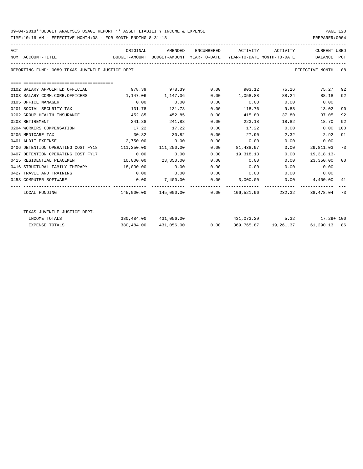TIME:10:16 AM - EFFECTIVE MONTH:08 - FOR MONTH ENDING 8-31-18 PREPARER:0004

| ACT | NUM ACCOUNT-TITLE                                             | BUDGET-AMOUNT BUDGET-AMOUNT YEAR-TO-DATE YEAR-TO-DATE MONTH-TO-DATE BALANCE PCT | ORIGINAL AMENDED    |      | ENCUMBERED ACTIVITY ACTIVITY                                    |             | CURRENT USED           |     |
|-----|---------------------------------------------------------------|---------------------------------------------------------------------------------|---------------------|------|-----------------------------------------------------------------|-------------|------------------------|-----|
|     | REPORTING FUND: 0089 TEXAS JUVENILE JUSTICE DEPT.             |                                                                                 |                     |      |                                                                 |             | EFFECTIVE MONTH - 08   |     |
|     | ----------------------------------                            |                                                                                 |                     |      |                                                                 |             |                        |     |
|     | 0102 SALARY APPOINTED OFFICIAL                                |                                                                                 |                     |      | 978.39     978.39      0.00     903.12     75.26      75.27  92 |             |                        |     |
|     | 0103 SALARY COMM.CORR.OFFICERS                                | 1,147.06                                                                        | 1,147.06            |      | $0.00$ 1,058.88 88.24                                           |             | 88.18 92               |     |
|     | 0105 OFFICE MANAGER                                           | 0.00                                                                            | 0.00                | 0.00 | $0.00$ $0.00$ $0.00$ $0.00$                                     |             |                        |     |
|     | 0201 SOCIAL SECURITY TAX                                      | 131.78                                                                          | 131.78              | 0.00 |                                                                 | 118.76 9.88 | 13.02                  | 90  |
|     | 0202 GROUP HEALTH INSURANCE                                   | 452.85                                                                          | 452.85              | 0.00 | 415.80                                                          |             | 37.05<br>37.80         | 92  |
|     | 0203 RETIREMENT                                               | 241.88                                                                          | 241.88              | 0.00 | 223.18                                                          | 18.82       | 18.70                  | 92  |
|     | 0204 WORKERS COMPENSATION                                     | 17.22                                                                           | 17.22               | 0.00 | 17.22                                                           | 0.00        | 0.00                   | 100 |
|     | 0205 MEDICARE TAX                                             | 30.82                                                                           | 30.82               | 0.00 | 27.90 2.32                                                      |             | 2.92                   | 91  |
|     | 0401 AUDIT EXPENSE                                            | 2,750.00                                                                        | 0.00                | 0.00 | 0.00                                                            | 0.00        | 0.00                   |     |
|     | 0406 DETENTION OPERATING COST FY18 111,250.00 111,250.00 0.00 |                                                                                 |                     |      | 81,438.97                                                       | 0.00        | 29,811.03 73           |     |
|     | 0.00 0407 DETENTION OPERATING COST FY17                       |                                                                                 | 0.00                |      | $0.00$ 19,318.13                                                | 0.00        | 19,318.13-             |     |
|     | 0415 RESIDENTIAL PLACEMENT                                    |                                                                                 | 10,000.00 23,350.00 | 0.00 | 0.00                                                            | 0.00        | 23,350.00 00           |     |
|     | 0416 STRUCTURAL FAMILY THERAPY 18,000.00                      |                                                                                 | 0.00                | 0.00 | 0.00                                                            |             | $0.00$ 0.00            |     |
|     | 0427 TRAVEL AND TRAINING                                      | 0.00                                                                            |                     |      | $0.00$ $0.00$ $0.00$ $0.00$ $0.00$ $0.00$ $0.00$                |             |                        |     |
|     | 0453 COMPUTER SOFTWARE                                        | 0.00                                                                            | 7,400.00            |      | $0.00$ 3,000.00                                                 |             | $0.00$ $4,400.00$ $41$ |     |
|     | LOCAL FUNDING                                                 |                                                                                 |                     |      | $145,000.00$ $145,000.00$ 0.00 $106,521.96$ 232.32 38,478.04 73 |             |                        |     |
|     | TEXAS JUVENILE JUSTICE DEPT.                                  |                                                                                 |                     |      |                                                                 |             |                        |     |
|     | INCOME TOTALS                                                 |                                                                                 |                     |      | $380,484.00$ $431,056.00$ $431,073.29$ $5.32$ $17.29 + 100$     |             |                        |     |
|     | <b>EXPENSE TOTALS</b>                                         | 380,484.00                                                                      | 431,056.00          |      | $0.00$ $369,765.87$ $19,261.37$ $61,290.13$ $86$                |             |                        |     |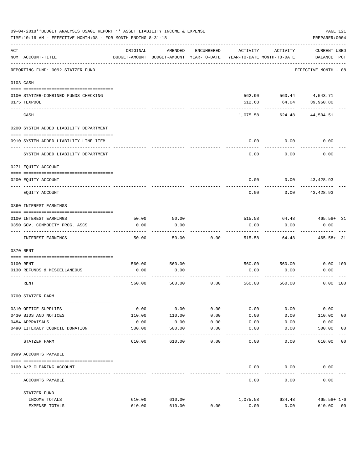| 09-04-2018**BUDGET ANALYSIS USAGE REPORT ** ASSET LIABILITY INCOME & EXPENSE<br>PAGE 121<br>PREPARER: 0004<br>TIME:10:16 AM - EFFECTIVE MONTH:08 - FOR MONTH ENDING 8-31-18 |                                           |                |                                                     |            |          |                                        |                                    |                |
|-----------------------------------------------------------------------------------------------------------------------------------------------------------------------------|-------------------------------------------|----------------|-----------------------------------------------------|------------|----------|----------------------------------------|------------------------------------|----------------|
| $\mathtt{ACT}$                                                                                                                                                              | NUM ACCOUNT-TITLE                         | ORIGINAL       | AMENDED<br>BUDGET-AMOUNT BUDGET-AMOUNT YEAR-TO-DATE | ENCUMBERED | ACTIVITY | ACTIVITY<br>YEAR-TO-DATE MONTH-TO-DATE | <b>CURRENT USED</b><br>BALANCE PCT |                |
|                                                                                                                                                                             | REPORTING FUND: 0092 STATZER FUND         |                |                                                     |            |          |                                        | EFFECTIVE MONTH - 08               |                |
|                                                                                                                                                                             | 0103 CASH                                 |                |                                                     |            |          |                                        |                                    |                |
|                                                                                                                                                                             | 0100 STATZER-COMBINED FUNDS CHECKING      |                |                                                     |            |          | 562.90 560.44 4,543.71                 |                                    |                |
|                                                                                                                                                                             | 0175 TEXPOOL                              |                |                                                     |            | 512.68   | 64.04                                  | 39,960.80                          |                |
|                                                                                                                                                                             | CASH                                      |                |                                                     |            | 1,075.58 | 624.48                                 | 44,504.51                          |                |
|                                                                                                                                                                             | 0200 SYSTEM ADDED LIABILITY DEPARTMENT    |                |                                                     |            |          |                                        |                                    |                |
|                                                                                                                                                                             |                                           |                |                                                     |            |          |                                        |                                    |                |
|                                                                                                                                                                             | 0910 SYSTEM ADDED LIABILITY LINE-ITEM     |                |                                                     |            | 0.00     | 0.00                                   | 0.00                               |                |
|                                                                                                                                                                             | SYSTEM ADDED LIABILITY DEPARTMENT         |                |                                                     |            | 0.00     | 0.00                                   | 0.00                               |                |
|                                                                                                                                                                             | 0271 EQUITY ACCOUNT                       |                |                                                     |            |          |                                        |                                    |                |
|                                                                                                                                                                             | 0200 EQUITY ACCOUNT                       |                |                                                     |            | 0.00     |                                        | $0.00$ $43,428.93$                 |                |
|                                                                                                                                                                             | EQUITY ACCOUNT                            |                |                                                     |            | 0.00     |                                        | $0.00$ 43,428.93                   |                |
|                                                                                                                                                                             | 0360 INTEREST EARNINGS                    |                |                                                     |            |          |                                        |                                    |                |
|                                                                                                                                                                             | 0100 INTEREST EARNINGS                    | 50.00          | 50.00                                               |            | 515.58   | 64.48                                  | $465.58 + 31$                      |                |
|                                                                                                                                                                             | 0350 GOV. COMMODITY PROG. ASCS            | 0.00           | 0.00                                                |            | 0.00     | 0.00                                   | 0.00                               |                |
|                                                                                                                                                                             | INTEREST EARNINGS                         | 50.00          | 50.00                                               | 0.00       | 515.58   | 64.48                                  | $465.58 + 31$                      |                |
|                                                                                                                                                                             | 0370 RENT                                 |                |                                                     |            |          |                                        |                                    |                |
|                                                                                                                                                                             |                                           |                |                                                     |            |          |                                        |                                    |                |
|                                                                                                                                                                             | 0100 RENT<br>0130 REFUNDS & MISCELLANEOUS | 560.00<br>0.00 | 560.00<br>0.00                                      |            | 0.00     | 560.00 560.00<br>0.00                  | 0.00 100<br>0.00                   |                |
|                                                                                                                                                                             |                                           |                |                                                     |            |          |                                        |                                    |                |
|                                                                                                                                                                             | RENT                                      | 560.00         | 560.00                                              | 0.00       | 560.00   | 560.00                                 | $0.00$ 100                         |                |
|                                                                                                                                                                             | 0700 STATZER FARM                         |                |                                                     |            |          |                                        |                                    |                |
|                                                                                                                                                                             | 0310 OFFICE SUPPLIES                      | 0.00           | 0.00                                                | 0.00       | 0.00     | 0.00                                   | 0.00                               |                |
|                                                                                                                                                                             | 0430 BIDS AND NOTICES                     | 110.00         | 110.00                                              | 0.00       | 0.00     | 0.00                                   | 110.00                             | 0 <sub>0</sub> |
|                                                                                                                                                                             | 0484 APPRAISALS                           | 0.00           | 0.00                                                | 0.00       | 0.00     | 0.00                                   | 0.00                               |                |
|                                                                                                                                                                             | 0490 LITERACY COUNCIL DONATION            | 500.00         | 500.00                                              | 0.00       | 0.00     | 0.00                                   | 500.00                             | 0 <sub>0</sub> |
|                                                                                                                                                                             | STATZER FARM                              | 610.00         | 610.00                                              | 0.00       | 0.00     | 0.00                                   | 610.00                             | 0 <sub>0</sub> |
|                                                                                                                                                                             | 0999 ACCOUNTS PAYABLE                     |                |                                                     |            |          |                                        |                                    |                |
|                                                                                                                                                                             | 0100 A/P CLEARING ACCOUNT                 |                |                                                     |            | 0.00     | 0.00                                   | 0.00                               |                |
|                                                                                                                                                                             | ACCOUNTS PAYABLE                          |                |                                                     |            | 0.00     | 0.00                                   | 0.00                               |                |
|                                                                                                                                                                             | STATZER FUND                              |                |                                                     |            |          |                                        |                                    |                |
|                                                                                                                                                                             | INCOME TOTALS                             | 610.00         | 610.00                                              |            | 1,075.58 | 624.48                                 | $465.58 + 176$                     |                |
|                                                                                                                                                                             | EXPENSE TOTALS                            | 610.00         | 610.00                                              | 0.00       | 0.00     | 0.00                                   | 610.00                             | 0 <sub>0</sub> |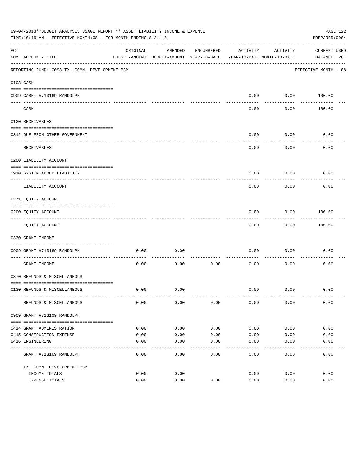| 09-04-2018**BUDGET ANALYSIS USAGE REPORT ** ASSET LIABILITY INCOME & EXPENSE<br>PAGE 122<br>TIME:10:16 AM - EFFECTIVE MONTH:08 - FOR MONTH ENDING 8-31-18<br>PREPARER: 0004 |                                                   |          |                                                     |            |                                        |                   |                             |  |
|-----------------------------------------------------------------------------------------------------------------------------------------------------------------------------|---------------------------------------------------|----------|-----------------------------------------------------|------------|----------------------------------------|-------------------|-----------------------------|--|
| ACT                                                                                                                                                                         | NUM ACCOUNT-TITLE                                 | ORIGINAL | AMENDED<br>BUDGET-AMOUNT BUDGET-AMOUNT YEAR-TO-DATE | ENCUMBERED | ACTIVITY<br>YEAR-TO-DATE MONTH-TO-DATE | ACTIVITY          | CURRENT USED<br>BALANCE PCT |  |
|                                                                                                                                                                             | REPORTING FUND: 0093 TX. COMM. DEVELOPMENT PGM    |          |                                                     |            |                                        |                   | EFFECTIVE MONTH - 08        |  |
|                                                                                                                                                                             | 0103 CASH                                         |          |                                                     |            |                                        |                   |                             |  |
|                                                                                                                                                                             | 0909 CASH- #713169 RANDOLPH                       |          |                                                     |            | 0.00                                   |                   | $0.00$ 100.00               |  |
|                                                                                                                                                                             | CASH                                              |          |                                                     |            | -----<br>0.00                          | ---------<br>0.00 | 100.00                      |  |
|                                                                                                                                                                             | 0120 RECEIVABLES                                  |          |                                                     |            |                                        |                   |                             |  |
|                                                                                                                                                                             | 0312 DUE FROM OTHER GOVERNMENT                    |          |                                                     |            | 0.00                                   | 0.00              | 0.00                        |  |
|                                                                                                                                                                             | RECEIVABLES                                       |          |                                                     |            | 0.00                                   | ---------<br>0.00 | 0.00                        |  |
|                                                                                                                                                                             | 0200 LIABILITY ACCOUNT                            |          |                                                     |            |                                        |                   |                             |  |
|                                                                                                                                                                             | 0910 SYSTEM ADDED LIABILITY                       |          |                                                     |            | 0.00                                   | 0.00              | 0.00                        |  |
|                                                                                                                                                                             | ---- ---------------<br>LIABILITY ACCOUNT         |          |                                                     |            | 0.00                                   | 0.00              | 0.00                        |  |
|                                                                                                                                                                             | 0271 EQUITY ACCOUNT                               |          |                                                     |            |                                        |                   |                             |  |
|                                                                                                                                                                             | 0200 EQUITY ACCOUNT                               |          |                                                     |            | 0.00                                   | 0.00              | 100.00                      |  |
|                                                                                                                                                                             | -------------------------------<br>EQUITY ACCOUNT |          |                                                     |            | 0.00                                   | ---------<br>0.00 | . <u>.</u> .<br>100.00      |  |
|                                                                                                                                                                             | 0330 GRANT INCOME                                 |          |                                                     |            |                                        |                   |                             |  |
|                                                                                                                                                                             | 0909 GRANT #713169 RANDOLPH                       | 0.00     | 0.00                                                |            | 0.00                                   | 0.00              | 0.00                        |  |
|                                                                                                                                                                             |                                                   | 0.00     | 0.00                                                | 0.00       | 0.00                                   | 0.00              | 0.00                        |  |
|                                                                                                                                                                             | GRANT INCOME<br>0370 REFUNDS & MISCELLANEOUS      |          |                                                     |            |                                        |                   |                             |  |
|                                                                                                                                                                             |                                                   |          |                                                     |            |                                        |                   |                             |  |
|                                                                                                                                                                             | 0130 REFUNDS & MISCELLANEOUS                      | 0.00     | 0.00                                                |            | 0.00                                   | 0.00              | 0.00                        |  |
|                                                                                                                                                                             | REFUNDS & MISCELLANEOUS                           | 0.00     | 0.00                                                | 0.00       | 0.00                                   | 0.00              | 0.00                        |  |
|                                                                                                                                                                             | 0909 GRANT #713169 RANDOLPH                       |          |                                                     |            |                                        |                   |                             |  |
|                                                                                                                                                                             | 0414 GRANT ADMINISTRATION                         | 0.00     | 0.00                                                | 0.00       | 0.00                                   | 0.00              | 0.00                        |  |
|                                                                                                                                                                             | 0415 CONSTRUCTION EXPENSE                         | 0.00     | 0.00                                                | 0.00       | 0.00                                   | 0.00              | 0.00                        |  |
|                                                                                                                                                                             | 0416 ENGINEERING                                  | 0.00     | 0.00                                                | 0.00       | 0.00                                   | 0.00              | 0.00                        |  |
|                                                                                                                                                                             | GRANT #713169 RANDOLPH                            | 0.00     | 0.00                                                | 0.00       | -----<br>0.00                          | 0.00              | 0.00                        |  |
|                                                                                                                                                                             | TX. COMM. DEVELOPMENT PGM                         |          |                                                     |            |                                        |                   |                             |  |
|                                                                                                                                                                             | INCOME TOTALS                                     | 0.00     | 0.00                                                |            | 0.00                                   | 0.00              | 0.00                        |  |
|                                                                                                                                                                             | EXPENSE TOTALS                                    | 0.00     | 0.00                                                | 0.00       | 0.00                                   | 0.00              | 0.00                        |  |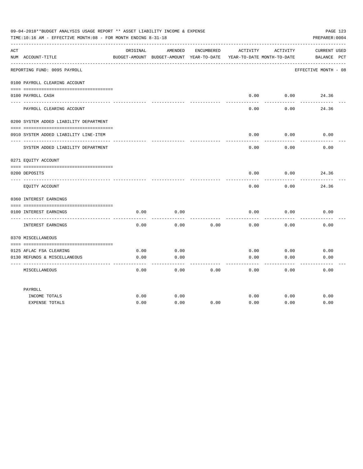| 09-04-2018**BUDGET ANALYSIS USAGE REPORT ** ASSET LIABILITY INCOME & EXPENSE<br>PAGE 123<br>TIME:10:16 AM - EFFECTIVE MONTH:08 - FOR MONTH ENDING 8-31-18<br>PREPARER: 0004 |                                               |          |                                                     |            |                 |                                        |                                    |  |
|-----------------------------------------------------------------------------------------------------------------------------------------------------------------------------|-----------------------------------------------|----------|-----------------------------------------------------|------------|-----------------|----------------------------------------|------------------------------------|--|
| ACT                                                                                                                                                                         | NUM ACCOUNT-TITLE                             | ORIGINAL | AMENDED<br>BUDGET-AMOUNT BUDGET-AMOUNT YEAR-TO-DATE | ENCUMBERED | ACTIVITY        | ACTIVITY<br>YEAR-TO-DATE MONTH-TO-DATE | <b>CURRENT USED</b><br>BALANCE PCT |  |
|                                                                                                                                                                             | REPORTING FUND: 0095 PAYROLL                  |          |                                                     |            |                 |                                        | EFFECTIVE MONTH - 08               |  |
|                                                                                                                                                                             | 0100 PAYROLL CLEARING ACCOUNT                 |          |                                                     |            |                 |                                        |                                    |  |
|                                                                                                                                                                             | 0100 PAYROLL CASH                             |          |                                                     |            | 0.00<br>------- | 0.00<br>-------                        | 24.36                              |  |
|                                                                                                                                                                             | PAYROLL CLEARING ACCOUNT                      |          |                                                     |            | 0.00            | 0.00                                   | 24.36                              |  |
|                                                                                                                                                                             | 0200 SYSTEM ADDED LIABILITY DEPARTMENT        |          |                                                     |            |                 |                                        |                                    |  |
|                                                                                                                                                                             | 0910 SYSTEM ADDED LIABILITY LINE-ITEM         |          |                                                     |            | 0.00            | 0.00<br>-------                        | 0.00                               |  |
|                                                                                                                                                                             | SYSTEM ADDED LIABILITY DEPARTMENT             |          |                                                     |            | 0.00            | 0.00                                   | 0.00                               |  |
|                                                                                                                                                                             | 0271 EQUITY ACCOUNT                           |          |                                                     |            |                 |                                        |                                    |  |
|                                                                                                                                                                             | 0200 DEPOSITS                                 |          |                                                     |            | 0.00            | 0.00                                   | 24.36                              |  |
|                                                                                                                                                                             | EQUITY ACCOUNT                                |          |                                                     |            | 0.00            | 0.00                                   | 24.36                              |  |
|                                                                                                                                                                             | 0360 INTEREST EARNINGS                        |          |                                                     |            |                 |                                        |                                    |  |
|                                                                                                                                                                             | 0100 INTEREST EARNINGS<br>---- -------------- | 0.00     | 0.00                                                |            | 0.00            | 0.00                                   | 0.00                               |  |
|                                                                                                                                                                             | INTEREST EARNINGS                             | 0.00     | 0.00                                                | 0.00       | 0.00            | 0.00                                   | 0.00                               |  |
|                                                                                                                                                                             | 0370 MISCELLANEOUS                            |          |                                                     |            |                 |                                        |                                    |  |
|                                                                                                                                                                             | 0125 AFLAC FSA CLEARING                       | 0.00     | 0.00                                                |            | 0.00            | 0.00                                   | 0.00                               |  |
|                                                                                                                                                                             | 0130 REFUNDS & MISCELLANEOUS                  | 0.00     | 0.00                                                |            | 0.00            | 0.00                                   | 0.00                               |  |
|                                                                                                                                                                             | MISCELLANEOUS                                 | 0.00     | 0.00                                                | 0.00       | 0.00            | 0.00                                   | 0.00                               |  |
|                                                                                                                                                                             | PAYROLL                                       |          |                                                     |            |                 |                                        |                                    |  |
|                                                                                                                                                                             | INCOME TOTALS                                 | 0.00     | 0.00                                                |            | 0.00            | 0.00                                   | 0.00                               |  |
|                                                                                                                                                                             | <b>EXPENSE TOTALS</b>                         | 0.00     | 0.00                                                | 0.00       | 0.00            | 0.00                                   | 0.00                               |  |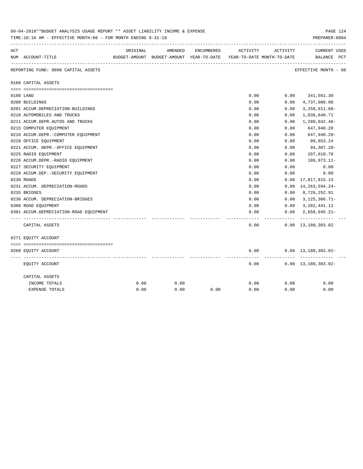| 09-04-2018**BUDGET ANALYSIS USAGE REPORT ** ASSET LIABILITY INCOME & EXPENSE<br>TIME:10:16 AM - EFFECTIVE MONTH:08 - FOR MONTH ENDING 8-31-18<br>PREPARER: 0004 |                                        |          |         |            |                                                                     |           |                                             |  |
|-----------------------------------------------------------------------------------------------------------------------------------------------------------------|----------------------------------------|----------|---------|------------|---------------------------------------------------------------------|-----------|---------------------------------------------|--|
| ACT                                                                                                                                                             |                                        | ORIGINAL | AMENDED | ENCUMBERED | ACTIVITY                                                            | ACTIVITY  | <b>CURRENT USED</b>                         |  |
|                                                                                                                                                                 | NUM ACCOUNT-TITLE                      |          |         |            | BUDGET-AMOUNT BUDGET-AMOUNT YEAR-TO-DATE YEAR-TO-DATE MONTH-TO-DATE |           | BALANCE PCT                                 |  |
|                                                                                                                                                                 | REPORTING FUND: 0098 CAPITAL ASSETS    |          |         |            |                                                                     |           | EFFECTIVE MONTH - 08                        |  |
|                                                                                                                                                                 | 0160 CAPITAL ASSETS                    |          |         |            |                                                                     |           |                                             |  |
|                                                                                                                                                                 |                                        |          |         |            | 0.00                                                                |           | $0.00$ 341,561.30                           |  |
|                                                                                                                                                                 | 0100 LAND<br>0200 BUILDINGS            |          |         |            | 0.00                                                                | 0.00      | 4,737,000.00                                |  |
|                                                                                                                                                                 | 0201 ACCUM.DEPRECIATION-BUILDINGS      |          |         |            | 0.00                                                                | 0.00      | $3,258,911.08-$                             |  |
|                                                                                                                                                                 | 0210 AUTOMOBILES AND TRUCKS            |          |         |            | 0.00                                                                | 0.00      | 1,836,648.71                                |  |
|                                                                                                                                                                 | 0211 ACCUM.DEPR.AUTOS AND TRUCKS       |          |         |            | 0.00                                                                | 0.00      | 1,280,042.46-                               |  |
|                                                                                                                                                                 | 0215 COMPUTER EQUIPMENT                |          |         |            | 0.00                                                                | 0.00      | 647,940.20                                  |  |
|                                                                                                                                                                 | 0216 ACCUM.DEPR.-COMPUTER EQUIPMENT    |          |         |            | 0.00                                                                | 0.00      | 647,940.20-                                 |  |
|                                                                                                                                                                 | 0220 OFFICE EQUIPMENT                  |          |         |            | 0.00                                                                | 0.00      | 99,653.24                                   |  |
|                                                                                                                                                                 | 0221 ACCUM. DEPR. - OFFICE EQUIPMENT   |          |         |            | 0.00                                                                | 0.00      | 94,307.28-                                  |  |
|                                                                                                                                                                 | 0225 RADIO EQUIPMENT                   |          |         |            | 0.00                                                                | 0.00      | 207,010.70                                  |  |
|                                                                                                                                                                 | 0226 ACCUM.DEPR.-RADIO EQUIPMENT       |          |         |            | 0.00                                                                | 0.00      | 186,973.11-                                 |  |
|                                                                                                                                                                 | 0227 SECURITY EQUIPMENT                |          |         |            | 0.00                                                                | 0.00      | 0.00                                        |  |
|                                                                                                                                                                 | 0228 ACCUM.DEP. - SECURITY EQUIPMENT   |          |         |            | 0.00                                                                | 0.00      | 0.00                                        |  |
|                                                                                                                                                                 | 0230 ROADS                             |          |         |            | 0.00                                                                | 0.00      | 17,817,815.13                               |  |
|                                                                                                                                                                 | 0231 ACCUM. DEPRECIATION-ROADS         |          |         |            | 0.00                                                                | 0.00      | 14, 263, 594. 24-                           |  |
|                                                                                                                                                                 | 0235 BRIDGES                           |          |         |            | 0.00                                                                |           | $0.00$ 9,726,252.91                         |  |
|                                                                                                                                                                 | 0236 ACCUM. DEPRECIATION-BRIDGES       |          |         |            | 0.00                                                                | 0.00      | $3,125,306.71-$                             |  |
|                                                                                                                                                                 | 0300 ROAD EQUIPMENT                    |          |         |            | 0.00                                                                |           | $0.00 \quad 3,282,441.12$                   |  |
|                                                                                                                                                                 | 0301 ACCUM.DEPRECIATION-ROAD EQUIPMENT |          |         |            | 0.00                                                                | 0.00      | $2,658,945.21-$                             |  |
|                                                                                                                                                                 | CAPITAL ASSETS                         |          |         |            | 0.00                                                                | --------- | -------------<br>$0.00 \quad 13,180,303.02$ |  |
|                                                                                                                                                                 | 0271 EQUITY ACCOUNT                    |          |         |            |                                                                     |           |                                             |  |
|                                                                                                                                                                 |                                        |          |         |            |                                                                     |           |                                             |  |
|                                                                                                                                                                 | 0200 EQUITY ACCOUNT                    |          |         |            | 0.00                                                                |           | $0.00 \quad 13,180,303.02 -$                |  |
|                                                                                                                                                                 | EQUITY ACCOUNT                         |          |         |            | 0.00                                                                |           | $0.00 \quad 13,180,303.02 -$                |  |
|                                                                                                                                                                 | CAPITAL ASSETS                         |          |         |            |                                                                     |           |                                             |  |
|                                                                                                                                                                 | INCOME TOTALS                          | 0.00     | 0.00    |            | 0.00                                                                | 0.00      | 0.00                                        |  |
|                                                                                                                                                                 | <b>EXPENSE TOTALS</b>                  | 0.00     | 0.00    | 0.00       | 0.00                                                                | 0.00      | 0.00                                        |  |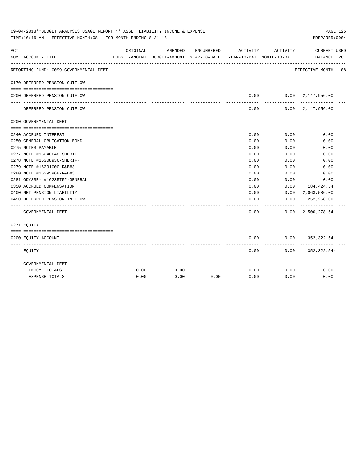| 09-04-2018**BUDGET ANALYSIS USAGE REPORT ** ASSET LIABILITY INCOME & EXPENSE<br>PAGE 125<br>TIME:10:16 AM - EFFECTIVE MONTH:08 - FOR MONTH ENDING 8-31-18<br>PREPARER: 0004 |                                        |          |         |            |                                                                                 |                  |                                            |  |
|-----------------------------------------------------------------------------------------------------------------------------------------------------------------------------|----------------------------------------|----------|---------|------------|---------------------------------------------------------------------------------|------------------|--------------------------------------------|--|
| ACT                                                                                                                                                                         | NUM ACCOUNT-TITLE                      | ORIGINAL | AMENDED | ENCUMBERED | ACTIVITY<br>BUDGET-AMOUNT BUDGET-AMOUNT YEAR-TO-DATE YEAR-TO-DATE MONTH-TO-DATE | ACTIVITY         | CURRENT USED<br>BALANCE PCT                |  |
|                                                                                                                                                                             | REPORTING FUND: 0099 GOVERNMENTAL DEBT |          |         |            |                                                                                 |                  | EFFECTIVE MONTH - 08                       |  |
|                                                                                                                                                                             | 0170 DEFERRED PENSION OUTFLOW          |          |         |            |                                                                                 |                  |                                            |  |
|                                                                                                                                                                             | 0200 DEFERRED PENSION OUTFLOW          |          |         |            | 0.00                                                                            |                  | $0.00 \quad 2.147.956.00$                  |  |
|                                                                                                                                                                             | DEFERRED PENSION OUTFLOW               |          |         |            | ---------<br>0.00                                                               | ---------        | -------------<br>$0.00 \quad 2.147.956.00$ |  |
|                                                                                                                                                                             | 0200 GOVERNMENTAL DEBT                 |          |         |            |                                                                                 |                  |                                            |  |
|                                                                                                                                                                             |                                        |          |         |            |                                                                                 |                  |                                            |  |
|                                                                                                                                                                             | 0240 ACCRUED INTEREST                  |          |         |            | 0.00                                                                            | 0.00             | 0.00                                       |  |
|                                                                                                                                                                             | 0250 GENERAL OBLIGATION BOND           |          |         |            | 0.00                                                                            | 0.00             | 0.00                                       |  |
|                                                                                                                                                                             | 0275 NOTES PAYABLE                     |          |         |            | 0.00                                                                            | 0.00             | 0.00                                       |  |
|                                                                                                                                                                             | 0277 NOTE #16240648-SHERIFF            |          |         |            | 0.00                                                                            | 0.00             | 0.00                                       |  |
|                                                                                                                                                                             | 0278 NOTE #16308936-SHERIFF            |          |         |            | 0.00                                                                            | 0.00             | 0.00                                       |  |
|                                                                                                                                                                             | 0279 NOTE #16291000-R&B#3              |          |         |            | 0.00                                                                            | 0.00             | 0.00                                       |  |
|                                                                                                                                                                             | 0280 NOTE #16295968-R&B#3              |          |         |            | 0.00                                                                            | 0.00             | 0.00                                       |  |
|                                                                                                                                                                             | 0281 ODYSSEY #16235752-GENERAL         |          |         |            | 0.00                                                                            | 0.00             | 0.00                                       |  |
|                                                                                                                                                                             | 0350 ACCRUED COMPENSATION              |          |         |            | 0.00                                                                            | 0.00             | 184,424.54                                 |  |
|                                                                                                                                                                             | 0400 NET PENSION LIABILITY             |          |         |            | 0.00                                                                            |                  | $0.00 \quad 2,063,586.00$                  |  |
|                                                                                                                                                                             | 0450 DEFERRED PENSION IN FLOW          |          |         |            | 0.00                                                                            | 0.00<br>-------- | 252,268.00                                 |  |
|                                                                                                                                                                             | GOVERNMENTAL DEBT                      |          |         |            | 0.00                                                                            |                  | $0.00 \quad 2,500,278.54$                  |  |
|                                                                                                                                                                             | 0271 EQUITY                            |          |         |            |                                                                                 |                  |                                            |  |
|                                                                                                                                                                             |                                        |          |         |            |                                                                                 |                  |                                            |  |
|                                                                                                                                                                             | 0200 EQUITY ACCOUNT                    |          |         |            | 0.00                                                                            |                  | $0.00$ $352,322.54$ -                      |  |
|                                                                                                                                                                             | EQUITY                                 |          |         |            | 0.00                                                                            |                  | $0.00$ $352,322.54-$                       |  |
|                                                                                                                                                                             | GOVERNMENTAL DEBT                      |          |         |            |                                                                                 |                  |                                            |  |
|                                                                                                                                                                             | INCOME TOTALS                          | 0.00     | 0.00    |            | 0.00                                                                            | 0.00             | 0.00                                       |  |
|                                                                                                                                                                             | <b>EXPENSE TOTALS</b>                  | 0.00     | 0.00    | 0.00       | 0.00                                                                            | 0.00             | 0.00                                       |  |